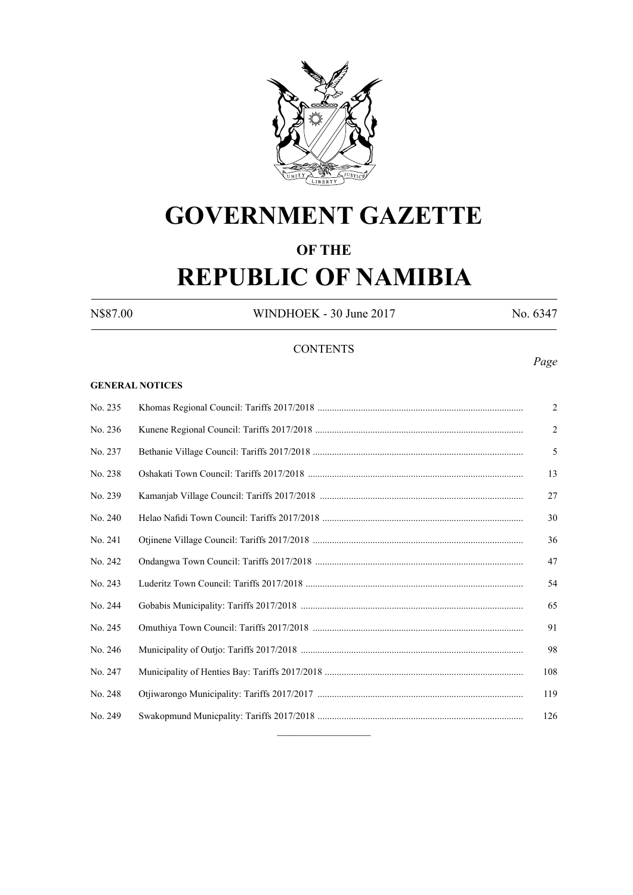

# **GOVERNMENT GAZETTE**

# **OF THE**

# **REPUBLIC OF NAMIBIA**

N\$87.00 WINDHOEK - 30 June 2017 No. 6347

### **CONTENTS**

#### **GENERAL NOTICES**

# No. 235 Khomas Regional Council: Tariffs 2017/2018 ...................................................................................... 2 No. 236 Kunene Regional Council: Tariffs 2017/2018 ....................................................................................... 2 No. 237 Bethanie Village Council: Tariffs 2017/2018 ........................................................................................ 5 No. 238 Oshakati Town Council: Tariffs 2017/2018 .......................................................................................... 13 No. 239 Kamanjab Village Council: Tariffs 2017/2018 ..................................................................................... 27 No. 240 Helao Nafidi Town Council: Tariffs 2017/2018 .................................................................................... 30 No. 241 Otjinene Village Council: Tariffs 2017/2018 ........................................................................................ 36 No. 242 Ondangwa Town Council: Tariffs 2017/2018 ....................................................................................... 47 No. 243 Luderitz Town Council: Tariffs 2017/2018 ........................................................................................... 54 No. 244 Gobabis Municipality: Tariffs 2017/2018 ............................................................................................. 65 No. 245 Omuthiya Town Council: Tariffs 2017/2018 ........................................................................................ 91 No. 246 Municipality of Outjo: Tariffs 2017/2018 ............................................................................................. 98 No. 247 Municipality of Henties Bay: Tariffs 2017/2018 ................................................................................... 108 No. 248 Otjiwarongo Municipality: Tariffs 2017/2017 ...................................................................................... 119 No. 249 Swakopmund Municpality: Tariffs 2017/2018 ...................................................................................... 126  $\frac{1}{2}$

*Page*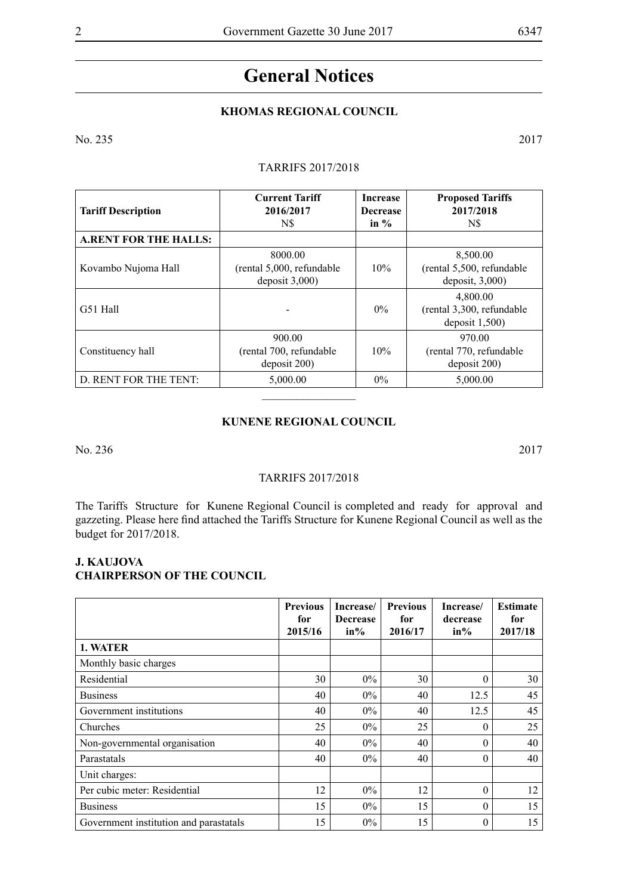# **General Notices**

# **KHOMAS REGIONAL COUNCIL**

No. 235 2017

### TARRIFS 2017/2018

| <b>Tariff Description</b>     | <b>Current Tariff</b><br>2016/2017<br>N\$                  | <b>Increase</b><br><b>Decrease</b><br>in $\%$ | <b>Proposed Tariffs</b><br>2017/2018<br>N\$               |
|-------------------------------|------------------------------------------------------------|-----------------------------------------------|-----------------------------------------------------------|
| <b>A, RENT FOR THE HALLS:</b> |                                                            |                                               |                                                           |
| Kovambo Nujoma Hall           | 8000.00<br>$($ rental 5,000, refundable<br>deposit $3,000$ | $10\%$                                        | 8,500.00<br>(rental 5,500, refundable<br>deposit, $3,000$ |
| G51 Hall                      |                                                            | $0\%$                                         | 4,800.00<br>(rental 3,300, refundable<br>deposit $1,500$  |
| Constituency hall             | 900.00<br>(rental 700, refundable<br>deposit 200)          | 10%                                           | 970.00<br>(rental 770, refundable<br>$\frac{1}{200}$      |
| D. RENT FOR THE TENT:         | 5,000.00                                                   | $0\%$                                         | 5,000.00                                                  |

#### **Kunene Regional Council**

No. 236 2017

#### TARRIFS 2017/2018

The Tariffs Structure for Kunene Regional Council is completed and ready for approval and gazzeting. Please here find attached the Tariffs Structure for Kunene Regional Council as well as the budget for 2017/2018.

# **J. KAUJOVA**

# **Chairperson of the Council**

|                                        | <b>Previous</b><br>for<br>2015/16 | Increase/<br><b>Decrease</b><br>$in\%$ | <b>Previous</b><br>for<br>2016/17 | Increase/<br>decrease<br>$in\%$ | <b>Estimate</b><br>for<br>2017/18 |
|----------------------------------------|-----------------------------------|----------------------------------------|-----------------------------------|---------------------------------|-----------------------------------|
| 1. WATER                               |                                   |                                        |                                   |                                 |                                   |
| Monthly basic charges                  |                                   |                                        |                                   |                                 |                                   |
| Residential                            | 30                                | $0\%$                                  | 30                                | 0                               | 30                                |
| <b>Business</b>                        | 40                                | $0\%$                                  | 40                                | 12.5                            | 45                                |
| Government institutions                | 40                                | $0\%$                                  | 40                                | 12.5                            | 45                                |
| Churches                               | 25                                | $0\%$                                  | 25                                | 0                               | 25                                |
| Non-governmental organisation          | 40                                | $0\%$                                  | 40                                | 0                               | 40                                |
| Parastatals                            | 40                                | $0\%$                                  | 40                                | $\theta$                        | 40                                |
| Unit charges:                          |                                   |                                        |                                   |                                 |                                   |
| Per cubic meter: Residential           | 12                                | $0\%$                                  | 12                                | $\theta$                        | 12                                |
| <b>Business</b>                        | 15                                | $0\%$                                  | 15                                | $\theta$                        | 15                                |
| Government institution and parastatals | 15                                | $0\%$                                  | 15                                | 0                               | 15                                |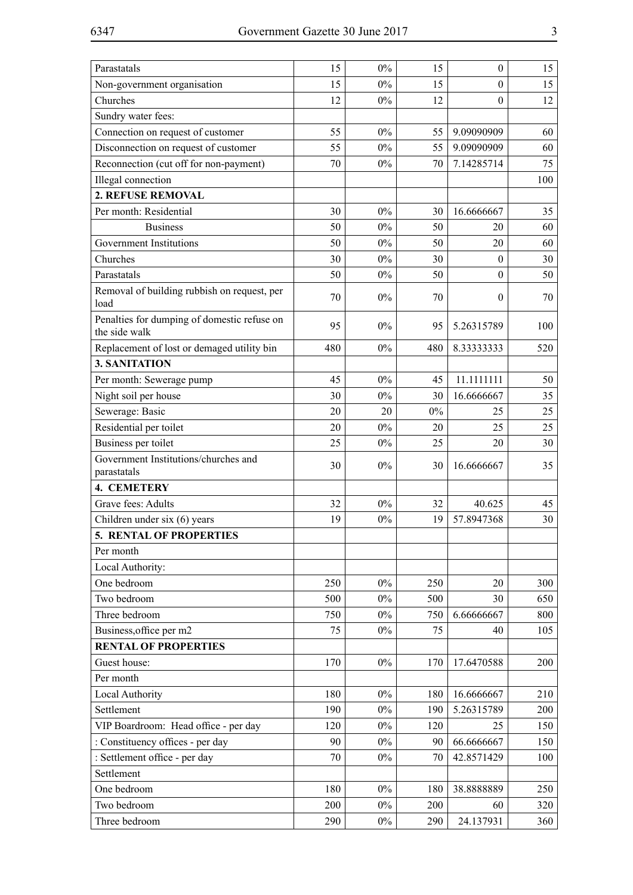| Parastatals                                                  | 15  | $0\%$ | 15    | $\boldsymbol{0}$ | 15  |
|--------------------------------------------------------------|-----|-------|-------|------------------|-----|
| Non-government organisation                                  | 15  | $0\%$ | 15    | $\theta$         | 15  |
| Churches                                                     | 12  | $0\%$ | 12    | $\boldsymbol{0}$ | 12  |
| Sundry water fees:                                           |     |       |       |                  |     |
| Connection on request of customer                            | 55  | $0\%$ | 55    | 9.09090909       | 60  |
| Disconnection on request of customer                         | 55  | $0\%$ | 55    | 9.09090909       | 60  |
| Reconnection (cut off for non-payment)                       | 70  | $0\%$ | 70    | 7.14285714       | 75  |
| Illegal connection                                           |     |       |       |                  | 100 |
| 2. REFUSE REMOVAL                                            |     |       |       |                  |     |
| Per month: Residential                                       | 30  | $0\%$ | 30    | 16.6666667       | 35  |
| <b>Business</b>                                              | 50  | $0\%$ | 50    | 20               | 60  |
| Government Institutions                                      | 50  | $0\%$ | 50    | 20               | 60  |
| Churches                                                     | 30  | $0\%$ | 30    | $\mathbf{0}$     | 30  |
| Parastatals                                                  | 50  | $0\%$ | 50    | $\theta$         | 50  |
| Removal of building rubbish on request, per<br>load          | 70  | $0\%$ | 70    | $\theta$         | 70  |
| Penalties for dumping of domestic refuse on<br>the side walk | 95  | $0\%$ | 95    | 5.26315789       | 100 |
| Replacement of lost or demaged utility bin                   | 480 | $0\%$ | 480   | 8.33333333       | 520 |
| 3. SANITATION                                                |     |       |       |                  |     |
| Per month: Sewerage pump                                     | 45  | $0\%$ | 45    | 11.1111111       | 50  |
| Night soil per house                                         | 30  | $0\%$ | 30    | 16.6666667       | 35  |
| Sewerage: Basic                                              | 20  | 20    | $0\%$ | 25               | 25  |
| Residential per toilet                                       | 20  | $0\%$ | 20    | 25               | 25  |
| Business per toilet                                          | 25  | $0\%$ | 25    | 20               | 30  |
| Government Institutions/churches and<br>parastatals          | 30  | $0\%$ | 30    | 16.6666667       | 35  |
| <b>4. CEMETERY</b>                                           |     |       |       |                  |     |
| Grave fees: Adults                                           | 32  | $0\%$ | 32    | 40.625           | 45  |
| Children under six (6) years                                 | 19  | $0\%$ | 19    | 57.8947368       | 30  |
| 5. RENTAL OF PROPERTIES                                      |     |       |       |                  |     |
| Per month                                                    |     |       |       |                  |     |
| Local Authority:                                             |     |       |       |                  |     |
| One bedroom                                                  | 250 | $0\%$ | 250   | 20               | 300 |
| Two bedroom                                                  | 500 | $0\%$ | 500   | 30               | 650 |
| Three bedroom                                                | 750 | $0\%$ | 750   | 6.66666667       | 800 |
| Business, office per m2                                      | 75  | $0\%$ | 75    | 40               | 105 |
| <b>RENTAL OF PROPERTIES</b>                                  |     |       |       |                  |     |
| Guest house:                                                 | 170 | $0\%$ | 170   | 17.6470588       | 200 |
| Per month                                                    |     |       |       |                  |     |
| Local Authority                                              | 180 | $0\%$ | 180   | 16.6666667       | 210 |
| Settlement                                                   | 190 | $0\%$ | 190   | 5.26315789       | 200 |
| VIP Boardroom: Head office - per day                         | 120 | $0\%$ | 120   | 25               | 150 |
| : Constituency offices - per day                             | 90  | $0\%$ | 90    | 66.6666667       | 150 |
| : Settlement office - per day                                | 70  | $0\%$ | 70    | 42.8571429       | 100 |
| Settlement                                                   |     |       |       |                  |     |
| One bedroom                                                  | 180 | $0\%$ | 180   | 38.8888889       | 250 |
| Two bedroom                                                  | 200 | $0\%$ | 200   | 60               | 320 |
| Three bedroom                                                | 290 | $0\%$ | 290   | 24.137931        | 360 |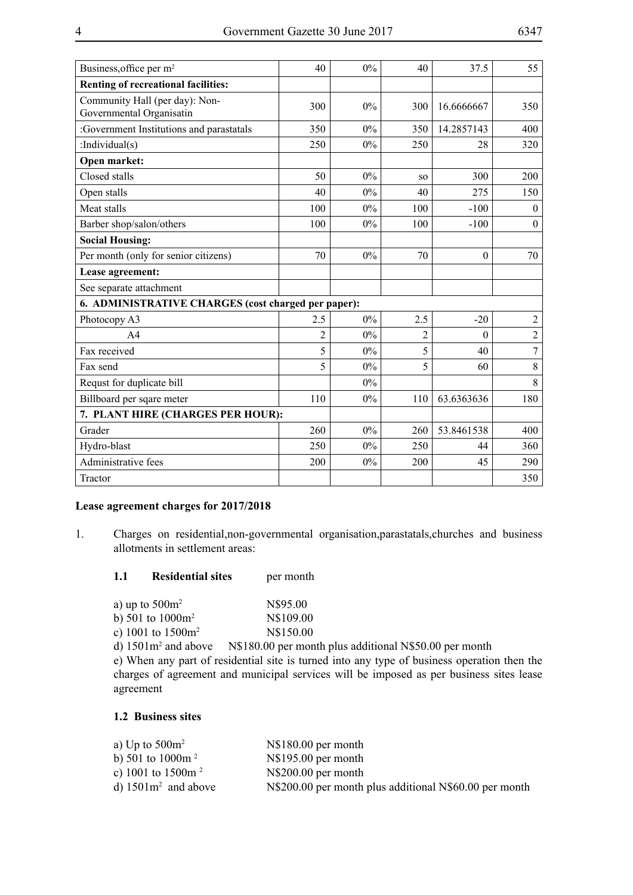| Business, office per m <sup>2</sup>                        | 40             | 0%    | 40             | 37.5       | 55             |
|------------------------------------------------------------|----------------|-------|----------------|------------|----------------|
| <b>Renting of recreational facilities:</b>                 |                |       |                |            |                |
| Community Hall (per day): Non-<br>Governmental Organisatin | 300            | $0\%$ | 300            | 16.6666667 | 350            |
| :Government Institutions and parastatals                   | 350            | 0%    | 350            | 14.2857143 | 400            |
| :Individual $(s)$                                          | 250            | 0%    | 250            | 28         | 320            |
| Open market:                                               |                |       |                |            |                |
| Closed stalls                                              | 50             | 0%    | SO.            | 300        | 200            |
| Open stalls                                                | 40             | $0\%$ | 40             | 275        | 150            |
| Meat stalls                                                | 100            | 0%    | 100            | $-100$     | $\theta$       |
| Barber shop/salon/others                                   | 100            | 0%    | 100            | $-100$     | $\theta$       |
| <b>Social Housing:</b>                                     |                |       |                |            |                |
| Per month (only for senior citizens)                       | 70             | 0%    | 70             | $\theta$   | 70             |
| Lease agreement:                                           |                |       |                |            |                |
| See separate attachment                                    |                |       |                |            |                |
| 6. ADMINISTRATIVE CHARGES (cost charged per paper):        |                |       |                |            |                |
| Photocopy A3                                               | 2.5            | 0%    | 2.5            | $-20$      | $\overline{2}$ |
| A <sub>4</sub>                                             | $\overline{2}$ | 0%    | $\overline{2}$ | $\theta$   | $\overline{2}$ |
| Fax received                                               | 5              | 0%    | 5              | 40         | $\overline{7}$ |
| Fax send                                                   | 5              | $0\%$ | 5              | 60         | 8              |
| Requst for duplicate bill                                  |                | 0%    |                |            | 8              |
| Billboard per sqare meter                                  | 110            | 0%    | 110            | 63.6363636 | 180            |
| 7. PLANT HIRE (CHARGES PER HOUR):                          |                |       |                |            |                |
| Grader                                                     | 260            | 0%    | 260            | 53.8461538 | 400            |
| Hydro-blast                                                | 250            | $0\%$ | 250            | 44         | 360            |
| Administrative fees                                        | 200            | 0%    | 200            | 45         | 290            |
| Tractor                                                    |                |       |                |            | 350            |

# **Lease agreement charges for 2017/2018**

1. Charges on residential,non-governmental organisation,parastatals,churches and business allotments in settlement areas:

| 1.1 | <b>Residential sites</b> | per month |
|-----|--------------------------|-----------|
|-----|--------------------------|-----------|

| a) up to $500m^2$    | N\$95.00  |
|----------------------|-----------|
| b) 501 to $1000m^2$  | N\$109.00 |
| c) 1001 to $1500m^2$ | N\$150.00 |

d) 1501m<sup>2</sup> and above N\$180.00 per month plus additional N\$50.00 per month

e) When any part of residential site is turned into any type of business operation then the charges of agreement and municipal services will be imposed as per business sites lease agreement

## **1.2 Business sites**

| a) Up to $500m^2$                   | $N$180.00$ per month                                     |
|-------------------------------------|----------------------------------------------------------|
| b) 501 to 1000 $\rm m$ <sup>2</sup> | $N$195.00$ per month                                     |
| c) 1001 to $1500m^2$                | $N$200.00$ per month                                     |
| d) $1501m^2$ and above              | N\\$200.00 per month plus additional N\\$60.00 per month |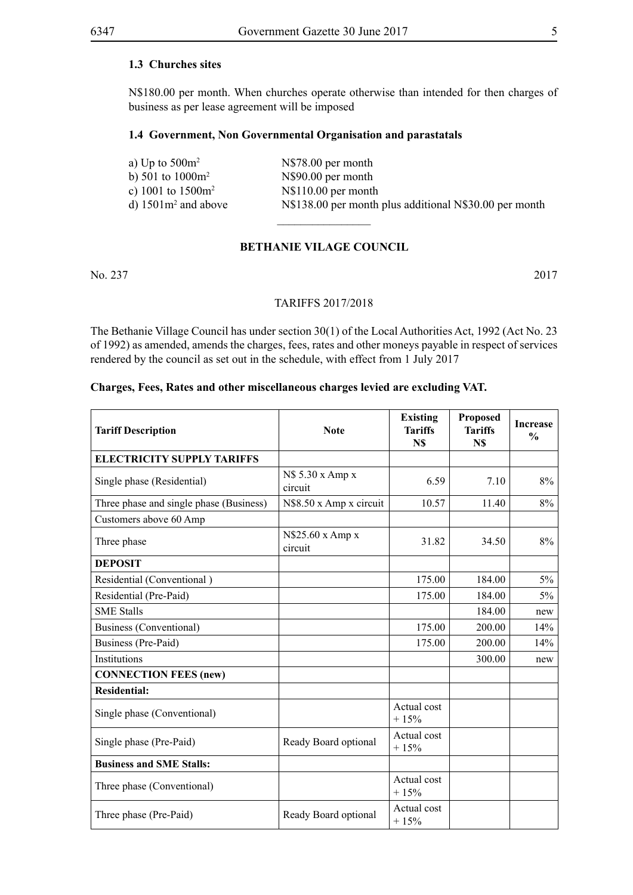# **1.3 Churches sites**

N\$180.00 per month. When churches operate otherwise than intended for then charges of business as per lease agreement will be imposed

#### **1.4 Government, Non Governmental Organisation and parastatals**

| a) Up to $500m^2$      | N\\$78.00 per month                                      |
|------------------------|----------------------------------------------------------|
| b) 501 to $1000m^2$    | N\$90.00 per month                                       |
| c) 1001 to $1500m^2$   | $N$110.00$ per month                                     |
| d) $1501m^2$ and above | N\\$138.00 per month plus additional N\\$30.00 per month |
|                        |                                                          |

#### **BETHANIE VILAGE COUNCIL**

No. 237 2017

#### TARIFFS 2017/2018

The Bethanie Village Council has under section 30(1) of the Local Authorities Act, 1992 (Act No. 23 of 1992) as amended, amends the charges, fees, rates and other moneys payable in respect of services rendered by the council as set out in the schedule, with effect from 1 July 2017

#### **Charges, Fees, Rates and other miscellaneous charges levied are excluding VAT.**

| <b>Tariff Description</b>               | <b>Note</b>                 | <b>Existing</b><br><b>Tariffs</b><br>N\$ | Proposed<br><b>Tariffs</b><br>N\$ | <b>Increase</b><br>$\frac{0}{0}$ |
|-----------------------------------------|-----------------------------|------------------------------------------|-----------------------------------|----------------------------------|
| <b>ELECTRICITY SUPPLY TARIFFS</b>       |                             |                                          |                                   |                                  |
| Single phase (Residential)              | N\$ 5.30 x Amp x<br>circuit | 6.59                                     | 7.10                              | 8%                               |
| Three phase and single phase (Business) | N\$8.50 x Amp x circuit     | 10.57                                    | 11.40                             | 8%                               |
| Customers above 60 Amp                  |                             |                                          |                                   |                                  |
| Three phase                             | N\$25.60 x Amp x<br>circuit | 31.82                                    | 34.50                             | 8%                               |
| <b>DEPOSIT</b>                          |                             |                                          |                                   |                                  |
| Residential (Conventional)              |                             | 175.00                                   | 184.00                            | 5%                               |
| Residential (Pre-Paid)                  |                             | 175.00                                   | 184.00                            | 5%                               |
| <b>SME Stalls</b>                       |                             |                                          | 184.00                            | new                              |
| Business (Conventional)                 |                             | 175.00                                   | 200.00                            | 14%                              |
| Business (Pre-Paid)                     |                             | 175.00                                   | 200.00                            | 14%                              |
| Institutions                            |                             |                                          | 300.00                            | new                              |
| <b>CONNECTION FEES (new)</b>            |                             |                                          |                                   |                                  |
| <b>Residential:</b>                     |                             |                                          |                                   |                                  |
| Single phase (Conventional)             |                             | Actual cost<br>$+15%$                    |                                   |                                  |
| Single phase (Pre-Paid)                 | Ready Board optional        | Actual cost<br>$+15%$                    |                                   |                                  |
| <b>Business and SME Stalls:</b>         |                             |                                          |                                   |                                  |
| Three phase (Conventional)              |                             | Actual cost<br>$+15%$                    |                                   |                                  |
| Three phase (Pre-Paid)                  | Ready Board optional        | Actual cost<br>$+15%$                    |                                   |                                  |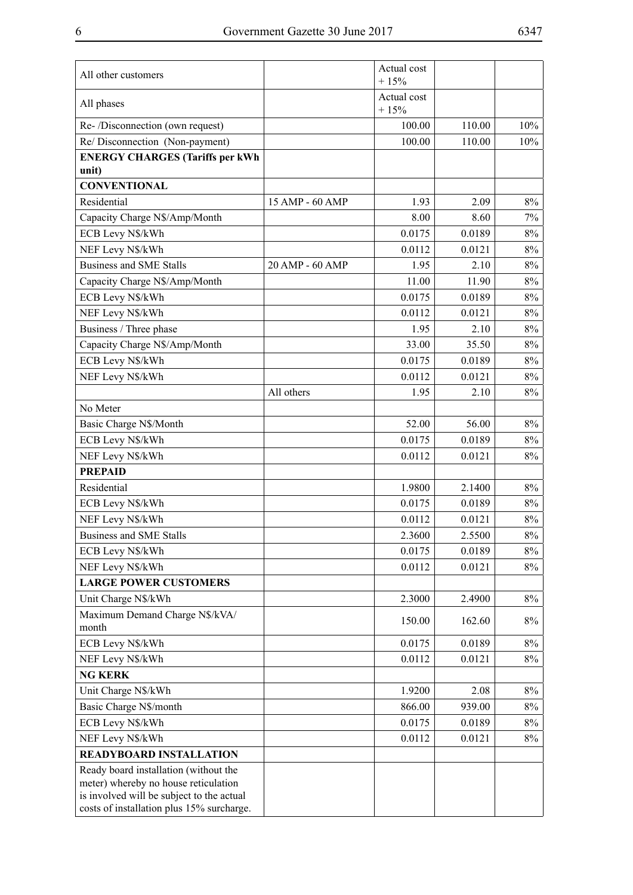| All other customers                                                                                                                                                     |                 | Actual cost<br>$+15%$ |        |       |
|-------------------------------------------------------------------------------------------------------------------------------------------------------------------------|-----------------|-----------------------|--------|-------|
| All phases                                                                                                                                                              |                 | Actual cost<br>$+15%$ |        |       |
| Re-/Disconnection (own request)                                                                                                                                         |                 | 100.00                | 110.00 | 10%   |
| Re/ Disconnection (Non-payment)                                                                                                                                         |                 | 100.00                | 110.00 | 10%   |
| <b>ENERGY CHARGES (Tariffs per kWh</b><br>unit)                                                                                                                         |                 |                       |        |       |
| <b>CONVENTIONAL</b>                                                                                                                                                     |                 |                       |        |       |
| Residential                                                                                                                                                             | 15 AMP - 60 AMP | 1.93                  | 2.09   | 8%    |
| Capacity Charge N\$/Amp/Month                                                                                                                                           |                 | 8.00                  | 8.60   | 7%    |
| ECB Levy N\$/kWh                                                                                                                                                        |                 | 0.0175                | 0.0189 | 8%    |
| NEF Levy N\$/kWh                                                                                                                                                        |                 | 0.0112                | 0.0121 | 8%    |
| <b>Business and SME Stalls</b>                                                                                                                                          | 20 AMP - 60 AMP | 1.95                  | 2.10   | 8%    |
| Capacity Charge N\$/Amp/Month                                                                                                                                           |                 | 11.00                 | 11.90  | 8%    |
| ECB Levy N\$/kWh                                                                                                                                                        |                 | 0.0175                | 0.0189 | 8%    |
| NEF Levy N\$/kWh                                                                                                                                                        |                 | 0.0112                | 0.0121 | 8%    |
| Business / Three phase                                                                                                                                                  |                 | 1.95                  | 2.10   | 8%    |
| Capacity Charge N\$/Amp/Month                                                                                                                                           |                 | 33.00                 | 35.50  | 8%    |
| ECB Levy N\$/kWh                                                                                                                                                        |                 | 0.0175                | 0.0189 | 8%    |
| NEF Levy N\$/kWh                                                                                                                                                        |                 | 0.0112                | 0.0121 | 8%    |
|                                                                                                                                                                         | All others      | 1.95                  | 2.10   | 8%    |
| No Meter                                                                                                                                                                |                 |                       |        |       |
| Basic Charge N\$/Month                                                                                                                                                  |                 | 52.00                 | 56.00  | 8%    |
| ECB Levy N\$/kWh                                                                                                                                                        |                 | 0.0175                | 0.0189 | 8%    |
| NEF Levy N\$/kWh                                                                                                                                                        |                 | 0.0112                | 0.0121 | 8%    |
| <b>PREPAID</b>                                                                                                                                                          |                 |                       |        |       |
| Residential                                                                                                                                                             |                 | 1.9800                | 2.1400 | 8%    |
| ECB Levy N\$/kWh                                                                                                                                                        |                 | 0.0175                | 0.0189 | 8%    |
| NEF Levy N\$/kWh                                                                                                                                                        |                 | 0.0112                | 0.0121 | 8%    |
| <b>Business and SME Stalls</b>                                                                                                                                          |                 | 2.3600                | 2.5500 | $8\%$ |
| ECB Levy N\$/kWh                                                                                                                                                        |                 | 0.0175                | 0.0189 | 8%    |
| NEF Levy N\$/kWh                                                                                                                                                        |                 | 0.0112                | 0.0121 | 8%    |
| <b>LARGE POWER CUSTOMERS</b>                                                                                                                                            |                 |                       |        |       |
| Unit Charge N\$/kWh                                                                                                                                                     |                 | 2.3000                | 2.4900 | 8%    |
| Maximum Demand Charge N\$/kVA/<br>month                                                                                                                                 |                 | 150.00                | 162.60 | $8\%$ |
| ECB Levy N\$/kWh                                                                                                                                                        |                 | 0.0175                | 0.0189 | 8%    |
| NEF Levy N\$/kWh                                                                                                                                                        |                 | 0.0112                | 0.0121 | $8\%$ |
| <b>NG KERK</b>                                                                                                                                                          |                 |                       |        |       |
| Unit Charge N\$/kWh                                                                                                                                                     |                 | 1.9200                | 2.08   | 8%    |
| Basic Charge N\$/month                                                                                                                                                  |                 | 866.00                | 939.00 | $8\%$ |
| ECB Levy N\$/kWh                                                                                                                                                        |                 | 0.0175                | 0.0189 | $8\%$ |
| NEF Levy N\$/kWh                                                                                                                                                        |                 | 0.0112                | 0.0121 | 8%    |
| READYBOARD INSTALLATION                                                                                                                                                 |                 |                       |        |       |
| Ready board installation (without the<br>meter) whereby no house reticulation<br>is involved will be subject to the actual<br>costs of installation plus 15% surcharge. |                 |                       |        |       |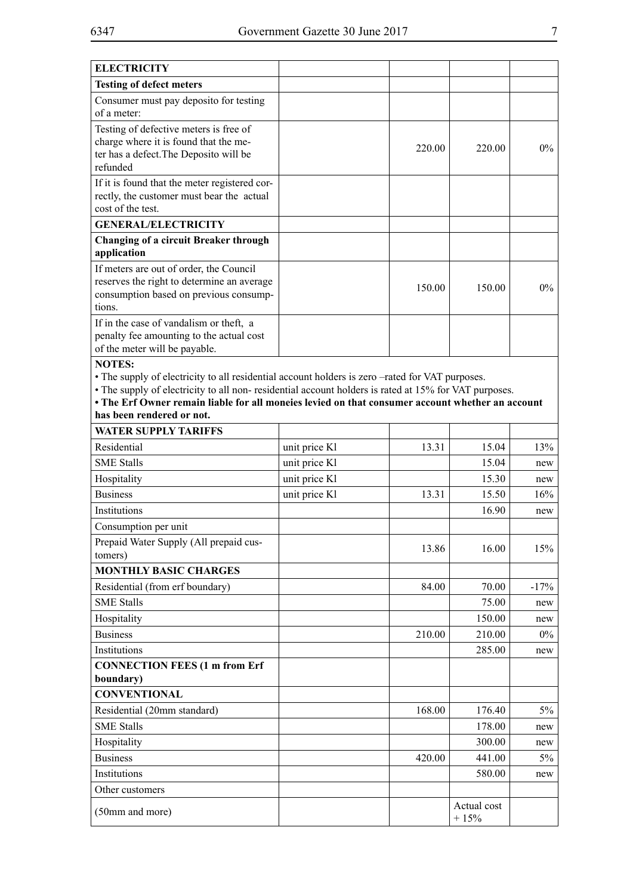| <b>ELECTRICITY</b>                                                                                                                                                                                                                                                                                                                                         |               |        |                       |        |
|------------------------------------------------------------------------------------------------------------------------------------------------------------------------------------------------------------------------------------------------------------------------------------------------------------------------------------------------------------|---------------|--------|-----------------------|--------|
| <b>Testing of defect meters</b>                                                                                                                                                                                                                                                                                                                            |               |        |                       |        |
| Consumer must pay deposito for testing<br>of a meter:                                                                                                                                                                                                                                                                                                      |               |        |                       |        |
| Testing of defective meters is free of<br>charge where it is found that the me-<br>ter has a defect. The Deposito will be<br>refunded                                                                                                                                                                                                                      |               | 220.00 | 220.00                | $0\%$  |
| If it is found that the meter registered cor-<br>rectly, the customer must bear the actual<br>cost of the test.                                                                                                                                                                                                                                            |               |        |                       |        |
| <b>GENERAL/ELECTRICITY</b>                                                                                                                                                                                                                                                                                                                                 |               |        |                       |        |
| <b>Changing of a circuit Breaker through</b><br>application                                                                                                                                                                                                                                                                                                |               |        |                       |        |
| If meters are out of order, the Council<br>reserves the right to determine an average<br>consumption based on previous consump-<br>tions.                                                                                                                                                                                                                  |               | 150.00 | 150.00                | $0\%$  |
| If in the case of vandalism or theft, a<br>penalty fee amounting to the actual cost<br>of the meter will be payable.                                                                                                                                                                                                                                       |               |        |                       |        |
| <b>NOTES:</b><br>• The supply of electricity to all residential account holders is zero -rated for VAT purposes.<br>• The supply of electricity to all non- residential account holders is rated at 15% for VAT purposes.<br>• The Erf Owner remain liable for all moneies levied on that consumer account whether an account<br>has been rendered or not. |               |        |                       |        |
| <b>WATER SUPPLY TARIFFS</b>                                                                                                                                                                                                                                                                                                                                |               |        |                       |        |
| Residential                                                                                                                                                                                                                                                                                                                                                | unit price Kl | 13.31  | 15.04                 | 13%    |
| <b>SME Stalls</b>                                                                                                                                                                                                                                                                                                                                          | unit price Kl |        | 15.04                 | new    |
| Hospitality                                                                                                                                                                                                                                                                                                                                                | unit price Kl |        | 15.30                 | new    |
| <b>Business</b>                                                                                                                                                                                                                                                                                                                                            | unit price Kl | 13.31  | 15.50                 | 16%    |
| <b>Institutions</b>                                                                                                                                                                                                                                                                                                                                        |               |        | 16.90                 | new    |
| Consumption per unit                                                                                                                                                                                                                                                                                                                                       |               |        |                       |        |
| Prepaid Water Supply (All prepaid cus-<br>tomers)                                                                                                                                                                                                                                                                                                          |               | 13.86  | 16.00                 | 15%    |
| <b>MONTHLY BASIC CHARGES</b>                                                                                                                                                                                                                                                                                                                               |               |        |                       |        |
| Residential (from erf boundary)                                                                                                                                                                                                                                                                                                                            |               | 84.00  | 70.00                 | $-17%$ |
| <b>SME Stalls</b>                                                                                                                                                                                                                                                                                                                                          |               |        | 75.00                 | new    |
| Hospitality                                                                                                                                                                                                                                                                                                                                                |               |        | 150.00                | new    |
| <b>Business</b>                                                                                                                                                                                                                                                                                                                                            |               | 210.00 | 210.00                | $0\%$  |
| Institutions                                                                                                                                                                                                                                                                                                                                               |               |        | 285.00                | new    |
| <b>CONNECTION FEES (1 m from Erf</b>                                                                                                                                                                                                                                                                                                                       |               |        |                       |        |
| boundary)                                                                                                                                                                                                                                                                                                                                                  |               |        |                       |        |
| <b>CONVENTIONAL</b>                                                                                                                                                                                                                                                                                                                                        |               |        |                       |        |
| Residential (20mm standard)                                                                                                                                                                                                                                                                                                                                |               | 168.00 | 176.40                | $5\%$  |
| <b>SME Stalls</b>                                                                                                                                                                                                                                                                                                                                          |               |        | 178.00                | new    |
| Hospitality                                                                                                                                                                                                                                                                                                                                                |               |        | 300.00                | new    |
| <b>Business</b>                                                                                                                                                                                                                                                                                                                                            |               | 420.00 | 441.00                | $5\%$  |
| Institutions                                                                                                                                                                                                                                                                                                                                               |               |        | 580.00                | new    |
| Other customers                                                                                                                                                                                                                                                                                                                                            |               |        |                       |        |
| (50mm and more)                                                                                                                                                                                                                                                                                                                                            |               |        | Actual cost<br>$+15%$ |        |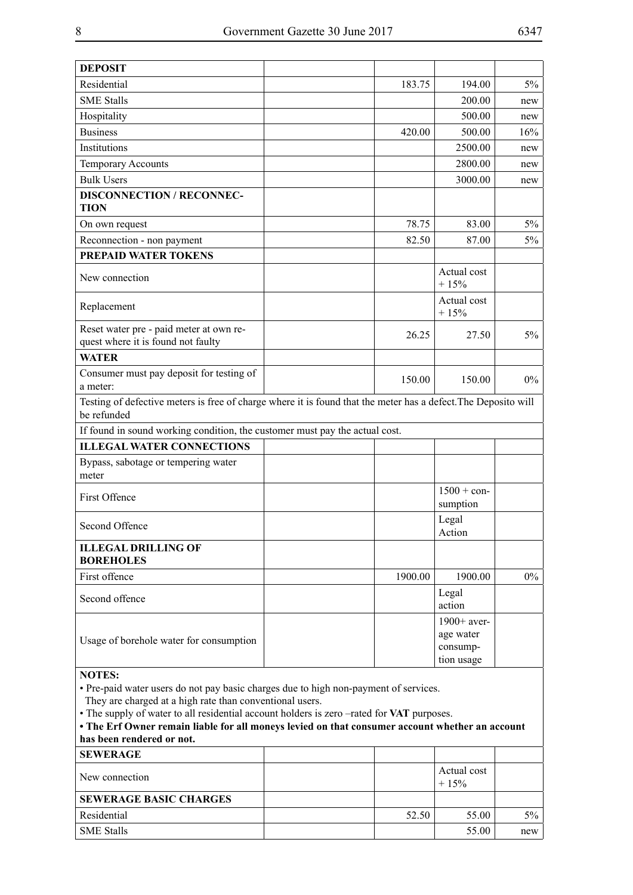| <b>DEPOSIT</b>                                                                                                                                                                                                                                                                                                                                                                                 |         |                                                      |       |
|------------------------------------------------------------------------------------------------------------------------------------------------------------------------------------------------------------------------------------------------------------------------------------------------------------------------------------------------------------------------------------------------|---------|------------------------------------------------------|-------|
| Residential                                                                                                                                                                                                                                                                                                                                                                                    | 183.75  | 194.00                                               | $5\%$ |
| <b>SME Stalls</b>                                                                                                                                                                                                                                                                                                                                                                              |         | 200.00                                               | new   |
| Hospitality                                                                                                                                                                                                                                                                                                                                                                                    |         | 500.00                                               | new   |
| <b>Business</b>                                                                                                                                                                                                                                                                                                                                                                                | 420.00  | 500.00                                               | 16%   |
| Institutions                                                                                                                                                                                                                                                                                                                                                                                   |         | 2500.00                                              | new   |
| <b>Temporary Accounts</b>                                                                                                                                                                                                                                                                                                                                                                      |         | 2800.00                                              | new   |
| <b>Bulk Users</b>                                                                                                                                                                                                                                                                                                                                                                              |         | 3000.00                                              | new   |
| <b>DISCONNECTION / RECONNEC-</b><br><b>TION</b>                                                                                                                                                                                                                                                                                                                                                |         |                                                      |       |
| On own request                                                                                                                                                                                                                                                                                                                                                                                 | 78.75   | 83.00                                                | $5\%$ |
| Reconnection - non payment                                                                                                                                                                                                                                                                                                                                                                     | 82.50   | 87.00                                                | 5%    |
| <b>PREPAID WATER TOKENS</b>                                                                                                                                                                                                                                                                                                                                                                    |         |                                                      |       |
| New connection                                                                                                                                                                                                                                                                                                                                                                                 |         | Actual cost<br>$+15%$                                |       |
| Replacement                                                                                                                                                                                                                                                                                                                                                                                    |         | Actual cost<br>$+15%$                                |       |
| Reset water pre - paid meter at own re-<br>quest where it is found not faulty                                                                                                                                                                                                                                                                                                                  | 26.25   | 27.50                                                | $5\%$ |
| <b>WATER</b>                                                                                                                                                                                                                                                                                                                                                                                   |         |                                                      |       |
| Consumer must pay deposit for testing of<br>a meter:                                                                                                                                                                                                                                                                                                                                           | 150.00  | 150.00                                               | $0\%$ |
| Testing of defective meters is free of charge where it is found that the meter has a defect. The Deposito will<br>be refunded                                                                                                                                                                                                                                                                  |         |                                                      |       |
| If found in sound working condition, the customer must pay the actual cost.                                                                                                                                                                                                                                                                                                                    |         |                                                      |       |
| <b>ILLEGAL WATER CONNECTIONS</b>                                                                                                                                                                                                                                                                                                                                                               |         |                                                      |       |
| Bypass, sabotage or tempering water<br>meter                                                                                                                                                                                                                                                                                                                                                   |         |                                                      |       |
| First Offence                                                                                                                                                                                                                                                                                                                                                                                  |         | $1500 + con-$<br>sumption                            |       |
| Second Offence                                                                                                                                                                                                                                                                                                                                                                                 |         | Legal<br>Action                                      |       |
| <b>ILLEGAL DRILLING OF</b><br><b>BOREHOLES</b>                                                                                                                                                                                                                                                                                                                                                 |         |                                                      |       |
| First offence                                                                                                                                                                                                                                                                                                                                                                                  | 1900.00 | 1900.00                                              | $0\%$ |
| Second offence                                                                                                                                                                                                                                                                                                                                                                                 |         | Legal<br>action                                      |       |
| Usage of borehole water for consumption                                                                                                                                                                                                                                                                                                                                                        |         | $1900+$ aver-<br>age water<br>consump-<br>tion usage |       |
| <b>NOTES:</b><br>· Pre-paid water users do not pay basic charges due to high non-payment of services.<br>They are charged at a high rate than conventional users.<br>• The supply of water to all residential account holders is zero -rated for VAT purposes.<br>• The Erf Owner remain liable for all moneys levied on that consumer account whether an account<br>has been rendered or not. |         |                                                      |       |
| <b>SEWED ACE</b>                                                                                                                                                                                                                                                                                                                                                                               |         |                                                      |       |

| <b>SEWERAGE</b>               |       |                       |       |
|-------------------------------|-------|-----------------------|-------|
| New connection                |       | Actual cost<br>$+15%$ |       |
| <b>SEWERAGE BASIC CHARGES</b> |       |                       |       |
| Residential                   | 52.50 | 55.00                 | $5\%$ |
| <b>SME Stalls</b>             |       | 55.00                 | new   |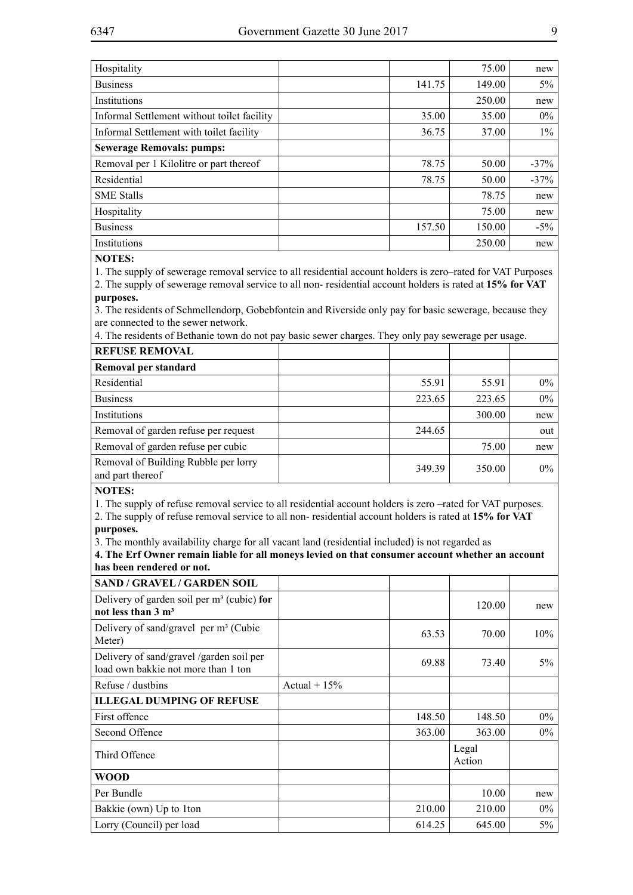| Hospitality                                 |        | 75.00  | new     |
|---------------------------------------------|--------|--------|---------|
| <b>Business</b>                             | 141.75 | 149.00 | $5\%$   |
| Institutions                                |        | 250.00 | new     |
| Informal Settlement without toilet facility | 35.00  | 35.00  | $0\%$   |
| Informal Settlement with toilet facility    | 36.75  | 37.00  | $1\%$   |
| <b>Sewerage Removals: pumps:</b>            |        |        |         |
| Removal per 1 Kilolitre or part thereof     | 78.75  | 50.00  | $-37\%$ |
| Residential                                 | 78.75  | 50.00  | $-37%$  |
| <b>SME Stalls</b>                           |        | 78.75  | new     |
| Hospitality                                 |        | 75.00  | new     |
| <b>Business</b>                             | 157.50 | 150.00 | $-5\%$  |
| Institutions                                |        | 250.00 | new     |

#### **NOTES:**

1. The supply of sewerage removal service to all residential account holders is zero–rated for VAT Purposes

2. The supply of sewerage removal service to all non- residential account holders is rated at **15% for VAT purposes.**

3. The residents of Schmellendorp, Gobebfontein and Riverside only pay for basic sewerage, because they are connected to the sewer network.

4. The residents of Bethanie town do not pay basic sewer charges. They only pay sewerage per usage.

| <b>REFUSE REMOVAL</b>                                    |        |        |       |
|----------------------------------------------------------|--------|--------|-------|
| Removal per standard                                     |        |        |       |
| Residential                                              | 55.91  | 55.91  | $0\%$ |
| <b>Business</b>                                          | 223.65 | 223.65 | $0\%$ |
| Institutions                                             |        | 300.00 | new   |
| Removal of garden refuse per request                     | 244.65 |        | out   |
| Removal of garden refuse per cubic                       |        | 75.00  | new   |
| Removal of Building Rubble per lorry<br>and part thereof | 349.39 | 350.00 | $0\%$ |

### **NOTES:**

1. The supply of refuse removal service to all residential account holders is zero –rated for VAT purposes.

2. The supply of refuse removal service to all non- residential account holders is rated at **15% for VAT purposes.**

3. The monthly availability charge for all vacant land (residential included) is not regarded as

**4. The Erf Owner remain liable for all moneys levied on that consumer account whether an account has been rendered or not.**

| <b>SAND / GRAVEL / GARDEN SOIL</b>                                              |                |        |                 |        |
|---------------------------------------------------------------------------------|----------------|--------|-----------------|--------|
| Delivery of garden soil per $m3$ (cubic) for<br>not less than $3 \text{ m}^3$   |                |        | 120.00          | new    |
| Delivery of sand/gravel per $m3$ (Cubic<br>Meter)                               |                | 63.53  | 70.00           | $10\%$ |
| Delivery of sand/gravel /garden soil per<br>load own bakkie not more than 1 ton |                | 69.88  | 73.40           | $5\%$  |
| Refuse / dustbins                                                               | Actual + $15%$ |        |                 |        |
| <b>ILLEGAL DUMPING OF REFUSE</b>                                                |                |        |                 |        |
| First offence                                                                   |                | 148.50 | 148.50          | $0\%$  |
| Second Offence                                                                  |                | 363.00 | 363.00          | $0\%$  |
| Third Offence                                                                   |                |        | Legal<br>Action |        |
| <b>WOOD</b>                                                                     |                |        |                 |        |
| Per Bundle                                                                      |                |        | 10.00           | new    |
| Bakkie (own) Up to 1 ton                                                        |                | 210.00 | 210.00          | $0\%$  |
| Lorry (Council) per load                                                        |                | 614.25 | 645.00          | 5%     |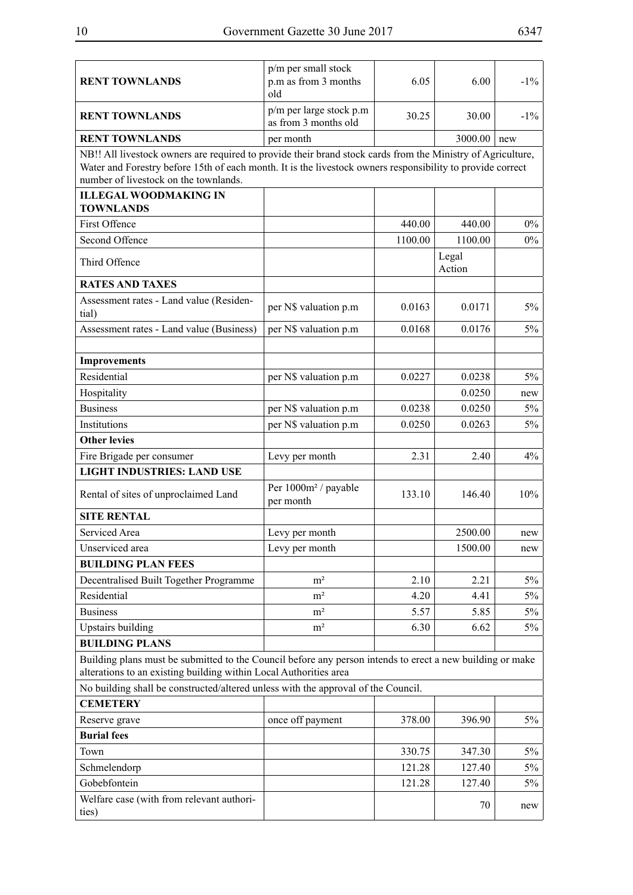| <b>RENT TOWNLANDS</b>                                                                                                                                                                                                                                              | p/m per small stock<br>p.m as from 3 months<br>old | 6.05    | 6.00            | $-1\%$ |
|--------------------------------------------------------------------------------------------------------------------------------------------------------------------------------------------------------------------------------------------------------------------|----------------------------------------------------|---------|-----------------|--------|
| <b>RENT TOWNLANDS</b>                                                                                                                                                                                                                                              | p/m per large stock p.m<br>as from 3 months old    | 30.25   | 30.00           | $-1\%$ |
| <b>RENT TOWNLANDS</b>                                                                                                                                                                                                                                              | per month                                          |         | 3000.00         | new    |
| NB!! All livestock owners are required to provide their brand stock cards from the Ministry of Agriculture,<br>Water and Forestry before 15th of each month. It is the livestock owners responsibility to provide correct<br>number of livestock on the townlands. |                                                    |         |                 |        |
| <b>ILLEGAL WOODMAKING IN</b><br><b>TOWNLANDS</b>                                                                                                                                                                                                                   |                                                    |         |                 |        |
| First Offence                                                                                                                                                                                                                                                      |                                                    | 440.00  | 440.00          | $0\%$  |
| Second Offence                                                                                                                                                                                                                                                     |                                                    | 1100.00 | 1100.00         | $0\%$  |
| Third Offence                                                                                                                                                                                                                                                      |                                                    |         | Legal<br>Action |        |
| <b>RATES AND TAXES</b>                                                                                                                                                                                                                                             |                                                    |         |                 |        |
| Assessment rates - Land value (Residen-<br>tial)                                                                                                                                                                                                                   | per N\$ valuation p.m                              | 0.0163  | 0.0171          | $5\%$  |
| Assessment rates - Land value (Business)                                                                                                                                                                                                                           | per N\$ valuation p.m                              | 0.0168  | 0.0176          | 5%     |
| <b>Improvements</b>                                                                                                                                                                                                                                                |                                                    |         |                 |        |
| Residential                                                                                                                                                                                                                                                        | per N\$ valuation p.m                              | 0.0227  | 0.0238          | $5\%$  |
| Hospitality                                                                                                                                                                                                                                                        |                                                    |         | 0.0250          | new    |
| <b>Business</b>                                                                                                                                                                                                                                                    | per N\$ valuation p.m                              | 0.0238  | 0.0250          | $5\%$  |
| Institutions                                                                                                                                                                                                                                                       | per N\$ valuation p.m                              | 0.0250  | 0.0263          | $5\%$  |
| <b>Other levies</b>                                                                                                                                                                                                                                                |                                                    |         |                 |        |
| Fire Brigade per consumer                                                                                                                                                                                                                                          | Levy per month                                     | 2.31    | 2.40            | 4%     |
| <b>LIGHT INDUSTRIES: LAND USE</b>                                                                                                                                                                                                                                  |                                                    |         |                 |        |
| Rental of sites of unproclaimed Land                                                                                                                                                                                                                               | Per 1000m <sup>2</sup> / payable<br>per month      | 133.10  | 146.40          | 10%    |
| <b>SITE RENTAL</b>                                                                                                                                                                                                                                                 |                                                    |         |                 |        |
| Serviced Area                                                                                                                                                                                                                                                      | Levy per month                                     |         | 2500.00         | new    |
| Unserviced area                                                                                                                                                                                                                                                    | Levy per month                                     |         | 1500.00         | new    |
| <b>BUILDING PLAN FEES</b>                                                                                                                                                                                                                                          |                                                    |         |                 |        |
| Decentralised Built Together Programme                                                                                                                                                                                                                             | m <sup>2</sup>                                     | 2.10    | 2.21            | $5\%$  |
| Residential                                                                                                                                                                                                                                                        | m <sup>2</sup>                                     | 4.20    | 4.41            | $5\%$  |
| <b>Business</b>                                                                                                                                                                                                                                                    | m <sup>2</sup>                                     | 5.57    | 5.85            | 5%     |
| <b>Upstairs building</b>                                                                                                                                                                                                                                           | m <sup>2</sup>                                     | 6.30    | 6.62            | 5%     |
| <b>BUILDING PLANS</b>                                                                                                                                                                                                                                              |                                                    |         |                 |        |
| Building plans must be submitted to the Council before any person intends to erect a new building or make<br>alterations to an existing building within Local Authorities area                                                                                     |                                                    |         |                 |        |
| No building shall be constructed/altered unless with the approval of the Council.                                                                                                                                                                                  |                                                    |         |                 |        |
| <b>CEMETERY</b>                                                                                                                                                                                                                                                    |                                                    |         |                 |        |
| Reserve grave                                                                                                                                                                                                                                                      | once off payment                                   | 378.00  | 396.90          | 5%     |
| <b>Burial fees</b>                                                                                                                                                                                                                                                 |                                                    |         |                 |        |
| Town                                                                                                                                                                                                                                                               |                                                    | 330.75  | 347.30          | 5%     |
| Schmelendorp                                                                                                                                                                                                                                                       |                                                    | 121.28  | 127.40          | 5%     |
| Gobebfontein<br>Welfare case (with from relevant authori-                                                                                                                                                                                                          |                                                    | 121.28  | 127.40          | 5%     |
| ties)                                                                                                                                                                                                                                                              |                                                    |         | 70              | new    |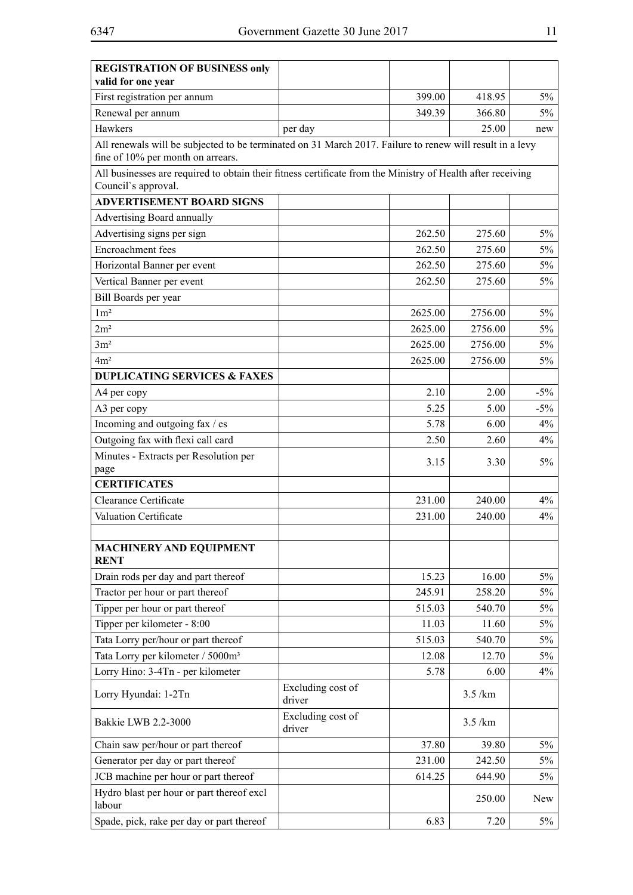| <b>REGISTRATION OF BUSINESS only</b><br>valid for one year                                                                                    |                             |         |         |        |
|-----------------------------------------------------------------------------------------------------------------------------------------------|-----------------------------|---------|---------|--------|
| First registration per annum                                                                                                                  |                             | 399.00  | 418.95  | $5\%$  |
| Renewal per annum                                                                                                                             |                             | 349.39  | 366.80  | $5\%$  |
| Hawkers                                                                                                                                       | per day                     |         | 25.00   | new    |
| All renewals will be subjected to be terminated on 31 March 2017. Failure to renew will result in a levy<br>fine of 10% per month on arrears. |                             |         |         |        |
| All businesses are required to obtain their fitness certificate from the Ministry of Health after receiving                                   |                             |         |         |        |
| Council's approval.                                                                                                                           |                             |         |         |        |
| <b>ADVERTISEMENT BOARD SIGNS</b>                                                                                                              |                             |         |         |        |
| Advertising Board annually                                                                                                                    |                             |         |         |        |
| Advertising signs per sign                                                                                                                    |                             | 262.50  | 275.60  | $5\%$  |
| Encroachment fees                                                                                                                             |                             | 262.50  | 275.60  | $5\%$  |
| Horizontal Banner per event                                                                                                                   |                             | 262.50  | 275.60  | $5\%$  |
| Vertical Banner per event                                                                                                                     |                             | 262.50  | 275.60  | $5\%$  |
| Bill Boards per year                                                                                                                          |                             |         |         |        |
| $1 \text{m}^2$                                                                                                                                |                             | 2625.00 | 2756.00 | $5\%$  |
| 2m <sup>2</sup>                                                                                                                               |                             | 2625.00 | 2756.00 | $5\%$  |
| 3m <sup>2</sup>                                                                                                                               |                             | 2625.00 | 2756.00 | $5\%$  |
| 4m <sup>2</sup>                                                                                                                               |                             | 2625.00 | 2756.00 | $5\%$  |
| <b>DUPLICATING SERVICES &amp; FAXES</b>                                                                                                       |                             |         |         |        |
| A4 per copy                                                                                                                                   |                             | 2.10    | 2.00    | $-5\%$ |
| A3 per copy                                                                                                                                   |                             | 5.25    | 5.00    | $-5\%$ |
| Incoming and outgoing fax / es                                                                                                                |                             | 5.78    | 6.00    | 4%     |
| Outgoing fax with flexi call card                                                                                                             |                             | 2.50    | 2.60    | 4%     |
| Minutes - Extracts per Resolution per<br>page                                                                                                 |                             | 3.15    | 3.30    | $5\%$  |
| <b>CERTIFICATES</b>                                                                                                                           |                             |         |         |        |
| Clearance Certificate                                                                                                                         |                             | 231.00  | 240.00  | 4%     |
| Valuation Certificate                                                                                                                         |                             | 231.00  | 240.00  | 4%     |
| <b>MACHINERY AND EQUIPMENT</b><br><b>RENT</b>                                                                                                 |                             |         |         |        |
| Drain rods per day and part thereof                                                                                                           |                             | 15.23   | 16.00   | $5\%$  |
| Tractor per hour or part thereof                                                                                                              |                             | 245.91  | 258.20  | $5\%$  |
| Tipper per hour or part thereof                                                                                                               |                             | 515.03  | 540.70  | $5\%$  |
| Tipper per kilometer - 8:00                                                                                                                   |                             | 11.03   | 11.60   | $5\%$  |
| Tata Lorry per/hour or part thereof                                                                                                           |                             | 515.03  | 540.70  | 5%     |
| Tata Lorry per kilometer / 5000m <sup>3</sup>                                                                                                 |                             | 12.08   | 12.70   | $5\%$  |
| Lorry Hino: 3-4Tn - per kilometer                                                                                                             |                             | 5.78    | 6.00    | 4%     |
| Lorry Hyundai: 1-2Tn                                                                                                                          | Excluding cost of<br>driver |         | 3.5/km  |        |
| Bakkie LWB 2.2-3000                                                                                                                           | Excluding cost of<br>driver |         | 3.5/km  |        |
| Chain saw per/hour or part thereof                                                                                                            |                             | 37.80   | 39.80   | $5\%$  |
| Generator per day or part thereof                                                                                                             |                             | 231.00  | 242.50  | $5\%$  |
| JCB machine per hour or part thereof                                                                                                          |                             | 614.25  | 644.90  | 5%     |
| Hydro blast per hour or part thereof excl<br>labour                                                                                           |                             |         | 250.00  | New    |
| Spade, pick, rake per day or part thereof                                                                                                     |                             | 6.83    | 7.20    | $5\%$  |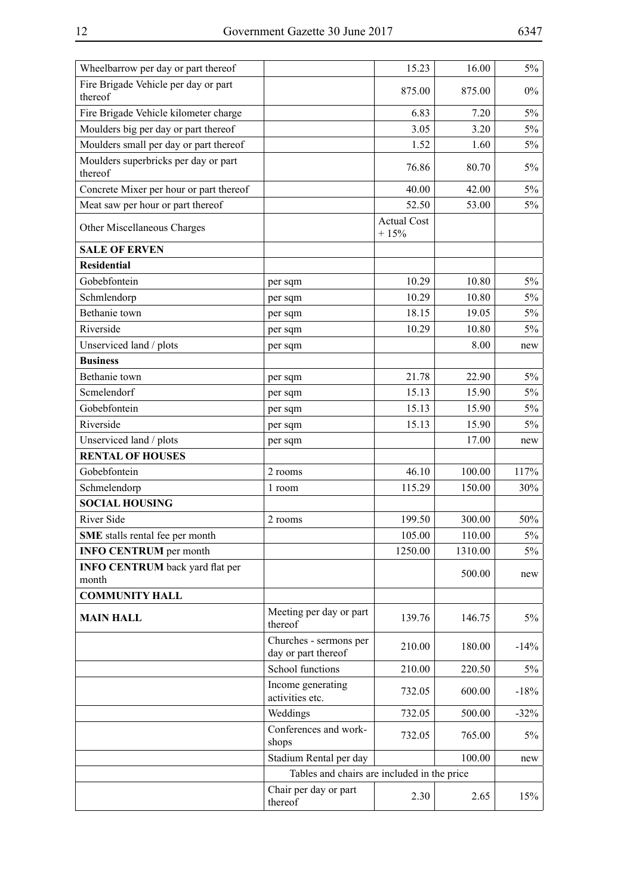| Wheelbarrow per day or part thereof             |                                               | 15.23                        | 16.00   | $5\%$  |
|-------------------------------------------------|-----------------------------------------------|------------------------------|---------|--------|
| Fire Brigade Vehicle per day or part<br>thereof |                                               | 875.00                       | 875.00  | $0\%$  |
| Fire Brigade Vehicle kilometer charge           |                                               | 6.83                         | 7.20    | $5\%$  |
| Moulders big per day or part thereof            |                                               | 3.05                         | 3.20    | $5\%$  |
| Moulders small per day or part thereof          |                                               | 1.52                         | 1.60    | $5\%$  |
| Moulders superbricks per day or part<br>thereof |                                               | 76.86                        | 80.70   | 5%     |
| Concrete Mixer per hour or part thereof         |                                               | 40.00                        | 42.00   | $5\%$  |
| Meat saw per hour or part thereof               |                                               | 52.50                        | 53.00   | 5%     |
| Other Miscellaneous Charges                     |                                               | <b>Actual Cost</b><br>$+15%$ |         |        |
| <b>SALE OF ERVEN</b>                            |                                               |                              |         |        |
| <b>Residential</b>                              |                                               |                              |         |        |
| Gobebfontein                                    | per sqm                                       | 10.29                        | 10.80   | $5\%$  |
| Schmlendorp                                     | per sqm                                       | 10.29                        | 10.80   | $5\%$  |
| Bethanie town                                   | per sqm                                       | 18.15                        | 19.05   | $5\%$  |
| Riverside                                       | per sqm                                       | 10.29                        | 10.80   | 5%     |
| Unserviced land / plots                         | per sqm                                       |                              | 8.00    | new    |
| <b>Business</b>                                 |                                               |                              |         |        |
| Bethanie town                                   | per sqm                                       | 21.78                        | 22.90   | 5%     |
| Scmelendorf                                     | per sqm                                       | 15.13                        | 15.90   | 5%     |
| Gobebfontein                                    | per sqm                                       | 15.13                        | 15.90   | $5\%$  |
| Riverside                                       | per sqm                                       | 15.13                        | 15.90   | 5%     |
| Unserviced land / plots                         | per sqm                                       |                              | 17.00   | new    |
| <b>RENTAL OF HOUSES</b>                         |                                               |                              |         |        |
| Gobebfontein                                    | 2 rooms                                       | 46.10                        | 100.00  | 117%   |
| Schmelendorp                                    | 1 room                                        | 115.29                       | 150.00  | 30%    |
| <b>SOCIAL HOUSING</b>                           |                                               |                              |         |        |
| <b>River Side</b>                               | 2 rooms                                       | 199.50                       | 300.00  | 50%    |
| SME stalls rental fee per month                 |                                               | 105.00                       | 110.00  | $5\%$  |
| <b>INFO CENTRUM</b> per month                   |                                               | 1250.00                      | 1310.00 | $5\%$  |
| <b>INFO CENTRUM</b> back yard flat per          |                                               |                              | 500.00  | new    |
| month<br><b>COMMUNITY HALL</b>                  |                                               |                              |         |        |
|                                                 |                                               |                              |         |        |
| <b>MAIN HALL</b>                                | Meeting per day or part<br>thereof            | 139.76                       | 146.75  | $5\%$  |
|                                                 | Churches - sermons per<br>day or part thereof | 210.00                       | 180.00  | $-14%$ |
|                                                 | School functions                              | 210.00                       | 220.50  | 5%     |
|                                                 | Income generating<br>activities etc.          | 732.05                       | 600.00  | $-18%$ |
|                                                 | Weddings                                      | 732.05                       | 500.00  | $-32%$ |
|                                                 | Conferences and work-<br>shops                | 732.05                       | 765.00  | $5\%$  |
|                                                 | Stadium Rental per day                        |                              | 100.00  | new    |
|                                                 | Tables and chairs are included in the price   |                              |         |        |
|                                                 | Chair per day or part<br>thereof              | 2.30                         | 2.65    | 15%    |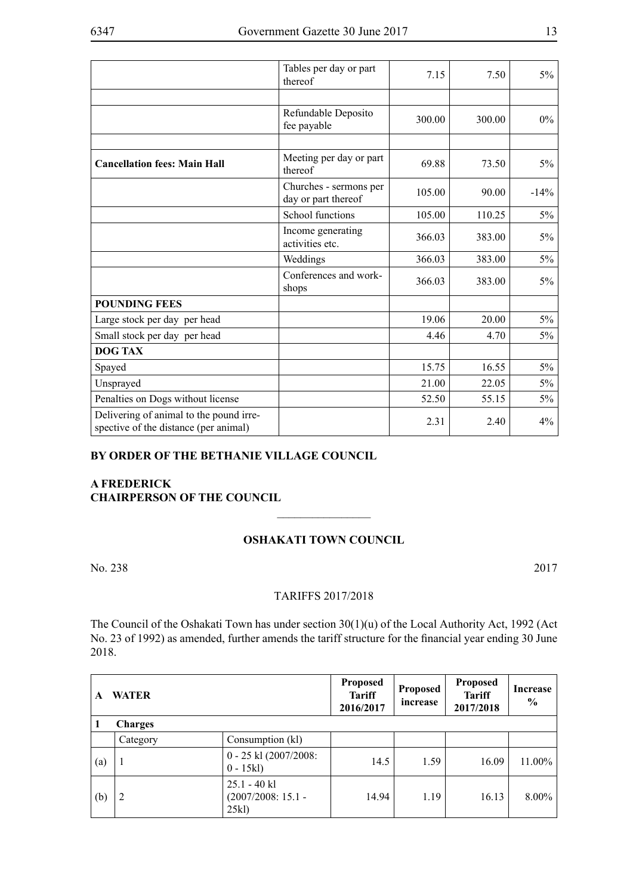|                                                                                  | Tables per day or part<br>thereof             | 7.15   | 7.50   | $5\%$  |
|----------------------------------------------------------------------------------|-----------------------------------------------|--------|--------|--------|
|                                                                                  |                                               |        |        |        |
|                                                                                  | Refundable Deposito<br>fee payable            | 300.00 | 300.00 | $0\%$  |
|                                                                                  |                                               |        |        |        |
| <b>Cancellation fees: Main Hall</b>                                              | Meeting per day or part<br>thereof            | 69.88  | 73.50  | $5\%$  |
|                                                                                  | Churches - sermons per<br>day or part thereof | 105.00 | 90.00  | $-14%$ |
|                                                                                  | School functions                              | 105.00 | 110.25 | $5\%$  |
|                                                                                  | Income generating<br>activities etc.          | 366.03 | 383.00 | $5\%$  |
|                                                                                  | Weddings                                      | 366.03 | 383.00 | 5%     |
|                                                                                  | Conferences and work-<br>shops                | 366.03 | 383.00 | 5%     |
| <b>POUNDING FEES</b>                                                             |                                               |        |        |        |
| Large stock per day per head                                                     |                                               | 19.06  | 20.00  | $5\%$  |
| Small stock per day per head                                                     |                                               | 4.46   | 4.70   | 5%     |
| <b>DOG TAX</b>                                                                   |                                               |        |        |        |
| Spayed                                                                           |                                               | 15.75  | 16.55  | $5\%$  |
| Unsprayed                                                                        |                                               | 21.00  | 22.05  | $5\%$  |
| Penalties on Dogs without license                                                |                                               | 52.50  | 55.15  | $5\%$  |
| Delivering of animal to the pound irre-<br>spective of the distance (per animal) |                                               | 2.31   | 2.40   | 4%     |

### **BY ORDER OF THE BETHANIE VILLAGE COUNCIL**

# **A Frederick CHAIRPERSON OF THE COUNCIL**

## **Oshakati Town Council**

 $\overline{\phantom{a}}$  , where  $\overline{\phantom{a}}$ 

No. 238 2017

#### TARIFFS 2017/2018

The Council of the Oshakati Town has under section 30(1)(u) of the Local Authority Act, 1992 (Act No. 23 of 1992) as amended, further amends the tariff structure for the financial year ending 30 June 2018.

| A   | <b>WATER</b>   |                                               | <b>Proposed</b><br><b>Tariff</b><br>2016/2017 | <b>Proposed</b><br>increase | <b>Proposed</b><br><b>Tariff</b><br>2017/2018 | Increase<br>$\frac{6}{9}$ |
|-----|----------------|-----------------------------------------------|-----------------------------------------------|-----------------------------|-----------------------------------------------|---------------------------|
|     | <b>Charges</b> |                                               |                                               |                             |                                               |                           |
|     | Category       | Consumption (kl)                              |                                               |                             |                                               |                           |
| (a) |                | 0 - 25 kl (2007/2008:<br>$0 - 15kl$           | 14.5                                          | 1.59                        | 16.09                                         | 11.00%                    |
| (b) | 2              | $25.1 - 40$ kl<br>$(2007/2008:15.1 -$<br>25kl | 14.94                                         | 1.19                        | 16.13                                         | 8.00%                     |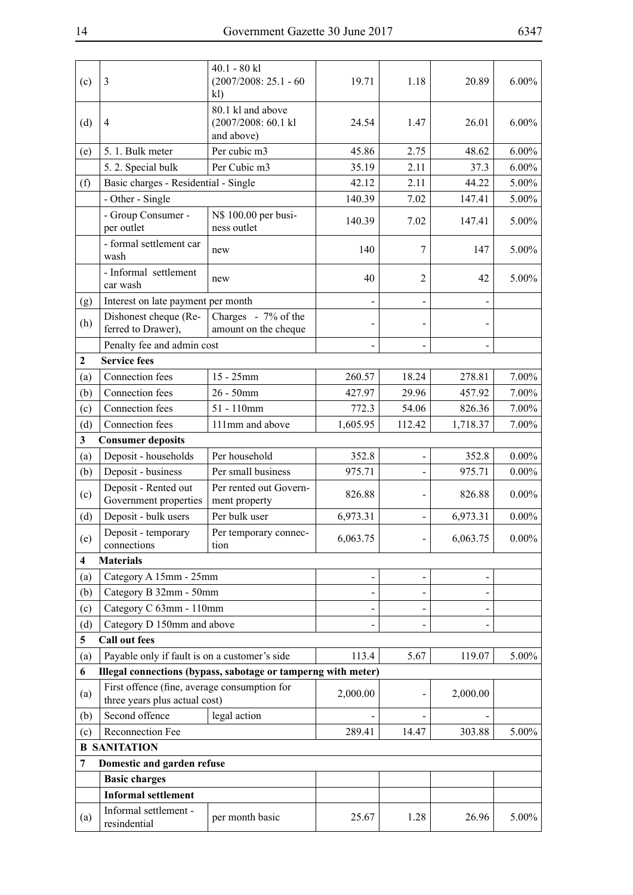$\overline{\phantom{a}}$ 

| (c)                     | 3                                                                             | $40.1 - 80$ kl<br>$(2007/2008: 25.1 - 60)$<br>kl)             | 19.71    | 1.18           | 20.89    | $6.00\%$ |
|-------------------------|-------------------------------------------------------------------------------|---------------------------------------------------------------|----------|----------------|----------|----------|
| (d)                     | $\overline{4}$                                                                | 80.1 kl and above<br>(2007/2008: 60.1 kl<br>and above)        | 24.54    | 1.47           | 26.01    | $6.00\%$ |
| (e)                     | 5. 1. Bulk meter                                                              | Per cubic m3                                                  | 45.86    | 2.75           | 48.62    | $6.00\%$ |
|                         | 5.2. Special bulk                                                             | Per Cubic m3                                                  | 35.19    | 2.11           | 37.3     | $6.00\%$ |
| (f)                     | Basic charges - Residential - Single                                          |                                                               | 42.12    | 2.11           | 44.22    | 5.00%    |
|                         | - Other - Single                                                              |                                                               | 140.39   | 7.02           | 147.41   | $5.00\%$ |
|                         | - Group Consumer -<br>per outlet                                              | N\$ 100.00 per busi-<br>ness outlet                           | 140.39   | 7.02           | 147.41   | 5.00%    |
|                         | - formal settlement car<br>wash                                               | new                                                           | 140      | 7              | 147      | 5.00%    |
|                         | - Informal settlement<br>car wash                                             | new                                                           | 40       | $\overline{2}$ | 42       | 5.00%    |
| (g)                     | Interest on late payment per month                                            |                                                               |          |                |          |          |
| (h)                     | Dishonest cheque (Re-                                                         | Charges - 7% of the                                           |          |                |          |          |
|                         | ferred to Drawer),                                                            | amount on the cheque                                          |          |                |          |          |
|                         | Penalty fee and admin cost                                                    |                                                               |          |                |          |          |
| $\mathbf{2}$            | <b>Service fees</b>                                                           |                                                               |          |                |          |          |
| (a)                     | Connection fees                                                               | $15 - 25$ mm                                                  | 260.57   | 18.24          | 278.81   | $7.00\%$ |
| (b)                     | Connection fees                                                               | $26 - 50$ mm                                                  | 427.97   | 29.96          | 457.92   | 7.00%    |
| (c)                     | Connection fees                                                               | $51 - 110$ mm                                                 | 772.3    | 54.06          | 826.36   | $7.00\%$ |
| (d)                     | Connection fees                                                               | 111mm and above                                               | 1,605.95 | 112.42         | 1,718.37 | 7.00%    |
| $\overline{\mathbf{3}}$ | <b>Consumer deposits</b>                                                      |                                                               |          |                |          |          |
| (a)                     | Deposit - households                                                          | Per household                                                 | 352.8    | $\overline{a}$ | 352.8    | $0.00\%$ |
| (b)                     | Deposit - business                                                            | Per small business                                            | 975.71   |                | 975.71   | $0.00\%$ |
| (c)                     | Deposit - Rented out<br>Government properties                                 | Per rented out Govern-<br>ment property                       | 826.88   |                | 826.88   | $0.00\%$ |
| (d)                     | Deposit - bulk users                                                          | Per bulk user                                                 | 6,973.31 |                | 6,973.31 | $0.00\%$ |
| (e)                     | Deposit - temporary<br>connections                                            | Per temporary connec-<br>tion                                 | 6,063.75 |                | 6,063.75 | $0.00\%$ |
| $\overline{\mathbf{4}}$ | <b>Materials</b>                                                              |                                                               |          |                |          |          |
| (a)                     | Category A 15mm - 25mm                                                        |                                                               |          |                |          |          |
| (b)                     | Category B 32mm - 50mm                                                        |                                                               |          |                |          |          |
| (c)                     | Category C 63mm - 110mm                                                       |                                                               |          |                |          |          |
| (d)                     | Category D 150mm and above                                                    |                                                               |          |                |          |          |
| 5                       | <b>Call out fees</b>                                                          |                                                               |          |                |          |          |
| (a)                     | Payable only if fault is on a customer's side                                 |                                                               | 113.4    | 5.67           | 119.07   | $5.00\%$ |
| 6                       |                                                                               | Illegal connections (bypass, sabotage or tamperng with meter) |          |                |          |          |
| (a)                     | First offence (fine, average consumption for<br>three years plus actual cost) |                                                               | 2,000.00 |                | 2,000.00 |          |
| (b)                     | Second offence                                                                | legal action                                                  |          |                |          |          |
| (c)                     | Reconnection Fee                                                              |                                                               | 289.41   | 14.47          | 303.88   | $5.00\%$ |
|                         | <b>B SANITATION</b>                                                           |                                                               |          |                |          |          |
| 7                       | Domestic and garden refuse                                                    |                                                               |          |                |          |          |
|                         | <b>Basic charges</b>                                                          |                                                               |          |                |          |          |
|                         | <b>Informal settlement</b>                                                    |                                                               |          |                |          |          |
| (a)                     | Informal settlement -<br>resindential                                         | per month basic                                               | 25.67    | 1.28           | 26.96    | 5.00%    |
|                         |                                                                               |                                                               |          |                |          |          |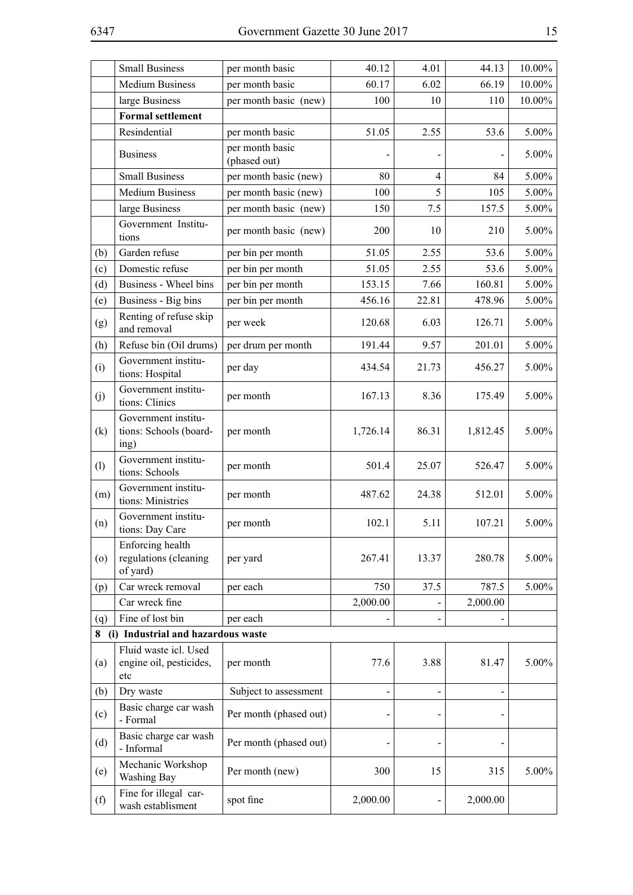|         | <b>Small Business</b>                                   | per month basic                 | 40.12    | 4.01           | 44.13    | $10.00\%$ |
|---------|---------------------------------------------------------|---------------------------------|----------|----------------|----------|-----------|
|         | <b>Medium Business</b>                                  | per month basic                 | 60.17    | 6.02           | 66.19    | 10.00%    |
|         | large Business                                          | per month basic (new)           | 100      | 10             | 110      | $10.00\%$ |
|         | <b>Formal settlement</b>                                |                                 |          |                |          |           |
|         | Resindential                                            | per month basic                 | 51.05    | 2.55           | 53.6     | $5.00\%$  |
|         | <b>Business</b>                                         | per month basic<br>(phased out) |          |                |          | 5.00%     |
|         | <b>Small Business</b>                                   | per month basic (new)           | 80       | $\overline{4}$ | 84       | 5.00%     |
|         | <b>Medium Business</b>                                  | per month basic (new)           | 100      | 5              | 105      | 5.00%     |
|         | large Business                                          | per month basic (new)           | 150      | 7.5            | 157.5    | $5.00\%$  |
|         | Government Institu-<br>tions                            | per month basic (new)           | 200      | 10             | 210      | 5.00%     |
| (b)     | Garden refuse                                           | per bin per month               | 51.05    | 2.55           | 53.6     | $5.00\%$  |
| (c)     | Domestic refuse                                         | per bin per month               | 51.05    | 2.55           | 53.6     | $5.00\%$  |
| (d)     | Business - Wheel bins                                   | per bin per month               | 153.15   | 7.66           | 160.81   | 5.00%     |
| (e)     | Business - Big bins                                     | per bin per month               | 456.16   | 22.81          | 478.96   | 5.00%     |
| (g)     | Renting of refuse skip<br>and removal                   | per week                        | 120.68   | 6.03           | 126.71   | $5.00\%$  |
| (h)     | Refuse bin (Oil drums)                                  | per drum per month              | 191.44   | 9.57           | 201.01   | $5.00\%$  |
| (i)     | Government institu-<br>tions: Hospital                  | per day                         | 434.54   | 21.73          | 456.27   | $5.00\%$  |
| (j)     | Government institu-<br>tions: Clinics                   | per month                       | 167.13   | 8.36           | 175.49   | 5.00%     |
| (k)     | Government institu-<br>tions: Schools (board-<br>ing)   | per month                       | 1,726.14 | 86.31          | 1,812.45 | $5.00\%$  |
| (1)     | Government institu-<br>tions: Schools                   | per month                       | 501.4    | 25.07          | 526.47   | 5.00%     |
| (m)     | Government institu-<br>tions: Ministries                | per month                       | 487.62   | 24.38          | 512.01   | $5.00\%$  |
| (n)     | Government institu-<br>tions: Day Care                  | per month                       | 102.1    | 5.11           | 107.21   | 5.00%     |
| $\circ$ | Enforcing health<br>regulations (cleaning<br>of yard)   | per yard                        | 267.41   | 13.37          | 280.78   | 5.00%     |
| (p)     | Car wreck removal                                       | per each                        | 750      | 37.5           | 787.5    | 5.00%     |
|         | Car wreck fine                                          |                                 | 2,000.00 |                | 2,000.00 |           |
| (q)     | Fine of lost bin                                        | per each                        |          |                |          |           |
| 8       | (i) Industrial and hazardous waste                      |                                 |          |                |          |           |
| (a)     | Fluid waste icl. Used<br>engine oil, pesticides,<br>etc | per month                       | 77.6     | 3.88           | 81.47    | $5.00\%$  |
| (b)     | Dry waste                                               | Subject to assessment           |          |                |          |           |
| (c)     | Basic charge car wash<br>- Formal                       | Per month (phased out)          |          |                |          |           |
| (d)     | Basic charge car wash<br>- Informal                     | Per month (phased out)          |          |                |          |           |
| (e)     | Mechanic Workshop<br>Washing Bay                        | Per month (new)                 | 300      | 15             | 315      | $5.00\%$  |
| (f)     | Fine for illegal car-<br>wash establisment              | spot fine                       | 2,000.00 |                | 2,000.00 |           |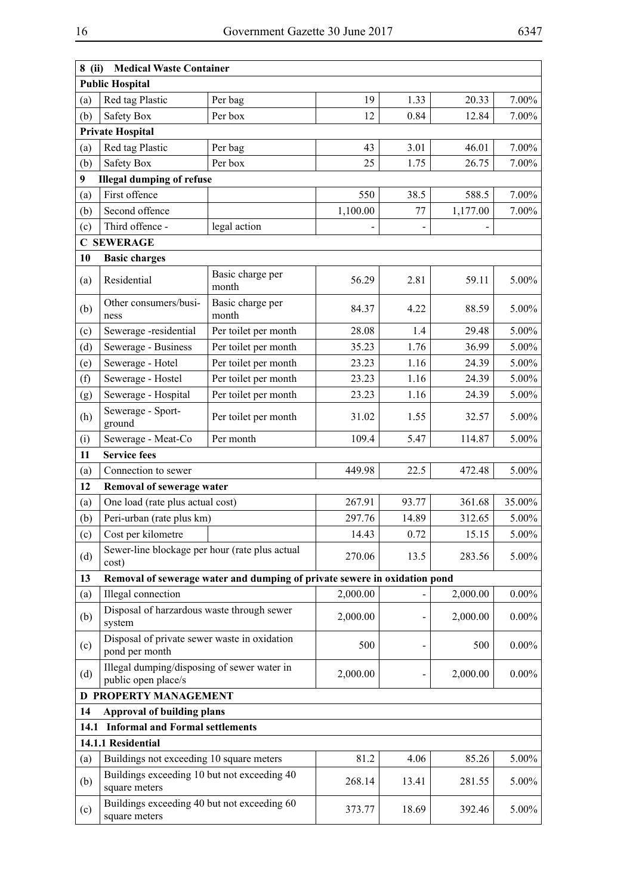| $8$ (ii) | <b>Medical Waste Container</b>                                     |                                                                           |          |       |          |          |
|----------|--------------------------------------------------------------------|---------------------------------------------------------------------------|----------|-------|----------|----------|
|          | <b>Public Hospital</b>                                             |                                                                           |          |       |          |          |
| (a)      | Red tag Plastic                                                    | Per bag                                                                   | 19       | 1.33  | 20.33    | 7.00%    |
| (b)      | Safety Box                                                         | Per box                                                                   | 12       | 0.84  | 12.84    | 7.00%    |
|          | <b>Private Hospital</b>                                            |                                                                           |          |       |          |          |
| (a)      | Red tag Plastic                                                    | Per bag                                                                   | 43       | 3.01  | 46.01    | 7.00%    |
| (b)      | Safety Box                                                         | Per box                                                                   | 25       | 1.75  | 26.75    | 7.00%    |
| 9        | <b>Illegal dumping of refuse</b>                                   |                                                                           |          |       |          |          |
| (a)      | First offence                                                      |                                                                           | 550      | 38.5  | 588.5    | 7.00%    |
| (b)      | Second offence                                                     |                                                                           | 1,100.00 | 77    | 1,177.00 | 7.00%    |
| (c)      | Third offence -                                                    | legal action                                                              |          |       |          |          |
|          | <b>C SEWERAGE</b>                                                  |                                                                           |          |       |          |          |
| 10       | <b>Basic charges</b>                                               |                                                                           |          |       |          |          |
|          |                                                                    |                                                                           |          |       |          |          |
| (a)      | Residential                                                        | Basic charge per<br>month                                                 | 56.29    | 2.81  | 59.11    | 5.00%    |
| (b)      | Other consumers/busi-<br>ness                                      | Basic charge per<br>month                                                 | 84.37    | 4.22  | 88.59    | 5.00%    |
| (c)      | Sewerage -residential                                              | Per toilet per month                                                      | 28.08    | 1.4   | 29.48    | 5.00%    |
| (d)      | Sewerage - Business                                                | Per toilet per month                                                      | 35.23    | 1.76  | 36.99    | 5.00%    |
| (e)      | Sewerage - Hotel                                                   | Per toilet per month                                                      | 23.23    | 1.16  | 24.39    | 5.00%    |
| (f)      | Sewerage - Hostel                                                  | Per toilet per month                                                      | 23.23    | 1.16  | 24.39    | 5.00%    |
| (g)      | Sewerage - Hospital                                                | Per toilet per month                                                      | 23.23    | 1.16  | 24.39    | 5.00%    |
| (h)      | Sewerage - Sport-<br>ground                                        | Per toilet per month                                                      | 31.02    | 1.55  | 32.57    | 5.00%    |
| (i)      | Sewerage - Meat-Co                                                 | Per month                                                                 | 109.4    | 5.47  | 114.87   | 5.00%    |
| 11       | <b>Service fees</b>                                                |                                                                           |          |       |          |          |
| (a)      | Connection to sewer                                                |                                                                           | 449.98   | 22.5  | 472.48   | 5.00%    |
| 12       | Removal of sewerage water                                          |                                                                           |          |       |          |          |
| (a)      | One load (rate plus actual cost)                                   |                                                                           | 267.91   | 93.77 | 361.68   | 35.00%   |
| (b)      | Peri-urban (rate plus km)                                          |                                                                           | 297.76   | 14.89 | 312.65   | 5.00%    |
| (c)      | Cost per kilometre                                                 |                                                                           | 14.43    | 0.72  | 15.15    | 5.00%    |
| (d)      | Sewer-line blockage per hour (rate plus actual<br>cost)            |                                                                           | 270.06   | 13.5  | 283.56   | 5.00%    |
| 13       |                                                                    | Removal of sewerage water and dumping of private sewere in oxidation pond |          |       |          |          |
| (a)      | Illegal connection                                                 |                                                                           | 2,000.00 |       | 2,000.00 | $0.00\%$ |
| (b)      | Disposal of harzardous waste through sewer<br>system               |                                                                           | 2,000.00 |       | 2,000.00 | $0.00\%$ |
| (c)      | Disposal of private sewer waste in oxidation<br>pond per month     |                                                                           | 500      |       | 500      | $0.00\%$ |
| (d)      | Illegal dumping/disposing of sewer water in<br>public open place/s |                                                                           | 2,000.00 |       | 2,000.00 | $0.00\%$ |
|          | <b>D PROPERTY MANAGEMENT</b>                                       |                                                                           |          |       |          |          |
| 14       | <b>Approval of building plans</b>                                  |                                                                           |          |       |          |          |
| 14.1     | <b>Informal and Formal settlements</b>                             |                                                                           |          |       |          |          |
|          | 14.1.1 Residential                                                 |                                                                           |          |       |          |          |
| (a)      | Buildings not exceeding 10 square meters                           |                                                                           | 81.2     | 4.06  | 85.26    | 5.00%    |
| (b)      | Buildings exceeding 10 but not exceeding 40<br>square meters       |                                                                           | 268.14   | 13.41 | 281.55   | 5.00%    |
| (c)      | Buildings exceeding 40 but not exceeding 60<br>square meters       |                                                                           | 373.77   | 18.69 | 392.46   | 5.00%    |
|          |                                                                    |                                                                           |          |       |          |          |

 $\overline{a}$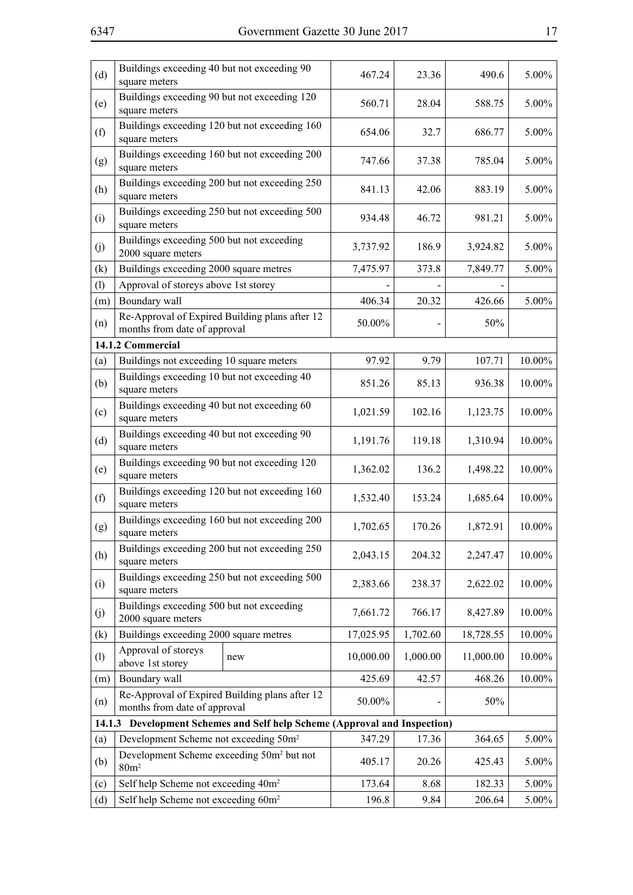| (d) | Buildings exceeding 40 but not exceeding 90<br>square meters                   |                                                                           | 467.24    | 23.36    | 490.6     | 5.00%  |
|-----|--------------------------------------------------------------------------------|---------------------------------------------------------------------------|-----------|----------|-----------|--------|
| (e) | Buildings exceeding 90 but not exceeding 120<br>square meters                  |                                                                           | 560.71    | 28.04    | 588.75    | 5.00%  |
| (f) | Buildings exceeding 120 but not exceeding 160<br>square meters                 |                                                                           | 654.06    | 32.7     | 686.77    | 5.00%  |
| (g) | Buildings exceeding 160 but not exceeding 200<br>square meters                 |                                                                           | 747.66    | 37.38    | 785.04    | 5.00%  |
| (h) | Buildings exceeding 200 but not exceeding 250<br>square meters                 |                                                                           | 841.13    | 42.06    | 883.19    | 5.00%  |
| (i) | Buildings exceeding 250 but not exceeding 500<br>square meters                 |                                                                           | 934.48    | 46.72    | 981.21    | 5.00%  |
| (j) | Buildings exceeding 500 but not exceeding<br>2000 square meters                |                                                                           | 3,737.92  | 186.9    | 3,924.82  | 5.00%  |
| (k) | Buildings exceeding 2000 square metres                                         |                                                                           | 7,475.97  | 373.8    | 7,849.77  | 5.00%  |
| (1) | Approval of storeys above 1st storey                                           |                                                                           |           |          |           |        |
| (m) | Boundary wall                                                                  |                                                                           | 406.34    | 20.32    | 426.66    | 5.00%  |
| (n) | Re-Approval of Expired Building plans after 12<br>months from date of approval |                                                                           | 50.00%    |          | 50%       |        |
|     | 14.1.2 Commercial                                                              |                                                                           |           |          |           |        |
| (a) | Buildings not exceeding 10 square meters                                       |                                                                           | 97.92     | 9.79     | 107.71    | 10.00% |
| (b) | Buildings exceeding 10 but not exceeding 40<br>square meters                   |                                                                           | 851.26    | 85.13    | 936.38    | 10.00% |
| (c) | Buildings exceeding 40 but not exceeding 60<br>square meters                   |                                                                           | 1,021.59  | 102.16   | 1,123.75  | 10.00% |
| (d) | Buildings exceeding 40 but not exceeding 90<br>square meters                   |                                                                           | 1,191.76  | 119.18   | 1,310.94  | 10.00% |
| (e) | Buildings exceeding 90 but not exceeding 120<br>square meters                  |                                                                           | 1,362.02  | 136.2    | 1,498.22  | 10.00% |
| (f) | Buildings exceeding 120 but not exceeding 160<br>square meters                 |                                                                           | 1,532.40  | 153.24   | 1,685.64  | 10.00% |
| (g) | Buildings exceeding 160 but not exceeding 200<br>square meters                 |                                                                           | 1,702.65  | 170.26   | 1,872.91  | 10.00% |
| (h) | Buildings exceeding 200 but not exceeding 250<br>square meters                 |                                                                           | 2,043.15  | 204.32   | 2,247.47  | 10.00% |
| (i) | Buildings exceeding 250 but not exceeding 500<br>square meters                 |                                                                           | 2,383.66  | 238.37   | 2,622.02  | 10.00% |
| (j) | Buildings exceeding 500 but not exceeding<br>2000 square meters                |                                                                           | 7,661.72  | 766.17   | 8,427.89  | 10.00% |
| (k) | Buildings exceeding 2000 square metres                                         |                                                                           | 17,025.95 | 1,702.60 | 18,728.55 | 10.00% |
| (1) | Approval of storeys<br>above 1st storey                                        | new                                                                       | 10,000.00 | 1,000.00 | 11,000.00 | 10.00% |
| (m) | Boundary wall                                                                  |                                                                           | 425.69    | 42.57    | 468.26    | 10.00% |
| (n) | Re-Approval of Expired Building plans after 12<br>months from date of approval |                                                                           | 50.00%    |          | 50%       |        |
|     |                                                                                | 14.1.3 Development Schemes and Self help Scheme (Approval and Inspection) |           |          |           |        |
| (a) | Development Scheme not exceeding 50m <sup>2</sup>                              |                                                                           | 347.29    | 17.36    | 364.65    | 5.00%  |
| (b) | Development Scheme exceeding 50m <sup>2</sup> but not<br>80m <sup>2</sup>      |                                                                           | 405.17    | 20.26    | 425.43    | 5.00%  |
| (c) | Self help Scheme not exceeding 40m <sup>2</sup>                                |                                                                           | 173.64    | 8.68     | 182.33    | 5.00%  |
| (d) | Self help Scheme not exceeding 60m <sup>2</sup>                                |                                                                           | 196.8     | 9.84     | 206.64    | 5.00%  |
|     |                                                                                |                                                                           |           |          |           |        |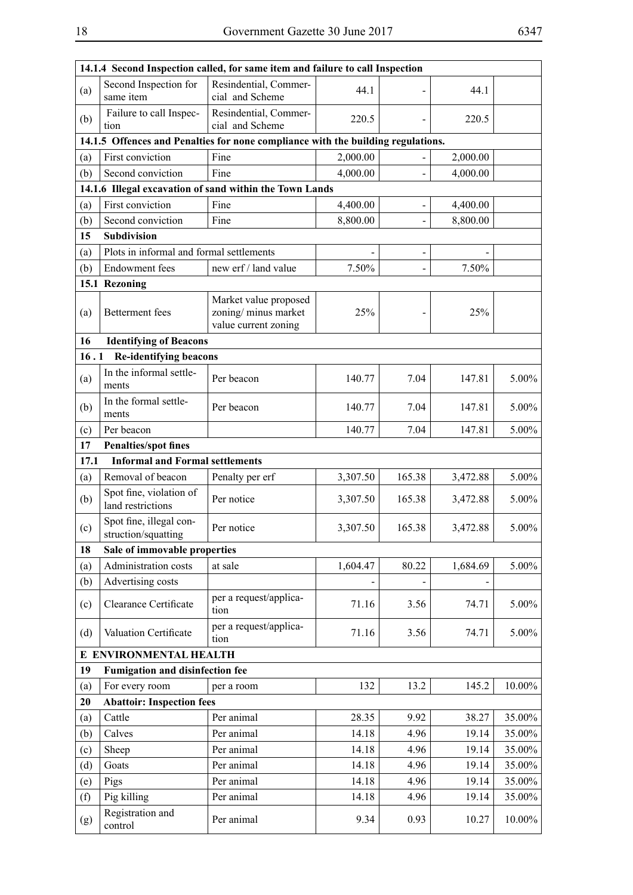$\overline{\phantom{0}}$ 

| Second Inspection for<br>Resindential, Commer-<br>(a)<br>44.1<br>same item<br>cial and Scheme<br>Failure to call Inspec-<br>Resindential, Commer-<br>(b)<br>220.5<br>cial and Scheme<br>tion<br>14.1.5 Offences and Penalties for none compliance with the building regulations.<br>First conviction<br>Fine<br>2,000.00<br>(a)<br>(b)<br>Second conviction<br>Fine<br>4,000.00<br>14.1.6 Illegal excavation of sand within the Town Lands<br>First conviction<br>4,400.00<br>Fine<br>(a)<br>Second conviction<br>(b)<br>8,800.00<br>Fine<br>15<br><b>Subdivision</b><br>Plots in informal and formal settlements<br>(a)<br>7.50%<br><b>Endowment</b> fees<br>new erf / land value<br>(b)<br>15.1 Rezoning<br>Market value proposed | 14.1.4 Second Inspection called, for same item and failure to call Inspection |          |  |  |  |  |
|-------------------------------------------------------------------------------------------------------------------------------------------------------------------------------------------------------------------------------------------------------------------------------------------------------------------------------------------------------------------------------------------------------------------------------------------------------------------------------------------------------------------------------------------------------------------------------------------------------------------------------------------------------------------------------------------------------------------------------------|-------------------------------------------------------------------------------|----------|--|--|--|--|
|                                                                                                                                                                                                                                                                                                                                                                                                                                                                                                                                                                                                                                                                                                                                     | 44.1                                                                          |          |  |  |  |  |
|                                                                                                                                                                                                                                                                                                                                                                                                                                                                                                                                                                                                                                                                                                                                     | 220.5                                                                         |          |  |  |  |  |
|                                                                                                                                                                                                                                                                                                                                                                                                                                                                                                                                                                                                                                                                                                                                     |                                                                               |          |  |  |  |  |
|                                                                                                                                                                                                                                                                                                                                                                                                                                                                                                                                                                                                                                                                                                                                     | 2,000.00                                                                      |          |  |  |  |  |
|                                                                                                                                                                                                                                                                                                                                                                                                                                                                                                                                                                                                                                                                                                                                     | 4,000.00                                                                      |          |  |  |  |  |
|                                                                                                                                                                                                                                                                                                                                                                                                                                                                                                                                                                                                                                                                                                                                     |                                                                               |          |  |  |  |  |
|                                                                                                                                                                                                                                                                                                                                                                                                                                                                                                                                                                                                                                                                                                                                     | 4,400.00                                                                      |          |  |  |  |  |
|                                                                                                                                                                                                                                                                                                                                                                                                                                                                                                                                                                                                                                                                                                                                     | 8,800.00                                                                      |          |  |  |  |  |
|                                                                                                                                                                                                                                                                                                                                                                                                                                                                                                                                                                                                                                                                                                                                     |                                                                               |          |  |  |  |  |
|                                                                                                                                                                                                                                                                                                                                                                                                                                                                                                                                                                                                                                                                                                                                     |                                                                               |          |  |  |  |  |
|                                                                                                                                                                                                                                                                                                                                                                                                                                                                                                                                                                                                                                                                                                                                     | 7.50%                                                                         |          |  |  |  |  |
|                                                                                                                                                                                                                                                                                                                                                                                                                                                                                                                                                                                                                                                                                                                                     |                                                                               |          |  |  |  |  |
| zoning/minus market<br>25%<br>Betterment fees<br>(a)<br>value current zoning                                                                                                                                                                                                                                                                                                                                                                                                                                                                                                                                                                                                                                                        | 25%                                                                           |          |  |  |  |  |
| <b>Identifying of Beacons</b><br>16                                                                                                                                                                                                                                                                                                                                                                                                                                                                                                                                                                                                                                                                                                 |                                                                               |          |  |  |  |  |
| 16.1<br><b>Re-identifying beacons</b>                                                                                                                                                                                                                                                                                                                                                                                                                                                                                                                                                                                                                                                                                               |                                                                               |          |  |  |  |  |
| In the informal settle-<br>(a)<br>7.04<br>Per beacon<br>140.77<br>ments                                                                                                                                                                                                                                                                                                                                                                                                                                                                                                                                                                                                                                                             | 147.81                                                                        | $5.00\%$ |  |  |  |  |
| In the formal settle-<br>(b)<br>140.77<br>7.04<br>Per beacon<br>ments                                                                                                                                                                                                                                                                                                                                                                                                                                                                                                                                                                                                                                                               | 147.81                                                                        | 5.00%    |  |  |  |  |
| (c)<br>Per beacon<br>140.77<br>7.04                                                                                                                                                                                                                                                                                                                                                                                                                                                                                                                                                                                                                                                                                                 | 147.81                                                                        | $5.00\%$ |  |  |  |  |
| 17<br><b>Penalties/spot fines</b>                                                                                                                                                                                                                                                                                                                                                                                                                                                                                                                                                                                                                                                                                                   |                                                                               |          |  |  |  |  |
| 17.1<br><b>Informal and Formal settlements</b>                                                                                                                                                                                                                                                                                                                                                                                                                                                                                                                                                                                                                                                                                      |                                                                               |          |  |  |  |  |
| Removal of beacon<br>3,307.50<br>165.38<br>Penalty per erf<br>(a)                                                                                                                                                                                                                                                                                                                                                                                                                                                                                                                                                                                                                                                                   | 3,472.88                                                                      | 5.00%    |  |  |  |  |
| Spot fine, violation of<br>(b)<br>Per notice<br>3,307.50<br>165.38<br>land restrictions                                                                                                                                                                                                                                                                                                                                                                                                                                                                                                                                                                                                                                             | 3,472.88                                                                      | 5.00%    |  |  |  |  |
| Spot fine, illegal con-<br>Per notice<br>(c)<br>3,307.50<br>165.38<br>struction/squatting                                                                                                                                                                                                                                                                                                                                                                                                                                                                                                                                                                                                                                           | 3,472.88                                                                      | 5.00%    |  |  |  |  |
| 18<br>Sale of immovable properties                                                                                                                                                                                                                                                                                                                                                                                                                                                                                                                                                                                                                                                                                                  |                                                                               |          |  |  |  |  |
| Administration costs<br>80.22<br>(a)<br>at sale<br>1,604.47                                                                                                                                                                                                                                                                                                                                                                                                                                                                                                                                                                                                                                                                         | 1,684.69                                                                      | 5.00%    |  |  |  |  |
| Advertising costs<br>(b)                                                                                                                                                                                                                                                                                                                                                                                                                                                                                                                                                                                                                                                                                                            |                                                                               |          |  |  |  |  |
| per a request/applica-<br>Clearance Certificate<br>71.16<br>3.56<br>(c)<br>tion                                                                                                                                                                                                                                                                                                                                                                                                                                                                                                                                                                                                                                                     | 74.71                                                                         | 5.00%    |  |  |  |  |
| per a request/applica-<br>Valuation Certificate<br>(d)<br>71.16<br>3.56<br>tion                                                                                                                                                                                                                                                                                                                                                                                                                                                                                                                                                                                                                                                     | 74.71                                                                         | 5.00%    |  |  |  |  |
| E ENVIRONMENTAL HEALTH                                                                                                                                                                                                                                                                                                                                                                                                                                                                                                                                                                                                                                                                                                              |                                                                               |          |  |  |  |  |
| Fumigation and disinfection fee<br>19                                                                                                                                                                                                                                                                                                                                                                                                                                                                                                                                                                                                                                                                                               |                                                                               |          |  |  |  |  |
| For every room<br>132<br>13.2<br>(a)<br>per a room                                                                                                                                                                                                                                                                                                                                                                                                                                                                                                                                                                                                                                                                                  | 145.2                                                                         | 10.00%   |  |  |  |  |
| <b>Abattoir: Inspection fees</b><br>20                                                                                                                                                                                                                                                                                                                                                                                                                                                                                                                                                                                                                                                                                              |                                                                               |          |  |  |  |  |
| Cattle<br>Per animal<br>28.35<br>9.92<br>(a)                                                                                                                                                                                                                                                                                                                                                                                                                                                                                                                                                                                                                                                                                        | 38.27                                                                         | 35.00%   |  |  |  |  |
| Calves<br>(b)<br>Per animal<br>14.18<br>4.96                                                                                                                                                                                                                                                                                                                                                                                                                                                                                                                                                                                                                                                                                        | 19.14                                                                         | 35.00%   |  |  |  |  |
| Per animal<br>Sheep<br>14.18<br>4.96<br>(c)                                                                                                                                                                                                                                                                                                                                                                                                                                                                                                                                                                                                                                                                                         | 19.14                                                                         | 35.00%   |  |  |  |  |
| Goats<br>(d)<br>Per animal<br>14.18<br>4.96                                                                                                                                                                                                                                                                                                                                                                                                                                                                                                                                                                                                                                                                                         | 19.14                                                                         | 35.00%   |  |  |  |  |
| Per animal<br>(e)<br>Pigs<br>14.18<br>4.96                                                                                                                                                                                                                                                                                                                                                                                                                                                                                                                                                                                                                                                                                          | 19.14                                                                         | 35.00%   |  |  |  |  |
| Pig killing<br>Per animal<br>14.18<br>(f)<br>4.96                                                                                                                                                                                                                                                                                                                                                                                                                                                                                                                                                                                                                                                                                   |                                                                               | 35.00%   |  |  |  |  |
| Registration and<br>Per animal<br>9.34<br>0.93<br>(g)<br>control                                                                                                                                                                                                                                                                                                                                                                                                                                                                                                                                                                                                                                                                    | 19.14                                                                         |          |  |  |  |  |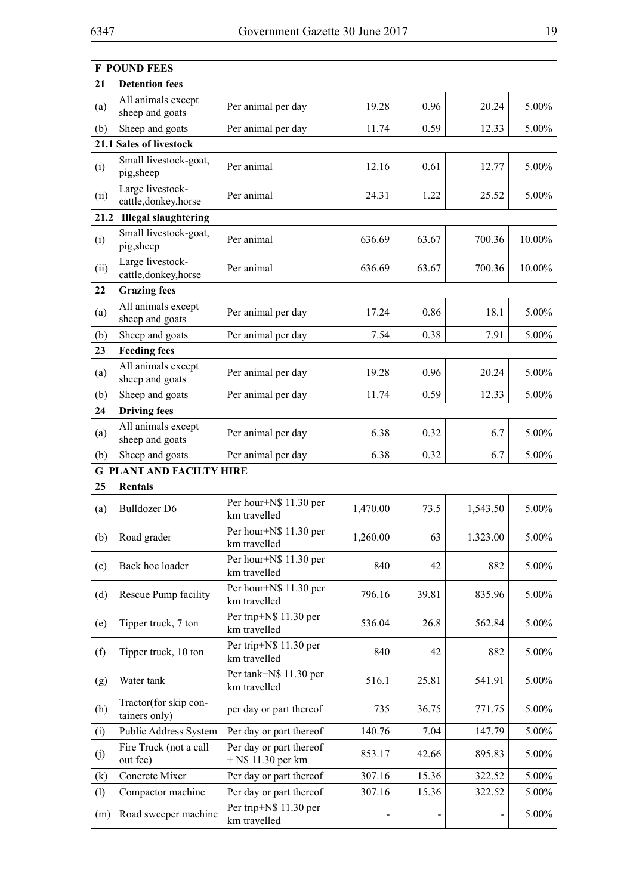|      | <b>F POUND FEES</b>                       |                                                 |          |       |          |          |
|------|-------------------------------------------|-------------------------------------------------|----------|-------|----------|----------|
| 21   | <b>Detention fees</b>                     |                                                 |          |       |          |          |
| (a)  | All animals except<br>sheep and goats     | Per animal per day                              | 19.28    | 0.96  | 20.24    | $5.00\%$ |
| (b)  | Sheep and goats                           | Per animal per day                              | 11.74    | 0.59  | 12.33    | $5.00\%$ |
|      | 21.1 Sales of livestock                   |                                                 |          |       |          |          |
| (i)  | Small livestock-goat,<br>pig,sheep        | Per animal                                      | 12.16    | 0.61  | 12.77    | 5.00%    |
| (ii) | Large livestock-<br>cattle, donkey, horse | Per animal                                      | 24.31    | 1.22  | 25.52    | $5.00\%$ |
| 21.2 | <b>Illegal slaughtering</b>               |                                                 |          |       |          |          |
| (i)  | Small livestock-goat,<br>pig,sheep        | Per animal                                      | 636.69   | 63.67 | 700.36   | 10.00%   |
| (ii) | Large livestock-<br>cattle, donkey, horse | Per animal                                      | 636.69   | 63.67 | 700.36   | 10.00%   |
| 22   | <b>Grazing fees</b>                       |                                                 |          |       |          |          |
| (a)  | All animals except<br>sheep and goats     | Per animal per day                              | 17.24    | 0.86  | 18.1     | 5.00%    |
| (b)  | Sheep and goats                           | Per animal per day                              | 7.54     | 0.38  | 7.91     | 5.00%    |
| 23   | <b>Feeding fees</b>                       |                                                 |          |       |          |          |
| (a)  | All animals except<br>sheep and goats     | Per animal per day                              | 19.28    | 0.96  | 20.24    | 5.00%    |
| (b)  | Sheep and goats                           | Per animal per day                              | 11.74    | 0.59  | 12.33    | $5.00\%$ |
| 24   | <b>Driving fees</b>                       |                                                 |          |       |          |          |
| (a)  | All animals except<br>sheep and goats     | Per animal per day                              | 6.38     | 0.32  | 6.7      | 5.00%    |
| (b)  | Sheep and goats                           | Per animal per day                              | 6.38     | 0.32  | 6.7      | 5.00%    |
|      | <b>G PLANT AND FACILTY HIRE</b>           |                                                 |          |       |          |          |
| 25   | <b>Rentals</b>                            |                                                 |          |       |          |          |
| (a)  | <b>Bulldozer D6</b>                       | Per hour+N\$ 11.30 per<br>km travelled          | 1,470.00 | 73.5  | 1,543.50 | 5.00%    |
| (b)  | Road grader                               | Per hour+N\$ 11.30 per<br>km travelled          | 1,260.00 | 63    | 1,323.00 | 5.00%    |
| (c)  | Back hoe loader                           | Per hour+N\$ 11.30 per<br>km travelled          | 840      | 42    | 882      | 5.00%    |
| (d)  | Rescue Pump facility                      | Per hour+N\$ 11.30 per<br>km travelled          | 796.16   | 39.81 | 835.96   | $5.00\%$ |
| (e)  | Tipper truck, 7 ton                       | Per trip+N\$ 11.30 per<br>km travelled          | 536.04   | 26.8  | 562.84   | $5.00\%$ |
| (f)  | Tipper truck, 10 ton                      | Per trip+N\$ 11.30 per<br>km travelled          | 840      | 42    | 882      | 5.00%    |
| (g)  | Water tank                                | Per tank+N\$ 11.30 per<br>km travelled          | 516.1    | 25.81 | 541.91   | 5.00%    |
| (h)  | Tractor(for skip con-<br>tainers only)    | per day or part thereof                         | 735      | 36.75 | 771.75   | 5.00%    |
| (i)  | Public Address System                     | Per day or part thereof                         | 140.76   | 7.04  | 147.79   | 5.00%    |
| (j)  | Fire Truck (not a call<br>out fee)        | Per day or part thereof<br>$+$ N\$ 11.30 per km | 853.17   | 42.66 | 895.83   | 5.00%    |
| (k)  | Concrete Mixer                            | Per day or part thereof                         | 307.16   | 15.36 | 322.52   | 5.00%    |
| (1)  | Compactor machine                         | Per day or part thereof                         | 307.16   | 15.36 | 322.52   | 5.00%    |
| (m)  | Road sweeper machine                      | Per trip+N\$ 11.30 per<br>km travelled          |          |       |          | 5.00%    |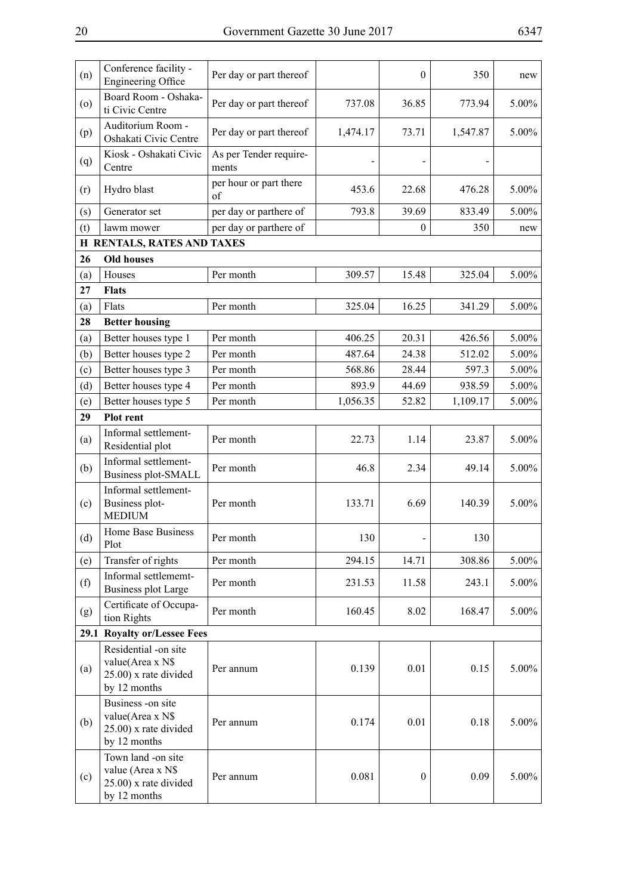| Conference facility -<br><b>Engineering Office</b>                                | Per day or part thereof         |                                                                    | $\theta$         | 350      | new      |
|-----------------------------------------------------------------------------------|---------------------------------|--------------------------------------------------------------------|------------------|----------|----------|
| Board Room - Oshaka-<br>ti Civic Centre                                           | Per day or part thereof         | 737.08                                                             | 36.85            | 773.94   | $5.00\%$ |
| Auditorium Room -<br>Oshakati Civic Centre                                        | Per day or part thereof         | 1,474.17                                                           | 73.71            | 1,547.87 | 5.00%    |
| Kiosk - Oshakati Civic<br>Centre                                                  | As per Tender require-<br>ments |                                                                    |                  |          |          |
| Hydro blast                                                                       | per hour or part there<br>of    | 453.6                                                              | 22.68            | 476.28   | 5.00%    |
| Generator set                                                                     | per day or parthere of          | 793.8                                                              | 39.69            | 833.49   | $5.00\%$ |
| lawm mower                                                                        | per day or parthere of          |                                                                    | $\overline{0}$   | 350      | new      |
|                                                                                   |                                 |                                                                    |                  |          |          |
| <b>Old houses</b>                                                                 |                                 |                                                                    |                  |          |          |
| Houses                                                                            | Per month                       | 309.57                                                             | 15.48            | 325.04   | 5.00%    |
| <b>Flats</b>                                                                      |                                 |                                                                    |                  |          |          |
| Flats                                                                             | Per month                       | 325.04                                                             | 16.25            | 341.29   | $5.00\%$ |
| <b>Better housing</b>                                                             |                                 |                                                                    |                  |          |          |
| Better houses type 1                                                              | Per month                       | 406.25                                                             | 20.31            | 426.56   | $5.00\%$ |
| Better houses type 2                                                              | Per month                       | 487.64                                                             | 24.38            | 512.02   | 5.00%    |
| Better houses type 3                                                              | Per month                       | 568.86                                                             | 28.44            | 597.3    | $5.00\%$ |
| Better houses type 4                                                              | Per month                       | 893.9                                                              | 44.69            | 938.59   | 5.00%    |
| Better houses type 5                                                              | Per month                       | 1,056.35                                                           | 52.82            | 1,109.17 | $5.00\%$ |
| Plot rent                                                                         |                                 |                                                                    |                  |          |          |
| Informal settlement-<br>Residential plot                                          | Per month                       | 22.73                                                              | 1.14             | 23.87    | 5.00%    |
| Informal settlement-<br>Business plot-SMALL                                       | Per month                       | 46.8                                                               | 2.34             | 49.14    | 5.00%    |
| Informal settlement-<br>Business plot-<br><b>MEDIUM</b>                           | Per month                       | 133.71                                                             | 6.69             | 140.39   | 5.00%    |
| Home Base Business<br>Plot                                                        | Per month                       | 130                                                                |                  | 130      |          |
| Transfer of rights                                                                | Per month                       | 294.15                                                             | 14.71            | 308.86   | 5.00%    |
| Informal settlememt-<br><b>Business plot Large</b>                                | Per month                       | 231.53                                                             | 11.58            | 243.1    | 5.00%    |
| Certificate of Occupa-<br>tion Rights                                             | Per month                       | 160.45                                                             | 8.02             | 168.47   | 5.00%    |
| 29.1                                                                              |                                 |                                                                    |                  |          |          |
| Residential -on site<br>value(Area x N\$<br>25.00) x rate divided<br>by 12 months | Per annum                       | 0.139                                                              | 0.01             | 0.15     | 5.00%    |
| Business -on site<br>value(Area x N\$<br>25.00) x rate divided<br>by 12 months    | Per annum                       | 0.174                                                              | 0.01             | 0.18     | $5.00\%$ |
| Town land -on site<br>value (Area x N\$<br>25.00) x rate divided<br>by 12 months  | Per annum                       | 0.081                                                              | $\boldsymbol{0}$ | 0.09     | 5.00%    |
|                                                                                   |                                 | <b>H RENTALS, RATES AND TAXES</b><br><b>Royalty or/Lessee Fees</b> |                  |          |          |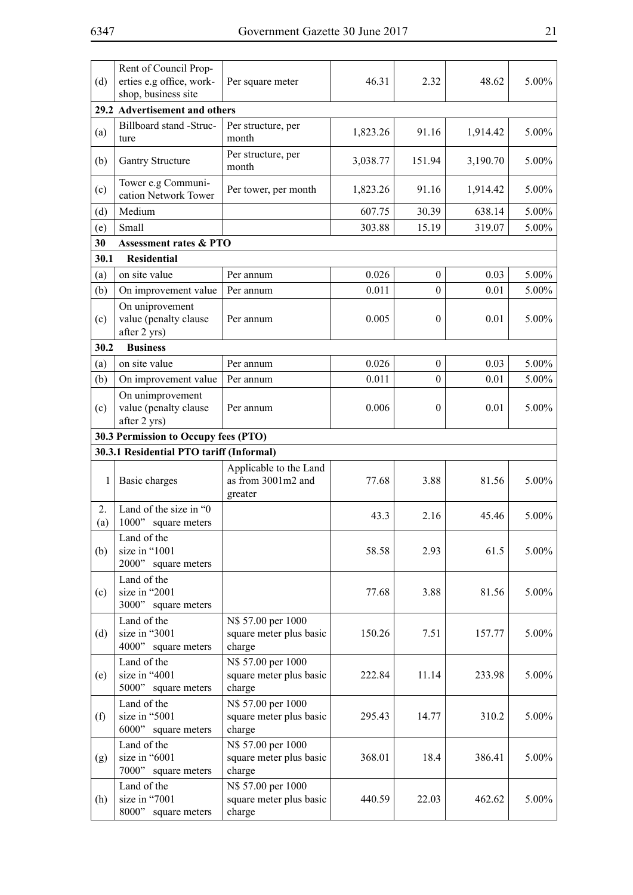| (d)       | Rent of Council Prop-<br>erties e.g office, work-<br>shop, business site | Per square meter                                        | 46.31    | 2.32         | 48.62    | 5.00%    |
|-----------|--------------------------------------------------------------------------|---------------------------------------------------------|----------|--------------|----------|----------|
|           | 29.2 Advertisement and others                                            |                                                         |          |              |          |          |
| (a)       | Billboard stand -Struc-<br>ture                                          | Per structure, per<br>month                             | 1,823.26 | 91.16        | 1,914.42 | 5.00%    |
| (b)       | <b>Gantry Structure</b>                                                  | Per structure, per<br>month                             | 3,038.77 | 151.94       | 3,190.70 | 5.00%    |
| (c)       | Tower e.g Communi-<br>cation Network Tower                               | Per tower, per month                                    | 1,823.26 | 91.16        | 1,914.42 | 5.00%    |
| (d)       | Medium                                                                   |                                                         | 607.75   | 30.39        | 638.14   | 5.00%    |
| (e)       | Small                                                                    |                                                         | 303.88   | 15.19        | 319.07   | 5.00%    |
| 30        | <b>Assessment rates &amp; PTO</b>                                        |                                                         |          |              |          |          |
| 30.1      | <b>Residential</b>                                                       |                                                         |          |              |          |          |
| (a)       | on site value                                                            | Per annum                                               | 0.026    | $\mathbf{0}$ | 0.03     | 5.00%    |
| (b)       | On improvement value                                                     | Per annum                                               | 0.011    | $\mathbf{0}$ | 0.01     | 5.00%    |
| (c)       | On uniprovement<br>value (penalty clause<br>after 2 yrs)                 | Per annum                                               | 0.005    | $\mathbf{0}$ | 0.01     | 5.00%    |
| 30.2      | <b>Business</b>                                                          |                                                         |          |              |          |          |
| (a)       | on site value                                                            | Per annum                                               | 0.026    | $\mathbf{0}$ | 0.03     | 5.00%    |
| (b)       | On improvement value                                                     | Per annum                                               | 0.011    | $\mathbf{0}$ | 0.01     | 5.00%    |
| (c)       | On unimprovement<br>value (penalty clause<br>after 2 yrs)                | Per annum                                               | 0.006    | $\mathbf{0}$ | 0.01     | 5.00%    |
|           | 30.3 Permission to Occupy fees (PTO)                                     |                                                         |          |              |          |          |
|           | 30.3.1 Residential PTO tariff (Informal)                                 |                                                         |          |              |          |          |
| 1         | Basic charges                                                            | Applicable to the Land<br>as from 3001m2 and<br>greater | 77.68    | 3.88         | 81.56    | 5.00%    |
| 2.<br>(a) | Land of the size in "0<br>1000"<br>square meters                         |                                                         | 43.3     | 2.16         | 45.46    | 5.00%    |
| (b)       | Land of the<br>size in "1001<br>2000"<br>square meters                   |                                                         | 58.58    | 2.93         | 61.5     | 5.00%    |
| (c)       | Land of the<br>size in "2001<br>3000" square meters                      |                                                         | 77.68    | 3.88         | 81.56    | 5.00%    |
| (d)       | Land of the<br>size in "3001<br>4000" square meters                      | N\$ 57.00 per 1000<br>square meter plus basic<br>charge | 150.26   | 7.51         | 157.77   | 5.00%    |
| (e)       | Land of the<br>size in "4001<br>5000" square meters                      | N\$ 57.00 per 1000<br>square meter plus basic<br>charge | 222.84   | 11.14        | 233.98   | 5.00%    |
| (f)       | Land of the<br>size in "5001<br>6000"<br>square meters                   | N\$ 57.00 per 1000<br>square meter plus basic<br>charge | 295.43   | 14.77        | 310.2    | 5.00%    |
| (g)       | Land of the<br>size in "6001<br>7000" square meters                      | N\$ 57.00 per 1000<br>square meter plus basic<br>charge | 368.01   | 18.4         | 386.41   | $5.00\%$ |
| (h)       | Land of the<br>size in "7001<br>8000"<br>square meters                   | N\$ 57.00 per 1000<br>square meter plus basic<br>charge | 440.59   | 22.03        | 462.62   | 5.00%    |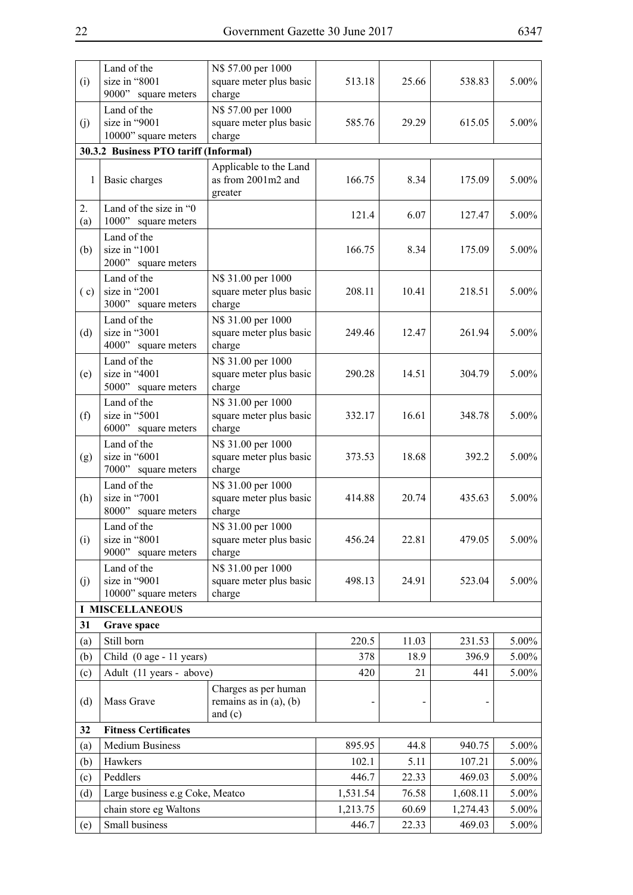| (i)       | Land of the<br>size in "8001<br>9000" square meters    | N\$ 57.00 per 1000<br>square meter plus basic<br>charge          | 513.18   | 25.66 | 538.83   | 5.00%    |
|-----------|--------------------------------------------------------|------------------------------------------------------------------|----------|-------|----------|----------|
| (j)       | Land of the<br>size in "9001<br>10000" square meters   | N\$ 57.00 per 1000<br>square meter plus basic<br>charge          | 585.76   | 29.29 | 615.05   | 5.00%    |
|           | 30.3.2 Business PTO tariff (Informal)                  |                                                                  |          |       |          |          |
| 1         | Basic charges                                          | Applicable to the Land<br>as from 2001m2 and<br>greater          | 166.75   | 8.34  | 175.09   | 5.00%    |
| 2.<br>(a) | Land of the size in "0<br>1000" square meters          |                                                                  | 121.4    | 6.07  | 127.47   | $5.00\%$ |
| (b)       | Land of the<br>size in "1001<br>2000" square meters    |                                                                  | 166.75   | 8.34  | 175.09   | 5.00%    |
| (c)       | Land of the<br>size in "2001<br>3000" square meters    | N\$ 31.00 per 1000<br>square meter plus basic<br>charge          | 208.11   | 10.41 | 218.51   | 5.00%    |
| (d)       | Land of the<br>size in "3001<br>4000" square meters    | N\$ 31.00 per 1000<br>square meter plus basic<br>charge          | 249.46   | 12.47 | 261.94   | 5.00%    |
| (e)       | Land of the<br>size in "4001<br>5000" square meters    | N\$ 31.00 per 1000<br>square meter plus basic<br>charge          | 290.28   | 14.51 | 304.79   | $5.00\%$ |
| (f)       | Land of the<br>size in "5001<br>6000" square meters    | N\$ 31.00 per 1000<br>square meter plus basic<br>charge          | 332.17   | 16.61 | 348.78   | 5.00%    |
| (g)       | Land of the<br>size in "6001<br>7000" square meters    | N\$ 31.00 per 1000<br>square meter plus basic<br>charge          | 373.53   | 18.68 | 392.2    | 5.00%    |
| (h)       | Land of the<br>size in "7001<br>8000" square meters    | N\$ 31.00 per 1000<br>square meter plus basic<br>charge          | 414.88   | 20.74 | 435.63   | 5.00%    |
| (i)       | Land of the<br>size in "8001<br>9000"<br>square meters | N\$ 31.00 per 1000<br>square meter plus basic<br>charge          | 456.24   | 22.81 | 479.05   | 5.00%    |
| (j)       | Land of the<br>size in "9001<br>10000" square meters   | N\$ 31.00 per 1000<br>square meter plus basic<br>charge          | 498.13   | 24.91 | 523.04   | 5.00%    |
|           | <b>I MISCELLANEOUS</b>                                 |                                                                  |          |       |          |          |
| 31        | <b>Grave space</b>                                     |                                                                  |          |       |          |          |
| (a)       | Still born                                             |                                                                  | 220.5    | 11.03 | 231.53   | $5.00\%$ |
| (b)       | Child (0 age - 11 years)                               |                                                                  | 378      | 18.9  | 396.9    | 5.00%    |
| (c)       | Adult (11 years - above)                               |                                                                  | 420      | 21    | 441      | $5.00\%$ |
| (d)       | Mass Grave                                             | Charges as per human<br>remains as in $(a)$ , $(b)$<br>and $(c)$ |          |       |          |          |
| 32        | <b>Fitness Certificates</b>                            |                                                                  |          |       |          |          |
| (a)       | <b>Medium Business</b>                                 |                                                                  | 895.95   | 44.8  | 940.75   | 5.00%    |
| (b)       | Hawkers                                                |                                                                  | 102.1    | 5.11  | 107.21   | $5.00\%$ |
| (c)       | Peddlers                                               |                                                                  | 446.7    | 22.33 | 469.03   | 5.00%    |
| (d)       | Large business e.g Coke, Meatco                        |                                                                  | 1,531.54 | 76.58 | 1,608.11 | $5.00\%$ |
|           | chain store eg Waltons                                 |                                                                  | 1,213.75 | 60.69 | 1,274.43 | 5.00%    |
| (e)       | Small business                                         |                                                                  | 446.7    | 22.33 | 469.03   | $5.00\%$ |
|           |                                                        |                                                                  |          |       |          |          |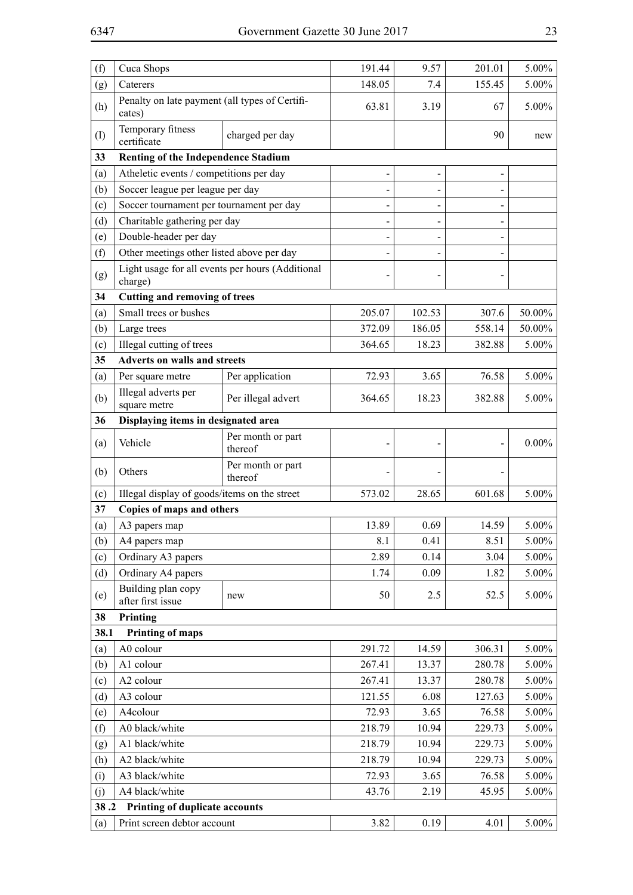| (f)  | Cuca Shops                                                  |                              | 191.44 | 9.57   | 201.01 | 5.00%    |
|------|-------------------------------------------------------------|------------------------------|--------|--------|--------|----------|
| (g)  | Caterers                                                    |                              | 148.05 | 7.4    | 155.45 | 5.00%    |
| (h)  | Penalty on late payment (all types of Certifi-<br>cates)    |                              | 63.81  | 3.19   | 67     | 5.00%    |
| (I)  | Temporary fitness<br>certificate                            | charged per day              |        |        | 90     | new      |
| 33   | Renting of the Independence Stadium                         |                              |        |        |        |          |
| (a)  | Atheletic events / competitions per day                     |                              |        |        |        |          |
| (b)  | Soccer league per league per day                            |                              |        |        |        |          |
| (c)  | Soccer tournament per tournament per day                    |                              |        |        |        |          |
| (d)  | Charitable gathering per day                                |                              |        |        |        |          |
| (e)  | Double-header per day                                       |                              |        |        |        |          |
| (f)  | Other meetings other listed above per day                   |                              |        |        |        |          |
| (g)  | Light usage for all events per hours (Additional<br>charge) |                              |        |        |        |          |
| 34   | <b>Cutting and removing of trees</b>                        |                              |        |        |        |          |
| (a)  | Small trees or bushes                                       |                              | 205.07 | 102.53 | 307.6  | 50.00%   |
| (b)  | Large trees                                                 |                              | 372.09 | 186.05 | 558.14 | 50.00%   |
| (c)  | Illegal cutting of trees                                    |                              | 364.65 | 18.23  | 382.88 | 5.00%    |
| 35   | <b>Adverts on walls and streets</b>                         |                              |        |        |        |          |
| (a)  | Per square metre                                            | Per application              | 72.93  | 3.65   | 76.58  | 5.00%    |
| (b)  | Illegal adverts per<br>square metre                         | Per illegal advert           | 364.65 | 18.23  | 382.88 | $5.00\%$ |
| 36   | Displaying items in designated area                         |                              |        |        |        |          |
| (a)  | Vehicle                                                     | Per month or part<br>thereof |        |        |        | $0.00\%$ |
| (b)  | Others                                                      | Per month or part<br>thereof |        |        |        |          |
| (c)  | Illegal display of goods/items on the street                |                              | 573.02 | 28.65  | 601.68 | 5.00%    |
| 37   | Copies of maps and others                                   |                              |        |        |        |          |
| (a)  | A3 papers map                                               |                              | 13.89  | 0.69   | 14.59  | 5.00%    |
| (b)  | A4 papers map                                               |                              | 8.1    | 0.41   | 8.51   | 5.00%    |
| (c)  | Ordinary A3 papers                                          |                              | 2.89   | 0.14   | 3.04   | 5.00%    |
| (d)  | Ordinary A4 papers                                          |                              | 1.74   | 0.09   | 1.82   | 5.00%    |
| (e)  | Building plan copy<br>after first issue                     | new                          | 50     | 2.5    | 52.5   | 5.00%    |
| 38   | Printing                                                    |                              |        |        |        |          |
| 38.1 | <b>Printing of maps</b>                                     |                              |        |        |        |          |
| (a)  | A0 colour                                                   |                              | 291.72 | 14.59  | 306.31 | 5.00%    |
| (b)  | A1 colour                                                   |                              | 267.41 | 13.37  | 280.78 | 5.00%    |
| (c)  | A2 colour                                                   |                              | 267.41 | 13.37  | 280.78 | 5.00%    |
| (d)  | A3 colour                                                   |                              | 121.55 | 6.08   | 127.63 | 5.00%    |
| (e)  | A4colour                                                    |                              | 72.93  | 3.65   | 76.58  | 5.00%    |
| (f)  | A0 black/white                                              |                              | 218.79 | 10.94  | 229.73 | 5.00%    |
| (g)  | A1 black/white                                              |                              | 218.79 | 10.94  | 229.73 | 5.00%    |
| (h)  | A2 black/white                                              |                              | 218.79 | 10.94  | 229.73 | 5.00%    |
| (i)  | A3 black/white                                              |                              | 72.93  | 3.65   | 76.58  | 5.00%    |
| (j)  | A4 black/white                                              |                              | 43.76  | 2.19   | 45.95  | 5.00%    |
| 38.2 | Printing of duplicate accounts                              |                              |        |        |        |          |
| (a)  | Print screen debtor account                                 |                              | 3.82   | 0.19   | 4.01   | 5.00%    |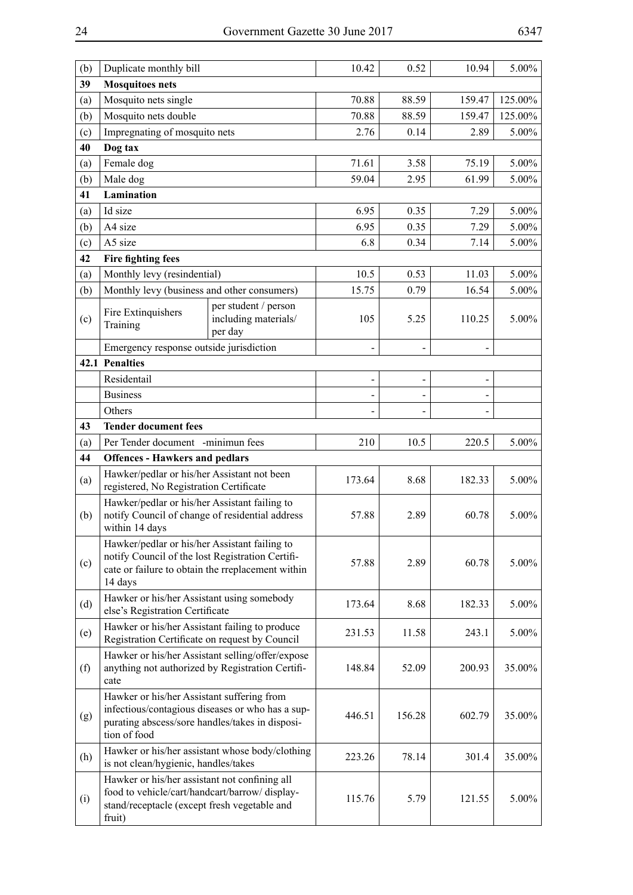| (b) | Duplicate monthly bill                                                                                                                                            |                                                         | 10.42  | 0.52   | 10.94                    | 5.00%   |
|-----|-------------------------------------------------------------------------------------------------------------------------------------------------------------------|---------------------------------------------------------|--------|--------|--------------------------|---------|
| 39  | <b>Mosquitoes nets</b>                                                                                                                                            |                                                         |        |        |                          |         |
| (a) | Mosquito nets single                                                                                                                                              | 70.88                                                   | 88.59  | 159.47 | 125.00%                  |         |
| (b) | Mosquito nets double                                                                                                                                              |                                                         | 70.88  | 88.59  | 159.47                   | 125.00% |
| (c) | Impregnating of mosquito nets                                                                                                                                     |                                                         | 2.76   | 0.14   | 2.89                     | 5.00%   |
| 40  | Dog tax                                                                                                                                                           |                                                         |        |        |                          |         |
| (a) | Female dog                                                                                                                                                        |                                                         | 71.61  | 3.58   | 75.19                    | 5.00%   |
| (b) | Male dog                                                                                                                                                          |                                                         | 59.04  | 2.95   | 61.99                    | 5.00%   |
| 41  | Lamination                                                                                                                                                        |                                                         |        |        |                          |         |
| (a) | Id size                                                                                                                                                           |                                                         | 6.95   | 0.35   | 7.29                     | 5.00%   |
| (b) | A4 size                                                                                                                                                           |                                                         | 6.95   | 0.35   | 7.29                     | 5.00%   |
| (c) | A5 size                                                                                                                                                           |                                                         | 6.8    | 0.34   | 7.14                     | 5.00%   |
| 42  | <b>Fire fighting fees</b>                                                                                                                                         |                                                         |        |        |                          |         |
| (a) | Monthly levy (resindential)                                                                                                                                       |                                                         | 10.5   | 0.53   | 11.03                    | 5.00%   |
| (b) | Monthly levy (business and other consumers)                                                                                                                       |                                                         | 15.75  | 0.79   | 16.54                    | 5.00%   |
| (c) | Fire Extinquishers<br>Training                                                                                                                                    | per student / person<br>including materials/<br>per day | 105    | 5.25   | 110.25                   | 5.00%   |
|     | Emergency response outside jurisdiction                                                                                                                           |                                                         |        |        |                          |         |
|     | 42.1 Penalties                                                                                                                                                    |                                                         |        |        |                          |         |
|     | Residentail                                                                                                                                                       |                                                         |        |        |                          |         |
|     | <b>Business</b>                                                                                                                                                   |                                                         |        |        | $\overline{\phantom{0}}$ |         |
|     | Others                                                                                                                                                            |                                                         |        |        |                          |         |
| 43  | <b>Tender document fees</b>                                                                                                                                       |                                                         |        |        |                          |         |
| (a) | Per Tender document -minimun fees                                                                                                                                 |                                                         | 210    | 10.5   | 220.5                    | 5.00%   |
| 44  | <b>Offences - Hawkers and pedlars</b>                                                                                                                             |                                                         |        |        |                          |         |
| (a) | Hawker/pedlar or his/her Assistant not been<br>registered, No Registration Certificate                                                                            |                                                         | 173.64 | 8.68   | 182.33                   | 5.00%   |
| (b) | Hawker/pedlar or his/her Assistant failing to<br>notify Council of change of residential address<br>within 14 days                                                |                                                         | 57.88  | 2.89   | 60.78                    | 5.00%   |
| (c) | Hawker/pedlar or his/her Assistant failing to<br>notify Council of the lost Registration Certifi-<br>cate or failure to obtain the rreplacement within<br>14 days |                                                         | 57.88  | 2.89   | 60.78                    | 5.00%   |
| (d) | Hawker or his/her Assistant using somebody<br>else's Registration Certificate                                                                                     |                                                         | 173.64 | 8.68   | 182.33                   | 5.00%   |
| (e) | Hawker or his/her Assistant failing to produce<br>Registration Certificate on request by Council                                                                  |                                                         | 231.53 | 11.58  | 243.1                    | 5.00%   |
| (f) | anything not authorized by Registration Certifi-<br>cate                                                                                                          | Hawker or his/her Assistant selling/offer/expose        | 148.84 | 52.09  | 200.93                   | 35.00%  |
| (g) | Hawker or his/her Assistant suffering from<br>purating abscess/sore handles/takes in disposi-<br>tion of food                                                     | infectious/contagious diseases or who has a sup-        | 446.51 | 156.28 | 602.79                   | 35.00%  |
| (h) | is not clean/hygienic, handles/takes                                                                                                                              | Hawker or his/her assistant whose body/clothing         | 223.26 | 78.14  | 301.4                    | 35.00%  |
| (i) | Hawker or his/her assistant not confining all<br>food to vehicle/cart/handcart/barrow/display-<br>stand/receptacle (except fresh vegetable and<br>fruit)          |                                                         | 115.76 | 5.79   | 121.55                   | 5.00%   |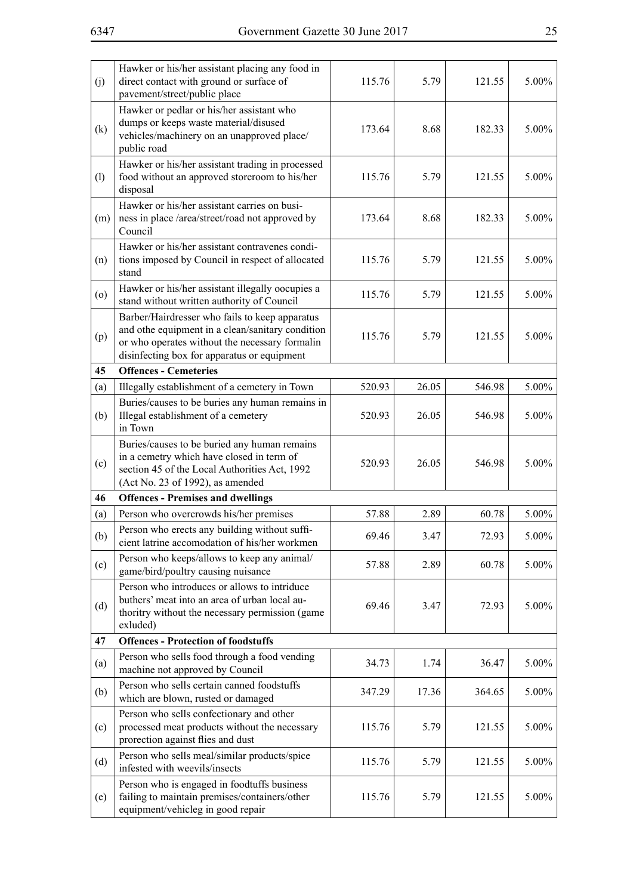| (j) | Hawker or his/her assistant placing any food in<br>direct contact with ground or surface of<br>pavement/street/public place                                                                         | 115.76 | 5.79  | 121.55 | 5.00%    |
|-----|-----------------------------------------------------------------------------------------------------------------------------------------------------------------------------------------------------|--------|-------|--------|----------|
| (k) | Hawker or pedlar or his/her assistant who<br>dumps or keeps waste material/disused<br>vehicles/machinery on an unapproved place/<br>public road                                                     | 173.64 | 8.68  | 182.33 | 5.00%    |
| (1) | Hawker or his/her assistant trading in processed<br>food without an approved storeroom to his/her<br>disposal                                                                                       | 115.76 | 5.79  | 121.55 | 5.00%    |
| (m) | Hawker or his/her assistant carries on busi-<br>ness in place /area/street/road not approved by<br>Council                                                                                          | 173.64 | 8.68  | 182.33 | 5.00%    |
| (n) | Hawker or his/her assistant contravenes condi-<br>tions imposed by Council in respect of allocated<br>stand                                                                                         | 115.76 | 5.79  | 121.55 | 5.00%    |
| (0) | Hawker or his/her assistant illegally oocupies a<br>stand without written authority of Council                                                                                                      | 115.76 | 5.79  | 121.55 | 5.00%    |
| (p) | Barber/Hairdresser who fails to keep apparatus<br>and othe equipment in a clean/sanitary condition<br>or who operates without the necessary formalin<br>disinfecting box for apparatus or equipment | 115.76 | 5.79  | 121.55 | 5.00%    |
| 45  | <b>Offences - Cemeteries</b>                                                                                                                                                                        |        |       |        |          |
| (a) | Illegally establishment of a cemetery in Town                                                                                                                                                       | 520.93 | 26.05 | 546.98 | 5.00%    |
| (b) | Buries/causes to be buries any human remains in<br>Illegal establishment of a cemetery<br>in Town                                                                                                   | 520.93 | 26.05 | 546.98 | 5.00%    |
| (c) | Buries/causes to be buried any human remains<br>in a cemetry which have closed in term of<br>section 45 of the Local Authorities Act, 1992<br>(Act No. 23 of 1992), as amended                      | 520.93 | 26.05 | 546.98 | 5.00%    |
| 46  | <b>Offences - Premises and dwellings</b>                                                                                                                                                            |        |       |        |          |
| (a) | Person who overcrowds his/her premises                                                                                                                                                              | 57.88  | 2.89  | 60.78  | $5.00\%$ |
| (b) | Person who erects any building without suffi-<br>cient latrine accomodation of his/her workmen                                                                                                      | 69.46  | 3.47  | 72.93  | 5.00%    |
| (c) | Person who keeps/allows to keep any animal/<br>game/bird/poultry causing nuisance                                                                                                                   | 57.88  | 2.89  | 60.78  | 5.00%    |
| (d) | Person who introduces or allows to intriduce<br>buthers' meat into an area of urban local au-<br>thoritry without the necessary permission (game<br>exluded)                                        | 69.46  | 3.47  | 72.93  | 5.00%    |
| 47  | <b>Offences - Protection of foodstuffs</b>                                                                                                                                                          |        |       |        |          |
| (a) | Person who sells food through a food vending<br>machine not approved by Council                                                                                                                     | 34.73  | 1.74  | 36.47  | 5.00%    |
| (b) | Person who sells certain canned foodstuffs<br>which are blown, rusted or damaged                                                                                                                    | 347.29 | 17.36 | 364.65 | 5.00%    |
| (c) | Person who sells confectionary and other<br>processed meat products without the necessary<br>prorection against flies and dust                                                                      | 115.76 | 5.79  | 121.55 | 5.00%    |
| (d) | Person who sells meal/similar products/spice<br>infested with weevils/insects                                                                                                                       | 115.76 | 5.79  | 121.55 | 5.00%    |
| (e) | Person who is engaged in foodtuffs business<br>failing to maintain premises/containers/other<br>equipment/vehicleg in good repair                                                                   | 115.76 | 5.79  | 121.55 | $5.00\%$ |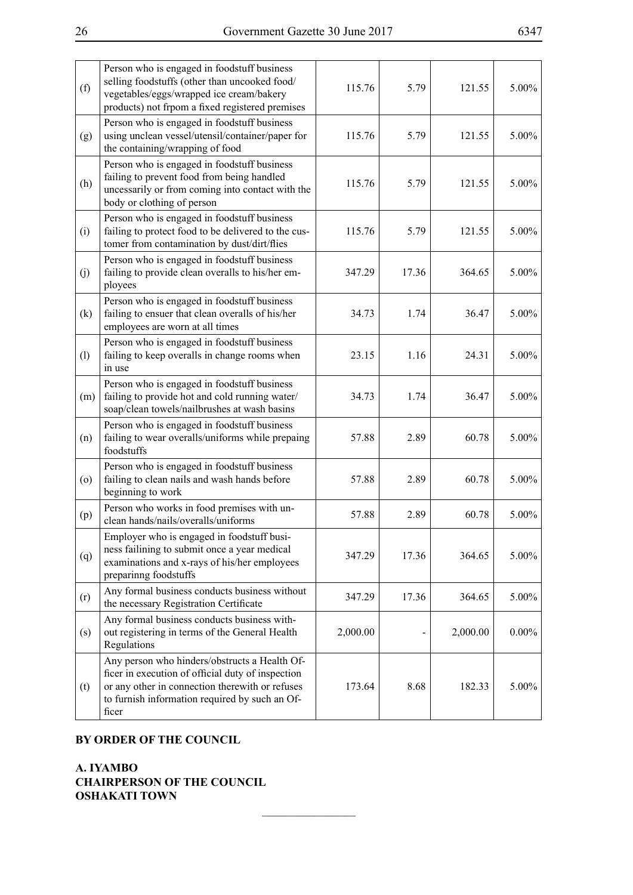| (f)     | Person who is engaged in foodstuff business<br>selling foodstuffs (other than uncooked food/<br>vegetables/eggs/wrapped ice cream/bakery<br>products) not frpom a fixed registered premises                      | 115.76   | 5.79  | 121.55   | $5.00\%$ |
|---------|------------------------------------------------------------------------------------------------------------------------------------------------------------------------------------------------------------------|----------|-------|----------|----------|
| (g)     | Person who is engaged in foodstuff business<br>using unclean vessel/utensil/container/paper for<br>the containing/wrapping of food                                                                               | 115.76   | 5.79  | 121.55   | 5.00%    |
| (h)     | Person who is engaged in foodstuff business<br>failing to prevent food from being handled<br>uncessarily or from coming into contact with the<br>body or clothing of person                                      | 115.76   | 5.79  | 121.55   | 5.00%    |
| (i)     | Person who is engaged in foodstuff business<br>failing to protect food to be delivered to the cus-<br>tomer from contamination by dust/dirt/flies                                                                | 115.76   | 5.79  | 121.55   | 5.00%    |
| (j)     | Person who is engaged in foodstuff business<br>failing to provide clean overalls to his/her em-<br>ployees                                                                                                       | 347.29   | 17.36 | 364.65   | 5.00%    |
| (k)     | Person who is engaged in foodstuff business<br>failing to ensuer that clean overalls of his/her<br>employees are worn at all times                                                                               | 34.73    | 1.74  | 36.47    | 5.00%    |
| (1)     | Person who is engaged in foodstuff business<br>failing to keep overalls in change rooms when<br>in use                                                                                                           | 23.15    | 1.16  | 24.31    | 5.00%    |
| (m)     | Person who is engaged in foodstuff business<br>failing to provide hot and cold running water/<br>soap/clean towels/nailbrushes at wash basins                                                                    | 34.73    | 1.74  | 36.47    | 5.00%    |
| (n)     | Person who is engaged in foodstuff business<br>failing to wear overalls/uniforms while prepaing<br>foodstuffs                                                                                                    | 57.88    | 2.89  | 60.78    | 5.00%    |
| $\circ$ | Person who is engaged in foodstuff business<br>failing to clean nails and wash hands before<br>beginning to work                                                                                                 | 57.88    | 2.89  | 60.78    | 5.00%    |
| (p)     | Person who works in food premises with un-<br>clean hands/nails/overalls/uniforms                                                                                                                                | 57.88    | 2.89  | 60.78    | 5.00%    |
| (q)     | Employer who is engaged in foodstuff busi-<br>ness failining to submit once a year medical<br>examinations and x-rays of his/her employees<br>preparinng foodstuffs                                              | 347.29   | 17.36 | 364.65   | 5.00%    |
| (r)     | Any formal business conducts business without<br>the necessary Registration Certificate                                                                                                                          | 347.29   | 17.36 | 364.65   | 5.00%    |
| (s)     | Any formal business conducts business with-<br>out registering in terms of the General Health<br>Regulations                                                                                                     | 2,000.00 |       | 2,000.00 | $0.00\%$ |
| (t)     | Any person who hinders/obstructs a Health Of-<br>ficer in execution of official duty of inspection<br>or any other in connection therewith or refuses<br>to furnish information required by such an Of-<br>ficer | 173.64   | 8.68  | 182.33   | 5.00%    |

 $\overline{\phantom{a}}$  , where  $\overline{\phantom{a}}$ 

# **BY ORDER OF THE COUNCIL**

**A. IYAMBO CHAIRPERSON OF THE COUNCIL OSHAKATI TOWN**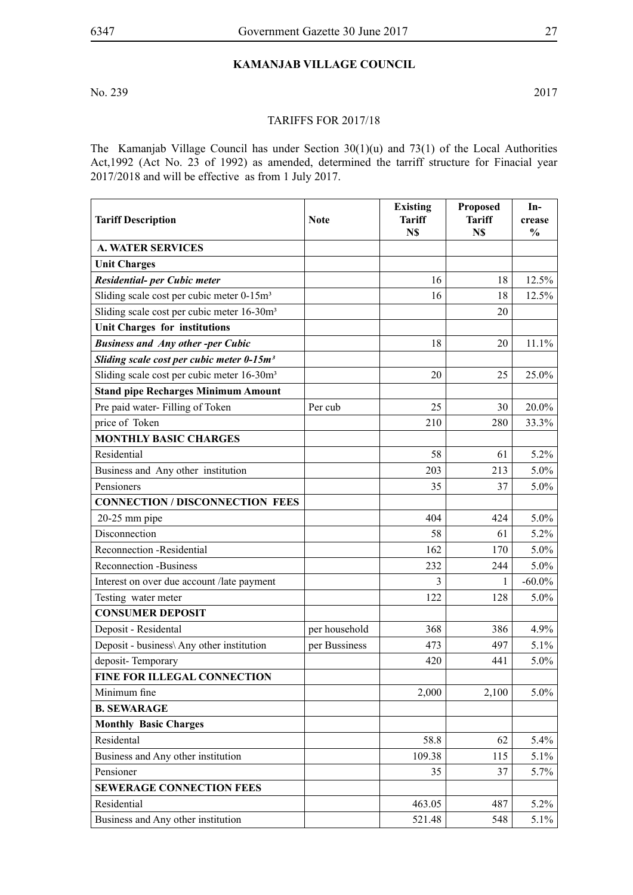# **Kamanjab Village Council**

No. 239 2017

#### Tariffs for 2017/18

The Kamanjab Village Council has under Section 30(1)(u) and 73(1) of the Local Authorities Act,1992 (Act No. 23 of 1992) as amended, determined the tarriff structure for Finacial year 2017/2018 and will be effective as from 1 July 2017.

| <b>Tariff Description</b>                              | <b>Note</b>   | <b>Existing</b><br><b>Tariff</b><br>N\$ | <b>Proposed</b><br><b>Tariff</b><br>N\$ | In-<br>crease<br>$\frac{0}{0}$ |
|--------------------------------------------------------|---------------|-----------------------------------------|-----------------------------------------|--------------------------------|
| <b>A. WATER SERVICES</b>                               |               |                                         |                                         |                                |
| <b>Unit Charges</b>                                    |               |                                         |                                         |                                |
| Residential- per Cubic meter                           |               | 16                                      | 18                                      | 12.5%                          |
| Sliding scale cost per cubic meter 0-15m <sup>3</sup>  |               | 16                                      | 18                                      | 12.5%                          |
| Sliding scale cost per cubic meter 16-30m <sup>3</sup> |               |                                         | 20                                      |                                |
| <b>Unit Charges for institutions</b>                   |               |                                         |                                         |                                |
| <b>Business and Any other-per Cubic</b>                |               | 18                                      | 20                                      | 11.1%                          |
| Sliding scale cost per cubic meter 0-15m <sup>3</sup>  |               |                                         |                                         |                                |
| Sliding scale cost per cubic meter 16-30m <sup>3</sup> |               | 20                                      | 25                                      | 25.0%                          |
| <b>Stand pipe Recharges Minimum Amount</b>             |               |                                         |                                         |                                |
| Pre paid water-Filling of Token                        | Per cub       | 25                                      | 30                                      | 20.0%                          |
| price of Token                                         |               | 210                                     | 280                                     | 33.3%                          |
| <b>MONTHLY BASIC CHARGES</b>                           |               |                                         |                                         |                                |
| Residential                                            |               | 58                                      | 61                                      | 5.2%                           |
| Business and Any other institution                     |               | 203                                     | 213                                     | $5.0\%$                        |
| Pensioners                                             |               | 35                                      | 37                                      | $5.0\%$                        |
| <b>CONNECTION/DISCONNECTION FEES</b>                   |               |                                         |                                         |                                |
| $20-25$ mm pipe                                        |               | 404                                     | 424                                     | 5.0%                           |
| Disconnection                                          |               | 58                                      | 61                                      | 5.2%                           |
| Reconnection -Residential                              |               | 162                                     | 170                                     | 5.0%                           |
| <b>Reconnection -Business</b>                          |               | 232                                     | 244                                     | 5.0%                           |
| Interest on over due account /late payment             |               | 3                                       | 1                                       | $-60.0\%$                      |
| Testing water meter                                    |               | 122                                     | 128                                     | 5.0%                           |
| <b>CONSUMER DEPOSIT</b>                                |               |                                         |                                         |                                |
| Deposit - Residental                                   | per household | 368                                     | 386                                     | 4.9%                           |
| Deposit - business\ Any other institution              | per Bussiness | 473                                     | 497                                     | 5.1%                           |
| deposit-Temporary                                      |               | 420                                     | 441                                     | 5.0%                           |
| <b>FINE FOR ILLEGAL CONNECTION</b>                     |               |                                         |                                         |                                |
| Minimum fine                                           |               | 2,000                                   | 2,100                                   | $5.0\%$                        |
| <b>B. SEWARAGE</b>                                     |               |                                         |                                         |                                |
| <b>Monthly Basic Charges</b>                           |               |                                         |                                         |                                |
| Residental                                             |               | 58.8                                    | 62                                      | 5.4%                           |
| Business and Any other institution                     |               | 109.38                                  | 115                                     | 5.1%                           |
| Pensioner                                              |               | 35                                      | 37                                      | $5.7\%$                        |
| <b>SEWERAGE CONNECTION FEES</b>                        |               |                                         |                                         |                                |
| Residential                                            |               | 463.05                                  | 487                                     | $5.2\%$                        |
| Business and Any other institution                     |               | 521.48                                  | 548                                     | 5.1%                           |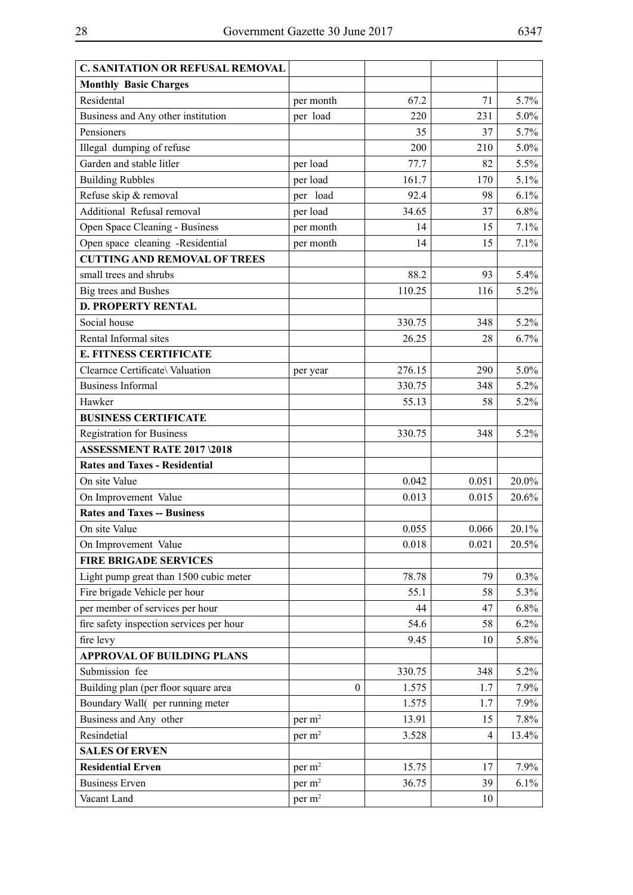| <b>C. SANITATION OR REFUSAL REMOVAL</b>  |                    |        |       |         |
|------------------------------------------|--------------------|--------|-------|---------|
| <b>Monthly Basic Charges</b>             |                    |        |       |         |
| Residental                               | per month          | 67.2   | 71    | 5.7%    |
| Business and Any other institution       | per load           | 220    | 231   | $5.0\%$ |
| Pensioners                               |                    | 35     | 37    | 5.7%    |
| Illegal dumping of refuse                |                    | 200    | 210   | $5.0\%$ |
| Garden and stable litler                 | per load           | 77.7   | 82    | 5.5%    |
| <b>Building Rubbles</b>                  | per load           | 161.7  | 170   | 5.1%    |
| Refuse skip & removal                    | per load           | 92.4   | 98    | 6.1%    |
| Additional Refusal removal               | per load           | 34.65  | 37    | 6.8%    |
| Open Space Cleaning - Business           | per month          | 14     | 15    | 7.1%    |
| Open space cleaning -Residential         | per month          | 14     | 15    | 7.1%    |
| <b>CUTTING AND REMOVAL OF TREES</b>      |                    |        |       |         |
| small trees and shrubs                   |                    | 88.2   | 93    | 5.4%    |
| Big trees and Bushes                     |                    | 110.25 | 116   | 5.2%    |
| <b>D. PROPERTY RENTAL</b>                |                    |        |       |         |
| Social house                             |                    | 330.75 | 348   | $5.2\%$ |
| Rental Informal sites                    |                    | 26.25  | 28    | 6.7%    |
| <b>E. FITNESS CERTIFICATE</b>            |                    |        |       |         |
| Clearnce Certificate\ Valuation          | per year           | 276.15 | 290   | $5.0\%$ |
| <b>Business Informal</b>                 |                    | 330.75 | 348   | 5.2%    |
| Hawker                                   |                    | 55.13  | 58    | 5.2%    |
| <b>BUSINESS CERTIFICATE</b>              |                    |        |       |         |
| <b>Registration for Business</b>         |                    | 330.75 | 348   | 5.2%    |
| <b>ASSESSMENT RATE 2017 \2018</b>        |                    |        |       |         |
| <b>Rates and Taxes - Residential</b>     |                    |        |       |         |
| On site Value                            |                    | 0.042  | 0.051 | 20.0%   |
| On Improvement Value                     |                    | 0.013  | 0.015 | 20.6%   |
| <b>Rates and Taxes -- Business</b>       |                    |        |       |         |
| On site Value                            |                    | 0.055  | 0.066 | 20.1%   |
| On Improvement Value                     |                    | 0.018  | 0.021 | 20.5%   |
| <b>FIRE BRIGADE SERVICES</b>             |                    |        |       |         |
| Light pump great than 1500 cubic meter   |                    | 78.78  | 79    | $0.3\%$ |
| Fire brigade Vehicle per hour            |                    | 55.1   | 58    | 5.3%    |
| per member of services per hour          |                    | 44     | 47    | $6.8\%$ |
| fire safety inspection services per hour |                    | 54.6   | 58    | 6.2%    |
| fire levy                                |                    | 9.45   | 10    | 5.8%    |
| <b>APPROVAL OF BUILDING PLANS</b>        |                    |        |       |         |
| Submission fee                           |                    | 330.75 | 348   | 5.2%    |
| Building plan (per floor square area     | $\boldsymbol{0}$   | 1.575  | 1.7   | 7.9%    |
| Boundary Wall(per running meter          |                    | 1.575  | 1.7   | 7.9%    |
| Business and Any other                   | per m <sup>2</sup> | 13.91  | 15    | 7.8%    |
| Resindetial                              | per m <sup>2</sup> | 3.528  | 4     | 13.4%   |
| <b>SALES Of ERVEN</b>                    |                    |        |       |         |
| <b>Residential Erven</b>                 | per m <sup>2</sup> | 15.75  | 17    | 7.9%    |
| <b>Business Erven</b>                    | per m <sup>2</sup> | 36.75  | 39    | 6.1%    |
| Vacant Land                              | per m <sup>2</sup> |        | 10    |         |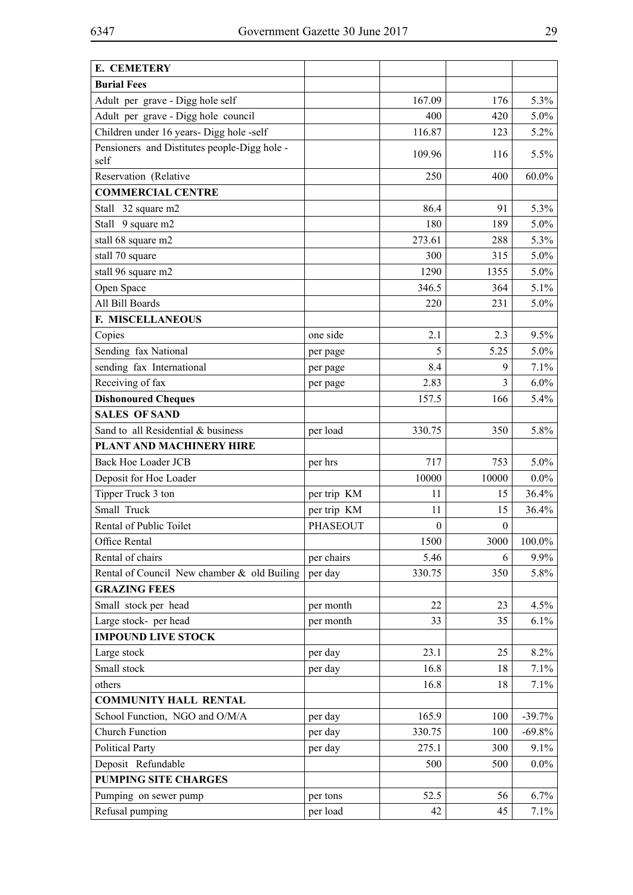| E. CEMETERY                                          |                                |                        |                  |          |
|------------------------------------------------------|--------------------------------|------------------------|------------------|----------|
| <b>Burial Fees</b>                                   |                                |                        |                  |          |
| Adult per grave - Digg hole self                     |                                | 167.09                 | 176              | 5.3%     |
| Adult per grave - Digg hole council                  |                                | 400                    | 420              | 5.0%     |
| Children under 16 years- Digg hole -self             |                                | 116.87                 | 123              | 5.2%     |
| Pensioners and Distitutes people-Digg hole -<br>self |                                | 109.96                 | 116              | 5.5%     |
| Reservation (Relative                                |                                | 250                    | 400              | $60.0\%$ |
| <b>COMMERCIAL CENTRE</b>                             |                                |                        |                  |          |
| Stall 32 square m2                                   |                                | 86.4                   | 91               | 5.3%     |
| Stall 9 square m2                                    |                                | 180                    | 189              | 5.0%     |
| stall 68 square m2                                   |                                | 273.61                 | 288              | 5.3%     |
| stall 70 square                                      |                                | 300                    | 315              | 5.0%     |
| stall 96 square m2                                   |                                | 1290                   | 1355             | 5.0%     |
| Open Space                                           |                                | 346.5                  | 364              | 5.1%     |
| All Bill Boards                                      |                                | 220                    | 231              | 5.0%     |
| F. MISCELLANEOUS                                     |                                |                        |                  |          |
| Copies                                               | one side                       | 2.1                    | 2.3              | 9.5%     |
| Sending fax National                                 | per page                       | 5                      | 5.25             | 5.0%     |
| sending fax International                            | per page                       | 8.4                    | 9                | 7.1%     |
| Receiving of fax                                     |                                | 2.83                   | 3                | $6.0\%$  |
| <b>Dishonoured Cheques</b>                           | per page                       | 157.5                  | 166              | 5.4%     |
| <b>SALES OF SAND</b>                                 |                                |                        |                  |          |
| Sand to all Residential & business                   | per load                       | 330.75                 | 350              | 5.8%     |
| PLANT AND MACHINERY HIRE                             |                                |                        |                  |          |
| <b>Back Hoe Loader JCB</b>                           | per hrs                        | 717                    | 753              | 5.0%     |
| Deposit for Hoe Loader                               |                                | 10000                  | 10000            | $0.0\%$  |
| Tipper Truck 3 ton                                   | per trip KM                    | 11                     | 15               | 36.4%    |
| Small Truck                                          |                                |                        | 15               |          |
| Rental of Public Toilet                              | per trip KM<br><b>PHASEOUT</b> | 11<br>$\boldsymbol{0}$ | $\boldsymbol{0}$ | 36.4%    |
| Office Rental                                        |                                | 1500                   |                  |          |
|                                                      |                                |                        | 3000             | 100.0%   |
| Rental of chairs                                     | per chairs                     | 5.46                   | 6                | 9.9%     |
| Rental of Council New chamber & old Builing          | per day                        | 330.75                 | 350              | 5.8%     |
| <b>GRAZING FEES</b>                                  |                                |                        |                  |          |
| Small stock per head                                 | per month                      | 22                     | 23               | 4.5%     |
| Large stock- per head<br><b>IMPOUND LIVE STOCK</b>   | per month                      | 33                     | 35               | 6.1%     |
|                                                      |                                |                        |                  |          |
| Large stock                                          | per day                        | 23.1                   | 25               | 8.2%     |
| Small stock                                          | per day                        | 16.8                   | 18               | 7.1%     |
| others                                               |                                | 16.8                   | 18               | 7.1%     |
| <b>COMMUNITY HALL RENTAL</b>                         |                                |                        |                  |          |
| School Function, NGO and O/M/A                       | per day                        | 165.9                  | 100              | $-39.7%$ |
| <b>Church Function</b>                               | per day                        | 330.75                 | 100              | $-69.8%$ |
| <b>Political Party</b>                               | per day                        | 275.1                  | 300              | 9.1%     |
| Deposit Refundable                                   |                                | 500                    | 500              | $0.0\%$  |
| <b>PUMPING SITE CHARGES</b>                          |                                |                        |                  |          |
| Pumping on sewer pump                                | per tons                       | 52.5                   | 56               | 6.7%     |
| Refusal pumping                                      | per load                       | 42                     | 45               | 7.1%     |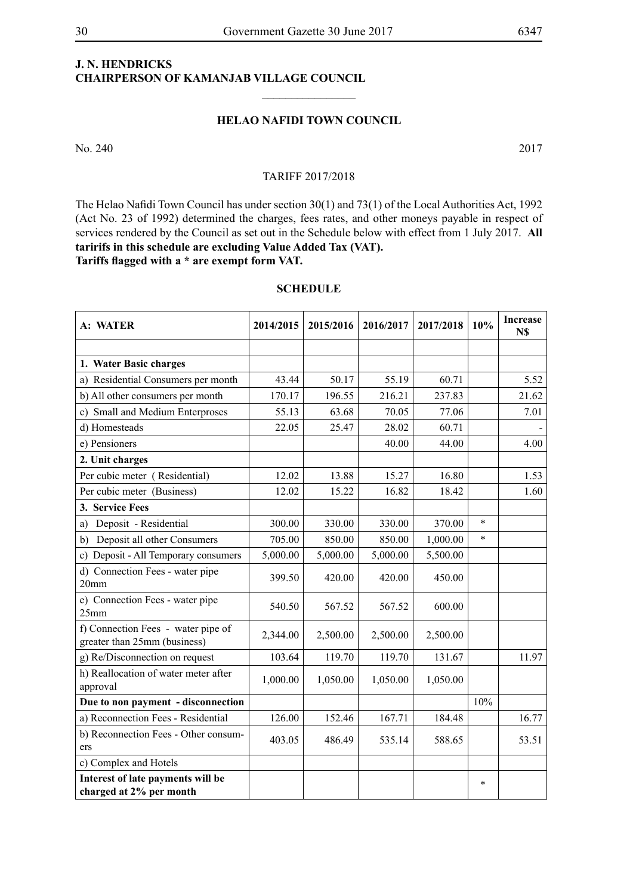# **J. N. HENDRICKS CHAIRPERSON OF KAMANJAB VILLAGE COUNCIL**

#### **HELAO NAFIDI TOWN COUNCIL**

 $\frac{1}{2}$ 

No. 240 2017

#### TARIFF 2017/2018

The Helao Nafidi Town Council has under section 30(1) and 73(1) of the Local Authorities Act, 1992 (Act No. 23 of 1992) determined the charges, fees rates, and other moneys payable in respect of services rendered by the Council as set out in the Schedule below with effect from 1 July 2017. **All taririfs in this schedule are excluding Value Added Tax (VAT). Tariffs flagged with a \* are exempt form VAT.**

| A: WATER                                                           | 2014/2015 | 2015/2016 | 2016/2017 | 2017/2018 | 10%     | <b>Increase</b><br>N\$ |
|--------------------------------------------------------------------|-----------|-----------|-----------|-----------|---------|------------------------|
| 1. Water Basic charges                                             |           |           |           |           |         |                        |
| a) Residential Consumers per month                                 | 43.44     | 50.17     | 55.19     | 60.71     |         | 5.52                   |
| b) All other consumers per month                                   | 170.17    | 196.55    | 216.21    | 237.83    |         | 21.62                  |
| c) Small and Medium Enterproses                                    | 55.13     | 63.68     | 70.05     | 77.06     |         | 7.01                   |
| d) Homesteads                                                      | 22.05     | 25.47     | 28.02     | 60.71     |         |                        |
| e) Pensioners                                                      |           |           | 40.00     | 44.00     |         | 4.00                   |
| 2. Unit charges                                                    |           |           |           |           |         |                        |
| Per cubic meter (Residential)                                      | 12.02     | 13.88     | 15.27     | 16.80     |         | 1.53                   |
| Per cubic meter (Business)                                         | 12.02     | 15.22     | 16.82     | 18.42     |         | 1.60                   |
| 3. Service Fees                                                    |           |           |           |           |         |                        |
| Deposit - Residential<br>a)                                        | 300.00    | 330.00    | 330.00    | 370.00    | $\star$ |                        |
| Deposit all other Consumers<br>b)                                  | 705.00    | 850.00    | 850.00    | 1,000.00  | $\ast$  |                        |
| c) Deposit - All Temporary consumers                               | 5,000.00  | 5,000.00  | 5,000.00  | 5,500.00  |         |                        |
| d) Connection Fees - water pipe<br>20 <sub>mm</sub>                | 399.50    | 420.00    | 420.00    | 450.00    |         |                        |
| e) Connection Fees - water pipe<br>25mm                            | 540.50    | 567.52    | 567.52    | 600.00    |         |                        |
| f) Connection Fees - water pipe of<br>greater than 25mm (business) | 2,344.00  | 2,500.00  | 2,500.00  | 2,500.00  |         |                        |
| g) Re/Disconnection on request                                     | 103.64    | 119.70    | 119.70    | 131.67    |         | 11.97                  |
| h) Reallocation of water meter after<br>approval                   | 1,000.00  | 1,050.00  | 1,050.00  | 1,050.00  |         |                        |
| Due to non payment - disconnection                                 |           |           |           |           | 10%     |                        |
| a) Reconnection Fees - Residential                                 | 126.00    | 152.46    | 167.71    | 184.48    |         | 16.77                  |
| b) Reconnection Fees - Other consum-<br>ers                        | 403.05    | 486.49    | 535.14    | 588.65    |         | 53.51                  |
| c) Complex and Hotels                                              |           |           |           |           |         |                        |
| Interest of late payments will be<br>charged at 2% per month       |           |           |           |           | $\ast$  |                        |

#### **SCHEDULE**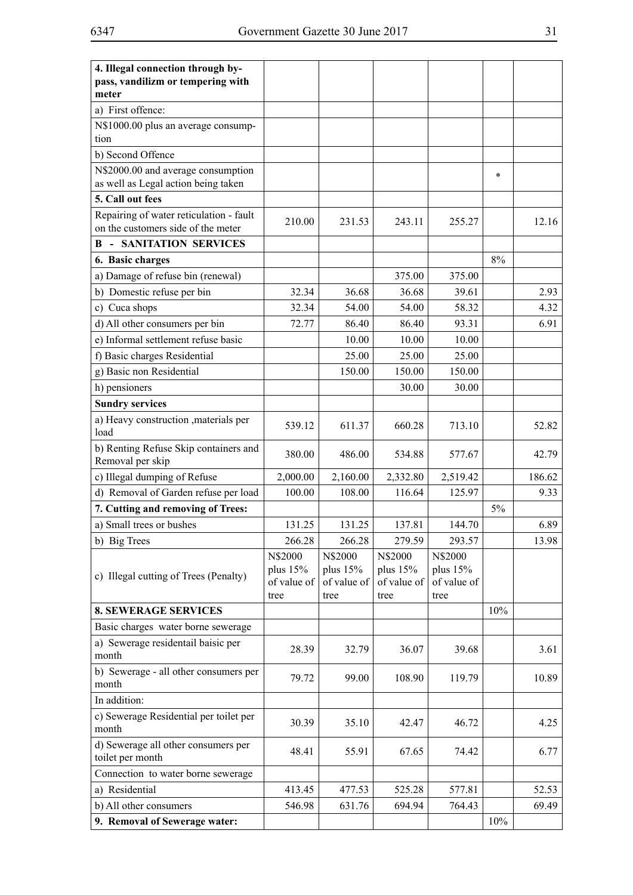| 4. Illegal connection through by-<br>pass, vandilizm or tempering with        |                                              |                                            |                                            |                                              |       |        |
|-------------------------------------------------------------------------------|----------------------------------------------|--------------------------------------------|--------------------------------------------|----------------------------------------------|-------|--------|
| meter                                                                         |                                              |                                            |                                            |                                              |       |        |
| a) First offence:                                                             |                                              |                                            |                                            |                                              |       |        |
| N\$1000.00 plus an average consump-                                           |                                              |                                            |                                            |                                              |       |        |
| tion                                                                          |                                              |                                            |                                            |                                              |       |        |
| b) Second Offence                                                             |                                              |                                            |                                            |                                              |       |        |
| N\$2000.00 and average consumption<br>as well as Legal action being taken     |                                              |                                            |                                            |                                              | *     |        |
| 5. Call out fees                                                              |                                              |                                            |                                            |                                              |       |        |
| Repairing of water reticulation - fault<br>on the customers side of the meter | 210.00                                       | 231.53                                     | 243.11                                     | 255.27                                       |       | 12.16  |
| <b>SANITATION SERVICES</b><br>B<br>$\overline{\phantom{a}}$                   |                                              |                                            |                                            |                                              |       |        |
| 6. Basic charges                                                              |                                              |                                            |                                            |                                              | 8%    |        |
| a) Damage of refuse bin (renewal)                                             |                                              |                                            | 375.00                                     | 375.00                                       |       |        |
| b) Domestic refuse per bin                                                    | 32.34                                        | 36.68                                      | 36.68                                      | 39.61                                        |       | 2.93   |
| c) Cuca shops                                                                 | 32.34                                        | 54.00                                      | 54.00                                      | 58.32                                        |       | 4.32   |
| d) All other consumers per bin                                                | 72.77                                        | 86.40                                      | 86.40                                      | 93.31                                        |       | 6.91   |
| e) Informal settlement refuse basic                                           |                                              | 10.00                                      | 10.00                                      | 10.00                                        |       |        |
| f) Basic charges Residential                                                  |                                              | 25.00                                      | 25.00                                      | 25.00                                        |       |        |
| g) Basic non Residential                                                      |                                              | 150.00                                     | 150.00                                     | 150.00                                       |       |        |
| h) pensioners                                                                 |                                              |                                            | 30.00                                      | 30.00                                        |       |        |
| <b>Sundry services</b>                                                        |                                              |                                            |                                            |                                              |       |        |
| a) Heavy construction , materials per<br>load                                 | 539.12                                       | 611.37                                     | 660.28                                     | 713.10                                       |       | 52.82  |
| b) Renting Refuse Skip containers and<br>Removal per skip                     | 380.00                                       | 486.00                                     | 534.88                                     | 577.67                                       |       | 42.79  |
| c) Illegal dumping of Refuse                                                  | 2,000.00                                     | 2,160.00                                   | 2,332.80                                   | 2,519.42                                     |       | 186.62 |
| d) Removal of Garden refuse per load                                          | 100.00                                       | 108.00                                     | 116.64                                     | 125.97                                       |       | 9.33   |
| 7. Cutting and removing of Trees:                                             |                                              |                                            |                                            |                                              | $5\%$ |        |
| a) Small trees or bushes                                                      | 131.25                                       | 131.25                                     | 137.81                                     | 144.70                                       |       | 6.89   |
| b) Big Trees                                                                  | 266.28                                       | 266.28                                     | 279.59                                     | 293.57                                       |       | 13.98  |
| c) Illegal cutting of Trees (Penalty)                                         | N\$2000<br>plus $15%$<br>of value of<br>tree | N\$2000<br>plus 15%<br>of value of<br>tree | N\$2000<br>plus 15%<br>of value of<br>tree | N\$2000<br>plus $15%$<br>of value of<br>tree |       |        |
| <b>8. SEWERAGE SERVICES</b>                                                   |                                              |                                            |                                            |                                              | 10%   |        |
| Basic charges water borne sewerage                                            |                                              |                                            |                                            |                                              |       |        |
| a) Sewerage residentail baisic per<br>month                                   | 28.39                                        | 32.79                                      | 36.07                                      | 39.68                                        |       | 3.61   |
| b) Sewerage - all other consumers per<br>month                                | 79.72                                        | 99.00                                      | 108.90                                     | 119.79                                       |       | 10.89  |
| In addition:                                                                  |                                              |                                            |                                            |                                              |       |        |
| c) Sewerage Residential per toilet per<br>month                               | 30.39                                        | 35.10                                      | 42.47                                      | 46.72                                        |       | 4.25   |
| d) Sewerage all other consumers per<br>toilet per month                       | 48.41                                        | 55.91                                      | 67.65                                      | 74.42                                        |       | 6.77   |
| Connection to water borne sewerage                                            |                                              |                                            |                                            |                                              |       |        |
| a) Residential                                                                | 413.45                                       | 477.53                                     | 525.28                                     | 577.81                                       |       | 52.53  |
| b) All other consumers                                                        | 546.98                                       | 631.76                                     | 694.94                                     | 764.43                                       |       | 69.49  |
| 9. Removal of Sewerage water:                                                 |                                              |                                            |                                            |                                              | 10%   |        |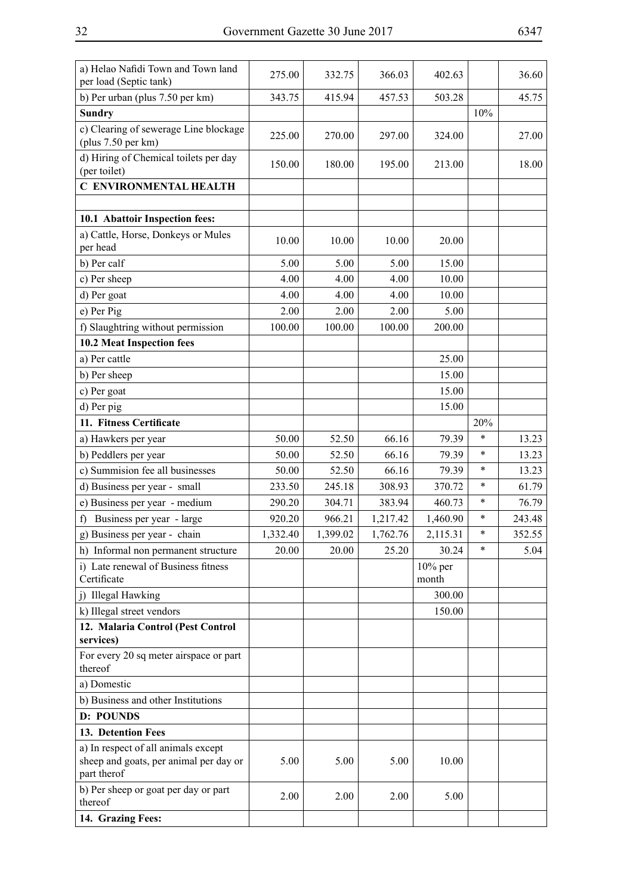| ۰,<br>I |
|---------|
|---------|

| b) Per urban (plus 7.50 per km)<br>415.94<br>343.75<br>457.53<br>503.28<br>45.75<br><b>Sundry</b><br>10%<br>c) Clearing of sewerage Line blockage<br>225.00<br>297.00<br>324.00<br>270.00<br>27.00<br>(plus $7.50$ per km)<br>d) Hiring of Chemical toilets per day<br>18.00<br>150.00<br>180.00<br>195.00<br>213.00<br>(per toilet)<br>C ENVIRONMENTAL HEALTH<br>10.1 Abattoir Inspection fees:<br>a) Cattle, Horse, Donkeys or Mules<br>10.00<br>10.00<br>10.00<br>20.00<br>per head<br>b) Per calf<br>5.00<br>5.00<br>5.00<br>15.00<br>c) Per sheep<br>4.00<br>4.00<br>4.00<br>10.00<br>4.00<br>4.00<br>4.00<br>10.00<br>d) Per goat<br>e) Per Pig<br>2.00<br>2.00<br>2.00<br>5.00<br>f) Slaughtring without permission<br>100.00<br>100.00<br>100.00<br>200.00<br><b>10.2 Meat Inspection fees</b><br>a) Per cattle<br>25.00<br>15.00<br>b) Per sheep<br>c) Per goat<br>15.00<br>d) Per pig<br>15.00<br>11. Fitness Certificate<br>20%<br>a) Hawkers per year<br>66.16<br>79.39<br>$\ast$<br>13.23<br>50.00<br>52.50<br>b) Peddlers per year<br>$\star$<br>13.23<br>50.00<br>52.50<br>66.16<br>79.39<br>c) Summision fee all businesses<br>52.50<br>66.16<br>79.39<br>$\ast$<br>13.23<br>50.00<br>d) Business per year - small<br>$\ast$<br>233.50<br>245.18<br>308.93<br>370.72<br>61.79<br>e) Business per year - medium<br>383.94<br>460.73<br>$\ast$<br>76.79<br>290.20<br>304.71<br>$\ast$<br>243.48<br>Business per year - large<br>920.20<br>966.21<br>1,217.42<br>f<br>1,460.90<br>1,399.02<br>$\ast$<br>352.55<br>g) Business per year - chain<br>1,332.40<br>1,762.76<br>2,115.31<br>$\ast$<br>h) Informal non permanent structure<br>20.00<br>20.00<br>25.20<br>30.24<br>5.04<br>i) Late renewal of Business fitness<br>$10\%$ per<br>Certificate<br>month<br>j) Illegal Hawking<br>300.00<br>k) Illegal street vendors<br>150.00<br>12. Malaria Control (Pest Control<br>services)<br>For every 20 sq meter airspace or part<br>thereof<br>a) Domestic | a) Helao Nafidi Town and Town land<br>per load (Septic tank) | 275.00 | 332.75 | 366.03 | 402.63 | 36.60 |
|------------------------------------------------------------------------------------------------------------------------------------------------------------------------------------------------------------------------------------------------------------------------------------------------------------------------------------------------------------------------------------------------------------------------------------------------------------------------------------------------------------------------------------------------------------------------------------------------------------------------------------------------------------------------------------------------------------------------------------------------------------------------------------------------------------------------------------------------------------------------------------------------------------------------------------------------------------------------------------------------------------------------------------------------------------------------------------------------------------------------------------------------------------------------------------------------------------------------------------------------------------------------------------------------------------------------------------------------------------------------------------------------------------------------------------------------------------------------------------------------------------------------------------------------------------------------------------------------------------------------------------------------------------------------------------------------------------------------------------------------------------------------------------------------------------------------------------------------------------------------------------------------------------------------------------------------------------------------|--------------------------------------------------------------|--------|--------|--------|--------|-------|
|                                                                                                                                                                                                                                                                                                                                                                                                                                                                                                                                                                                                                                                                                                                                                                                                                                                                                                                                                                                                                                                                                                                                                                                                                                                                                                                                                                                                                                                                                                                                                                                                                                                                                                                                                                                                                                                                                                                                                                        |                                                              |        |        |        |        |       |
|                                                                                                                                                                                                                                                                                                                                                                                                                                                                                                                                                                                                                                                                                                                                                                                                                                                                                                                                                                                                                                                                                                                                                                                                                                                                                                                                                                                                                                                                                                                                                                                                                                                                                                                                                                                                                                                                                                                                                                        |                                                              |        |        |        |        |       |
|                                                                                                                                                                                                                                                                                                                                                                                                                                                                                                                                                                                                                                                                                                                                                                                                                                                                                                                                                                                                                                                                                                                                                                                                                                                                                                                                                                                                                                                                                                                                                                                                                                                                                                                                                                                                                                                                                                                                                                        |                                                              |        |        |        |        |       |
|                                                                                                                                                                                                                                                                                                                                                                                                                                                                                                                                                                                                                                                                                                                                                                                                                                                                                                                                                                                                                                                                                                                                                                                                                                                                                                                                                                                                                                                                                                                                                                                                                                                                                                                                                                                                                                                                                                                                                                        |                                                              |        |        |        |        |       |
|                                                                                                                                                                                                                                                                                                                                                                                                                                                                                                                                                                                                                                                                                                                                                                                                                                                                                                                                                                                                                                                                                                                                                                                                                                                                                                                                                                                                                                                                                                                                                                                                                                                                                                                                                                                                                                                                                                                                                                        |                                                              |        |        |        |        |       |
|                                                                                                                                                                                                                                                                                                                                                                                                                                                                                                                                                                                                                                                                                                                                                                                                                                                                                                                                                                                                                                                                                                                                                                                                                                                                                                                                                                                                                                                                                                                                                                                                                                                                                                                                                                                                                                                                                                                                                                        |                                                              |        |        |        |        |       |
|                                                                                                                                                                                                                                                                                                                                                                                                                                                                                                                                                                                                                                                                                                                                                                                                                                                                                                                                                                                                                                                                                                                                                                                                                                                                                                                                                                                                                                                                                                                                                                                                                                                                                                                                                                                                                                                                                                                                                                        |                                                              |        |        |        |        |       |
|                                                                                                                                                                                                                                                                                                                                                                                                                                                                                                                                                                                                                                                                                                                                                                                                                                                                                                                                                                                                                                                                                                                                                                                                                                                                                                                                                                                                                                                                                                                                                                                                                                                                                                                                                                                                                                                                                                                                                                        |                                                              |        |        |        |        |       |
|                                                                                                                                                                                                                                                                                                                                                                                                                                                                                                                                                                                                                                                                                                                                                                                                                                                                                                                                                                                                                                                                                                                                                                                                                                                                                                                                                                                                                                                                                                                                                                                                                                                                                                                                                                                                                                                                                                                                                                        |                                                              |        |        |        |        |       |
|                                                                                                                                                                                                                                                                                                                                                                                                                                                                                                                                                                                                                                                                                                                                                                                                                                                                                                                                                                                                                                                                                                                                                                                                                                                                                                                                                                                                                                                                                                                                                                                                                                                                                                                                                                                                                                                                                                                                                                        |                                                              |        |        |        |        |       |
|                                                                                                                                                                                                                                                                                                                                                                                                                                                                                                                                                                                                                                                                                                                                                                                                                                                                                                                                                                                                                                                                                                                                                                                                                                                                                                                                                                                                                                                                                                                                                                                                                                                                                                                                                                                                                                                                                                                                                                        |                                                              |        |        |        |        |       |
|                                                                                                                                                                                                                                                                                                                                                                                                                                                                                                                                                                                                                                                                                                                                                                                                                                                                                                                                                                                                                                                                                                                                                                                                                                                                                                                                                                                                                                                                                                                                                                                                                                                                                                                                                                                                                                                                                                                                                                        |                                                              |        |        |        |        |       |
|                                                                                                                                                                                                                                                                                                                                                                                                                                                                                                                                                                                                                                                                                                                                                                                                                                                                                                                                                                                                                                                                                                                                                                                                                                                                                                                                                                                                                                                                                                                                                                                                                                                                                                                                                                                                                                                                                                                                                                        |                                                              |        |        |        |        |       |
|                                                                                                                                                                                                                                                                                                                                                                                                                                                                                                                                                                                                                                                                                                                                                                                                                                                                                                                                                                                                                                                                                                                                                                                                                                                                                                                                                                                                                                                                                                                                                                                                                                                                                                                                                                                                                                                                                                                                                                        |                                                              |        |        |        |        |       |
|                                                                                                                                                                                                                                                                                                                                                                                                                                                                                                                                                                                                                                                                                                                                                                                                                                                                                                                                                                                                                                                                                                                                                                                                                                                                                                                                                                                                                                                                                                                                                                                                                                                                                                                                                                                                                                                                                                                                                                        |                                                              |        |        |        |        |       |
|                                                                                                                                                                                                                                                                                                                                                                                                                                                                                                                                                                                                                                                                                                                                                                                                                                                                                                                                                                                                                                                                                                                                                                                                                                                                                                                                                                                                                                                                                                                                                                                                                                                                                                                                                                                                                                                                                                                                                                        |                                                              |        |        |        |        |       |
|                                                                                                                                                                                                                                                                                                                                                                                                                                                                                                                                                                                                                                                                                                                                                                                                                                                                                                                                                                                                                                                                                                                                                                                                                                                                                                                                                                                                                                                                                                                                                                                                                                                                                                                                                                                                                                                                                                                                                                        |                                                              |        |        |        |        |       |
|                                                                                                                                                                                                                                                                                                                                                                                                                                                                                                                                                                                                                                                                                                                                                                                                                                                                                                                                                                                                                                                                                                                                                                                                                                                                                                                                                                                                                                                                                                                                                                                                                                                                                                                                                                                                                                                                                                                                                                        |                                                              |        |        |        |        |       |
|                                                                                                                                                                                                                                                                                                                                                                                                                                                                                                                                                                                                                                                                                                                                                                                                                                                                                                                                                                                                                                                                                                                                                                                                                                                                                                                                                                                                                                                                                                                                                                                                                                                                                                                                                                                                                                                                                                                                                                        |                                                              |        |        |        |        |       |
|                                                                                                                                                                                                                                                                                                                                                                                                                                                                                                                                                                                                                                                                                                                                                                                                                                                                                                                                                                                                                                                                                                                                                                                                                                                                                                                                                                                                                                                                                                                                                                                                                                                                                                                                                                                                                                                                                                                                                                        |                                                              |        |        |        |        |       |
|                                                                                                                                                                                                                                                                                                                                                                                                                                                                                                                                                                                                                                                                                                                                                                                                                                                                                                                                                                                                                                                                                                                                                                                                                                                                                                                                                                                                                                                                                                                                                                                                                                                                                                                                                                                                                                                                                                                                                                        |                                                              |        |        |        |        |       |
|                                                                                                                                                                                                                                                                                                                                                                                                                                                                                                                                                                                                                                                                                                                                                                                                                                                                                                                                                                                                                                                                                                                                                                                                                                                                                                                                                                                                                                                                                                                                                                                                                                                                                                                                                                                                                                                                                                                                                                        |                                                              |        |        |        |        |       |
|                                                                                                                                                                                                                                                                                                                                                                                                                                                                                                                                                                                                                                                                                                                                                                                                                                                                                                                                                                                                                                                                                                                                                                                                                                                                                                                                                                                                                                                                                                                                                                                                                                                                                                                                                                                                                                                                                                                                                                        |                                                              |        |        |        |        |       |
|                                                                                                                                                                                                                                                                                                                                                                                                                                                                                                                                                                                                                                                                                                                                                                                                                                                                                                                                                                                                                                                                                                                                                                                                                                                                                                                                                                                                                                                                                                                                                                                                                                                                                                                                                                                                                                                                                                                                                                        |                                                              |        |        |        |        |       |
|                                                                                                                                                                                                                                                                                                                                                                                                                                                                                                                                                                                                                                                                                                                                                                                                                                                                                                                                                                                                                                                                                                                                                                                                                                                                                                                                                                                                                                                                                                                                                                                                                                                                                                                                                                                                                                                                                                                                                                        |                                                              |        |        |        |        |       |
|                                                                                                                                                                                                                                                                                                                                                                                                                                                                                                                                                                                                                                                                                                                                                                                                                                                                                                                                                                                                                                                                                                                                                                                                                                                                                                                                                                                                                                                                                                                                                                                                                                                                                                                                                                                                                                                                                                                                                                        |                                                              |        |        |        |        |       |
|                                                                                                                                                                                                                                                                                                                                                                                                                                                                                                                                                                                                                                                                                                                                                                                                                                                                                                                                                                                                                                                                                                                                                                                                                                                                                                                                                                                                                                                                                                                                                                                                                                                                                                                                                                                                                                                                                                                                                                        |                                                              |        |        |        |        |       |
|                                                                                                                                                                                                                                                                                                                                                                                                                                                                                                                                                                                                                                                                                                                                                                                                                                                                                                                                                                                                                                                                                                                                                                                                                                                                                                                                                                                                                                                                                                                                                                                                                                                                                                                                                                                                                                                                                                                                                                        |                                                              |        |        |        |        |       |
|                                                                                                                                                                                                                                                                                                                                                                                                                                                                                                                                                                                                                                                                                                                                                                                                                                                                                                                                                                                                                                                                                                                                                                                                                                                                                                                                                                                                                                                                                                                                                                                                                                                                                                                                                                                                                                                                                                                                                                        |                                                              |        |        |        |        |       |
|                                                                                                                                                                                                                                                                                                                                                                                                                                                                                                                                                                                                                                                                                                                                                                                                                                                                                                                                                                                                                                                                                                                                                                                                                                                                                                                                                                                                                                                                                                                                                                                                                                                                                                                                                                                                                                                                                                                                                                        |                                                              |        |        |        |        |       |
|                                                                                                                                                                                                                                                                                                                                                                                                                                                                                                                                                                                                                                                                                                                                                                                                                                                                                                                                                                                                                                                                                                                                                                                                                                                                                                                                                                                                                                                                                                                                                                                                                                                                                                                                                                                                                                                                                                                                                                        |                                                              |        |        |        |        |       |
|                                                                                                                                                                                                                                                                                                                                                                                                                                                                                                                                                                                                                                                                                                                                                                                                                                                                                                                                                                                                                                                                                                                                                                                                                                                                                                                                                                                                                                                                                                                                                                                                                                                                                                                                                                                                                                                                                                                                                                        |                                                              |        |        |        |        |       |
|                                                                                                                                                                                                                                                                                                                                                                                                                                                                                                                                                                                                                                                                                                                                                                                                                                                                                                                                                                                                                                                                                                                                                                                                                                                                                                                                                                                                                                                                                                                                                                                                                                                                                                                                                                                                                                                                                                                                                                        |                                                              |        |        |        |        |       |
|                                                                                                                                                                                                                                                                                                                                                                                                                                                                                                                                                                                                                                                                                                                                                                                                                                                                                                                                                                                                                                                                                                                                                                                                                                                                                                                                                                                                                                                                                                                                                                                                                                                                                                                                                                                                                                                                                                                                                                        | b) Business and other Institutions                           |        |        |        |        |       |
| D: POUNDS                                                                                                                                                                                                                                                                                                                                                                                                                                                                                                                                                                                                                                                                                                                                                                                                                                                                                                                                                                                                                                                                                                                                                                                                                                                                                                                                                                                                                                                                                                                                                                                                                                                                                                                                                                                                                                                                                                                                                              |                                                              |        |        |        |        |       |
| 13. Detention Fees                                                                                                                                                                                                                                                                                                                                                                                                                                                                                                                                                                                                                                                                                                                                                                                                                                                                                                                                                                                                                                                                                                                                                                                                                                                                                                                                                                                                                                                                                                                                                                                                                                                                                                                                                                                                                                                                                                                                                     |                                                              |        |        |        |        |       |
| a) In respect of all animals except<br>sheep and goats, per animal per day or<br>5.00<br>5.00<br>5.00<br>10.00<br>part therof                                                                                                                                                                                                                                                                                                                                                                                                                                                                                                                                                                                                                                                                                                                                                                                                                                                                                                                                                                                                                                                                                                                                                                                                                                                                                                                                                                                                                                                                                                                                                                                                                                                                                                                                                                                                                                          |                                                              |        |        |        |        |       |
| b) Per sheep or goat per day or part<br>2.00<br>2.00<br>2.00<br>5.00<br>thereof                                                                                                                                                                                                                                                                                                                                                                                                                                                                                                                                                                                                                                                                                                                                                                                                                                                                                                                                                                                                                                                                                                                                                                                                                                                                                                                                                                                                                                                                                                                                                                                                                                                                                                                                                                                                                                                                                        |                                                              |        |        |        |        |       |
| 14. Grazing Fees:                                                                                                                                                                                                                                                                                                                                                                                                                                                                                                                                                                                                                                                                                                                                                                                                                                                                                                                                                                                                                                                                                                                                                                                                                                                                                                                                                                                                                                                                                                                                                                                                                                                                                                                                                                                                                                                                                                                                                      |                                                              |        |        |        |        |       |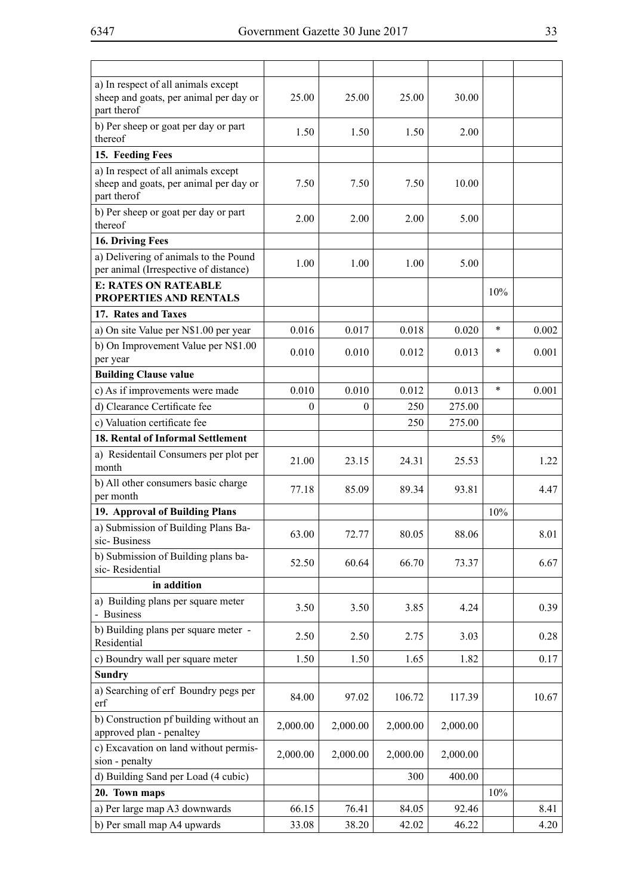| a) In respect of all animals except<br>sheep and goats, per animal per day or<br>part therof | 25.00    | 25.00        | 25.00    | 30.00    |        |       |
|----------------------------------------------------------------------------------------------|----------|--------------|----------|----------|--------|-------|
| b) Per sheep or goat per day or part<br>thereof                                              | 1.50     | 1.50         | 1.50     | 2.00     |        |       |
| 15. Feeding Fees                                                                             |          |              |          |          |        |       |
| a) In respect of all animals except<br>sheep and goats, per animal per day or<br>part therof | 7.50     | 7.50         | 7.50     | 10.00    |        |       |
| b) Per sheep or goat per day or part<br>thereof                                              | 2.00     | 2.00         | 2.00     | 5.00     |        |       |
| 16. Driving Fees                                                                             |          |              |          |          |        |       |
| a) Delivering of animals to the Pound                                                        | 1.00     | 1.00         | 1.00     | 5.00     |        |       |
| per animal (Irrespective of distance)                                                        |          |              |          |          |        |       |
| <b>E: RATES ON RATEABLE</b><br>PROPERTIES AND RENTALS                                        |          |              |          |          | 10%    |       |
| 17. Rates and Taxes                                                                          |          |              |          |          |        |       |
| a) On site Value per N\$1.00 per year                                                        | 0.016    | 0.017        | 0.018    | 0.020    | *      | 0.002 |
| b) On Improvement Value per N\$1.00                                                          |          |              |          |          |        |       |
| per year                                                                                     | 0.010    | 0.010        | 0.012    | 0.013    | $\ast$ | 0.001 |
| <b>Building Clause value</b>                                                                 |          |              |          |          |        |       |
| c) As if improvements were made                                                              | 0.010    | 0.010        | 0.012    | 0.013    | $\ast$ | 0.001 |
| d) Clearance Certificate fee                                                                 | $\theta$ | $\mathbf{0}$ | 250      | 275.00   |        |       |
| c) Valuation certificate fee                                                                 |          |              | 250      | 275.00   |        |       |
| 18. Rental of Informal Settlement                                                            |          |              |          |          | 5%     |       |
| a) Residentail Consumers per plot per<br>month                                               | 21.00    | 23.15        | 24.31    | 25.53    |        | 1.22  |
| b) All other consumers basic charge<br>per month                                             | 77.18    | 85.09        | 89.34    | 93.81    |        | 4.47  |
| 19. Approval of Building Plans                                                               |          |              |          |          | 10%    |       |
| a) Submission of Building Plans Ba-<br>sic-Business                                          | 63.00    | 72.77        | 80.05    | 88.06    |        | 8.01  |
| b) Submission of Building plans ba-<br>sic-Residential                                       | 52.50    | 60.64        | 66.70    | 73.37    |        | 6.67  |
| in addition                                                                                  |          |              |          |          |        |       |
| a) Building plans per square meter<br>- Business                                             | 3.50     | 3.50         | 3.85     | 4.24     |        | 0.39  |
| b) Building plans per square meter -<br>Residential                                          | 2.50     | 2.50         | 2.75     | 3.03     |        | 0.28  |
| c) Boundry wall per square meter                                                             | 1.50     | 1.50         | 1.65     | 1.82     |        | 0.17  |
| <b>Sundry</b>                                                                                |          |              |          |          |        |       |
| a) Searching of erf Boundry pegs per<br>erf                                                  | 84.00    | 97.02        | 106.72   | 117.39   |        | 10.67 |
| b) Construction pf building without an<br>approved plan - penaltey                           | 2,000.00 | 2,000.00     | 2,000.00 | 2,000.00 |        |       |
| c) Excavation on land without permis-<br>sion - penalty                                      | 2,000.00 | 2,000.00     | 2,000.00 | 2,000.00 |        |       |
| d) Building Sand per Load (4 cubic)                                                          |          |              | 300      | 400.00   |        |       |
| 20. Town maps                                                                                |          |              |          |          | 10%    |       |
| a) Per large map A3 downwards                                                                | 66.15    | 76.41        | 84.05    | 92.46    |        | 8.41  |
| b) Per small map A4 upwards                                                                  | 33.08    | 38.20        | 42.02    | 46.22    |        | 4.20  |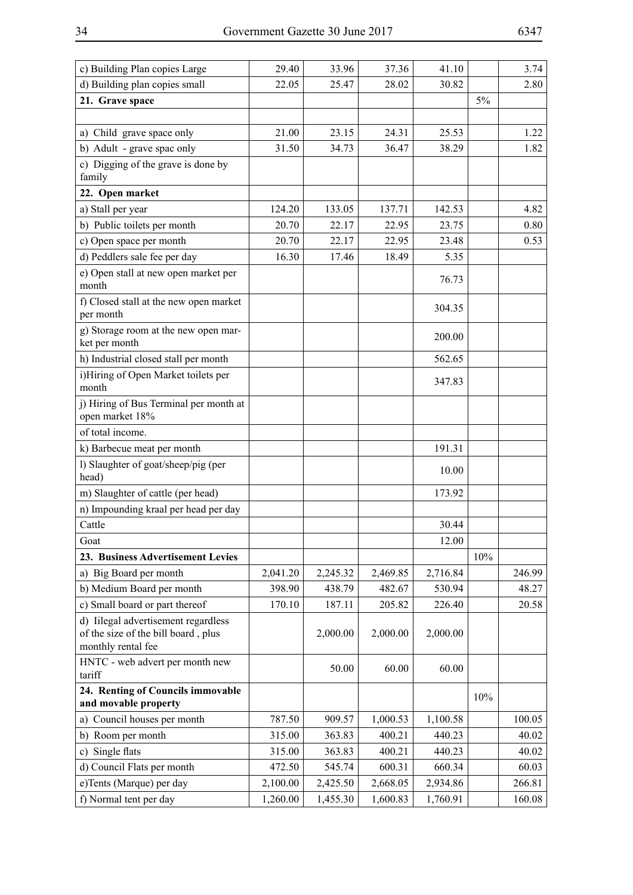| c) Building Plan copies Large                                                                    | 29.40    | 33.96    | 37.36    | 41.10    |     | 3.74   |
|--------------------------------------------------------------------------------------------------|----------|----------|----------|----------|-----|--------|
| d) Building plan copies small                                                                    | 22.05    | 25.47    | 28.02    | 30.82    |     | 2.80   |
| 21. Grave space                                                                                  |          |          |          |          | 5%  |        |
|                                                                                                  |          |          |          |          |     |        |
| a) Child grave space only                                                                        | 21.00    | 23.15    | 24.31    | 25.53    |     | 1.22   |
| b) Adult - grave spac only                                                                       | 31.50    | 34.73    | 36.47    | 38.29    |     | 1.82   |
| c) Digging of the grave is done by<br>family                                                     |          |          |          |          |     |        |
| 22. Open market                                                                                  |          |          |          |          |     |        |
| a) Stall per year                                                                                | 124.20   | 133.05   | 137.71   | 142.53   |     | 4.82   |
| b) Public toilets per month                                                                      | 20.70    | 22.17    | 22.95    | 23.75    |     | 0.80   |
| c) Open space per month                                                                          | 20.70    | 22.17    | 22.95    | 23.48    |     | 0.53   |
| d) Peddlers sale fee per day                                                                     | 16.30    | 17.46    | 18.49    | 5.35     |     |        |
| e) Open stall at new open market per<br>month                                                    |          |          |          | 76.73    |     |        |
| f) Closed stall at the new open market<br>per month                                              |          |          |          | 304.35   |     |        |
| g) Storage room at the new open mar-<br>ket per month                                            |          |          |          | 200.00   |     |        |
| h) Industrial closed stall per month                                                             |          |          |          | 562.65   |     |        |
| i)Hiring of Open Market toilets per<br>month                                                     |          |          |          | 347.83   |     |        |
| j) Hiring of Bus Terminal per month at<br>open market 18%                                        |          |          |          |          |     |        |
| of total income.                                                                                 |          |          |          |          |     |        |
| k) Barbecue meat per month                                                                       |          |          |          | 191.31   |     |        |
| l) Slaughter of goat/sheep/pig (per<br>head)                                                     |          |          |          | 10.00    |     |        |
| m) Slaughter of cattle (per head)                                                                |          |          |          | 173.92   |     |        |
| n) Impounding kraal per head per day                                                             |          |          |          |          |     |        |
| Cattle                                                                                           |          |          |          | 30.44    |     |        |
| Goat                                                                                             |          |          |          | 12.00    |     |        |
| 23. Business Advertisement Levies                                                                |          |          |          |          | 10% |        |
| a) Big Board per month                                                                           | 2,041.20 | 2,245.32 | 2,469.85 | 2,716.84 |     | 246.99 |
| b) Medium Board per month                                                                        | 398.90   | 438.79   | 482.67   | 530.94   |     | 48.27  |
| c) Small board or part thereof                                                                   | 170.10   | 187.11   | 205.82   | 226.40   |     | 20.58  |
| d) Iilegal advertisement regardless<br>of the size of the bill board, plus<br>monthly rental fee |          | 2,000.00 | 2,000.00 | 2,000.00 |     |        |
| HNTC - web advert per month new<br>tariff                                                        |          | 50.00    | 60.00    | 60.00    |     |        |
| 24. Renting of Councils immovable<br>and movable property                                        |          |          |          |          | 10% |        |
| Council houses per month<br>a)                                                                   | 787.50   | 909.57   | 1,000.53 | 1,100.58 |     | 100.05 |
| b) Room per month                                                                                | 315.00   | 363.83   | 400.21   | 440.23   |     | 40.02  |
| Single flats<br>c)                                                                               | 315.00   | 363.83   | 400.21   | 440.23   |     | 40.02  |
| d) Council Flats per month                                                                       | 472.50   | 545.74   | 600.31   | 660.34   |     | 60.03  |
| e)Tents (Marque) per day                                                                         | 2,100.00 | 2,425.50 | 2,668.05 | 2,934.86 |     | 266.81 |
| f) Normal tent per day                                                                           | 1,260.00 | 1,455.30 | 1,600.83 | 1,760.91 |     | 160.08 |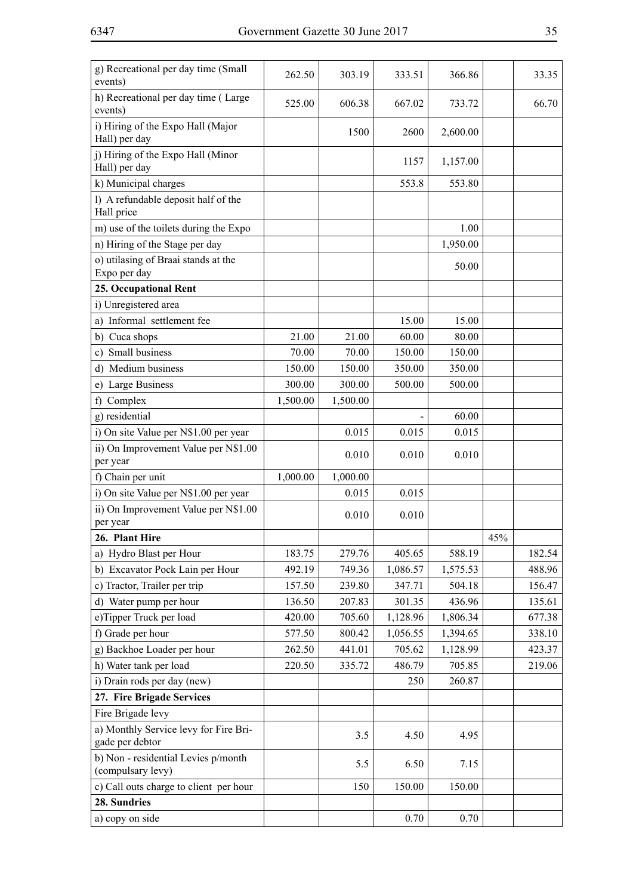| g) Recreational per day time (Small<br>events)           | 262.50   | 303.19   | 333.51   | 366.86   |     | 33.35  |
|----------------------------------------------------------|----------|----------|----------|----------|-----|--------|
| h) Recreational per day time (Large<br>events)           | 525.00   | 606.38   | 667.02   | 733.72   |     | 66.70  |
| i) Hiring of the Expo Hall (Major<br>Hall) per day       |          | 1500     | 2600     | 2,600.00 |     |        |
| j) Hiring of the Expo Hall (Minor<br>Hall) per day       |          |          | 1157     | 1,157.00 |     |        |
| k) Municipal charges                                     |          |          | 553.8    | 553.80   |     |        |
| l) A refundable deposit half of the<br>Hall price        |          |          |          |          |     |        |
| m) use of the toilets during the Expo                    |          |          |          | 1.00     |     |        |
| n) Hiring of the Stage per day                           |          |          |          | 1,950.00 |     |        |
| o) utilasing of Braai stands at the<br>Expo per day      |          |          |          | 50.00    |     |        |
| 25. Occupational Rent                                    |          |          |          |          |     |        |
| i) Unregistered area                                     |          |          |          |          |     |        |
| a) Informal settlement fee                               |          |          | 15.00    | 15.00    |     |        |
| b) Cuca shops                                            | 21.00    | 21.00    | 60.00    | 80.00    |     |        |
| c) Small business                                        | 70.00    | 70.00    | 150.00   | 150.00   |     |        |
| d) Medium business                                       | 150.00   | 150.00   | 350.00   | 350.00   |     |        |
| e) Large Business                                        | 300.00   | 300.00   | 500.00   | 500.00   |     |        |
| f) Complex                                               | 1,500.00 | 1,500.00 |          |          |     |        |
| g) residential                                           |          |          |          | 60.00    |     |        |
| i) On site Value per N\$1.00 per year                    |          | 0.015    | 0.015    | 0.015    |     |        |
| ii) On Improvement Value per N\$1.00<br>per year         |          | 0.010    | 0.010    | 0.010    |     |        |
| f) Chain per unit                                        | 1,000.00 | 1,000.00 |          |          |     |        |
| i) On site Value per N\$1.00 per year                    |          | 0.015    | 0.015    |          |     |        |
| ii) On Improvement Value per N\$1.00<br>per year         |          | 0.010    | 0.010    |          |     |        |
| 26. Plant Hire                                           |          |          |          |          | 45% |        |
| a) Hydro Blast per Hour                                  | 183.75   | 279.76   | 405.65   | 588.19   |     | 182.54 |
| b) Excavator Pock Lain per Hour                          | 492.19   | 749.36   | 1,086.57 | 1,575.53 |     | 488.96 |
| c) Tractor, Trailer per trip                             | 157.50   | 239.80   | 347.71   | 504.18   |     | 156.47 |
| d) Water pump per hour                                   | 136.50   | 207.83   | 301.35   | 436.96   |     | 135.61 |
| e)Tipper Truck per load                                  | 420.00   | 705.60   | 1,128.96 | 1,806.34 |     | 677.38 |
| f) Grade per hour                                        | 577.50   | 800.42   | 1,056.55 | 1,394.65 |     | 338.10 |
| g) Backhoe Loader per hour                               | 262.50   | 441.01   | 705.62   | 1,128.99 |     | 423.37 |
| h) Water tank per load                                   | 220.50   | 335.72   | 486.79   | 705.85   |     | 219.06 |
| i) Drain rods per day (new)                              |          |          | 250      | 260.87   |     |        |
| 27. Fire Brigade Services                                |          |          |          |          |     |        |
| Fire Brigade levy                                        |          |          |          |          |     |        |
| a) Monthly Service levy for Fire Bri-<br>gade per debtor |          | 3.5      | 4.50     | 4.95     |     |        |
| b) Non - residential Levies p/month<br>(compulsary levy) |          | 5.5      | 6.50     | 7.15     |     |        |
| c) Call outs charge to client per hour                   |          | 150      | 150.00   | 150.00   |     |        |
| 28. Sundries                                             |          |          |          |          |     |        |
| a) copy on side                                          |          |          | 0.70     | 0.70     |     |        |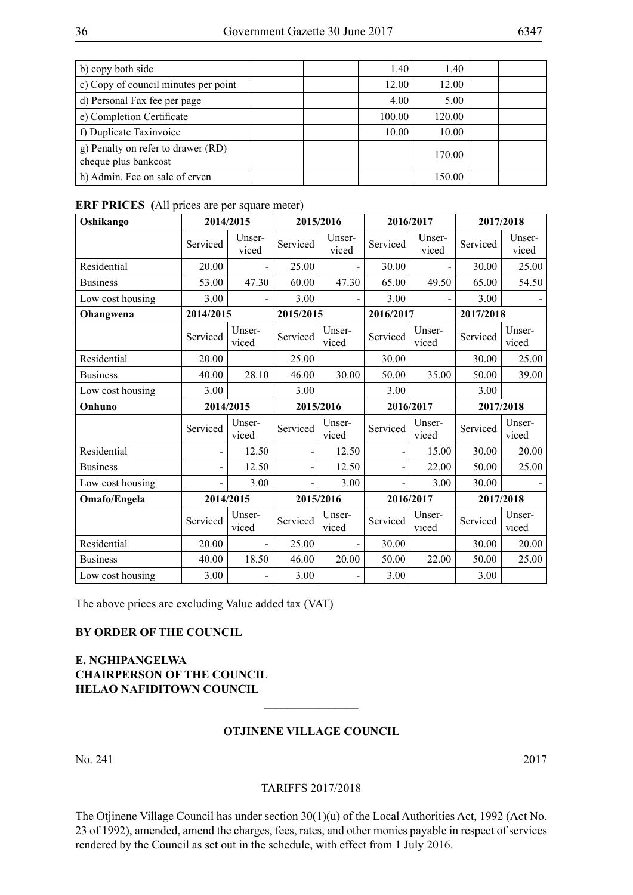| b) copy both side                                          | 1.40   | 1.40   |  |
|------------------------------------------------------------|--------|--------|--|
| c) Copy of council minutes per point                       | 12.00  | 12.00  |  |
| d) Personal Fax fee per page                               | 4.00   | 5.00   |  |
| e) Completion Certificate                                  | 100.00 | 120.00 |  |
| f) Duplicate Taxinvoice                                    | 10.00  | 10.00  |  |
| g) Penalty on refer to drawer (RD)<br>cheque plus bankcost |        | 170.00 |  |
| h) Admin. Fee on sale of erven                             |        | 150.00 |  |

#### **ERF PRICES (**All prices are per square meter)

| Oshikango        |                | 2014/2015       | 2015/2016      |                 | 2016/2017                |                 | 2017/2018 |                 |
|------------------|----------------|-----------------|----------------|-----------------|--------------------------|-----------------|-----------|-----------------|
|                  | Serviced       | Unser-<br>viced | Serviced       | Unser-<br>viced | Serviced                 | Unser-<br>viced | Serviced  | Unser-<br>viced |
| Residential      | 20.00          | $\overline{a}$  | 25.00          |                 | 30.00                    |                 | 30.00     | 25.00           |
| <b>Business</b>  | 53.00          | 47.30           | 60.00          | 47.30           | 65.00                    | 49.50           | 65.00     | 54.50           |
| Low cost housing | 3.00           | $\overline{a}$  | 3.00           |                 | 3.00                     | $\overline{a}$  | 3.00      |                 |
| Ohangwena        | 2014/2015      |                 | 2015/2015      |                 | 2016/2017                |                 | 2017/2018 |                 |
|                  | Serviced       | Unser-<br>viced | Serviced       | Unser-<br>viced | Serviced                 | Unser-<br>viced | Serviced  | Unser-<br>viced |
| Residential      | 20.00          |                 | 25.00          |                 | 30.00                    |                 | 30.00     | 25.00           |
| <b>Business</b>  | 40.00          | 28.10           | 46.00          | 30.00           | 50.00                    | 35.00           | 50.00     | 39.00           |
| Low cost housing | 3.00           |                 | 3.00           |                 | 3.00                     |                 | 3.00      |                 |
| Onhuno           |                | 2014/2015       | 2015/2016      |                 | 2016/2017                |                 |           | 2017/2018       |
|                  | Serviced       | Unser-<br>viced | Serviced       | Unser-<br>viced | Serviced                 | Unser-<br>viced | Serviced  | Unser-<br>viced |
| Residential      | $\overline{a}$ | 12.50           | $\overline{a}$ | 12.50           | -                        | 15.00           | 30.00     | 20.00           |
| <b>Business</b>  | $\blacksquare$ | 12.50           | $\overline{a}$ | 12.50           | $\overline{\phantom{0}}$ | 22.00           | 50.00     | 25.00           |
| Low cost housing |                | 3.00            | -              | 3.00            |                          | 3.00            | 30.00     |                 |
| Omafo/Engela     | 2014/2015      |                 |                | 2015/2016       | 2016/2017                |                 | 2017/2018 |                 |
|                  | Serviced       | Unser-<br>viced | Serviced       | Unser-<br>viced | Serviced                 | Unser-<br>viced | Serviced  | Unser-<br>viced |
| Residential      | 20.00          | $\blacksquare$  | 25.00          |                 | 30.00                    |                 | 30.00     | 20.00           |
| <b>Business</b>  | 40.00          | 18.50           | 46.00          | 20.00           | 50.00                    | 22.00           | 50.00     | 25.00           |
| Low cost housing | 3.00           | $\blacksquare$  | 3.00           |                 | 3.00                     |                 | 3.00      |                 |

The above prices are excluding Value added tax (VAT)

#### **By order of the Council**

### **E. Nghipangelwa Chairperson of the Council Helao NafidiTown Council**

#### **Otjinene Village Council**

 $\overline{\phantom{a}}$  , where  $\overline{\phantom{a}}$ 

No. 241 2017

#### Tariffs 2017/2018

The Otjinene Village Council has under section 30(1)(u) of the Local Authorities Act, 1992 (Act No. 23 of 1992), amended, amend the charges, fees, rates, and other monies payable in respect of services rendered by the Council as set out in the schedule, with effect from 1 July 2016.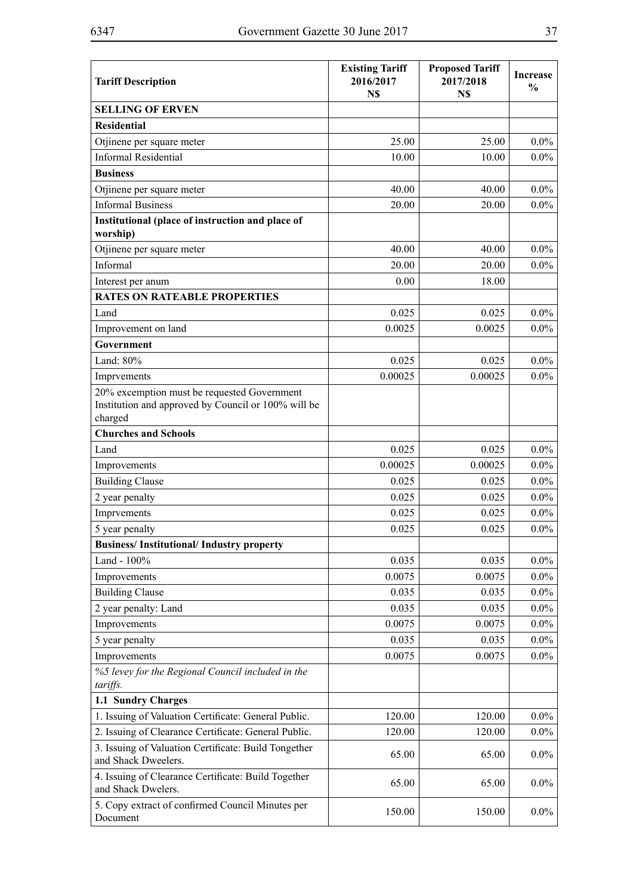| <b>Tariff Description</b>                                                                                     | <b>Existing Tariff</b><br>2016/2017<br>N\$ | <b>Proposed Tariff</b><br>2017/2018<br>N\$ | <b>Increase</b><br>$\frac{0}{0}$ |
|---------------------------------------------------------------------------------------------------------------|--------------------------------------------|--------------------------------------------|----------------------------------|
| <b>SELLING OF ERVEN</b>                                                                                       |                                            |                                            |                                  |
| <b>Residential</b>                                                                                            |                                            |                                            |                                  |
| Otjinene per square meter                                                                                     | 25.00                                      | 25.00                                      | $0.0\%$                          |
| <b>Informal Residential</b>                                                                                   | 10.00                                      | 10.00                                      | $0.0\%$                          |
| <b>Business</b>                                                                                               |                                            |                                            |                                  |
| Otjinene per square meter                                                                                     | 40.00                                      | 40.00                                      | $0.0\%$                          |
| <b>Informal Business</b>                                                                                      | 20.00                                      | 20.00                                      | $0.0\%$                          |
| Institutional (place of instruction and place of<br>worship)                                                  |                                            |                                            |                                  |
| Otjinene per square meter                                                                                     | 40.00                                      | 40.00                                      | $0.0\%$                          |
| Informal                                                                                                      | 20.00                                      | 20.00                                      | $0.0\%$                          |
| Interest per anum                                                                                             | 0.00                                       | 18.00                                      |                                  |
| <b>RATES ON RATEABLE PROPERTIES</b>                                                                           |                                            |                                            |                                  |
| Land                                                                                                          | 0.025                                      | 0.025                                      | $0.0\%$                          |
| Improvement on land                                                                                           | 0.0025                                     | 0.0025                                     | $0.0\%$                          |
| Government                                                                                                    |                                            |                                            |                                  |
| Land: 80%                                                                                                     | 0.025                                      | 0.025                                      | $0.0\%$                          |
| Imprvements                                                                                                   | 0.00025                                    | 0.00025                                    | $0.0\%$                          |
| 20% excemption must be requested Government<br>Institution and approved by Council or 100% will be<br>charged |                                            |                                            |                                  |
| <b>Churches and Schools</b>                                                                                   |                                            |                                            |                                  |
| Land                                                                                                          | 0.025                                      | 0.025                                      | $0.0\%$                          |
| Improvements                                                                                                  | 0.00025                                    | 0.00025                                    | $0.0\%$                          |
| <b>Building Clause</b>                                                                                        | 0.025                                      | 0.025                                      | $0.0\%$                          |
| 2 year penalty                                                                                                | 0.025<br>0.025                             |                                            | $0.0\%$                          |
| Imprvements                                                                                                   | 0.025<br>0.025                             |                                            | $0.0\%$                          |
| 5 year penalty                                                                                                | 0.025                                      | 0.025                                      | $0.0\%$                          |
| <b>Business/Institutional/Industry property</b>                                                               |                                            |                                            |                                  |
| Land - 100%                                                                                                   | 0.035                                      | 0.035                                      | $0.0\%$                          |
| Improvements                                                                                                  | 0.0075                                     | 0.0075                                     | $0.0\%$                          |
| <b>Building Clause</b>                                                                                        | 0.035                                      | 0.035                                      | $0.0\%$                          |
| 2 year penalty: Land                                                                                          | 0.035                                      | 0.035                                      | $0.0\%$                          |
| Improvements                                                                                                  | 0.0075                                     | 0.0075                                     | $0.0\%$                          |
| 5 year penalty                                                                                                | 0.035                                      | 0.035                                      | $0.0\%$                          |
| Improvements                                                                                                  | 0.0075                                     | 0.0075                                     | $0.0\%$                          |
| %5 levey for the Regional Council included in the<br>tariffs.                                                 |                                            |                                            |                                  |
| 1.1 Sundry Charges                                                                                            |                                            |                                            |                                  |
| 1. Issuing of Valuation Certificate: General Public.                                                          | 120.00                                     | 120.00                                     | $0.0\%$                          |
| 2. Issuing of Clearance Certificate: General Public.                                                          | 120.00                                     | 120.00                                     | $0.0\%$                          |
| 3. Issuing of Valuation Certificate: Build Tongether<br>and Shack Dweelers.                                   | 65.00                                      | 65.00                                      | $0.0\%$                          |
| 4. Issuing of Clearance Certificate: Build Together<br>and Shack Dwelers.                                     | 65.00                                      | 65.00                                      | $0.0\%$                          |
| 5. Copy extract of confirmed Council Minutes per<br>Document                                                  | 150.00                                     | 150.00                                     | $0.0\%$                          |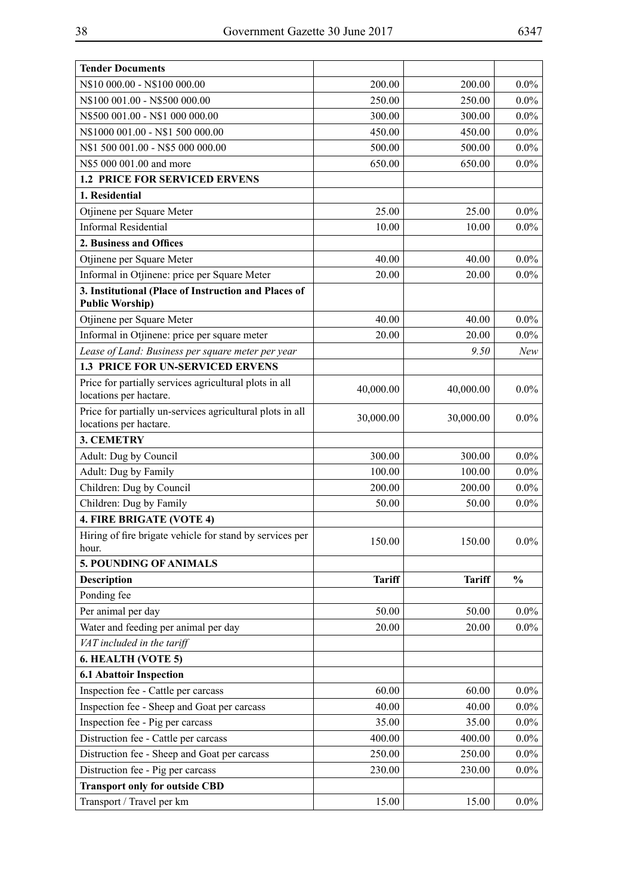| <b>Tender Documents</b>                                                             |               |               |               |
|-------------------------------------------------------------------------------------|---------------|---------------|---------------|
| N\$10 000.00 - N\$100 000.00                                                        | 200.00        | 200.00        | $0.0\%$       |
| N\$100 001.00 - N\$500 000.00                                                       | 250.00        | 250.00        | $0.0\%$       |
| N\$500 001.00 - N\$1 000 000.00                                                     | 300.00        | 300.00        | $0.0\%$       |
| N\$1000 001.00 - N\$1 500 000.00                                                    | 450.00        | 450.00        | $0.0\%$       |
| N\$1 500 001.00 - N\$5 000 000.00                                                   | 500.00        | 500.00        | $0.0\%$       |
| N\$5 000 001.00 and more                                                            | 650.00        | 650.00        | $0.0\%$       |
| <b>1.2 PRICE FOR SERVICED ERVENS</b>                                                |               |               |               |
| 1. Residential                                                                      |               |               |               |
| Otjinene per Square Meter                                                           | 25.00         | 25.00         | $0.0\%$       |
| <b>Informal Residential</b>                                                         | 10.00         | 10.00         | $0.0\%$       |
| 2. Business and Offices                                                             |               |               |               |
| Otjinene per Square Meter                                                           | 40.00         | 40.00         | $0.0\%$       |
| Informal in Otjinene: price per Square Meter                                        | 20.00         | 20.00         | $0.0\%$       |
| 3. Institutional (Place of Instruction and Places of<br><b>Public Worship)</b>      |               |               |               |
| Otjinene per Square Meter                                                           | 40.00         | 40.00         | $0.0\%$       |
| Informal in Otjinene: price per square meter                                        | 20.00         | 20.00         | $0.0\%$       |
| Lease of Land: Business per square meter per year                                   |               | 9.50          | New           |
| <b>1.3 PRICE FOR UN-SERVICED ERVENS</b>                                             |               |               |               |
| Price for partially services agricultural plots in all<br>locations per hactare.    | 40,000.00     | 40,000.00     | $0.0\%$       |
| Price for partially un-services agricultural plots in all<br>locations per hactare. | 30,000.00     | 30,000.00     | $0.0\%$       |
| <b>3. CEMETRY</b>                                                                   |               |               |               |
| Adult: Dug by Council                                                               | 300.00        | 300.00        | $0.0\%$       |
| Adult: Dug by Family                                                                | 100.00        | 100.00        | $0.0\%$       |
| Children: Dug by Council                                                            | 200.00        | 200.00        | $0.0\%$       |
| Children: Dug by Family                                                             | 50.00         | 50.00         | $0.0\%$       |
| 4. FIRE BRIGATE (VOTE 4)                                                            |               |               |               |
| Hiring of fire brigate vehicle for stand by services per<br>hour.                   | 150.00        | 150.00        | $0.0\%$       |
| 5. POUNDING OF ANIMALS                                                              |               |               |               |
| <b>Description</b>                                                                  | <b>Tariff</b> | <b>Tariff</b> | $\frac{0}{0}$ |
| Ponding fee                                                                         |               |               |               |
| Per animal per day                                                                  | 50.00         | 50.00         | $0.0\%$       |
| Water and feeding per animal per day                                                | 20.00         | 20.00         | $0.0\%$       |
| VAT included in the tariff                                                          |               |               |               |
| 6. HEALTH (VOTE 5)                                                                  |               |               |               |
| <b>6.1 Abattoir Inspection</b>                                                      |               |               |               |
| Inspection fee - Cattle per carcass                                                 | 60.00         | 60.00         | $0.0\%$       |
| Inspection fee - Sheep and Goat per carcass                                         | 40.00         | 40.00         | $0.0\%$       |
| Inspection fee - Pig per carcass                                                    | 35.00         | 35.00         | $0.0\%$       |
| Distruction fee - Cattle per carcass                                                | 400.00        | 400.00        | $0.0\%$       |
| Distruction fee - Sheep and Goat per carcass                                        | 250.00        | 250.00        | $0.0\%$       |
| Distruction fee - Pig per carcass                                                   | 230.00        | 230.00        | $0.0\%$       |
| <b>Transport only for outside CBD</b>                                               |               |               |               |
| Transport / Travel per km                                                           | 15.00         | 15.00         | $0.0\%$       |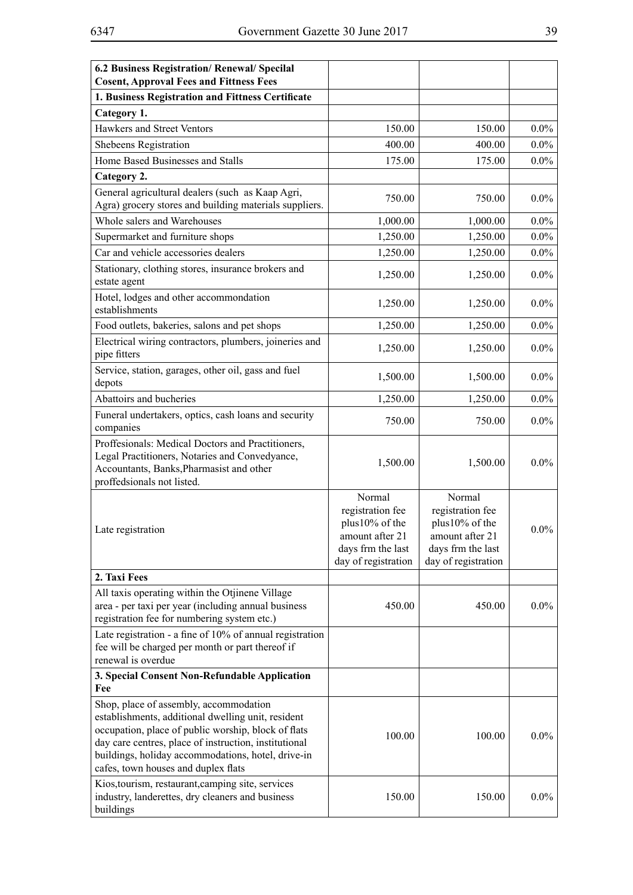| 6.2 Business Registration/ Renewal/ Specilal<br><b>Cosent, Approval Fees and Fittness Fees</b>                                                                                                                                                                                                            |                                                                                                             |                                                                                                             |         |
|-----------------------------------------------------------------------------------------------------------------------------------------------------------------------------------------------------------------------------------------------------------------------------------------------------------|-------------------------------------------------------------------------------------------------------------|-------------------------------------------------------------------------------------------------------------|---------|
| 1. Business Registration and Fittness Certificate                                                                                                                                                                                                                                                         |                                                                                                             |                                                                                                             |         |
| Category 1.                                                                                                                                                                                                                                                                                               |                                                                                                             |                                                                                                             |         |
| Hawkers and Street Ventors                                                                                                                                                                                                                                                                                |                                                                                                             |                                                                                                             | $0.0\%$ |
|                                                                                                                                                                                                                                                                                                           | 150.00                                                                                                      | 150.00                                                                                                      |         |
| Shebeens Registration                                                                                                                                                                                                                                                                                     | 400.00                                                                                                      | 400.00                                                                                                      | $0.0\%$ |
| Home Based Businesses and Stalls                                                                                                                                                                                                                                                                          | 175.00                                                                                                      | 175.00                                                                                                      | $0.0\%$ |
| Category 2.                                                                                                                                                                                                                                                                                               |                                                                                                             |                                                                                                             |         |
| General agricultural dealers (such as Kaap Agri,<br>Agra) grocery stores and building materials suppliers.                                                                                                                                                                                                | 750.00                                                                                                      | 750.00                                                                                                      | $0.0\%$ |
| Whole salers and Warehouses                                                                                                                                                                                                                                                                               | 1,000.00                                                                                                    | 1,000.00                                                                                                    | $0.0\%$ |
| Supermarket and furniture shops                                                                                                                                                                                                                                                                           | 1,250.00                                                                                                    | 1,250.00                                                                                                    | $0.0\%$ |
| Car and vehicle accessories dealers                                                                                                                                                                                                                                                                       | 1,250.00                                                                                                    | 1,250.00                                                                                                    | $0.0\%$ |
| Stationary, clothing stores, insurance brokers and<br>estate agent                                                                                                                                                                                                                                        | 1,250.00                                                                                                    | 1,250.00                                                                                                    | $0.0\%$ |
| Hotel, lodges and other accommondation<br>establishments                                                                                                                                                                                                                                                  | 1,250.00                                                                                                    | 1,250.00                                                                                                    | $0.0\%$ |
| Food outlets, bakeries, salons and pet shops                                                                                                                                                                                                                                                              | 1,250.00                                                                                                    | 1,250.00                                                                                                    | $0.0\%$ |
| Electrical wiring contractors, plumbers, joineries and<br>pipe fitters                                                                                                                                                                                                                                    | 1,250.00                                                                                                    | 1,250.00                                                                                                    | $0.0\%$ |
| Service, station, garages, other oil, gass and fuel<br>depots                                                                                                                                                                                                                                             | 1,500.00                                                                                                    | 1,500.00                                                                                                    | $0.0\%$ |
| Abattoirs and bucheries                                                                                                                                                                                                                                                                                   | 1,250.00                                                                                                    | 1,250.00                                                                                                    | $0.0\%$ |
| Funeral undertakers, optics, cash loans and security<br>companies                                                                                                                                                                                                                                         | 750.00                                                                                                      | 750.00                                                                                                      | $0.0\%$ |
| Proffesionals: Medical Doctors and Practitioners,<br>Legal Practitioners, Notaries and Convedyance,<br>Accountants, Banks, Pharmasist and other<br>proffedsionals not listed.                                                                                                                             | 1,500.00                                                                                                    | 1,500.00                                                                                                    | $0.0\%$ |
| Late registration                                                                                                                                                                                                                                                                                         | Normal<br>registration fee<br>plus10% of the<br>amount after 21<br>days frm the last<br>day of registration | Normal<br>registration fee<br>plus10% of the<br>amount after 21<br>days frm the last<br>day of registration | $0.0\%$ |
| 2. Taxi Fees                                                                                                                                                                                                                                                                                              |                                                                                                             |                                                                                                             |         |
| All taxis operating within the Otjinene Village<br>area - per taxi per year (including annual business<br>registration fee for numbering system etc.)                                                                                                                                                     | 450.00                                                                                                      | 450.00                                                                                                      | $0.0\%$ |
| Late registration - a fine of 10% of annual registration<br>fee will be charged per month or part thereof if<br>renewal is overdue                                                                                                                                                                        |                                                                                                             |                                                                                                             |         |
| 3. Special Consent Non-Refundable Application<br>Fee                                                                                                                                                                                                                                                      |                                                                                                             |                                                                                                             |         |
| Shop, place of assembly, accommodation<br>establishments, additional dwelling unit, resident<br>occupation, place of public worship, block of flats<br>day care centres, place of instruction, institutional<br>buildings, holiday accommodations, hotel, drive-in<br>cafes, town houses and duplex flats | 100.00                                                                                                      | 100.00                                                                                                      | $0.0\%$ |
| Kios, tourism, restaurant, camping site, services<br>industry, landerettes, dry cleaners and business<br>buildings                                                                                                                                                                                        | 150.00                                                                                                      | 150.00                                                                                                      | $0.0\%$ |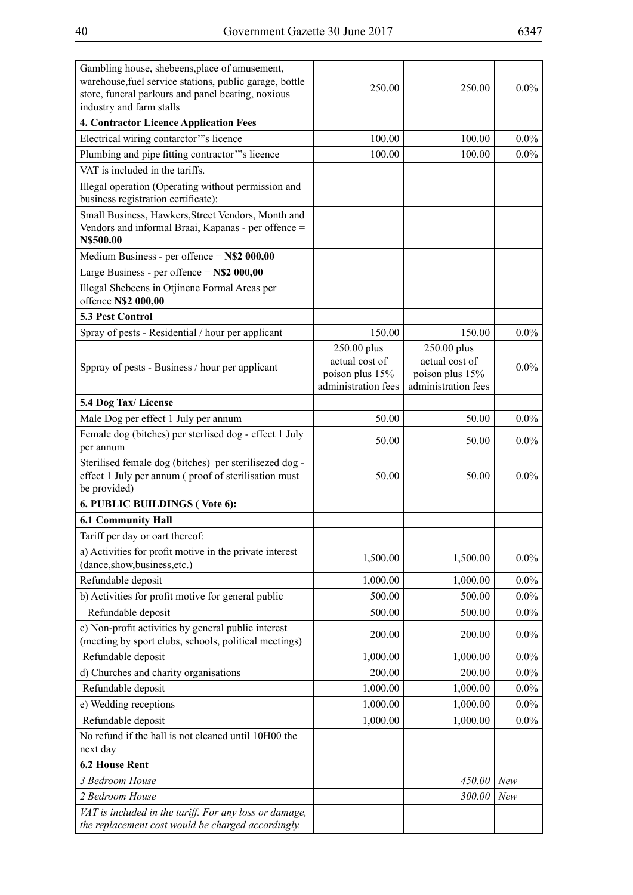| Gambling house, shebeens, place of amusement,<br>warehouse, fuel service stations, public garage, bottle<br>store, funeral parlours and panel beating, noxious<br>industry and farm stalls | 250.00                                                                  | 250.00                                                                  | $0.0\%$ |
|--------------------------------------------------------------------------------------------------------------------------------------------------------------------------------------------|-------------------------------------------------------------------------|-------------------------------------------------------------------------|---------|
| 4. Contractor Licence Application Fees                                                                                                                                                     |                                                                         |                                                                         |         |
| Electrical wiring contarctor"'s licence                                                                                                                                                    | 100.00                                                                  | 100.00                                                                  | $0.0\%$ |
| Plumbing and pipe fitting contractor"'s licence                                                                                                                                            | 100.00                                                                  | 100.00                                                                  | $0.0\%$ |
| VAT is included in the tariffs.                                                                                                                                                            |                                                                         |                                                                         |         |
| Illegal operation (Operating without permission and<br>business registration certificate):                                                                                                 |                                                                         |                                                                         |         |
| Small Business, Hawkers, Street Vendors, Month and<br>Vendors and informal Braai, Kapanas - per offence =<br>N\$500.00                                                                     |                                                                         |                                                                         |         |
| Medium Business - per offence = $N$2$ 000,00                                                                                                                                               |                                                                         |                                                                         |         |
| Large Business - per offence = $N$2 000,00$                                                                                                                                                |                                                                         |                                                                         |         |
| Illegal Shebeens in Otjinene Formal Areas per<br>offence N\$2 000,00                                                                                                                       |                                                                         |                                                                         |         |
| <b>5.3 Pest Control</b>                                                                                                                                                                    |                                                                         |                                                                         |         |
| Spray of pests - Residential / hour per applicant                                                                                                                                          | 150.00                                                                  | 150.00                                                                  | $0.0\%$ |
| Sppray of pests - Business / hour per applicant                                                                                                                                            | 250.00 plus<br>actual cost of<br>poison plus 15%<br>administration fees | 250.00 plus<br>actual cost of<br>poison plus 15%<br>administration fees | $0.0\%$ |
| 5.4 Dog Tax/License                                                                                                                                                                        |                                                                         |                                                                         |         |
| Male Dog per effect 1 July per annum                                                                                                                                                       | 50.00                                                                   | 50.00                                                                   | $0.0\%$ |
| Female dog (bitches) per sterlised dog - effect 1 July<br>per annum                                                                                                                        | 50.00                                                                   | 50.00                                                                   | $0.0\%$ |
| Sterilised female dog (bitches) per sterilisezed dog -<br>effect 1 July per annum (proof of sterilisation must<br>be provided)                                                             | 50.00                                                                   | 50.00                                                                   | $0.0\%$ |
| 6. PUBLIC BUILDINGS (Vote 6):                                                                                                                                                              |                                                                         |                                                                         |         |
| <b>6.1 Community Hall</b>                                                                                                                                                                  |                                                                         |                                                                         |         |
| Tariff per day or oart thereof:                                                                                                                                                            |                                                                         |                                                                         |         |
| a) Activities for profit motive in the private interest<br>(dance,show,business,etc.)                                                                                                      | 1,500.00                                                                | 1,500.00                                                                | $0.0\%$ |
| Refundable deposit                                                                                                                                                                         | 1,000.00                                                                | 1,000.00                                                                | $0.0\%$ |
| b) Activities for profit motive for general public                                                                                                                                         | 500.00                                                                  | 500.00                                                                  | $0.0\%$ |
| Refundable deposit                                                                                                                                                                         | 500.00                                                                  | 500.00                                                                  | $0.0\%$ |
| c) Non-profit activities by general public interest<br>(meeting by sport clubs, schools, political meetings)                                                                               | 200.00                                                                  | 200.00                                                                  | $0.0\%$ |
| Refundable deposit                                                                                                                                                                         | 1,000.00                                                                | 1,000.00                                                                | $0.0\%$ |
| d) Churches and charity organisations                                                                                                                                                      | 200.00                                                                  | 200.00                                                                  | $0.0\%$ |
| Refundable deposit                                                                                                                                                                         | 1,000.00                                                                | 1,000.00                                                                | $0.0\%$ |
| e) Wedding receptions                                                                                                                                                                      | 1,000.00                                                                | 1,000.00                                                                | $0.0\%$ |
| Refundable deposit                                                                                                                                                                         | 1,000.00                                                                | 1,000.00                                                                | $0.0\%$ |
| No refund if the hall is not cleaned until 10H00 the                                                                                                                                       |                                                                         |                                                                         |         |
| next day                                                                                                                                                                                   |                                                                         |                                                                         |         |
| <b>6.2 House Rent</b>                                                                                                                                                                      |                                                                         |                                                                         |         |
| 3 Bedroom House                                                                                                                                                                            |                                                                         | 450.00                                                                  | New     |
| 2 Bedroom House                                                                                                                                                                            |                                                                         | 300.00                                                                  | New     |
| VAT is included in the tariff. For any loss or damage,<br>the replacement cost would be charged accordingly.                                                                               |                                                                         |                                                                         |         |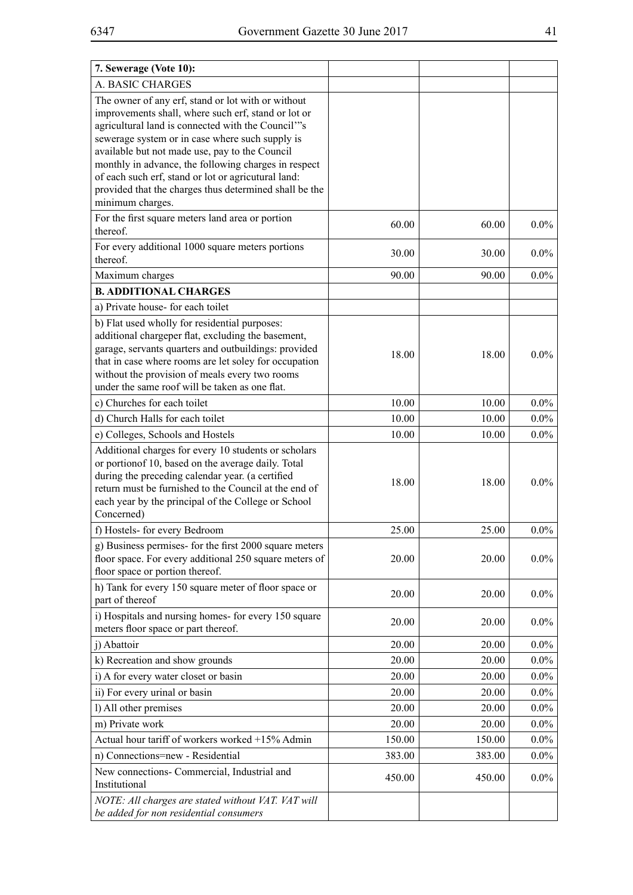| 7. Sewerage (Vote 10):                                                                                                                                                                                                                                                                                                                                                                                                                                            |        |        |         |
|-------------------------------------------------------------------------------------------------------------------------------------------------------------------------------------------------------------------------------------------------------------------------------------------------------------------------------------------------------------------------------------------------------------------------------------------------------------------|--------|--------|---------|
| A. BASIC CHARGES                                                                                                                                                                                                                                                                                                                                                                                                                                                  |        |        |         |
| The owner of any erf, stand or lot with or without<br>improvements shall, where such erf, stand or lot or<br>agricultural land is connected with the Council"'s<br>sewerage system or in case where such supply is<br>available but not made use, pay to the Council<br>monthly in advance, the following charges in respect<br>of each such erf, stand or lot or agricutural land:<br>provided that the charges thus determined shall be the<br>minimum charges. |        |        |         |
| For the first square meters land area or portion<br>thereof.                                                                                                                                                                                                                                                                                                                                                                                                      | 60.00  | 60.00  | $0.0\%$ |
| For every additional 1000 square meters portions<br>thereof.                                                                                                                                                                                                                                                                                                                                                                                                      | 30.00  | 30.00  | $0.0\%$ |
| Maximum charges                                                                                                                                                                                                                                                                                                                                                                                                                                                   | 90.00  | 90.00  | $0.0\%$ |
| <b>B. ADDITIONAL CHARGES</b>                                                                                                                                                                                                                                                                                                                                                                                                                                      |        |        |         |
| a) Private house-for each toilet                                                                                                                                                                                                                                                                                                                                                                                                                                  |        |        |         |
| b) Flat used wholly for residential purposes:<br>additional chargeper flat, excluding the basement,<br>garage, servants quarters and outbuildings: provided<br>that in case where rooms are let soley for occupation<br>without the provision of meals every two rooms<br>under the same roof will be taken as one flat.                                                                                                                                          | 18.00  | 18.00  | $0.0\%$ |
| c) Churches for each toilet                                                                                                                                                                                                                                                                                                                                                                                                                                       | 10.00  | 10.00  | $0.0\%$ |
| d) Church Halls for each toilet                                                                                                                                                                                                                                                                                                                                                                                                                                   | 10.00  | 10.00  | $0.0\%$ |
| e) Colleges, Schools and Hostels                                                                                                                                                                                                                                                                                                                                                                                                                                  | 10.00  | 10.00  | $0.0\%$ |
| Additional charges for every 10 students or scholars<br>or portionof 10, based on the average daily. Total<br>during the preceding calendar year. (a certified<br>return must be furnished to the Council at the end of<br>each year by the principal of the College or School<br>Concerned)                                                                                                                                                                      | 18.00  | 18.00  | $0.0\%$ |
| f) Hostels- for every Bedroom                                                                                                                                                                                                                                                                                                                                                                                                                                     | 25.00  | 25.00  | $0.0\%$ |
| g) Business permises- for the first 2000 square meters<br>floor space. For every additional 250 square meters of<br>floor space or portion thereof.                                                                                                                                                                                                                                                                                                               | 20.00  | 20.00  | $0.0\%$ |
| h) Tank for every 150 square meter of floor space or<br>part of thereof                                                                                                                                                                                                                                                                                                                                                                                           | 20.00  | 20.00  | $0.0\%$ |
| i) Hospitals and nursing homes- for every 150 square<br>meters floor space or part thereof.                                                                                                                                                                                                                                                                                                                                                                       | 20.00  | 20.00  | $0.0\%$ |
| j) Abattoir                                                                                                                                                                                                                                                                                                                                                                                                                                                       | 20.00  | 20.00  | $0.0\%$ |
| k) Recreation and show grounds                                                                                                                                                                                                                                                                                                                                                                                                                                    | 20.00  | 20.00  | $0.0\%$ |
| i) A for every water closet or basin                                                                                                                                                                                                                                                                                                                                                                                                                              | 20.00  | 20.00  | $0.0\%$ |
| ii) For every urinal or basin                                                                                                                                                                                                                                                                                                                                                                                                                                     | 20.00  | 20.00  | $0.0\%$ |
| l) All other premises                                                                                                                                                                                                                                                                                                                                                                                                                                             | 20.00  | 20.00  | $0.0\%$ |
| m) Private work                                                                                                                                                                                                                                                                                                                                                                                                                                                   | 20.00  | 20.00  | $0.0\%$ |
| Actual hour tariff of workers worked +15% Admin                                                                                                                                                                                                                                                                                                                                                                                                                   | 150.00 | 150.00 | $0.0\%$ |
| n) Connections=new - Residential                                                                                                                                                                                                                                                                                                                                                                                                                                  | 383.00 | 383.00 | $0.0\%$ |
| New connections- Commercial, Industrial and<br>Institutional                                                                                                                                                                                                                                                                                                                                                                                                      | 450.00 | 450.00 | $0.0\%$ |
| NOTE: All charges are stated without VAT. VAT will<br>be added for non residential consumers                                                                                                                                                                                                                                                                                                                                                                      |        |        |         |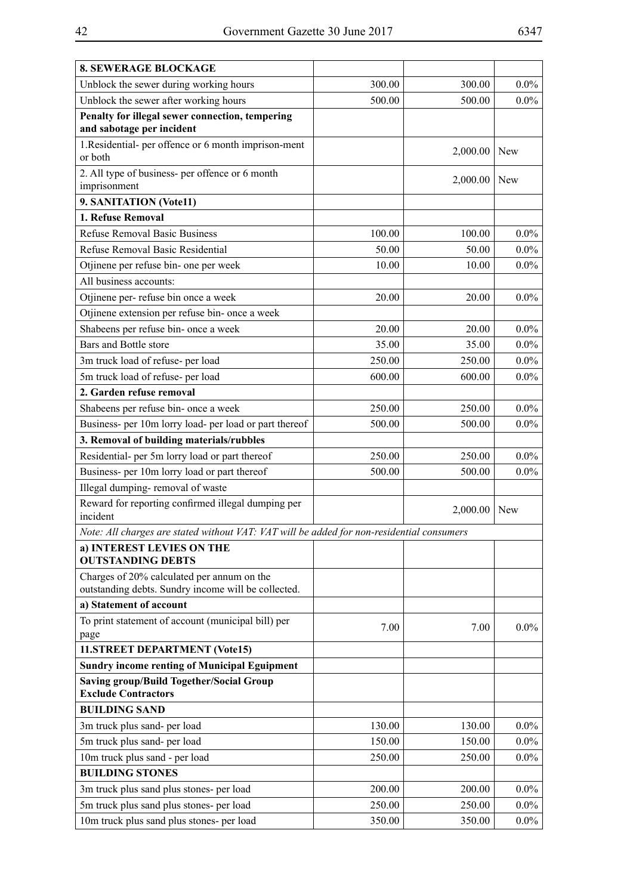| <b>8. SEWERAGE BLOCKAGE</b>                                                               |        |          |            |
|-------------------------------------------------------------------------------------------|--------|----------|------------|
| Unblock the sewer during working hours                                                    | 300.00 | 300.00   | $0.0\%$    |
| Unblock the sewer after working hours                                                     | 500.00 | 500.00   | $0.0\%$    |
| Penalty for illegal sewer connection, tempering                                           |        |          |            |
| and sabotage per incident                                                                 |        |          |            |
| 1. Residential- per offence or 6 month imprison-ment<br>or both                           |        | 2,000.00 | New        |
| 2. All type of business- per offence or 6 month<br>imprisonment                           |        | 2,000.00 | New        |
| 9. SANITATION (Vote11)                                                                    |        |          |            |
| 1. Refuse Removal                                                                         |        |          |            |
| <b>Refuse Removal Basic Business</b>                                                      | 100.00 | 100.00   | $0.0\%$    |
| Refuse Removal Basic Residential                                                          | 50.00  | 50.00    | $0.0\%$    |
| Otjinene per refuse bin- one per week                                                     | 10.00  | 10.00    | $0.0\%$    |
| All business accounts:                                                                    |        |          |            |
| Otjinene per- refuse bin once a week                                                      | 20.00  | 20.00    | $0.0\%$    |
| Otjinene extension per refuse bin- once a week                                            |        |          |            |
| Shabeens per refuse bin- once a week                                                      | 20.00  | 20.00    | $0.0\%$    |
| Bars and Bottle store                                                                     | 35.00  | 35.00    | $0.0\%$    |
| 3m truck load of refuse- per load                                                         | 250.00 | 250.00   | $0.0\%$    |
| 5m truck load of refuse- per load                                                         | 600.00 | 600.00   | $0.0\%$    |
| 2. Garden refuse removal                                                                  |        |          |            |
| Shabeens per refuse bin- once a week                                                      | 250.00 | 250.00   | $0.0\%$    |
| Business- per 10m lorry load- per load or part thereof                                    | 500.00 | 500.00   | $0.0\%$    |
| 3. Removal of building materials/rubbles                                                  |        |          |            |
| Residential- per 5m lorry load or part thereof                                            | 250.00 | 250.00   | $0.0\%$    |
| Business- per 10m lorry load or part thereof                                              | 500.00 | 500.00   | $0.0\%$    |
| Illegal dumping-removal of waste                                                          |        |          |            |
| Reward for reporting confirmed illegal dumping per                                        |        | 2,000.00 | <b>New</b> |
| incident                                                                                  |        |          |            |
| Note: All charges are stated without VAT: VAT will be added for non-residential consumers |        |          |            |
| a) INTEREST LEVIES ON THE<br><b>OUTSTANDING DEBTS</b>                                     |        |          |            |
| Charges of 20% calculated per annum on the                                                |        |          |            |
| outstanding debts. Sundry income will be collected.                                       |        |          |            |
| a) Statement of account                                                                   |        |          |            |
| To print statement of account (municipal bill) per                                        | 7.00   | 7.00     | $0.0\%$    |
| page                                                                                      |        |          |            |
| 11.STREET DEPARTMENT (Vote15)                                                             |        |          |            |
| <b>Sundry income renting of Municipal Eguipment</b>                                       |        |          |            |
| <b>Saving group/Build Together/Social Group</b><br><b>Exclude Contractors</b>             |        |          |            |
| <b>BUILDING SAND</b>                                                                      |        |          |            |
| 3m truck plus sand- per load                                                              | 130.00 | 130.00   | $0.0\%$    |
| 5m truck plus sand- per load                                                              | 150.00 | 150.00   | $0.0\%$    |
| 10m truck plus sand - per load                                                            | 250.00 | 250.00   | $0.0\%$    |
| <b>BUILDING STONES</b>                                                                    |        |          |            |
| 3m truck plus sand plus stones- per load                                                  | 200.00 | 200.00   | $0.0\%$    |
| 5m truck plus sand plus stones- per load                                                  | 250.00 | 250.00   | $0.0\%$    |
| 10m truck plus sand plus stones- per load                                                 | 350.00 | 350.00   | $0.0\%$    |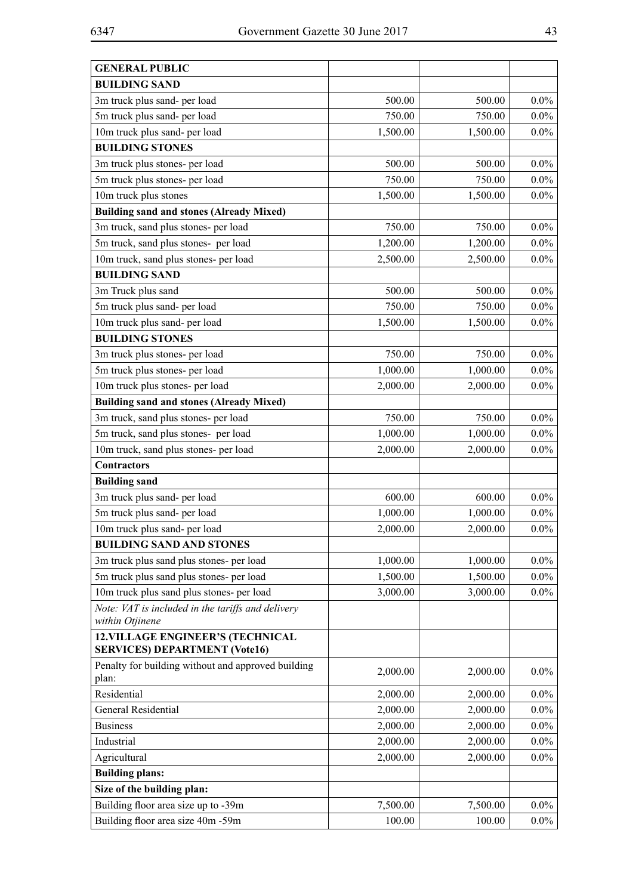| <b>GENERAL PUBLIC</b>                                                            |          |          |         |
|----------------------------------------------------------------------------------|----------|----------|---------|
| <b>BUILDING SAND</b>                                                             |          |          |         |
| 3m truck plus sand- per load                                                     | 500.00   | 500.00   | $0.0\%$ |
| 5m truck plus sand- per load                                                     | 750.00   | 750.00   | $0.0\%$ |
| 10m truck plus sand- per load                                                    | 1,500.00 | 1,500.00 | $0.0\%$ |
| <b>BUILDING STONES</b>                                                           |          |          |         |
| 3m truck plus stones- per load                                                   | 500.00   | 500.00   | $0.0\%$ |
| 5m truck plus stones- per load                                                   | 750.00   | 750.00   | $0.0\%$ |
| 10m truck plus stones                                                            | 1,500.00 | 1,500.00 | $0.0\%$ |
| <b>Building sand and stones (Already Mixed)</b>                                  |          |          |         |
| 3m truck, sand plus stones- per load                                             | 750.00   | 750.00   | $0.0\%$ |
| 5m truck, sand plus stones- per load                                             | 1,200.00 | 1,200.00 | $0.0\%$ |
| 10m truck, sand plus stones- per load                                            | 2,500.00 | 2,500.00 | $0.0\%$ |
| <b>BUILDING SAND</b>                                                             |          |          |         |
| 3m Truck plus sand                                                               | 500.00   | 500.00   | $0.0\%$ |
| 5m truck plus sand- per load                                                     | 750.00   | 750.00   | $0.0\%$ |
| 10m truck plus sand- per load                                                    | 1,500.00 | 1,500.00 | $0.0\%$ |
| <b>BUILDING STONES</b>                                                           |          |          |         |
| 3m truck plus stones- per load                                                   | 750.00   | 750.00   | $0.0\%$ |
| 5m truck plus stones- per load                                                   | 1,000.00 | 1,000.00 | $0.0\%$ |
| 10m truck plus stones- per load                                                  | 2,000.00 | 2,000.00 | $0.0\%$ |
| <b>Building sand and stones (Already Mixed)</b>                                  |          |          |         |
| 3m truck, sand plus stones- per load                                             | 750.00   | 750.00   | $0.0\%$ |
| 5m truck, sand plus stones- per load                                             | 1,000.00 | 1,000.00 | $0.0\%$ |
| 10m truck, sand plus stones- per load                                            | 2,000.00 | 2,000.00 | $0.0\%$ |
| <b>Contractors</b>                                                               |          |          |         |
| <b>Building sand</b>                                                             |          |          |         |
| 3m truck plus sand- per load                                                     | 600.00   | 600.00   | $0.0\%$ |
| 5m truck plus sand- per load                                                     | 1,000.00 | 1,000.00 | $0.0\%$ |
| 10m truck plus sand- per load                                                    | 2,000.00 | 2,000.00 | $0.0\%$ |
| <b>BUILDING SAND AND STONES</b>                                                  |          |          |         |
| 3m truck plus sand plus stones- per load                                         | 1,000.00 | 1,000.00 | $0.0\%$ |
| 5m truck plus sand plus stones- per load                                         | 1,500.00 | 1,500.00 | $0.0\%$ |
| 10m truck plus sand plus stones- per load                                        | 3,000.00 | 3,000.00 | $0.0\%$ |
| Note: VAT is included in the tariffs and delivery                                |          |          |         |
| within Otjinene                                                                  |          |          |         |
| <b>12. VILLAGE ENGINEER'S (TECHNICAL</b><br><b>SERVICES) DEPARTMENT (Vote16)</b> |          |          |         |
| Penalty for building without and approved building<br>plan:                      | 2,000.00 | 2,000.00 | $0.0\%$ |
| Residential                                                                      | 2,000.00 | 2,000.00 | $0.0\%$ |
| General Residential                                                              | 2,000.00 | 2,000.00 | $0.0\%$ |
| <b>Business</b>                                                                  | 2,000.00 | 2,000.00 | $0.0\%$ |
| Industrial                                                                       | 2,000.00 | 2,000.00 | $0.0\%$ |
| Agricultural                                                                     | 2,000.00 | 2,000.00 | $0.0\%$ |
| <b>Building plans:</b>                                                           |          |          |         |
| Size of the building plan:                                                       |          |          |         |
| Building floor area size up to -39m                                              | 7,500.00 | 7,500.00 | $0.0\%$ |
| Building floor area size 40m -59m                                                | 100.00   | 100.00   | $0.0\%$ |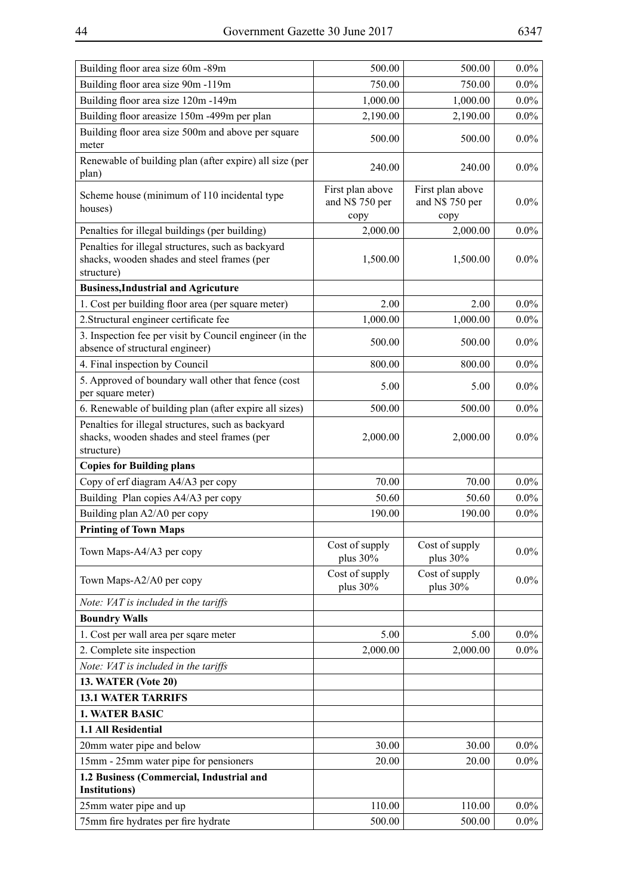| Building floor area size 60m -89m                                                                               | 500.00                                      | 500.00                                      | $0.0\%$ |
|-----------------------------------------------------------------------------------------------------------------|---------------------------------------------|---------------------------------------------|---------|
| Building floor area size 90m -119m                                                                              | 750.00                                      | 750.00                                      | $0.0\%$ |
| Building floor area size 120m -149m                                                                             | 1,000.00                                    | 1,000.00                                    | $0.0\%$ |
| Building floor areasize 150m -499m per plan                                                                     | 2,190.00                                    | 2,190.00                                    | $0.0\%$ |
| Building floor area size 500m and above per square<br>meter                                                     | 500.00                                      | 500.00                                      | $0.0\%$ |
| Renewable of building plan (after expire) all size (per<br>plan)                                                | 240.00                                      | 240.00                                      | $0.0\%$ |
| Scheme house (minimum of 110 incidental type<br>houses)                                                         | First plan above<br>and N\$ 750 per<br>copy | First plan above<br>and N\$ 750 per<br>copy | $0.0\%$ |
| Penalties for illegal buildings (per building)                                                                  | 2,000.00                                    | 2,000.00                                    | $0.0\%$ |
| Penalties for illegal structures, such as backyard<br>shacks, wooden shades and steel frames (per<br>structure) | 1,500.00                                    | 1,500.00                                    | $0.0\%$ |
| <b>Business, Industrial and Agricuture</b>                                                                      |                                             |                                             |         |
| 1. Cost per building floor area (per square meter)                                                              | 2.00                                        | 2.00                                        | $0.0\%$ |
| 2. Structural engineer certificate fee                                                                          | 1,000.00                                    | 1,000.00                                    | $0.0\%$ |
| 3. Inspection fee per visit by Council engineer (in the<br>absence of structural engineer)                      | 500.00                                      | 500.00                                      | $0.0\%$ |
| 4. Final inspection by Council                                                                                  | 800.00                                      | 800.00                                      | $0.0\%$ |
| 5. Approved of boundary wall other that fence (cost<br>per square meter)                                        | 5.00                                        | 5.00                                        | $0.0\%$ |
| 6. Renewable of building plan (after expire all sizes)                                                          | 500.00                                      | 500.00                                      | $0.0\%$ |
| Penalties for illegal structures, such as backyard<br>shacks, wooden shades and steel frames (per<br>structure) | 2,000.00                                    | 2,000.00                                    | $0.0\%$ |
| <b>Copies for Building plans</b>                                                                                |                                             |                                             |         |
| Copy of erf diagram A4/A3 per copy                                                                              | 70.00                                       | 70.00                                       | $0.0\%$ |
| Building Plan copies A4/A3 per copy                                                                             | 50.60                                       | 50.60                                       | $0.0\%$ |
| Building plan A2/A0 per copy                                                                                    | 190.00                                      | 190.00                                      | $0.0\%$ |
| <b>Printing of Town Maps</b>                                                                                    |                                             |                                             |         |
| Town Maps-A4/A3 per copy                                                                                        | Cost of supply<br>plus 30%                  | Cost of supply<br>plus 30%                  | $0.0\%$ |
| Town Maps-A2/A0 per copy                                                                                        | Cost of supply<br>plus 30%                  | Cost of supply<br>plus 30%                  | $0.0\%$ |
| Note: VAT is included in the tariffs                                                                            |                                             |                                             |         |
| <b>Boundry Walls</b>                                                                                            |                                             |                                             |         |
| 1. Cost per wall area per sqare meter                                                                           | 5.00                                        | 5.00                                        | $0.0\%$ |
| 2. Complete site inspection                                                                                     | 2,000.00                                    | 2,000.00                                    | $0.0\%$ |
| Note: VAT is included in the tariffs                                                                            |                                             |                                             |         |
| <b>13. WATER (Vote 20)</b>                                                                                      |                                             |                                             |         |
| <b>13.1 WATER TARRIFS</b>                                                                                       |                                             |                                             |         |
| <b>1. WATER BASIC</b>                                                                                           |                                             |                                             |         |
| 1.1 All Residential                                                                                             |                                             |                                             |         |
| 20mm water pipe and below                                                                                       | 30.00                                       | 30.00                                       | $0.0\%$ |
| 15mm - 25mm water pipe for pensioners                                                                           | 20.00                                       | 20.00                                       | $0.0\%$ |
| 1.2 Business (Commercial, Industrial and<br><b>Institutions</b> )                                               |                                             |                                             |         |
| 25mm water pipe and up                                                                                          | 110.00                                      | 110.00                                      | $0.0\%$ |
| 75mm fire hydrates per fire hydrate                                                                             | 500.00                                      | 500.00                                      | $0.0\%$ |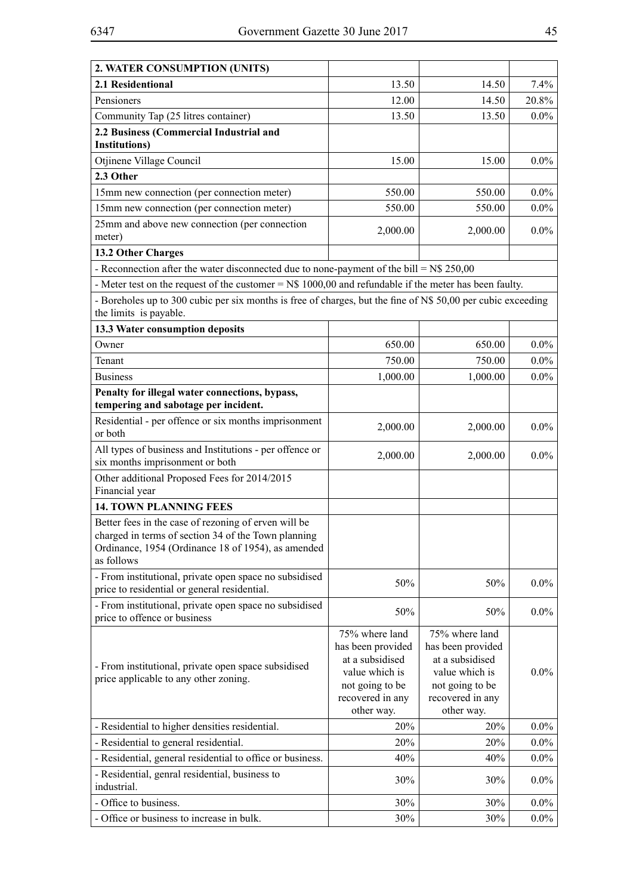| 2. WATER CONSUMPTION (UNITS)                                                                                                                                                    |                                                                                                                               |                                                                                                                               |         |
|---------------------------------------------------------------------------------------------------------------------------------------------------------------------------------|-------------------------------------------------------------------------------------------------------------------------------|-------------------------------------------------------------------------------------------------------------------------------|---------|
| 2.1 Residentional                                                                                                                                                               | 13.50                                                                                                                         | 14.50                                                                                                                         | 7.4%    |
| Pensioners                                                                                                                                                                      | 12.00                                                                                                                         | 14.50                                                                                                                         | 20.8%   |
| Community Tap (25 litres container)                                                                                                                                             | 13.50                                                                                                                         | 13.50                                                                                                                         | $0.0\%$ |
| 2.2 Business (Commercial Industrial and<br><b>Institutions</b> )                                                                                                                |                                                                                                                               |                                                                                                                               |         |
| Otjinene Village Council                                                                                                                                                        | 15.00                                                                                                                         | 15.00                                                                                                                         | $0.0\%$ |
| 2.3 Other                                                                                                                                                                       |                                                                                                                               |                                                                                                                               |         |
| 15mm new connection (per connection meter)                                                                                                                                      | 550.00                                                                                                                        | 550.00                                                                                                                        | $0.0\%$ |
| 15mm new connection (per connection meter)                                                                                                                                      | 550.00                                                                                                                        | 550.00                                                                                                                        | $0.0\%$ |
| 25mm and above new connection (per connection<br>meter)                                                                                                                         | 2,000.00                                                                                                                      | 2,000.00                                                                                                                      | $0.0\%$ |
| 13.2 Other Charges                                                                                                                                                              |                                                                                                                               |                                                                                                                               |         |
| - Reconnection after the water disconnected due to none-payment of the bill = $N$ 250,00$                                                                                       |                                                                                                                               |                                                                                                                               |         |
| - Meter test on the request of the customer $=$ N\$ 1000,00 and refundable if the meter has been faulty.                                                                        |                                                                                                                               |                                                                                                                               |         |
| - Boreholes up to 300 cubic per six months is free of charges, but the fine of N\$ 50,00 per cubic exceeding<br>the limits is payable.                                          |                                                                                                                               |                                                                                                                               |         |
| 13.3 Water consumption deposits                                                                                                                                                 |                                                                                                                               |                                                                                                                               |         |
| Owner                                                                                                                                                                           | 650.00                                                                                                                        | 650.00                                                                                                                        | $0.0\%$ |
| Tenant                                                                                                                                                                          | 750.00                                                                                                                        | 750.00                                                                                                                        | $0.0\%$ |
| <b>Business</b>                                                                                                                                                                 | 1,000.00                                                                                                                      | 1,000.00                                                                                                                      | $0.0\%$ |
| Penalty for illegal water connections, bypass,                                                                                                                                  |                                                                                                                               |                                                                                                                               |         |
| tempering and sabotage per incident.                                                                                                                                            |                                                                                                                               |                                                                                                                               |         |
| Residential - per offence or six months imprisonment<br>or both                                                                                                                 | 2,000.00                                                                                                                      | 2,000.00                                                                                                                      | $0.0\%$ |
| All types of business and Institutions - per offence or<br>six months imprisonment or both                                                                                      | 2,000.00                                                                                                                      | 2,000.00                                                                                                                      | $0.0\%$ |
| Other additional Proposed Fees for 2014/2015<br>Financial year                                                                                                                  |                                                                                                                               |                                                                                                                               |         |
| <b>14. TOWN PLANNING FEES</b>                                                                                                                                                   |                                                                                                                               |                                                                                                                               |         |
| Better fees in the case of rezoning of erven will be<br>charged in terms of section 34 of the Town planning<br>Ordinance, 1954 (Ordinance 18 of 1954), as amended<br>as follows |                                                                                                                               |                                                                                                                               |         |
| - From institutional, private open space no subsidised<br>price to residential or general residential.                                                                          | 50%                                                                                                                           | 50%                                                                                                                           | $0.0\%$ |
| - From institutional, private open space no subsidised<br>price to offence or business                                                                                          | 50%                                                                                                                           | 50%                                                                                                                           | $0.0\%$ |
| - From institutional, private open space subsidised<br>price applicable to any other zoning.                                                                                    | 75% where land<br>has been provided<br>at a subsidised<br>value which is<br>not going to be<br>recovered in any<br>other way. | 75% where land<br>has been provided<br>at a subsidised<br>value which is<br>not going to be<br>recovered in any<br>other way. | $0.0\%$ |
| - Residential to higher densities residential.                                                                                                                                  | 20%                                                                                                                           | 20%                                                                                                                           | $0.0\%$ |
| - Residential to general residential.                                                                                                                                           | 20%                                                                                                                           | 20%                                                                                                                           | $0.0\%$ |
| - Residential, general residential to office or business.                                                                                                                       | 40%                                                                                                                           | 40%                                                                                                                           | $0.0\%$ |
| - Residential, genral residential, business to<br>industrial.                                                                                                                   | 30%                                                                                                                           | 30%                                                                                                                           | $0.0\%$ |
| - Office to business.                                                                                                                                                           |                                                                                                                               | 30%                                                                                                                           | $0.0\%$ |
|                                                                                                                                                                                 | 30%                                                                                                                           |                                                                                                                               |         |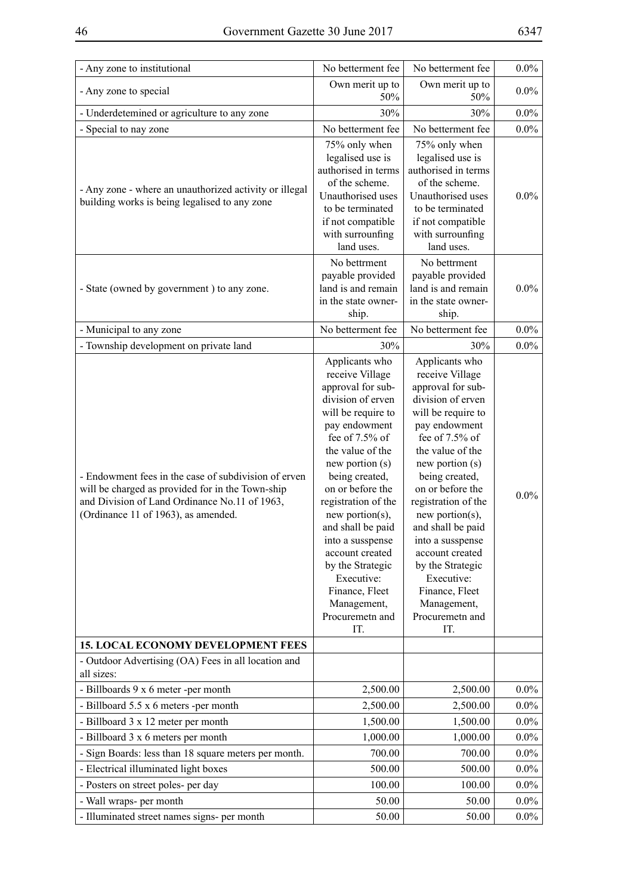| - Any zone to institutional                                                                                                                                                                      | No betterment fee                                                                                                                                                                                                                                                                                                                                                                                                           | No betterment fee                                                                                                                                                                                                                                                                                                                                                                                                          | $0.0\%$ |
|--------------------------------------------------------------------------------------------------------------------------------------------------------------------------------------------------|-----------------------------------------------------------------------------------------------------------------------------------------------------------------------------------------------------------------------------------------------------------------------------------------------------------------------------------------------------------------------------------------------------------------------------|----------------------------------------------------------------------------------------------------------------------------------------------------------------------------------------------------------------------------------------------------------------------------------------------------------------------------------------------------------------------------------------------------------------------------|---------|
| - Any zone to special                                                                                                                                                                            | Own merit up to<br>50%                                                                                                                                                                                                                                                                                                                                                                                                      | Own merit up to<br>50%                                                                                                                                                                                                                                                                                                                                                                                                     |         |
| - Underdetemined or agriculture to any zone                                                                                                                                                      | 30%                                                                                                                                                                                                                                                                                                                                                                                                                         | 30%                                                                                                                                                                                                                                                                                                                                                                                                                        | $0.0\%$ |
| - Special to nay zone                                                                                                                                                                            | No betterment fee                                                                                                                                                                                                                                                                                                                                                                                                           | No betterment fee                                                                                                                                                                                                                                                                                                                                                                                                          | $0.0\%$ |
| - Any zone - where an unauthorized activity or illegal<br>building works is being legalised to any zone                                                                                          | 75% only when<br>legalised use is<br>authorised in terms<br>of the scheme.<br>Unauthorised uses<br>to be terminated<br>if not compatible<br>with surrounfing<br>land uses.                                                                                                                                                                                                                                                  | 75% only when<br>legalised use is<br>authorised in terms<br>of the scheme.<br>Unauthorised uses<br>to be terminated<br>if not compatible<br>with surrounfing<br>land uses.                                                                                                                                                                                                                                                 | $0.0\%$ |
| - State (owned by government) to any zone.                                                                                                                                                       | No bettrment<br>payable provided<br>land is and remain<br>in the state owner-<br>ship.                                                                                                                                                                                                                                                                                                                                      | No bettrment<br>payable provided<br>land is and remain<br>in the state owner-<br>ship.                                                                                                                                                                                                                                                                                                                                     | $0.0\%$ |
| - Municipal to any zone                                                                                                                                                                          | No betterment fee                                                                                                                                                                                                                                                                                                                                                                                                           | No betterment fee                                                                                                                                                                                                                                                                                                                                                                                                          | $0.0\%$ |
| - Township development on private land                                                                                                                                                           | 30%                                                                                                                                                                                                                                                                                                                                                                                                                         | 30%                                                                                                                                                                                                                                                                                                                                                                                                                        | $0.0\%$ |
| - Endowment fees in the case of subdivision of erven<br>will be charged as provided for in the Town-ship<br>and Division of Land Ordinance No.11 of 1963,<br>(Ordinance 11 of 1963), as amended. | Applicants who<br>receive Village<br>approval for sub-<br>division of erven<br>will be require to<br>pay endowment<br>fee of $7.5\%$ of<br>the value of the<br>new portion (s)<br>being created,<br>on or before the<br>registration of the<br>new portion $(s)$ ,<br>and shall be paid<br>into a susspense<br>account created<br>by the Strategic<br>Executive:<br>Finance, Fleet<br>Management,<br>Procuremeth and<br>IT. | Applicants who<br>receive Village<br>approval for sub-<br>division of erven<br>will be require to<br>pay endowment<br>fee of $7.5%$ of<br>the value of the<br>new portion (s)<br>being created,<br>on or before the<br>registration of the<br>new portion $(s)$ ,<br>and shall be paid<br>into a susspense<br>account created<br>by the Strategic<br>Executive:<br>Finance, Fleet<br>Management,<br>Procuremeth and<br>IT. | $0.0\%$ |
| <b>15. LOCAL ECONOMY DEVELOPMENT FEES</b>                                                                                                                                                        |                                                                                                                                                                                                                                                                                                                                                                                                                             |                                                                                                                                                                                                                                                                                                                                                                                                                            |         |
| - Outdoor Advertising (OA) Fees in all location and<br>all sizes:                                                                                                                                |                                                                                                                                                                                                                                                                                                                                                                                                                             |                                                                                                                                                                                                                                                                                                                                                                                                                            |         |
| - Billboards 9 x 6 meter -per month                                                                                                                                                              | 2,500.00                                                                                                                                                                                                                                                                                                                                                                                                                    | 2,500.00                                                                                                                                                                                                                                                                                                                                                                                                                   | $0.0\%$ |
| - Billboard 5.5 x 6 meters -per month                                                                                                                                                            | 2,500.00                                                                                                                                                                                                                                                                                                                                                                                                                    | 2,500.00                                                                                                                                                                                                                                                                                                                                                                                                                   | $0.0\%$ |
| - Billboard 3 x 12 meter per month                                                                                                                                                               | 1,500.00                                                                                                                                                                                                                                                                                                                                                                                                                    | 1,500.00                                                                                                                                                                                                                                                                                                                                                                                                                   | $0.0\%$ |
| - Billboard 3 x 6 meters per month                                                                                                                                                               | 1,000.00                                                                                                                                                                                                                                                                                                                                                                                                                    | 1,000.00                                                                                                                                                                                                                                                                                                                                                                                                                   | $0.0\%$ |
| - Sign Boards: less than 18 square meters per month.                                                                                                                                             | 700.00                                                                                                                                                                                                                                                                                                                                                                                                                      | 700.00                                                                                                                                                                                                                                                                                                                                                                                                                     | $0.0\%$ |
| - Electrical illuminated light boxes                                                                                                                                                             | 500.00                                                                                                                                                                                                                                                                                                                                                                                                                      | 500.00                                                                                                                                                                                                                                                                                                                                                                                                                     | $0.0\%$ |
| - Posters on street poles- per day                                                                                                                                                               | 100.00                                                                                                                                                                                                                                                                                                                                                                                                                      | 100.00                                                                                                                                                                                                                                                                                                                                                                                                                     | $0.0\%$ |
| - Wall wraps- per month                                                                                                                                                                          | 50.00                                                                                                                                                                                                                                                                                                                                                                                                                       | 50.00                                                                                                                                                                                                                                                                                                                                                                                                                      | $0.0\%$ |
| - Illuminated street names signs- per month                                                                                                                                                      | 50.00                                                                                                                                                                                                                                                                                                                                                                                                                       | 50.00                                                                                                                                                                                                                                                                                                                                                                                                                      | $0.0\%$ |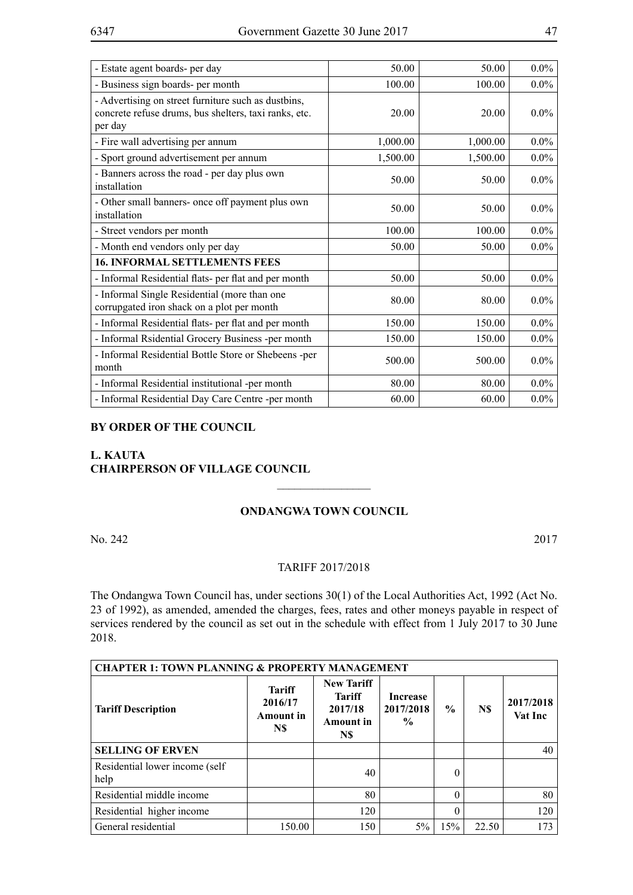| - Estate agent boards- per day                                                                                          | 50.00    | 50.00    | $0.0\%$ |
|-------------------------------------------------------------------------------------------------------------------------|----------|----------|---------|
| - Business sign boards- per month                                                                                       | 100.00   | 100.00   | $0.0\%$ |
| - Advertising on street furniture such as dustbins,<br>concrete refuse drums, bus shelters, taxi ranks, etc.<br>per day | 20.00    | 20.00    | $0.0\%$ |
| - Fire wall advertising per annum                                                                                       | 1,000.00 | 1,000.00 | $0.0\%$ |
| - Sport ground advertisement per annum                                                                                  | 1,500.00 | 1,500.00 | $0.0\%$ |
| - Banners across the road - per day plus own<br>installation                                                            | 50.00    | 50.00    | $0.0\%$ |
| - Other small banners- once off payment plus own<br>installation                                                        | 50.00    | 50.00    | $0.0\%$ |
| - Street vendors per month                                                                                              | 100.00   | 100.00   | $0.0\%$ |
| - Month end vendors only per day                                                                                        | 50.00    | 50.00    | $0.0\%$ |
| <b>16. INFORMAL SETTLEMENTS FEES</b>                                                                                    |          |          |         |
| - Informal Residential flats- per flat and per month                                                                    | 50.00    | 50.00    | $0.0\%$ |
| - Informal Single Residential (more than one<br>corrupgated iron shack on a plot per month                              | 80.00    | 80.00    | $0.0\%$ |
| - Informal Residential flats- per flat and per month                                                                    | 150.00   | 150.00   | $0.0\%$ |
| - Informal Rsidential Grocery Business -per month                                                                       | 150.00   | 150.00   | $0.0\%$ |
| - Informal Residential Bottle Store or Shebeens -per<br>month                                                           | 500.00   | 500.00   | $0.0\%$ |
| - Informal Residential institutional -per month                                                                         | 80.00    | 80.00    | $0.0\%$ |
| - Informal Residential Day Care Centre -per month                                                                       | 60.00    | 60.00    | $0.0\%$ |

#### **BY ORDER OF THE COUNCIL**

## **L. KAUTA CHAIRPERSON OF VILLAGE COUNCIL**

#### **Ondangwa Town Council**

 $\frac{1}{2}$ 

No. 242 2017

#### TARIFF 2017/2018

The Ondangwa Town Council has, under sections 30(1) of the Local Authorities Act, 1992 (Act No. 23 of 1992), as amended, amended the charges, fees, rates and other moneys payable in respect of services rendered by the council as set out in the schedule with effect from 1 July 2017 to 30 June 2018.

| <b>CHAPTER 1: TOWN PLANNING &amp; PROPERTY MANAGEMENT</b> |                                                     |                                                                          |                                               |          |       |                      |
|-----------------------------------------------------------|-----------------------------------------------------|--------------------------------------------------------------------------|-----------------------------------------------|----------|-------|----------------------|
| <b>Tariff Description</b>                                 | <b>Tariff</b><br>2016/17<br><b>Amount</b> in<br>N\$ | <b>New Tariff</b><br><b>Tariff</b><br>2017/18<br><b>Amount</b> in<br>N\$ | <b>Increase</b><br>2017/2018<br>$\frac{0}{0}$ | $\%$     | N\$   | 2017/2018<br>Vat Inc |
| <b>SELLING OF ERVEN</b>                                   |                                                     |                                                                          |                                               |          |       | 40                   |
| Residential lower income (self)<br>help                   |                                                     | 40                                                                       |                                               | 0        |       |                      |
| Residential middle income                                 |                                                     | 80                                                                       |                                               | 0        |       | 80                   |
| Residential higher income                                 |                                                     | 120                                                                      |                                               | $\Omega$ |       | 120                  |
| General residential                                       | 150.00                                              | 150                                                                      | $5\%$                                         | 15%      | 22.50 | 173                  |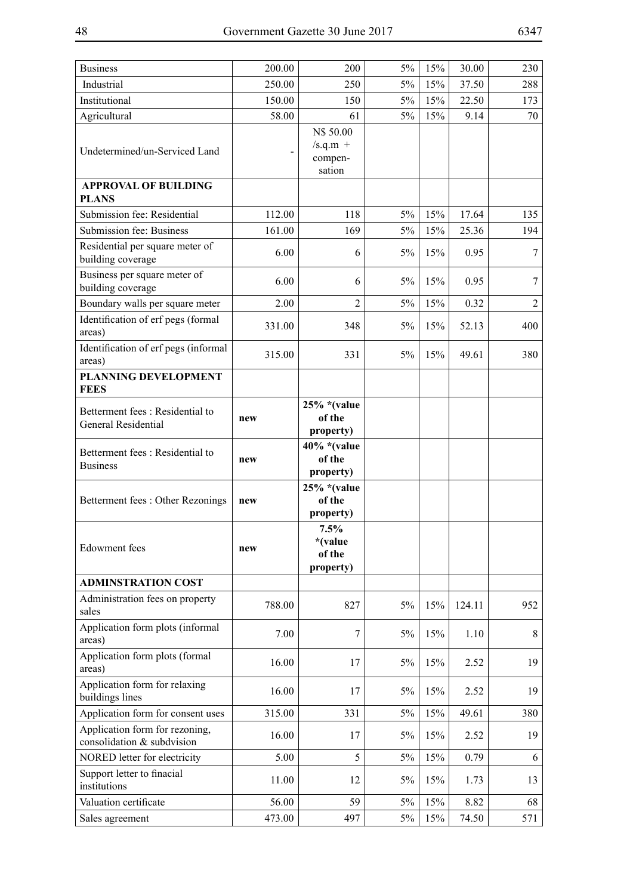$\overline{a}$ 

 $\overline{a}$ 

| <b>Business</b>                                               | 200.00 | 200                                          | 5%    | 15% | 30.00  | 230            |
|---------------------------------------------------------------|--------|----------------------------------------------|-------|-----|--------|----------------|
| Industrial                                                    | 250.00 | 250                                          | 5%    | 15% | 37.50  | 288            |
| Institutional                                                 | 150.00 | 150                                          | $5\%$ | 15% | 22.50  | 173            |
| Agricultural                                                  | 58.00  | 61                                           | 5%    | 15% | 9.14   | 70             |
| Undetermined/un-Serviced Land                                 |        | N\$ 50.00<br>$/s.q.m +$<br>compen-<br>sation |       |     |        |                |
| <b>APPROVAL OF BUILDING</b><br><b>PLANS</b>                   |        |                                              |       |     |        |                |
| Submission fee: Residential                                   | 112.00 | 118                                          | $5\%$ | 15% | 17.64  | 135            |
| Submission fee: Business                                      | 161.00 | 169                                          | $5\%$ | 15% | 25.36  | 194            |
| Residential per square meter of<br>building coverage          | 6.00   | 6                                            | 5%    | 15% | 0.95   | 7              |
| Business per square meter of<br>building coverage             | 6.00   | 6                                            | 5%    | 15% | 0.95   | 7              |
| Boundary walls per square meter                               | 2.00   | $\overline{2}$                               | 5%    | 15% | 0.32   | $\overline{2}$ |
| Identification of erf pegs (formal<br>areas)                  | 331.00 | 348                                          | 5%    | 15% | 52.13  | 400            |
| Identification of erf pegs (informal<br>areas)                | 315.00 | 331                                          | $5\%$ | 15% | 49.61  | 380            |
| PLANNING DEVELOPMENT<br><b>FEES</b>                           |        |                                              |       |     |        |                |
| Betterment fees: Residential to<br><b>General Residential</b> | new    | $25\%$ *(value<br>of the<br>property)        |       |     |        |                |
| Betterment fees: Residential to<br><b>Business</b>            | new    | $40\%$ *(value<br>of the<br>property)        |       |     |        |                |
| Betterment fees: Other Rezonings                              | new    | $25\%$ *(value<br>of the<br>property)        |       |     |        |                |
| <b>Edowment</b> fees                                          | new    | 7.5%<br>*(value<br>of the<br>property)       |       |     |        |                |
| <b>ADMINSTRATION COST</b>                                     |        |                                              |       |     |        |                |
| Administration fees on property<br>sales                      | 788.00 | 827                                          | 5%    | 15% | 124.11 | 952            |
| Application form plots (informal<br>areas)                    | 7.00   | $\overline{7}$                               | 5%    | 15% | 1.10   | 8              |
| Application form plots (formal<br>areas)                      | 16.00  | 17                                           | 5%    | 15% | 2.52   | 19             |
| Application form for relaxing<br>buildings lines              | 16.00  | 17                                           | 5%    | 15% | 2.52   | 19             |
| Application form for consent uses                             | 315.00 | 331                                          | 5%    | 15% | 49.61  | 380            |
| Application form for rezoning,<br>consolidation & subdvision  | 16.00  | 17                                           | 5%    | 15% | 2.52   | 19             |
| NORED letter for electricity                                  | 5.00   | 5                                            | 5%    | 15% | 0.79   | 6              |
| Support letter to finacial<br>institutions                    | 11.00  | 12                                           | 5%    | 15% | 1.73   | 13             |
| Valuation certificate                                         | 56.00  | 59                                           | 5%    | 15% | 8.82   | 68             |
| Sales agreement                                               | 473.00 | 497                                          | 5%    | 15% | 74.50  | 571            |

 $\overline{a}$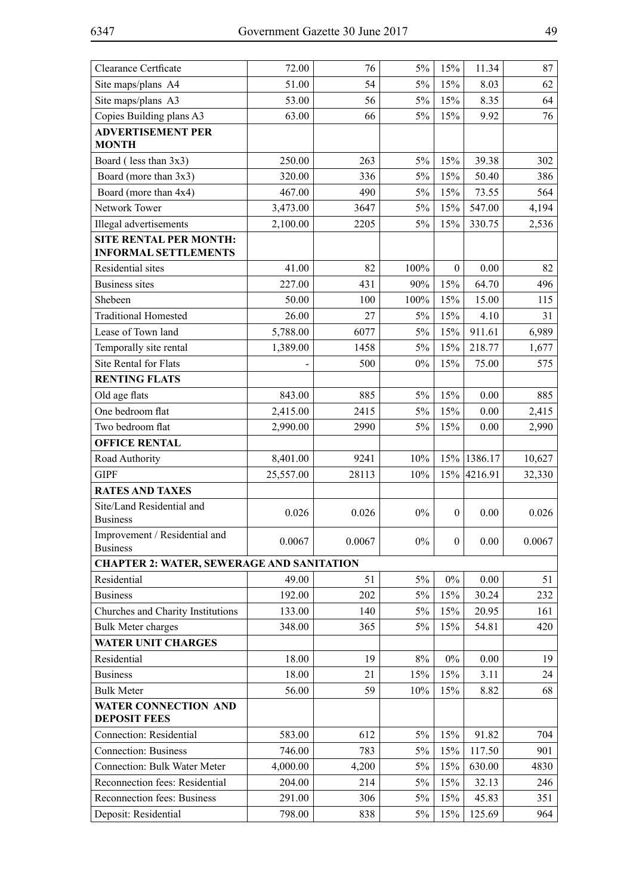| <b>Clearance Certficate</b>                                  | 72.00     | 76     | 5%    | 15%              | 11.34       | 87     |
|--------------------------------------------------------------|-----------|--------|-------|------------------|-------------|--------|
| Site maps/plans A4                                           | 51.00     | 54     | $5\%$ | 15%              | 8.03        | 62     |
| Site maps/plans A3                                           | 53.00     | 56     | $5\%$ | 15%              | 8.35        | 64     |
| Copies Building plans A3                                     | 63.00     | 66     | $5\%$ | 15%              | 9.92        | 76     |
| <b>ADVERTISEMENT PER</b><br><b>MONTH</b>                     |           |        |       |                  |             |        |
| Board (less than 3x3)                                        | 250.00    | 263    | $5\%$ | 15%              | 39.38       | 302    |
| Board (more than 3x3)                                        | 320.00    | 336    | 5%    | 15%              | 50.40       | 386    |
| Board (more than 4x4)                                        | 467.00    | 490    | $5\%$ | 15%              | 73.55       | 564    |
| Network Tower                                                | 3,473.00  | 3647   | $5\%$ | 15%              | 547.00      | 4,194  |
| Illegal advertisements                                       | 2,100.00  | 2205   | $5\%$ | 15%              | 330.75      | 2,536  |
| <b>SITE RENTAL PER MONTH:</b><br><b>INFORMAL SETTLEMENTS</b> |           |        |       |                  |             |        |
| Residential sites                                            | 41.00     | 82     | 100%  | $\boldsymbol{0}$ | 0.00        | 82     |
| <b>Business sites</b>                                        | 227.00    | 431    | 90%   | 15%              | 64.70       | 496    |
| Shebeen                                                      | 50.00     | 100    | 100%  | 15%              | 15.00       | 115    |
| <b>Traditional Homested</b>                                  | 26.00     | 27     | 5%    | 15%              | 4.10        | 31     |
| Lease of Town land                                           | 5,788.00  | 6077   | $5\%$ | 15%              | 911.61      | 6,989  |
| Temporally site rental                                       | 1,389.00  | 1458   | $5\%$ | 15%              | 218.77      | 1,677  |
| Site Rental for Flats                                        |           | 500    | $0\%$ | 15%              | 75.00       | 575    |
| <b>RENTING FLATS</b>                                         |           |        |       |                  |             |        |
| Old age flats                                                | 843.00    | 885    | 5%    | 15%              | 0.00        | 885    |
| One bedroom flat                                             | 2,415.00  | 2415   | 5%    | 15%              | 0.00        | 2,415  |
| Two bedroom flat                                             | 2,990.00  | 2990   | 5%    | 15%              | 0.00        | 2,990  |
| <b>OFFICE RENTAL</b>                                         |           |        |       |                  |             |        |
| Road Authority                                               | 8,401.00  | 9241   | 10%   |                  | 15% 1386.17 | 10,627 |
| <b>GIPF</b>                                                  | 25,557.00 | 28113  | 10%   | 15%              | 4216.91     | 32,330 |
| <b>RATES AND TAXES</b>                                       |           |        |       |                  |             |        |
| Site/Land Residential and<br><b>Business</b>                 | 0.026     | 0.026  | $0\%$ | $\mathbf{0}$     | 0.00        | 0.026  |
| Improvement / Residential and<br><b>Business</b>             | 0.0067    | 0.0067 | $0\%$ | $\boldsymbol{0}$ | 0.00        | 0.0067 |
| <b>CHAPTER 2: WATER, SEWERAGE AND SANITATION</b>             |           |        |       |                  |             |        |
| Residential                                                  | 49.00     | 51     | 5%    | $0\%$            | 0.00        | 51     |
| <b>Business</b>                                              | 192.00    | 202    | $5\%$ | 15%              | 30.24       | 232    |
| Churches and Charity Institutions                            | 133.00    | 140    | 5%    | 15%              | 20.95       | 161    |
| <b>Bulk Meter charges</b>                                    | 348.00    | 365    | 5%    | 15%              | 54.81       | 420    |
| <b>WATER UNIT CHARGES</b>                                    |           |        |       |                  |             |        |
| Residential                                                  | 18.00     | 19     | $8\%$ | $0\%$            | 0.00        | 19     |
| <b>Business</b>                                              | 18.00     | 21     | 15%   | 15%              | 3.11        | 24     |
| <b>Bulk Meter</b>                                            | 56.00     | 59     | 10%   | 15%              | 8.82        | 68     |
| <b>WATER CONNECTION AND</b>                                  |           |        |       |                  |             |        |
| <b>DEPOSIT FEES</b>                                          |           |        |       |                  |             |        |
| <b>Connection: Residential</b>                               | 583.00    | 612    | 5%    | 15%              | 91.82       | 704    |
| <b>Connection: Business</b>                                  | 746.00    | 783    | 5%    | 15%              | 117.50      | 901    |
| <b>Connection: Bulk Water Meter</b>                          | 4,000.00  | 4,200  | 5%    | 15%              | 630.00      | 4830   |
| Reconnection fees: Residential                               | 204.00    | 214    | 5%    | 15%              | 32.13       | 246    |
| Reconnection fees: Business                                  | 291.00    | 306    | 5%    | 15%              | 45.83       | 351    |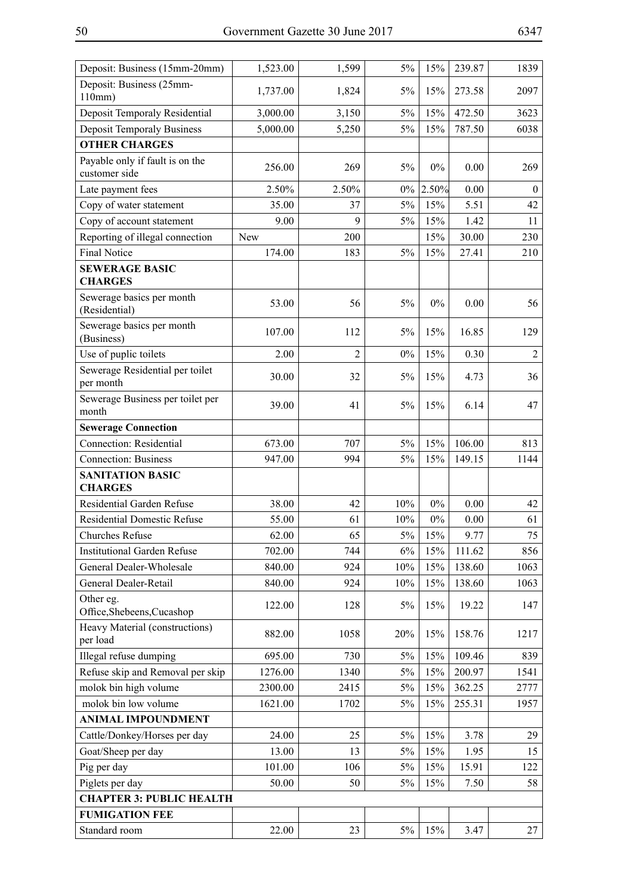| Deposit: Business (25mm-                                                                 |                  |
|------------------------------------------------------------------------------------------|------------------|
| 5%<br>1,824<br>15%<br>273.58<br>1,737.00<br>110mm)                                       | 2097             |
| Deposit Temporaly Residential<br>$5\%$<br>15%<br>472.50<br>3,000.00<br>3,150             | 3623             |
| <b>Deposit Temporaly Business</b><br>$5\%$<br>15%<br>5,000.00<br>5,250<br>787.50         | 6038             |
| <b>OTHER CHARGES</b>                                                                     |                  |
| Payable only if fault is on the<br>256.00<br>269<br>5%<br>$0\%$<br>0.00<br>customer side | 269              |
| 2.50%<br>2.50%<br>2.50%<br>$0\%$<br>0.00<br>Late payment fees                            | $\boldsymbol{0}$ |
| Copy of water statement<br>35.00<br>5%<br>15%<br>5.51<br>37                              | 42               |
| 9<br>Copy of account statement<br>9.00<br>5%<br>15%<br>1.42                              | 11               |
| Reporting of illegal connection<br>200<br>15%<br>30.00<br><b>New</b>                     | 230              |
| <b>Final Notice</b><br>174.00<br>183<br>5%<br>15%<br>27.41                               | 210              |
| <b>SEWERAGE BASIC</b><br><b>CHARGES</b>                                                  |                  |
| Sewerage basics per month<br>53.00<br>56<br>5%<br>$0\%$<br>0.00<br>(Residential)         | 56               |
| Sewerage basics per month<br>107.00<br>112<br>5%<br>15%<br>16.85<br>(Business)           | 129              |
| $\overline{2}$<br>Use of puplic toilets<br>2.00<br>$0\%$<br>15%<br>0.30                  | $\overline{2}$   |
| Sewerage Residential per toilet<br>30.00<br>32<br>5%<br>15%<br>4.73<br>per month         | 36               |
| Sewerage Business per toilet per<br>39.00<br>41<br>5%<br>15%<br>6.14<br>month            | 47               |
| <b>Sewerage Connection</b>                                                               |                  |
| <b>Connection: Residential</b><br>707<br>15%<br>106.00<br>673.00<br>5%                   | 813              |
| <b>Connection: Business</b><br>149.15<br>947.00<br>994<br>5%<br>15%                      | 1144             |
| <b>SANITATION BASIC</b><br><b>CHARGES</b>                                                |                  |
| Residential Garden Refuse<br>42<br>10%<br>$0\%$<br>0.00<br>38.00                         | 42               |
| <b>Residential Domestic Refuse</b><br>10%<br>55.00<br>$0\%$<br>0.00<br>61                | 61               |
| 65<br>15%<br>62.00<br>$5\%$<br>9.77<br>Churches Refuse                                   | 75               |
| <b>Institutional Garden Refuse</b><br>702.00<br>744<br>6%<br>15%<br>111.62               | 856              |
| General Dealer-Wholesale<br>840.00<br>10%<br>15%<br>138.60<br>924                        | 1063             |
| General Dealer-Retail<br>840.00<br>924<br>10%<br>15%<br>138.60                           | 1063             |
| Other eg.<br>5%<br>15%<br>19.22<br>122.00<br>128<br>Office, Shebeens, Cucashop           | 147              |
| Heavy Material (constructions)<br>882.00<br>1058<br>20%<br>15%<br>158.76<br>per load     | 1217             |
| Illegal refuse dumping<br>109.46<br>695.00<br>730<br>5%<br>15%                           | 839              |
| Refuse skip and Removal per skip<br>200.97<br>1276.00<br>1340<br>5%<br>15%               | 1541             |
| molok bin high volume<br>2300.00<br>2415<br>15%<br>5%<br>362.25                          | 2777             |
| molok bin low volume<br>1621.00<br>1702<br>15%<br>255.31<br>5%                           | 1957             |
| <b>ANIMAL IMPOUNDMENT</b>                                                                |                  |
| Cattle/Donkey/Horses per day<br>24.00<br>25<br>5%<br>15%<br>3.78                         | 29               |
| Goat/Sheep per day<br>13.00<br>5%<br>15%<br>1.95<br>13                                   | 15               |
| Pig per day<br>101.00<br>$5\%$<br>15%<br>15.91<br>106                                    | 122              |
| Piglets per day<br>15%<br>50.00<br>50<br>5%<br>7.50                                      | 58               |
| <b>CHAPTER 3: PUBLIC HEALTH</b>                                                          |                  |
| <b>FUMIGATION FEE</b>                                                                    |                  |
| 22.00<br>15%<br>Standard room<br>23<br>5%<br>3.47                                        | 27               |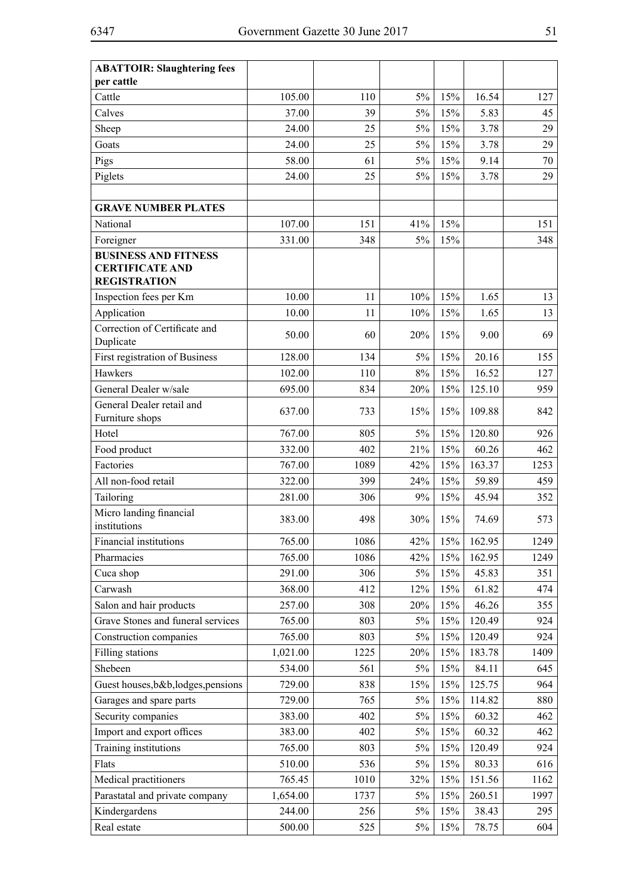| <b>ABATTOIR: Slaughtering fees</b>                                           |          |      |       |     |              |          |
|------------------------------------------------------------------------------|----------|------|-------|-----|--------------|----------|
| per cattle<br>Cattle                                                         | 105.00   | 110  | $5\%$ | 15% | 16.54        | 127      |
|                                                                              | 37.00    | 39   | $5\%$ | 15% |              |          |
| Calves                                                                       | 24.00    | 25   | 5%    | 15% | 5.83<br>3.78 | 45<br>29 |
| Sheep                                                                        |          |      |       |     |              |          |
| Goats                                                                        | 24.00    | 25   | $5\%$ | 15% | 3.78         | 29       |
| Pigs                                                                         | 58.00    | 61   | 5%    | 15% | 9.14         | 70       |
| Piglets                                                                      | 24.00    | 25   | $5\%$ | 15% | 3.78         | 29       |
| <b>GRAVE NUMBER PLATES</b>                                                   |          |      |       |     |              |          |
| National                                                                     | 107.00   | 151  | 41%   | 15% |              | 151      |
| Foreigner                                                                    | 331.00   | 348  | 5%    | 15% |              | 348      |
| <b>BUSINESS AND FITNESS</b><br><b>CERTIFICATE AND</b><br><b>REGISTRATION</b> |          |      |       |     |              |          |
| Inspection fees per Km                                                       | 10.00    | 11   | 10%   | 15% | 1.65         | 13       |
| Application                                                                  | 10.00    | 11   | 10%   | 15% | 1.65         | 13       |
| Correction of Certificate and<br>Duplicate                                   | 50.00    | 60   | 20%   | 15% | 9.00         | 69       |
| First registration of Business                                               | 128.00   | 134  | 5%    | 15% | 20.16        | 155      |
| Hawkers                                                                      | 102.00   | 110  | 8%    | 15% | 16.52        | 127      |
| General Dealer w/sale                                                        | 695.00   | 834  | 20%   | 15% | 125.10       | 959      |
| General Dealer retail and<br>Furniture shops                                 | 637.00   | 733  | 15%   | 15% | 109.88       | 842      |
| Hotel                                                                        | 767.00   | 805  | 5%    | 15% | 120.80       | 926      |
| Food product                                                                 | 332.00   | 402  | 21%   | 15% | 60.26        | 462      |
| Factories                                                                    | 767.00   | 1089 | 42%   | 15% | 163.37       | 1253     |
| All non-food retail                                                          | 322.00   | 399  | 24%   | 15% | 59.89        | 459      |
| Tailoring                                                                    | 281.00   | 306  | 9%    | 15% | 45.94        | 352      |
| Micro landing financial<br>institutions                                      | 383.00   | 498  | 30%   | 15% | 74.69        | 573      |
| Financial institutions                                                       | 765.00   | 1086 | 42%   | 15% | 162.95       | 1249     |
| Pharmacies                                                                   | 765.00   | 1086 | 42%   | 15% | 162.95       | 1249     |
| Cuca shop                                                                    | 291.00   | 306  | 5%    | 15% | 45.83        | 351      |
| Carwash                                                                      | 368.00   | 412  | 12%   | 15% | 61.82        | 474      |
| Salon and hair products                                                      | 257.00   | 308  | 20%   | 15% | 46.26        | 355      |
| Grave Stones and funeral services                                            | 765.00   | 803  | 5%    | 15% | 120.49       | 924      |
| Construction companies                                                       | 765.00   | 803  | 5%    | 15% | 120.49       | 924      |
| Filling stations                                                             | 1,021.00 | 1225 | 20%   | 15% | 183.78       | 1409     |
| Shebeen                                                                      | 534.00   | 561  | 5%    | 15% | 84.11        | 645      |
| Guest houses, b&b, lodges, pensions                                          | 729.00   | 838  | 15%   | 15% | 125.75       | 964      |
| Garages and spare parts                                                      | 729.00   | 765  | 5%    | 15% | 114.82       | 880      |
| Security companies                                                           | 383.00   | 402  | 5%    | 15% | 60.32        | 462      |
| Import and export offices                                                    | 383.00   | 402  | 5%    | 15% | 60.32        | 462      |
| Training institutions                                                        | 765.00   | 803  | 5%    | 15% | 120.49       | 924      |
| Flats                                                                        | 510.00   | 536  | 5%    | 15% | 80.33        | 616      |
| Medical practitioners                                                        | 765.45   | 1010 | 32%   | 15% | 151.56       | 1162     |
| Parastatal and private company                                               | 1,654.00 | 1737 | 5%    | 15% | 260.51       | 1997     |
| Kindergardens                                                                | 244.00   | 256  | 5%    | 15% | 38.43        | 295      |
| Real estate                                                                  | 500.00   | 525  | $5\%$ | 15% | 78.75        | 604      |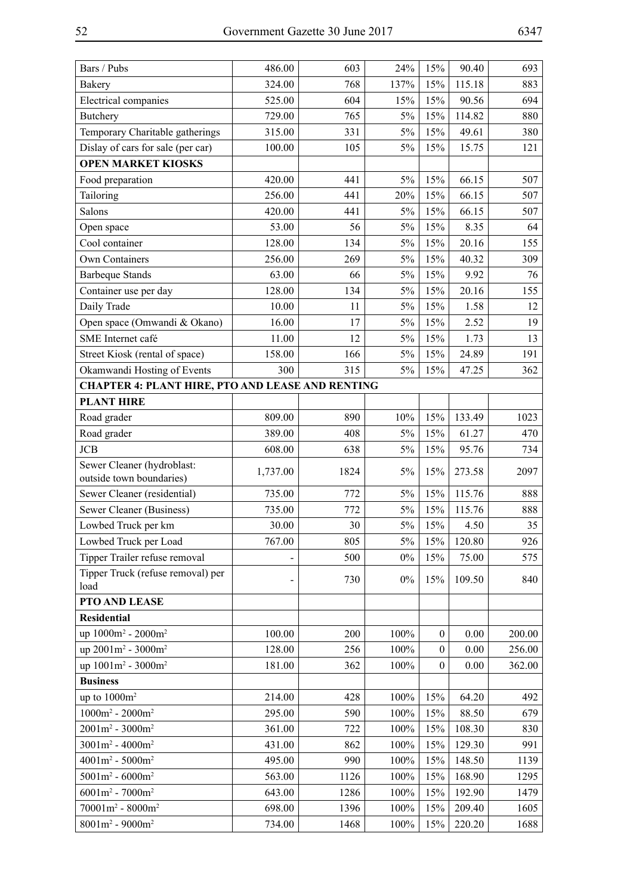| Bars / Pubs                                             | 486.00   | 603  | 24%    | 15%              | 90.40  | 693    |  |  |
|---------------------------------------------------------|----------|------|--------|------------------|--------|--------|--|--|
| <b>Bakery</b>                                           | 324.00   | 768  | 137%   | 15%              | 115.18 | 883    |  |  |
| Electrical companies                                    | 525.00   | 604  | 15%    | 15%              | 90.56  | 694    |  |  |
| <b>Butchery</b>                                         | 729.00   | 765  | 5%     | 15%              | 114.82 | 880    |  |  |
| Temporary Charitable gatherings                         | 315.00   | 331  | $5\%$  | 15%              | 49.61  | 380    |  |  |
| Dislay of cars for sale (per car)                       | 100.00   | 105  | 5%     | 15%              | 15.75  | 121    |  |  |
| <b>OPEN MARKET KIOSKS</b>                               |          |      |        |                  |        |        |  |  |
| Food preparation                                        | 420.00   | 441  | 5%     | 15%              | 66.15  | 507    |  |  |
| Tailoring                                               | 256.00   | 441  | 20%    | 15%              | 66.15  | 507    |  |  |
| Salons                                                  | 420.00   | 441  | 5%     | 15%              | 66.15  | 507    |  |  |
| Open space                                              | 53.00    | 56   | 5%     | 15%              | 8.35   | 64     |  |  |
| Cool container                                          | 128.00   | 134  | 5%     | 15%              | 20.16  | 155    |  |  |
| Own Containers                                          | 256.00   | 269  | $5\%$  | 15%              | 40.32  | 309    |  |  |
| <b>Barbeque Stands</b>                                  | 63.00    | 66   | 5%     | 15%              | 9.92   | 76     |  |  |
| Container use per day                                   | 128.00   | 134  | $5\%$  | 15%              | 20.16  | 155    |  |  |
| Daily Trade                                             | 10.00    | 11   | $5\%$  | 15%              | 1.58   | 12     |  |  |
| Open space (Omwandi & Okano)                            | 16.00    | 17   | $5\%$  | 15%              | 2.52   | 19     |  |  |
| SME Internet café                                       | 11.00    | 12   | $5\%$  | 15%              | 1.73   | 13     |  |  |
| Street Kiosk (rental of space)                          | 158.00   | 166  | 5%     | 15%              | 24.89  | 191    |  |  |
| Okamwandi Hosting of Events                             | 300      | 315  | 5%     | 15%              | 47.25  | 362    |  |  |
| <b>CHAPTER 4: PLANT HIRE, PTO AND LEASE AND RENTING</b> |          |      |        |                  |        |        |  |  |
| <b>PLANT HIRE</b>                                       |          |      |        |                  |        |        |  |  |
| Road grader                                             | 809.00   | 890  | $10\%$ | 15%              | 133.49 | 1023   |  |  |
| Road grader                                             | 389.00   | 408  | 5%     | 15%              | 61.27  | 470    |  |  |
| <b>JCB</b>                                              | 608.00   | 638  | $5\%$  | 15%              | 95.76  | 734    |  |  |
| Sewer Cleaner (hydroblast:<br>outside town boundaries)  | 1,737.00 | 1824 | 5%     | 15%              | 273.58 | 2097   |  |  |
| Sewer Cleaner (residential)                             | 735.00   | 772  | 5%     | 15%              | 115.76 | 888    |  |  |
| Sewer Cleaner (Business)                                | 735.00   | 772  | $5\%$  | 15%              | 115.76 | 888    |  |  |
| Lowbed Truck per km                                     | 30.00    | 30   | $5\%$  | 15%              | 4.50   | 35     |  |  |
| Lowbed Truck per Load                                   | 767.00   | 805  | 5%     | 15%              | 120.80 | 926    |  |  |
| Tipper Trailer refuse removal                           |          | 500  | $0\%$  | 15%              | 75.00  | 575    |  |  |
| Tipper Truck (refuse removal) per                       |          | 730  | $0\%$  | 15%              | 109.50 | 840    |  |  |
| load                                                    |          |      |        |                  |        |        |  |  |
| PTO AND LEASE                                           |          |      |        |                  |        |        |  |  |
| <b>Residential</b>                                      |          |      |        |                  |        |        |  |  |
| up 1000m <sup>2</sup> - 2000m <sup>2</sup>              | 100.00   | 200  | 100%   | $\boldsymbol{0}$ | 0.00   | 200.00 |  |  |
| up 2001m <sup>2</sup> - 3000m <sup>2</sup>              | 128.00   | 256  | 100%   | $\mathbf{0}$     | 0.00   | 256.00 |  |  |
| up 1001m <sup>2</sup> - 3000m <sup>2</sup>              | 181.00   | 362  | 100%   | $\mathbf{0}$     | 0.00   | 362.00 |  |  |
| <b>Business</b>                                         |          |      |        |                  |        |        |  |  |
| up to $1000m^2$                                         | 214.00   | 428  | 100%   | 15%              | 64.20  | 492    |  |  |
| $1000m^2 - 2000m^2$                                     | 295.00   | 590  | 100%   | 15%              | 88.50  | 679    |  |  |
| $2001m^2 - 3000m^2$                                     | 361.00   | 722  | 100%   | 15%              | 108.30 | 830    |  |  |
| $3001m^2 - 4000m^2$                                     | 431.00   | 862  | 100%   | 15%              | 129.30 | 991    |  |  |
| $4001m^2 - 5000m^2$                                     | 495.00   | 990  | 100%   | 15%              | 148.50 | 1139   |  |  |
| $5001m^2 - 6000m^2$                                     | 563.00   | 1126 | 100%   | 15%              | 168.90 | 1295   |  |  |
| $6001m^2 - 7000m^2$                                     | 643.00   | 1286 | 100%   | 15%              | 192.90 | 1479   |  |  |
| $70001m^2 - 8000m^2$                                    | 698.00   | 1396 | 100%   | 15%              | 209.40 | 1605   |  |  |
| $8001m^2 - 9000m^2$                                     | 734.00   | 1468 | 100%   | 15%              | 220.20 | 1688   |  |  |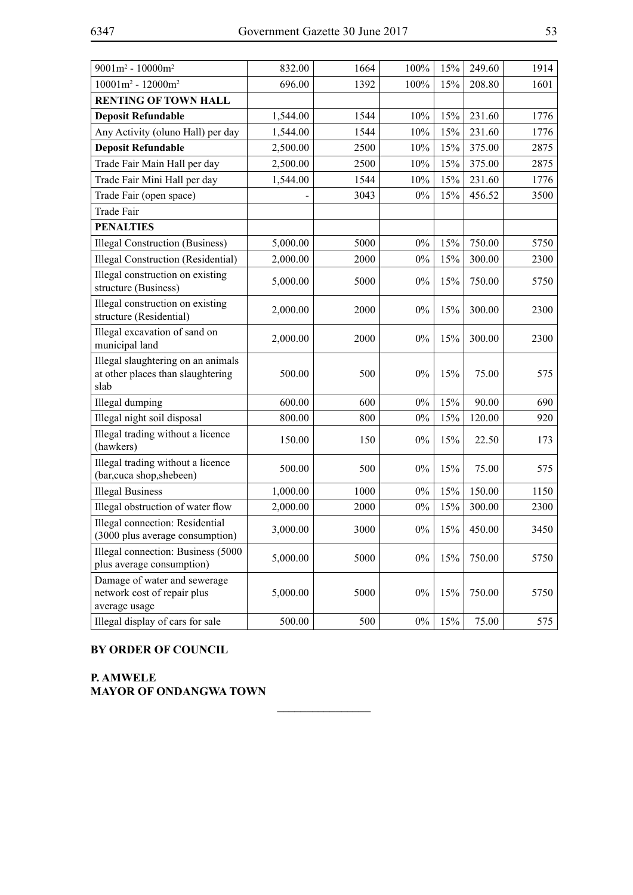| $9001m^2 - 10000m^2$                                                            | 832.00   | 1664 | 100%  | 15% | 249.60 | 1914 |
|---------------------------------------------------------------------------------|----------|------|-------|-----|--------|------|
| $10001m^2 - 12000m^2$                                                           | 696.00   | 1392 | 100%  | 15% | 208.80 | 1601 |
| <b>RENTING OF TOWN HALL</b>                                                     |          |      |       |     |        |      |
| <b>Deposit Refundable</b>                                                       | 1,544.00 | 1544 | 10%   | 15% | 231.60 | 1776 |
| Any Activity (oluno Hall) per day                                               | 1,544.00 | 1544 | 10%   | 15% | 231.60 | 1776 |
| <b>Deposit Refundable</b>                                                       | 2,500.00 | 2500 | 10%   | 15% | 375.00 | 2875 |
| Trade Fair Main Hall per day                                                    | 2,500.00 | 2500 | 10%   | 15% | 375.00 | 2875 |
| Trade Fair Mini Hall per day                                                    | 1,544.00 | 1544 | 10%   | 15% | 231.60 | 1776 |
| Trade Fair (open space)                                                         |          | 3043 | $0\%$ | 15% | 456.52 | 3500 |
| Trade Fair                                                                      |          |      |       |     |        |      |
| <b>PENALTIES</b>                                                                |          |      |       |     |        |      |
| Illegal Construction (Business)                                                 | 5,000.00 | 5000 | $0\%$ | 15% | 750.00 | 5750 |
| Illegal Construction (Residential)                                              | 2,000.00 | 2000 | $0\%$ | 15% | 300.00 | 2300 |
| Illegal construction on existing<br>structure (Business)                        | 5,000.00 | 5000 | $0\%$ | 15% | 750.00 | 5750 |
| Illegal construction on existing<br>structure (Residential)                     | 2,000.00 | 2000 | $0\%$ | 15% | 300.00 | 2300 |
| Illegal excavation of sand on<br>municipal land                                 | 2,000.00 | 2000 | $0\%$ | 15% | 300.00 | 2300 |
| Illegal slaughtering on an animals<br>at other places than slaughtering<br>slab | 500.00   | 500  | $0\%$ | 15% | 75.00  | 575  |
| Illegal dumping                                                                 | 600.00   | 600  | $0\%$ | 15% | 90.00  | 690  |
| Illegal night soil disposal                                                     | 800.00   | 800  | $0\%$ | 15% | 120.00 | 920  |
| Illegal trading without a licence<br>(hawkers)                                  | 150.00   | 150  | $0\%$ | 15% | 22.50  | 173  |
| Illegal trading without a licence<br>(bar, cuca shop, shebeen)                  | 500.00   | 500  | $0\%$ | 15% | 75.00  | 575  |
| <b>Illegal Business</b>                                                         | 1,000.00 | 1000 | $0\%$ | 15% | 150.00 | 1150 |
| Illegal obstruction of water flow                                               | 2,000.00 | 2000 | $0\%$ | 15% | 300.00 | 2300 |
| Illegal connection: Residential<br>(3000 plus average consumption)              | 3,000.00 | 3000 | $0\%$ | 15% | 450.00 | 3450 |
| Illegal connection: Business (5000<br>plus average consumption)                 | 5,000.00 | 5000 | $0\%$ | 15% | 750.00 | 5750 |
| Damage of water and sewerage<br>network cost of repair plus<br>average usage    | 5,000.00 | 5000 | 0%    | 15% | 750.00 | 5750 |
| Illegal display of cars for sale                                                | 500.00   | 500  | $0\%$ | 15% | 75.00  | 575  |

 $\frac{1}{2}$ 

## **BY ORDER OF COUNCIL**

**P. Amwele Mayor of Ondangwa Town**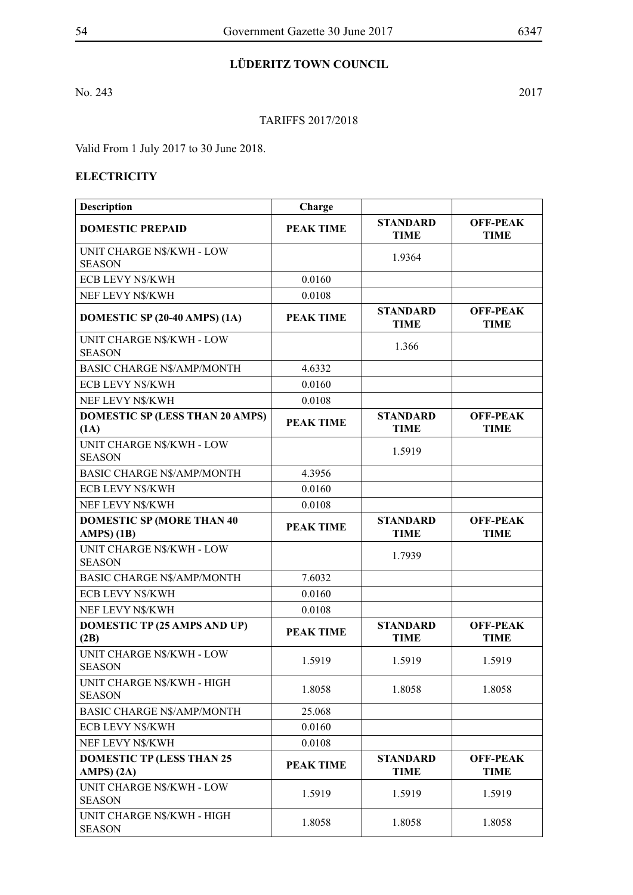## **LÜDERITZ TOWN COUNCIL**

No. 243 2017

## TARIFFS 2017/2018

Valid From 1 July 2017 to 30 June 2018.

## **ELECTRICITY**

| <b>Description</b>                                | Charge           |                                |                                |
|---------------------------------------------------|------------------|--------------------------------|--------------------------------|
| <b>DOMESTIC PREPAID</b>                           | <b>PEAK TIME</b> | <b>STANDARD</b><br><b>TIME</b> | <b>OFF-PEAK</b><br><b>TIME</b> |
| UNIT CHARGE N\$/KWH - LOW<br><b>SEASON</b>        |                  | 1.9364                         |                                |
| ECB LEVY N\$/KWH                                  | 0.0160           |                                |                                |
| NEF LEVY N\$/KWH                                  | 0.0108           |                                |                                |
| DOMESTIC SP (20-40 AMPS) (1A)                     | <b>PEAK TIME</b> | <b>STANDARD</b><br><b>TIME</b> | <b>OFF-PEAK</b><br><b>TIME</b> |
| <b>UNIT CHARGE N\$/KWH - LOW</b><br><b>SEASON</b> |                  | 1.366                          |                                |
| <b>BASIC CHARGE N\$/AMP/MONTH</b>                 | 4.6332           |                                |                                |
| <b>ECB LEVY N\$/KWH</b>                           | 0.0160           |                                |                                |
| NEF LEVY N\$/KWH                                  | 0.0108           |                                |                                |
| <b>DOMESTIC SP (LESS THAN 20 AMPS)</b><br>(1A)    | <b>PEAK TIME</b> | <b>STANDARD</b><br><b>TIME</b> | <b>OFF-PEAK</b><br><b>TIME</b> |
| <b>UNIT CHARGE N\$/KWH - LOW</b><br><b>SEASON</b> |                  | 1.5919                         |                                |
| <b>BASIC CHARGE N\$/AMP/MONTH</b>                 | 4.3956           |                                |                                |
| ECB LEVY N\$/KWH                                  | 0.0160           |                                |                                |
| NEF LEVY N\$/KWH                                  | 0.0108           |                                |                                |
| <b>DOMESTIC SP (MORE THAN 40)</b><br>AMPS(1B)     | <b>PEAK TIME</b> | <b>STANDARD</b><br><b>TIME</b> | <b>OFF-PEAK</b><br><b>TIME</b> |
| <b>UNIT CHARGE N\$/KWH - LOW</b><br><b>SEASON</b> |                  | 1.7939                         |                                |
| <b>BASIC CHARGE N\$/AMP/MONTH</b>                 | 7.6032           |                                |                                |
| ECB LEVY N\$/KWH                                  | 0.0160           |                                |                                |
| NEF LEVY N\$/KWH                                  | 0.0108           |                                |                                |
| <b>DOMESTIC TP (25 AMPS AND UP)</b><br>(2B)       | <b>PEAK TIME</b> | <b>STANDARD</b><br><b>TIME</b> | <b>OFF-PEAK</b><br><b>TIME</b> |
| <b>UNIT CHARGE N\$/KWH - LOW</b><br><b>SEASON</b> | 1.5919           | 1.5919                         | 1.5919                         |
| UNIT CHARGE N\$/KWH - HIGH<br><b>SEASON</b>       | 1.8058           | 1.8058                         | 1.8058                         |
| <b>BASIC CHARGE N\$/AMP/MONTH</b>                 | 25.068           |                                |                                |
| ECB LEVY N\$/KWH                                  | 0.0160           |                                |                                |
| NEF LEVY N\$/KWH                                  | 0.0108           |                                |                                |
| <b>DOMESTIC TP (LESS THAN 25</b><br>AMPS(2A)      | <b>PEAK TIME</b> | <b>STANDARD</b><br><b>TIME</b> | <b>OFF-PEAK</b><br><b>TIME</b> |
| UNIT CHARGE N\$/KWH - LOW<br><b>SEASON</b>        | 1.5919           | 1.5919                         | 1.5919                         |
| UNIT CHARGE N\$/KWH - HIGH<br><b>SEASON</b>       | 1.8058           | 1.8058                         | 1.8058                         |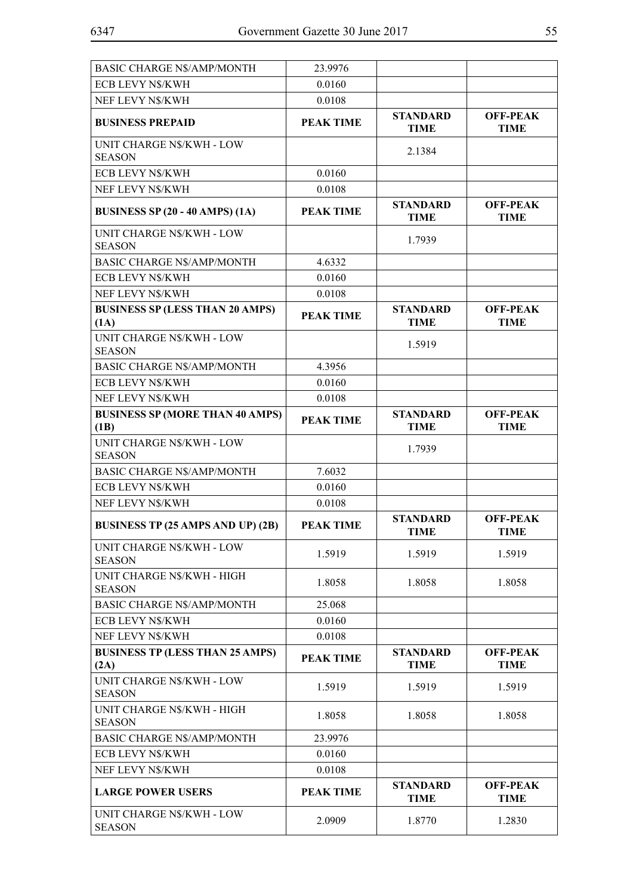| <b>BASIC CHARGE N\$/AMP/MONTH</b>                 | 23.9976          |                                |                                |
|---------------------------------------------------|------------------|--------------------------------|--------------------------------|
| ECB LEVY N\$/KWH                                  | 0.0160           |                                |                                |
| NEF LEVY N\$/KWH                                  | 0.0108           |                                |                                |
| <b>BUSINESS PREPAID</b>                           | <b>PEAK TIME</b> | <b>STANDARD</b><br><b>TIME</b> | <b>OFF-PEAK</b><br><b>TIME</b> |
| UNIT CHARGE N\$/KWH - LOW<br><b>SEASON</b>        |                  | 2.1384                         |                                |
| ECB LEVY N\$/KWH                                  | 0.0160           |                                |                                |
| NEF LEVY N\$/KWH                                  | 0.0108           |                                |                                |
| <b>BUSINESS SP (20 - 40 AMPS) (1A)</b>            | <b>PEAK TIME</b> | <b>STANDARD</b><br><b>TIME</b> | <b>OFF-PEAK</b><br><b>TIME</b> |
| <b>UNIT CHARGE N\$/KWH - LOW</b><br><b>SEASON</b> |                  | 1.7939                         |                                |
| <b>BASIC CHARGE N\$/AMP/MONTH</b>                 | 4.6332           |                                |                                |
| ECB LEVY N\$/KWH                                  | 0.0160           |                                |                                |
| NEF LEVY N\$/KWH                                  | 0.0108           |                                |                                |
| <b>BUSINESS SP (LESS THAN 20 AMPS)</b><br>(1A)    | <b>PEAK TIME</b> | <b>STANDARD</b><br><b>TIME</b> | <b>OFF-PEAK</b><br><b>TIME</b> |
| <b>UNIT CHARGE N\$/KWH - LOW</b><br><b>SEASON</b> |                  | 1.5919                         |                                |
| <b>BASIC CHARGE N\$/AMP/MONTH</b>                 | 4.3956           |                                |                                |
| <b>ECB LEVY N\$/KWH</b>                           | 0.0160           |                                |                                |
| NEF LEVY N\$/KWH                                  | 0.0108           |                                |                                |
| <b>BUSINESS SP (MORE THAN 40 AMPS)</b><br>(1B)    | <b>PEAK TIME</b> | <b>STANDARD</b><br><b>TIME</b> | <b>OFF-PEAK</b><br><b>TIME</b> |
| UNIT CHARGE N\$/KWH - LOW<br><b>SEASON</b>        |                  | 1.7939                         |                                |
| <b>BASIC CHARGE N\$/AMP/MONTH</b>                 | 7.6032           |                                |                                |
| ECB LEVY N\$/KWH                                  | 0.0160           |                                |                                |
| NEF LEVY N\$/KWH                                  | 0.0108           |                                |                                |
| <b>BUSINESS TP (25 AMPS AND UP) (2B)</b>          | <b>PEAK TIME</b> | <b>STANDARD</b><br><b>TIME</b> | <b>OFF-PEAK</b><br><b>TIME</b> |
| UNIT CHARGE N\$/KWH - LOW<br><b>SEASON</b>        | 1.5919           | 1.5919                         | 1.5919                         |
| UNIT CHARGE N\$/KWH - HIGH<br><b>SEASON</b>       | 1.8058           | 1.8058                         | 1.8058                         |
| <b>BASIC CHARGE N\$/AMP/MONTH</b>                 | 25.068           |                                |                                |
| ECB LEVY N\$/KWH                                  | 0.0160           |                                |                                |
| NEF LEVY N\$/KWH                                  | 0.0108           |                                |                                |
| <b>BUSINESS TP (LESS THAN 25 AMPS)</b><br>(2A)    | <b>PEAK TIME</b> | <b>STANDARD</b><br><b>TIME</b> | <b>OFF-PEAK</b><br><b>TIME</b> |
| UNIT CHARGE N\$/KWH - LOW<br><b>SEASON</b>        | 1.5919           | 1.5919                         | 1.5919                         |
| UNIT CHARGE N\$/KWH - HIGH<br><b>SEASON</b>       | 1.8058           | 1.8058                         | 1.8058                         |
| <b>BASIC CHARGE N\$/AMP/MONTH</b>                 | 23.9976          |                                |                                |
| ECB LEVY N\$/KWH                                  | 0.0160           |                                |                                |
| NEF LEVY N\$/KWH                                  | 0.0108           |                                |                                |
| <b>LARGE POWER USERS</b>                          | <b>PEAK TIME</b> | <b>STANDARD</b><br><b>TIME</b> | <b>OFF-PEAK</b><br><b>TIME</b> |
| UNIT CHARGE N\$/KWH - LOW<br><b>SEASON</b>        | 2.0909           | 1.8770                         | 1.2830                         |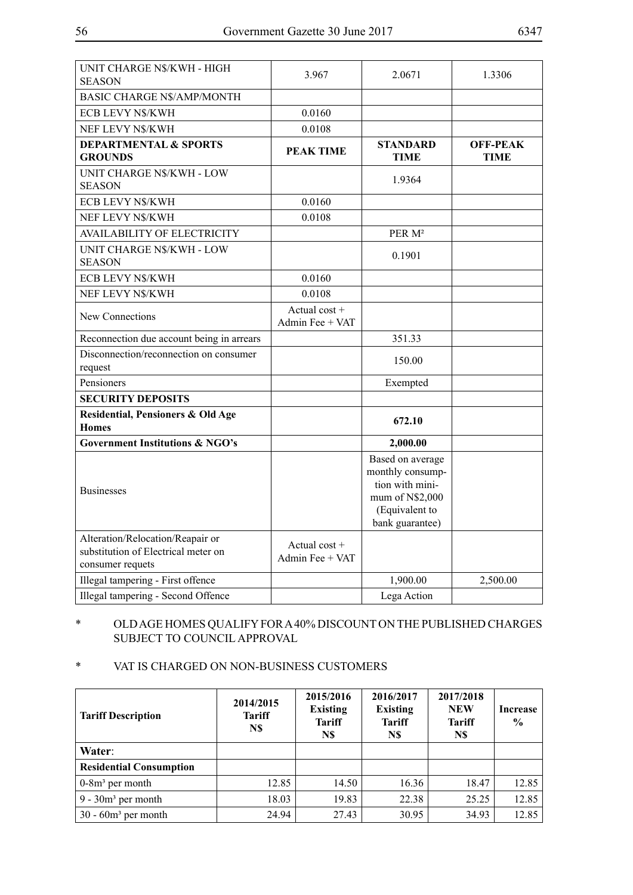| UNIT CHARGE N\$/KWH - HIGH<br><b>SEASON</b>                                                 | 3.967                              | 2.0671                                                                                                          | 1.3306                         |
|---------------------------------------------------------------------------------------------|------------------------------------|-----------------------------------------------------------------------------------------------------------------|--------------------------------|
| <b>BASIC CHARGE N\$/AMP/MONTH</b>                                                           |                                    |                                                                                                                 |                                |
| <b>ECB LEVY N\$/KWH</b>                                                                     | 0.0160                             |                                                                                                                 |                                |
| NEF LEVY N\$/KWH                                                                            | 0.0108                             |                                                                                                                 |                                |
| <b>DEPARTMENTAL &amp; SPORTS</b><br><b>GROUNDS</b>                                          | <b>PEAK TIME</b>                   | <b>STANDARD</b><br><b>TIME</b>                                                                                  | <b>OFF-PEAK</b><br><b>TIME</b> |
| <b>UNIT CHARGE N\$/KWH - LOW</b><br><b>SEASON</b>                                           |                                    | 1.9364                                                                                                          |                                |
| <b>ECB LEVY N\$/KWH</b>                                                                     | 0.0160                             |                                                                                                                 |                                |
| NEF LEVY N\$/KWH                                                                            | 0.0108                             |                                                                                                                 |                                |
| <b>AVAILABILITY OF ELECTRICITY</b>                                                          |                                    | PER M <sup>2</sup>                                                                                              |                                |
| <b>UNIT CHARGE N\$/KWH - LOW</b><br><b>SEASON</b>                                           |                                    | 0.1901                                                                                                          |                                |
| <b>ECB LEVY N\$/KWH</b>                                                                     | 0.0160                             |                                                                                                                 |                                |
| NEF LEVY N\$/KWH                                                                            | 0.0108                             |                                                                                                                 |                                |
| New Connections                                                                             | Actual cost +<br>Admin Fee + VAT   |                                                                                                                 |                                |
| Reconnection due account being in arrears                                                   |                                    | 351.33                                                                                                          |                                |
| Disconnection/reconnection on consumer<br>request                                           |                                    | 150.00                                                                                                          |                                |
| Pensioners                                                                                  |                                    | Exempted                                                                                                        |                                |
| <b>SECURITY DEPOSITS</b>                                                                    |                                    |                                                                                                                 |                                |
| Residential, Pensioners & Old Age<br>Homes                                                  |                                    | 672.10                                                                                                          |                                |
| <b>Government Institutions &amp; NGO's</b>                                                  |                                    | 2,000.00                                                                                                        |                                |
| <b>Businesses</b>                                                                           |                                    | Based on average<br>monthly consump-<br>tion with mini-<br>mum of N\$2,000<br>(Equivalent to<br>bank guarantee) |                                |
| Alteration/Relocation/Reapair or<br>substitution of Electrical meter on<br>consumer requets | Actual $cost +$<br>Admin Fee + VAT |                                                                                                                 |                                |
| Illegal tampering - First offence                                                           |                                    | 1,900.00                                                                                                        | 2,500.00                       |
| Illegal tampering - Second Offence                                                          |                                    | Lega Action                                                                                                     |                                |

## \* OLD AGE HOMES QUALIFY FOR A 40% DISCOUNT ON THE PUBLISHED CHARGES SUBJECT TO COUNCIL APPROVAL

## \* VAT IS CHARGED ON NON-BUSINESS CUSTOMERS

| <b>Tariff Description</b>      | 2014/2015<br><b>Tariff</b><br>N\$ | 2015/2016<br><b>Existing</b><br><b>Tariff</b><br>N\$ | 2016/2017<br><b>Existing</b><br><b>Tariff</b><br>N\$ | 2017/2018<br><b>NEW</b><br><b>Tariff</b><br>N\$ | Increase<br>$\frac{6}{9}$ |
|--------------------------------|-----------------------------------|------------------------------------------------------|------------------------------------------------------|-------------------------------------------------|---------------------------|
| Water:                         |                                   |                                                      |                                                      |                                                 |                           |
| <b>Residential Consumption</b> |                                   |                                                      |                                                      |                                                 |                           |
| $0-8m3$ per month              | 12.85                             | 14.50                                                | 16.36                                                | 18.47                                           | 12.85                     |
| $9 - 30m3$ per month           | 18.03                             | 19.83                                                | 22.38                                                | 25.25                                           | 12.85                     |
| $30 - 60m3$ per month          | 24.94                             | 27.43                                                | 30.95                                                | 34.93                                           | 12.85                     |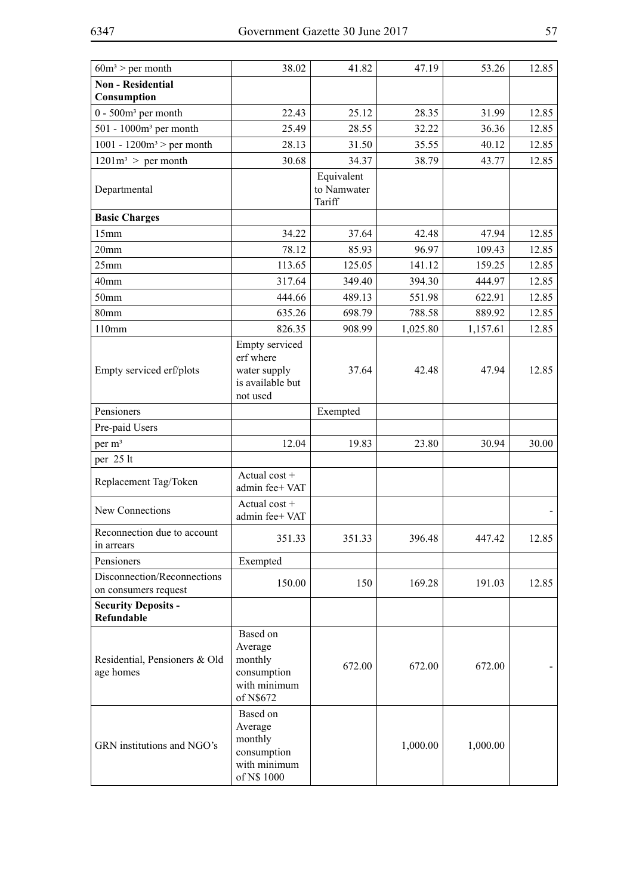| $60m^3$ > per month                                 | 38.02                                                                        | 41.82                               | 47.19    | 53.26    | 12.85 |
|-----------------------------------------------------|------------------------------------------------------------------------------|-------------------------------------|----------|----------|-------|
| <b>Non - Residential</b>                            |                                                                              |                                     |          |          |       |
| Consumption                                         |                                                                              |                                     |          |          |       |
| $0 - 500m3$ per month                               | 22.43                                                                        | 25.12                               | 28.35    | 31.99    | 12.85 |
| 501 - 1000m <sup>3</sup> per month                  | 25.49                                                                        | 28.55                               | 32.22    | 36.36    | 12.85 |
| 1001 - 1200 $m^3$ > per month                       | 28.13                                                                        | 31.50                               | 35.55    | 40.12    | 12.85 |
| $1201m^3$ > per month                               | 30.68                                                                        | 34.37                               | 38.79    | 43.77    | 12.85 |
| Departmental                                        |                                                                              | Equivalent<br>to Namwater<br>Tariff |          |          |       |
| <b>Basic Charges</b>                                |                                                                              |                                     |          |          |       |
| 15mm                                                | 34.22                                                                        | 37.64                               | 42.48    | 47.94    | 12.85 |
| 20 <sub>mm</sub>                                    | 78.12                                                                        | 85.93                               | 96.97    | 109.43   | 12.85 |
| 25mm                                                | 113.65                                                                       | 125.05                              | 141.12   | 159.25   | 12.85 |
| 40mm                                                | 317.64                                                                       | 349.40                              | 394.30   | 444.97   | 12.85 |
| 50mm                                                | 444.66                                                                       | 489.13                              | 551.98   | 622.91   | 12.85 |
| 80mm                                                | 635.26                                                                       | 698.79                              | 788.58   | 889.92   | 12.85 |
| 110mm                                               | 826.35                                                                       | 908.99                              | 1,025.80 | 1,157.61 | 12.85 |
| Empty serviced erf/plots                            | Empty serviced<br>erf where<br>water supply<br>is available but<br>not used  | 37.64                               | 42.48    | 47.94    | 12.85 |
| Pensioners                                          |                                                                              | Exempted                            |          |          |       |
| Pre-paid Users                                      |                                                                              |                                     |          |          |       |
| per m <sup>3</sup>                                  | 12.04                                                                        | 19.83                               | 23.80    | 30.94    | 30.00 |
| per 25 lt                                           |                                                                              |                                     |          |          |       |
| Replacement Tag/Token                               | Actual cost +<br>admin fee+ VAT                                              |                                     |          |          |       |
| New Connections                                     | Actual cost +<br>admin fee+ VAT                                              |                                     |          |          |       |
| Reconnection due to account<br>in arrears           | 351.33                                                                       | 351.33                              | 396.48   | 447.42   | 12.85 |
| Pensioners                                          | Exempted                                                                     |                                     |          |          |       |
| Disconnection/Reconnections<br>on consumers request | 150.00                                                                       | 150                                 | 169.28   | 191.03   | 12.85 |
| <b>Security Deposits -</b><br>Refundable            |                                                                              |                                     |          |          |       |
| Residential, Pensioners & Old<br>age homes          | Based on<br>Average<br>monthly<br>consumption<br>with minimum<br>of N\$672   | 672.00                              | 672.00   | 672.00   |       |
| GRN institutions and NGO's                          | Based on<br>Average<br>monthly<br>consumption<br>with minimum<br>of N\$ 1000 |                                     | 1,000.00 | 1,000.00 |       |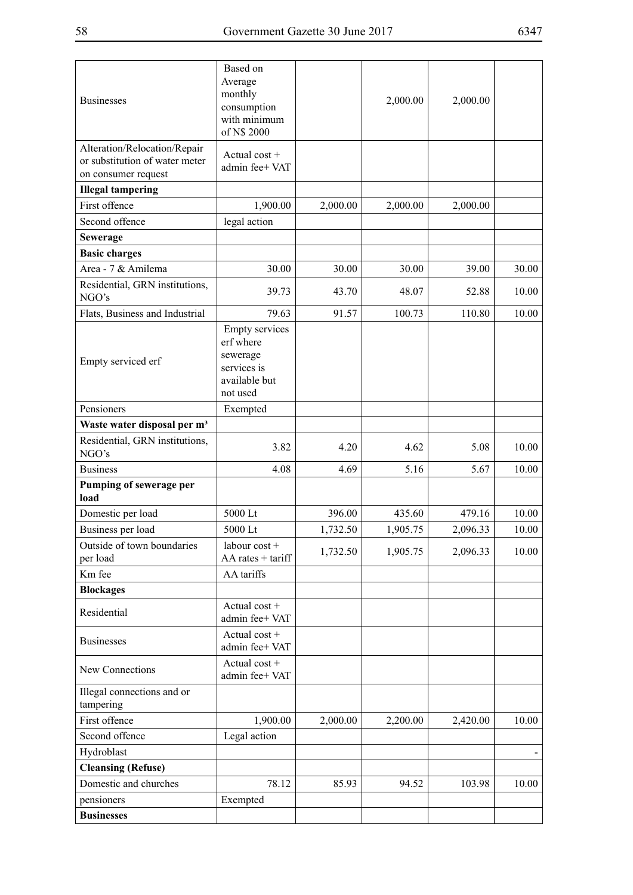| <b>Businesses</b>                                                                     | Based on<br>Average<br>monthly<br>consumption<br>with minimum<br>of N\$ 2000               |          | 2,000.00 | 2,000.00 |       |
|---------------------------------------------------------------------------------------|--------------------------------------------------------------------------------------------|----------|----------|----------|-------|
| Alteration/Relocation/Repair<br>or substitution of water meter<br>on consumer request | Actual $cost +$<br>admin fee+ VAT                                                          |          |          |          |       |
| <b>Illegal tampering</b>                                                              |                                                                                            |          |          |          |       |
| First offence                                                                         | 1,900.00                                                                                   | 2,000.00 | 2,000.00 | 2,000.00 |       |
| Second offence                                                                        | legal action                                                                               |          |          |          |       |
| <b>Sewerage</b>                                                                       |                                                                                            |          |          |          |       |
| <b>Basic charges</b>                                                                  |                                                                                            |          |          |          |       |
| Area - 7 & Amilema                                                                    | 30.00                                                                                      | 30.00    | 30.00    | 39.00    | 30.00 |
| Residential, GRN institutions,<br>NGO's                                               | 39.73                                                                                      | 43.70    | 48.07    | 52.88    | 10.00 |
| Flats, Business and Industrial                                                        | 79.63                                                                                      | 91.57    | 100.73   | 110.80   | 10.00 |
| Empty serviced erf                                                                    | <b>Empty</b> services<br>erf where<br>sewerage<br>services is<br>available but<br>not used |          |          |          |       |
| Pensioners                                                                            | Exempted                                                                                   |          |          |          |       |
| Waste water disposal per m <sup>3</sup>                                               |                                                                                            |          |          |          |       |
| Residential, GRN institutions,<br>NGO's                                               | 3.82                                                                                       | 4.20     | 4.62     | 5.08     | 10.00 |
| <b>Business</b>                                                                       | 4.08                                                                                       | 4.69     | 5.16     | 5.67     | 10.00 |
| Pumping of sewerage per<br>load                                                       |                                                                                            |          |          |          |       |
| Domestic per load                                                                     | 5000 Lt                                                                                    | 396.00   | 435.60   | 479.16   | 10.00 |
| Business per load                                                                     | 5000 Lt                                                                                    | 1,732.50 | 1,905.75 | 2,096.33 | 10.00 |
| Outside of town boundaries<br>per load                                                | labour cost +<br>AA rates + tariff                                                         | 1,732.50 | 1,905.75 | 2,096.33 | 10.00 |
| Km fee                                                                                | AA tariffs                                                                                 |          |          |          |       |
| <b>Blockages</b>                                                                      |                                                                                            |          |          |          |       |
| Residential                                                                           | Actual cost +<br>admin fee+ VAT                                                            |          |          |          |       |
| <b>Businesses</b>                                                                     | Actual cost +<br>admin fee+ VAT                                                            |          |          |          |       |
| New Connections                                                                       | Actual cost +<br>admin fee+ VAT                                                            |          |          |          |       |
| Illegal connections and or<br>tampering                                               |                                                                                            |          |          |          |       |
| First offence                                                                         | 1,900.00                                                                                   | 2,000.00 | 2,200.00 | 2,420.00 | 10.00 |
| Second offence                                                                        | Legal action                                                                               |          |          |          |       |
| Hydroblast                                                                            |                                                                                            |          |          |          |       |
| <b>Cleansing (Refuse)</b>                                                             |                                                                                            |          |          |          |       |
| Domestic and churches                                                                 | 78.12                                                                                      | 85.93    | 94.52    | 103.98   | 10.00 |
| pensioners                                                                            | Exempted                                                                                   |          |          |          |       |
| <b>Businesses</b>                                                                     |                                                                                            |          |          |          |       |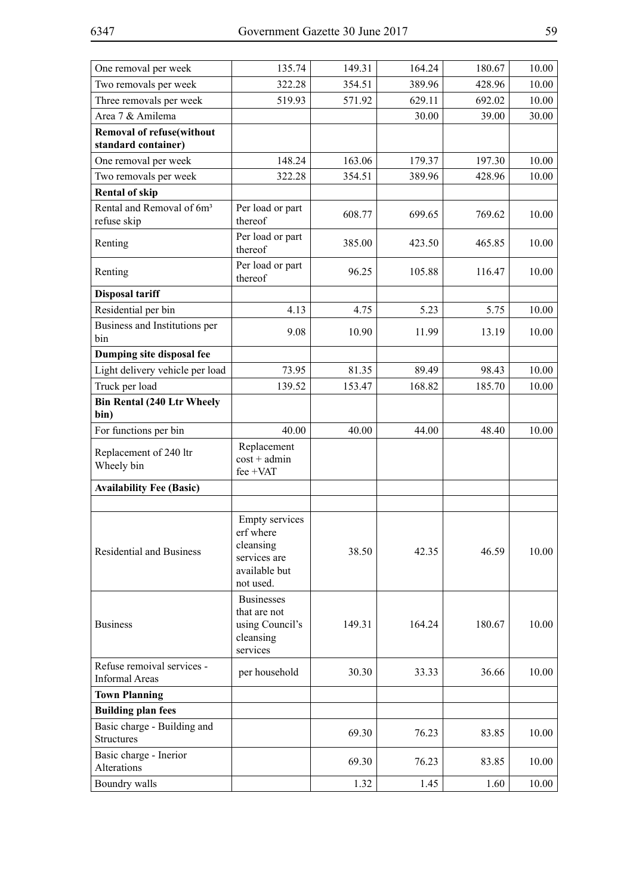| One removal per week                                    | 135.74                                                                                        | 149.31 | 164.24 | 180.67 | 10.00 |
|---------------------------------------------------------|-----------------------------------------------------------------------------------------------|--------|--------|--------|-------|
| Two removals per week                                   | 322.28                                                                                        | 354.51 | 389.96 | 428.96 | 10.00 |
| Three removals per week                                 | 519.93                                                                                        | 571.92 | 629.11 | 692.02 | 10.00 |
| Area 7 & Amilema                                        |                                                                                               |        | 30.00  | 39.00  | 30.00 |
| <b>Removal of refuse(without</b><br>standard container) |                                                                                               |        |        |        |       |
| One removal per week                                    | 148.24                                                                                        | 163.06 | 179.37 | 197.30 | 10.00 |
| Two removals per week                                   | 322.28                                                                                        | 354.51 | 389.96 | 428.96 | 10.00 |
| <b>Rental of skip</b>                                   |                                                                                               |        |        |        |       |
| Rental and Removal of 6m <sup>3</sup><br>refuse skip    | Per load or part<br>thereof                                                                   | 608.77 | 699.65 | 769.62 | 10.00 |
| Renting                                                 | Per load or part<br>thereof                                                                   | 385.00 | 423.50 | 465.85 | 10.00 |
| Renting                                                 | Per load or part<br>thereof                                                                   | 96.25  | 105.88 | 116.47 | 10.00 |
| <b>Disposal tariff</b>                                  |                                                                                               |        |        |        |       |
| Residential per bin                                     | 4.13                                                                                          | 4.75   | 5.23   | 5.75   | 10.00 |
| Business and Institutions per<br>bin                    | 9.08                                                                                          | 10.90  | 11.99  | 13.19  | 10.00 |
| Dumping site disposal fee                               |                                                                                               |        |        |        |       |
| Light delivery vehicle per load                         | 73.95                                                                                         | 81.35  | 89.49  | 98.43  | 10.00 |
| Truck per load                                          | 139.52                                                                                        | 153.47 | 168.82 | 185.70 | 10.00 |
| <b>Bin Rental (240 Ltr Wheely</b><br>bin)               |                                                                                               |        |        |        |       |
| For functions per bin                                   | 40.00                                                                                         | 40.00  | 44.00  | 48.40  | 10.00 |
| Replacement of 240 ltr<br>Wheely bin                    | Replacement<br>$cost + admin$<br>fee +VAT                                                     |        |        |        |       |
| <b>Availability Fee (Basic)</b>                         |                                                                                               |        |        |        |       |
|                                                         |                                                                                               |        |        |        |       |
| Residential and Business                                | <b>Empty services</b><br>erf where<br>cleansing<br>services are<br>available but<br>not used. | 38.50  | 42.35  | 46.59  | 10.00 |
| <b>Business</b>                                         | <b>Businesses</b><br>that are not<br>using Council's<br>cleansing<br>services                 | 149.31 | 164.24 | 180.67 | 10.00 |
| Refuse remoival services -<br><b>Informal Areas</b>     | per household                                                                                 | 30.30  | 33.33  | 36.66  | 10.00 |
| <b>Town Planning</b>                                    |                                                                                               |        |        |        |       |
| <b>Building plan fees</b>                               |                                                                                               |        |        |        |       |
| Basic charge - Building and<br><b>Structures</b>        |                                                                                               | 69.30  | 76.23  | 83.85  | 10.00 |
| Basic charge - Inerior<br>Alterations                   |                                                                                               | 69.30  | 76.23  | 83.85  | 10.00 |
| Boundry walls                                           |                                                                                               | 1.32   | 1.45   | 1.60   | 10.00 |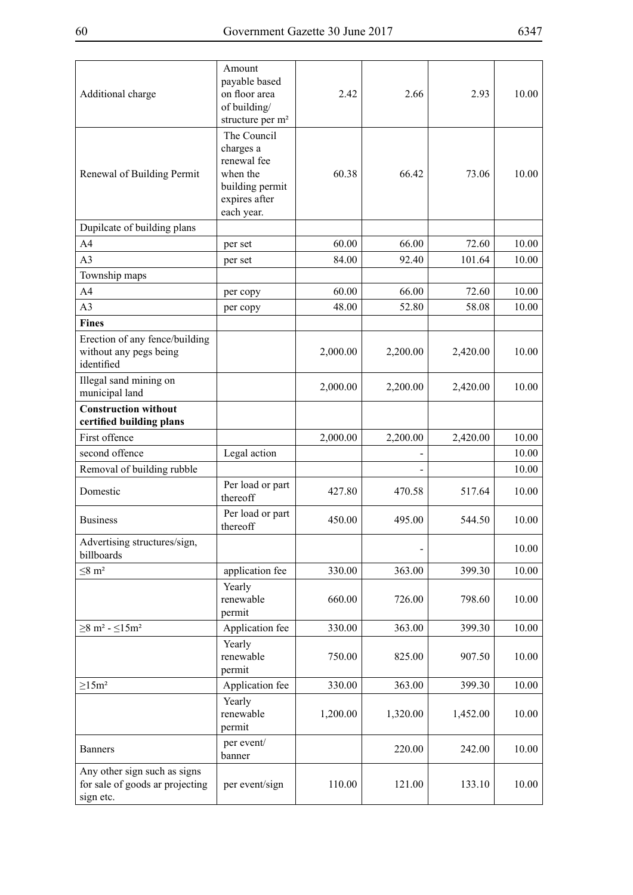| Additional charge                                                            | Amount<br>payable based<br>on floor area<br>of building/<br>structure per m <sup>2</sup>              | 2.42     | 2.66     | 2.93     | 10.00 |
|------------------------------------------------------------------------------|-------------------------------------------------------------------------------------------------------|----------|----------|----------|-------|
| Renewal of Building Permit                                                   | The Council<br>charges a<br>renewal fee<br>when the<br>building permit<br>expires after<br>each year. | 60.38    | 6642     | 73.06    | 10.00 |
| Dupilcate of building plans                                                  |                                                                                                       |          |          |          |       |
| A <sub>4</sub>                                                               | per set                                                                                               | 60.00    | 66.00    | 72.60    | 10.00 |
| A <sub>3</sub>                                                               | per set                                                                                               | 84.00    | 92.40    | 101.64   | 10.00 |
| Township maps                                                                |                                                                                                       |          |          |          |       |
| A4                                                                           | per copy                                                                                              | 60.00    | 66.00    | 72.60    | 10.00 |
| A <sub>3</sub>                                                               | per copy                                                                                              | 48.00    | 52.80    | 58.08    | 10.00 |
| <b>Fines</b>                                                                 |                                                                                                       |          |          |          |       |
| Erection of any fence/building<br>without any pegs being<br>identified       |                                                                                                       | 2,000.00 | 2,200.00 | 2,420.00 | 10.00 |
| Illegal sand mining on<br>municipal land                                     |                                                                                                       | 2,000.00 | 2,200.00 | 2,420.00 | 10.00 |
| <b>Construction without</b><br>certified building plans                      |                                                                                                       |          |          |          |       |
| First offence                                                                |                                                                                                       | 2,000.00 | 2,200.00 | 2,420.00 | 10.00 |
| second offence                                                               | Legal action                                                                                          |          |          |          | 10.00 |
| Removal of building rubble                                                   |                                                                                                       |          |          |          | 10.00 |
| Domestic                                                                     | Per load or part<br>thereoff                                                                          | 427.80   | 470.58   | 517.64   | 10.00 |
| <b>Business</b>                                                              | Per load or part<br>thereoff                                                                          | 450.00   | 495.00   | 544.50   | 10.00 |
| Advertising structures/sign,<br>billboards                                   |                                                                                                       |          |          |          | 10.00 |
| $\leq 8$ m <sup>2</sup>                                                      | application fee                                                                                       | 330.00   | 363.00   | 399.30   | 10.00 |
|                                                                              | Yearly<br>renewable<br>permit                                                                         | 660.00   | 726.00   | 798.60   | 10.00 |
| $\geq$ 8 m <sup>2</sup> - $\leq$ 15m <sup>2</sup>                            | Application fee                                                                                       | 330.00   | 363.00   | 399.30   | 10.00 |
|                                                                              | Yearly<br>renewable<br>permit                                                                         | 750.00   | 825.00   | 907.50   | 10.00 |
| $\geq$ 15m <sup>2</sup>                                                      | Application fee                                                                                       | 330.00   | 363.00   | 399.30   | 10.00 |
|                                                                              | Yearly<br>renewable<br>permit                                                                         | 1,200.00 | 1,320.00 | 1,452.00 | 10.00 |
| <b>Banners</b>                                                               | per event/<br>banner                                                                                  |          | 220.00   | 242.00   | 10.00 |
| Any other sign such as signs<br>for sale of goods ar projecting<br>sign etc. | per event/sign                                                                                        | 110.00   | 121.00   | 133.10   | 10.00 |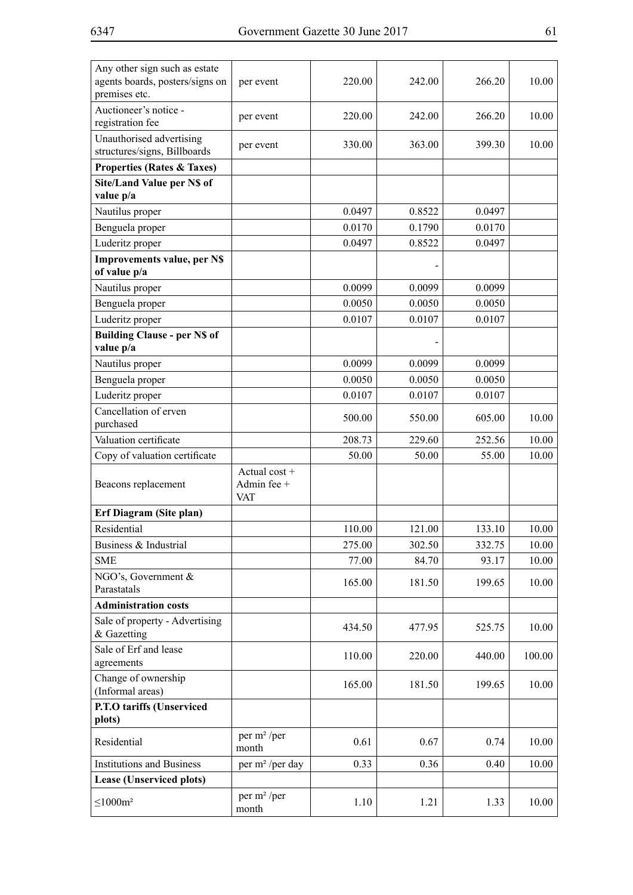| Any other sign such as estate<br>agents boards, posters/signs on<br>premises etc. | per event                                    | 220.00 | 242.00 | 266.20 | 10.00  |
|-----------------------------------------------------------------------------------|----------------------------------------------|--------|--------|--------|--------|
| Auctioneer's notice -<br>registration fee                                         | per event                                    | 220.00 | 242.00 | 266.20 | 10.00  |
| Unauthorised advertising<br>structures/signs, Billboards                          | per event                                    | 330.00 | 363.00 | 399.30 | 10.00  |
| <b>Properties (Rates &amp; Taxes)</b>                                             |                                              |        |        |        |        |
| Site/Land Value per N\$ of                                                        |                                              |        |        |        |        |
| value p/a                                                                         |                                              |        |        |        |        |
| Nautilus proper                                                                   |                                              | 0.0497 | 0.8522 | 0.0497 |        |
| Benguela proper                                                                   |                                              | 0.0170 | 0.1790 | 0.0170 |        |
| Luderitz proper                                                                   |                                              | 0.0497 | 0.8522 | 0.0497 |        |
| <b>Improvements value, per N\$</b><br>of value p/a                                |                                              |        |        |        |        |
| Nautilus proper                                                                   |                                              | 0.0099 | 0.0099 | 0.0099 |        |
| Benguela proper                                                                   |                                              | 0.0050 | 0.0050 | 0.0050 |        |
| Luderitz proper                                                                   |                                              | 0.0107 | 0.0107 | 0.0107 |        |
| <b>Building Clause - per N\$ of</b><br>value p/a                                  |                                              |        |        |        |        |
| Nautilus proper                                                                   |                                              | 0.0099 | 0.0099 | 0.0099 |        |
| Benguela proper                                                                   |                                              | 0.0050 | 0.0050 | 0.0050 |        |
| Luderitz proper                                                                   |                                              | 0.0107 | 0.0107 | 0.0107 |        |
| Cancellation of erven<br>purchased                                                |                                              | 500.00 | 550.00 | 605.00 | 10.00  |
| Valuation certificate                                                             |                                              | 208.73 | 229.60 | 252.56 | 10.00  |
| Copy of valuation certificate                                                     |                                              | 50.00  | 50.00  | 55.00  | 10.00  |
| Beacons replacement                                                               | Actual $cost +$<br>Admin fee +<br><b>VAT</b> |        |        |        |        |
| Erf Diagram (Site plan)                                                           |                                              |        |        |        |        |
| Residential                                                                       |                                              | 110.00 | 121.00 | 133.10 | 10.00  |
| Business & Industrial                                                             |                                              | 275.00 | 302.50 | 332.75 | 10.00  |
| <b>SME</b>                                                                        |                                              | 77.00  | 84.70  | 93.17  | 10.00  |
| NGO's, Government &<br>Parastatals                                                |                                              | 165.00 | 181.50 | 199.65 | 10.00  |
| <b>Administration costs</b>                                                       |                                              |        |        |        |        |
| Sale of property - Advertising<br>& Gazetting                                     |                                              | 434.50 | 477.95 | 525.75 | 10.00  |
| Sale of Erf and lease<br>agreements                                               |                                              | 110.00 | 220.00 | 440.00 | 100.00 |
| Change of ownership<br>(Informal areas)                                           |                                              | 165.00 | 181.50 | 199.65 | 10.00  |
| P.T.O tariffs (Unserviced                                                         |                                              |        |        |        |        |
| plots)                                                                            |                                              |        |        |        |        |
| Residential                                                                       | per m <sup>2</sup> /per<br>month             | 0.61   | 0.67   | 0.74   | 10.00  |
| <b>Institutions and Business</b>                                                  | per m <sup>2</sup> /per day                  | 0.33   | 0.36   | 0.40   | 10.00  |
| Lease (Unserviced plots)                                                          |                                              |        |        |        |        |
| $\leq$ 1000m <sup>2</sup>                                                         | per $m^2$ /per<br>month                      | 1.10   | 1.21   | 1.33   | 10.00  |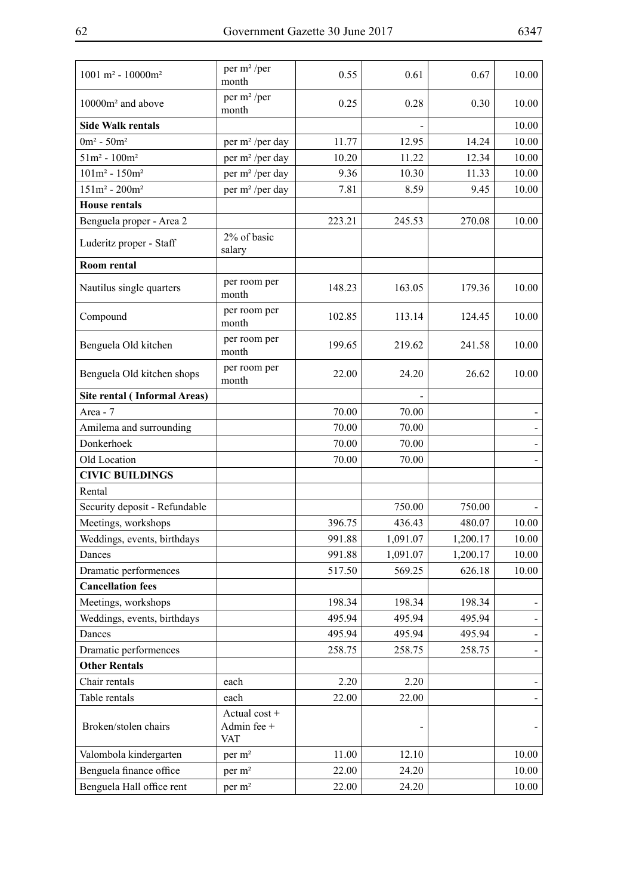| $1001 m2 - 10000 m2$                | per m <sup>2</sup> /per<br>month           | 0.55   | 0.61     | 0.67     | 10.00 |
|-------------------------------------|--------------------------------------------|--------|----------|----------|-------|
| 10000m <sup>2</sup> and above       | per m <sup>2</sup> /per<br>month           | 0.25   | 0.28     | 0.30     | 10.00 |
| <b>Side Walk rentals</b>            |                                            |        |          |          | 10.00 |
| $0m^2 - 50m^2$                      | per m <sup>2</sup> /per day                | 11.77  | 12.95    | 14.24    | 10.00 |
| $51m^2 - 100m^2$                    | per m <sup>2</sup> /per day                | 10.20  | 11.22    | 12.34    | 10.00 |
| $101m^2 - 150m^2$                   | per m <sup>2</sup> /per day                | 9.36   | 10.30    | 11.33    | 10.00 |
| $151m^2 - 200m^2$                   | per m <sup>2</sup> /per day                | 7.81   | 8.59     | 9.45     | 10.00 |
| <b>House rentals</b>                |                                            |        |          |          |       |
| Benguela proper - Area 2            |                                            | 223.21 | 245.53   | 270.08   | 10.00 |
| Luderitz proper - Staff             | 2% of basic<br>salary                      |        |          |          |       |
| Room rental                         |                                            |        |          |          |       |
| Nautilus single quarters            | per room per<br>month                      | 148.23 | 163.05   | 179.36   | 10.00 |
| Compound                            | per room per<br>month                      | 102.85 | 113.14   | 124.45   | 10.00 |
| Benguela Old kitchen                | per room per<br>month                      | 199.65 | 219.62   | 241.58   | 10.00 |
| Benguela Old kitchen shops          | per room per<br>month                      | 22.00  | 24.20    | 26.62    | 10.00 |
| <b>Site rental (Informal Areas)</b> |                                            |        |          |          |       |
| Area - 7                            |                                            | 70.00  | 70.00    |          |       |
| Amilema and surrounding             |                                            | 70.00  | 70.00    |          |       |
| Donkerhoek                          |                                            | 70.00  | 70.00    |          |       |
| Old Location                        |                                            | 70.00  | 70.00    |          |       |
| <b>CIVIC BUILDINGS</b>              |                                            |        |          |          |       |
| Rental                              |                                            |        |          |          |       |
| Security deposit - Refundable       |                                            |        | 750.00   | 750.00   |       |
| Meetings, workshops                 |                                            | 396.75 | 436.43   | 480.07   | 10.00 |
| Weddings, events, birthdays         |                                            | 991.88 | 1,091.07 | 1,200.17 | 10.00 |
| Dances                              |                                            | 991.88 | 1,091.07 | 1,200.17 | 10.00 |
| Dramatic performences               |                                            | 517.50 | 569.25   | 626.18   | 10.00 |
| <b>Cancellation fees</b>            |                                            |        |          |          |       |
| Meetings, workshops                 |                                            | 198.34 | 198.34   | 198.34   |       |
| Weddings, events, birthdays         |                                            | 495.94 | 495.94   | 495.94   |       |
| Dances                              |                                            | 495.94 | 495.94   | 495.94   |       |
| Dramatic performences               |                                            | 258.75 | 258.75   | 258.75   |       |
| <b>Other Rentals</b>                |                                            |        |          |          |       |
| Chair rentals                       | each                                       | 2.20   | 2.20     |          |       |
| Table rentals                       | each                                       | 22.00  | 22.00    |          |       |
| Broken/stolen chairs                | Actual cost +<br>Admin fee +<br><b>VAT</b> |        |          |          |       |
| Valombola kindergarten              | per m <sup>2</sup>                         | 11.00  | 12.10    |          | 10.00 |
| Benguela finance office             | per m <sup>2</sup>                         | 22.00  | 24.20    |          | 10.00 |
| Benguela Hall office rent           | per m <sup>2</sup>                         | 22.00  | 24.20    |          | 10.00 |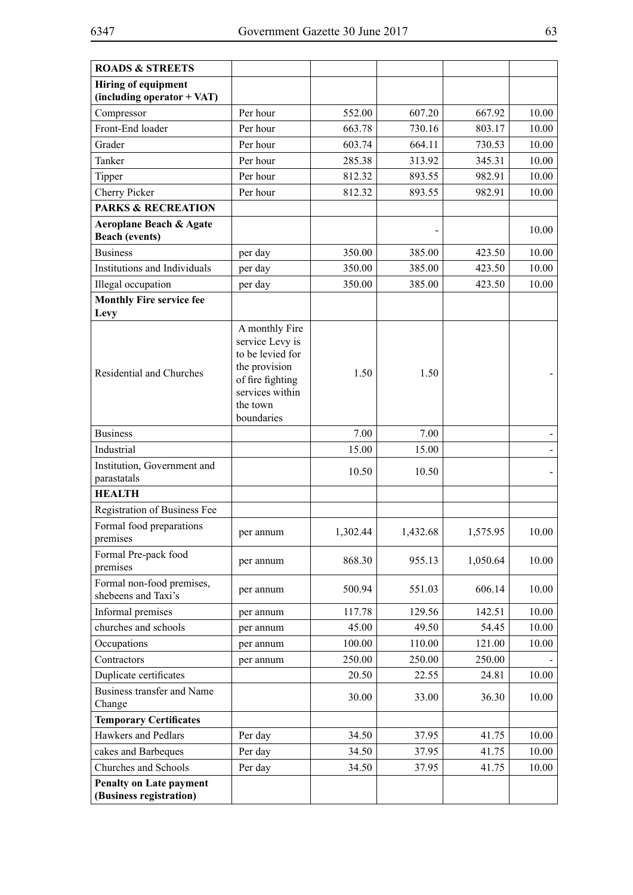| <b>ROADS &amp; STREETS</b>                                  |                                                                                                                                         |          |          |          |       |
|-------------------------------------------------------------|-----------------------------------------------------------------------------------------------------------------------------------------|----------|----------|----------|-------|
| <b>Hiring of equipment</b>                                  |                                                                                                                                         |          |          |          |       |
| (including operator + VAT)                                  |                                                                                                                                         |          |          |          |       |
| Compressor                                                  | Per hour                                                                                                                                | 552.00   | 607.20   | 667.92   | 10.00 |
| Front-End loader                                            | Per hour                                                                                                                                | 663.78   | 730.16   | 803.17   | 10.00 |
| Grader                                                      | Per hour                                                                                                                                | 603.74   | 664.11   | 730.53   | 10.00 |
| Tanker                                                      | Per hour                                                                                                                                | 285.38   | 313.92   | 345.31   | 10.00 |
| Tipper                                                      | Per hour                                                                                                                                | 812.32   | 893.55   | 982.91   | 10.00 |
| Cherry Picker                                               | Per hour                                                                                                                                | 812.32   | 893.55   | 982.91   | 10.00 |
| <b>PARKS &amp; RECREATION</b>                               |                                                                                                                                         |          |          |          |       |
| <b>Aeroplane Beach &amp; Agate</b><br><b>Beach (events)</b> |                                                                                                                                         |          |          |          | 10.00 |
| <b>Business</b>                                             | per day                                                                                                                                 | 350.00   | 385.00   | 423.50   | 10.00 |
| Institutions and Individuals                                | per day                                                                                                                                 | 350.00   | 385.00   | 423.50   | 10.00 |
| Illegal occupation                                          | per day                                                                                                                                 | 350.00   | 385.00   | 423.50   | 10.00 |
| <b>Monthly Fire service fee</b><br>Levy                     |                                                                                                                                         |          |          |          |       |
| Residential and Churches                                    | A monthly Fire<br>service Levy is<br>to be levied for<br>the provision<br>of fire fighting<br>services within<br>the town<br>boundaries | 1.50     | 1.50     |          |       |
| <b>Business</b>                                             |                                                                                                                                         | 7.00     | 7.00     |          |       |
| Industrial                                                  |                                                                                                                                         | 15.00    | 15.00    |          |       |
| Institution, Government and<br>parastatals                  |                                                                                                                                         | 10.50    | 10.50    |          |       |
| <b>HEALTH</b>                                               |                                                                                                                                         |          |          |          |       |
| Registration of Business Fee                                |                                                                                                                                         |          |          |          |       |
| Formal food preparations<br>premises                        | per annum                                                                                                                               | 1,302.44 | 1,432.68 | 1,575.95 | 10.00 |
| Formal Pre-pack food<br>premises                            | per annum                                                                                                                               | 868.30   | 955.13   | 1,050.64 | 10.00 |
| Formal non-food premises,<br>shebeens and Taxi's            | per annum                                                                                                                               | 500.94   | 551.03   | 606.14   | 10.00 |
| Informal premises                                           | per annum                                                                                                                               | 117.78   | 129.56   | 142.51   | 10.00 |
| churches and schools                                        | per annum                                                                                                                               | 45.00    | 49.50    | 54.45    | 10.00 |
| Occupations                                                 | per annum                                                                                                                               | 100.00   | 110.00   | 121.00   | 10.00 |
| Contractors                                                 | per annum                                                                                                                               | 250.00   | 250.00   | 250.00   |       |
| Duplicate certificates                                      |                                                                                                                                         | 20.50    | 22.55    | 24.81    | 10.00 |
| Business transfer and Name<br>Change                        |                                                                                                                                         | 30.00    | 33.00    | 36.30    | 10.00 |
| <b>Temporary Certificates</b>                               |                                                                                                                                         |          |          |          |       |
| Hawkers and Pedlars                                         | Per day                                                                                                                                 | 34.50    | 37.95    | 41.75    | 10.00 |
| cakes and Barbeques                                         | Per day                                                                                                                                 | 34.50    | 37.95    | 41.75    | 10.00 |
| Churches and Schools                                        | Per day                                                                                                                                 | 34.50    | 37.95    | 41.75    | 10.00 |
| <b>Penalty on Late payment</b><br>(Business registration)   |                                                                                                                                         |          |          |          |       |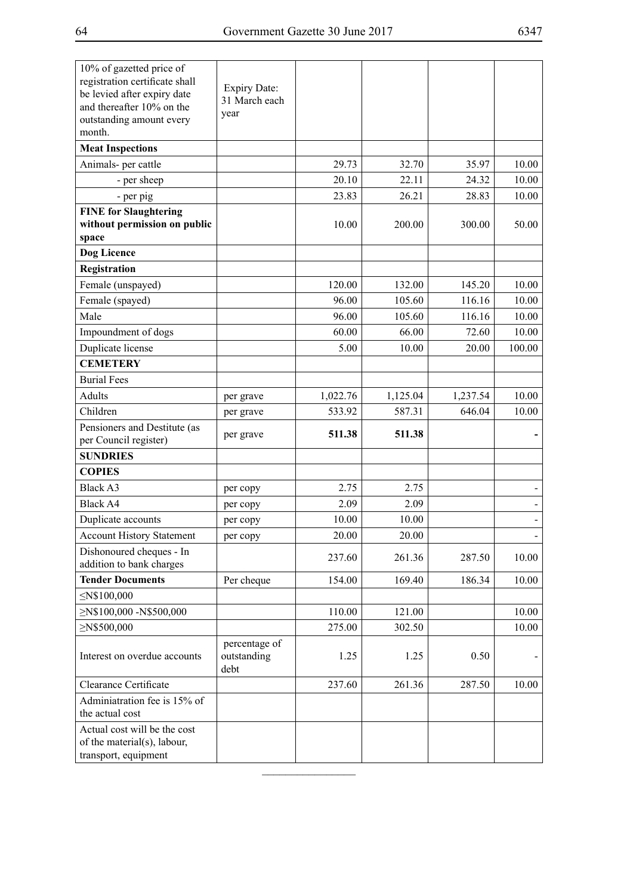| 10% of gazetted price of<br>registration certificate shall<br>be levied after expiry date<br>and thereafter 10% on the<br>outstanding amount every<br>month. | <b>Expiry Date:</b><br>31 March each<br>year |          |          |          |        |
|--------------------------------------------------------------------------------------------------------------------------------------------------------------|----------------------------------------------|----------|----------|----------|--------|
| <b>Meat Inspections</b>                                                                                                                                      |                                              |          |          |          |        |
| Animals- per cattle                                                                                                                                          |                                              | 29.73    | 32.70    | 35.97    | 10.00  |
| - per sheep                                                                                                                                                  |                                              | 20.10    | 22.11    | 24.32    | 10.00  |
| - per pig                                                                                                                                                    |                                              | 23.83    | 26.21    | 28.83    | 10.00  |
| <b>FINE for Slaughtering</b><br>without permission on public<br>space                                                                                        |                                              | 10.00    | 200.00   | 300.00   | 50.00  |
| Dog Licence                                                                                                                                                  |                                              |          |          |          |        |
| Registration                                                                                                                                                 |                                              |          |          |          |        |
| Female (unspayed)                                                                                                                                            |                                              | 120.00   | 132.00   | 145.20   | 10.00  |
| Female (spayed)                                                                                                                                              |                                              | 96.00    | 105.60   | 116.16   | 10.00  |
| Male                                                                                                                                                         |                                              | 96.00    | 105.60   | 116.16   | 10.00  |
| Impoundment of dogs                                                                                                                                          |                                              | 60.00    | 66.00    | 72.60    | 10.00  |
| Duplicate license                                                                                                                                            |                                              | 5.00     | 10.00    | 20.00    | 100.00 |
| <b>CEMETERY</b>                                                                                                                                              |                                              |          |          |          |        |
| <b>Burial Fees</b>                                                                                                                                           |                                              |          |          |          |        |
| Adults                                                                                                                                                       | per grave                                    | 1,022.76 | 1,125.04 | 1,237.54 | 10.00  |
| Children                                                                                                                                                     | per grave                                    | 533.92   | 587.31   | 646.04   | 10.00  |
| Pensioners and Destitute (as<br>per Council register)                                                                                                        | per grave                                    | 511.38   | 511.38   |          |        |
| <b>SUNDRIES</b>                                                                                                                                              |                                              |          |          |          |        |
| <b>COPIES</b>                                                                                                                                                |                                              |          |          |          |        |
| <b>Black A3</b>                                                                                                                                              | per copy                                     | 2.75     | 2.75     |          |        |
| <b>Black A4</b>                                                                                                                                              | per copy                                     | 2.09     | 2.09     |          |        |
| Duplicate accounts                                                                                                                                           | per copy                                     | 10.00    | 10.00    |          |        |
| <b>Account History Statement</b>                                                                                                                             | per copy                                     | 20.00    | 20.00    |          |        |
| Dishonoured cheques - In<br>addition to bank charges                                                                                                         |                                              | 237.60   | 261.36   | 287.50   | 10.00  |
| <b>Tender Documents</b>                                                                                                                                      | Per cheque                                   | 154.00   | 169.40   | 186.34   | 10.00  |
| $\leq$ N\$100,000                                                                                                                                            |                                              |          |          |          |        |
| $\geq$ N\$100,000 -N\$500,000                                                                                                                                |                                              | 110.00   | 121.00   |          | 10.00  |
| $\geq$ N\$500,000                                                                                                                                            |                                              | 275.00   | 302.50   |          | 10.00  |
| Interest on overdue accounts                                                                                                                                 | percentage of<br>outstanding<br>debt         | 1.25     | 1.25     | 0.50     |        |
| Clearance Certificate                                                                                                                                        |                                              | 237.60   | 261.36   | 287.50   | 10.00  |
| Adminiatration fee is 15% of<br>the actual cost                                                                                                              |                                              |          |          |          |        |
| Actual cost will be the cost<br>of the material(s), labour,<br>transport, equipment                                                                          |                                              |          |          |          |        |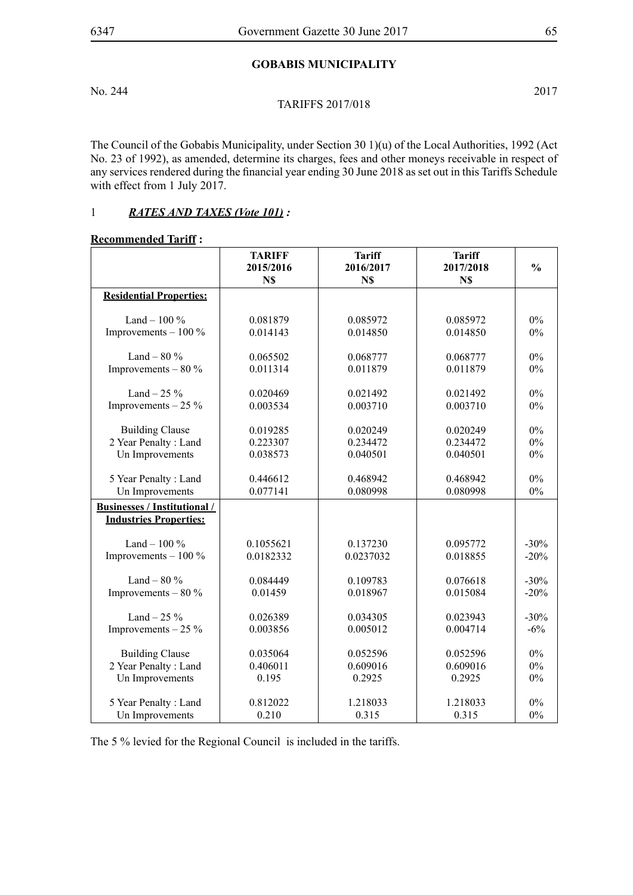### **GOBABIS MUNICIPALITY**

No. 244 2017

#### TARIFFS 2017/018

The Council of the Gobabis Municipality, under Section 30 1)(u) of the Local Authorities, 1992 (Act No. 23 of 1992), as amended, determine its charges, fees and other moneys receivable in respect of any services rendered during the financial year ending 30 June 2018 as set out in this Tariffs Schedule with effect from 1 July 2017.

## 1 *RATES AND TAXES (Vote 101) :*

#### **Recommended Tariff :**

|                                     | <b>TARIFF</b><br>2015/2016<br>N\$ | <b>Tariff</b><br>2016/2017<br>N\$ | <b>Tariff</b><br>2017/2018<br>N\$ | $\frac{0}{0}$ |
|-------------------------------------|-----------------------------------|-----------------------------------|-----------------------------------|---------------|
| <b>Residential Properties:</b>      |                                   |                                   |                                   |               |
| Land $-100\%$                       | 0.081879                          | 0.085972                          | 0.085972                          | $0\%$         |
| Improvements $-100\%$               | 0.014143                          | 0.014850                          | 0.014850                          | $0\%$         |
| Land $-80\%$                        | 0.065502                          | 0.068777                          | 0.068777                          | $0\%$         |
| Improvements $-80\%$                | 0.011314                          | 0.011879                          | 0.011879                          | $0\%$         |
| Land $-25%$                         | 0.020469                          | 0.021492                          | 0.021492                          | $0\%$         |
| Improvements $-25\%$                | 0.003534                          | 0.003710                          | 0.003710                          | $0\%$         |
| <b>Building Clause</b>              | 0.019285                          | 0.020249                          | 0.020249                          | $0\%$         |
| 2 Year Penalty: Land                | 0.223307                          | 0.234472                          | 0.234472                          | $0\%$         |
| Un Improvements                     | 0.038573                          | 0.040501                          | 0.040501                          | $0\%$         |
| 5 Year Penalty: Land                | 0.446612                          | 0.468942                          | 0.468942                          | $0\%$         |
| Un Improvements                     | 0.077141                          | 0.080998                          | 0.080998                          | $0\%$         |
| <b>Businesses / Institutional /</b> |                                   |                                   |                                   |               |
| <b>Industries Properties:</b>       |                                   |                                   |                                   |               |
| Land $-100\%$                       | 0.1055621                         | 0.137230                          | 0.095772                          | $-30%$        |
| Improvements $-100\%$               | 0.0182332                         | 0.0237032                         | 0.018855                          | $-20%$        |
| Land $-80\%$                        | 0.084449                          | 0.109783                          | 0.076618                          | $-30%$        |
| Improvements $-80\%$                | 0.01459                           | 0.018967                          | 0.015084                          | $-20%$        |
| Land $-25%$                         | 0.026389                          | 0.034305                          | 0.023943                          | $-30%$        |
| Improvements $-25\%$                | 0.003856                          | 0.005012                          | 0.004714                          | $-6\%$        |
| <b>Building Clause</b>              | 0.035064                          | 0.052596                          | 0.052596                          | $0\%$         |
| 2 Year Penalty: Land                | 0.406011                          | 0.609016                          | 0.609016                          | $0\%$         |
| Un Improvements                     | 0.195                             | 0.2925                            | 0.2925                            | $0\%$         |
| 5 Year Penalty: Land                | 0.812022                          | 1.218033                          | 1.218033                          | $0\%$         |
| Un Improvements                     | 0.210                             | 0.315                             | 0.315                             | $0\%$         |

The 5 % levied for the Regional Council is included in the tariffs.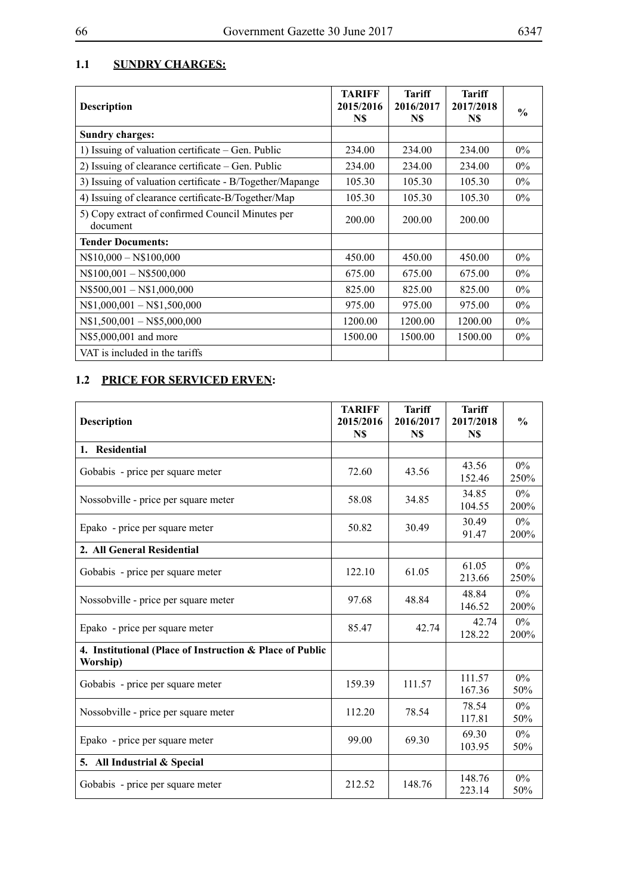## **1.1 Sundry charges:**

| <b>Description</b>                                           | <b>TARIFF</b><br>2015/2016<br>N\$ | <b>Tariff</b><br>2016/2017<br>N\$ | <b>Tariff</b><br>2017/2018<br>N\$ | $\frac{0}{0}$ |
|--------------------------------------------------------------|-----------------------------------|-----------------------------------|-----------------------------------|---------------|
| <b>Sundry charges:</b>                                       |                                   |                                   |                                   |               |
| 1) Issuing of valuation certificate – Gen. Public            | 234.00                            | 234.00                            | 234.00                            | $0\%$         |
| 2) Issuing of clearance certificate – Gen. Public            | 234.00                            | 234.00                            | 234.00                            | $0\%$         |
| 3) Issuing of valuation certificate - B/Together/Mapange     | 105.30                            | 105.30                            | 105.30                            | $0\%$         |
| 4) Issuing of clearance certificate-B/Together/Map           | 105.30                            | 105.30                            | 105.30                            | $0\%$         |
| 5) Copy extract of confirmed Council Minutes per<br>document | 200.00                            | 200.00                            | 200.00                            |               |
| <b>Tender Documents:</b>                                     |                                   |                                   |                                   |               |
| $N$10,000 - N$100,000$                                       | 450.00                            | 450.00                            | 450.00                            | $0\%$         |
| $N$100,001 - N$500,000$                                      | 675.00                            | 675.00                            | 675.00                            | $0\%$         |
| $N$500,001 - N$1,000,000$                                    | 825.00                            | 825.00                            | 825.00                            | $0\%$         |
| $N$1,000,001 - N$1,500,000$                                  | 975.00                            | 975.00                            | 975.00                            | $0\%$         |
| $N$1,500,001 - N$5,000,000$                                  | 1200.00                           | 1200.00                           | 1200.00                           | $0\%$         |
| N\$5,000,001 and more                                        | 1500.00                           | 1500.00                           | 1500.00                           | $0\%$         |
| VAT is included in the tariffs                               |                                   |                                   |                                   |               |

# **1.2 PRICE FOR SERVICED ERVEN:**

| <b>Description</b>                                                   | <b>TARIFF</b><br>2015/2016<br>N\$ | <b>Tariff</b><br>2016/2017<br>N\$ | <b>Tariff</b><br>2017/2018<br>N\$ | $\frac{0}{0}$ |
|----------------------------------------------------------------------|-----------------------------------|-----------------------------------|-----------------------------------|---------------|
| 1. Residential                                                       |                                   |                                   |                                   |               |
| Gobabis - price per square meter                                     | 72.60                             | 43.56                             | 43.56<br>152.46                   | $0\%$<br>250% |
| Nossobville - price per square meter                                 | 58.08                             | 34.85                             | 34.85<br>104.55                   | $0\%$<br>200% |
| Epako - price per square meter                                       | 50.82                             | 30.49                             | 30.49<br>91.47                    | $0\%$<br>200% |
| 2. All General Residential                                           |                                   |                                   |                                   |               |
| Gobabis - price per square meter                                     | 122.10                            | 61.05                             | 61.05<br>213.66                   | $0\%$<br>250% |
| Nossobville - price per square meter                                 | 97.68                             | 48.84                             | 48.84<br>146.52                   | $0\%$<br>200% |
| Epako - price per square meter                                       | 85.47                             | 42.74                             | 42.74<br>128.22                   | $0\%$<br>200% |
| 4. Institutional (Place of Instruction & Place of Public<br>Worship) |                                   |                                   |                                   |               |
| Gobabis - price per square meter                                     | 159.39                            | 111.57                            | 111.57<br>167.36                  | $0\%$<br>50%  |
| Nossobville - price per square meter                                 | 112.20                            | 78.54                             | 78.54<br>117.81                   | $0\%$<br>50%  |
| Epako - price per square meter                                       | 99.00                             | 69.30                             | 69.30<br>103.95                   | $0\%$<br>50%  |
| 5. All Industrial & Special                                          |                                   |                                   |                                   |               |
| Gobabis - price per square meter                                     | 212.52                            | 148.76                            | 148.76<br>223.14                  | $0\%$<br>50%  |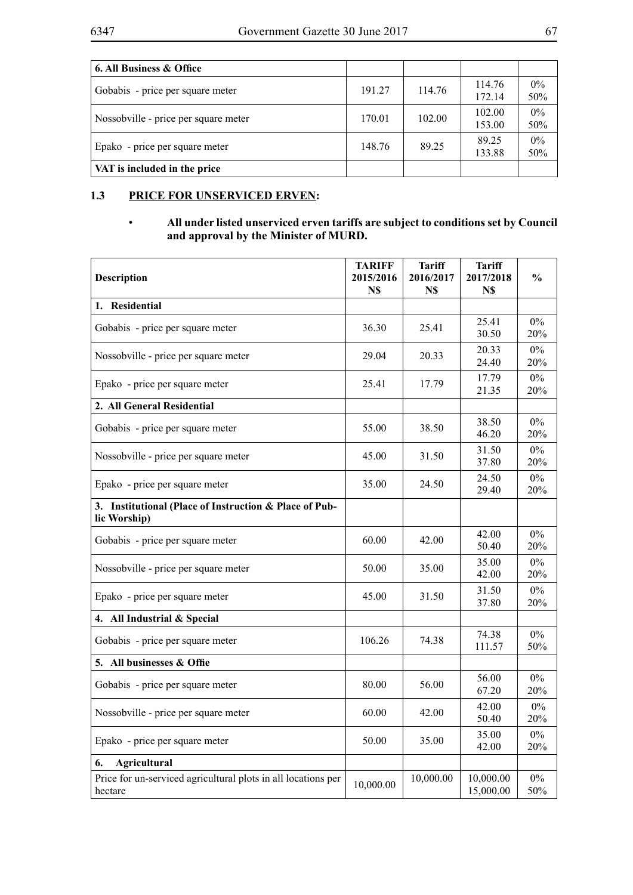| 6. All Business & Office             |        |        |                  |              |
|--------------------------------------|--------|--------|------------------|--------------|
| Gobabis - price per square meter     | 191.27 | 114.76 | 114.76<br>172.14 | $0\%$<br>50% |
| Nossobville - price per square meter | 170.01 | 102.00 | 102.00<br>153.00 | $0\%$<br>50% |
| Epako - price per square meter       | 148.76 | 89.25  | 89.25<br>133.88  | $0\%$<br>50% |
| VAT is included in the price         |        |        |                  |              |

## **1.3 PRICE FOR UNSERVICED ERVEN:**

### • **All under listed unserviced erven tariffs are subject to conditions set by Council and approval by the Minister of MURD.**

| <b>Description</b>                                                       | <b>TARIFF</b><br>2015/2016<br>N\$ | <b>Tariff</b><br>2016/2017<br>N\$ | <b>Tariff</b><br>2017/2018<br>N\$ | $\frac{0}{0}$ |
|--------------------------------------------------------------------------|-----------------------------------|-----------------------------------|-----------------------------------|---------------|
| 1. Residential                                                           |                                   |                                   |                                   |               |
| Gobabis - price per square meter                                         | 36.30                             | 25.41                             | 25.41<br>30.50                    | $0\%$<br>20%  |
| Nossobville - price per square meter                                     | 29.04                             | 20.33                             | 20.33<br>24.40                    | $0\%$<br>20%  |
| Epako - price per square meter                                           | 25.41                             | 17.79                             | 17.79<br>21.35                    | $0\%$<br>20%  |
| 2. All General Residential                                               |                                   |                                   |                                   |               |
| Gobabis - price per square meter                                         | 55.00                             | 38.50                             | 38.50<br>46.20                    | $0\%$<br>20%  |
| Nossobville - price per square meter                                     | 45.00                             | 31.50                             | 31.50<br>37.80                    | $0\%$<br>20%  |
| Epako - price per square meter                                           | 35.00                             | 24.50                             | 24.50<br>29.40                    | $0\%$<br>20%  |
| 3. Institutional (Place of Instruction & Place of Pub-<br>lic Worship)   |                                   |                                   |                                   |               |
| Gobabis - price per square meter                                         | 60.00                             | 42.00                             | 42.00<br>50.40                    | $0\%$<br>20%  |
| Nossobville - price per square meter                                     | 50.00                             | 35.00                             | 35.00<br>42.00                    | 0%<br>20%     |
| Epako - price per square meter                                           | 45.00                             | 31.50                             | 31.50<br>37.80                    | $0\%$<br>20%  |
| 4. All Industrial & Special                                              |                                   |                                   |                                   |               |
| Gobabis - price per square meter                                         | 106.26                            | 74.38                             | 74.38<br>111.57                   | $0\%$<br>50%  |
| 5. All businesses & Offie                                                |                                   |                                   |                                   |               |
| Gobabis - price per square meter                                         | 80.00                             | 56.00                             | 56.00<br>67.20                    | $0\%$<br>20%  |
| Nossobville - price per square meter                                     | 60.00                             | 42.00                             | 42.00<br>50.40                    | $0\%$<br>20%  |
| Epako - price per square meter                                           | 50.00                             | 35.00                             | 35.00<br>42.00                    | $0\%$<br>20%  |
| <b>Agricultural</b><br>6.                                                |                                   |                                   |                                   |               |
| Price for un-serviced agricultural plots in all locations per<br>hectare | 10,000.00                         | 10,000.00                         | 10,000.00<br>15,000.00            | $0\%$<br>50%  |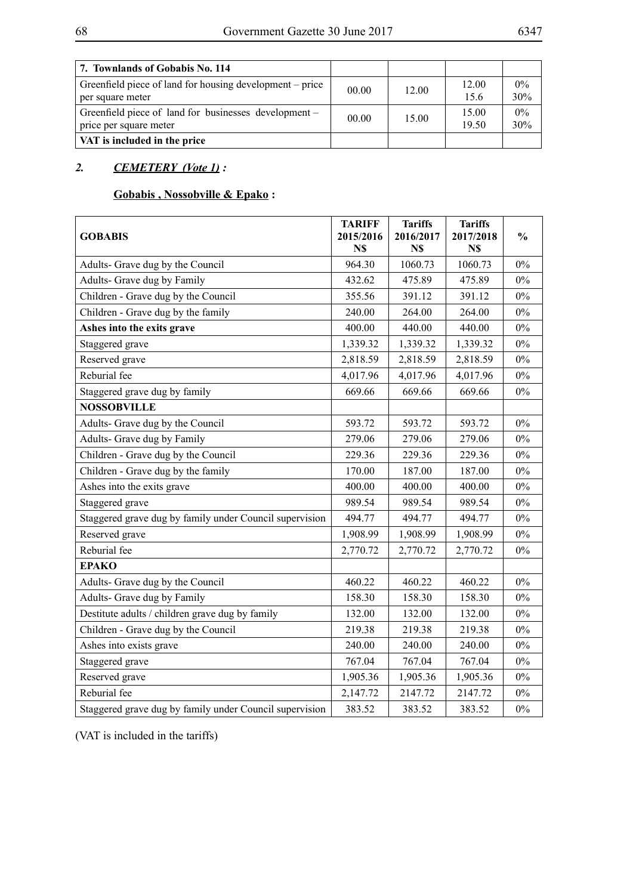| 7. Townlands of Gobabis No. 114                                                 |       |       |                |              |
|---------------------------------------------------------------------------------|-------|-------|----------------|--------------|
| Greenfield piece of land for housing development – price<br>per square meter    | 00.00 | 12.00 | 12.00<br>15.6  | $0\%$<br>30% |
| Greenfield piece of land for businesses development –<br>price per square meter | 00.00 | 15.00 | 15.00<br>19.50 | $0\%$<br>30% |
| VAT is included in the price                                                    |       |       |                |              |

## *2. CEMETERY (Vote 1) :*

## **Gobabis , Nossobville & Epako :**

| <b>GOBABIS</b>                                          | <b>TARIFF</b><br>2015/2016<br>N\$ | <b>Tariffs</b><br>2016/2017<br>N\$ | <b>Tariffs</b><br>2017/2018<br>N\$ | $\frac{0}{0}$ |
|---------------------------------------------------------|-----------------------------------|------------------------------------|------------------------------------|---------------|
| Adults- Grave dug by the Council                        | 964.30                            | 1060.73                            | 1060.73                            | $0\%$         |
| Adults- Grave dug by Family                             | 432.62                            | 475.89                             | 475.89                             | $0\%$         |
| Children - Grave dug by the Council                     | 355.56                            | 391.12                             | 391.12                             | $0\%$         |
| Children - Grave dug by the family                      | 240.00                            | 264.00                             | 264.00                             | $0\%$         |
| Ashes into the exits grave                              | 400.00                            | 440.00                             | 440.00                             | $0\%$         |
| Staggered grave                                         | 1,339.32                          | 1,339.32                           | 1,339.32                           | $0\%$         |
| Reserved grave                                          | 2,818.59                          | 2,818.59                           | 2,818.59                           | $0\%$         |
| Reburial fee                                            | 4,017.96                          | 4,017.96                           | 4,017.96                           | $0\%$         |
| Staggered grave dug by family                           | 669.66                            | 669.66                             | 669.66                             | $0\%$         |
| <b>NOSSOBVILLE</b>                                      |                                   |                                    |                                    |               |
| Adults- Grave dug by the Council                        | 593.72                            | 593.72                             | 593.72                             | $0\%$         |
| Adults- Grave dug by Family                             | 279.06                            | 279.06                             | 279.06                             | $0\%$         |
| Children - Grave dug by the Council                     | 229.36                            | 229.36                             | 229.36                             | $0\%$         |
| Children - Grave dug by the family                      | 170.00                            | 187.00                             | 187.00                             | 0%            |
| Ashes into the exits grave                              | 400.00                            | 400.00                             | 400.00                             | $0\%$         |
| Staggered grave                                         | 989.54                            | 989.54                             | 989.54                             | $0\%$         |
| Staggered grave dug by family under Council supervision | 494.77                            | 494.77                             | 494.77                             | $0\%$         |
| Reserved grave                                          | 1,908.99                          | 1,908.99                           | 1,908.99                           | $0\%$         |
| Reburial fee                                            | 2,770.72                          | 2,770.72                           | 2,770.72                           | $0\%$         |
| <b>EPAKO</b>                                            |                                   |                                    |                                    |               |
| Adults- Grave dug by the Council                        | 460.22                            | 460.22                             | 460.22                             | $0\%$         |
| Adults- Grave dug by Family                             | 158.30                            | 158.30                             | 158.30                             | $0\%$         |
| Destitute adults / children grave dug by family         | 132.00                            | 132.00                             | 132.00                             | $0\%$         |
| Children - Grave dug by the Council                     | 219.38                            | 219.38                             | 219.38                             | $0\%$         |
| Ashes into exists grave                                 | 240.00                            | 240.00                             | 240.00                             | $0\%$         |
| Staggered grave                                         | 767.04                            | 767.04                             | 767.04                             | $0\%$         |
| Reserved grave                                          | 1,905.36                          | 1,905.36                           | 1,905.36                           | $0\%$         |
| Reburial fee                                            | 2,147.72                          | 2147.72                            | 2147.72                            | $0\%$         |
| Staggered grave dug by family under Council supervision | 383.52                            | 383.52                             | 383.52                             | $0\%$         |

(VAT is included in the tariffs)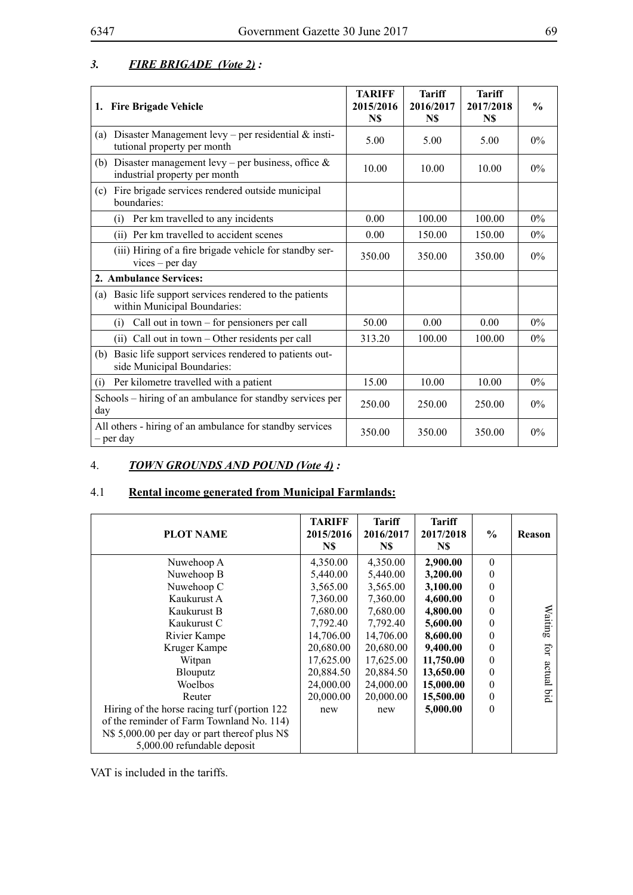| 3. | <b>FIRE BRIGADE</b> (Vote 2): |  |
|----|-------------------------------|--|
|    |                               |  |

| 1. Fire Brigade Vehicle                                                                      | <b>TARIFF</b><br>2015/2016<br>N\$ | <b>Tariff</b><br>2016/2017<br>N\$ | <b>Tariff</b><br>2017/2018<br>N\$ | $\frac{0}{0}$ |
|----------------------------------------------------------------------------------------------|-----------------------------------|-----------------------------------|-----------------------------------|---------------|
| Disaster Management levy – per residential $\&$ insti-<br>(a)<br>tutional property per month | 5.00                              | 5.00                              | 5.00                              | $0\%$         |
| Disaster management levy – per business, office $\&$<br>(b)<br>industrial property per month | 10.00                             | 10.00                             | 10.00                             | $0\%$         |
| Fire brigade services rendered outside municipal<br>(c)<br>boundaries:                       |                                   |                                   |                                   |               |
| Per km travelled to any incidents<br>(i)                                                     | 0.00                              | 100.00                            | 100.00                            | $0\%$         |
| (ii) Per km travelled to accident scenes                                                     | 0.00                              | 150.00                            | 150.00                            | $0\%$         |
| (iii) Hiring of a fire brigade vehicle for standby ser-<br>$vices - per day$                 | 350.00                            | 350.00                            | 350.00                            | $0\%$         |
| 2. Ambulance Services:                                                                       |                                   |                                   |                                   |               |
| Basic life support services rendered to the patients<br>(a)<br>within Municipal Boundaries:  |                                   |                                   |                                   |               |
| Call out in town $-$ for pensioners per call<br>(i)                                          | 50.00                             | 0.00                              | 0.00                              | $0\%$         |
| (ii) Call out in town - Other residents per call                                             | 313.20                            | 100.00                            | 100.00                            | $0\%$         |
| Basic life support services rendered to patients out-<br>(b)<br>side Municipal Boundaries:   |                                   |                                   |                                   |               |
| Per kilometre travelled with a patient<br>(i)                                                | 15.00                             | 10.00                             | 10.00                             | $0\%$         |
| Schools – hiring of an ambulance for standby services per<br>day                             | 250.00                            | 250.00                            | 250.00                            | $0\%$         |
| All others - hiring of an ambulance for standby services<br>– per day                        | 350.00                            | 350.00                            | 350.00                            | 0%            |

## 4. *TOWN GROUNDS AND POUND (Vote 4) :*

## 4.1 **Rental income generated from Municipal Farmlands:**

| <b>PLOT NAME</b>                                                             | <b>TARIFF</b><br>2015/2016<br>N\$ | <b>Tariff</b><br>2016/2017<br>N\$ | <b>Tariff</b><br>2017/2018<br>N\$ | $\frac{6}{9}$ | <b>Reason</b> |
|------------------------------------------------------------------------------|-----------------------------------|-----------------------------------|-----------------------------------|---------------|---------------|
| Nuwehoop A                                                                   | 4,350.00                          | 4,350.00                          | 2,900.00                          | $\theta$      |               |
| Nuwehoop B                                                                   | 5,440.00                          | 5,440.00                          | 3,200.00                          | 0             |               |
| Nuwehoop C                                                                   | 3,565.00                          | 3,565.00                          | 3,100.00                          | 0             |               |
| Kaukurust A                                                                  | 7,360.00                          | 7,360.00                          | 4,600.00                          | 0             |               |
| Kaukurust B                                                                  | 7,680.00                          | 7,680.00                          | 4,800.00                          | 0             | Waiting       |
| Kaukurust C                                                                  | 7,792.40                          | 7,792.40                          | 5,600.00                          | 0             |               |
| Rivier Kampe                                                                 | 14,706.00                         | 14,706.00                         | 8,600.00                          | 0             |               |
| Kruger Kampe                                                                 | 20,680.00                         | 20,680.00                         | 9,400.00                          | 0             | Ęū            |
| Witpan                                                                       | 17,625.00                         | 17,625.00                         | 11,750.00                         | 0             |               |
| Blouputz                                                                     | 20,884.50                         | 20,884.50                         | 13,650.00                         | 0             | actual        |
| Woelbos                                                                      | 24,000.00                         | 24,000.00                         | 15,000.00                         | 0             |               |
| Reuter                                                                       | 20,000.00                         | 20,000.00                         | 15,500.00                         | 0             | piq           |
| Hiring of the horse racing turf (portion 122)                                | new                               | new                               | 5,000.00                          | $\theta$      |               |
| of the reminder of Farm Townland No. 114)                                    |                                   |                                   |                                   |               |               |
| N\$ 5,000.00 per day or part thereof plus N\$<br>5,000.00 refundable deposit |                                   |                                   |                                   |               |               |

VAT is included in the tariffs.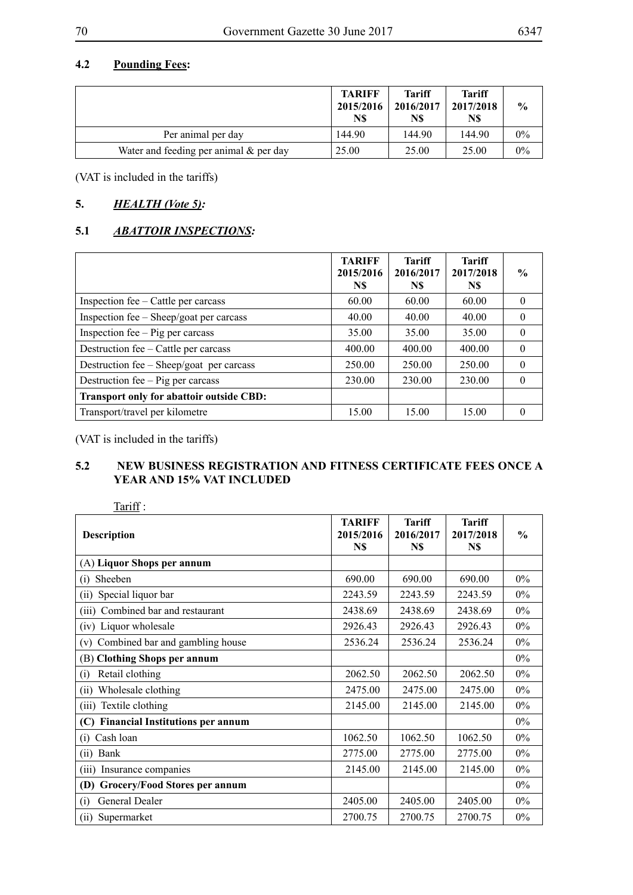## **4.2 Pounding Fees:**

|                                           | <b>TARIFF</b><br>2015/2016<br>N\$ | <b>Tariff</b><br>2016/2017<br>N\$ | <b>Tariff</b><br>2017/2018<br>N\$ | $\frac{6}{9}$ |
|-------------------------------------------|-----------------------------------|-----------------------------------|-----------------------------------|---------------|
| Per animal per day                        | 144.90                            | 144.90                            | 144.90                            | $0\%$         |
| Water and feeding per animal $\&$ per day | 25.00                             | 25.00                             | 25.00                             | $0\%$         |

(VAT is included in the tariffs)

## **5.** *HEALTH (Vote 5):*

## **5.1** *ABATTOIR INSPECTIONS:*

|                                                 | <b>TARIFF</b><br>2015/2016<br>N\$ | Tariff<br>2016/2017<br>N\$ | Tariff<br>2017/2018<br>N\$ | $\%$     |
|-------------------------------------------------|-----------------------------------|----------------------------|----------------------------|----------|
| Inspection fee – Cattle per carcass             | 60.00                             | 60.00                      | 60.00                      | $\Omega$ |
| Inspection fee – Sheep/goat per carcass         | 40.00                             | 40.00                      | 40.00                      | $\theta$ |
| Inspection fee $-$ Pig per carcass              | 35.00                             | 35.00                      | 35.00                      | $\theta$ |
| Destruction fee – Cattle per carcass            | 400.00                            | 400.00                     | 400.00                     | $\theta$ |
| Destruction fee - Sheep/goat per carcass        | 250.00                            | 250.00                     | 250.00                     | $\Omega$ |
| Destruction fee – Pig per carcass               | 230.00                            | 230.00                     | 230.00                     | $\Omega$ |
| <b>Transport only for abattoir outside CBD:</b> |                                   |                            |                            |          |
| Transport/travel per kilometre                  | 15.00                             | 15.00                      | 15.00                      | $\Omega$ |

(VAT is included in the tariffs)

### **5.2 NEW Business Registration AND FITNESS CERTIFICATE Fees Once a Year and 15% VAT Included**

| Tariff:                                        |                                   |                                   |                                   |               |
|------------------------------------------------|-----------------------------------|-----------------------------------|-----------------------------------|---------------|
| <b>Description</b>                             | <b>TARIFF</b><br>2015/2016<br>N\$ | <b>Tariff</b><br>2016/2017<br>N\$ | <b>Tariff</b><br>2017/2018<br>N\$ | $\frac{0}{0}$ |
| (A) Liquor Shops per annum                     |                                   |                                   |                                   |               |
| Sheeben<br>(i)                                 | 690.00                            | 690.00                            | 690.00                            | $0\%$         |
| Special liquor bar<br>(ii)                     | 2243.59                           | 2243.59                           | 2243.59                           | $0\%$         |
| Combined bar and restaurant<br>(iii)           | 2438.69                           | 2438.69                           | 2438.69                           | $0\%$         |
| (iv) Liquor wholesale                          | 2926.43                           | 2926.43                           | 2926.43                           | $0\%$         |
| Combined bar and gambling house<br>(v)         | 2536.24                           | 2536.24                           | 2536.24                           | $0\%$         |
| (B) Clothing Shops per annum                   |                                   |                                   |                                   | $0\%$         |
| Retail clothing<br>(i)                         | 2062.50                           | 2062.50                           | 2062.50                           | $0\%$         |
| Wholesale clothing<br>(ii)                     | 2475.00                           | 2475.00                           | 2475.00                           | $0\%$         |
| (iii) Textile clothing                         | 2145.00                           | 2145.00                           | 2145.00                           | $0\%$         |
| <b>Financial Institutions per annum</b><br>(C) |                                   |                                   |                                   | $0\%$         |
| Cash loan<br>$\left( 1\right)$                 | 1062.50                           | 1062.50                           | 1062.50                           | $0\%$         |
| Bank<br>(ii)                                   | 2775.00                           | 2775.00                           | 2775.00                           | $0\%$         |
| Insurance companies<br>(iii)                   | 2145.00                           | 2145.00                           | 2145.00                           | $0\%$         |
| (D) Grocery/Food Stores per annum              |                                   |                                   |                                   | $0\%$         |
| <b>General Dealer</b><br>(i)                   | 2405.00                           | 2405.00                           | 2405.00                           | $0\%$         |
| Supermarket<br>(i)                             | 2700.75                           | 2700.75                           | 2700.75                           | $0\%$         |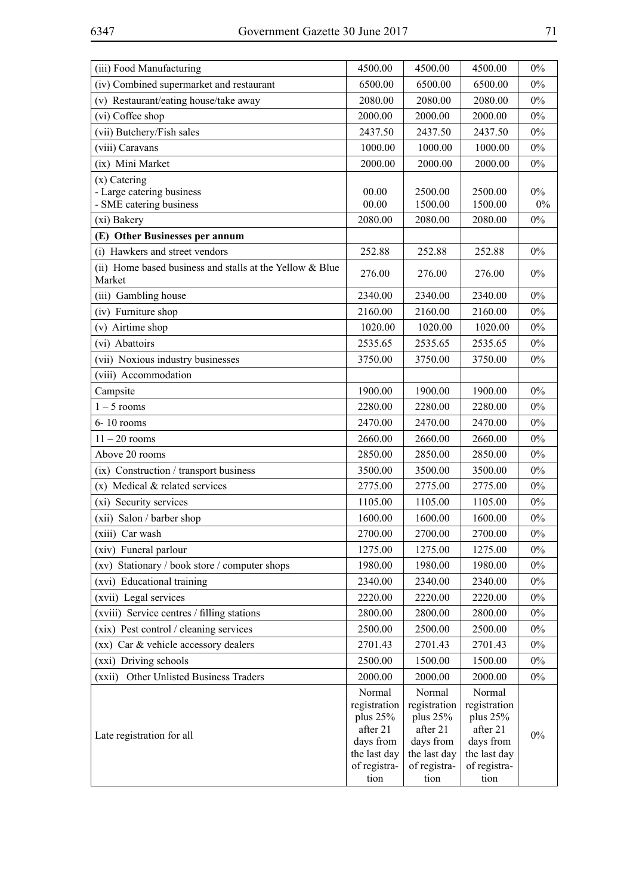| (iii) Food Manufacturing                                           | 4500.00                                                                                     | 4500.00                                                                                       | 4500.00                                                                                       | 0%             |
|--------------------------------------------------------------------|---------------------------------------------------------------------------------------------|-----------------------------------------------------------------------------------------------|-----------------------------------------------------------------------------------------------|----------------|
| (iv) Combined supermarket and restaurant                           | 6500.00                                                                                     | 6500.00                                                                                       | 6500.00                                                                                       | $0\%$          |
| (v) Restaurant/eating house/take away                              | 2080.00                                                                                     | 2080.00                                                                                       | 2080.00                                                                                       | 0%             |
| (vi) Coffee shop                                                   | 2000.00                                                                                     | 2000.00                                                                                       | 2000.00                                                                                       | $0\%$          |
| (vii) Butchery/Fish sales                                          | 2437.50                                                                                     | 2437.50                                                                                       | 2437.50                                                                                       | $0\%$          |
| (viii) Caravans                                                    | 1000.00                                                                                     | 1000.00                                                                                       | 1000.00                                                                                       | $0\%$          |
| (ix) Mini Market                                                   | 2000.00                                                                                     | 2000.00                                                                                       | 2000.00                                                                                       | 0%             |
| $(x)$ Catering                                                     |                                                                                             |                                                                                               |                                                                                               |                |
| - Large catering business                                          | 00.00<br>00.00                                                                              | 2500.00                                                                                       | 2500.00                                                                                       | $0\%$<br>$0\%$ |
| - SME catering business                                            |                                                                                             | 1500.00                                                                                       | 1500.00                                                                                       | $0\%$          |
| (xi) Bakery                                                        | 2080.00                                                                                     | 2080.00                                                                                       | 2080.00                                                                                       |                |
| (E) Other Businesses per annum                                     |                                                                                             |                                                                                               |                                                                                               |                |
| (i) Hawkers and street vendors                                     | 252.88                                                                                      | 252.88                                                                                        | 252.88                                                                                        | 0%             |
| (ii) Home based business and stalls at the Yellow & Blue<br>Market | 276.00                                                                                      | 276.00                                                                                        | 276.00                                                                                        | 0%             |
| (iii) Gambling house                                               | 2340.00                                                                                     | 2340.00                                                                                       | 2340.00                                                                                       | $0\%$          |
| (iv) Furniture shop                                                | 2160.00                                                                                     | 2160.00                                                                                       | 2160.00                                                                                       | $0\%$          |
| (v) Airtime shop                                                   | 1020.00                                                                                     | 1020.00                                                                                       | 1020.00                                                                                       | $0\%$          |
| (vi) Abattoirs                                                     | 2535.65                                                                                     | 2535.65                                                                                       | 2535.65                                                                                       | $0\%$          |
| (vii) Noxious industry businesses                                  | 3750.00                                                                                     | 3750.00                                                                                       | 3750.00                                                                                       | $0\%$          |
| (viii) Accommodation                                               |                                                                                             |                                                                                               |                                                                                               |                |
| Campsite                                                           | 1900.00                                                                                     | 1900.00                                                                                       | 1900.00                                                                                       | $0\%$          |
| $1 - 5$ rooms                                                      | 2280.00                                                                                     | 2280.00                                                                                       | 2280.00                                                                                       | 0%             |
| 6-10 rooms                                                         | 2470.00                                                                                     | 2470.00                                                                                       | 2470.00                                                                                       | 0%             |
| $11 - 20$ rooms                                                    | 2660.00                                                                                     | 2660.00                                                                                       | 2660.00                                                                                       | $0\%$          |
| Above 20 rooms                                                     | 2850.00                                                                                     | 2850.00                                                                                       | 2850.00                                                                                       | $0\%$          |
| (ix) Construction / transport business                             | 3500.00                                                                                     | 3500.00                                                                                       | 3500.00                                                                                       | 0%             |
| $(x)$ Medical & related services                                   | 2775.00                                                                                     | 2775.00                                                                                       | 2775.00                                                                                       | $0\%$          |
| (xi) Security services                                             | 1105.00                                                                                     | 1105.00                                                                                       | 1105.00                                                                                       | 0%             |
| (xii) Salon / barber shop                                          | 1600.00                                                                                     | 1600.00                                                                                       | 1600.00                                                                                       | $0\%$          |
| (xiii) Car wash                                                    | 2700.00                                                                                     | 2700.00                                                                                       | 2700.00                                                                                       | $0\%$          |
| (xiv) Funeral parlour                                              | 1275.00                                                                                     | 1275.00                                                                                       | 1275.00                                                                                       | $0\%$          |
| (xv) Stationary / book store / computer shops                      | 1980.00                                                                                     | 1980.00                                                                                       | 1980.00                                                                                       | $0\%$          |
| (xvi) Educational training                                         | 2340.00                                                                                     | 2340.00                                                                                       | 2340.00                                                                                       | $0\%$          |
| (xvii) Legal services                                              | 2220.00                                                                                     | 2220.00                                                                                       | 2220.00                                                                                       | $0\%$          |
| (xviii) Service centres / filling stations                         | 2800.00                                                                                     | 2800.00                                                                                       | 2800.00                                                                                       | $0\%$          |
| (xix) Pest control / cleaning services                             | 2500.00                                                                                     | 2500.00                                                                                       | 2500.00                                                                                       | $0\%$          |
| (xx) Car & vehicle accessory dealers                               | 2701.43                                                                                     | 2701.43                                                                                       | 2701.43                                                                                       | $0\%$          |
| (xxi) Driving schools                                              | 2500.00                                                                                     | 1500.00                                                                                       | 1500.00                                                                                       | $0\%$          |
| (xxii) Other Unlisted Business Traders                             | 2000.00                                                                                     | 2000.00                                                                                       | 2000.00                                                                                       | $0\%$          |
| Late registration for all                                          | Normal<br>registration<br>plus 25%<br>after 21<br>days from<br>the last day<br>of registra- | Normal<br>registration<br>plus $25%$<br>after 21<br>days from<br>the last day<br>of registra- | Normal<br>registration<br>plus $25%$<br>after 21<br>days from<br>the last day<br>of registra- | $0\%$          |
|                                                                    | tion                                                                                        | tion                                                                                          | tion                                                                                          |                |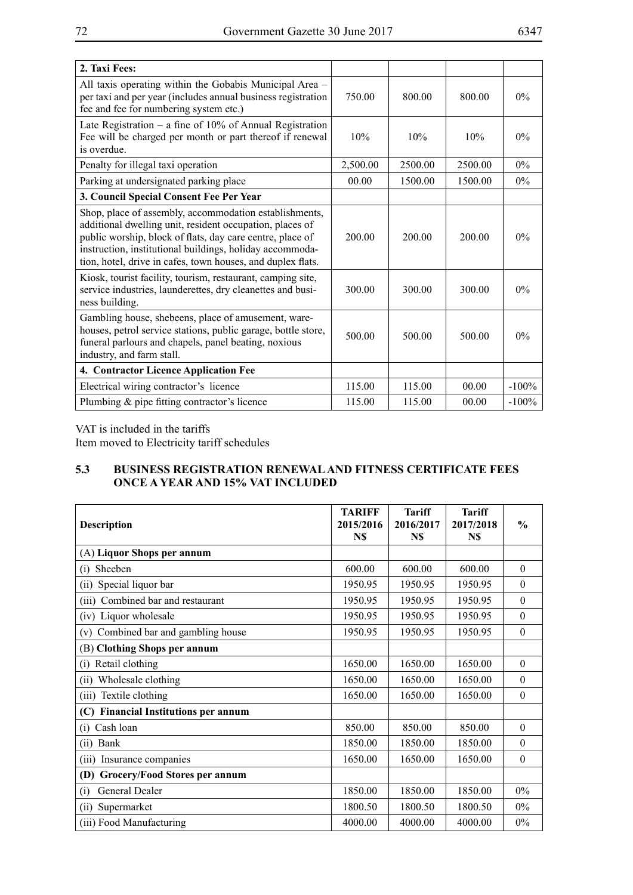| 2. Taxi Fees:                                                                                                                                                                                                                                                                                              |          |         |         |         |
|------------------------------------------------------------------------------------------------------------------------------------------------------------------------------------------------------------------------------------------------------------------------------------------------------------|----------|---------|---------|---------|
| All taxis operating within the Gobabis Municipal Area –<br>per taxi and per year (includes annual business registration<br>fee and fee for numbering system etc.)                                                                                                                                          | 750.00   | 800.00  | 800.00  | $0\%$   |
| Late Registration – a fine of $10\%$ of Annual Registration<br>Fee will be charged per month or part thereof if renewal<br>is overdue.                                                                                                                                                                     | 10%      | 10%     | 10%     | $0\%$   |
| Penalty for illegal taxi operation                                                                                                                                                                                                                                                                         | 2,500.00 | 2500.00 | 2500.00 | 0%      |
| Parking at undersignated parking place                                                                                                                                                                                                                                                                     | 00.00    | 1500.00 | 1500.00 | $0\%$   |
| 3. Council Special Consent Fee Per Year                                                                                                                                                                                                                                                                    |          |         |         |         |
| Shop, place of assembly, accommodation establishments,<br>additional dwelling unit, resident occupation, places of<br>public worship, block of flats, day care centre, place of<br>instruction, institutional buildings, holiday accommoda-<br>tion, hotel, drive in cafes, town houses, and duplex flats. | 200.00   | 200.00  | 200.00  | $0\%$   |
| Kiosk, tourist facility, tourism, restaurant, camping site,<br>service industries, launderettes, dry cleanettes and busi-<br>ness building.                                                                                                                                                                | 300.00   | 300.00  | 300.00  | $0\%$   |
| Gambling house, shebeens, place of amusement, ware-<br>houses, petrol service stations, public garage, bottle store,<br>funeral parlours and chapels, panel beating, noxious<br>industry, and farm stall.                                                                                                  | 500.00   | 500.00  | 500.00  | $0\%$   |
| 4. Contractor Licence Application Fee                                                                                                                                                                                                                                                                      |          |         |         |         |
| Electrical wiring contractor's licence                                                                                                                                                                                                                                                                     | 115.00   | 115.00  | 00.00   | $-100%$ |
| Plumbing & pipe fitting contractor's licence                                                                                                                                                                                                                                                               | 115.00   | 115.00  | 00.00   | $-100%$ |

VAT is included in the tariffs

Item moved to Electricity tariff schedules

### **5.3 BUSINESS REGISTRATION RENEWAL AND FITNESS CERTIFICATE Fees Once a Year and 15% VAT Included**

| <b>Description</b>                             | <b>TARIFF</b><br>2015/2016<br>N\$ | <b>Tariff</b><br>2016/2017<br>N\$ | <b>Tariff</b><br>2017/2018<br>N\$ | $\frac{0}{0}$    |
|------------------------------------------------|-----------------------------------|-----------------------------------|-----------------------------------|------------------|
| (A) Liquor Shops per annum                     |                                   |                                   |                                   |                  |
| Sheeben<br>(i)                                 | 600.00                            | 600.00                            | 600.00                            | $\boldsymbol{0}$ |
| Special liquor bar<br>(i)                      | 1950.95                           | 1950.95                           | 1950.95                           | $\theta$         |
| Combined bar and restaurant<br>(iii)           | 1950.95                           | 1950.95                           | 1950.95                           | $\theta$         |
| (iv) Liquor wholesale                          | 1950.95                           | 1950.95                           | 1950.95                           | $\theta$         |
| Combined bar and gambling house<br>(v)         | 1950.95                           | 1950.95                           | 1950.95                           | $\theta$         |
| (B) Clothing Shops per annum                   |                                   |                                   |                                   |                  |
| Retail clothing<br>(i)                         | 1650.00                           | 1650.00                           | 1650.00                           | $\theta$         |
| Wholesale clothing<br>(ii)                     | 1650.00                           | 1650.00                           | 1650.00                           | $\theta$         |
| Textile clothing<br>(iii)                      | 1650.00                           | 1650.00                           | 1650.00                           | $\boldsymbol{0}$ |
| <b>Financial Institutions per annum</b><br>(C) |                                   |                                   |                                   |                  |
| Cash loan<br>$\left( 1 \right)$                | 850.00                            | 850.00                            | 850.00                            | $\theta$         |
| Bank<br>(ii)                                   | 1850.00                           | 1850.00                           | 1850.00                           | $\theta$         |
| (iii) Insurance companies                      | 1650.00                           | 1650.00                           | 1650.00                           | $\theta$         |
| <b>Grocery/Food Stores per annum</b><br>(D)    |                                   |                                   |                                   |                  |
| General Dealer<br>(i)                          | 1850.00                           | 1850.00                           | 1850.00                           | $0\%$            |
| Supermarket<br>(ii)                            | 1800.50                           | 1800.50                           | 1800.50                           | $0\%$            |
| (iii) Food Manufacturing                       | 4000.00                           | 4000.00                           | 4000.00                           | $0\%$            |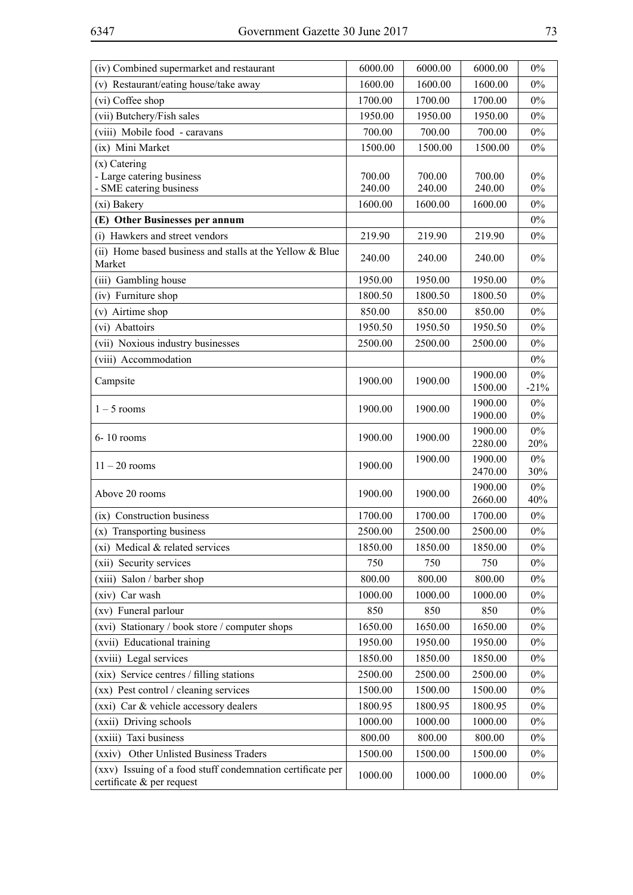| (iv) Combined supermarket and restaurant                                                | 6000.00 | 6000.00 | 6000.00            | 0%              |
|-----------------------------------------------------------------------------------------|---------|---------|--------------------|-----------------|
| (v) Restaurant/eating house/take away                                                   | 1600.00 | 1600.00 | 1600.00            | 0%              |
| (vi) Coffee shop                                                                        | 1700.00 | 1700.00 | 1700.00            | 0%              |
| (vii) Butchery/Fish sales                                                               | 1950.00 | 1950.00 | 1950.00            | $0\%$           |
| (viii) Mobile food - caravans                                                           | 700.00  | 700.00  | 700.00             | 0%              |
| (ix) Mini Market                                                                        | 1500.00 | 1500.00 | 1500.00            | $0\%$           |
| $(x)$ Catering                                                                          |         |         |                    |                 |
| - Large catering business                                                               | 700.00  | 700.00  | 700.00             | 0%              |
| - SME catering business                                                                 | 240.00  | 240.00  | 240.00             | $0\%$           |
| (xi) Bakery                                                                             | 1600.00 | 1600.00 | 1600.00            | $0\%$<br>$0\%$  |
| (E) Other Businesses per annum<br>(i) Hawkers and street vendors                        | 219.90  | 219.90  | 219.90             | $0\%$           |
| (ii) Home based business and stalls at the Yellow & Blue                                |         |         |                    |                 |
| Market                                                                                  | 240.00  | 240.00  | 240.00             | 0%              |
| (iii) Gambling house                                                                    | 1950.00 | 1950.00 | 1950.00            | $0\%$           |
| (iv) Furniture shop                                                                     | 1800.50 | 1800.50 | 1800.50            | $0\%$           |
| (v) Airtime shop                                                                        | 850.00  | 850.00  | 850.00             | $0\%$           |
| (vi) Abattoirs                                                                          | 1950.50 | 1950.50 | 1950.50            | $0\%$           |
| (vii) Noxious industry businesses                                                       | 2500.00 | 2500.00 | 2500.00            | $0\%$           |
| (viii) Accommodation                                                                    |         |         |                    | $0\%$           |
| Campsite                                                                                | 1900.00 | 1900.00 | 1900.00<br>1500.00 | $0\%$<br>$-21%$ |
| $1 - 5$ rooms                                                                           | 1900.00 | 1900.00 | 1900.00<br>1900.00 | $0\%$<br>$0\%$  |
| $6 - 10$ rooms                                                                          | 1900.00 | 1900.00 | 1900.00<br>2280.00 | $0\%$<br>20%    |
| $11 - 20$ rooms                                                                         | 1900.00 | 1900.00 | 1900.00<br>2470.00 | $0\%$<br>30%    |
| Above 20 rooms                                                                          | 1900.00 | 1900.00 | 1900.00<br>2660.00 | $0\%$<br>40%    |
| (ix) Construction business                                                              | 1700.00 | 1700.00 | 1700.00            | $0\%$           |
| (x) Transporting business                                                               | 2500.00 | 2500.00 | 2500.00            | 0%              |
| (xi) Medical & related services                                                         | 1850.00 | 1850.00 | 1850.00            | $0\%$           |
| (xii) Security services                                                                 | 750     | 750     | 750                | $0\%$           |
| (xiii) Salon / barber shop                                                              | 800.00  | 800.00  | 800.00             | $0\%$           |
| (xiv) Car wash                                                                          | 1000.00 | 1000.00 | 1000.00            | $0\%$           |
| (xv) Funeral parlour                                                                    | 850     | 850     | 850                | $0\%$           |
| (xvi) Stationary / book store / computer shops                                          | 1650.00 | 1650.00 | 1650.00            | $0\%$           |
| (xvii) Educational training                                                             | 1950.00 | 1950.00 | 1950.00            | $0\%$           |
| (xviii) Legal services                                                                  | 1850.00 | 1850.00 | 1850.00            | $0\%$           |
| (xix) Service centres / filling stations                                                | 2500.00 | 2500.00 | 2500.00            | $0\%$           |
| (xx) Pest control / cleaning services                                                   | 1500.00 | 1500.00 | 1500.00            | $0\%$           |
| (xxi) Car & vehicle accessory dealers                                                   | 1800.95 | 1800.95 | 1800.95            | $0\%$           |
| (xxii) Driving schools                                                                  | 1000.00 | 1000.00 | 1000.00            | $0\%$           |
| (xxiii) Taxi business                                                                   | 800.00  | 800.00  | 800.00             | $0\%$           |
| Other Unlisted Business Traders<br>(xxiv)                                               | 1500.00 | 1500.00 | 1500.00            | $0\%$           |
| (xxv) Issuing of a food stuff condemnation certificate per<br>certificate & per request | 1000.00 | 1000.00 | 1000.00            | $0\%$           |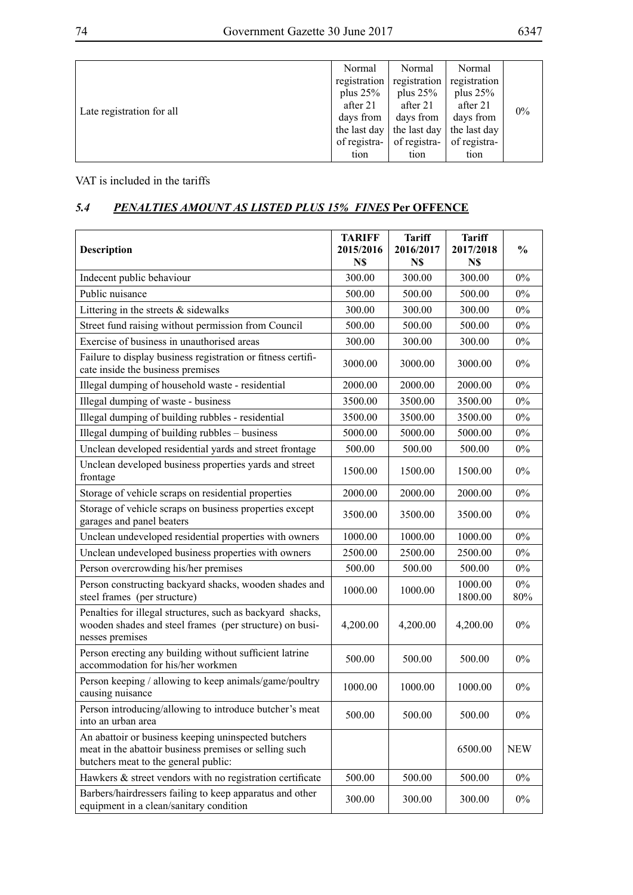| Late registration for all | Normal       | Normal                            | Normal       |       |
|---------------------------|--------------|-----------------------------------|--------------|-------|
|                           | registration | registration                      | registration |       |
|                           | plus $25%$   | plus $25%$                        | plus $25%$   |       |
|                           | after 21     | after 21                          | after 21     | $0\%$ |
|                           | days from    | days from                         | days from    |       |
|                           | the last day | the last day $\vert$ the last day |              |       |
|                           | of registra- | of registra-                      | of registra- |       |
|                           | tion         | tion                              | tion         |       |

VAT is included in the tariffs

# *5.4 PENALTIES AMOUNT AS LISTED PLUS 15% FINES* **Per OFFENCE**

| <b>Description</b>                                                                                                                                     | <b>TARIFF</b><br>2015/2016 | <b>Tariff</b><br>2016/2017 | <b>Tariff</b><br>2017/2018 | $\frac{0}{0}$ |
|--------------------------------------------------------------------------------------------------------------------------------------------------------|----------------------------|----------------------------|----------------------------|---------------|
|                                                                                                                                                        | N\$                        | N\$                        | N\$                        |               |
| Indecent public behaviour                                                                                                                              | 300.00                     | 300.00                     | 300.00                     | $0\%$         |
| Public nuisance                                                                                                                                        | 500.00                     | 500.00                     | 500.00                     | $0\%$         |
| Littering in the streets $&$ sidewalks                                                                                                                 | 300.00                     | 300.00                     | 300.00                     | $0\%$         |
| Street fund raising without permission from Council                                                                                                    | 500.00                     | 500.00                     | 500.00                     | $0\%$         |
| Exercise of business in unauthorised areas                                                                                                             | 300.00                     | 300.00                     | 300.00                     | $0\%$         |
| Failure to display business registration or fitness certifi-<br>cate inside the business premises                                                      | 3000.00                    | 3000.00                    | 3000.00                    | $0\%$         |
| Illegal dumping of household waste - residential                                                                                                       | 2000.00                    | 2000.00                    | 2000.00                    | $0\%$         |
| Illegal dumping of waste - business                                                                                                                    | 3500.00                    | 3500.00                    | 3500.00                    | $0\%$         |
| Illegal dumping of building rubbles - residential                                                                                                      | 3500.00                    | 3500.00                    | 3500.00                    | $0\%$         |
| Illegal dumping of building rubbles - business                                                                                                         | 5000.00                    | 5000.00                    | 5000.00                    | $0\%$         |
| Unclean developed residential yards and street frontage                                                                                                | 500.00                     | 500.00                     | 500.00                     | $0\%$         |
| Unclean developed business properties yards and street<br>frontage                                                                                     | 1500.00                    | 1500.00                    | 1500.00                    | $0\%$         |
| Storage of vehicle scraps on residential properties                                                                                                    | 2000.00                    | 2000.00                    | 2000.00                    | $0\%$         |
| Storage of vehicle scraps on business properties except<br>garages and panel beaters                                                                   | 3500.00                    | 3500.00                    | 3500.00                    | $0\%$         |
| Unclean undeveloped residential properties with owners                                                                                                 | 1000.00                    | 1000.00                    | 1000.00                    | 0%            |
| Unclean undeveloped business properties with owners                                                                                                    | 2500.00                    | 2500.00                    | 2500.00                    | $0\%$         |
| Person overcrowding his/her premises                                                                                                                   | 500.00                     | 500.00                     | 500.00                     | $0\%$         |
| Person constructing backyard shacks, wooden shades and<br>steel frames (per structure)                                                                 | 1000.00                    | 1000.00                    | 1000.00<br>1800.00         | $0\%$<br>80%  |
| Penalties for illegal structures, such as backyard shacks,<br>wooden shades and steel frames (per structure) on busi-<br>nesses premises               | 4,200.00                   | 4,200.00                   | 4,200.00                   | $0\%$         |
| Person erecting any building without sufficient latrine<br>accommodation for his/her workmen                                                           | 500.00                     | 500.00                     | 500.00                     | $0\%$         |
| Person keeping / allowing to keep animals/game/poultry<br>causing nuisance                                                                             | 1000.00                    | 1000.00                    | 1000.00                    | $0\%$         |
| Person introducing/allowing to introduce butcher's meat<br>into an urban area                                                                          | 500.00                     | 500.00                     | 500.00                     | $0\%$         |
| An abattoir or business keeping uninspected butchers<br>meat in the abattoir business premises or selling such<br>butchers meat to the general public: |                            |                            | 6500.00                    | <b>NEW</b>    |
| Hawkers & street vendors with no registration certificate                                                                                              | 500.00                     | 500.00                     | 500.00                     | $0\%$         |
| Barbers/hairdressers failing to keep apparatus and other<br>equipment in a clean/sanitary condition                                                    | 300.00                     | 300.00                     | 300.00                     | $0\%$         |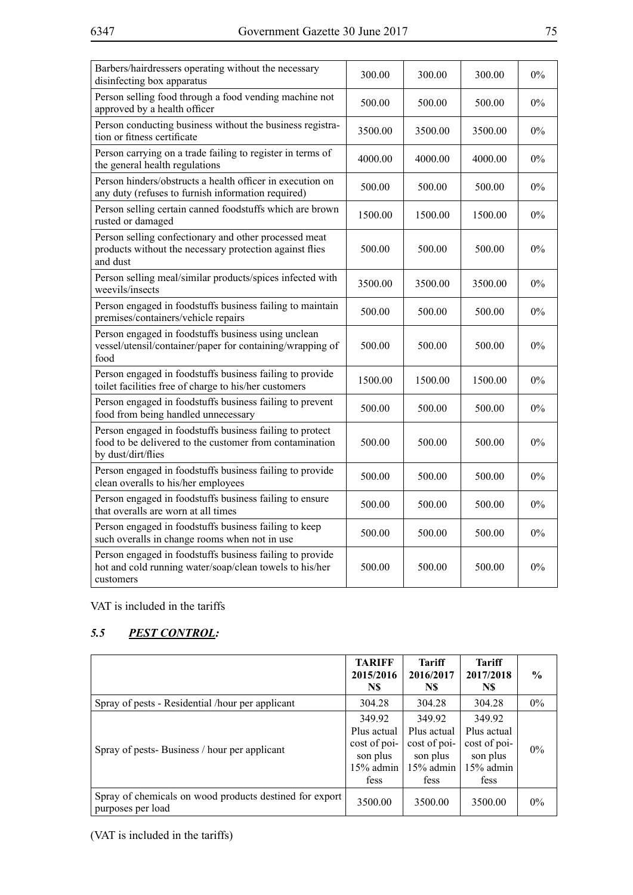| Barbers/hairdressers operating without the necessary<br>disinfecting box apparatus                                                        | 300.00  | 300.00  | 300.00  | $0\%$ |
|-------------------------------------------------------------------------------------------------------------------------------------------|---------|---------|---------|-------|
| Person selling food through a food vending machine not<br>approved by a health officer                                                    | 500.00  | 500.00  | 500.00  | $0\%$ |
| Person conducting business without the business registra-<br>tion or fitness certificate                                                  | 3500.00 | 3500.00 | 3500.00 | $0\%$ |
| Person carrying on a trade failing to register in terms of<br>the general health regulations                                              | 4000.00 | 4000.00 | 4000.00 | $0\%$ |
| Person hinders/obstructs a health officer in execution on<br>any duty (refuses to furnish information required)                           | 500.00  | 500.00  | 500.00  | $0\%$ |
| Person selling certain canned foodstuffs which are brown<br>rusted or damaged                                                             | 1500.00 | 1500.00 | 1500.00 | $0\%$ |
| Person selling confectionary and other processed meat<br>products without the necessary protection against flies<br>and dust              | 500.00  | 500.00  | 500.00  | $0\%$ |
| Person selling meal/similar products/spices infected with<br>weevils/insects                                                              | 3500.00 | 3500.00 | 3500.00 | $0\%$ |
| Person engaged in foodstuffs business failing to maintain<br>premises/containers/vehicle repairs                                          | 500.00  | 500.00  | 500.00  | $0\%$ |
| Person engaged in foodstuffs business using unclean<br>vessel/utensil/container/paper for containing/wrapping of<br>food                  | 500.00  | 500.00  | 500.00  | $0\%$ |
| Person engaged in foodstuffs business failing to provide<br>toilet facilities free of charge to his/her customers                         | 1500.00 | 1500.00 | 1500.00 | $0\%$ |
| Person engaged in foodstuffs business failing to prevent<br>food from being handled unnecessary                                           | 500.00  | 500.00  | 500.00  | $0\%$ |
| Person engaged in foodstuffs business failing to protect<br>food to be delivered to the customer from contamination<br>by dust/dirt/flies | 500.00  | 500.00  | 500.00  | $0\%$ |
| Person engaged in foodstuffs business failing to provide<br>clean overalls to his/her employees                                           | 500.00  | 500.00  | 500.00  | $0\%$ |
| Person engaged in foodstuffs business failing to ensure<br>that overalls are worn at all times                                            | 500.00  | 500.00  | 500.00  | $0\%$ |
| Person engaged in foodstuffs business failing to keep<br>such overalls in change rooms when not in use                                    | 500.00  | 500.00  | 500.00  | $0\%$ |
| Person engaged in foodstuffs business failing to provide<br>hot and cold running water/soap/clean towels to his/her<br>customers          | 500.00  | 500.00  | 500.00  | $0\%$ |

VAT is included in the tariffs

# *5.5 PEST CONTROL:*

|                                                                              | <b>TARIFF</b><br>2015/2016<br>N\$                                        | <b>Tariff</b><br>2016/2017<br>N\$                                      | <b>Tariff</b><br>2017/2018<br>N\$                                      | $\frac{6}{9}$ |
|------------------------------------------------------------------------------|--------------------------------------------------------------------------|------------------------------------------------------------------------|------------------------------------------------------------------------|---------------|
| Spray of pests - Residential /hour per applicant                             | 304.28                                                                   | 304.28                                                                 | 304.28                                                                 | $0\%$         |
| Spray of pests-Business / hour per applicant                                 | 349.92<br>Plus actual<br>cost of poi-<br>son plus<br>$15%$ admin<br>fess | 349.92<br>Plus actual<br>cost of poi-<br>son plus<br>15% admin<br>fess | 349.92<br>Plus actual<br>cost of poi-<br>son plus<br>15% admin<br>fess | $0\%$         |
| Spray of chemicals on wood products destined for export<br>purposes per load | 3500.00                                                                  | 3500.00                                                                | 3500.00                                                                | $0\%$         |

(VAT is included in the tariffs)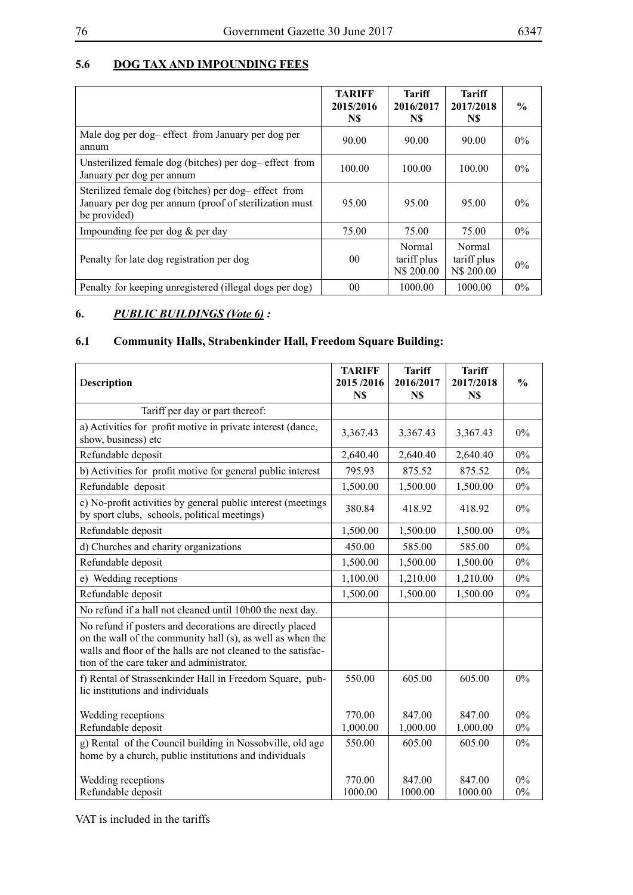## **5.6 DOG TAX AND IMPOUNDING FEES**

|                                                                                                                               | <b>TARIFF</b><br>2015/2016<br>N\$ | Tariff<br>2016/2017<br>N\$          | Tariff<br>2017/2018<br>N\$          | $\frac{6}{9}$ |
|-------------------------------------------------------------------------------------------------------------------------------|-----------------------------------|-------------------------------------|-------------------------------------|---------------|
| Male dog per dog-effect from January per dog per<br>annum                                                                     | 90.00                             | 90.00                               | 90.00                               | $0\%$         |
| Unsterilized female dog (bitches) per dog-effect from<br>January per dog per annum                                            | 100.00                            | 100.00                              | 100.00                              | $0\%$         |
| Sterilized female dog (bitches) per dog-effect from<br>January per dog per annum (proof of sterilization must<br>be provided) | 95.00                             | 95.00                               | 95.00                               | $0\%$         |
| Impounding fee per dog $&$ per day                                                                                            | 75.00                             | 75.00                               | 75.00                               | $0\%$         |
| Penalty for late dog registration per dog                                                                                     | 00 <sup>2</sup>                   | Normal<br>tariff plus<br>N\$ 200.00 | Normal<br>tariff plus<br>N\$ 200.00 | $0\%$         |
| Penalty for keeping unregistered (illegal dogs per dog)                                                                       | 0 <sub>0</sub>                    | 1000.00                             | 1000.00                             | $0\%$         |

# **6.** *PUBLIC BUILDINGS (Vote 6) :*

## **6.1 Community Halls, Strabenkinder Hall, Freedom Square Building:**

| Description                                                                                                                                                                                                                          | <b>TARIFF</b><br>2015/2016<br>N\$ | <b>Tariff</b><br>2016/2017<br>N\$ | <b>Tariff</b><br>2017/2018<br>N\$ | $\frac{0}{0}$  |
|--------------------------------------------------------------------------------------------------------------------------------------------------------------------------------------------------------------------------------------|-----------------------------------|-----------------------------------|-----------------------------------|----------------|
| Tariff per day or part thereof:                                                                                                                                                                                                      |                                   |                                   |                                   |                |
| a) Activities for profit motive in private interest (dance,<br>show, business) etc                                                                                                                                                   | 3,367.43                          | 3,367.43                          | 3,367.43                          | $0\%$          |
| Refundable deposit                                                                                                                                                                                                                   | 2,640.40                          | 2,640.40                          | 2,640.40                          | $0\%$          |
| b) Activities for profit motive for general public interest                                                                                                                                                                          | 795.93                            | 875.52                            | 875.52                            | $0\%$          |
| Refundable deposit                                                                                                                                                                                                                   | 1,500.00                          | 1,500.00                          | 1,500.00                          | $0\%$          |
| c) No-profit activities by general public interest (meetings<br>by sport clubs, schools, political meetings)                                                                                                                         | 380.84                            | 418.92                            | 418.92                            | 0%             |
| Refundable deposit                                                                                                                                                                                                                   | 1,500.00                          | 1,500.00                          | 1,500.00                          | $0\%$          |
| d) Churches and charity organizations                                                                                                                                                                                                | 450.00                            | 585.00                            | 585.00                            | $0\%$          |
| Refundable deposit                                                                                                                                                                                                                   | 1,500.00                          | 1,500.00                          | 1,500.00                          | $0\%$          |
| e) Wedding receptions                                                                                                                                                                                                                | 1,100.00                          | 1,210.00                          | 1,210.00                          | $0\%$          |
| Refundable deposit                                                                                                                                                                                                                   | 1,500.00                          | 1,500.00                          | 1,500.00                          | 0%             |
| No refund if a hall not cleaned until 10h00 the next day.                                                                                                                                                                            |                                   |                                   |                                   |                |
| No refund if posters and decorations are directly placed<br>on the wall of the community hall (s), as well as when the<br>walls and floor of the halls are not cleaned to the satisfac-<br>tion of the care taker and administrator. |                                   |                                   |                                   |                |
| f) Rental of Strassenkinder Hall in Freedom Square, pub-<br>lic institutions and individuals                                                                                                                                         | 550.00                            | 605.00                            | 605.00                            | $0\%$          |
| Wedding receptions<br>Refundable deposit                                                                                                                                                                                             | 770.00<br>1,000.00                | 847.00<br>1,000.00                | 847.00<br>1,000.00                | $0\%$<br>$0\%$ |
| g) Rental of the Council building in Nossobville, old age<br>home by a church, public institutions and individuals                                                                                                                   | 550.00                            | 605.00                            | 605.00                            | $0\%$          |
| Wedding receptions<br>Refundable deposit                                                                                                                                                                                             | 770.00<br>1000.00                 | 847.00<br>1000.00                 | 847.00<br>1000.00                 | $0\%$<br>0%    |

VAT is included in the tariffs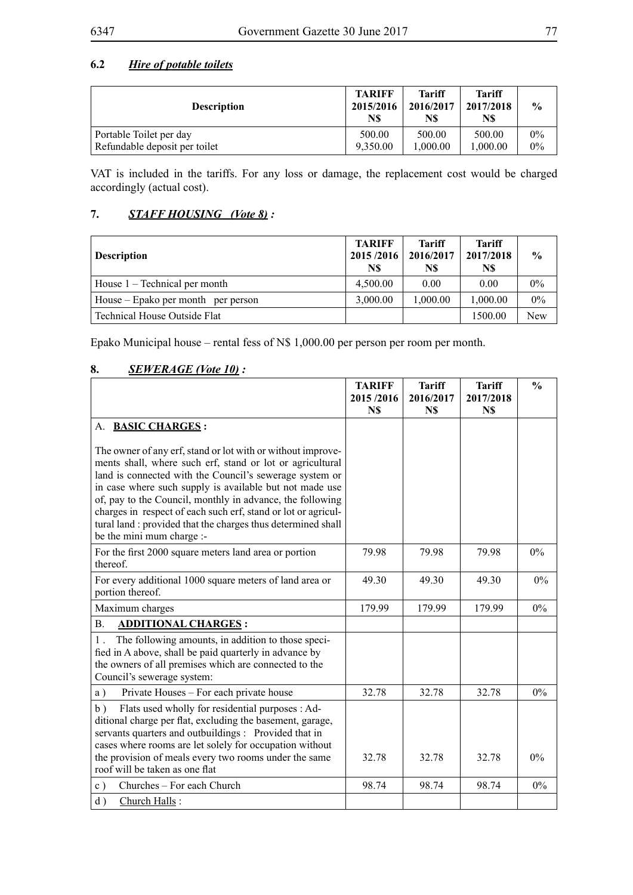# **6.2** *Hire of potable toilets*

| <b>Description</b>            | <b>TARIFF</b><br>2015/2016<br>N\$ | <b>Tariff</b><br>2016/2017<br>N\$ | <b>Tariff</b><br>2017/2018<br>N\$ | $\frac{6}{9}$ |
|-------------------------------|-----------------------------------|-----------------------------------|-----------------------------------|---------------|
| Portable Toilet per day       | 500.00                            | 500.00                            | 500.00                            | $0\%$         |
| Refundable deposit per toilet | 9.350.00                          | 1.000.00                          | 1.000.00                          | $0\%$         |

VAT is included in the tariffs. For any loss or damage, the replacement cost would be charged accordingly (actual cost).

## **7.** *STAFF HOUSING (Vote 8) :*

| <b>Description</b>                 | <b>TARIFF</b><br>2015/2016<br>N\$ | Tariff<br>2016/2017<br>N\$ | <b>Tariff</b><br>2017/2018<br>N\$ | $\frac{0}{0}$ |
|------------------------------------|-----------------------------------|----------------------------|-----------------------------------|---------------|
| House $1$ – Technical per month    | 4,500.00                          | 0.00                       | 0.00                              | $0\%$         |
| House – Epako per month per person | 3.000.00                          | 1,000.00                   | 1,000.00                          | $0\%$         |
| Technical House Outside Flat       |                                   |                            | 1500.00                           | New           |

Epako Municipal house – rental fess of N\$ 1,000.00 per person per room per month.

## **8.** *SEWERAGE (Vote 10) :*

|                                                                                                                                                                                                                                                                                                                                                                                                                                                                           | <b>TARIFF</b><br>2015/2016<br>N\$ | <b>Tariff</b><br>2016/2017<br>N\$ | <b>Tariff</b><br>2017/2018<br>N\$ | $\frac{0}{0}$ |
|---------------------------------------------------------------------------------------------------------------------------------------------------------------------------------------------------------------------------------------------------------------------------------------------------------------------------------------------------------------------------------------------------------------------------------------------------------------------------|-----------------------------------|-----------------------------------|-----------------------------------|---------------|
| A. BASIC CHARGES:                                                                                                                                                                                                                                                                                                                                                                                                                                                         |                                   |                                   |                                   |               |
| The owner of any erf, stand or lot with or without improve-<br>ments shall, where such erf, stand or lot or agricultural<br>land is connected with the Council's sewerage system or<br>in case where such supply is available but not made use<br>of, pay to the Council, monthly in advance, the following<br>charges in respect of each such erf, stand or lot or agricul-<br>tural land : provided that the charges thus determined shall<br>be the mini mum charge :- |                                   |                                   |                                   |               |
| For the first 2000 square meters land area or portion<br>thereof.                                                                                                                                                                                                                                                                                                                                                                                                         | 79.98                             | 79.98                             | 79.98                             | $0\%$         |
| For every additional 1000 square meters of land area or<br>portion thereof.                                                                                                                                                                                                                                                                                                                                                                                               | 49.30                             | 49.30                             | 49.30                             | $0\%$         |
| Maximum charges                                                                                                                                                                                                                                                                                                                                                                                                                                                           | 179.99                            | 179.99                            | 179.99                            | 0%            |
| <b>B.</b><br><b>ADDITIONAL CHARGES:</b>                                                                                                                                                                                                                                                                                                                                                                                                                                   |                                   |                                   |                                   |               |
| The following amounts, in addition to those speci-<br>$1$ .<br>fied in A above, shall be paid quarterly in advance by<br>the owners of all premises which are connected to the<br>Council's sewerage system:                                                                                                                                                                                                                                                              |                                   |                                   |                                   |               |
| a)<br>Private Houses - For each private house                                                                                                                                                                                                                                                                                                                                                                                                                             | 32.78                             | 32.78                             | 32.78                             | $0\%$         |
| Flats used wholly for residential purposes : Ad-<br>b)<br>ditional charge per flat, excluding the basement, garage,<br>servants quarters and outbuildings : Provided that in<br>cases where rooms are let solely for occupation without<br>the provision of meals every two rooms under the same<br>roof will be taken as one flat                                                                                                                                        | 32.78                             | 32.78                             | 32.78                             | $0\%$         |
| Churches - For each Church<br>c)                                                                                                                                                                                                                                                                                                                                                                                                                                          | 98.74                             | 98.74                             | 98.74                             | $0\%$         |
| d)<br>Church Halls:                                                                                                                                                                                                                                                                                                                                                                                                                                                       |                                   |                                   |                                   |               |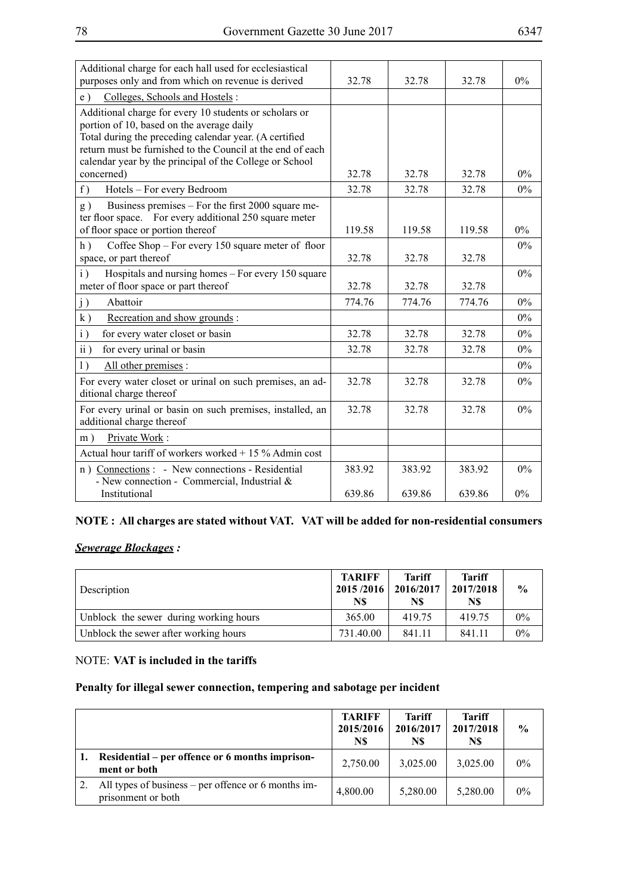| Additional charge for each hall used for ecclesiastical<br>purposes only and from which on revenue is derived                                                                                                                                                                          | 32.78  | 32.78  | 32.78  | $0\%$ |
|----------------------------------------------------------------------------------------------------------------------------------------------------------------------------------------------------------------------------------------------------------------------------------------|--------|--------|--------|-------|
| Colleges, Schools and Hostels:<br>e)                                                                                                                                                                                                                                                   |        |        |        |       |
| Additional charge for every 10 students or scholars or<br>portion of 10, based on the average daily<br>Total during the preceding calendar year. (A certified<br>return must be furnished to the Council at the end of each<br>calendar year by the principal of the College or School |        |        |        |       |
| concerned)                                                                                                                                                                                                                                                                             | 32.78  | 32.78  | 32.78  | $0\%$ |
| f)<br>Hotels - For every Bedroom                                                                                                                                                                                                                                                       | 32.78  | 32.78  | 32.78  | $0\%$ |
| Business premises – For the first 2000 square me-<br>g)<br>ter floor space. For every additional 250 square meter<br>of floor space or portion thereof                                                                                                                                 | 119.58 | 119.58 | 119.58 | $0\%$ |
| Coffee Shop – For every 150 square meter of floor<br>h)<br>space, or part thereof                                                                                                                                                                                                      | 32.78  | 32.78  | 32.78  | $0\%$ |
| $\mathbf{i}$ )<br>Hospitals and nursing homes - For every 150 square<br>meter of floor space or part thereof                                                                                                                                                                           | 32.78  | 32.78  | 32.78  | $0\%$ |
| j)<br>Abattoir                                                                                                                                                                                                                                                                         | 774.76 | 774.76 | 774.76 | $0\%$ |
| Recreation and show grounds:<br>k)                                                                                                                                                                                                                                                     |        |        |        | $0\%$ |
| $\mathbf{i}$ )<br>for every water closet or basin                                                                                                                                                                                                                                      | 32.78  | 32.78  | 32.78  | $0\%$ |
| $\overline{ii}$ )<br>for every urinal or basin                                                                                                                                                                                                                                         | 32.78  | 32.78  | 32.78  | $0\%$ |
| All other premises :<br>1)                                                                                                                                                                                                                                                             |        |        |        | $0\%$ |
| For every water closet or urinal on such premises, an ad-<br>ditional charge thereof                                                                                                                                                                                                   | 32.78  | 32.78  | 32.78  | $0\%$ |
| For every urinal or basin on such premises, installed, an<br>additional charge thereof                                                                                                                                                                                                 | 32.78  | 32.78  | 32.78  | $0\%$ |
| Private Work:<br>m)                                                                                                                                                                                                                                                                    |        |        |        |       |
| Actual hour tariff of workers worked $+15\%$ Admin cost                                                                                                                                                                                                                                |        |        |        |       |
| n) Connections : - New connections - Residential<br>- New connection - Commercial, Industrial $\&$                                                                                                                                                                                     | 383.92 | 383.92 | 383.92 | 0%    |
| Institutional                                                                                                                                                                                                                                                                          | 639.86 | 639.86 | 639.86 | 0%    |

## **NOTE : All charges are stated without VAT. VAT will be added for non-residential consumers**

## *Sewerage Blockages :*

| <b>Description</b>                     | <b>TARIFF</b><br>2015/2016<br>N\$ | Tariff<br>2016/2017<br>N\$ | <b>Tariff</b><br>2017/2018<br>N\$ | $\%$  |
|----------------------------------------|-----------------------------------|----------------------------|-----------------------------------|-------|
| Unblock the sewer during working hours | 365.00                            | 41975                      | 419.75                            | $0\%$ |
| Unblock the sewer after working hours  | 731.40.00                         | 841.11                     | 841.11                            | $0\%$ |

## NOTE: **VAT is included in the tariffs**

## **Penalty for illegal sewer connection, tempering and sabotage per incident**

|                                                                           | <b>TARIFF</b><br>2015/2016<br>N\$ | <b>Tariff</b><br>2016/2017<br>N\$ | <b>Tariff</b><br>2017/2018<br>N\$ | $\frac{0}{0}$ |
|---------------------------------------------------------------------------|-----------------------------------|-----------------------------------|-----------------------------------|---------------|
| Residential – per offence or 6 months imprison-<br>ment or both           | 2,750.00                          | 3,025.00                          | 3,025.00                          | $0\%$         |
| All types of business – per offence or 6 months im-<br>prisonment or both | 4,800.00                          | 5,280.00                          | 5,280.00                          | $0\%$         |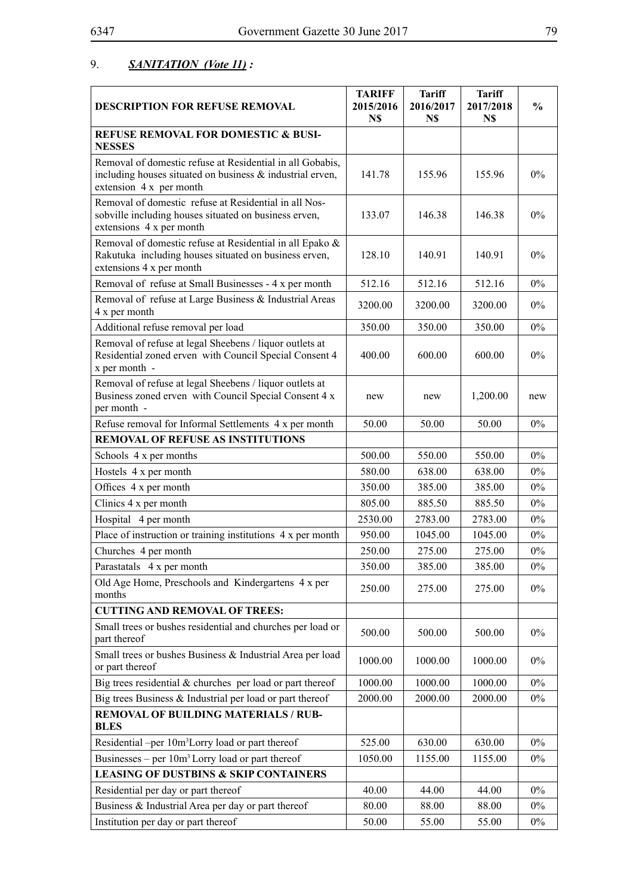# 9. *SANITATION (Vote 11) :*

| <b>DESCRIPTION FOR REFUSE REMOVAL</b>                                                                                                             | <b>TARIFF</b><br>2015/2016<br>N\$ | <b>Tariff</b><br>2016/2017<br>N\$ | <b>Tariff</b><br>2017/2018<br>N\$ | $\frac{0}{0}$ |
|---------------------------------------------------------------------------------------------------------------------------------------------------|-----------------------------------|-----------------------------------|-----------------------------------|---------------|
| <b>REFUSE REMOVAL FOR DOMESTIC &amp; BUSI-</b><br><b>NESSES</b>                                                                                   |                                   |                                   |                                   |               |
| Removal of domestic refuse at Residential in all Gobabis,<br>including houses situated on business & industrial erven,<br>extension 4 x per month | 141.78                            | 155.96                            | 155.96                            | $0\%$         |
| Removal of domestic refuse at Residential in all Nos-<br>sobville including houses situated on business erven,<br>extensions 4 x per month        | 133.07                            | 146.38                            | 146.38                            | $0\%$         |
| Removal of domestic refuse at Residential in all Epako &<br>Rakutuka including houses situated on business erven,<br>extensions 4 x per month     | 128.10                            | 140.91                            | 140.91                            | $0\%$         |
| Removal of refuse at Small Businesses - 4 x per month                                                                                             | 512.16                            | 512.16                            | 512.16                            | $0\%$         |
| Removal of refuse at Large Business & Industrial Areas<br>4 x per month                                                                           | 3200.00                           | 3200.00                           | 3200.00                           | $0\%$         |
| Additional refuse removal per load                                                                                                                | 350.00                            | 350.00                            | 350.00                            | $0\%$         |
| Removal of refuse at legal Sheebens / liquor outlets at<br>Residential zoned erven with Council Special Consent 4<br>x per month -                | 400.00                            | 600.00                            | 600.00                            | $0\%$         |
| Removal of refuse at legal Sheebens / liquor outlets at<br>Business zoned erven with Council Special Consent 4 x<br>per month -                   | new                               | new                               | 1,200.00                          | new           |
| Refuse removal for Informal Settlements 4 x per month                                                                                             | 50.00                             | 50.00                             | 50.00                             | $0\%$         |
| <b>REMOVAL OF REFUSE AS INSTITUTIONS</b>                                                                                                          |                                   |                                   |                                   |               |
| Schools 4 x per months                                                                                                                            | 500.00                            | 550.00                            | 550.00                            | $0\%$         |
| Hostels 4 x per month                                                                                                                             | 580.00                            | 638.00                            | 638.00                            | $0\%$         |
| Offices 4 x per month                                                                                                                             | 350.00                            | 385.00                            | 385.00                            | $0\%$         |
| Clinics 4 x per month                                                                                                                             | 805.00                            | 885.50                            | 885.50                            | $0\%$         |
| Hospital 4 per month                                                                                                                              | 2530.00                           | 2783.00                           | 2783.00                           | $0\%$         |
| Place of instruction or training institutions 4 x per month                                                                                       | 950.00                            | 1045.00                           | 1045.00                           | $0\%$         |
| Churches 4 per month                                                                                                                              | 250.00                            | 275.00                            | 275.00                            | $0\%$         |
| Parastatals 4 x per month                                                                                                                         | 350.00                            | 385.00                            | 385.00                            | $0\%$         |
| Old Age Home, Preschools and Kindergartens 4 x per<br>months                                                                                      | 250.00                            | 275.00                            | 275.00                            | $0\%$         |
| <b>CUTTING AND REMOVAL OF TREES:</b>                                                                                                              |                                   |                                   |                                   |               |
| Small trees or bushes residential and churches per load or<br>part thereof                                                                        | 500.00                            | 500.00                            | 500.00                            | $0\%$         |
| Small trees or bushes Business & Industrial Area per load<br>or part thereof                                                                      | 1000.00                           | 1000.00                           | 1000.00                           | $0\%$         |
| Big trees residential $&$ churches per load or part thereof                                                                                       | 1000.00                           | 1000.00                           | 1000.00                           | $0\%$         |
| Big trees Business $\&$ Industrial per load or part thereof                                                                                       | 2000.00                           | 2000.00                           | 2000.00                           | $0\%$         |
| <b>REMOVAL OF BUILDING MATERIALS / RUB-</b><br><b>BLES</b>                                                                                        |                                   |                                   |                                   |               |
| Residential -per 10m <sup>3</sup> Lorry load or part thereof                                                                                      | 525.00                            | 630.00                            | 630.00                            | $0\%$         |
| Businesses – per $10m3$ Lorry load or part thereof                                                                                                | 1050.00                           | 1155.00                           | 1155.00                           | $0\%$         |
| <b>LEASING OF DUSTBINS &amp; SKIP CONTAINERS</b>                                                                                                  |                                   |                                   |                                   |               |
| Residential per day or part thereof                                                                                                               | 40.00                             | 44.00                             | 44.00                             | $0\%$         |
| Business & Industrial Area per day or part thereof                                                                                                | 80.00                             | 88.00                             | 88.00                             | $0\%$         |
| Institution per day or part thereof                                                                                                               | 50.00                             | 55.00                             | 55.00                             | $0\%$         |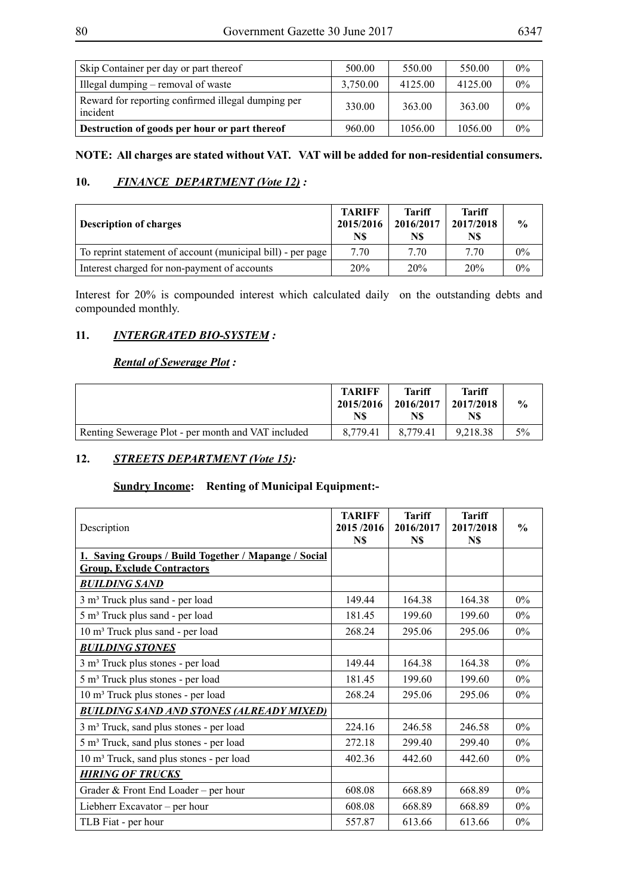| ۰,<br>۰,<br>× |  |
|---------------|--|
|---------------|--|

| Skip Container per day or part thereof                         | 500.00   | 550.00  | 550.00  | $0\%$ |
|----------------------------------------------------------------|----------|---------|---------|-------|
| Illegal dumping – removal of waste                             | 3,750.00 | 4125.00 | 4125.00 | $0\%$ |
| Reward for reporting confirmed illegal dumping per<br>incident | 330.00   | 363.00  | 363.00  | $0\%$ |
| Destruction of goods per hour or part thereof                  | 960.00   | 1056.00 | 1056.00 | $0\%$ |

## **NOTE: All charges are stated without VAT. VAT will be added for non-residential consumers.**

## **10.** *FINANCE DEPARTMENT (Vote 12) :*

| <b>Description of charges</b>                               | <b>TARIFF</b><br>2015/2016<br>N\$ | Tariff<br>2016/2017<br>N\$ | Tariff<br>2017/2018<br>N\$ | $\frac{6}{9}$ |
|-------------------------------------------------------------|-----------------------------------|----------------------------|----------------------------|---------------|
| To reprint statement of account (municipal bill) - per page | 7.70                              | 7.70                       | 7.70                       | 0%            |
| Interest charged for non-payment of accounts                | 20%                               | 20%                        | 20%                        | 0%            |

Interest for 20% is compounded interest which calculated daily on the outstanding debts and compounded monthly.

## **11.** *INTERGRATED BIO-SYSTEM :*

## *Rental of Sewerage Plot :*

|                                                    | <b>TARIFF</b><br>2015/2016<br>N\$ | <b>Tariff</b><br>$2016/2017$   2017/2018<br>N\$ | <b>Tariff</b><br>N\$ | $\frac{6}{9}$ |
|----------------------------------------------------|-----------------------------------|-------------------------------------------------|----------------------|---------------|
| Renting Sewerage Plot - per month and VAT included | 8.779.41                          | 8.779.41                                        | 9.218.38             | 5%            |

## **12.** *STREETS DEPARTMENT (Vote 15):*

# **Sundry Income: Renting of Municipal Equipment:-**

| Description                                          | <b>TARIFF</b><br>2015/2016<br>N\$ | <b>Tariff</b><br>2016/2017<br>N\$ | <b>Tariff</b><br>2017/2018<br>N\$ | $\frac{0}{0}$ |
|------------------------------------------------------|-----------------------------------|-----------------------------------|-----------------------------------|---------------|
| 1. Saving Groups / Build Together / Mapange / Social |                                   |                                   |                                   |               |
| <b>Group, Exclude Contractors</b>                    |                                   |                                   |                                   |               |
| <b>BUILDING SAND</b>                                 |                                   |                                   |                                   |               |
| 3 m <sup>3</sup> Truck plus sand - per load          | 149.44                            | 164.38                            | 164.38                            | $0\%$         |
| 5 m <sup>3</sup> Truck plus sand - per load          | 181.45                            | 199.60                            | 199.60                            | $0\%$         |
| 10 m <sup>3</sup> Truck plus sand - per load         | 268.24                            | 295.06                            | 295.06                            | $0\%$         |
| <b>BUILDING STONES</b>                               |                                   |                                   |                                   |               |
| 3 m <sup>3</sup> Truck plus stones - per load        | 149.44                            | 164.38                            | 164.38                            | $0\%$         |
| 5 m <sup>3</sup> Truck plus stones - per load        | 181.45                            | 199.60                            | 199.60                            | $0\%$         |
| 10 m <sup>3</sup> Truck plus stones - per load       | 268.24                            | 295.06                            | 295.06                            | $0\%$         |
| <b>BUILDING SAND AND STONES (ALREADY MIXED)</b>      |                                   |                                   |                                   |               |
| 3 m <sup>3</sup> Truck, sand plus stones - per load  | 224.16                            | 246.58                            | 246.58                            | $0\%$         |
| 5 m <sup>3</sup> Truck, sand plus stones - per load  | 272.18                            | 299.40                            | 299.40                            | $0\%$         |
| 10 m <sup>3</sup> Truck, sand plus stones - per load | 402.36                            | 442.60                            | 442.60                            | $0\%$         |
| <b>HIRING OF TRUCKS</b>                              |                                   |                                   |                                   |               |
| Grader & Front End Loader – per hour                 | 608.08                            | 668.89                            | 668.89                            | $0\%$         |
| Liebherr Excavator – per hour                        | 608.08                            | 668.89                            | 668.89                            | $0\%$         |
| TLB Fiat - per hour                                  | 557.87                            | 613.66                            | 613.66                            | $0\%$         |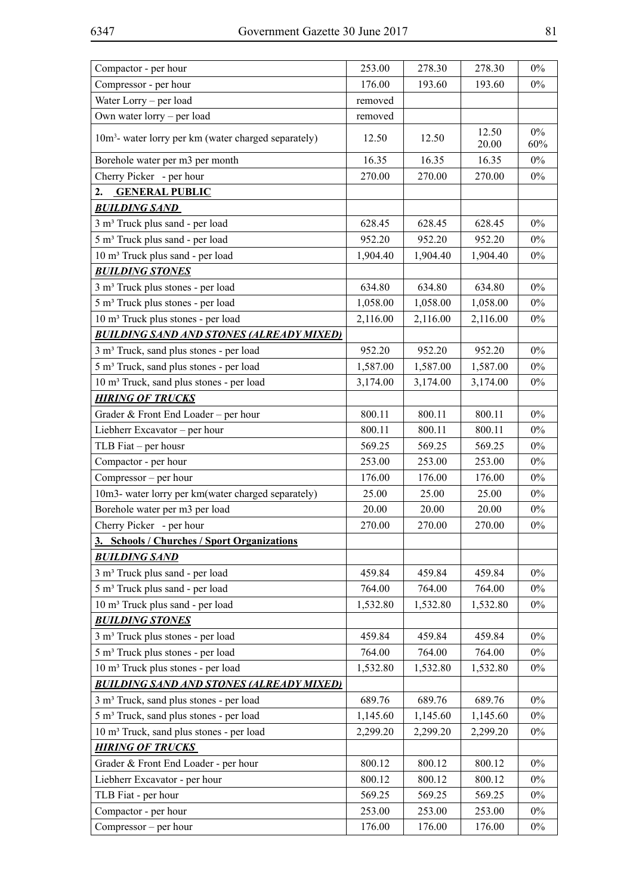| Compactor - per hour                                             | 253.00   | 278.30   | 278.30         | $0\%$        |
|------------------------------------------------------------------|----------|----------|----------------|--------------|
| Compressor - per hour                                            | 176.00   | 193.60   | 193.60         | $0\%$        |
| Water Lorry – per load                                           | removed  |          |                |              |
| Own water lorry - per load                                       | removed  |          |                |              |
| 10m <sup>3</sup> - water lorry per km (water charged separately) | 12.50    | 12.50    | 12.50<br>20.00 | $0\%$<br>60% |
| Borehole water per m3 per month                                  | 16.35    | 16.35    | 16.35          | $0\%$        |
| Cherry Picker - per hour                                         | 270.00   | 270.00   | 270.00         | $0\%$        |
| 2.<br><b>GENERAL PUBLIC</b>                                      |          |          |                |              |
| <b>BUILDING SAND</b>                                             |          |          |                |              |
| 3 m <sup>3</sup> Truck plus sand - per load                      | 628.45   | 628.45   | 628.45         | $0\%$        |
| 5 m <sup>3</sup> Truck plus sand - per load                      | 952.20   | 952.20   | 952.20         | $0\%$        |
| 10 m <sup>3</sup> Truck plus sand - per load                     | 1,904.40 | 1,904.40 | 1,904.40       | $0\%$        |
| <b>BUILDING STONES</b>                                           |          |          |                |              |
| 3 m <sup>3</sup> Truck plus stones - per load                    | 634.80   | 634.80   | 634.80         | $0\%$        |
| 5 m <sup>3</sup> Truck plus stones - per load                    | 1,058.00 | 1,058.00 | 1,058.00       | $0\%$        |
| 10 m <sup>3</sup> Truck plus stones - per load                   | 2,116.00 | 2,116.00 | 2,116.00       | $0\%$        |
| <b>BUILDING SAND AND STONES (ALREADY MIXED)</b>                  |          |          |                |              |
| 3 m <sup>3</sup> Truck, sand plus stones - per load              | 952.20   | 952.20   | 952.20         | $0\%$        |
| 5 m <sup>3</sup> Truck, sand plus stones - per load              | 1,587.00 | 1,587.00 | 1,587.00       | $0\%$        |
| 10 m <sup>3</sup> Truck, sand plus stones - per load             | 3,174.00 | 3,174.00 | 3,174.00       | $0\%$        |
| <b>HIRING OF TRUCKS</b>                                          |          |          |                |              |
| Grader & Front End Loader – per hour                             | 800.11   | 800.11   | 800.11         | $0\%$        |
| Liebherr Excavator - per hour                                    | 800.11   | 800.11   | 800.11         | $0\%$        |
| TLB Fiat – per housr                                             | 569.25   | 569.25   | 569.25         | $0\%$        |
| Compactor - per hour                                             | 253.00   | 253.00   | 253.00         | $0\%$        |
| Compressor – per hour                                            | 176.00   | 176.00   | 176.00         | $0\%$        |
| 10m3- water lorry per km(water charged separately)               | 25.00    | 25.00    | 25.00          | $0\%$        |
| Borehole water per m3 per load                                   | 20.00    | 20.00    | 20.00          | $0\%$        |
| Cherry Picker - per hour                                         | 270.00   | 270.00   | 270.00         | $0\%$        |
| <u>3. Schools / Churches / Sport Organizations</u>               |          |          |                |              |
| <b>BUILDING SAND</b>                                             |          |          |                |              |
| 3 m <sup>3</sup> Truck plus sand - per load                      | 459.84   | 459.84   | 459.84         | $0\%$        |
| 5 m <sup>3</sup> Truck plus sand - per load                      | 764.00   | 764.00   | 764.00         | $0\%$        |
| 10 m <sup>3</sup> Truck plus sand - per load                     | 1,532.80 | 1,532.80 | 1,532.80       | $0\%$        |
| <b>BUILDING STONES</b>                                           |          |          |                |              |
| 3 m <sup>3</sup> Truck plus stones - per load                    | 459.84   | 459.84   | 459.84         | $0\%$        |
| 5 m <sup>3</sup> Truck plus stones - per load                    | 764.00   | 764.00   | 764.00         | $0\%$        |
| 10 m <sup>3</sup> Truck plus stones - per load                   | 1,532.80 | 1,532.80 | 1,532.80       | $0\%$        |
| <b>BUILDING SAND AND STONES (ALREADY MIXED)</b>                  |          |          |                |              |
| 3 m <sup>3</sup> Truck, sand plus stones - per load              | 689.76   | 689.76   | 689.76         | $0\%$        |
| 5 m <sup>3</sup> Truck, sand plus stones - per load              | 1,145.60 | 1,145.60 | 1,145.60       | $0\%$        |
| 10 m <sup>3</sup> Truck, sand plus stones - per load             | 2,299.20 | 2,299.20 | 2,299.20       | $0\%$        |
| <b>HIRING OF TRUCKS</b>                                          |          |          |                |              |
| Grader & Front End Loader - per hour                             | 800.12   | 800.12   | 800.12         | $0\%$        |
| Liebherr Excavator - per hour                                    | 800.12   | 800.12   | 800.12         | $0\%$        |
| TLB Fiat - per hour                                              | 569.25   | 569.25   | 569.25         | $0\%$        |
| Compactor - per hour                                             | 253.00   | 253.00   | 253.00         | $0\%$        |
| Compressor – per hour                                            | 176.00   | 176.00   | 176.00         | $0\%$        |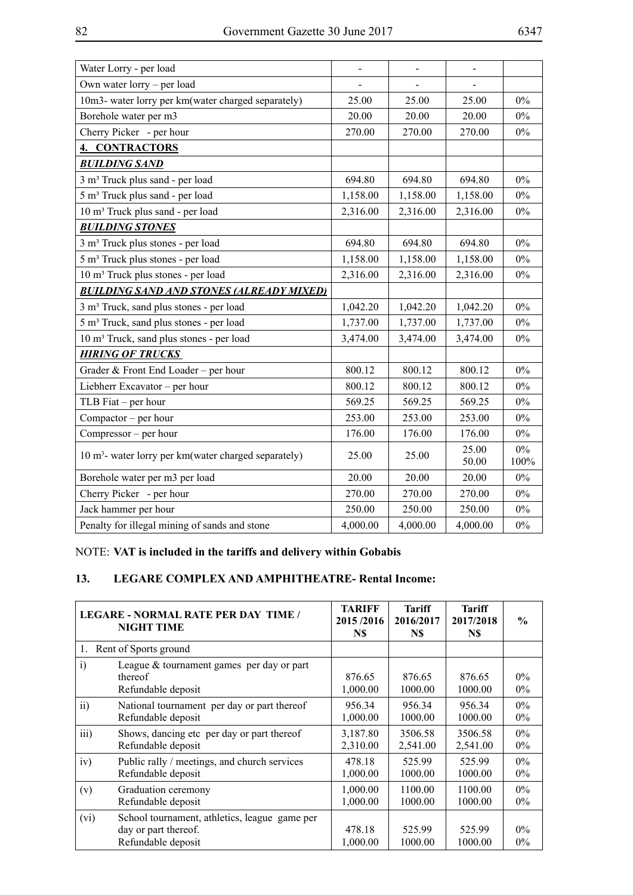| ۰,<br>×<br>۰, |  |
|---------------|--|
|---------------|--|

| Water Lorry - per load                                           |          | $\overline{a}$ | $\overline{a}$ |               |
|------------------------------------------------------------------|----------|----------------|----------------|---------------|
| Own water lorry – per load                                       |          |                |                |               |
| 10m3- water lorry per km(water charged separately)               | 25.00    | 25.00          | 25.00          | $0\%$         |
| Borehole water per m3                                            | 20.00    | 20.00          | 20.00          | $0\%$         |
| Cherry Picker - per hour                                         | 270.00   | 270.00         | 270.00         | $0\%$         |
| <b>4. CONTRACTORS</b>                                            |          |                |                |               |
| <b>BUILDING SAND</b>                                             |          |                |                |               |
| 3 m <sup>3</sup> Truck plus sand - per load                      | 694.80   | 694.80         | 694.80         | $0\%$         |
| 5 m <sup>3</sup> Truck plus sand - per load                      | 1,158.00 | 1,158.00       | 1,158.00       | $0\%$         |
| 10 m <sup>3</sup> Truck plus sand - per load                     | 2,316.00 | 2,316.00       | 2,316.00       | $0\%$         |
| <b>BUILDING STONES</b>                                           |          |                |                |               |
| 3 m <sup>3</sup> Truck plus stones - per load                    | 694.80   | 694.80         | 694.80         | 0%            |
| 5 m <sup>3</sup> Truck plus stones - per load                    | 1,158.00 | 1,158.00       | 1,158.00       | $0\%$         |
| 10 m <sup>3</sup> Truck plus stones - per load                   | 2,316.00 | 2,316.00       | 2,316.00       | $0\%$         |
| <b>BUILDING SAND AND STONES (ALREADY MIXED)</b>                  |          |                |                |               |
| 3 m <sup>3</sup> Truck, sand plus stones - per load              | 1,042.20 | 1,042.20       | 1,042.20       | $0\%$         |
| 5 m <sup>3</sup> Truck, sand plus stones - per load              | 1,737.00 | 1,737.00       | 1,737.00       | $0\%$         |
| 10 m <sup>3</sup> Truck, sand plus stones - per load             | 3,474.00 | 3,474.00       | 3,474.00       | $0\%$         |
| <b>HIRING OF TRUCKS</b>                                          |          |                |                |               |
| Grader & Front End Loader - per hour                             | 800.12   | 800.12         | 800.12         | $0\%$         |
| Liebherr Excavator - per hour                                    | 800.12   | 800.12         | 800.12         | $0\%$         |
| TLB Fiat $-$ per hour                                            | 569.25   | 569.25         | 569.25         | $0\%$         |
| Compactor – per hour                                             | 253.00   | 253.00         | 253.00         | $0\%$         |
| Compressor – per hour                                            | 176.00   | 176.00         | 176.00         | $0\%$         |
| 10 m <sup>3</sup> - water lorry per km(water charged separately) | 25.00    | 25.00          | 25.00<br>50.00 | $0\%$<br>100% |
| Borehole water per m3 per load                                   | 20.00    | 20.00          | 20.00          | $0\%$         |
| Cherry Picker - per hour                                         | 270.00   | 270.00         | 270.00         | $0\%$         |
| Jack hammer per hour                                             | 250.00   | 250.00         | 250.00         | $0\%$         |
| Penalty for illegal mining of sands and stone                    | 4,000.00 | 4,000.00       | 4,000.00       | $0\%$         |

NOTE: **VAT is included in the tariffs and delivery within Gobabis**

# **13. LEGARE COMPLEX AND AMPHITHEATRE- Rental Income:**

|                 | <b>LEGARE - NORMAL RATE PER DAY TIME /</b><br><b>NIGHT TIME</b>                             | <b>TARIFF</b><br>2015/2016<br>N\$ | <b>Tariff</b><br>2016/2017<br>N\$ | <b>Tariff</b><br>2017/2018<br>N\$ | $\frac{6}{9}$  |
|-----------------|---------------------------------------------------------------------------------------------|-----------------------------------|-----------------------------------|-----------------------------------|----------------|
| 1.              | Rent of Sports ground                                                                       |                                   |                                   |                                   |                |
| $\mathbf{i}$    | League $&$ tournament games per day or part<br>thereof<br>Refundable deposit                | 876.65<br>1,000.00                | 876.65<br>1000.00                 | 876.65<br>1000.00                 | $0\%$<br>$0\%$ |
| $\overline{11}$ | National tournament per day or part thereof                                                 | 956.34                            | 956.34                            | 956.34                            | $0\%$          |
|                 | Refundable deposit                                                                          | 1,000.00                          | 1000.00                           | 1000.00                           | $0\%$          |
| iii)            | Shows, dancing etc per day or part thereof                                                  | 3,187.80                          | 3506.58                           | 3506.58                           | $0\%$          |
|                 | Refundable deposit                                                                          | 2,310.00                          | 2,541.00                          | 2,541.00                          | $0\%$          |
| iv)             | Public rally / meetings, and church services                                                | 478.18                            | 525.99                            | 525.99                            | $0\%$          |
|                 | Refundable deposit                                                                          | 1,000.00                          | 1000.00                           | 1000.00                           | $0\%$          |
| (v)             | Graduation ceremony                                                                         | 1,000.00                          | 1100.00                           | 1100.00                           | $0\%$          |
|                 | Refundable deposit                                                                          | 1,000.00                          | 1000.00                           | 1000.00                           | $0\%$          |
| (vi)            | School tournament, athletics, league game per<br>day or part thereof.<br>Refundable deposit | 478.18<br>1,000.00                | 525.99<br>1000.00                 | 525.99<br>1000.00                 | $0\%$<br>$0\%$ |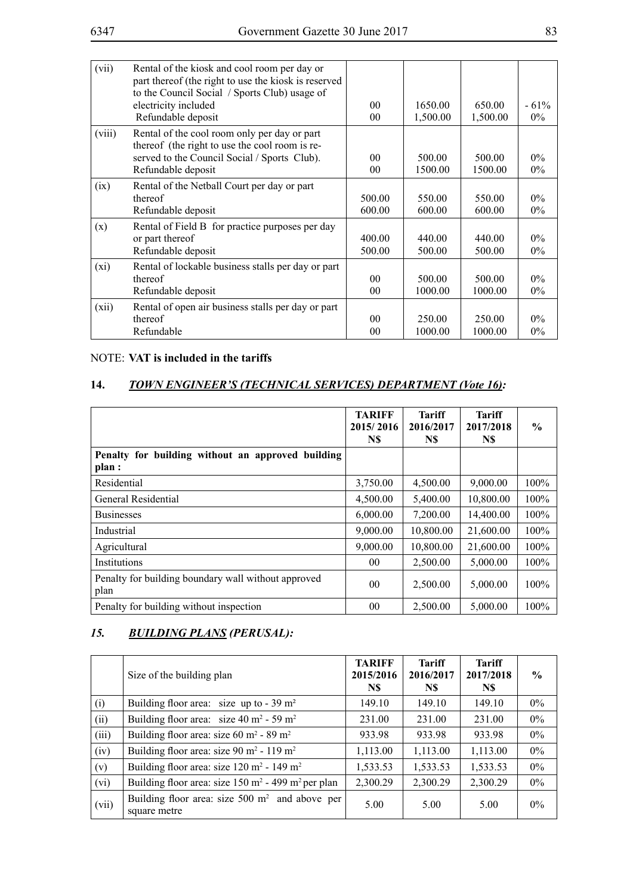| (vii)  | Rental of the kiosk and cool room per day or<br>part thereof (the right to use the kiosk is reserved<br>to the Council Social / Sports Club) usage of |                |          |          |        |
|--------|-------------------------------------------------------------------------------------------------------------------------------------------------------|----------------|----------|----------|--------|
|        | electricity included                                                                                                                                  | 0 <sub>0</sub> | 1650.00  | 650.00   | $-61%$ |
|        | Refundable deposit                                                                                                                                    | 0 <sub>0</sub> | 1,500.00 | 1,500.00 | $0\%$  |
| (viii) | Rental of the cool room only per day or part<br>thereof (the right to use the cool room is re-                                                        |                |          |          |        |
|        | served to the Council Social / Sports Club).                                                                                                          | 0 <sub>0</sub> | 500.00   | 500.00   | $0\%$  |
|        | Refundable deposit                                                                                                                                    | $00\,$         | 1500.00  | 1500.00  | $0\%$  |
| (ix)   | Rental of the Netball Court per day or part                                                                                                           |                |          |          |        |
|        | thereof                                                                                                                                               | 500.00         | 550.00   | 550.00   | $0\%$  |
|        | Refundable deposit                                                                                                                                    | 600.00         | 600.00   | 600.00   | $0\%$  |
| (x)    | Rental of Field B for practice purposes per day                                                                                                       |                |          |          |        |
|        | or part thereof                                                                                                                                       | 400.00         | 440.00   | 440.00   | $0\%$  |
|        | Refundable deposit                                                                                                                                    | 500.00         | 500.00   | 500.00   | $0\%$  |
| (xi)   | Rental of lockable business stalls per day or part                                                                                                    |                |          |          |        |
|        | thereof                                                                                                                                               | 0 <sub>0</sub> | 500.00   | 500.00   | $0\%$  |
|        | Refundable deposit                                                                                                                                    | $00\,$         | 1000.00  | 1000.00  | $0\%$  |
| (xii)  | Rental of open air business stalls per day or part                                                                                                    |                |          |          |        |
|        | thereof                                                                                                                                               | 0 <sub>0</sub> | 250.00   | 250.00   | $0\%$  |
|        | Refundable                                                                                                                                            | 00             | 1000.00  | 1000.00  | $0\%$  |
|        |                                                                                                                                                       |                |          |          |        |

## NOTE: **VAT is included in the tariffs**

## **14.** *TOWN ENGINEER'S (TECHNICAL SERVICES) DEPARTMENT (Vote 16):*

|                                                             | <b>TARIFF</b><br>2015/2016<br>N\$ | <b>Tariff</b><br>2016/2017<br>N\$ | <b>Tariff</b><br>2017/2018<br>N\$ | $\%$    |
|-------------------------------------------------------------|-----------------------------------|-----------------------------------|-----------------------------------|---------|
| Penalty for building without an approved building<br>plan : |                                   |                                   |                                   |         |
| Residential                                                 | 3,750.00                          | 4,500.00                          | 9,000.00                          | $100\%$ |
| General Residential                                         | 4,500.00                          | 5,400.00                          | 10,800.00                         | 100%    |
| <b>Businesses</b>                                           | 6,000.00                          | 7,200.00                          | 14,400.00                         | 100%    |
| Industrial                                                  | 9,000.00                          | 10,800.00                         | 21,600.00                         | 100%    |
| Agricultural                                                | 9,000.00                          | 10,800.00                         | 21,600.00                         | 100%    |
| Institutions                                                | 00 <sup>°</sup>                   | 2,500.00                          | 5,000.00                          | 100%    |
| Penalty for building boundary wall without approved<br>plan | 0 <sub>0</sub>                    | 2,500.00                          | 5,000.00                          | 100%    |
| Penalty for building without inspection                     | 0 <sub>0</sub>                    | 2,500.00                          | 5,000.00                          | 100%    |

## *15. Building Plans (Perusal):*

|       | Size of the building plan                                                 | <b>TARIFF</b><br>2015/2016<br>N\$ | <b>Tariff</b><br>2016/2017<br>N\$ | <b>Tariff</b><br>2017/2018<br>N\$ | $\frac{6}{9}$ |
|-------|---------------------------------------------------------------------------|-----------------------------------|-----------------------------------|-----------------------------------|---------------|
| (i)   | Building floor area: size up to $-39 \text{ m}^2$                         | 149.10                            | 149.10                            | 149.10                            | $0\%$         |
| (ii)  | Building floor area: size 40 m <sup>2</sup> - 59 m <sup>2</sup>           | 231.00                            | 231.00                            | 231.00                            | $0\%$         |
| (iii) | Building floor area: size 60 m <sup>2</sup> - 89 m <sup>2</sup>           | 933.98                            | 933.98                            | 933.98                            | $0\%$         |
| (iv)  | Building floor area: size 90 m <sup>2</sup> - 119 m <sup>2</sup>          | 1,113.00                          | 1,113.00                          | 1,113.00                          | $0\%$         |
| (v)   | Building floor area: size $120 \text{ m}^2$ - $149 \text{ m}^2$           | 1,533.53                          | 1,533.53                          | 1,533.53                          | $0\%$         |
| (vi)  | Building floor area: size $150 \text{ m}^2$ - 499 m <sup>2</sup> per plan | 2,300.29                          | 2,300.29                          | 2,300.29                          | $0\%$         |
| (vii) | Building floor area: size $500 \text{ m}^2$ and above per<br>square metre | 5.00                              | 5.00                              | 5.00                              | $0\%$         |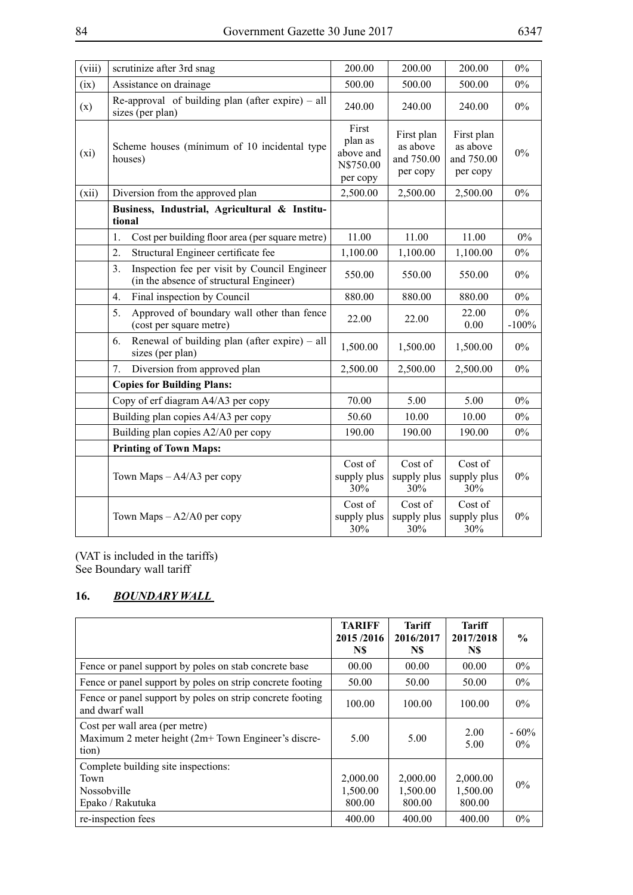| (viii) | scrutinize after 3rd snag                                                                                 | 200.00                        | 200.00                                           | 200.00                                           | $0\%$            |
|--------|-----------------------------------------------------------------------------------------------------------|-------------------------------|--------------------------------------------------|--------------------------------------------------|------------------|
| (ix)   | Assistance on drainage                                                                                    | 500.00                        | 500.00                                           | 500.00                                           | $0\%$            |
| (x)    | Re-approval of building plan (after expire) $-$ all<br>sizes (per plan)                                   | 240.00                        | 240.00                                           | 240.00                                           | $0\%$            |
| (xi)   | Scheme houses (minimum of 10 incidental type<br>houses)                                                   |                               | First plan<br>as above<br>and 750.00<br>per copy | First plan<br>as above<br>and 750.00<br>per copy | $0\%$            |
| (xii)  | Diversion from the approved plan                                                                          | 2,500.00                      | 2,500.00                                         | 2,500.00                                         | $0\%$            |
|        | Business, Industrial, Agricultural & Institu-<br>tional                                                   |                               |                                                  |                                                  |                  |
|        | Cost per building floor area (per square metre)<br>1.                                                     | 11.00                         | 11.00                                            | 11.00                                            | $0\%$            |
|        | $\overline{2}$ .<br>Structural Engineer certificate fee                                                   | 1,100.00                      | 1,100.00                                         | 1,100.00                                         | $0\%$            |
|        | 3 <sub>1</sub><br>Inspection fee per visit by Council Engineer<br>(in the absence of structural Engineer) | 550.00                        | 550.00                                           | 550.00                                           | $0\%$            |
|        | Final inspection by Council<br>4.                                                                         | 880.00                        | 880.00                                           | 880.00                                           | $0\%$            |
|        | Approved of boundary wall other than fence<br>5.<br>(cost per square metre)                               | 22.00                         | 22.00                                            | 22.00<br>0.00                                    | $0\%$<br>$-100%$ |
|        | Renewal of building plan (after expire) – all<br>6.<br>sizes (per plan)                                   | 1,500.00                      | 1,500.00                                         | 1,500.00                                         | $0\%$            |
|        | 7.<br>Diversion from approved plan                                                                        | 2,500.00                      | 2,500.00                                         | 2,500.00                                         | $0\%$            |
|        | <b>Copies for Building Plans:</b>                                                                         |                               |                                                  |                                                  |                  |
|        | Copy of erf diagram A4/A3 per copy                                                                        | 70.00                         | 5.00                                             | 5.00                                             | $0\%$            |
|        | Building plan copies A4/A3 per copy                                                                       | 50.60                         | 10.00                                            | 10.00                                            | 0%               |
|        | Building plan copies A2/A0 per copy                                                                       | 190.00                        | 190.00                                           | 190.00                                           | $0\%$            |
|        | <b>Printing of Town Maps:</b>                                                                             |                               |                                                  |                                                  |                  |
|        | Town Maps $-A4/A3$ per copy                                                                               | Cost of<br>supply plus<br>30% | Cost of<br>supply plus<br>30%                    | Cost of<br>supply plus<br>30%                    | $0\%$            |
|        | Town Maps $-A2/A0$ per copy                                                                               | Cost of<br>supply plus<br>30% | Cost of<br>supply plus<br>30%                    | Cost of<br>supply plus<br>30%                    | $0\%$            |

(VAT is included in the tariffs) See Boundary wall tariff

## **16.** *Boundary Wall*

|                                                                                                | <b>TARIFF</b><br>2015/2016<br>N\$ | Tariff<br>2016/2017<br>N\$ | <b>Tariff</b><br>2017/2018<br>N\$ | $\frac{6}{9}$   |
|------------------------------------------------------------------------------------------------|-----------------------------------|----------------------------|-----------------------------------|-----------------|
| Fence or panel support by poles on stab concrete base                                          | 00.00                             | 00.00                      | 00.00                             | $0\%$           |
| Fence or panel support by poles on strip concrete footing                                      | 50.00                             | 50.00                      | 50.00                             | $0\%$           |
| Fence or panel support by poles on strip concrete footing<br>and dwarf wall                    | 100.00                            | 100.00                     | 100.00                            | $0\%$           |
| Cost per wall area (per metre)<br>Maximum 2 meter height (2m+ Town Engineer's discre-<br>tion) | 5.00                              | 5.00                       | 2.00<br>5.00                      | $-60%$<br>$0\%$ |
| Complete building site inspections:                                                            |                                   |                            |                                   |                 |
| Town                                                                                           | 2,000.00                          | 2,000.00                   | 2,000.00                          | $0\%$           |
| Nossobville                                                                                    | 1,500.00                          | 1,500.00                   | 1,500.00                          |                 |
| Epako / Rakutuka                                                                               | 800.00                            | 800.00                     | 800.00                            |                 |
| re-inspection fees                                                                             | 400.00                            | 400.00                     | 400.00                            | $0\%$           |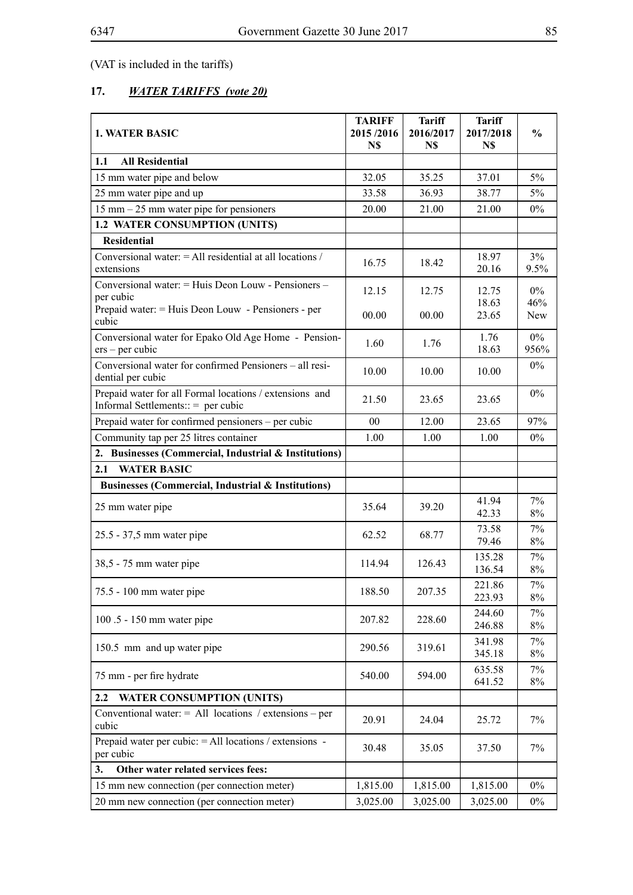(VAT is included in the tariffs)

# **17.** *WATER TARIFFS (vote 20)*

| <b>1. WATER BASIC</b>                                                                           | <b>TARIFF</b><br>2015/2016<br>N\$ | <b>Tariff</b><br>2016/2017<br>N\$ | <b>Tariff</b><br>2017/2018<br>N\$ | $\frac{0}{0}$  |
|-------------------------------------------------------------------------------------------------|-----------------------------------|-----------------------------------|-----------------------------------|----------------|
| <b>All Residential</b><br>1.1                                                                   |                                   |                                   |                                   |                |
| 15 mm water pipe and below                                                                      | 32.05                             | 35.25                             | 37.01                             | $5\%$          |
| 25 mm water pipe and up                                                                         | 33.58                             | 36.93                             | 38.77                             | $5\%$          |
| $15$ mm $-25$ mm water pipe for pensioners                                                      | 20.00                             | 21.00                             | 21.00                             | $0\%$          |
| 1.2 WATER CONSUMPTION (UNITS)                                                                   |                                   |                                   |                                   |                |
| <b>Residential</b>                                                                              |                                   |                                   |                                   |                |
| Conversional water: = All residential at all locations /<br>extensions                          | 16.75                             | 18.42                             | 18.97<br>20.16                    | 3%<br>9.5%     |
| Conversional water: = Huis Deon Louw - Pensioners -<br>per cubic                                | 12.15                             | 12.75                             | 12.75<br>18.63                    | $0\%$<br>46%   |
| Prepaid water: = Huis Deon Louw - Pensioners - per<br>cubic                                     | 00.00                             | 00.00                             | 23.65                             | <b>New</b>     |
| Conversional water for Epako Old Age Home - Pension-<br>$ers - per cubic$                       | 1.60                              | 1.76                              | 1.76<br>18.63                     | $0\%$<br>956%  |
| Conversional water for confirmed Pensioners - all resi-<br>dential per cubic                    | 10.00                             | 10.00                             | 10.00                             | $0\%$          |
| Prepaid water for all Formal locations / extensions and<br>Informal Settlements:: $=$ per cubic | 21.50                             | 23.65                             | 23.65                             | $0\%$          |
| Prepaid water for confirmed pensioners - per cubic                                              | 00                                | 12.00                             | 23.65                             | 97%            |
| Community tap per 25 litres container                                                           | 1.00                              | 1.00                              | 1.00                              | $0\%$          |
| 2. Businesses (Commercial, Industrial & Institutions)                                           |                                   |                                   |                                   |                |
| <b>WATER BASIC</b><br>2.1                                                                       |                                   |                                   |                                   |                |
| Businesses (Commercial, Industrial & Institutions)                                              |                                   |                                   |                                   |                |
| 25 mm water pipe                                                                                | 35.64                             | 39.20                             | 41.94<br>42.33                    | 7%<br>$8\%$    |
| 25.5 - 37,5 mm water pipe                                                                       | 62.52                             | 68.77                             | 73.58<br>79.46                    | 7%<br>$8\%$    |
| 38,5 - 75 mm water pipe                                                                         | 114.94                            | 126.43                            | 135.28<br>136.54                  | 7%<br>$8\%$    |
| 75.5 - 100 mm water pipe                                                                        | 188.50                            | 207.35                            | 22186<br>223.93                   | $7\%$<br>8%    |
| 100.5 - 150 mm water pipe                                                                       | 207.82                            | 228.60                            | 244.60<br>246.88                  | 7%<br>$8\%$    |
| 150.5 mm and up water pipe                                                                      | 290.56                            | 319.61                            | 341.98<br>345.18                  | 7%<br>$8\%$    |
| 75 mm - per fire hydrate                                                                        | 540.00                            | 594.00                            | 635.58<br>641.52                  | $7\%$<br>$8\%$ |
| 2.2<br><b>WATER CONSUMPTION (UNITS)</b>                                                         |                                   |                                   |                                   |                |
| Conventional water: $=$ All locations / extensions – per<br>cubic                               | 20.91                             | 24.04                             | 25.72                             | 7%             |
| Prepaid water per cubic: $=$ All locations / extensions -<br>per cubic                          | 30.48                             | 35.05                             | 37.50                             | 7%             |
| Other water related services fees:<br>3.                                                        |                                   |                                   |                                   |                |
| 15 mm new connection (per connection meter)                                                     | 1,815.00                          | 1,815.00                          | 1,815.00                          | $0\%$          |
| 20 mm new connection (per connection meter)                                                     | 3,025.00                          | 3,025.00                          | 3,025.00                          | $0\%$          |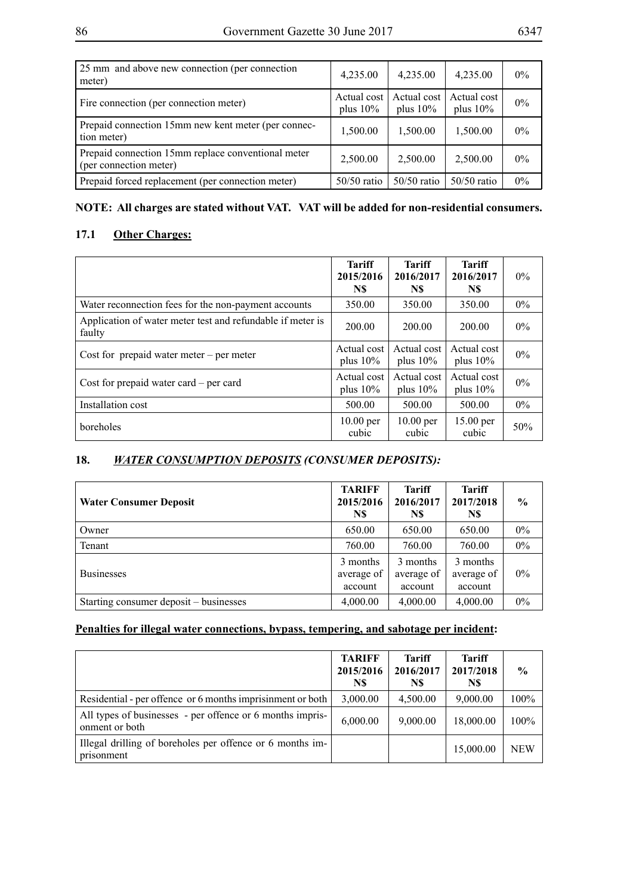| 25 mm and above new connection (per connection<br>meter)                     | 4,235.00                   | 4,235.00                   | 4,235.00                   | $0\%$ |
|------------------------------------------------------------------------------|----------------------------|----------------------------|----------------------------|-------|
| Fire connection (per connection meter)                                       | Actual cost<br>plus $10\%$ | Actual cost<br>plus $10\%$ | Actual cost<br>plus $10\%$ | $0\%$ |
| Prepaid connection 15mm new kent meter (per connec-<br>tion meter)           | 1,500.00                   | 1,500.00                   | 1,500.00                   | $0\%$ |
| Prepaid connection 15mm replace conventional meter<br>(per connection meter) | 2,500.00                   | 2,500.00                   | 2,500.00                   | $0\%$ |
| Prepaid forced replacement (per connection meter)                            | $50/50$ ratio              | $50/50$ ratio              | $50/50$ ratio              | $0\%$ |

## **NOTE: All charges are stated without VAT. VAT will be added for non-residential consumers.**

## **17.1 Other Charges:**

|                                                                      | <b>Tariff</b><br>2015/2016<br>N\$ | Tariff<br>2016/2017<br>N\$ | <b>Tariff</b><br>2016/2017<br>N\$ | $0\%$ |
|----------------------------------------------------------------------|-----------------------------------|----------------------------|-----------------------------------|-------|
| Water reconnection fees for the non-payment accounts                 | 350.00                            | 350.00                     | 350.00                            | $0\%$ |
| Application of water meter test and refundable if meter is<br>faulty | 200.00                            | 200.00                     | 200.00                            | $0\%$ |
| Cost for prepaid water meter $-$ per meter                           | Actual cost<br>plus $10\%$        | Actual cost<br>plus $10\%$ | Actual cost<br>plus $10\%$        | $0\%$ |
| Cost for prepaid water card $-$ per card                             | Actual cost<br>plus $10\%$        | Actual cost<br>plus $10\%$ | Actual cost<br>plus $10\%$        | $0\%$ |
| Installation cost                                                    | 500.00                            | 500.00                     | 500.00                            | $0\%$ |
| boreholes                                                            | $10.00$ per<br>cubic              | $10.00$ per<br>cubic       | 15.00 per<br>cubic                | 50%   |

# **18.** *Water consumption deposits (Consumer deposits):*

| <b>Water Consumer Deposit</b>          | <b>TARIFF</b><br>2015/2016<br>N\$ | <b>Tariff</b><br>2016/2017<br>N\$ | <b>Tariff</b><br>2017/2018<br>N\$ | $\frac{6}{6}$ |
|----------------------------------------|-----------------------------------|-----------------------------------|-----------------------------------|---------------|
| Owner                                  | 650.00                            | 650.00                            | 650.00                            | $0\%$         |
| Tenant                                 | 760.00                            | 760.00                            | 760.00                            | $0\%$         |
| <b>Businesses</b>                      | 3 months<br>average of<br>account | 3 months<br>average of<br>account | 3 months<br>average of<br>account | $0\%$         |
| Starting consumer deposit – businesses | 4,000.00                          | 4,000.00                          | 4,000.00                          | 0%            |

## **Penalties for illegal water connections, bypass, tempering, and sabotage per incident:**

|                                                                             | <b>TARIFF</b><br>2015/2016<br>N\$ | <b>Tariff</b><br>2016/2017<br>N\$ | <b>Tariff</b><br>2017/2018<br>N\$ | $\frac{0}{0}$ |
|-----------------------------------------------------------------------------|-----------------------------------|-----------------------------------|-----------------------------------|---------------|
| Residential - per offence or 6 months imprisinment or both                  | 3,000.00                          | 4,500.00                          | 9,000.00                          | 100%          |
| All types of businesses - per offence or 6 months impris-<br>onment or both | 6,000.00                          | 9,000.00                          | 18,000.00                         | $100\%$       |
| Illegal drilling of boreholes per offence or 6 months im-<br>prisonment     |                                   |                                   | 15,000.00                         | <b>NEW</b>    |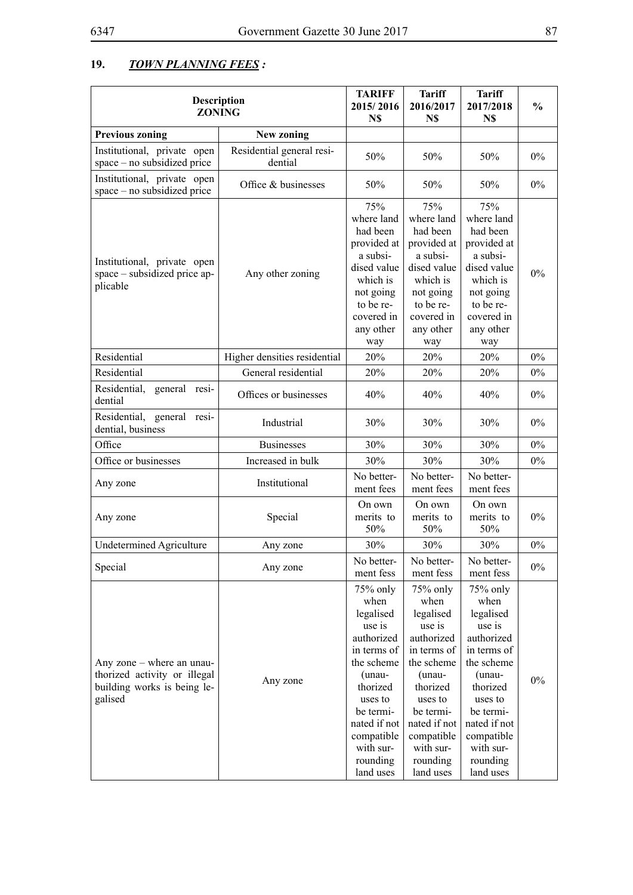# **19.** *Town Planning Fees :*

| <b>Description</b><br><b>ZONING</b>                                                                 |                                      | <b>TARIFF</b><br>2015/2016<br>N\$                                                                                                                                                                    | <b>Tariff</b><br>2016/2017<br>N\$                                                                                                                                                                    | Tariff<br>2017/2018<br>N\$                                                                                                                                                                           | $\frac{0}{0}$ |
|-----------------------------------------------------------------------------------------------------|--------------------------------------|------------------------------------------------------------------------------------------------------------------------------------------------------------------------------------------------------|------------------------------------------------------------------------------------------------------------------------------------------------------------------------------------------------------|------------------------------------------------------------------------------------------------------------------------------------------------------------------------------------------------------|---------------|
| <b>Previous zoning</b>                                                                              | New zoning                           |                                                                                                                                                                                                      |                                                                                                                                                                                                      |                                                                                                                                                                                                      |               |
| Institutional, private open<br>space – no subsidized price                                          | Residential general resi-<br>dential | 50%                                                                                                                                                                                                  | 50%                                                                                                                                                                                                  | 50%                                                                                                                                                                                                  | $0\%$         |
| Institutional, private open<br>space – no subsidized price                                          | Office & businesses                  | 50%                                                                                                                                                                                                  | 50%                                                                                                                                                                                                  | 50%                                                                                                                                                                                                  | $0\%$         |
| Institutional, private open<br>space – subsidized price ap-<br>plicable                             | Any other zoning                     | 75%<br>where land<br>had been<br>provided at<br>a subsi-<br>dised value<br>which is<br>not going<br>to be re-<br>covered in<br>any other<br>way                                                      | 75%<br>where land<br>had been<br>provided at<br>a subsi-<br>dised value<br>which is<br>not going<br>to be re-<br>covered in<br>any other<br>way                                                      | 75%<br>where land<br>had been<br>provided at<br>a subsi-<br>dised value<br>which is<br>not going<br>to be re-<br>covered in<br>any other<br>way                                                      | 0%            |
| Residential                                                                                         | Higher densities residential         | 20%                                                                                                                                                                                                  | 20%                                                                                                                                                                                                  | 20%                                                                                                                                                                                                  | $0\%$         |
| Residential                                                                                         | General residential                  | 20%                                                                                                                                                                                                  | 20%                                                                                                                                                                                                  | 20%                                                                                                                                                                                                  | 0%            |
| Residential,<br>general resi-<br>dential                                                            | Offices or businesses                | 40%                                                                                                                                                                                                  | 40%                                                                                                                                                                                                  | 40%                                                                                                                                                                                                  | $0\%$         |
| Residential, general<br>resi-<br>dential, business                                                  | Industrial                           | 30%                                                                                                                                                                                                  | 30%                                                                                                                                                                                                  | 30%                                                                                                                                                                                                  | $0\%$         |
| Office                                                                                              | <b>Businesses</b>                    | 30%                                                                                                                                                                                                  | 30%                                                                                                                                                                                                  | 30%                                                                                                                                                                                                  | $0\%$         |
| Office or businesses                                                                                | Increased in bulk                    | 30%                                                                                                                                                                                                  | 30%                                                                                                                                                                                                  | 30%                                                                                                                                                                                                  | $0\%$         |
| Any zone                                                                                            | Institutional                        | No better-<br>ment fees                                                                                                                                                                              | No better-<br>ment fees                                                                                                                                                                              | No better-<br>ment fees                                                                                                                                                                              |               |
| Any zone                                                                                            | Special                              | On own<br>merits to<br>50%                                                                                                                                                                           | On own<br>merits to<br>50%                                                                                                                                                                           | On own<br>merits to<br>50%                                                                                                                                                                           | $0\%$         |
| <b>Undetermined Agriculture</b>                                                                     | Any zone                             | 30%                                                                                                                                                                                                  | 30%                                                                                                                                                                                                  | 30%                                                                                                                                                                                                  | 0%            |
| Special                                                                                             | Any zone                             | No better-<br>ment fess                                                                                                                                                                              | No better-<br>ment fess                                                                                                                                                                              | No better-<br>ment fess                                                                                                                                                                              | $0\%$         |
| Any zone – where an unau-<br>thorized activity or illegal<br>building works is being le-<br>galised | Any zone                             | 75% only<br>when<br>legalised<br>use is<br>authorized<br>in terms of<br>the scheme<br>(unau-<br>thorized<br>uses to<br>be termi-<br>nated if not<br>compatible<br>with sur-<br>rounding<br>land uses | 75% only<br>when<br>legalised<br>use is<br>authorized<br>in terms of<br>the scheme<br>(unau-<br>thorized<br>uses to<br>be termi-<br>nated if not<br>compatible<br>with sur-<br>rounding<br>land uses | 75% only<br>when<br>legalised<br>use is<br>authorized<br>in terms of<br>the scheme<br>(unau-<br>thorized<br>uses to<br>be termi-<br>nated if not<br>compatible<br>with sur-<br>rounding<br>land uses | $0\%$         |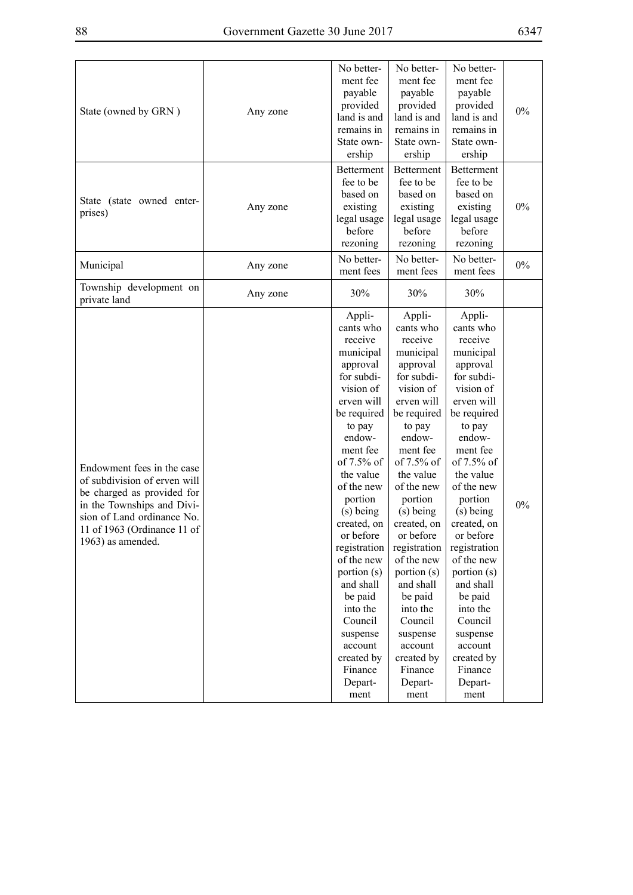| State (owned by GRN)                                                                                                                                                                                     | Any zone | No better-<br>ment fee<br>payable<br>provided<br>land is and<br>remains in<br>State own-<br>ership                                                                                                                                                                                                                                                                                                          | No better-<br>ment fee<br>payable<br>provided<br>land is and<br>remains in<br>State own-<br>ership                                                                                                                                                                                                                                                                                                          | No better-<br>ment fee<br>payable<br>provided<br>land is and<br>remains in<br>State own-<br>ership                                                                                                                                                                                                                                                                                                          | 0% |
|----------------------------------------------------------------------------------------------------------------------------------------------------------------------------------------------------------|----------|-------------------------------------------------------------------------------------------------------------------------------------------------------------------------------------------------------------------------------------------------------------------------------------------------------------------------------------------------------------------------------------------------------------|-------------------------------------------------------------------------------------------------------------------------------------------------------------------------------------------------------------------------------------------------------------------------------------------------------------------------------------------------------------------------------------------------------------|-------------------------------------------------------------------------------------------------------------------------------------------------------------------------------------------------------------------------------------------------------------------------------------------------------------------------------------------------------------------------------------------------------------|----|
| State (state owned enter-<br>prises)                                                                                                                                                                     | Any zone | <b>Betterment</b><br>fee to be<br>based on<br>existing<br>legal usage<br>before<br>rezoning                                                                                                                                                                                                                                                                                                                 | <b>Betterment</b><br>fee to be<br>based on<br>existing<br>legal usage<br>before<br>rezoning                                                                                                                                                                                                                                                                                                                 | <b>Betterment</b><br>fee to be<br>based on<br>existing<br>legal usage<br>before<br>rezoning                                                                                                                                                                                                                                                                                                                 | 0% |
| Municipal                                                                                                                                                                                                | Any zone | No better-<br>ment fees                                                                                                                                                                                                                                                                                                                                                                                     | No better-<br>ment fees                                                                                                                                                                                                                                                                                                                                                                                     | No better-<br>ment fees                                                                                                                                                                                                                                                                                                                                                                                     | 0% |
| Township development on<br>private land                                                                                                                                                                  | Any zone | 30%                                                                                                                                                                                                                                                                                                                                                                                                         | 30%                                                                                                                                                                                                                                                                                                                                                                                                         | 30%                                                                                                                                                                                                                                                                                                                                                                                                         |    |
| Endowment fees in the case<br>of subdivision of erven will<br>be charged as provided for<br>in the Townships and Divi-<br>sion of Land ordinance No.<br>11 of 1963 (Ordinance 11 of<br>1963) as amended. |          | Appli-<br>cants who<br>receive<br>municipal<br>approval<br>for subdi-<br>vision of<br>erven will<br>be required<br>to pay<br>endow-<br>ment fee<br>of 7.5% of<br>the value<br>of the new<br>portion<br>(s) being<br>created, on<br>or before<br>registration<br>of the new<br>portion (s)<br>and shall<br>be paid<br>into the<br>Council<br>suspense<br>account<br>created by<br>Finance<br>Depart-<br>ment | Appli-<br>cants who<br>receive<br>municipal<br>approval<br>for subdi-<br>vision of<br>erven will<br>be required<br>to pay<br>endow-<br>ment fee<br>of 7.5% of<br>the value<br>of the new<br>portion<br>(s) being<br>created, on<br>or before<br>registration<br>of the new<br>portion (s)<br>and shall<br>be paid<br>into the<br>Council<br>suspense<br>account<br>created by<br>Finance<br>Depart-<br>ment | Appli-<br>cants who<br>receive<br>municipal<br>approval<br>for subdi-<br>vision of<br>erven will<br>be required<br>to pay<br>endow-<br>ment fee<br>of 7.5% of<br>the value<br>of the new<br>portion<br>(s) being<br>created, on<br>or before<br>registration<br>of the new<br>portion (s)<br>and shall<br>be paid<br>into the<br>Council<br>suspense<br>account<br>created by<br>Finance<br>Depart-<br>ment | 0% |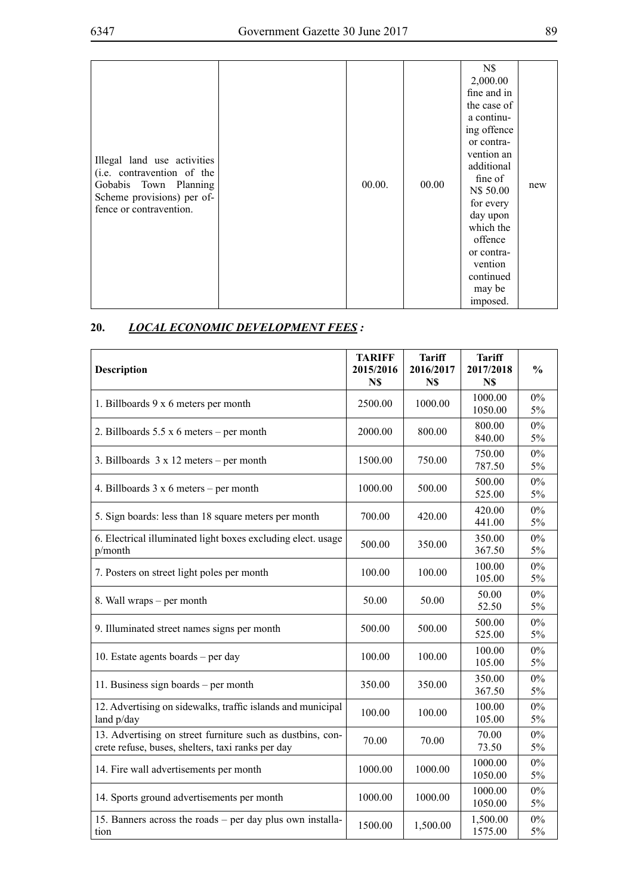|                                                     |        |       | N\$         |     |
|-----------------------------------------------------|--------|-------|-------------|-----|
|                                                     |        |       | 2,000.00    |     |
|                                                     |        |       | fine and in |     |
|                                                     |        |       | the case of |     |
|                                                     |        |       | a continu-  |     |
|                                                     |        |       | ing offence |     |
|                                                     |        |       | or contra-  |     |
| Illegal land use activities                         |        |       | vention an  |     |
| (i.e. contravention of the                          |        |       | additional  |     |
|                                                     |        | 00.00 | fine of     |     |
| Gobabis Town Planning<br>Scheme provisions) per of- | 00.00. |       | N\$ 50.00   | new |
| fence or contravention.                             |        |       | for every   |     |
|                                                     |        |       | day upon    |     |
|                                                     |        |       | which the   |     |
|                                                     |        |       | offence     |     |
|                                                     |        |       | or contra-  |     |
|                                                     |        |       | vention     |     |
|                                                     |        |       | continued   |     |
|                                                     |        |       | may be      |     |
|                                                     |        |       | imposed.    |     |

# **20.** *Local Economic Development Fees :*

| <b>Description</b>                                                                                              | <b>TARIFF</b><br>2015/2016<br>N\$ | <b>Tariff</b><br>2016/2017<br>N\$ | <b>Tariff</b><br>2017/2018<br>N\$ | $\frac{0}{0}$  |
|-----------------------------------------------------------------------------------------------------------------|-----------------------------------|-----------------------------------|-----------------------------------|----------------|
| 1. Billboards 9 x 6 meters per month                                                                            | 2500.00                           | 1000.00                           | 1000.00<br>1050.00                | $0\%$<br>5%    |
| 2. Billboards $5.5 \times 6$ meters – per month                                                                 | 2000.00                           | 800.00                            | 800.00<br>840.00                  | $0\%$<br>5%    |
| 3. Billboards $3 \times 12$ meters – per month                                                                  | 1500.00                           | 750.00                            | 750.00<br>787.50                  | $0\%$<br>5%    |
| 4. Billboards $3 \times 6$ meters – per month                                                                   | 1000.00                           | 500.00                            | 500.00<br>525.00                  | $0\%$<br>5%    |
| 5. Sign boards: less than 18 square meters per month                                                            | 700.00                            | 420.00                            | 420.00<br>441.00                  | $0\%$<br>5%    |
| 6. Electrical illuminated light boxes excluding elect. usage<br>p/month                                         | 500.00                            | 350.00                            | 350.00<br>367.50                  | $0\%$<br>5%    |
| 7. Posters on street light poles per month                                                                      | 100.00                            | 100.00                            | 100.00<br>105.00                  | $0\%$<br>5%    |
| 8. Wall wraps – per month                                                                                       | 50.00                             | 50.00                             | 50.00<br>52.50                    | $0\%$<br>$5\%$ |
| 9. Illuminated street names signs per month                                                                     | 500.00                            | 500.00                            | 500.00<br>525.00                  | 0%<br>5%       |
| 10. Estate agents boards - per day                                                                              | 100.00                            | 100.00                            | 100.00<br>105.00                  | $0\%$<br>5%    |
| 11. Business sign boards – per month                                                                            | 350.00                            | 350.00                            | 350.00<br>367.50                  | $0\%$<br>$5\%$ |
| 12. Advertising on sidewalks, traffic islands and municipal<br>land p/day                                       | 100.00                            | 100.00                            | 100.00<br>105.00                  | $0\%$<br>$5\%$ |
| 13. Advertising on street furniture such as dustbins, con-<br>crete refuse, buses, shelters, taxi ranks per day | 70.00                             | 70.00                             | 70.00<br>73.50                    | $0\%$<br>5%    |
| 14. Fire wall advertisements per month                                                                          | 1000.00                           | 1000.00                           | 1000.00<br>1050.00                | 0%<br>5%       |
| 14. Sports ground advertisements per month                                                                      | 1000.00                           | 1000.00                           | 1000.00<br>1050.00                | $0\%$<br>$5\%$ |
| 15. Banners across the roads – per day plus own installa-<br>tion                                               | 1500.00                           | 1,500.00                          | 1,500.00<br>1575.00               | $0\%$<br>5%    |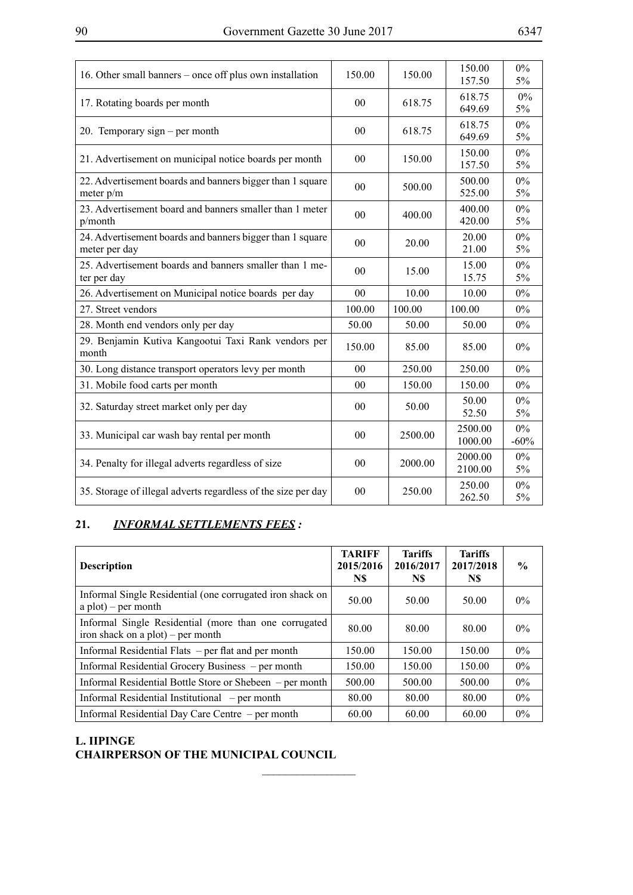<u> 1980 - Johann Barbara, martxa alemaniar a</u>

 $\overline{\phantom{a}}$ 

 $\overline{a}$ 

| 16. Other small banners – once off plus own installation                   | 150.00         | 150.00  | 150.00<br>157.50   | $0\%$<br>5%     |
|----------------------------------------------------------------------------|----------------|---------|--------------------|-----------------|
| 17. Rotating boards per month                                              | 0 <sub>0</sub> | 618.75  | 618.75<br>649.69   | 0%<br>$5\%$     |
| 20. Temporary sign – per month                                             | 00             | 618.75  | 618.75<br>649.69   | $0\%$<br>5%     |
| 21. Advertisement on municipal notice boards per month                     | 00             | 150.00  | 150.00<br>157.50   | $0\%$<br>$5\%$  |
| 22. Advertisement boards and banners bigger than 1 square<br>meter $p/m$   | 00             | 500.00  | 500.00<br>525.00   | $0\%$<br>$5\%$  |
| 23. Advertisement board and banners smaller than 1 meter<br>p/month        | 00             | 400.00  | 400.00<br>420.00   | $0\%$<br>5%     |
| 24. Advertisement boards and banners bigger than 1 square<br>meter per day | 00             | 20.00   | 20.00<br>21.00     | $0\%$<br>$5\%$  |
| 25. Advertisement boards and banners smaller than 1 me-<br>ter per day     | 0 <sub>0</sub> | 15.00   | 15.00<br>15.75     | $0\%$<br>5%     |
| 26. Advertisement on Municipal notice boards per day                       | 00             | 10.00   | 10.00              | $0\%$           |
| 27. Street vendors                                                         | 100.00         | 100.00  | 100.00             | $0\%$           |
| 28. Month end vendors only per day                                         | 50.00          | 50.00   | 50.00              | $0\%$           |
| 29. Benjamin Kutiva Kangootui Taxi Rank vendors per<br>month               | 150.00         | 85.00   | 85.00              | $0\%$           |
| 30. Long distance transport operators levy per month                       | 00             | 250.00  | 250.00             | $0\%$           |
| 31. Mobile food carts per month                                            | 0 <sub>0</sub> | 150.00  | 150.00             | $0\%$           |
| 32. Saturday street market only per day                                    | 0 <sub>0</sub> | 50.00   | 50.00<br>52.50     | $0\%$<br>5%     |
| 33. Municipal car wash bay rental per month                                | 00             | 2500.00 | 2500.00<br>1000.00 | $0\%$<br>$-60%$ |
| 34. Penalty for illegal adverts regardless of size                         | 00             | 2000.00 | 2000.00<br>2100.00 | $0\%$<br>$5\%$  |
| 35. Storage of illegal adverts regardless of the size per day              | 00             | 250.00  | 250.00<br>262.50   | $0\%$<br>$5\%$  |

# **21.** *Informal Settlements Fees :*

| <b>Description</b>                                                                             | <b>TARIFF</b><br>2015/2016<br>N\$ | <b>Tariffs</b><br>2016/2017<br>N\$ | <b>Tariffs</b><br>2017/2018<br>N\$ | $\frac{6}{9}$ |
|------------------------------------------------------------------------------------------------|-----------------------------------|------------------------------------|------------------------------------|---------------|
| Informal Single Residential (one corrugated iron shack on<br>$a plot$ ) – per month            | 50.00                             | 50.00                              | 50.00                              | $0\%$         |
| Informal Single Residential (more than one corrugated)<br>iron shack on a $plot$ ) – per month | 80.00                             | 80.00                              | 80.00                              | $0\%$         |
| Informal Residential Flats – per flat and per month                                            | 150.00                            | 150.00                             | 150.00                             | $0\%$         |
| Informal Residential Grocery Business – per month                                              | 150.00                            | 150.00                             | 150.00                             | $0\%$         |
| Informal Residential Bottle Store or Shebeen – per month                                       | 500.00                            | 500.00                             | 500.00                             | $0\%$         |
| Informal Residential Institutional – per month                                                 | 80.00                             | 80.00                              | 80.00                              | $0\%$         |
| Informal Residential Day Care Centre – per month                                               | 60.00                             | 60.00                              | 60.00                              | $0\%$         |

 $\overline{\phantom{a}}$  , where  $\overline{\phantom{a}}$ 

## **L. Iipinge CHAIRPERSON OF THE MUNICIPAL COUNCIL**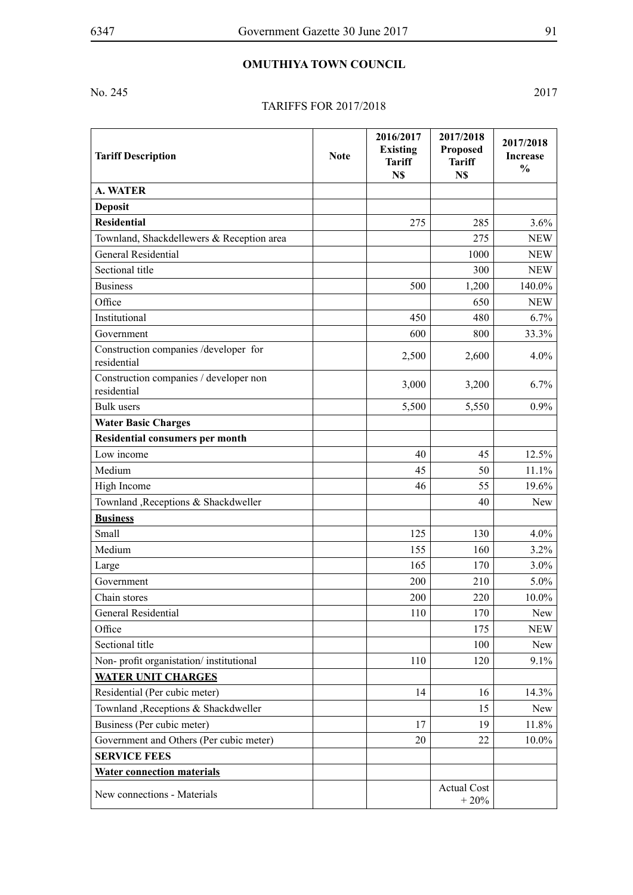## **OMUTHIYA TOWN COUNCIL**

No. 245 2017

#### Tariffs for 2017/2018

**Tariff Description Note 2016/2017 Existing Tariff N\$ 2017/2018 Proposed Tariff N\$ 2017/2018 Increase % A. WATER Deposit Residential** 275 285 3.6% Townland, Shackdellewers & Reception area 275 NEW General Residential and the set of the set of the set of the set of the set of the NEW Sectional title 300 NEW Business 500 1,200 140.0% Office 650 NEW Institutional 450 480 6.7% Government  $\begin{array}{|c|c|c|c|c|c|c|c|c|c|c|} \hline \text{Goverment} && 600 & 800 & 33.3\% \hline \end{array}$ Construction companies /developer for  $r_{\text{residential}}$  2,500  $\begin{vmatrix} 2,500 \\ 4.0\% \end{vmatrix}$  4.0% Construction companies / developer non residential 3,000 3,200 6.7% Bulk users  $\begin{array}{|c|c|c|c|c|c|c|c|c|} \hline \end{array}$   $\begin{array}{|c|c|c|c|c|c|c|c|} \hline \end{array}$   $\begin{array}{|c|c|c|c|c|c|} \hline \end{array}$   $\begin{array}{|c|c|c|c|c|} \hline \end{array}$   $\begin{array}{|c|c|c|c|c|} \hline \end{array}$   $\begin{array}{|c|c|c|c|c|} \hline \end{array}$   $\begin{array}{|c|c|c|c|c|} \hline \end{array}$ **Water Basic Charges Residential consumers per month** Low income 40 45 12.5% Medium  $45 \mid 30 \mid 11.1\%$ High Income 46 55 19.6% Townland ,Receptions & Shackdweller 40 New **Business** Small  $125$  130 4.0% Medium  $155$  160  $3.2\%$ Large  $165$  170  $170$  3.0% Government 200  $200$  210  $5.0\%$ Chain stores 200  $\vert$  200  $\vert$  220  $\vert$  10.0% General Residential 110 170 New Office 175 NEW Sectional title 100 New Non- profit organistation/ institutional 110 120 9.1% **WATER UNIT CHARGES** Residential (Per cubic meter) 14 14.3% Townland ,Receptions & Shackdweller 15 15 New Business (Per cubic meter) 17 19 11.8% Government and Others (Per cubic meter)  $20 \mid 22 \mid 10.0\%$ **SERVICE FEES Water connection materials** New connections - Materials Actual Cost 2006  $+ 20%$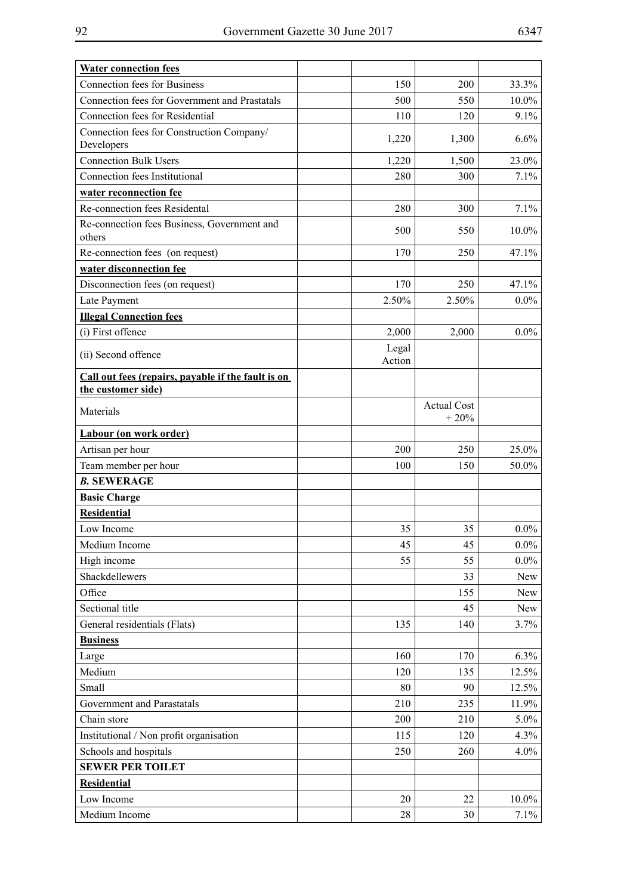| ۰,<br>I |
|---------|
|---------|

| <b>Water connection fees</b>                                             |                 |                              |          |
|--------------------------------------------------------------------------|-----------------|------------------------------|----------|
| <b>Connection fees for Business</b>                                      | 150             | 200                          | 33.3%    |
| Connection fees for Government and Prastatals                            | 500             | 550                          | $10.0\%$ |
| <b>Connection fees for Residential</b>                                   | 110             | 120                          | 9.1%     |
| Connection fees for Construction Company/<br>Developers                  | 1,220           | 1,300                        | 6.6%     |
| <b>Connection Bulk Users</b>                                             | 1,220           | 1,500                        | 23.0%    |
| Connection fees Institutional                                            | 280             | 300                          | 7.1%     |
| water reconnection fee                                                   |                 |                              |          |
| Re-connection fees Residental                                            | 280             | 300                          | 7.1%     |
| Re-connection fees Business, Government and<br>others                    | 500             | 550                          | $10.0\%$ |
| Re-connection fees (on request)                                          | 170             | 250                          | 47.1%    |
| water disconnection fee                                                  |                 |                              |          |
| Disconnection fees (on request)                                          | 170             | 250                          | 47.1%    |
| Late Payment                                                             | 2.50%           | 2.50%                        | $0.0\%$  |
| <b>Illegal Connection fees</b>                                           |                 |                              |          |
| (i) First offence                                                        | 2,000           | 2,000                        | $0.0\%$  |
| (ii) Second offence                                                      | Legal<br>Action |                              |          |
| Call out fees (repairs, payable if the fault is on<br>the customer side) |                 |                              |          |
| Materials                                                                |                 | <b>Actual Cost</b><br>$+20%$ |          |
| Labour (on work order)                                                   |                 |                              |          |
| Artisan per hour                                                         | 200             | 250                          | 25.0%    |
| Team member per hour                                                     | 100             | 150                          | 50.0%    |
| <b>B. SEWERAGE</b>                                                       |                 |                              |          |
| <b>Basic Charge</b>                                                      |                 |                              |          |
| <b>Residential</b>                                                       |                 |                              |          |
| Low Income                                                               | 35              | 35                           | $0.0\%$  |
| Medium Income                                                            | 45              | 45                           | $0.0\%$  |
| High income                                                              | 55              | 55                           | $0.0\%$  |
| Shackdellewers                                                           |                 | 33                           | New      |
| Office                                                                   |                 | 155                          | New      |
| Sectional title                                                          |                 | 45                           | New      |
| General residentials (Flats)                                             | 135             | 140                          | 3.7%     |
| <b>Business</b>                                                          |                 |                              |          |
| Large                                                                    | 160             | 170                          | 6.3%     |
| Medium                                                                   | 120             | 135                          | 12.5%    |
| Small                                                                    | 80              | 90                           | 12.5%    |
| Government and Parastatals                                               | 210             | 235                          | 11.9%    |
| Chain store                                                              | 200             | 210                          | $5.0\%$  |
| Institutional / Non profit organisation                                  | 115             | 120                          | 4.3%     |
| Schools and hospitals                                                    | 250             | 260                          | $4.0\%$  |
| <b>SEWER PER TOILET</b>                                                  |                 |                              |          |
| <b>Residential</b>                                                       |                 |                              |          |
| Low Income                                                               | 20              | 22                           | $10.0\%$ |
| Medium Income                                                            | 28              | 30                           | 7.1%     |
|                                                                          |                 |                              |          |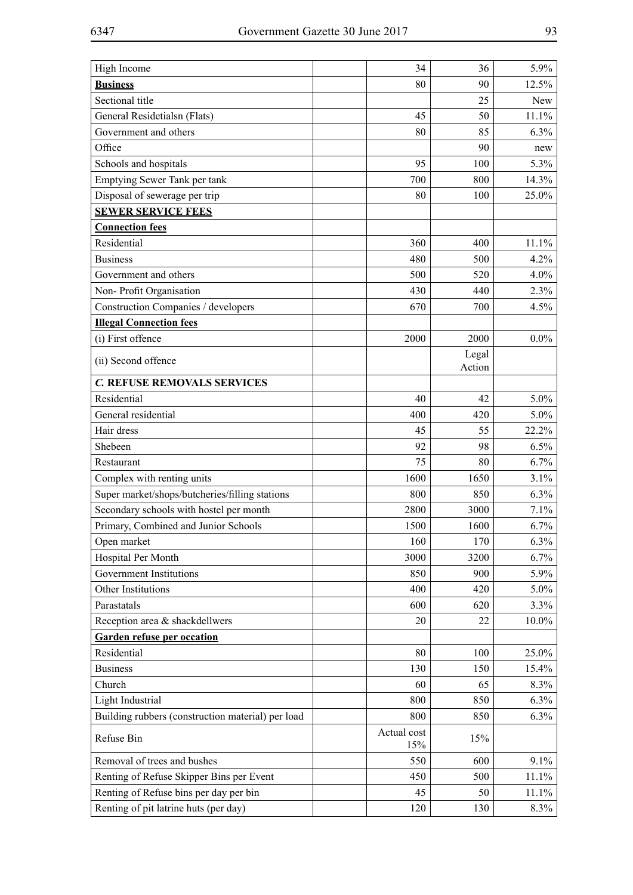| High Income                                       | 34                 | 36     | 5.9%       |
|---------------------------------------------------|--------------------|--------|------------|
| <b>Business</b>                                   | 80                 | 90     | 12.5%      |
| Sectional title                                   |                    | 25     | <b>New</b> |
| General Residetialsn (Flats)                      | 45                 | 50     | 11.1%      |
| Government and others                             | 80                 | 85     | 6.3%       |
| Office                                            |                    | 90     | new        |
| Schools and hospitals                             | 95                 | 100    | 5.3%       |
| Emptying Sewer Tank per tank                      | 700                | 800    | 14.3%      |
| Disposal of sewerage per trip                     | 80                 | 100    | 25.0%      |
| <b>SEWER SERVICE FEES</b>                         |                    |        |            |
| <b>Connection fees</b>                            |                    |        |            |
| Residential                                       | 360                | 400    | 11.1%      |
| <b>Business</b>                                   | 480                | 500    | 4.2%       |
| Government and others                             | 500                | 520    | 4.0%       |
| Non-Profit Organisation                           | 430                | 440    | 2.3%       |
| Construction Companies / developers               | 670                | 700    | 4.5%       |
| <b>Illegal Connection fees</b>                    |                    |        |            |
| (i) First offence                                 | 2000               | 2000   | $0.0\%$    |
| (ii) Second offence                               |                    | Legal  |            |
|                                                   |                    | Action |            |
| C. REFUSE REMOVALS SERVICES                       |                    |        |            |
| Residential                                       | 40                 | 42     | 5.0%       |
| General residential                               | 400                | 420    | $5.0\%$    |
| Hair dress                                        | 45                 | 55     | 22.2%      |
| Shebeen                                           | 92                 | 98     | 6.5%       |
| Restaurant                                        | 75                 | 80     | 6.7%       |
| Complex with renting units                        | 1600               | 1650   | 3.1%       |
| Super market/shops/butcheries/filling stations    | 800                | 850    | 6.3%       |
| Secondary schools with hostel per month           | 2800               | 3000   | 7.1%       |
| Primary, Combined and Junior Schools              | 1500               | 1600   | 6.7%       |
| Open market                                       | 160                | 170    | $6.3\%$    |
| Hospital Per Month                                | 3000               | 3200   | 6.7%       |
| Government Institutions                           | 850                | 900    | 5.9%       |
| Other Institutions                                | 400                | 420    | $5.0\%$    |
| Parastatals                                       | 600                | 620    | 3.3%       |
| Reception area & shackdellwers                    | 20                 | 22     | 10.0%      |
| <b>Garden refuse per occation</b>                 |                    |        |            |
| Residential                                       | 80                 | 100    | 25.0%      |
| <b>Business</b>                                   | 130                | 150    | 15.4%      |
| Church                                            | 60                 | 65     | 8.3%       |
| Light Industrial                                  | 800                | 850    | $6.3\%$    |
| Building rubbers (construction material) per load | 800                | 850    | 6.3%       |
| Refuse Bin                                        | Actual cost<br>15% | 15%    |            |
| Removal of trees and bushes                       | 550                | 600    | 9.1%       |
| Renting of Refuse Skipper Bins per Event          | 450                | 500    | 11.1%      |
| Renting of Refuse bins per day per bin            | 45                 | 50     | 11.1%      |
| Renting of pit latrine huts (per day)             | 120                | 130    | 8.3%       |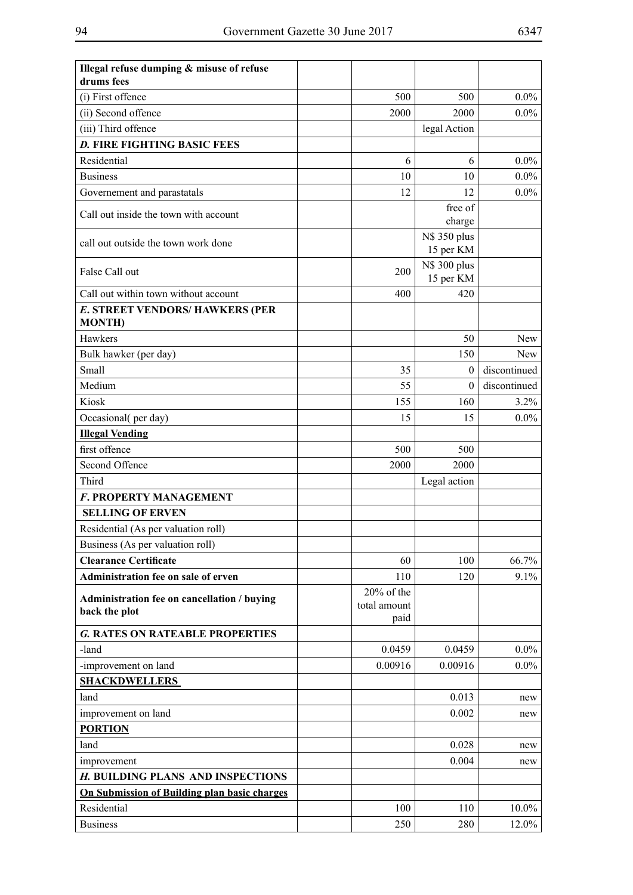| Illegal refuse dumping & misuse of refuse<br>drums fees |              |                           |              |
|---------------------------------------------------------|--------------|---------------------------|--------------|
| (i) First offence                                       | 500          | 500                       | $0.0\%$      |
| (ii) Second offence                                     | 2000         | 2000                      | $0.0\%$      |
| (iii) Third offence                                     |              |                           |              |
| <b>D. FIRE FIGHTING BASIC FEES</b>                      |              | legal Action              |              |
|                                                         |              |                           |              |
| Residential                                             | 6            | 6                         | $0.0\%$      |
| <b>Business</b>                                         | 10<br>12     | 10<br>12                  | $0.0\%$      |
| Governement and parastatals                             |              |                           | $0.0\%$      |
| Call out inside the town with account                   |              | free of<br>charge         |              |
| call out outside the town work done                     |              | N\$ 350 plus<br>15 per KM |              |
| False Call out                                          | 200          | N\$ 300 plus<br>15 per KM |              |
| Call out within town without account                    | 400          | 420                       |              |
| E. STREET VENDORS/ HAWKERS (PER<br><b>MONTH</b> )       |              |                           |              |
| Hawkers                                                 |              | 50                        | <b>New</b>   |
| Bulk hawker (per day)                                   |              | 150                       | <b>New</b>   |
| Small                                                   | 35           | $\mathbf{0}$              | discontinued |
| Medium                                                  | 55           | $\theta$                  | discontinued |
| Kiosk                                                   | 155          | 160                       | 3.2%         |
| Occasional(per day)                                     | 15           | 15                        | $0.0\%$      |
| <b>Illegal Vending</b>                                  |              |                           |              |
| first offence                                           | 500          | 500                       |              |
| Second Offence                                          | 2000         | 2000                      |              |
| Third                                                   |              | Legal action              |              |
| F. PROPERTY MANAGEMENT                                  |              |                           |              |
| <b>SELLING OF ERVEN</b>                                 |              |                           |              |
| Residential (As per valuation roll)                     |              |                           |              |
| Business (As per valuation roll)                        |              |                           |              |
| <b>Clearance Certificate</b>                            | 60           | 100                       | 66.7%        |
| Administration fee on sale of erven                     | 110          | 120                       | 9.1%         |
| Administration fee on cancellation / buying             | 20% of the   |                           |              |
| back the plot                                           | total amount |                           |              |
|                                                         | paid         |                           |              |
| <b>G. RATES ON RATEABLE PROPERTIES</b>                  |              |                           |              |
| -land                                                   | 0.0459       | 0.0459                    | $0.0\%$      |
| -improvement on land                                    | 0.00916      | 0.00916                   | $0.0\%$      |
| <b>SHACKDWELLERS</b>                                    |              |                           |              |
| land                                                    |              | 0.013                     | new          |
| improvement on land                                     |              | 0.002                     | new          |
| <b>PORTION</b>                                          |              |                           |              |
| land                                                    |              | 0.028                     | new          |
| improvement                                             |              | 0.004                     | new          |
| H. BUILDING PLANS AND INSPECTIONS                       |              |                           |              |
| On Submission of Building plan basic charges            |              |                           |              |
| Residential                                             | 100          | 110                       | 10.0%        |
| <b>Business</b>                                         | 250          | 280                       | 12.0%        |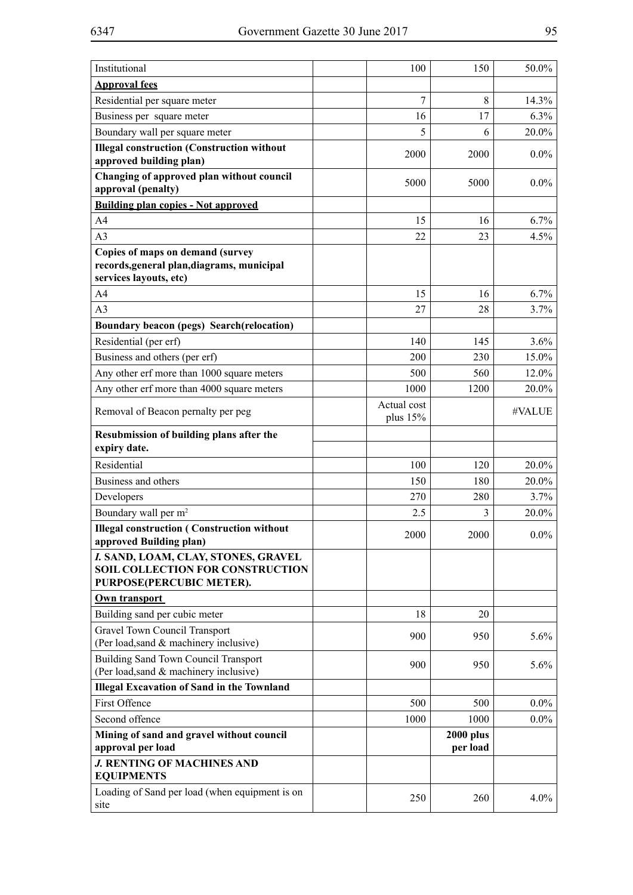| Institutional                                                                                            | 100                       | 150                          | 50.0%   |
|----------------------------------------------------------------------------------------------------------|---------------------------|------------------------------|---------|
| <b>Approval fees</b>                                                                                     |                           |                              |         |
| Residential per square meter                                                                             | 7                         | 8                            | 14.3%   |
| Business per square meter                                                                                | 16                        | 17                           | 6.3%    |
| Boundary wall per square meter                                                                           | 5                         | 6                            | 20.0%   |
| <b>Illegal construction (Construction without</b><br>approved building plan)                             | 2000                      | 2000                         | $0.0\%$ |
| Changing of approved plan without council<br>approval (penalty)                                          | 5000                      | 5000                         | $0.0\%$ |
| <b>Building plan copies - Not approved</b>                                                               |                           |                              |         |
| A <sub>4</sub>                                                                                           | 15                        | 16                           | 6.7%    |
| A <sub>3</sub>                                                                                           | 22                        | 23                           | 4.5%    |
| Copies of maps on demand (survey<br>records, general plan, diagrams, municipal<br>services layouts, etc) |                           |                              |         |
| A <sub>4</sub>                                                                                           | 15                        | 16                           | 6.7%    |
| A <sub>3</sub>                                                                                           | 27                        | 28                           | 3.7%    |
| Boundary beacon (pegs) Search(relocation)                                                                |                           |                              |         |
| Residential (per erf)                                                                                    | 140                       | 145                          | $3.6\%$ |
| Business and others (per erf)                                                                            | 200                       | 230                          | 15.0%   |
| Any other erf more than 1000 square meters                                                               | 500                       | 560                          | 12.0%   |
| Any other erf more than 4000 square meters                                                               | 1000                      | 1200                         | 20.0%   |
| Removal of Beacon pernalty per peg                                                                       | Actual cost<br>plus $15%$ |                              | #VALUE  |
| Resubmission of building plans after the<br>expiry date.                                                 |                           |                              |         |
| Residential                                                                                              | 100                       | 120                          | 20.0%   |
| Business and others                                                                                      | 150                       | 180                          | 20.0%   |
| Developers                                                                                               | 270                       | 280                          | 3.7%    |
| Boundary wall per m <sup>2</sup>                                                                         | 2.5                       | 3                            | 20.0%   |
| <b>Illegal construction (Construction without</b><br>approved Building plan)                             | 2000                      | 2000                         | $0.0\%$ |
| I. SAND, LOAM, CLAY, STONES, GRAVEL<br>SOIL COLLECTION FOR CONSTRUCTION<br>PURPOSE(PERCUBIC METER).      |                           |                              |         |
| Own transport                                                                                            |                           |                              |         |
| Building sand per cubic meter                                                                            | 18                        | 20                           |         |
| <b>Gravel Town Council Transport</b><br>(Per load, sand & machinery inclusive)                           | 900                       | 950                          | 5.6%    |
| <b>Building Sand Town Council Transport</b><br>(Per load, sand & machinery inclusive)                    | 900                       | 950                          | $5.6\%$ |
| <b>Illegal Excavation of Sand in the Townland</b>                                                        |                           |                              |         |
| First Offence                                                                                            | 500                       | 500                          | $0.0\%$ |
| Second offence                                                                                           | 1000                      | 1000                         | $0.0\%$ |
| Mining of sand and gravel without council<br>approval per load                                           |                           | <b>2000 plus</b><br>per load |         |
| J. RENTING OF MACHINES AND<br><b>EQUIPMENTS</b>                                                          |                           |                              |         |
| Loading of Sand per load (when equipment is on<br>site                                                   | 250                       | 260                          | $4.0\%$ |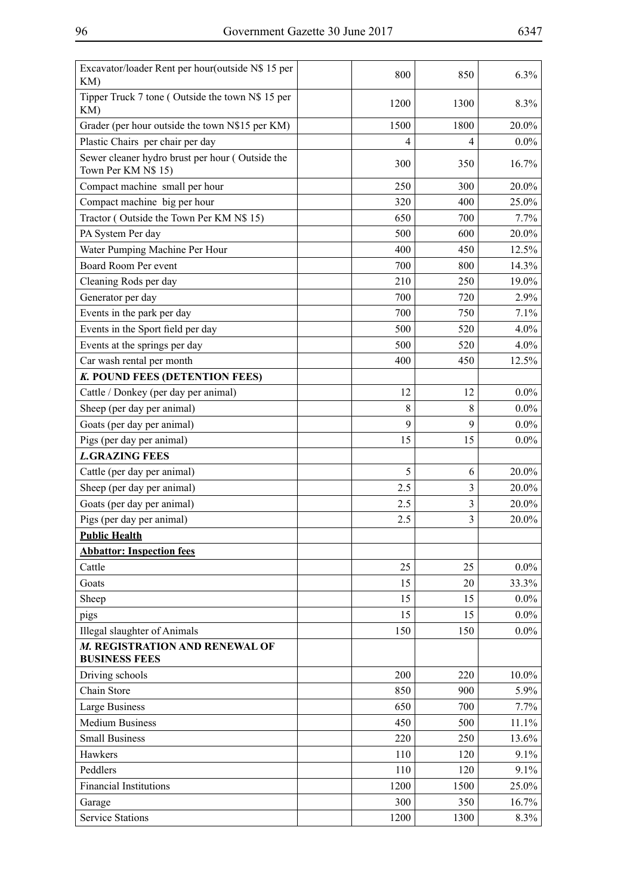| Excavator/loader Rent per hour(outside N\$ 15 per<br>KM)               | 800  | 850  | 6.3%    |
|------------------------------------------------------------------------|------|------|---------|
| Tipper Truck 7 tone (Outside the town N\$ 15 per<br>KM)                | 1200 | 1300 | 8.3%    |
| Grader (per hour outside the town N\$15 per KM)                        | 1500 | 1800 | 20.0%   |
| Plastic Chairs per chair per day                                       | 4    | 4    | $0.0\%$ |
| Sewer cleaner hydro brust per hour (Outside the<br>Town Per KM N\$ 15) | 300  | 350  | 16.7%   |
| Compact machine small per hour                                         | 250  | 300  | 20.0%   |
| Compact machine big per hour                                           | 320  | 400  | 25.0%   |
| Tractor (Outside the Town Per KM N\$ 15)                               | 650  | 700  | 7.7%    |
| PA System Per day                                                      | 500  | 600  | 20.0%   |
| Water Pumping Machine Per Hour                                         | 400  | 450  | 12.5%   |
| Board Room Per event                                                   | 700  | 800  | 14.3%   |
| Cleaning Rods per day                                                  | 210  | 250  | 19.0%   |
| Generator per day                                                      | 700  | 720  | 2.9%    |
| Events in the park per day                                             | 700  | 750  | 7.1%    |
| Events in the Sport field per day                                      | 500  | 520  | 4.0%    |
| Events at the springs per day                                          | 500  | 520  | 4.0%    |
| Car wash rental per month                                              | 400  | 450  | 12.5%   |
| K. POUND FEES (DETENTION FEES)                                         |      |      |         |
| Cattle / Donkey (per day per animal)                                   | 12   | 12   | $0.0\%$ |
| Sheep (per day per animal)                                             | 8    | 8    | $0.0\%$ |
| Goats (per day per animal)                                             | 9    | 9    | $0.0\%$ |
| Pigs (per day per animal)                                              | 15   | 15   | $0.0\%$ |
| <b>L.GRAZING FEES</b>                                                  |      |      |         |
| Cattle (per day per animal)                                            | 5    | 6    | 20.0%   |
| Sheep (per day per animal)                                             | 2.5  | 3    | 20.0%   |
| Goats (per day per animal)                                             | 2.5  | 3    | 20.0%   |
| Pigs (per day per animal)                                              | 2.5  | 3    | 20.0%   |
| <b>Public Health</b>                                                   |      |      |         |
| <b>Abbattor: Inspection fees</b>                                       |      |      |         |
| Cattle                                                                 | 25   | 25   | $0.0\%$ |
| Goats                                                                  | 15   | 20   | 33.3%   |
| Sheep                                                                  | 15   | 15   | $0.0\%$ |
| pigs                                                                   | 15   | 15   | $0.0\%$ |
| <b>Illegal slaughter of Animals</b>                                    | 150  | 150  | $0.0\%$ |
| M. REGISTRATION AND RENEWAL OF<br><b>BUSINESS FEES</b>                 |      |      |         |
| Driving schools                                                        | 200  | 220  | 10.0%   |
| Chain Store                                                            | 850  | 900  | 5.9%    |
| <b>Large Business</b>                                                  | 650  | 700  | 7.7%    |
| <b>Medium Business</b>                                                 | 450  | 500  | 11.1%   |
| <b>Small Business</b>                                                  | 220  | 250  | 13.6%   |
| Hawkers                                                                | 110  | 120  | 9.1%    |
| Peddlers                                                               | 110  | 120  | 9.1%    |
| <b>Financial Institutions</b>                                          | 1200 | 1500 | 25.0%   |
| Garage                                                                 | 300  | 350  | 16.7%   |
| <b>Service Stations</b>                                                | 1200 | 1300 | 8.3%    |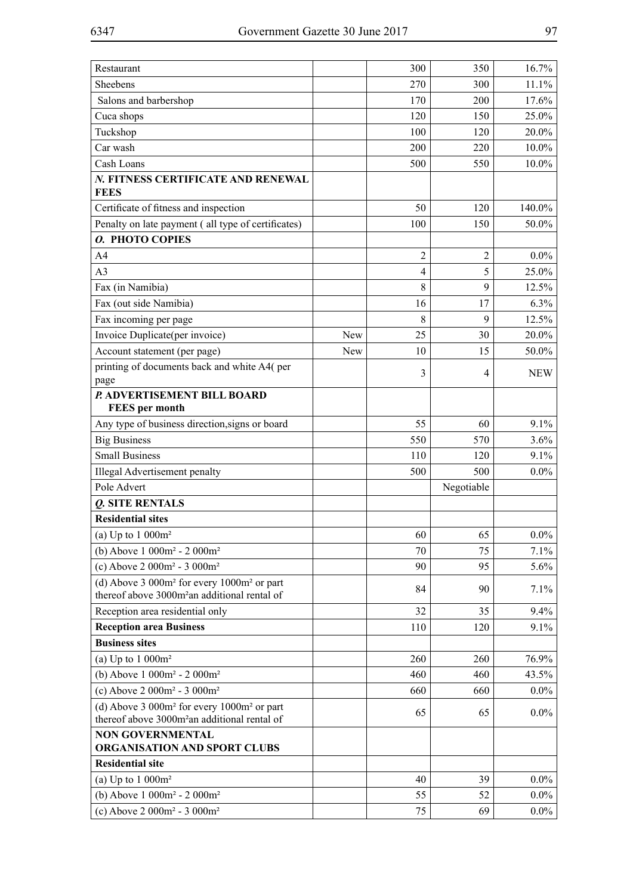| Restaurant                                                                                                  |     | 300            | 350            | 16.7%      |
|-------------------------------------------------------------------------------------------------------------|-----|----------------|----------------|------------|
| Sheebens                                                                                                    |     | 270            | 300            | 11.1%      |
| Salons and barbershop                                                                                       |     | 170            | 200            | 17.6%      |
| Cuca shops                                                                                                  |     | 120            | 150            | 25.0%      |
| Tuckshop                                                                                                    |     | 100            | 120            | 20.0%      |
| Car wash                                                                                                    |     | 200            | 220            | 10.0%      |
| Cash Loans                                                                                                  |     | 500            | 550            | 10.0%      |
| N. FITNESS CERTIFICATE AND RENEWAL                                                                          |     |                |                |            |
| <b>FEES</b>                                                                                                 |     |                |                |            |
| Certificate of fitness and inspection                                                                       |     | 50             | 120            | 140.0%     |
| Penalty on late payment (all type of certificates)                                                          |     | 100            | 150            | 50.0%      |
| O. PHOTO COPIES                                                                                             |     |                |                |            |
| A <sub>4</sub>                                                                                              |     | $\overline{2}$ | $\overline{2}$ | $0.0\%$    |
| A <sub>3</sub>                                                                                              |     | $\overline{4}$ | 5              | 25.0%      |
| Fax (in Namibia)                                                                                            |     | 8              | 9              | 12.5%      |
| Fax (out side Namibia)                                                                                      |     | 16             | 17             | 6.3%       |
| Fax incoming per page                                                                                       |     | 8              | 9              | 12.5%      |
| Invoice Duplicate(per invoice)                                                                              | New | 25             | 30             | 20.0%      |
| Account statement (per page)                                                                                | New | 10             | 15             | 50.0%      |
| printing of documents back and white A4(per                                                                 |     | 3              | 4              | <b>NEW</b> |
| page                                                                                                        |     |                |                |            |
| P. ADVERTISEMENT BILL BOARD<br><b>FEES</b> per month                                                        |     |                |                |            |
| Any type of business direction, signs or board                                                              |     | 55             | 60             | 9.1%       |
| <b>Big Business</b>                                                                                         |     | 550            | 570            | 3.6%       |
| <b>Small Business</b>                                                                                       |     | 110            | 120            | 9.1%       |
| Illegal Advertisement penalty                                                                               |     | 500            | 500            | $0.0\%$    |
| Pole Advert                                                                                                 |     |                | Negotiable     |            |
| Q. SITE RENTALS                                                                                             |     |                |                |            |
| <b>Residential sites</b>                                                                                    |     |                |                |            |
| (a) Up to $1000m^2$                                                                                         |     | 60             | 65             | $0.0\%$    |
| (b) Above $1000m^2 - 2000m^2$                                                                               |     | 70             | 75             | 7.1%       |
| (c) Above $2000m^2 - 3000m^2$                                                                               |     | 90             | 95             | 5.6%       |
| (d) Above $3000m^2$ for every $1000m^2$ or part<br>thereof above 3000m <sup>2</sup> an additional rental of |     | 84             | 90             | 7.1%       |
| Reception area residential only                                                                             |     | 32             | 35             | 9.4%       |
| <b>Reception area Business</b>                                                                              |     | 110            | 120            | 9.1%       |
| <b>Business sites</b>                                                                                       |     |                |                |            |
| (a) Up to $1000m^2$                                                                                         |     | 260            | 260            | 76.9%      |
| (b) Above 1 000m <sup>2</sup> - 2 000m <sup>2</sup>                                                         |     | 460            | 460            | 43.5%      |
| (c) Above $2000m^2 - 3000m^2$                                                                               |     | 660            | 660            | $0.0\%$    |
| (d) Above $3000m^2$ for every $1000m^2$ or part                                                             |     | 65             | 65             | $0.0\%$    |
| thereof above 3000m <sup>2</sup> an additional rental of                                                    |     |                |                |            |
| <b>NON GOVERNMENTAL</b><br>ORGANISATION AND SPORT CLUBS                                                     |     |                |                |            |
| <b>Residential site</b>                                                                                     |     |                |                |            |
| (a) Up to $1000m^2$                                                                                         |     | 40             | 39             | $0.0\%$    |
| (b) Above 1 000m <sup>2</sup> - 2 000m <sup>2</sup>                                                         |     | 55             | 52             | $0.0\%$    |
| (c) Above $2000m^2 - 3000m^2$                                                                               |     | 75             | 69             | $0.0\%$    |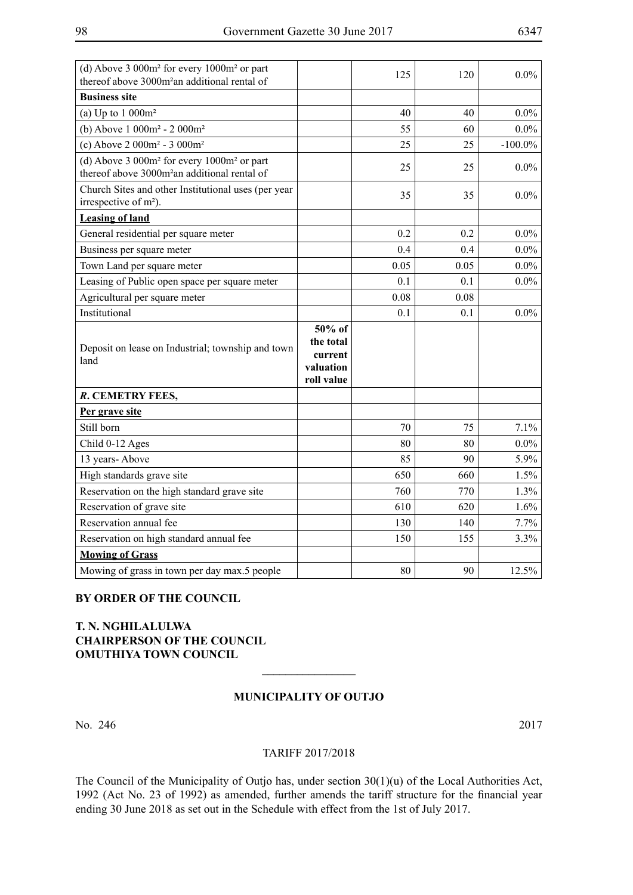| (d) Above $3000m^2$ for every $1000m^2$ or part<br>thereof above 3000m <sup>2</sup> an additional rental of |                                                           | 125  | 120  | $0.0\%$    |
|-------------------------------------------------------------------------------------------------------------|-----------------------------------------------------------|------|------|------------|
| <b>Business site</b>                                                                                        |                                                           |      |      |            |
| (a) Up to $1000m^2$                                                                                         |                                                           | 40   | 40   | $0.0\%$    |
| (b) Above $1000m^2 - 2000m^2$                                                                               |                                                           | 55   | 60   | $0.0\%$    |
| (c) Above $2000m^2 - 3000m^2$                                                                               |                                                           | 25   | 25   | $-100.0\%$ |
| (d) Above $3000m^2$ for every $1000m^2$ or part<br>thereof above 3000m <sup>2</sup> an additional rental of |                                                           | 25   | 25   | $0.0\%$    |
| Church Sites and other Institutional uses (per year<br>irrespective of m <sup>2</sup> ).                    |                                                           | 35   | 35   | $0.0\%$    |
| <b>Leasing of land</b>                                                                                      |                                                           |      |      |            |
| General residential per square meter                                                                        |                                                           | 0.2  | 0.2  | $0.0\%$    |
| Business per square meter                                                                                   |                                                           | 0.4  | 0.4  | $0.0\%$    |
| Town Land per square meter                                                                                  |                                                           | 0.05 | 0.05 | $0.0\%$    |
| Leasing of Public open space per square meter                                                               |                                                           | 0.1  | 0.1  | $0.0\%$    |
| Agricultural per square meter                                                                               |                                                           | 0.08 | 0.08 |            |
| Institutional                                                                                               |                                                           | 0.1  | 0.1  | $0.0\%$    |
| Deposit on lease on Industrial; township and town<br>land                                                   | 50% of<br>the total<br>current<br>valuation<br>roll value |      |      |            |
| R. CEMETRY FEES,                                                                                            |                                                           |      |      |            |
| Per grave site                                                                                              |                                                           |      |      |            |
| Still born                                                                                                  |                                                           | 70   | 75   | 7.1%       |
| Child 0-12 Ages                                                                                             |                                                           | 80   | 80   | $0.0\%$    |
| 13 years-Above                                                                                              |                                                           | 85   | 90   | $5.9\%$    |
| High standards grave site                                                                                   |                                                           | 650  | 660  | 1.5%       |
| Reservation on the high standard grave site                                                                 |                                                           | 760  | 770  | 1.3%       |
| Reservation of grave site                                                                                   |                                                           | 610  | 620  | 1.6%       |
| Reservation annual fee                                                                                      |                                                           | 130  | 140  | 7.7%       |
| Reservation on high standard annual fee                                                                     |                                                           | 150  | 155  | 3.3%       |
| <b>Mowing of Grass</b>                                                                                      |                                                           |      |      |            |
| Mowing of grass in town per day max.5 people                                                                |                                                           |      |      |            |

## **BY ORDER OF THE COUNCIL**

## **T. N. NGHILALULWA CHAIRPERSON OF THE COUNCIL OMUTHIYA TOWN COUNCIL**

## **MUNICIPALITY OF OUTJO**

 $\frac{1}{2}$ 

No. 246 2017

#### TARIFF 2017/2018

The Council of the Municipality of Outjo has, under section 30(1)(u) of the Local Authorities Act, 1992 (Act No. 23 of 1992) as amended, further amends the tariff structure for the financial year ending 30 June 2018 as set out in the Schedule with effect from the 1st of July 2017.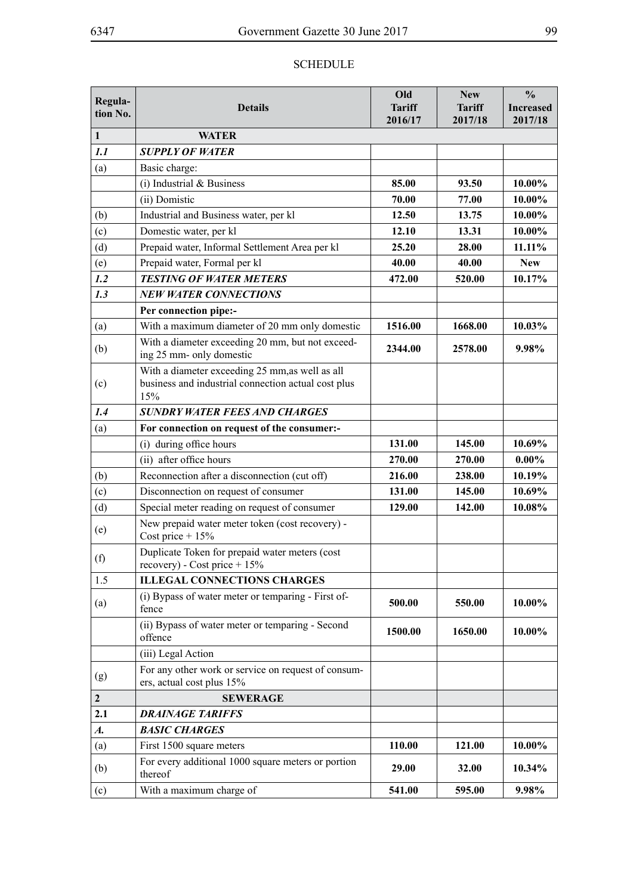## SCHEDULE

| Regula-            |                                                                                                               | Old                | <b>New</b>    | $\frac{0}{0}$    |
|--------------------|---------------------------------------------------------------------------------------------------------------|--------------------|---------------|------------------|
| tion No.           | <b>Details</b>                                                                                                | <b>Tariff</b>      | <b>Tariff</b> | <b>Increased</b> |
| $\mathbf{1}$       | <b>WATER</b>                                                                                                  | 2016/17            | 2017/18       | 2017/18          |
| 1.1                | <b>SUPPLY OF WATER</b>                                                                                        |                    |               |                  |
| (a)                | Basic charge:                                                                                                 |                    |               |                  |
|                    | (i) Industrial $&$ Business                                                                                   | 85.00              | 93.50         | 10.00%           |
|                    | (ii) Domistic                                                                                                 | 70.00              | 77.00         | 10.00%           |
| (b)                | Industrial and Business water, per kl                                                                         | 12.50              | 13.75         | 10.00%           |
| (c)                | Domestic water, per kl                                                                                        | 12.10              | 13.31         | 10.00%           |
| (d)                | Prepaid water, Informal Settlement Area per kl                                                                | 25.20              | 28.00         | $11.11\%$        |
| (e)                | Prepaid water, Formal per kl                                                                                  | 40.00              | 40.00         | <b>New</b>       |
| 1.2                | <b>TESTING OF WATER METERS</b>                                                                                | 472.00             | 520.00        | 10.17%           |
| 1.3                | <b>NEW WATER CONNECTIONS</b>                                                                                  |                    |               |                  |
|                    | Per connection pipe:-                                                                                         |                    |               |                  |
| (a)                | With a maximum diameter of 20 mm only domestic                                                                | 1516.00            | 1668.00       | 10.03%           |
| (b)                | With a diameter exceeding 20 mm, but not exceed-<br>ing 25 mm- only domestic                                  | 2344.00<br>2578.00 |               | 9.98%            |
| (c)                | With a diameter exceeding 25 mm, as well as all<br>business and industrial connection actual cost plus<br>15% |                    |               |                  |
| 1.4                | <b>SUNDRY WATER FEES AND CHARGES</b>                                                                          |                    |               |                  |
| (a)                | For connection on request of the consumer:-                                                                   |                    |               |                  |
|                    | (i) during office hours                                                                                       | 131.00             | 145.00        | 10.69%           |
|                    | (ii) after office hours                                                                                       | 270.00             | 270.00        | $0.00\%$         |
| (b)                | Reconnection after a disconnection (cut off)                                                                  | 216.00             | 238.00        | 10.19%           |
| (c)                | Disconnection on request of consumer                                                                          | 131.00             | 145.00        | 10.69%           |
| (d)                | Special meter reading on request of consumer                                                                  | 129.00             | 142.00        | 10.08%           |
| (e)                | New prepaid water meter token (cost recovery) -<br>Cost price + $15%$                                         |                    |               |                  |
| (f)                | Duplicate Token for prepaid water meters (cost<br>recovery) - Cost price + $15\%$                             |                    |               |                  |
| 1.5                | <b>ILLEGAL CONNECTIONS CHARGES</b>                                                                            |                    |               |                  |
| (a)                | (i) Bypass of water meter or temparing - First of-<br>fence                                                   | 500.00             | 550.00        | 10.00%           |
|                    | (ii) Bypass of water meter or temparing - Second<br>offence                                                   | 1500.00            | 1650.00       | 10.00%           |
|                    | (iii) Legal Action                                                                                            |                    |               |                  |
| (g)                | For any other work or service on request of consum-<br>ers, actual cost plus 15%                              |                    |               |                  |
| $\boldsymbol{2}$   | <b>SEWERAGE</b>                                                                                               |                    |               |                  |
| 2.1                | <b>DRAINAGE TARIFFS</b>                                                                                       |                    |               |                  |
| $\boldsymbol{A}$ . | <b>BASIC CHARGES</b>                                                                                          |                    |               |                  |
| (a)                | First 1500 square meters                                                                                      | 110.00             | 121.00        | 10.00%           |
| (b)                | For every additional 1000 square meters or portion<br>thereof                                                 | 29.00              | 32.00         | 10.34%           |
| (c)                | With a maximum charge of                                                                                      | 541.00             | 595.00        | 9.98%            |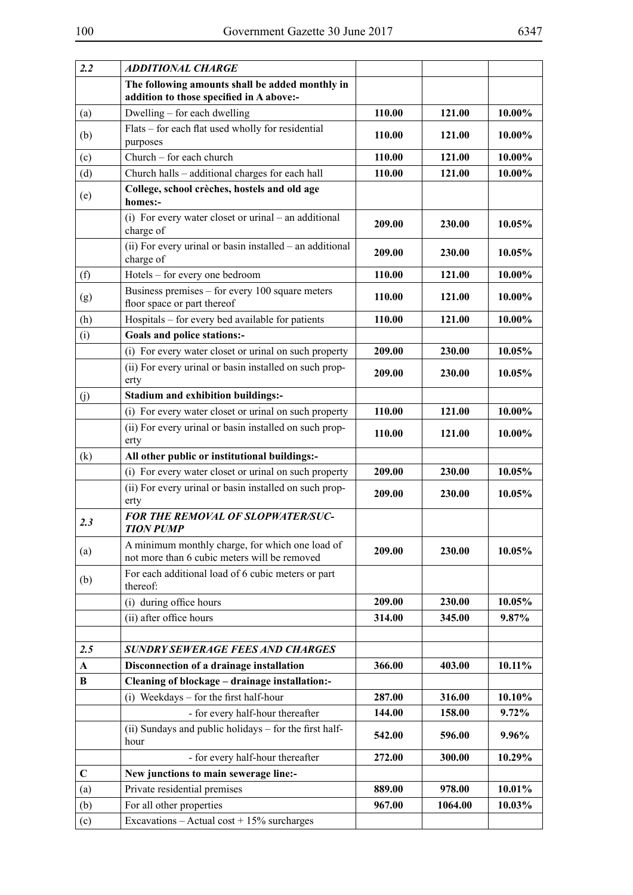| 2.2         | <b>ADDITIONAL CHARGE</b>                                                                        |        |         |        |
|-------------|-------------------------------------------------------------------------------------------------|--------|---------|--------|
|             | The following amounts shall be added monthly in<br>addition to those specified in A above:-     |        |         |        |
| (a)         | Dwelling – for each dwelling                                                                    | 110.00 | 121.00  | 10.00% |
| (b)         | Flats – for each flat used wholly for residential<br>purposes                                   | 110.00 | 121.00  | 10.00% |
| (c)         | Church - for each church                                                                        | 110.00 | 121.00  | 10.00% |
| (d)         | Church halls - additional charges for each hall                                                 | 110.00 | 121.00  | 10.00% |
| (e)         | College, school crèches, hostels and old age<br>homes:-                                         |        |         |        |
|             | (i) For every water closet or urinal – an additional<br>charge of                               | 209.00 | 230.00  | 10.05% |
|             | (ii) For every urinal or basin installed – an additional<br>charge of                           | 209.00 | 230.00  | 10.05% |
| (f)         | Hotels – for every one bedroom                                                                  | 110.00 | 121.00  | 10.00% |
| (g)         | Business premises - for every 100 square meters<br>floor space or part thereof                  | 110.00 | 121.00  | 10.00% |
| (h)         | Hospitals – for every bed available for patients                                                | 110.00 | 121.00  | 10.00% |
| (i)         | Goals and police stations:-                                                                     |        |         |        |
|             | (i) For every water closet or urinal on such property                                           | 209.00 | 230.00  | 10.05% |
|             | (ii) For every urinal or basin installed on such prop-<br>erty                                  | 209.00 | 230.00  | 10.05% |
| (j)         | <b>Stadium and exhibition buildings:-</b>                                                       |        |         |        |
|             | (i) For every water closet or urinal on such property                                           | 110.00 | 121.00  | 10.00% |
|             | (ii) For every urinal or basin installed on such prop-<br>erty                                  | 110.00 | 121.00  | 10.00% |
| (k)         | All other public or institutional buildings:-                                                   |        |         |        |
|             | (i) For every water closet or urinal on such property                                           | 209.00 | 230.00  | 10.05% |
|             | (ii) For every urinal or basin installed on such prop-<br>erty                                  | 209.00 | 230.00  | 10.05% |
| 2.3         | FOR THE REMOVAL OF SLOPWATER/SUC-<br><b>TION PUMP</b>                                           |        |         |        |
| (a)         | A minimum monthly charge, for which one load of<br>not more than 6 cubic meters will be removed | 209.00 | 230.00  | 10.05% |
| (b)         | For each additional load of 6 cubic meters or part<br>thereof:                                  |        |         |        |
|             | (i) during office hours                                                                         | 209.00 | 230.00  | 10.05% |
|             | (ii) after office hours                                                                         | 314.00 | 345.00  | 9.87%  |
|             |                                                                                                 |        |         |        |
| 2.5         | <b>SUNDRY SEWERAGE FEES AND CHARGES</b>                                                         |        |         |        |
| $\mathbf A$ | Disconnection of a drainage installation                                                        | 366.00 | 403.00  | 10.11% |
| B           | Cleaning of blockage - drainage installation:-                                                  |        |         |        |
|             | (i) Weekdays – for the first half-hour                                                          | 287.00 | 316.00  | 10.10% |
|             | - for every half-hour thereafter                                                                | 144.00 | 158.00  | 9.72%  |
|             | (ii) Sundays and public holidays – for the first half-<br>hour                                  | 542.00 | 596.00  | 9.96%  |
|             | - for every half-hour thereafter                                                                | 272.00 | 300.00  | 10.29% |
| $\mathbf C$ | New junctions to main sewerage line:-                                                           |        |         |        |
| (a)         | Private residential premises                                                                    | 889.00 | 978.00  | 10.01% |
| (b)         | For all other properties                                                                        | 967.00 | 1064.00 | 10.03% |
| (c)         | Excavations - Actual cost + $15\%$ surcharges                                                   |        |         |        |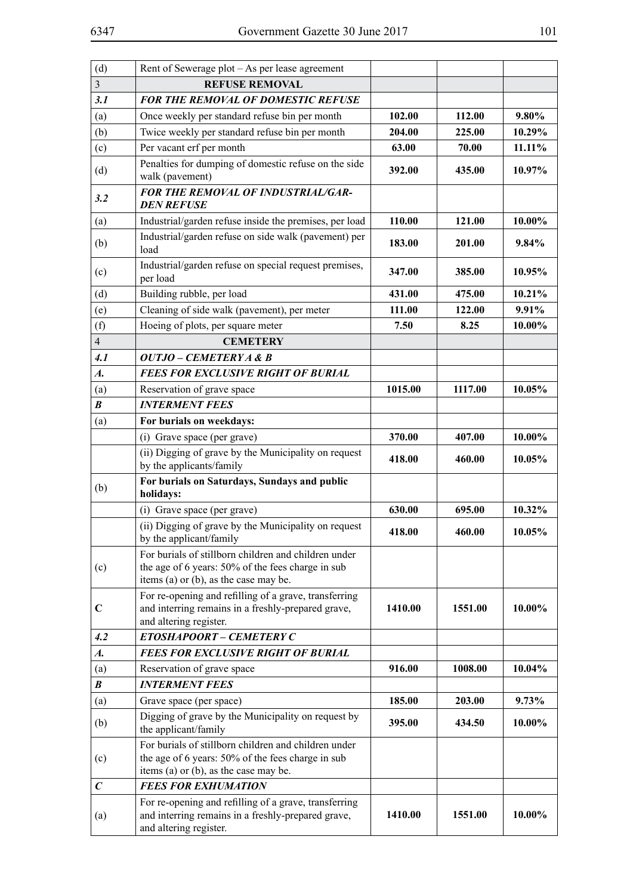| (d)                | Rent of Sewerage plot - As per lease agreement                                                                                                     |         |         |          |
|--------------------|----------------------------------------------------------------------------------------------------------------------------------------------------|---------|---------|----------|
| $\overline{3}$     | <b>REFUSE REMOVAL</b>                                                                                                                              |         |         |          |
| 3.1                | <b>FOR THE REMOVAL OF DOMESTIC REFUSE</b>                                                                                                          |         |         |          |
| (a)                | Once weekly per standard refuse bin per month                                                                                                      | 102.00  | 112.00  | 9.80%    |
| (b)                | Twice weekly per standard refuse bin per month                                                                                                     | 204.00  | 225.00  | 10.29%   |
| (c)                | Per vacant erf per month                                                                                                                           | 63.00   | 70.00   | 11.11%   |
| (d)                | Penalties for dumping of domestic refuse on the side<br>walk (pavement)                                                                            | 392.00  | 435.00  | 10.97%   |
| 3.2                | FOR THE REMOVAL OF INDUSTRIAL/GAR-<br><b>DEN REFUSE</b>                                                                                            |         |         |          |
| (a)                | Industrial/garden refuse inside the premises, per load                                                                                             | 110.00  | 121.00  | 10.00%   |
| (b)                | Industrial/garden refuse on side walk (pavement) per<br>load                                                                                       | 183.00  | 201.00  | $9.84\%$ |
| (c)                | Industrial/garden refuse on special request premises,<br>per load                                                                                  | 347.00  | 385.00  | 10.95%   |
| (d)                | Building rubble, per load                                                                                                                          | 431.00  | 475.00  | 10.21%   |
| (e)                | Cleaning of side walk (pavement), per meter                                                                                                        | 111.00  | 122.00  | 9.91%    |
| (f)                | Hoeing of plots, per square meter                                                                                                                  | 7.50    | 8.25    | 10.00%   |
| $\overline{4}$     | <b>CEMETERY</b>                                                                                                                                    |         |         |          |
| 4.1                | OUTJO – CEMETERY A & B                                                                                                                             |         |         |          |
| $\boldsymbol{A}$ . | <b>FEES FOR EXCLUSIVE RIGHT OF BURIAL</b>                                                                                                          |         |         |          |
| (a)                | Reservation of grave space                                                                                                                         | 1015.00 | 1117.00 | 10.05%   |
| $\boldsymbol{B}$   | <b>INTERMENT FEES</b>                                                                                                                              |         |         |          |
| (a)                | For burials on weekdays:                                                                                                                           |         |         |          |
|                    | (i) Grave space (per grave)                                                                                                                        | 370.00  | 407.00  | 10.00%   |
|                    | (ii) Digging of grave by the Municipality on request<br>by the applicants/family                                                                   | 418.00  | 460.00  | 10.05%   |
| (b)                | For burials on Saturdays, Sundays and public<br>holidays:                                                                                          |         |         |          |
|                    | (i) Grave space (per grave)                                                                                                                        | 630.00  | 695.00  | 10.32%   |
|                    | (ii) Digging of grave by the Municipality on request<br>by the applicant/family                                                                    | 418.00  | 460.00  | 10.05%   |
| (c)                | For burials of stillborn children and children under<br>the age of 6 years: 50% of the fees charge in sub<br>items (a) or (b), as the case may be. |         |         |          |
| $\mathbf C$        | For re-opening and refilling of a grave, transferring<br>and interring remains in a freshly-prepared grave,<br>and altering register.              | 1410.00 | 1551.00 | 10.00%   |
| 4.2                | ETOSHAPOORT - CEMETERY C                                                                                                                           |         |         |          |
| $\boldsymbol{A}$ . | <b>FEES FOR EXCLUSIVE RIGHT OF BURIAL</b>                                                                                                          |         |         |          |
| (a)                | Reservation of grave space                                                                                                                         | 916.00  | 1008.00 | 10.04%   |
| $\boldsymbol{B}$   | <b>INTERMENT FEES</b>                                                                                                                              |         |         |          |
| (a)                | Grave space (per space)                                                                                                                            | 185.00  | 203.00  | $9.73\%$ |
| (b)                | Digging of grave by the Municipality on request by<br>the applicant/family                                                                         | 395.00  | 434.50  | 10.00%   |
| (c)                | For burials of stillborn children and children under<br>the age of 6 years: 50% of the fees charge in sub<br>items (a) or (b), as the case may be. |         |         |          |
| $\boldsymbol{C}$   | <b>FEES FOR EXHUMATION</b>                                                                                                                         |         |         |          |
| (a)                | For re-opening and refilling of a grave, transferring<br>and interring remains in a freshly-prepared grave,<br>and altering register.              | 1410.00 | 1551.00 | 10.00%   |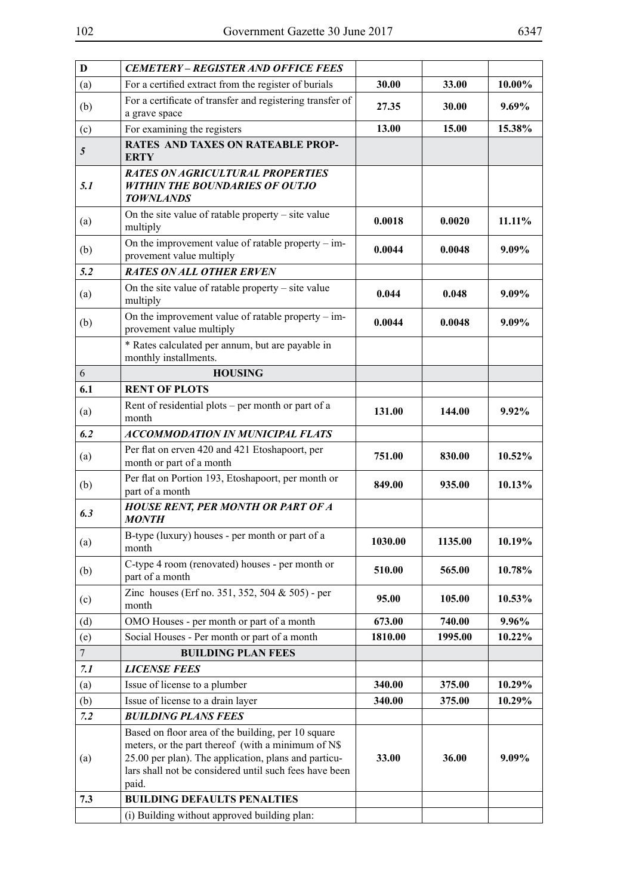| $\mathbf{D}$    | <b>CEMETERY - REGISTER AND OFFICE FEES</b>                                                                                                                       |                |         |        |
|-----------------|------------------------------------------------------------------------------------------------------------------------------------------------------------------|----------------|---------|--------|
| (a)             | For a certified extract from the register of burials                                                                                                             | 30.00<br>33.00 |         | 10.00% |
| (b)             | For a certificate of transfer and registering transfer of<br>a grave space                                                                                       | 27.35          | 30.00   | 9.69%  |
| (c)             | For examining the registers                                                                                                                                      | 13.00          | 15.00   | 15.38% |
| 5               | <b>RATES AND TAXES ON RATEABLE PROP-</b><br><b>ERTY</b>                                                                                                          |                |         |        |
| 5.1             | <b>RATES ON AGRICULTURAL PROPERTIES</b><br><b>WITHIN THE BOUNDARIES OF OUTJO</b><br><b>TOWNLANDS</b>                                                             |                |         |        |
| (a)             | On the site value of ratable property $-$ site value<br>multiply                                                                                                 | 0.0018         | 0.0020  | 11.11% |
| (b)             | On the improvement value of ratable property $-$ im-<br>provement value multiply                                                                                 | 0.0044         | 0.0048  | 9.09%  |
| 5.2             | <b>RATES ON ALL OTHER ERVEN</b>                                                                                                                                  |                |         |        |
| (a)             | On the site value of ratable property $-$ site value<br>multiply                                                                                                 | 0.044          | 0.048   | 9.09%  |
| (b)             | On the improvement value of ratable property $-$ im-<br>provement value multiply                                                                                 | 0.0044         | 0.0048  | 9.09%  |
|                 | * Rates calculated per annum, but are payable in<br>monthly installments.                                                                                        |                |         |        |
| 6               | <b>HOUSING</b>                                                                                                                                                   |                |         |        |
| 6.1             | <b>RENT OF PLOTS</b>                                                                                                                                             |                |         |        |
| (a)             | Rent of residential plots – per month or part of a<br>month                                                                                                      | 131.00         | 144.00  | 9.92%  |
| 6.2             | <b>ACCOMMODATION IN MUNICIPAL FLATS</b>                                                                                                                          |                |         |        |
| (a)             | Per flat on erven 420 and 421 Etoshapoort, per<br>month or part of a month                                                                                       | 751.00         | 830.00  | 10.52% |
| (b)             | Per flat on Portion 193, Etoshapoort, per month or<br>part of a month                                                                                            | 849.00         | 935.00  | 10.13% |
| 6.3             | <b>HOUSE RENT, PER MONTH OR PART OF A</b><br><b>MONTH</b>                                                                                                        |                |         |        |
| (a)             | B-type (luxury) houses - per month or part of a<br>month                                                                                                         | 1030.00        | 1135.00 | 10.19% |
| (b)             | C-type 4 room (renovated) houses - per month or<br>part of a month                                                                                               | 510.00         | 565.00  | 10.78% |
| (c)             | Zinc houses (Erf no. 351, 352, 504 & 505) - per<br>month                                                                                                         | 95.00          | 105.00  | 10.53% |
| (d)             | OMO Houses - per month or part of a month                                                                                                                        | 673.00         | 740.00  | 9.96%  |
| (e)             | Social Houses - Per month or part of a month                                                                                                                     | 1810.00        | 1995.00 | 10.22% |
| $7\overline{ }$ | <b>BUILDING PLAN FEES</b>                                                                                                                                        |                |         |        |
| 7.1             | <b>LICENSE FEES</b>                                                                                                                                              |                |         |        |
| (a)             | Issue of license to a plumber                                                                                                                                    | 340.00         | 375.00  | 10.29% |
| (b)             | Issue of license to a drain layer                                                                                                                                | 340.00         | 375.00  | 10.29% |
| 7.2             | <b>BUILDING PLANS FEES</b>                                                                                                                                       |                |         |        |
| (a)             | Based on floor area of the building, per 10 square<br>meters, or the part thereof (with a minimum of N\$<br>25.00 per plan). The application, plans and particu- | 33.00          | 36.00   | 9.09%  |
|                 | lars shall not be considered until such fees have been<br>paid.                                                                                                  |                |         |        |
| 7.3             | <b>BUILDING DEFAULTS PENALTIES</b>                                                                                                                               |                |         |        |
|                 | (i) Building without approved building plan:                                                                                                                     |                |         |        |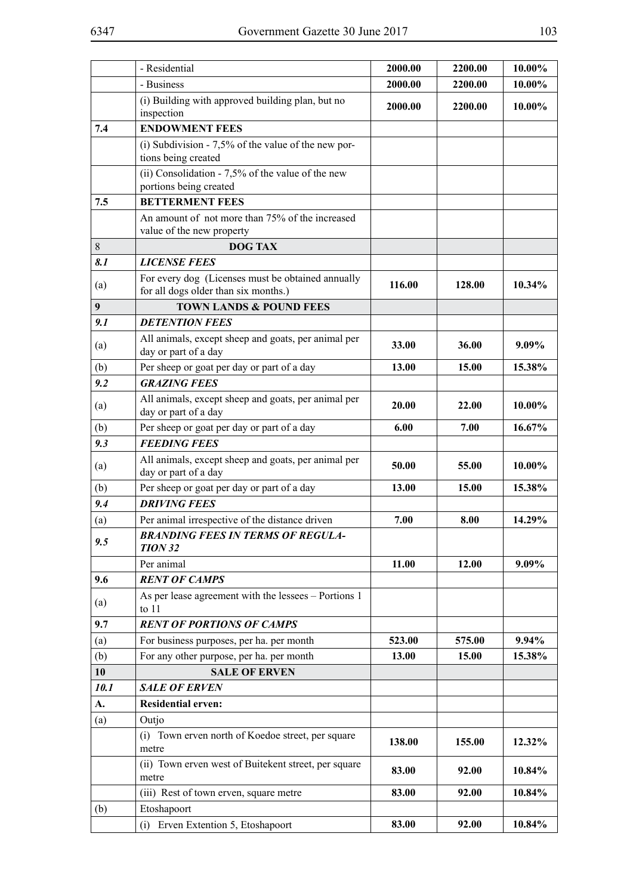|                | - Residential                                                                             | 2000.00 | 2200.00 | 10.00% |
|----------------|-------------------------------------------------------------------------------------------|---------|---------|--------|
|                | - Business                                                                                | 2000.00 | 2200.00 | 10.00% |
|                | (i) Building with approved building plan, but no<br>inspection                            | 2000.00 | 2200.00 | 10.00% |
| 7.4            | <b>ENDOWMENT FEES</b>                                                                     |         |         |        |
|                | (i) Subdivision - $7,5\%$ of the value of the new por-<br>tions being created             |         |         |        |
|                | (ii) Consolidation - $7,5%$ of the value of the new<br>portions being created             |         |         |        |
| 7.5            | <b>BETTERMENT FEES</b>                                                                    |         |         |        |
|                | An amount of not more than 75% of the increased<br>value of the new property              |         |         |        |
| 8              | <b>DOG TAX</b>                                                                            |         |         |        |
| 8.1            | <b>LICENSE FEES</b>                                                                       |         |         |        |
| (a)            | For every dog (Licenses must be obtained annually<br>for all dogs older than six months.) | 116.00  | 128.00  | 10.34% |
| 9 <sup>°</sup> | <b>TOWN LANDS &amp; POUND FEES</b>                                                        |         |         |        |
| 9.1            | <b>DETENTION FEES</b>                                                                     |         |         |        |
| (a)            | All animals, except sheep and goats, per animal per<br>day or part of a day               | 33.00   | 36.00   | 9.09%  |
| (b)            | Per sheep or goat per day or part of a day                                                | 13.00   | 15.00   | 15.38% |
| 9.2            | <b>GRAZING FEES</b>                                                                       |         |         |        |
| (a)            | All animals, except sheep and goats, per animal per<br>day or part of a day               | 20.00   | 22.00   | 10.00% |
| (b)            | Per sheep or goat per day or part of a day                                                | 6.00    | 7.00    | 16.67% |
| 9.3            | <b>FEEDING FEES</b>                                                                       |         |         |        |
| (a)            | All animals, except sheep and goats, per animal per<br>day or part of a day               | 50.00   | 55.00   | 10.00% |
| (b)            | Per sheep or goat per day or part of a day                                                | 13.00   | 15.00   | 15.38% |
| 9.4            | <b>DRIVING FEES</b>                                                                       |         |         |        |
| (a)            | Per animal irrespective of the distance driven                                            | 7.00    | 8.00    | 14.29% |
| 9.5            | <b>BRANDING FEES IN TERMS OF REGULA-</b><br><b>TION 32</b>                                |         |         |        |
|                | Per animal                                                                                | 11.00   | 12.00   | 9.09%  |
| 9.6            | <b>RENT OF CAMPS</b>                                                                      |         |         |        |
| (a)            | As per lease agreement with the lessees - Portions 1<br>to $11$                           |         |         |        |
| 9.7            | <b>RENT OF PORTIONS OF CAMPS</b>                                                          |         |         |        |
| (a)            | For business purposes, per ha. per month                                                  | 523.00  | 575.00  | 9.94%  |
| (b)            | For any other purpose, per ha. per month                                                  | 13.00   | 15.00   | 15.38% |
| 10             | <b>SALE OF ERVEN</b>                                                                      |         |         |        |
| 10.1           | <b>SALE OF ERVEN</b>                                                                      |         |         |        |
| A.             | <b>Residential erven:</b>                                                                 |         |         |        |
| (a)            | Outjo                                                                                     |         |         |        |
|                | (i) Town erven north of Koedoe street, per square<br>metre                                | 138.00  | 155.00  | 12.32% |
|                | (ii) Town erven west of Buitekent street, per square<br>metre                             | 83.00   | 92.00   | 10.84% |
|                | (iii) Rest of town erven, square metre                                                    | 83.00   | 92.00   | 10.84% |
| (b)            | Etoshapoort                                                                               |         |         |        |
|                | (i) Erven Extention 5, Etoshapoort                                                        | 83.00   | 92.00   | 10.84% |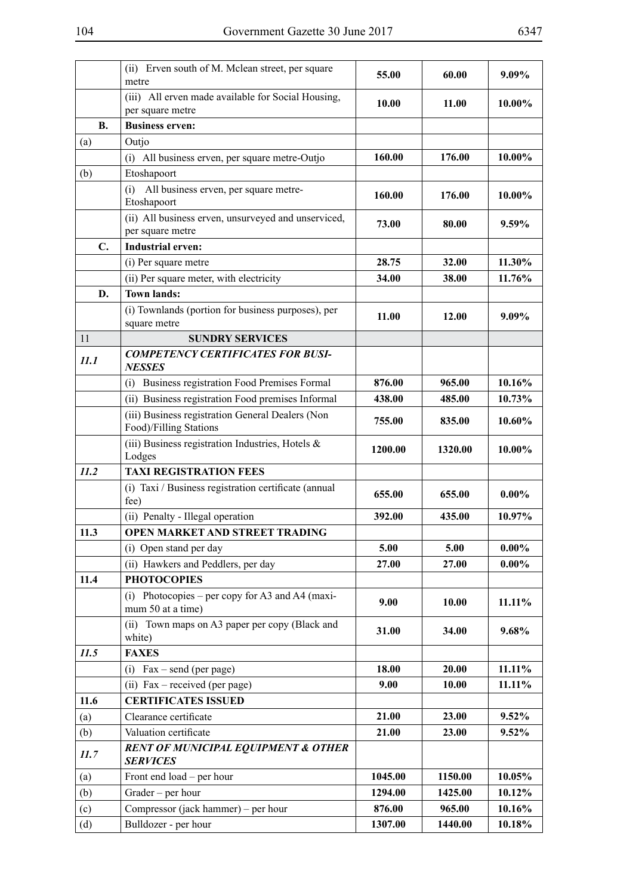|           | (ii) Erven south of M. Mclean street, per square<br>metre                  | 55.00   | 60.00   | 9.09%    |
|-----------|----------------------------------------------------------------------------|---------|---------|----------|
|           | (iii) All erven made available for Social Housing,<br>per square metre     | 10.00   | 11.00   | 10.00%   |
| <b>B.</b> | <b>Business erven:</b>                                                     |         |         |          |
| (a)       | Outjo                                                                      |         |         |          |
|           | (i) All business erven, per square metre-Outjo                             | 160.00  | 176.00  | 10.00%   |
| (b)       | Etoshapoort                                                                |         |         |          |
|           | All business erven, per square metre-<br>(i)<br>Etoshapoort                | 160.00  | 176.00  | 10.00%   |
|           | (ii) All business erven, unsurveyed and unserviced,<br>per square metre    | 73.00   | 80.00   | 9.59%    |
| C.        | <b>Industrial erven:</b>                                                   |         |         |          |
|           | (i) Per square metre                                                       | 28.75   | 32.00   | 11.30%   |
|           | (ii) Per square meter, with electricity                                    | 34.00   | 38.00   | 11.76%   |
| D.        | <b>Town lands:</b>                                                         |         |         |          |
|           | (i) Townlands (portion for business purposes), per<br>square metre         | 11.00   | 12.00   | 9.09%    |
| 11        | <b>SUNDRY SERVICES</b>                                                     |         |         |          |
| 11.1      | <b>COMPETENCY CERTIFICATES FOR BUSI-</b><br><b>NESSES</b>                  |         |         |          |
|           | Business registration Food Premises Formal<br>(1)                          | 876.00  | 965.00  | 10.16%   |
|           | (ii) Business registration Food premises Informal                          | 438.00  | 485.00  | 10.73%   |
|           | (iii) Business registration General Dealers (Non<br>Food)/Filling Stations | 755.00  | 835.00  | 10.60%   |
|           | (iii) Business registration Industries, Hotels &<br>Lodges                 | 1200.00 | 1320.00 | 10.00%   |
| 11.2      | <b>TAXI REGISTRATION FEES</b>                                              |         |         |          |
|           | (i) Taxi / Business registration certificate (annual<br>fee)               | 655.00  | 655.00  | $0.00\%$ |
|           | (ii) Penalty - Illegal operation                                           | 392.00  | 435.00  | 10.97%   |
| 11.3      | <b>OPEN MARKET AND STREET TRADING</b>                                      |         |         |          |
|           | (i) Open stand per day                                                     | 5.00    | 5.00    | $0.00\%$ |
|           | (ii) Hawkers and Peddlers, per day                                         | 27.00   | 27.00   | $0.00\%$ |
| 11.4      | <b>PHOTOCOPIES</b>                                                         |         |         |          |
|           | (i) Photocopies – per copy for A3 and A4 (maxi-<br>mum 50 at a time)       | 9.00    | 10.00   | 11.11%   |
|           | (ii) Town maps on A3 paper per copy (Black and<br>white)                   | 31.00   | 34.00   | 9.68%    |
| 11.5      | <b>FAXES</b>                                                               |         |         |          |
|           | $\text{Fax} - \text{send}$ (per page)<br>(i)                               | 18.00   | 20.00   | 11.11%   |
|           | (ii) Fax – received (per page)                                             | 9.00    | 10.00   | 11.11%   |
| 11.6      | <b>CERTIFICATES ISSUED</b>                                                 |         |         |          |
| (a)       | Clearance certificate                                                      | 21.00   | 23.00   | 9.52%    |
| (b)       | Valuation certificate                                                      | 21.00   | 23.00   | 9.52%    |
| 11.7      | <b>RENT OF MUNICIPAL EQUIPMENT &amp; OTHER</b><br><b>SERVICES</b>          |         |         |          |
| (a)       | Front end load – per hour                                                  | 1045.00 | 1150.00 | 10.05%   |
| (b)       | Grader – per hour                                                          | 1294.00 | 1425.00 | 10.12%   |
| (c)       | Compressor (jack hammer) – per hour                                        | 876.00  | 965.00  | 10.16%   |
| (d)       | Bulldozer - per hour                                                       | 1307.00 | 1440.00 | 10.18%   |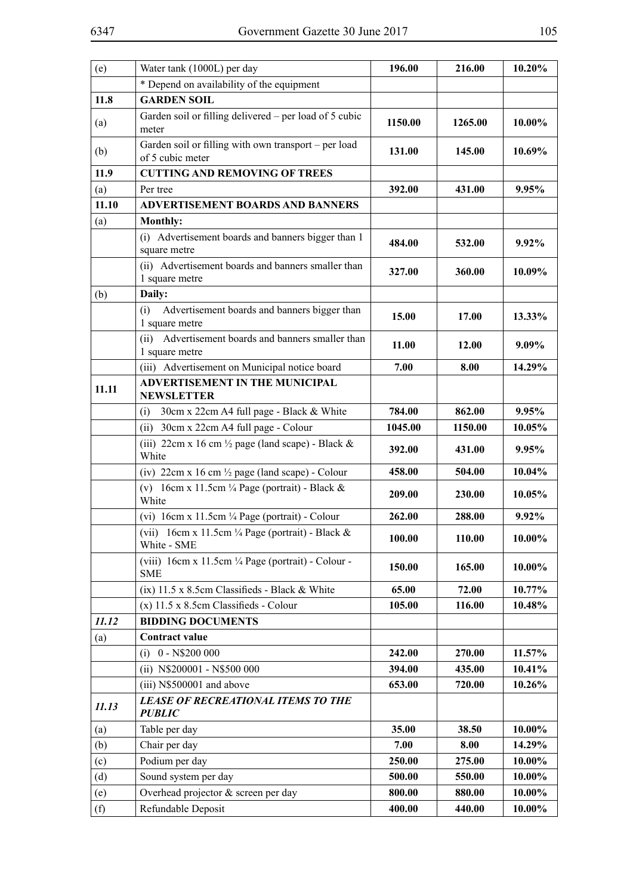| (e)   | Water tank (1000L) per day                                                              | 196.00  | 216.00  | 10.20%    |
|-------|-----------------------------------------------------------------------------------------|---------|---------|-----------|
|       | * Depend on availability of the equipment                                               |         |         |           |
| 11.8  | <b>GARDEN SOIL</b>                                                                      |         |         |           |
| (a)   | Garden soil or filling delivered – per load of 5 cubic<br>meter                         | 1150.00 | 1265.00 | 10.00%    |
| (b)   | Garden soil or filling with own transport - per load<br>of 5 cubic meter                | 131.00  | 145.00  | 10.69%    |
| 11.9  | <b>CUTTING AND REMOVING OF TREES</b>                                                    |         |         |           |
| (a)   | Per tree                                                                                | 392.00  | 431.00  | 9.95%     |
| 11.10 | <b>ADVERTISEMENT BOARDS AND BANNERS</b>                                                 |         |         |           |
| (a)   | <b>Monthly:</b>                                                                         |         |         |           |
|       | (i) Advertisement boards and banners bigger than 1<br>square metre                      | 484.00  | 532.00  | 9.92%     |
|       | (ii) Advertisement boards and banners smaller than<br>1 square metre                    | 327.00  | 360.00  | 10.09%    |
| (b)   | Daily:                                                                                  |         |         |           |
|       | Advertisement boards and banners bigger than<br>(i)<br>1 square metre                   | 15.00   | 17.00   | 13.33%    |
|       | (ii) Advertisement boards and banners smaller than<br>1 square metre                    | 11.00   | 12.00   | 9.09%     |
|       | (iii) Advertisement on Municipal notice board                                           | 7.00    | 8.00    | 14.29%    |
| 11.11 | <b>ADVERTISEMENT IN THE MUNICIPAL</b><br><b>NEWSLETTER</b>                              |         |         |           |
|       | 30cm x 22cm A4 full page - Black & White<br>(i)                                         | 784.00  | 862.00  | 9.95%     |
|       | 30cm x 22cm A4 full page - Colour<br>(ii)                                               | 1045.00 | 1150.00 | 10.05%    |
|       | (iii) 22cm x 16 cm $\frac{1}{2}$ page (land scape) - Black &<br>White                   | 392.00  | 431.00  | 9.95%     |
|       | (iv) $22 \text{cm} \times 16 \text{cm}$ $\frac{1}{2} \text{page}$ (land scape) - Colour | 458.00  | 504.00  | 10.04%    |
|       | (v) $16cm \times 11.5cm \frac{1}{4} Page (portrait) - Black &$<br>White                 | 209.00  | 230.00  | 10.05%    |
|       | (vi) 16cm x 11.5cm 1/4 Page (portrait) - Colour                                         | 262.00  | 288.00  | 9.92%     |
|       | (vii) $16cm \times 11.5cm \frac{1}{4} Page (portrait) - Black &$<br>White - SME         | 100.00  | 110.00  | $10.00\%$ |
|       | (viii) 16cm x 11.5cm 1/4 Page (portrait) - Colour -<br><b>SME</b>                       | 150.00  | 165.00  | 10.00%    |
|       | (ix) 11.5 x 8.5cm Classifieds - Black & White                                           | 65.00   | 72.00   | 10.77%    |
|       | $(x)$ 11.5 x 8.5cm Classifieds - Colour                                                 | 105.00  | 116.00  | 10.48%    |
| 11.12 | <b>BIDDING DOCUMENTS</b>                                                                |         |         |           |
| (a)   | Contract value                                                                          |         |         |           |
|       | 0 - N\$200 000<br>(i)                                                                   | 242.00  | 270.00  | 11.57%    |
|       | (ii) N\$200001 - N\$500 000                                                             | 394.00  | 435.00  | 10.41%    |
|       | (iii) N\$500001 and above                                                               | 653.00  | 720.00  | 10.26%    |
| 11.13 | <b>LEASE OF RECREATIONAL ITEMS TO THE</b><br><b>PUBLIC</b>                              |         |         |           |
| (a)   | Table per day                                                                           | 35.00   | 38.50   | 10.00%    |
| (b)   | Chair per day                                                                           | 7.00    | 8.00    | 14.29%    |
| (c)   | Podium per day                                                                          | 250.00  | 275.00  | 10.00%    |
| (d)   | Sound system per day                                                                    | 500.00  | 550.00  | 10.00%    |
| (e)   | Overhead projector & screen per day                                                     | 800.00  | 880.00  | 10.00%    |
| (f)   | Refundable Deposit                                                                      | 400.00  | 440.00  | 10.00%    |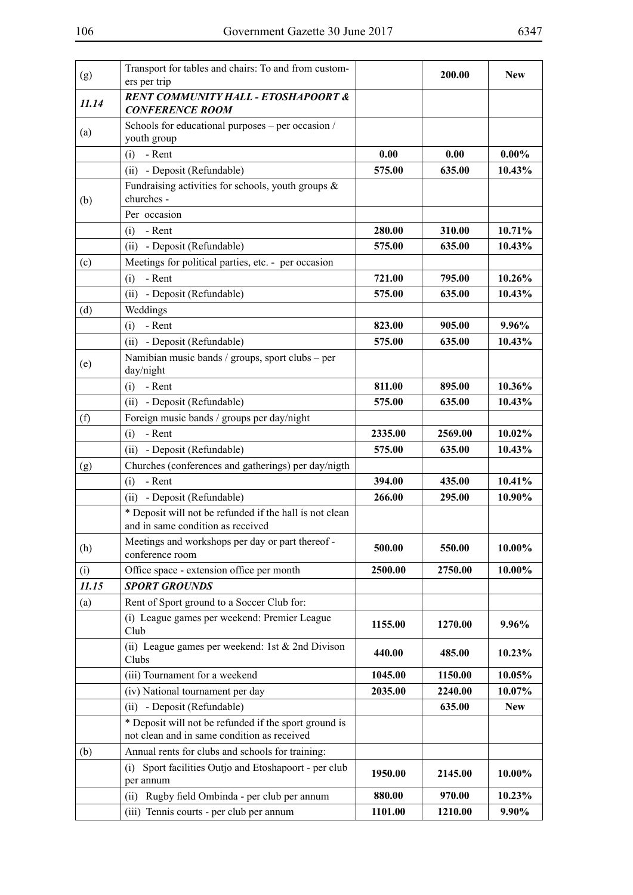| (g)   | Transport for tables and chairs: To and from custom-<br>ers per trip                                 |         | 200.00  | <b>New</b> |
|-------|------------------------------------------------------------------------------------------------------|---------|---------|------------|
| 11.14 | <b>RENT COMMUNITY HALL - ETOSHAPOORT &amp;</b><br><b>CONFERENCE ROOM</b>                             |         |         |            |
| (a)   | Schools for educational purposes – per occasion /<br>youth group                                     |         |         |            |
|       | - Rent<br>(i)                                                                                        | 0.00    | 0.00    | $0.00\%$   |
|       | (ii) - Deposit (Refundable)                                                                          | 575.00  | 635.00  | 10.43%     |
|       | Fundraising activities for schools, youth groups $\&$                                                |         |         |            |
| (b)   | churches -                                                                                           |         |         |            |
|       | Per occasion                                                                                         |         |         |            |
|       | - Rent<br>(i)                                                                                        | 280.00  | 310.00  | 10.71%     |
|       | (ii) - Deposit (Refundable)                                                                          | 575.00  | 635.00  | 10.43%     |
| (c)   | Meetings for political parties, etc. - per occasion                                                  |         |         |            |
|       | - Rent<br>(i)                                                                                        | 721.00  | 795.00  | 10.26%     |
|       | - Deposit (Refundable)<br>(ii)                                                                       | 575.00  | 635.00  | 10.43%     |
| (d)   | Weddings                                                                                             |         |         |            |
|       | - Rent<br>(i)                                                                                        | 823.00  | 905.00  | $9.96\%$   |
|       | (ii) - Deposit (Refundable)                                                                          | 575.00  | 635.00  | 10.43%     |
|       | Namibian music bands / groups, sport clubs – per                                                     |         |         |            |
| (e)   | day/night                                                                                            |         |         |            |
|       | (i)<br>- Rent                                                                                        | 811.00  | 895.00  | 10.36%     |
|       | (ii) - Deposit (Refundable)                                                                          | 575.00  | 635.00  | 10.43%     |
| (f)   | Foreign music bands / groups per day/night                                                           |         |         |            |
|       | - Rent<br>(i)                                                                                        | 2335.00 | 2569.00 | 10.02%     |
|       | (ii) - Deposit (Refundable)                                                                          | 575.00  | 635.00  | 10.43%     |
| (g)   | Churches (conferences and gatherings) per day/nigth                                                  |         |         |            |
|       | (i)<br>- Rent                                                                                        | 394.00  | 435.00  | 10.41%     |
|       | (ii) - Deposit (Refundable)                                                                          | 266.00  | 295.00  | 10.90%     |
|       | * Deposit will not be refunded if the hall is not clean<br>and in same condition as received         |         |         |            |
| (h)   | Meetings and workshops per day or part thereof -<br>conference room                                  | 500.00  | 550.00  | 10.00%     |
| (i)   | Office space - extension office per month                                                            | 2500.00 | 2750.00 | 10.00%     |
| 11.15 | <b>SPORT GROUNDS</b>                                                                                 |         |         |            |
| (a)   | Rent of Sport ground to a Soccer Club for:                                                           |         |         |            |
|       | (i) League games per weekend: Premier League<br>Club                                                 | 1155.00 | 1270.00 | 9.96%      |
|       | (ii) League games per weekend: 1st $& 2nd$ Divison<br>Clubs                                          | 440.00  | 485.00  | 10.23%     |
|       | (iii) Tournament for a weekend                                                                       | 1045.00 | 1150.00 | 10.05%     |
|       | (iv) National tournament per day                                                                     | 2035.00 | 2240.00 | 10.07%     |
|       | (ii) - Deposit (Refundable)                                                                          |         | 635.00  | <b>New</b> |
|       | * Deposit will not be refunded if the sport ground is<br>not clean and in same condition as received |         |         |            |
| (b)   | Annual rents for clubs and schools for training:                                                     |         |         |            |
|       | Sport facilities Outjo and Etoshapoort - per club<br>(i)<br>per annum                                | 1950.00 | 2145.00 | 10.00%     |
|       | Rugby field Ombinda - per club per annum<br>(ii)                                                     | 880.00  | 970.00  | 10.23%     |
|       | (iii) Tennis courts - per club per annum                                                             | 1101.00 | 1210.00 | 9.90%      |
|       |                                                                                                      |         |         |            |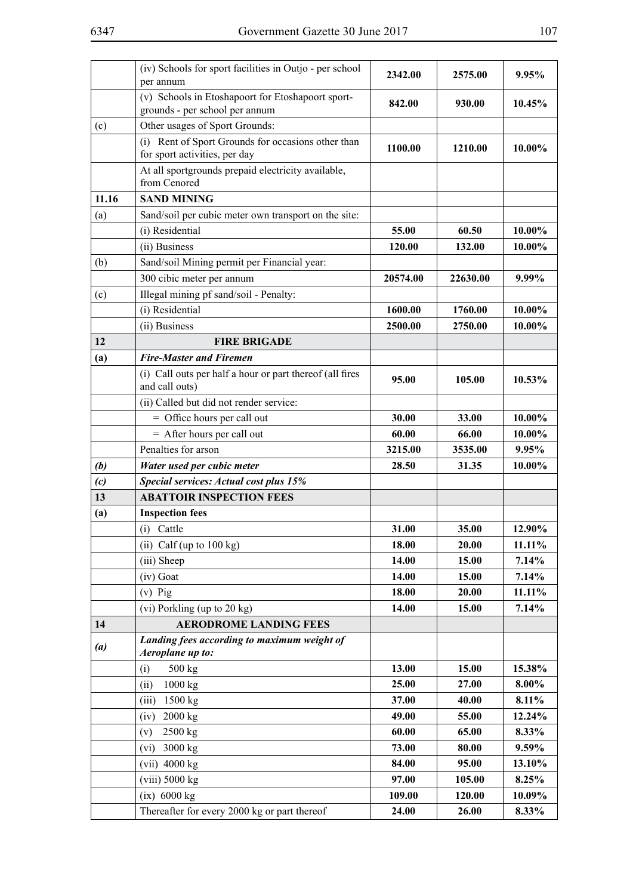|       | (iv) Schools for sport facilities in Outjo - per school<br>per annum                | 2342.00  | 2575.00  | 9.95%     |
|-------|-------------------------------------------------------------------------------------|----------|----------|-----------|
|       | (v) Schools in Etoshapoort for Etoshapoort sport-<br>grounds - per school per annum | 842.00   | 930.00   | 10.45%    |
| (c)   | Other usages of Sport Grounds:                                                      |          |          |           |
|       | (i) Rent of Sport Grounds for occasions other than<br>for sport activities, per day | 1100.00  | 1210.00  | 10.00%    |
|       | At all sportgrounds prepaid electricity available,<br>from Cenored                  |          |          |           |
| 11.16 | <b>SAND MINING</b>                                                                  |          |          |           |
| (a)   | Sand/soil per cubic meter own transport on the site:                                |          |          |           |
|       | (i) Residential                                                                     | 55.00    | 60.50    | 10.00%    |
|       | (ii) Business                                                                       | 120.00   | 132.00   | 10.00%    |
| (b)   | Sand/soil Mining permit per Financial year:                                         |          |          |           |
|       | 300 cibic meter per annum                                                           | 20574.00 | 22630.00 | 9.99%     |
| (c)   | Illegal mining pf sand/soil - Penalty:                                              |          |          |           |
|       | (i) Residential                                                                     | 1600.00  | 1760.00  | 10.00%    |
|       | (ii) Business                                                                       | 2500.00  | 2750.00  | 10.00%    |
| 12    | <b>FIRE BRIGADE</b>                                                                 |          |          |           |
| (a)   | <b>Fire-Master and Firemen</b>                                                      |          |          |           |
|       | (i) Call outs per half a hour or part thereof (all fires<br>and call outs)          | 95.00    | 105.00   | $10.53\%$ |
|       | (ii) Called but did not render service:                                             |          |          |           |
|       | = Office hours per call out                                                         | 30.00    | 33.00    | 10.00%    |
|       | $=$ After hours per call out                                                        | 60.00    | 66.00    | 10.00%    |
|       | Penalties for arson                                                                 | 3215.00  | 3535.00  | 9.95%     |
| (b)   | Water used per cubic meter                                                          | 28.50    | 31.35    | 10.00%    |
| (c)   | Special services: Actual cost plus 15%                                              |          |          |           |
| 13    | <b>ABATTOIR INSPECTION FEES</b>                                                     |          |          |           |
| (a)   | <b>Inspection fees</b>                                                              |          |          |           |
|       | (i) Cattle                                                                          | 31.00    | 35.00    | 12.90%    |
|       | (ii) Calf (up to $100 \text{ kg}$ )                                                 | 18.00    | 20.00    | 11.11%    |
|       | (iii) Sheep                                                                         | 14.00    | 15.00    | 7.14%     |
|       | (iv) Goat                                                                           | 14.00    | 15.00    | 7.14%     |
|       | $(v)$ Pig                                                                           | 18.00    | 20.00    | 11.11%    |
|       | (vi) Porkling (up to $20 \text{ kg}$ )                                              | 14.00    | 15.00    | 7.14%     |
| 14    | <b>AERODROME LANDING FEES</b>                                                       |          |          |           |
| (a)   | Landing fees according to maximum weight of<br>Aeroplane up to:                     |          |          |           |
|       | (i)<br>500 kg                                                                       | 13.00    | 15.00    | 15.38%    |
|       | 1000 kg<br>(ii)                                                                     | 25.00    | 27.00    | 8.00%     |
|       | (iii)<br>$1500$ kg                                                                  | 37.00    | 40.00    | 8.11%     |
|       | (iv)<br>2000 kg                                                                     | 49.00    | 55.00    | 12.24%    |
|       | 2500 kg<br>(v)                                                                      | 60.00    | 65.00    | 8.33%     |
|       | 3000 kg<br>(vi)                                                                     | 73.00    | 80.00    | 9.59%     |
|       | $(vii)$ 4000 kg                                                                     | 84.00    | 95.00    | 13.10%    |
|       | $(viii)$ 5000 $kg$                                                                  | 97.00    | 105.00   | 8.25%     |
|       | $(ix)$ 6000 kg                                                                      | 109.00   | 120.00   | 10.09%    |
|       | Thereafter for every 2000 kg or part thereof                                        | 24.00    | 26.00    | 8.33%     |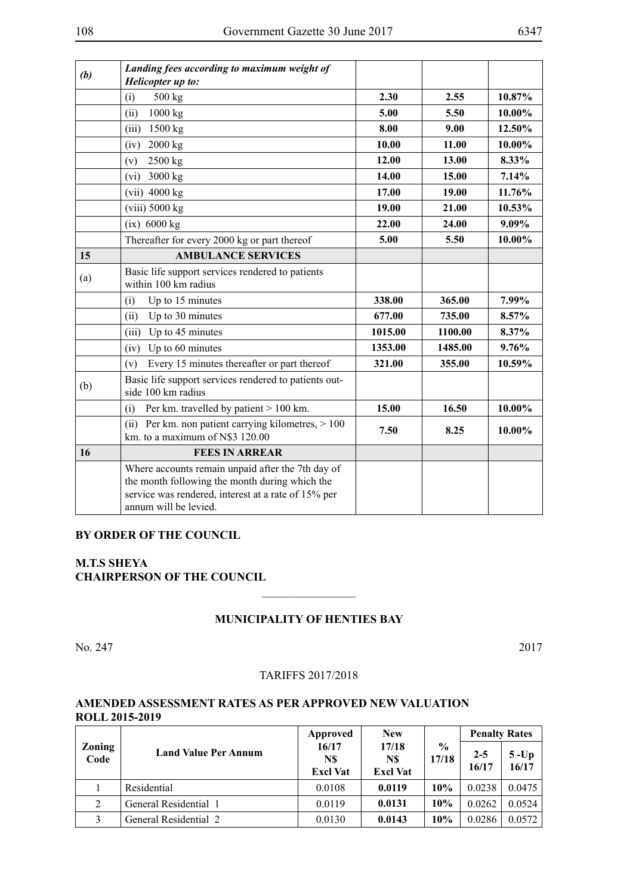| (b) | Landing fees according to maximum weight of<br>Helicopter up to:                                                                                                                    |         |         |        |
|-----|-------------------------------------------------------------------------------------------------------------------------------------------------------------------------------------|---------|---------|--------|
|     | 500 kg<br>(i)                                                                                                                                                                       | 2.30    | 2.55    | 10.87% |
|     | 1000 kg<br>(ii)                                                                                                                                                                     | 5.00    | 5.50    | 10.00% |
|     | 1500 kg<br>(iii)                                                                                                                                                                    | 8.00    | 9.00    | 12.50% |
|     | 2000 kg<br>(iv)                                                                                                                                                                     | 10.00   | 11.00   | 10.00% |
|     | 2500 kg<br>(v)                                                                                                                                                                      | 12.00   | 13.00   | 8.33%  |
|     | 3000 kg<br>(vi)                                                                                                                                                                     | 14.00   | 15.00   | 7.14%  |
|     | $(vii)$ 4000 kg                                                                                                                                                                     | 17.00   | 19.00   | 11.76% |
|     | $(viii)$ 5000 $kg$                                                                                                                                                                  | 19.00   | 21.00   | 10.53% |
|     | $(ix)$ 6000 kg                                                                                                                                                                      | 22.00   | 24.00   | 9.09%  |
|     | Thereafter for every 2000 kg or part thereof                                                                                                                                        | 5.00    | 5.50    | 10.00% |
| 15  | <b>AMBULANCE SERVICES</b>                                                                                                                                                           |         |         |        |
| (a) | Basic life support services rendered to patients<br>within 100 km radius                                                                                                            |         |         |        |
|     | Up to 15 minutes<br>(i)                                                                                                                                                             | 338.00  | 365.00  | 7.99%  |
|     | Up to 30 minutes<br>(ii)                                                                                                                                                            | 677.00  | 735.00  | 8.57%  |
|     | Up to 45 minutes<br>(iii)                                                                                                                                                           | 1015.00 | 1100.00 | 8.37%  |
|     | Up to 60 minutes<br>(iv)                                                                                                                                                            | 1353.00 | 1485.00 | 9.76%  |
|     | Every 15 minutes thereafter or part thereof<br>(v)                                                                                                                                  | 321.00  | 355.00  | 10.59% |
| (b) | Basic life support services rendered to patients out-<br>side 100 km radius                                                                                                         |         |         |        |
|     | Per km. travelled by patient > 100 km.<br>(i)                                                                                                                                       | 15.00   | 16.50   | 10.00% |
|     | (ii) Per km. non patient carrying kilometres, $> 100$<br>km. to a maximum of N\$3 120.00                                                                                            | 7.50    | 8.25    | 10.00% |
| 16  | <b>FEES IN ARREAR</b>                                                                                                                                                               |         |         |        |
|     | Where accounts remain unpaid after the 7th day of<br>the month following the month during which the<br>service was rendered, interest at a rate of 15% per<br>annum will be levied. |         |         |        |

### **By order of the Council**

## **M.T.S Sheya CHAIRPERSON OF THE COUNCIL**

## **MUNICIPALITY OF HENTIES BAY**

 $\overline{\phantom{a}}$  , where  $\overline{\phantom{a}}$ 

No. 247 2017

### TARIFFS 2017/2018

## **AMENDED ASSESSMENT RATES AS PER APPROVED NEW VALUATION ROLL 2015-2019**

| Zoning<br>Code | <b>Land Value Per Annum</b> | Approved                        | <b>New</b>                      |                        | <b>Penalty Rates</b> |                   |
|----------------|-----------------------------|---------------------------------|---------------------------------|------------------------|----------------------|-------------------|
|                |                             | 16/17<br>N\$<br><b>Excl Vat</b> | 17/18<br>N\$<br><b>Excl Vat</b> | $\frac{0}{0}$<br>17/18 | $2 - 5$<br>16/17     | $5 - Up$<br>16/17 |
|                | Residential                 | 0.0108                          | 0.0119                          | 10%                    | 0.0238               | 0.0475            |
| 2              | General Residential 1       | 0.0119                          | 0.0131                          | 10%                    | 0.0262               | 0.0524            |
|                | General Residential 2       | 0.0130                          | 0.0143                          | 10%                    | 0.0286               | 0.0572            |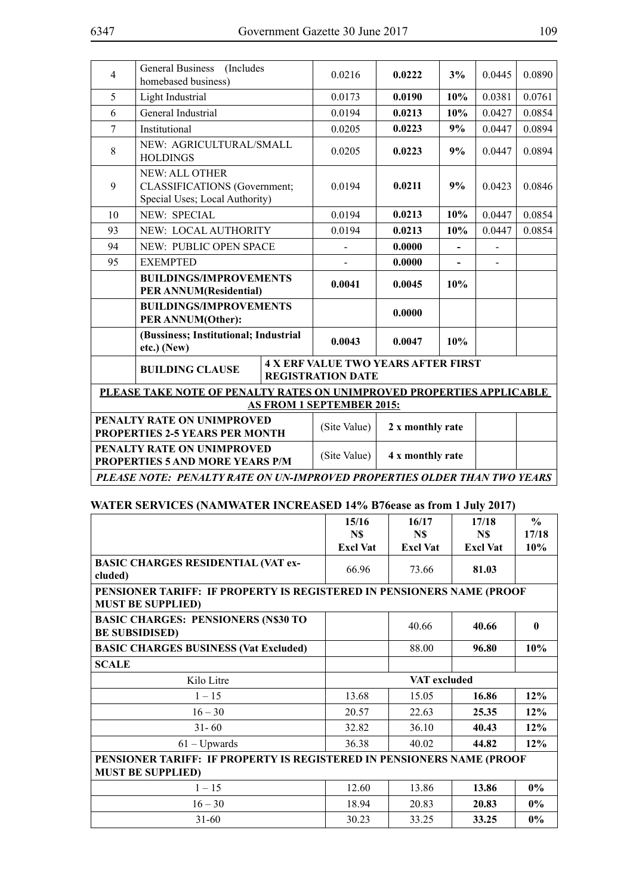| $\overline{4}$ | General Business (Includes<br>homebased business)                                              | 0.0216                                                                 | 0.0222           | 3%  | 0.0445 | 0.0890 |  |
|----------------|------------------------------------------------------------------------------------------------|------------------------------------------------------------------------|------------------|-----|--------|--------|--|
| 5              | Light Industrial                                                                               | 0.0173                                                                 | 0.0190           | 10% | 0.0381 | 0.0761 |  |
| 6              | General Industrial                                                                             | 0.0194                                                                 | 0.0213           | 10% | 0.0427 | 0.0854 |  |
| 7              | Institutional                                                                                  | 0.0205                                                                 | 0.0223           | 9%  | 0.0447 | 0.0894 |  |
| 8              | NEW: AGRICULTURAL/SMALL<br><b>HOLDINGS</b>                                                     | 0.0205                                                                 | 0.0223           | 9%  | 0.0447 | 0.0894 |  |
| 9              | <b>NEW: ALL OTHER</b><br><b>CLASSIFICATIONS</b> (Government;<br>Special Uses; Local Authority) | 0.0194                                                                 | 0.0211           | 9%  | 0.0423 | 0.0846 |  |
| 10             | <b>NEW: SPECIAL</b>                                                                            | 0.0194                                                                 | 0.0213           | 10% | 0.0447 | 0.0854 |  |
| 93             | <b>NEW: LOCAL AUTHORITY</b>                                                                    | 0.0194                                                                 | 0.0213           | 10% | 0.0447 | 0.0854 |  |
| 94             | NEW: PUBLIC OPEN SPACE                                                                         |                                                                        | 0.0000           |     |        |        |  |
| 95             | <b>EXEMPTED</b>                                                                                |                                                                        | 0.0000           |     |        |        |  |
|                | <b>BUILDINGS/IMPROVEMENTS</b><br>PER ANNUM(Residential)                                        | 0.0041                                                                 | 0.0045           | 10% |        |        |  |
|                | <b>BUILDINGS/IMPROVEMENTS</b><br>PER ANNUM(Other):                                             |                                                                        | 0.0000           |     |        |        |  |
|                | (Bussiness; Institutional; Industrial<br>etc.) (New)                                           | 0.0043                                                                 | 0.0047           | 10% |        |        |  |
|                | <b>BUILDING CLAUSE</b>                                                                         | <b>4 X ERF VALUE TWO YEARS AFTER FIRST</b><br><b>REGISTRATION DATE</b> |                  |     |        |        |  |
|                | PLEASE TAKE NOTE OF PENALTY RATES ON UNIMPROVED PROPERTIES APPLICABLE                          |                                                                        |                  |     |        |        |  |
|                |                                                                                                | <b>AS FROM 1 SEPTEMBER 2015:</b>                                       |                  |     |        |        |  |
|                | PENALTY RATE ON UNIMPROVED<br><b>PROPERTIES 2-5 YEARS PER MONTH</b>                            | (Site Value)                                                           | 2 x monthly rate |     |        |        |  |
|                | PENALTY RATE ON UNIMPROVED<br><b>PROPERTIES 5 AND MORE YEARS P/M</b>                           | (Site Value)                                                           | 4 x monthly rate |     |        |        |  |
|                | PLEASE NOTE: PENALTY RATE ON UN-IMPROVED PROPERTIES OLDER THAN TWO YEARS                       |                                                                        |                  |     |        |        |  |

### **WATER SERVICES (NAMWATER INCREASED 14% B76ease as from 1 July 2017)**

|                                                                                                   | 15/16<br>N\$    | 16/17<br>N\$    | 17/18<br>N\$    | $\frac{6}{9}$<br>17/18 |  |
|---------------------------------------------------------------------------------------------------|-----------------|-----------------|-----------------|------------------------|--|
|                                                                                                   | <b>Excl Vat</b> | <b>Excl Vat</b> | <b>Excl Vat</b> | 10%                    |  |
| <b>BASIC CHARGES RESIDENTIAL (VAT ex-</b><br>cluded)                                              | 66.96           | 73.66           | 81.03           |                        |  |
| PENSIONER TARIFF: IF PROPERTY IS REGISTERED IN PENSIONERS NAME (PROOF<br><b>MUST BE SUPPLIED)</b> |                 |                 |                 |                        |  |
| <b>BASIC CHARGES: PENSIONERS (N\$30 TO</b><br><b>BE SUBSIDISED)</b>                               |                 | 40.66           | 40.66           | $\mathbf{0}$           |  |
| <b>BASIC CHARGES BUSINESS (Vat Excluded)</b>                                                      |                 | 88.00           | 96.80           | 10%                    |  |
| <b>SCALE</b>                                                                                      |                 |                 |                 |                        |  |
| Kilo Litre                                                                                        |                 | VAT excluded    |                 |                        |  |
| $1 - 15$                                                                                          | 13.68           | 15.05           | 16.86           | 12%                    |  |
| $16 - 30$                                                                                         | 20.57           | 22.63           | 25.35           | 12%                    |  |
| $31 - 60$                                                                                         | 32.82           | 36.10           | 40.43           | 12%                    |  |
| $61 - Upwards$                                                                                    | 36.38           | 40.02           | 44.82           | 12%                    |  |
| PENSIONER TARIFF: IF PROPERTY IS REGISTERED IN PENSIONERS NAME (PROOF<br><b>MUST BE SUPPLIED)</b> |                 |                 |                 |                        |  |
| $1 - 15$                                                                                          | 12.60           | 13.86           | 13.86           | $0\%$                  |  |
| $16 - 30$                                                                                         | 18.94           | 20.83           | 20.83           | $0\%$                  |  |
| $31 - 60$                                                                                         | 30.23           | 33.25           | 33.25           | $0\%$                  |  |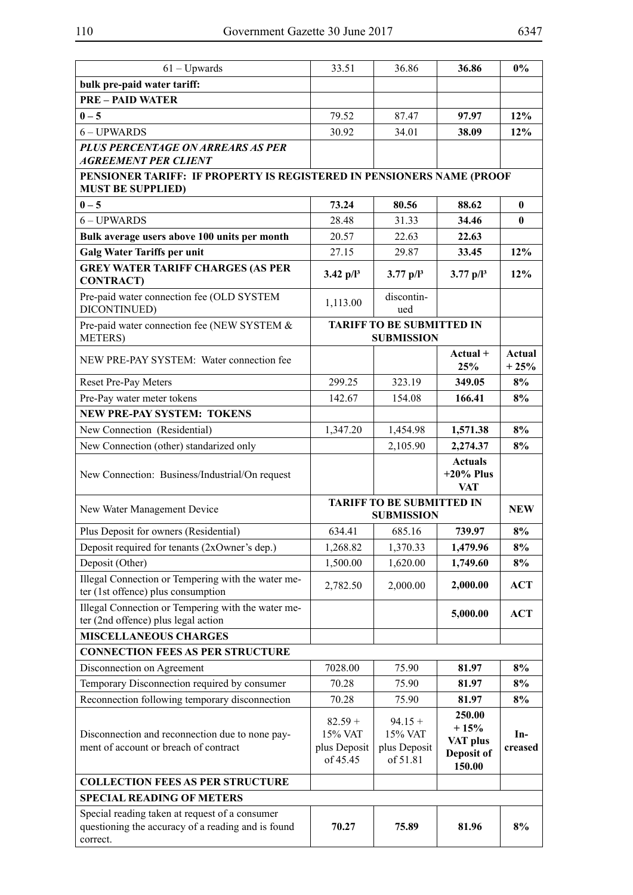| $61 - Upwards$                                                                                                   | 33.51                                            | 36.86                                                 | 36.86                                                | $0\%$            |
|------------------------------------------------------------------------------------------------------------------|--------------------------------------------------|-------------------------------------------------------|------------------------------------------------------|------------------|
| bulk pre-paid water tariff:                                                                                      |                                                  |                                                       |                                                      |                  |
| <b>PRE - PAID WATER</b>                                                                                          |                                                  |                                                       |                                                      |                  |
| $0 - 5$                                                                                                          | 79.52                                            | 87.47                                                 | 97.97                                                | 12%              |
| 6-UPWARDS                                                                                                        | 30.92                                            | 34.01                                                 | 38.09                                                | 12%              |
| PLUS PERCENTAGE ON ARREARS AS PER                                                                                |                                                  |                                                       |                                                      |                  |
| <b>AGREEMENT PER CLIENT</b>                                                                                      |                                                  |                                                       |                                                      |                  |
| PENSIONER TARIFF: IF PROPERTY IS REGISTERED IN PENSIONERS NAME (PROOF<br><b>MUST BE SUPPLIED)</b>                |                                                  |                                                       |                                                      |                  |
| $0 - 5$                                                                                                          | 73.24                                            | 80.56                                                 | 88.62                                                | $\bf{0}$         |
| 6 - UPWARDS                                                                                                      | 28.48                                            | 31.33                                                 | 34.46                                                | $\bf{0}$         |
| Bulk average users above 100 units per month                                                                     | 20.57                                            | 22.63                                                 | 22.63                                                |                  |
| <b>Galg Water Tariffs per unit</b>                                                                               | 27.15                                            | 29.87                                                 | 33.45                                                | 12%              |
| <b>GREY WATER TARIFF CHARGES (AS PER</b><br><b>CONTRACT</b> )                                                    | $3.42$ p/l <sup>3</sup>                          | $3.77$ p/l <sup>3</sup>                               | $3.77$ p/l <sup>3</sup>                              | 12%              |
| Pre-paid water connection fee (OLD SYSTEM<br>DICONTINUED)                                                        | 1,113.00                                         | discontin-<br>ued                                     |                                                      |                  |
| Pre-paid water connection fee (NEW SYSTEM &<br><b>METERS</b> )                                                   |                                                  | <b>TARIFF TO BE SUBMITTED IN</b><br><b>SUBMISSION</b> |                                                      |                  |
| NEW PRE-PAY SYSTEM: Water connection fee                                                                         |                                                  |                                                       | $Actual +$<br>25%                                    | Actual<br>$+25%$ |
| Reset Pre-Pay Meters                                                                                             | 299.25                                           | 323.19                                                | 349.05                                               | 8%               |
| Pre-Pay water meter tokens                                                                                       | 142.67                                           | 154.08                                                | 166.41                                               | 8%               |
| <b>NEW PRE-PAY SYSTEM: TOKENS</b>                                                                                |                                                  |                                                       |                                                      |                  |
| New Connection (Residential)                                                                                     | 1,347.20                                         | 1,454.98                                              | 1,571.38                                             | 8%               |
| New Connection (other) standarized only                                                                          |                                                  | 2,105.90                                              | 2,274.37                                             | 8%               |
| New Connection: Business/Industrial/On request                                                                   |                                                  |                                                       | <b>Actuals</b><br>$+20\%$ Plus<br><b>VAT</b>         |                  |
| New Water Management Device                                                                                      |                                                  | <b>TARIFF TO BE SUBMITTED IN</b><br><b>SUBMISSION</b> |                                                      | <b>NEW</b>       |
| Plus Deposit for owners (Residential)                                                                            | 634.41                                           | 685.16                                                | 739.97                                               | 8%               |
| Deposit required for tenants (2xOwner's dep.)                                                                    | 1,268.82                                         | 1,370.33                                              | 1,479.96                                             | 8%               |
| Deposit (Other)                                                                                                  | 1,500.00                                         | 1,620.00                                              | 1,749.60                                             | 8%               |
| Illegal Connection or Tempering with the water me-                                                               |                                                  |                                                       |                                                      |                  |
| ter (1st offence) plus consumption                                                                               | 2,782.50                                         | 2,000.00                                              | 2,000.00                                             | <b>ACT</b>       |
| Illegal Connection or Tempering with the water me-<br>ter (2nd offence) plus legal action                        |                                                  |                                                       | 5,000.00                                             | <b>ACT</b>       |
| <b>MISCELLANEOUS CHARGES</b>                                                                                     |                                                  |                                                       |                                                      |                  |
| <b>CONNECTION FEES AS PER STRUCTURE</b>                                                                          |                                                  |                                                       |                                                      |                  |
| Disconnection on Agreement                                                                                       | 7028.00                                          | 75.90                                                 | 81.97                                                | 8%               |
| Temporary Disconnection required by consumer                                                                     | 70.28                                            | 75.90                                                 | 81.97                                                | 8%               |
| Reconnection following temporary disconnection                                                                   | 70.28                                            | 75.90                                                 | 81.97                                                | 8%               |
| Disconnection and reconnection due to none pay-<br>ment of account or breach of contract                         | $82.59 +$<br>15% VAT<br>plus Deposit<br>of 45.45 | $94.15 +$<br>15% VAT<br>plus Deposit<br>of 51.81      | 250.00<br>$+15%$<br>VAT plus<br>Deposit of<br>150.00 | $In-$<br>creased |
| <b>COLLECTION FEES AS PER STRUCTURE</b>                                                                          |                                                  |                                                       |                                                      |                  |
| <b>SPECIAL READING OF METERS</b>                                                                                 |                                                  |                                                       |                                                      |                  |
| Special reading taken at request of a consumer<br>questioning the accuracy of a reading and is found<br>correct. | 70.27                                            | 75.89                                                 | 81.96                                                | 8%               |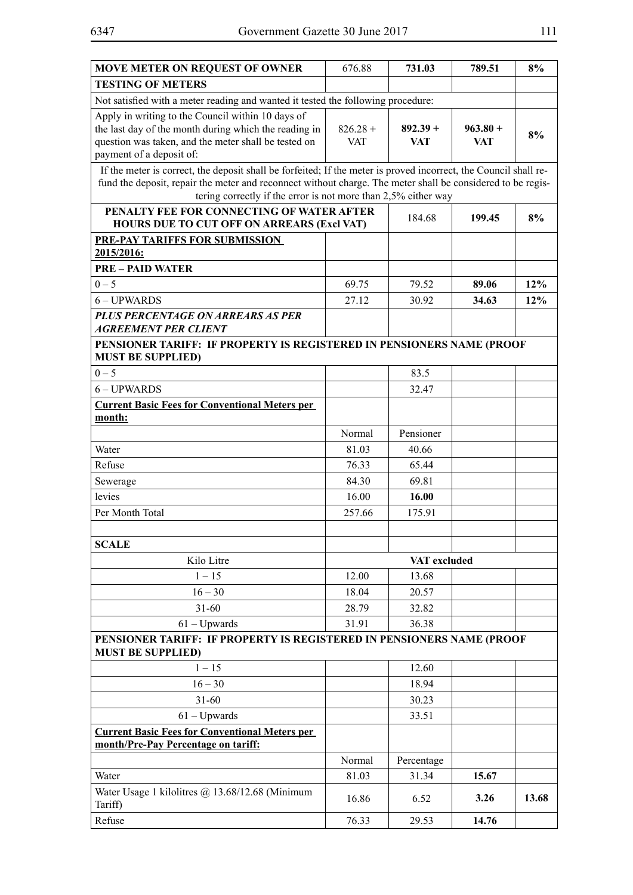| <b>MOVE METER ON REQUEST OF OWNER</b>                                                                            | 676.88     | 731.03       | 789.51     | 8%    |
|------------------------------------------------------------------------------------------------------------------|------------|--------------|------------|-------|
| <b>TESTING OF METERS</b>                                                                                         |            |              |            |       |
| Not satisfied with a meter reading and wanted it tested the following procedure:                                 |            |              |            |       |
| Apply in writing to the Council within 10 days of                                                                |            |              |            |       |
| the last day of the month during which the reading in                                                            | $826.28 +$ | $892.39 +$   | $963.80 +$ | 8%    |
| question was taken, and the meter shall be tested on<br>payment of a deposit of:                                 | <b>VAT</b> | VAT          | VAT        |       |
| If the meter is correct, the deposit shall be forfeited; If the meter is proved incorrect, the Council shall re- |            |              |            |       |
| fund the deposit, repair the meter and reconnect without charge. The meter shall be considered to be regis-      |            |              |            |       |
| tering correctly if the error is not more than 2,5% either way                                                   |            |              |            |       |
| PENALTY FEE FOR CONNECTING OF WATER AFTER                                                                        |            | 184.68       | 199.45     | 8%    |
| <b>HOURS DUE TO CUT OFF ON ARREARS (Excl VAT)</b>                                                                |            |              |            |       |
| <b>PRE-PAY TARIFFS FOR SUBMISSION</b><br>2015/2016:                                                              |            |              |            |       |
| <b>PRE - PAID WATER</b>                                                                                          |            |              |            |       |
| $0 - 5$                                                                                                          | 69.75      | 79.52        | 89.06      | 12%   |
| 6 - UPWARDS                                                                                                      | 27.12      | 30.92        | 34.63      | 12%   |
| PLUS PERCENTAGE ON ARREARS AS PER                                                                                |            |              |            |       |
| <b>AGREEMENT PER CLIENT</b>                                                                                      |            |              |            |       |
| PENSIONER TARIFF: IF PROPERTY IS REGISTERED IN PENSIONERS NAME (PROOF                                            |            |              |            |       |
| <b>MUST BE SUPPLIED)</b>                                                                                         |            |              |            |       |
| $0 - 5$                                                                                                          |            | 83.5         |            |       |
| 6-UPWARDS                                                                                                        |            | 32.47        |            |       |
| <b>Current Basic Fees for Conventional Meters per</b>                                                            |            |              |            |       |
| month:                                                                                                           |            |              |            |       |
|                                                                                                                  | Normal     | Pensioner    |            |       |
| Water                                                                                                            | 81.03      | 40.66        |            |       |
| Refuse                                                                                                           | 76.33      | 65.44        |            |       |
| Sewerage                                                                                                         | 84.30      | 69.81        |            |       |
| levies                                                                                                           | 16.00      | 16.00        |            |       |
| Per Month Total                                                                                                  | 257.66     | 175.91       |            |       |
|                                                                                                                  |            |              |            |       |
| <b>SCALE</b>                                                                                                     |            |              |            |       |
| Kilo Litre                                                                                                       |            | VAT excluded |            |       |
| $1 - 15$                                                                                                         | 12.00      | 13.68        |            |       |
| $16 - 30$                                                                                                        | 18.04      | 20.57        |            |       |
| $31 - 60$                                                                                                        | 28.79      | 32.82        |            |       |
| $61 - Upwards$                                                                                                   | 31.91      | 36.38        |            |       |
| PENSIONER TARIFF: IF PROPERTY IS REGISTERED IN PENSIONERS NAME (PROOF<br><b>MUST BE SUPPLIED)</b>                |            |              |            |       |
| $1 - 15$                                                                                                         |            | 12.60        |            |       |
| $16 - 30$                                                                                                        |            | 18.94        |            |       |
| $31 - 60$                                                                                                        |            | 30.23        |            |       |
| $61 - Upwards$                                                                                                   |            | 33.51        |            |       |
| <b>Current Basic Fees for Conventional Meters per</b>                                                            |            |              |            |       |
| month/Pre-Pay Percentage on tariff:                                                                              |            |              |            |       |
|                                                                                                                  | Normal     | Percentage   |            |       |
| Water                                                                                                            | 81.03      | 31.34        | 15.67      |       |
| Water Usage 1 kilolitres @ 13.68/12.68 (Minimum<br>Tariff)                                                       | 16.86      | 6.52         | 3.26       | 13.68 |
| Refuse                                                                                                           | 76.33      | 29.53        | 14.76      |       |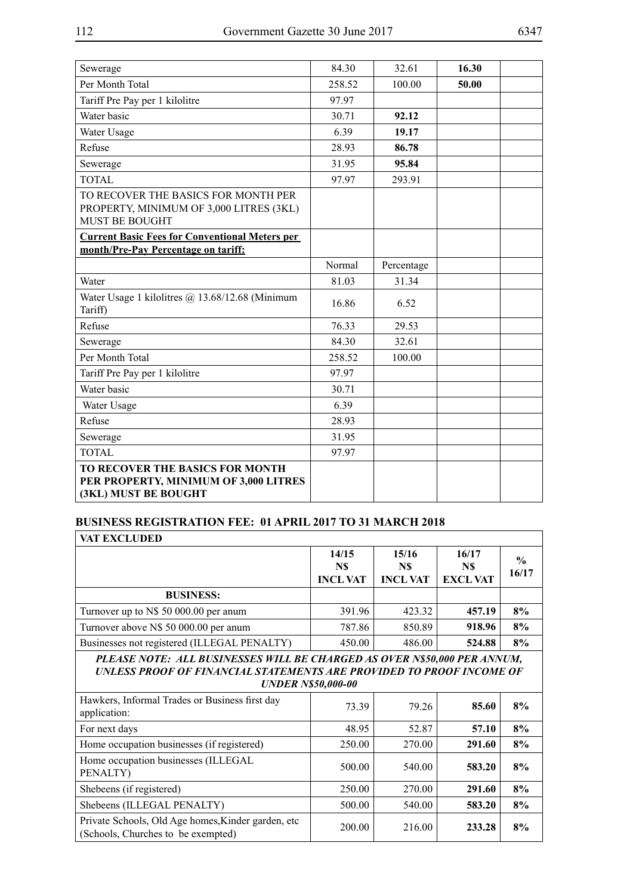| Sewerage                                                                                                | 84.30  | 32.61      | 16.30 |  |
|---------------------------------------------------------------------------------------------------------|--------|------------|-------|--|
| Per Month Total                                                                                         | 258.52 | 100.00     | 50.00 |  |
| Tariff Pre Pay per 1 kilolitre                                                                          | 97.97  |            |       |  |
| Water basic                                                                                             | 30.71  | 92.12      |       |  |
| Water Usage                                                                                             | 6.39   | 19.17      |       |  |
| Refuse                                                                                                  | 28.93  | 86.78      |       |  |
| Sewerage                                                                                                | 31.95  | 95.84      |       |  |
| <b>TOTAL</b>                                                                                            | 97.97  | 293.91     |       |  |
| TO RECOVER THE BASICS FOR MONTH PER<br>PROPERTY, MINIMUM OF 3,000 LITRES (3KL)<br><b>MUST BE BOUGHT</b> |        |            |       |  |
| <b>Current Basic Fees for Conventional Meters per</b>                                                   |        |            |       |  |
| month/Pre-Pay Percentage on tariff:                                                                     |        |            |       |  |
|                                                                                                         | Normal | Percentage |       |  |
| Water                                                                                                   | 81.03  | 31.34      |       |  |
| Water Usage 1 kilolitres @ 13.68/12.68 (Minimum<br>Tariff)                                              | 16.86  | 6.52       |       |  |
| Refuse                                                                                                  | 76.33  | 29.53      |       |  |
| Sewerage                                                                                                | 84.30  | 32.61      |       |  |
| Per Month Total                                                                                         | 258.52 | 100.00     |       |  |
| Tariff Pre Pay per 1 kilolitre                                                                          | 97.97  |            |       |  |
| Water basic                                                                                             | 30.71  |            |       |  |
| Water Usage                                                                                             | 6.39   |            |       |  |
| Refuse                                                                                                  | 28.93  |            |       |  |
| Sewerage                                                                                                | 31.95  |            |       |  |
| <b>TOTAL</b>                                                                                            | 97.97  |            |       |  |
| TO RECOVER THE BASICS FOR MONTH<br>PER PROPERTY, MINIMUM OF 3,000 LITRES<br>(3KL) MUST BE BOUGHT        |        |            |       |  |

# **BUSINESS REGISTRATION FEE: 01 APRIL 2017 TO 31 MARCH 2018**

| <b>VAT EXCLUDED</b>                                                                                                                                                           |                                 |                                |                                 |                        |
|-------------------------------------------------------------------------------------------------------------------------------------------------------------------------------|---------------------------------|--------------------------------|---------------------------------|------------------------|
|                                                                                                                                                                               | 14/15<br>N\$<br><b>INCL VAT</b> | 15/16<br>N\$<br><b>INCLVAT</b> | 16/17<br>N\$<br><b>EXCL VAT</b> | $\frac{6}{6}$<br>16/17 |
| <b>BUSINESS:</b>                                                                                                                                                              |                                 |                                |                                 |                        |
| Turnover up to N\$ 50 000.00 per anum                                                                                                                                         | 391.96                          | 423.32                         | 457.19                          | 8%                     |
| Turnover above N\$ 50 000.00 per anum                                                                                                                                         | 787.86                          | 850.89                         | 918.96                          | 8%                     |
| Businesses not registered (ILLEGAL PENALTY)                                                                                                                                   | 450.00                          | 486.00                         | 524.88                          | 8%                     |
| PLEASE NOTE: ALL BUSINESSES WILL BE CHARGED AS OVER N\$50,000 PER ANNUM,<br>UNLESS PROOF OF FINANCIAL STATEMENTS ARE PROVIDED TO PROOF INCOME OF<br><b>UNDER N\$50,000-00</b> |                                 |                                |                                 |                        |
| Hawkers, Informal Trades or Business first day<br>application:                                                                                                                | 73.39                           | 79.26                          | 85.60                           | 8%                     |
| For next days                                                                                                                                                                 | 48.95                           | 52.87                          | 57.10                           | 8%                     |
| Home occupation businesses (if registered)                                                                                                                                    | 250.00                          | 270.00                         | 291.60                          | 8%                     |
| Home occupation businesses (ILLEGAL<br>PENALTY)                                                                                                                               | 500.00                          | 540.00                         | 583.20                          | 8%                     |
| Shebeens (if registered)                                                                                                                                                      | 250.00                          | 270.00                         | 291.60                          | 8%                     |
| Shebeens (ILLEGAL PENALTY)                                                                                                                                                    | 500.00                          | 540.00                         | 583.20                          | 8%                     |
| Private Schools, Old Age homes, Kinder garden, etc<br>(Schools, Churches to be exempted)                                                                                      | 200.00                          | 216.00                         | 233.28                          | 8%                     |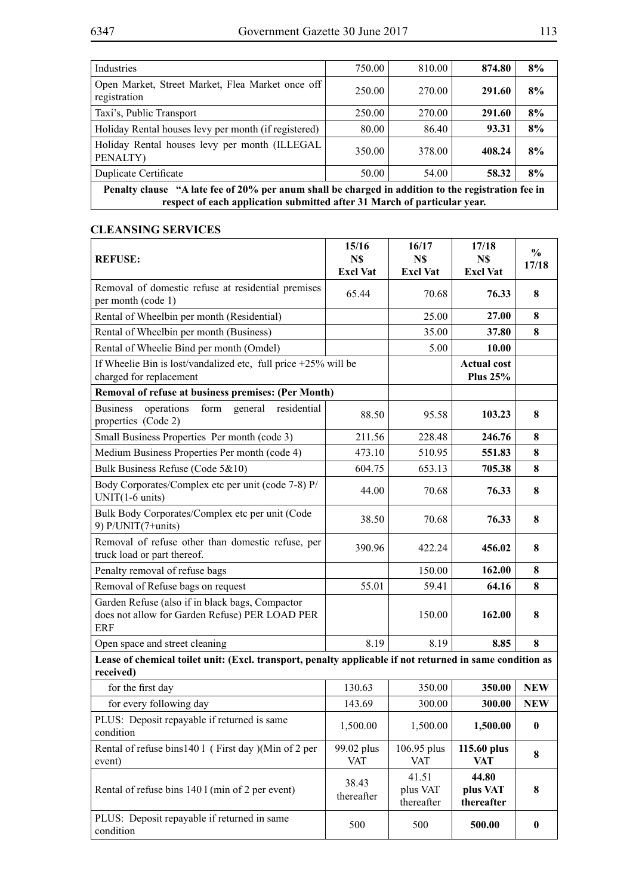| Industries                                                                                         | 750.00 | 810.00 | 874.80 | 8% |  |
|----------------------------------------------------------------------------------------------------|--------|--------|--------|----|--|
| Open Market, Street Market, Flea Market once off<br>registration                                   | 250.00 | 270.00 | 291.60 | 8% |  |
| Taxi's, Public Transport                                                                           | 250.00 | 270.00 | 291.60 | 8% |  |
| Holiday Rental houses levy per month (if registered)                                               | 80.00  | 86.40  | 93.31  | 8% |  |
| Holiday Rental houses levy per month (ILLEGAL<br>PENALTY)                                          | 350.00 | 378.00 | 408.24 | 8% |  |
| <b>Duplicate Certificate</b>                                                                       | 50.00  | 54.00  | 58.32  | 8% |  |
| Penalty clause "A late fee of 20% per anum shall be charged in addition to the registration fee in |        |        |        |    |  |
| respect of each application submitted after 31 March of particular year.                           |        |        |        |    |  |

# **CLEANSING SERVICES**

| <b>REFUSE:</b>                                                                                                        | 15/16<br>N\$<br><b>Excl Vat</b> | 16/17<br>N\$<br><b>Excl Vat</b> | 17/18<br>N\$<br><b>Excl Vat</b>       | $\frac{0}{0}$<br>17/18 |
|-----------------------------------------------------------------------------------------------------------------------|---------------------------------|---------------------------------|---------------------------------------|------------------------|
| Removal of domestic refuse at residential premises<br>per month (code 1)                                              | 65.44                           | 70.68                           | 76.33                                 | 8                      |
| Rental of Wheelbin per month (Residential)                                                                            |                                 | 25.00                           | 27.00                                 | 8                      |
| Rental of Wheelbin per month (Business)                                                                               |                                 | 35.00                           | 37.80                                 | 8                      |
| Rental of Wheelie Bind per month (Omdel)                                                                              |                                 | 5.00                            | <b>10.00</b>                          |                        |
| If Wheelie Bin is lost/vandalized etc, full price $+25\%$ will be<br>charged for replacement                          |                                 |                                 | <b>Actual cost</b><br><b>Plus 25%</b> |                        |
| Removal of refuse at business premises: (Per Month)                                                                   |                                 |                                 |                                       |                        |
| operations<br><b>Business</b><br>form<br>general<br>residential<br>properties (Code 2)                                | 88.50                           | 95.58                           | 103.23                                | 8                      |
| Small Business Properties Per month (code 3)                                                                          | 211.56                          | 228.48                          | 246.76                                | 8                      |
| Medium Business Properties Per month (code 4)                                                                         | 473.10                          | 510.95                          | 551.83                                | 8                      |
| Bulk Business Refuse (Code 5&10)                                                                                      | 604.75                          | 653.13                          | 705.38                                | 8                      |
| Body Corporates/Complex etc per unit (code 7-8) P/<br>$UNIT(1-6 units)$                                               | 44.00                           | 70.68                           | 76.33                                 | 8                      |
| Bulk Body Corporates/Complex etc per unit (Code<br>9) $P/UNIT(7+units)$                                               | 38.50                           | 70.68                           | 76.33                                 | 8                      |
| Removal of refuse other than domestic refuse, per<br>truck load or part thereof.                                      | 390.96                          | 422.24                          | 456.02                                | 8                      |
| Penalty removal of refuse bags                                                                                        |                                 | 150.00                          | 162.00                                | 8                      |
| Removal of Refuse bags on request                                                                                     | 55.01                           | 59.41                           | 64.16                                 | 8                      |
| Garden Refuse (also if in black bags, Compactor<br>does not allow for Garden Refuse) PER LOAD PER<br><b>ERF</b>       |                                 | 150.00                          | 162.00                                | 8                      |
| Open space and street cleaning                                                                                        | 8.19                            | 8.19                            | 8.85                                  | 8                      |
| Lease of chemical toilet unit: (Excl. transport, penalty applicable if not returned in same condition as<br>received) |                                 |                                 |                                       |                        |
| for the first day                                                                                                     | 130.63                          | 350.00                          | 350.00                                | <b>NEW</b>             |
| for every following day                                                                                               | 143.69                          | 300.00                          | 300.00                                | <b>NEW</b>             |
| PLUS: Deposit repayable if returned is same<br>condition                                                              | 1,500.00                        | 1,500.00                        | 1,500.00                              | $\bf{0}$               |
| Rental of refuse bins1401 (First day )(Min of 2 per<br>event)                                                         | 99.02 plus<br><b>VAT</b>        | 106.95 plus<br><b>VAT</b>       | 115.60 plus<br><b>VAT</b>             | 8                      |
| Rental of refuse bins 140 l (min of 2 per event)                                                                      | 38.43<br>thereafter             | 41.51<br>plus VAT<br>thereafter | 44.80<br>plus VAT<br>thereafter       | 8                      |
| PLUS: Deposit repayable if returned in same<br>condition                                                              | 500                             | 500                             | 500.00                                | $\boldsymbol{0}$       |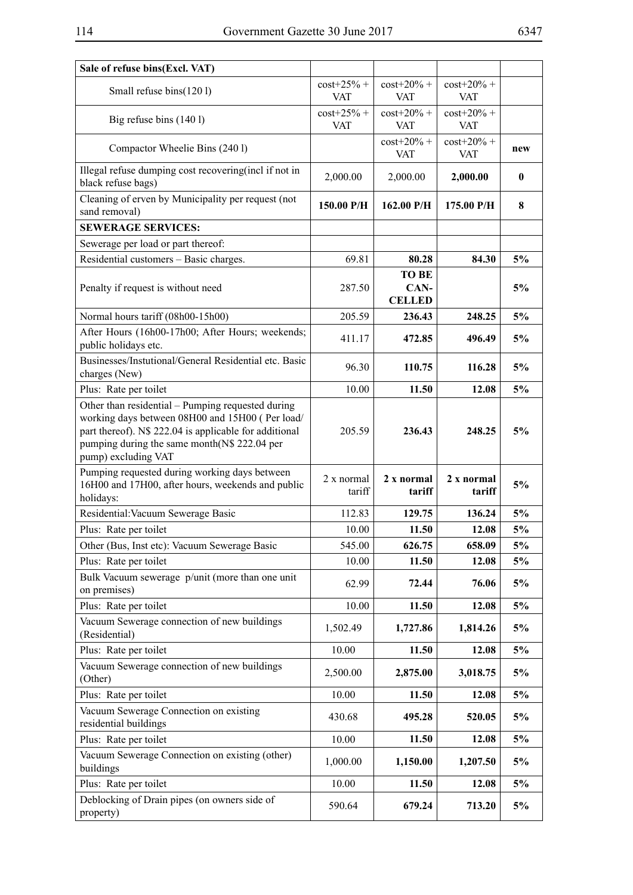| Sale of refuse bins(Excl. VAT)                                                                                                                                                                                                        |                            |                                       |                             |          |
|---------------------------------------------------------------------------------------------------------------------------------------------------------------------------------------------------------------------------------------|----------------------------|---------------------------------------|-----------------------------|----------|
| Small refuse bins(1201)                                                                                                                                                                                                               | $cost+25% +$<br><b>VAT</b> | $cost+20% +$<br><b>VAT</b>            | $cost+20\% +$<br><b>VAT</b> |          |
| Big refuse bins (140 l)                                                                                                                                                                                                               | $cost+25% +$<br><b>VAT</b> | $\cos t + 20\% +$<br><b>VAT</b>       | $cost+20\% +$<br><b>VAT</b> |          |
| Compactor Wheelie Bins (2401)                                                                                                                                                                                                         |                            | $cost+20\% +$<br><b>VAT</b>           | $cost+20\% +$<br><b>VAT</b> | new      |
| Illegal refuse dumping cost recovering (incl if not in<br>black refuse bags)                                                                                                                                                          | 2,000.00                   | 2,000.00                              | 2,000.00                    | $\bf{0}$ |
| Cleaning of erven by Municipality per request (not<br>sand removal)                                                                                                                                                                   | 150.00 P/H                 | 162.00 P/H                            | 175.00 P/H                  | 8        |
| <b>SEWERAGE SERVICES:</b>                                                                                                                                                                                                             |                            |                                       |                             |          |
| Sewerage per load or part thereof:                                                                                                                                                                                                    |                            |                                       |                             |          |
| Residential customers - Basic charges.                                                                                                                                                                                                | 69.81                      | 80.28                                 | 84.30                       | 5%       |
| Penalty if request is without need                                                                                                                                                                                                    | 287.50                     | <b>TO BE</b><br>CAN-<br><b>CELLED</b> |                             | 5%       |
| Normal hours tariff (08h00-15h00)                                                                                                                                                                                                     | 205.59                     | 236.43                                | 248.25                      | 5%       |
| After Hours (16h00-17h00; After Hours; weekends;<br>public holidays etc.                                                                                                                                                              | 411.17                     | 472.85                                | 496.49                      | 5%       |
| Businesses/Instutional/General Residential etc. Basic<br>charges (New)                                                                                                                                                                | 96.30                      | 110.75                                | 116.28                      | 5%       |
| Plus: Rate per toilet                                                                                                                                                                                                                 | 10.00                      | 11.50                                 | 12.08                       | 5%       |
| Other than residential – Pumping requested during<br>working days between 08H00 and 15H00 (Per load/<br>part thereof). N\$ 222.04 is applicable for additional<br>pumping during the same month(N\$ 222.04 per<br>pump) excluding VAT | 205.59                     | 236.43                                | 248.25                      | 5%       |
| Pumping requested during working days between<br>16H00 and 17H00, after hours, weekends and public<br>holidays:                                                                                                                       | 2 x normal<br>tariff       | 2 x normal<br>tariff                  | 2 x normal<br>tariff        | 5%       |
| Residential: Vacuum Sewerage Basic                                                                                                                                                                                                    | 112.83                     | 129.75                                | 136.24                      | 5%       |
| Plus: Rate per toilet                                                                                                                                                                                                                 | 10.00                      | 11.50                                 | 12.08                       | 5%       |
| Other (Bus, Inst etc): Vacuum Sewerage Basic                                                                                                                                                                                          | 545.00                     | 626.75                                | 658.09                      | 5%       |
| Plus: Rate per toilet                                                                                                                                                                                                                 | 10.00                      | 11.50                                 | 12.08                       | 5%       |
| Bulk Vacuum sewerage p/unit (more than one unit<br>on premises)                                                                                                                                                                       | 62.99                      | 72.44                                 | 76.06                       | 5%       |
| Plus: Rate per toilet                                                                                                                                                                                                                 | 10.00                      | 11.50                                 | 12.08                       | 5%       |
| Vacuum Sewerage connection of new buildings<br>(Residential)                                                                                                                                                                          | 1,502.49                   | 1,727.86                              | 1,814.26                    | 5%       |
| Plus: Rate per toilet                                                                                                                                                                                                                 | 10.00                      | 11.50                                 | 12.08                       | 5%       |
| Vacuum Sewerage connection of new buildings<br>(Other)                                                                                                                                                                                | 2,500.00                   | 2,875.00                              | 3,018.75                    | 5%       |
| Plus: Rate per toilet                                                                                                                                                                                                                 | 10.00                      | 11.50                                 | 12.08                       | 5%       |
| Vacuum Sewerage Connection on existing<br>residential buildings                                                                                                                                                                       | 430.68                     | 495.28                                | 520.05                      | 5%       |
| Plus: Rate per toilet                                                                                                                                                                                                                 | 10.00                      | 11.50                                 | 12.08                       | 5%       |
| Vacuum Sewerage Connection on existing (other)<br>buildings                                                                                                                                                                           | 1,000.00                   | 1,150.00                              | 1,207.50                    | 5%       |
| Plus: Rate per toilet                                                                                                                                                                                                                 | 10.00                      | 11.50                                 | 12.08                       | 5%       |
| Deblocking of Drain pipes (on owners side of<br>property)                                                                                                                                                                             | 590.64                     | 679.24                                | 713.20                      | 5%       |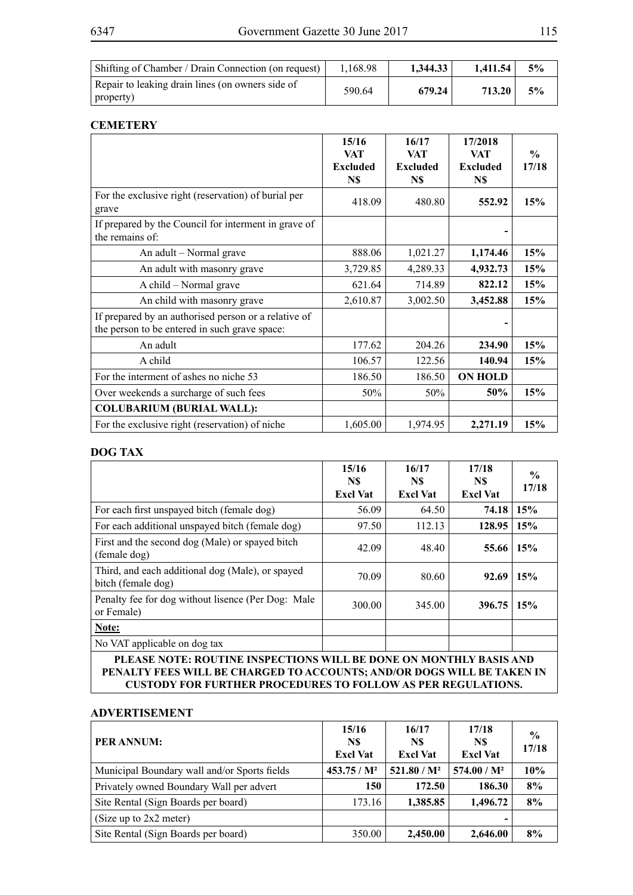| Shifting of Chamber / Drain Connection (on request) | 1.168.98 | 1.344.33 | 1.411.54 | 5% |
|-----------------------------------------------------|----------|----------|----------|----|
| Repair to leaking drain lines (on owners side of    | 590.64   | 679.24   | 713.20   | 5% |
| property)                                           |          |          |          |    |

### **CEMETERY**

|                                                                                                       | 15/16<br><b>VAT</b><br><b>Excluded</b><br>N\$ | 16/17<br><b>VAT</b><br><b>Excluded</b><br>N\$ | 17/2018<br><b>VAT</b><br><b>Excluded</b><br>N\$ | $\frac{0}{0}$<br>17/18 |
|-------------------------------------------------------------------------------------------------------|-----------------------------------------------|-----------------------------------------------|-------------------------------------------------|------------------------|
| For the exclusive right (reservation) of burial per<br>grave                                          | 418.09                                        | 480.80                                        | 552.92                                          | 15%                    |
| If prepared by the Council for interment in grave of<br>the remains of:                               |                                               |                                               |                                                 |                        |
| An adult - Normal grave                                                                               | 888.06                                        | 1,021.27                                      | 1,174.46                                        | 15%                    |
| An adult with masonry grave                                                                           | 3,729.85                                      | 4,289.33                                      | 4,932.73                                        | 15%                    |
| A child – Normal grave                                                                                | 621.64                                        | 714.89                                        | 822.12                                          | 15%                    |
| An child with masonry grave                                                                           | 2,610.87                                      | 3,002.50                                      | 3,452.88                                        | 15%                    |
| If prepared by an authorised person or a relative of<br>the person to be entered in such grave space: |                                               |                                               |                                                 |                        |
| An adult                                                                                              | 177.62                                        | 204.26                                        | 234.90                                          | 15%                    |
| A child                                                                                               | 106.57                                        | 122.56                                        | 140.94                                          | 15%                    |
| For the interment of ashes no niche 53                                                                | 186.50                                        | 186.50                                        | <b>ON HOLD</b>                                  |                        |
| Over weekends a surcharge of such fees                                                                | 50%                                           | 50%                                           | 50%                                             | 15%                    |
| <b>COLUBARIUM (BURIAL WALL):</b>                                                                      |                                               |                                               |                                                 |                        |
| For the exclusive right (reservation) of niche                                                        | 1,605.00                                      | 1,974.95                                      | 2,271.19                                        | 15%                    |

#### **DOG TAX**

|                                                                        | 15/16<br>N\$<br><b>Excl Vat</b> | 16/17<br>N\$<br><b>Excl Vat</b> | 17/18<br>N\$<br><b>Excl Vat</b> | $\frac{0}{0}$<br>17/18 |  |  |
|------------------------------------------------------------------------|---------------------------------|---------------------------------|---------------------------------|------------------------|--|--|
| For each first unspayed bitch (female dog)                             | 56.09                           | 64.50                           | 74.18                           | 15%                    |  |  |
| For each additional unspayed bitch (female dog)                        | 97.50                           | 112.13                          | 128.95                          | 15%                    |  |  |
| First and the second dog (Male) or spayed bitch<br>(female dog)        | 42.09                           | 48.40                           | 55.66                           | 15%                    |  |  |
| Third, and each additional dog (Male), or spayed<br>bitch (female dog) | 70.09                           | 80.60                           | 92.69                           | 15%                    |  |  |
| Penalty fee for dog without lisence (Per Dog: Male<br>or Female)       | 300.00                          | 345.00                          | 396.75                          | 15%                    |  |  |
| Note:                                                                  |                                 |                                 |                                 |                        |  |  |
| No VAT applicable on dog tax                                           |                                 |                                 |                                 |                        |  |  |
| PLEASE NOTE: ROUTINE INSPECTIONS WILL BE DONE ON MONTHLY BASIS AND     |                                 |                                 |                                 |                        |  |  |

**PENALTY FEES WILL BE CHARGED TO ACCOUNTS; AND/OR DOGS WILL BE TAKEN IN CUSTODY FOR FURTHER PROCEDURES TO FOLLOW AS PER REGULATIONS.**

#### **ADVERTISEMENT**

| PER ANNUM:                                    | 15/16<br>N\$<br><b>Excl Vat</b> | 16/17<br>N\$<br><b>Excl Vat</b> | 17/18<br>N\$<br><b>Excl Vat</b> | $\frac{6}{9}$<br>17/18 |
|-----------------------------------------------|---------------------------------|---------------------------------|---------------------------------|------------------------|
| Municipal Boundary wall and/or Sports fields  | $453.75/M^2$                    | $521.80/M^2$                    | $574.00 / M^2$                  | 10%                    |
| Privately owned Boundary Wall per advert      | 150                             | 172.50                          | 186.30                          | 8%                     |
| Site Rental (Sign Boards per board)<br>173.16 |                                 | 1,385.85                        | 1,496.72                        | 8%                     |
| (Size up to 2x2 meter)                        |                                 |                                 | $\overline{\phantom{0}}$        |                        |
| Site Rental (Sign Boards per board)           | 350.00                          | 2,450.00                        | 2,646.00                        | 8%                     |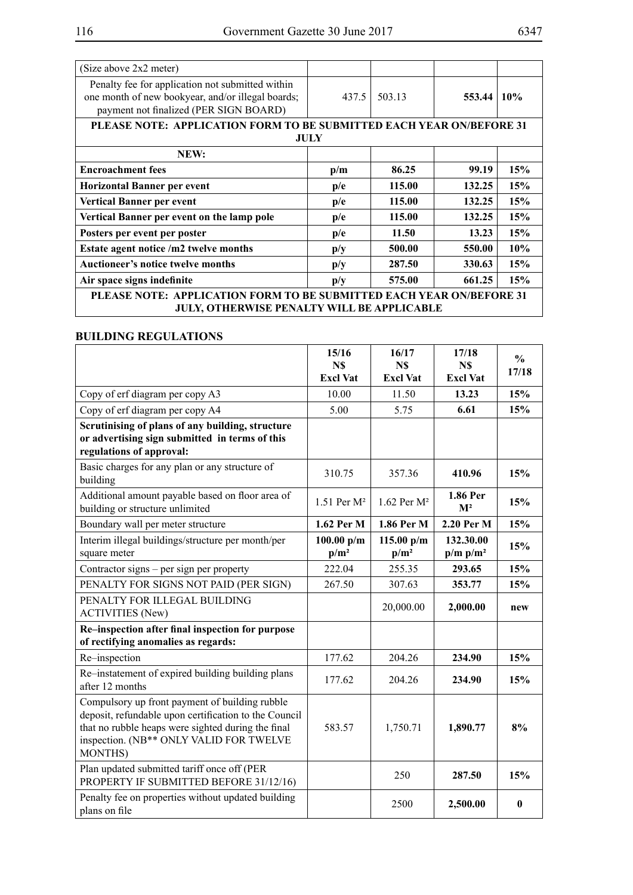| (Size above 2x2 meter)                                                                                                                          |                         |        |        |     |
|-------------------------------------------------------------------------------------------------------------------------------------------------|-------------------------|--------|--------|-----|
| Penalty fee for application not submitted within<br>one month of new bookyear, and/or illegal boards;<br>payment not finalized (PER SIGN BOARD) |                         | 503.13 | 553.44 | 10% |
| PLEASE NOTE: APPLICATION FORM TO BE SUBMITTED EACH YEAR ON/BEFORE 31                                                                            |                         |        |        |     |
|                                                                                                                                                 | JULY                    |        |        |     |
| NEW:                                                                                                                                            |                         |        |        |     |
| <b>Encroachment</b> fees                                                                                                                        | p/m                     | 86.25  | 99.19  | 15% |
| <b>Horizontal Banner per event</b>                                                                                                              | p/e                     | 115.00 | 132.25 | 15% |
| Vertical Banner per event                                                                                                                       | p/e                     | 115.00 | 132.25 | 15% |
| Vertical Banner per event on the lamp pole                                                                                                      | p/e                     | 115.00 | 132.25 | 15% |
| Posters per event per poster                                                                                                                    | p/e                     | 11.50  | 13.23  | 15% |
| Estate agent notice /m2 twelve months                                                                                                           | p/y                     | 500.00 | 550.00 | 10% |
| <b>Auctioneer's notice twelve months</b>                                                                                                        | $\mathbf{p}/\mathbf{y}$ | 287.50 | 330.63 | 15% |
| Air space signs indefinite                                                                                                                      | $\mathbf{p}/\mathbf{y}$ | 575.00 | 661.25 | 15% |
| <b>PLEASE NOTE: APPLICATION FORM TO BE SUBMITTED EACH YEAR ON/BEFORE 31</b><br>JULY, OTHERWISE PENALTY WILL BE APPLICABLE                       |                         |        |        |     |

## **BUILDING REGULATIONS**

|                                                                                                                                                                                                                             | 15/16<br>N\$<br><b>Excl Vat</b> | 16/17<br>N\$<br><b>Excl Vat</b> | 17/18<br>N\$<br><b>Excl Vat</b> | $\frac{0}{0}$<br>17/18 |
|-----------------------------------------------------------------------------------------------------------------------------------------------------------------------------------------------------------------------------|---------------------------------|---------------------------------|---------------------------------|------------------------|
| Copy of erf diagram per copy A3                                                                                                                                                                                             | 10.00                           | 11.50                           | 13.23                           | 15%                    |
| Copy of erf diagram per copy A4                                                                                                                                                                                             | 5.00                            | 5.75                            | 6.61                            | 15%                    |
| Scrutinising of plans of any building, structure<br>or advertising sign submitted in terms of this<br>regulations of approval:                                                                                              |                                 |                                 |                                 |                        |
| Basic charges for any plan or any structure of<br>building                                                                                                                                                                  | 310.75                          | 357.36                          | 410.96                          | 15%                    |
| Additional amount payable based on floor area of<br>building or structure unlimited                                                                                                                                         | 1.51 Per M <sup>2</sup>         | 1.62 Per M <sup>2</sup>         | 1.86 Per<br>M <sup>2</sup>      | 15%                    |
| Boundary wall per meter structure                                                                                                                                                                                           | 1.62 Per M                      | 1.86 Per M                      | 2.20 Per M                      | 15%                    |
| Interim illegal buildings/structure per month/per<br>square meter                                                                                                                                                           | 100.00 $p/m$<br>$p/m^2$         | 115.00 $p/m$<br>$p/m^2$         | 132.30.00<br>$p/m p/m^2$        | 15%                    |
| Contractor signs – per sign per property                                                                                                                                                                                    | 222.04                          | 255.35                          | 293.65                          | 15%                    |
| PENALTY FOR SIGNS NOT PAID (PER SIGN)                                                                                                                                                                                       | 267.50                          | 307.63                          | 353.77                          | 15%                    |
| PENALTY FOR ILLEGAL BUILDING<br><b>ACTIVITIES (New)</b>                                                                                                                                                                     |                                 | 20,000.00                       | 2,000.00                        | new                    |
| Re-inspection after final inspection for purpose<br>of rectifying anomalies as regards:                                                                                                                                     |                                 |                                 |                                 |                        |
| Re-inspection                                                                                                                                                                                                               | 177.62                          | 204.26                          | 234.90                          | 15%                    |
| Re-instatement of expired building building plans<br>after 12 months                                                                                                                                                        | 177.62                          | 204.26                          | 234.90                          | 15%                    |
| Compulsory up front payment of building rubble<br>deposit, refundable upon certification to the Council<br>that no rubble heaps were sighted during the final<br>inspection. (NB** ONLY VALID FOR TWELVE<br><b>MONTHS</b> ) | 583.57                          | 1,750.71                        | 1,890.77                        | 8%                     |
| Plan updated submitted tariff once off (PER<br>PROPERTY IF SUBMITTED BEFORE 31/12/16)                                                                                                                                       |                                 | 250                             | 287.50                          | 15%                    |
| Penalty fee on properties without updated building<br>plans on file                                                                                                                                                         |                                 | 2500                            | 2,500.00                        | $\bf{0}$               |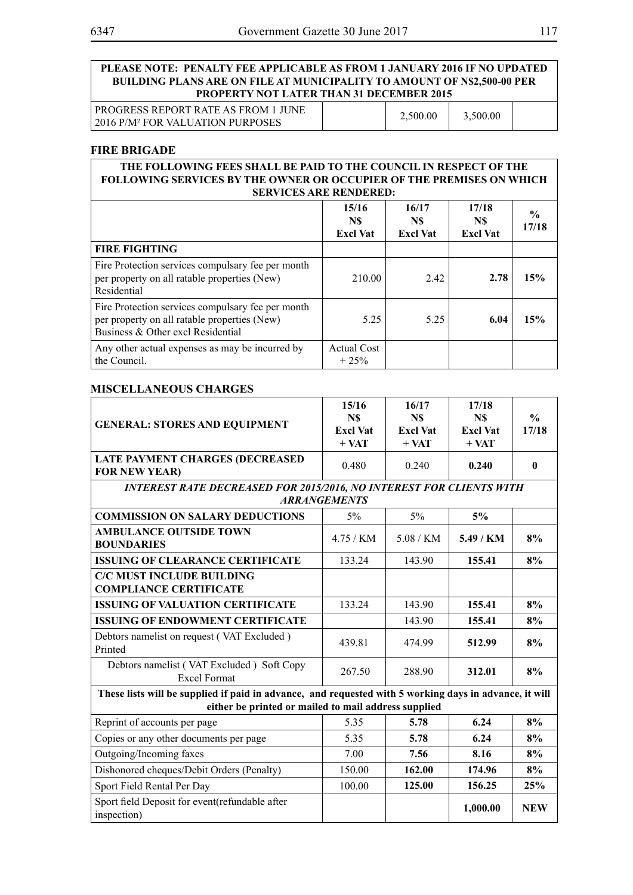#### **PLEASE NOTE: PENALTY FEE APPLICABLE AS FROM 1 JANUARY 2016 IF NO UPDATED BUILDING PLANS ARE ON FILE AT MUNICIPALITY TO AMOUNT OF N\$2,500-00 PER PROPERTY NOT LATER THAN 31 DECEMBER 2015**

PROGRESS REPORT RATE AS FROM 1 JUNE PROGRESS REPORT RATE AS FROM TJUNE<br>2016 P/M<sup>2</sup> FOR VALUATION PURPOSES 2,500.00 3,500.00

#### **FIRE BRIGADE**

| THE FOLLOWING FEES SHALL BE PAID TO THE COUNCIL IN RESPECT OF THE<br><b>FOLLOWING SERVICES BY THE OWNER OR OCCUPIER OF THE PREMISES ON WHICH</b><br><b>SERVICES ARE RENDERED:</b> |                                 |                                 |                                 |                        |
|-----------------------------------------------------------------------------------------------------------------------------------------------------------------------------------|---------------------------------|---------------------------------|---------------------------------|------------------------|
|                                                                                                                                                                                   | 15/16<br>N\$<br><b>Excl Vat</b> | 16/17<br>N\$<br><b>Excl Vat</b> | 17/18<br>N\$<br><b>Excl Vat</b> | $\frac{0}{0}$<br>17/18 |
| <b>FIRE FIGHTING</b>                                                                                                                                                              |                                 |                                 |                                 |                        |
| Fire Protection services compulsary fee per month<br>per property on all ratable properties (New)<br>Residential                                                                  | 210.00                          | 2.42                            | 2.78                            | 15%                    |
| Fire Protection services compulsary fee per month<br>per property on all ratable properties (New)<br>Business & Other excl Residential                                            | 5.25                            | 5.25                            | 6.04                            | 15%                    |
| Any other actual expenses as may be incurred by<br>the Council.                                                                                                                   | <b>Actual Cost</b><br>$+25%$    |                                 |                                 |                        |

#### **MISCELLANEOUS CHARGES**

|                                                                                                        | 15/16                      | 16/17                      | 17/18                      |               |
|--------------------------------------------------------------------------------------------------------|----------------------------|----------------------------|----------------------------|---------------|
| <b>GENERAL: STORES AND EQUIPMENT</b>                                                                   | N\$                        | N\$                        | N\$                        | $\frac{0}{0}$ |
|                                                                                                        | <b>Excl Vat</b><br>$+ VAT$ | <b>Excl Vat</b><br>$+ VAT$ | <b>Excl Vat</b><br>$+ VAT$ | 17/18         |
| <b>LATE PAYMENT CHARGES (DECREASED</b>                                                                 |                            |                            |                            |               |
| <b>FOR NEW YEAR)</b>                                                                                   | 0.480                      | 0.240                      | 0.240                      | $\mathbf{0}$  |
| <b>INTEREST RATE DECREASED FOR 2015/2016, NO INTEREST FOR CLIENTS WITH</b>                             |                            |                            |                            |               |
|                                                                                                        | <b>ARRANGEMENTS</b>        |                            |                            |               |
| <b>COMMISSION ON SALARY DEDUCTIONS</b>                                                                 | 5%                         | $5\%$                      | 5%                         |               |
| <b>AMBULANCE OUTSIDE TOWN</b><br><b>BOUNDARIES</b>                                                     | 4.75 / KM                  | 5.08/KM                    | 5.49 / KM                  | 8%            |
| <b>ISSUING OF CLEARANCE CERTIFICATE</b>                                                                | 133.24                     | 143.90                     | 155.41                     | 8%            |
| <b>C/C MUST INCLUDE BUILDING</b>                                                                       |                            |                            |                            |               |
| <b>COMPLIANCE CERTIFICATE</b>                                                                          |                            |                            |                            |               |
| <b>ISSUING OF VALUATION CERTIFICATE</b>                                                                | 133.24                     | 143.90                     | 155.41                     | 8%            |
| <b>ISSUING OF ENDOWMENT CERTIFICATE</b>                                                                |                            | 143.90                     | 155.41                     | 8%            |
| Debtors namelist on request (VAT Excluded)<br>Printed                                                  | 439.81                     | 474.99                     | 512.99                     | 8%            |
| Debtors namelist (VAT Excluded) Soft Copy<br><b>Excel Format</b>                                       | 267.50                     | 288.90                     | 312.01                     | 8%            |
| These lists will be supplied if paid in advance, and requested with 5 working days in advance, it will |                            |                            |                            |               |
| either be printed or mailed to mail address supplied                                                   |                            |                            |                            |               |
| Reprint of accounts per page                                                                           | 5.35                       | 5.78                       | 6.24                       | 8%            |
| Copies or any other documents per page                                                                 | 5.35                       | 5.78                       | 6.24                       | 8%            |
| Outgoing/Incoming faxes                                                                                | 7.00                       | 7.56                       | 8.16                       | 8%            |
| Dishonored cheques/Debit Orders (Penalty)                                                              | 150.00                     | 162.00                     | 174.96                     | 8%            |
| Sport Field Rental Per Day                                                                             | 100.00                     | 125.00                     | 156.25                     | 25%           |
| Sport field Deposit for event(refundable after<br>inspection)                                          |                            |                            | 1,000.00                   | <b>NEW</b>    |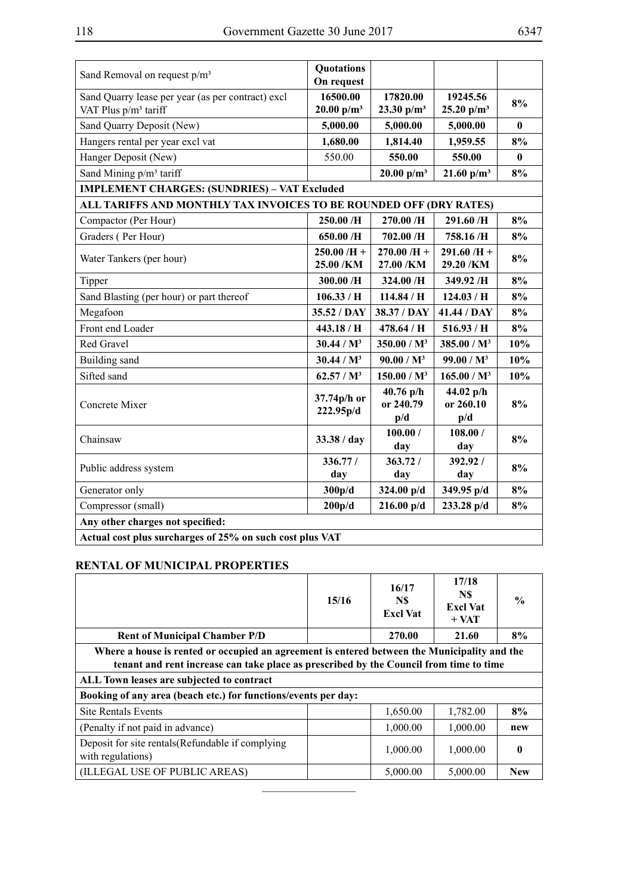| ۰,<br>×<br>۰, |  |
|---------------|--|
|---------------|--|

| Sand Removal on request p/m <sup>3</sup>                           | <b>Quotations</b><br>On request |                                                     |                                                     |          |
|--------------------------------------------------------------------|---------------------------------|-----------------------------------------------------|-----------------------------------------------------|----------|
| Sand Quarry lease per year (as per contract) excl                  | 16500.00                        | 17820.00                                            | 19245.56                                            | 8%       |
| VAT Plus p/m <sup>3</sup> tariff                                   | 20.00 $p/m^3$                   | 23.30 $p/m^3$                                       | 25.20 $p/m^3$                                       |          |
| Sand Quarry Deposit (New)                                          | 5,000.00                        | 5,000.00                                            | 5,000.00                                            | 0        |
| Hangers rental per year excl vat                                   | 1,680.00                        | 1,814.40                                            | 1,959.55                                            | 8%       |
| Hanger Deposit (New)                                               | 550.00                          | 550.00                                              | 550.00                                              | $\bf{0}$ |
| Sand Mining p/m <sup>3</sup> tariff                                |                                 | 20.00 $p/m^3$                                       | $21.60$ p/m <sup>3</sup>                            | 8%       |
| <b>IMPLEMENT CHARGES: (SUNDRIES) - VAT Excluded</b>                |                                 |                                                     |                                                     |          |
| ALL TARIFFS AND MONTHLY TAX INVOICES TO BE ROUNDED OFF (DRY RATES) |                                 |                                                     |                                                     |          |
| Compactor (Per Hour)                                               | 250.00 /H                       | 270.00 /H                                           | 291.60 /H                                           | 8%       |
| Graders (Per Hour)                                                 | 650.00 /H                       | 702.00 /H                                           | 758.16 /H                                           | 8%       |
| Water Tankers (per hour)                                           | $250.00/H +$                    | $270.00$ /H +                                       | $291.60/H +$                                        | 8%       |
|                                                                    | 25.00 /KM                       | 27.00 /KM                                           | 29.20 /KM                                           |          |
| Tipper                                                             | 300.00 /H                       | 324.00 /H                                           | 349.92 /H                                           | 8%       |
| Sand Blasting (per hour) or part thereof                           | 106.33/H                        | 114.84/H                                            | 124.03/H                                            | 8%       |
| Megafoon                                                           | 35.52 / DAY                     | 38.37 / DAY                                         | 41.44 / DAY                                         | 8%       |
| Front end Loader                                                   | 443.18 / H                      | 478.64 / H                                          | 516.93/H                                            | 8%       |
| <b>Red Gravel</b>                                                  | 30.44 / M <sup>3</sup>          | 350.00 / M <sup>3</sup>                             | 385.00 / M <sup>3</sup>                             | 10%      |
| Building sand                                                      | 30.44 / M <sup>3</sup>          | 90.00 / M <sup>3</sup>                              | 99.00 / M <sup>3</sup>                              | 10%      |
| Sifted sand                                                        | 62.57 / M <sup>3</sup>          | 150.00 / M <sup>3</sup>                             | 165.00 / M <sup>3</sup>                             | 10%      |
| Concrete Mixer                                                     | 37.74p/h or<br>222.95p/d        | $40.76$ p/h<br>or 240.79<br>$\mathbf{p}/\mathbf{d}$ | 44.02 $p/h$<br>or 260.10<br>$\mathbf{p}/\mathbf{d}$ | 8%       |
| Chainsaw                                                           | 33.38 / day                     | 100.00 /<br>day                                     | 108.00 /<br>day                                     | 8%       |
| Public address system                                              | 336.77/<br>day                  | 363.72/<br>day                                      | 392.92/<br>day                                      | 8%       |
| Generator only                                                     | 300p/d                          | 324.00 p/d                                          | 349.95 p/d                                          | 8%       |
| Compressor (small)                                                 | 200p/d                          | $216.00$ p/d                                        | 233.28 p/d                                          | 8%       |
| Any other charges not specified:                                   |                                 |                                                     |                                                     |          |
| Actual cost plus surcharges of 25% on such cost plus VAT           |                                 |                                                     |                                                     |          |

### **RENTAL OF MUNICIPAL PROPERTIES**

|                                                                                                                                                                                        | 15/16 | 16/17<br>N\$<br><b>Excl Vat</b> | 17/18<br>N\$<br><b>Excl Vat</b><br>$+$ VAT | $\frac{0}{0}$ |
|----------------------------------------------------------------------------------------------------------------------------------------------------------------------------------------|-------|---------------------------------|--------------------------------------------|---------------|
| <b>Rent of Municipal Chamber P/D</b>                                                                                                                                                   |       | 270.00                          | 21.60                                      | 8%            |
| Where a house is rented or occupied an agreement is entered between the Municipality and the<br>tenant and rent increase can take place as prescribed by the Council from time to time |       |                                 |                                            |               |
| ALL Town leases are subjected to contract                                                                                                                                              |       |                                 |                                            |               |
| Booking of any area (beach etc.) for functions/events per day:                                                                                                                         |       |                                 |                                            |               |
| <b>Site Rentals Events</b>                                                                                                                                                             |       | 1,650.00                        | 1,782.00                                   | 8%            |
| (Penalty if not paid in advance)                                                                                                                                                       |       | 1,000.00                        | 1,000.00                                   | new           |
| Deposit for site rentals (Refundable if complying<br>with regulations)                                                                                                                 |       | 1,000.00                        | 1,000.00                                   | 0             |
| (ILLEGAL USE OF PUBLIC AREAS)                                                                                                                                                          |       | 5,000.00                        | 5,000.00                                   | <b>New</b>    |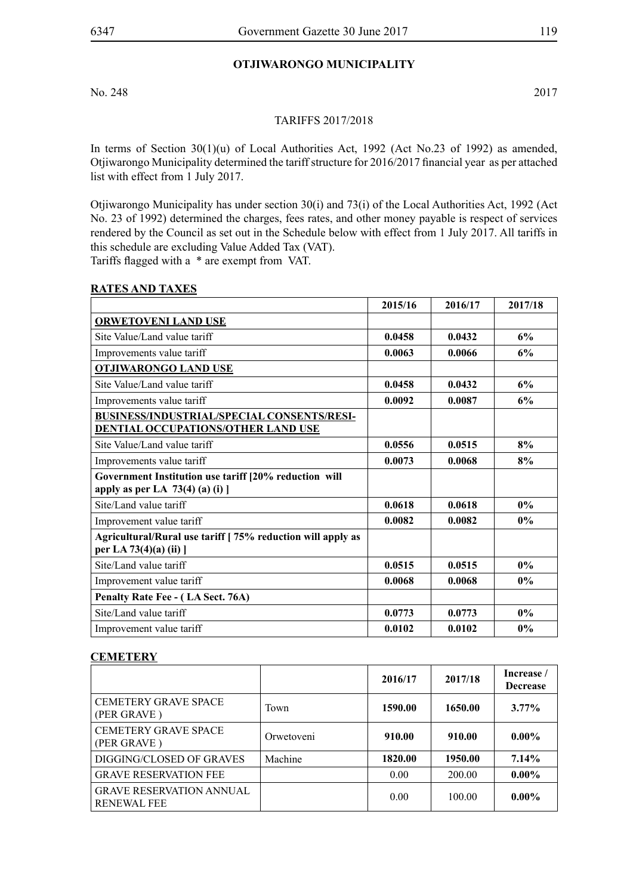### **OTJIWARONGO MUNICIPALITY**

No. 248 2017

#### TARIFFS 2017/2018

In terms of Section 30(1)(u) of Local Authorities Act, 1992 (Act No.23 of 1992) as amended, Otjiwarongo Municipality determined the tariff structure for 2016/2017 financial year as per attached list with effect from 1 July 2017.

Otjiwarongo Municipality has under section 30(i) and 73(i) of the Local Authorities Act, 1992 (Act No. 23 of 1992) determined the charges, fees rates, and other money payable is respect of services rendered by the Council as set out in the Schedule below with effect from 1 July 2017. All tariffs in this schedule are excluding Value Added Tax (VAT).

Tariffs flagged with a \* are exempt from VAT.

#### **RATES AND TAXES**

|                                                            | 2015/16 | 2016/17 | 2017/18 |
|------------------------------------------------------------|---------|---------|---------|
| <b>ORWETOVENI LAND USE</b>                                 |         |         |         |
| Site Value/Land value tariff                               | 0.0458  | 0.0432  | 6%      |
| Improvements value tariff                                  | 0.0063  | 0.0066  | 6%      |
| <b>OTJIWARONGO LAND USE</b>                                |         |         |         |
| Site Value/Land value tariff                               | 0.0458  | 0.0432  | 6%      |
| Improvements value tariff                                  | 0.0092  | 0.0087  | 6%      |
| <b>BUSINESS/INDUSTRIAL/SPECIAL CONSENTS/RESI-</b>          |         |         |         |
| DENTIAL OCCUPATIONS/OTHER LAND USE                         |         |         |         |
| Site Value/Land value tariff                               | 0.0556  | 0.0515  | 8%      |
| Improvements value tariff                                  | 0.0073  | 0.0068  | 8%      |
| Government Institution use tariff [20% reduction will      |         |         |         |
| apply as per LA $73(4)$ (a) (i) ]                          |         |         |         |
| Site/Land value tariff                                     | 0.0618  | 0.0618  | $0\%$   |
| Improvement value tariff                                   | 0.0082  | 0.0082  | $0\%$   |
| Agricultural/Rural use tariff [75% reduction will apply as |         |         |         |
| per LA 73(4)(a) (ii) ]                                     |         |         |         |
| Site/Land value tariff                                     | 0.0515  | 0.0515  | $0\%$   |
| Improvement value tariff                                   | 0.0068  | 0.0068  | $0\%$   |
| Penalty Rate Fee - (LA Sect. 76A)                          |         |         |         |
| Site/Land value tariff                                     | 0.0773  | 0.0773  | $0\%$   |
| Improvement value tariff                                   | 0.0102  | 0.0102  | $0\%$   |

### **CEMETERY**

|                                                       |            | 2016/17 | 2017/18 | Increase /<br><b>Decrease</b> |
|-------------------------------------------------------|------------|---------|---------|-------------------------------|
| <b>CEMETERY GRAVE SPACE</b><br>(PER GRAVE)            | Town       | 1590.00 | 1650.00 | $3.77\%$                      |
| <b>CEMETERY GRAVE SPACE</b><br>(PER GRAVE)            | Orwetoveni | 910.00  | 910.00  | $0.00\%$                      |
| DIGGING/CLOSED OF GRAVES                              | Machine    | 1820.00 | 1950.00 | 7.14%                         |
| <b>GRAVE RESERVATION FEE</b>                          |            | 0.00    | 200.00  | $0.00\%$                      |
| <b>GRAVE RESERVATION ANNUAL</b><br><b>RENEWAL FEE</b> |            | 0.00    | 100.00  | $0.00\%$                      |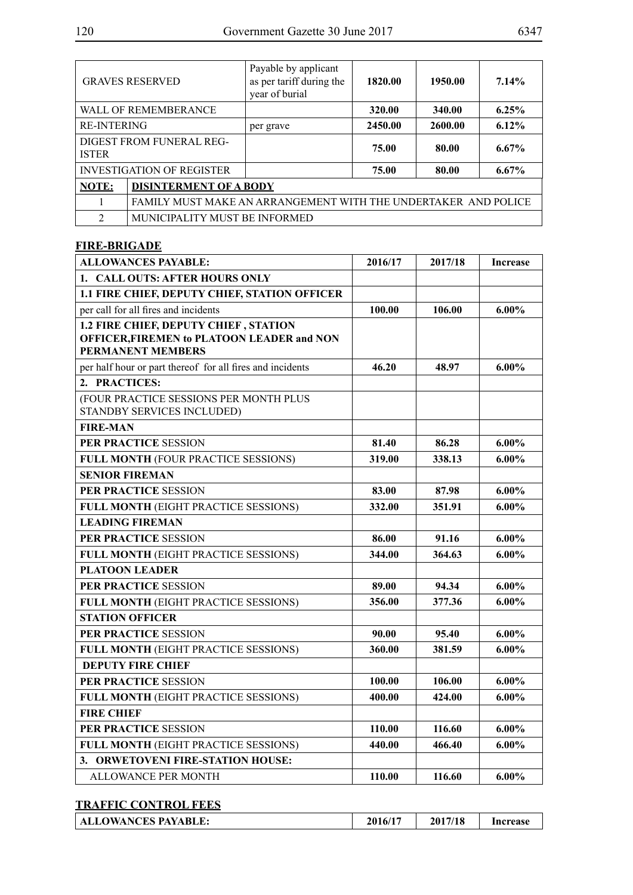|                    | <b>GRAVES RESERVED</b>                                         | Payable by applicant<br>as per tariff during the<br>year of burial | 1820.00 | 1950.00 | 7.14%    |
|--------------------|----------------------------------------------------------------|--------------------------------------------------------------------|---------|---------|----------|
|                    | WALL OF REMEMBERANCE                                           |                                                                    | 320.00  | 340.00  | 6.25%    |
| <b>RE-INTERING</b> |                                                                | per grave                                                          | 2450.00 | 2600.00 | 6.12%    |
| <b>ISTER</b>       | DIGEST FROM FUNERAL REG-                                       |                                                                    | 75.00   | 80.00   | $6.67\%$ |
|                    | <b>INVESTIGATION OF REGISTER</b>                               |                                                                    | 75.00   | 80.00   | $6.67\%$ |
| NOTE:              | <b>DISINTERMENT OF A BODY</b>                                  |                                                                    |         |         |          |
|                    | FAMILY MUST MAKE AN ARRANGEMENT WITH THE UNDERTAKER AND POLICE |                                                                    |         |         |          |
| $\mathfrak{D}$     | MUNICIPALITY MUST BE INFORMED                                  |                                                                    |         |         |          |

## **FIRE-BRIGADE**

| <b>ALLOWANCES PAYABLE:</b>                                                                                             | 2016/17 | 2017/18 | <b>Increase</b> |
|------------------------------------------------------------------------------------------------------------------------|---------|---------|-----------------|
| 1. CALL OUTS: AFTER HOURS ONLY                                                                                         |         |         |                 |
| 1.1 FIRE CHIEF, DEPUTY CHIEF, STATION OFFICER                                                                          |         |         |                 |
| per call for all fires and incidents                                                                                   | 100.00  | 106.00  | $6.00\%$        |
| 1.2 FIRE CHIEF, DEPUTY CHIEF, STATION<br><b>OFFICER, FIREMEN to PLATOON LEADER and NON</b><br><b>PERMANENT MEMBERS</b> |         |         |                 |
| per half hour or part thereof for all fires and incidents                                                              | 46.20   | 48.97   | $6.00\%$        |
| 2. PRACTICES:                                                                                                          |         |         |                 |
| (FOUR PRACTICE SESSIONS PER MONTH PLUS<br>STANDBY SERVICES INCLUDED)                                                   |         |         |                 |
| <b>FIRE-MAN</b>                                                                                                        |         |         |                 |
| PER PRACTICE SESSION                                                                                                   | 81.40   | 86.28   | $6.00\%$        |
| FULL MONTH (FOUR PRACTICE SESSIONS)                                                                                    | 319.00  | 338.13  | $6.00\%$        |
| <b>SENIOR FIREMAN</b>                                                                                                  |         |         |                 |
| PER PRACTICE SESSION                                                                                                   | 83.00   | 87.98   | $6.00\%$        |
| FULL MONTH (EIGHT PRACTICE SESSIONS)                                                                                   | 332.00  | 351.91  | $6.00\%$        |
| <b>LEADING FIREMAN</b>                                                                                                 |         |         |                 |
| PER PRACTICE SESSION                                                                                                   | 86.00   | 91.16   | $6.00\%$        |
| FULL MONTH (EIGHT PRACTICE SESSIONS)                                                                                   | 344.00  | 364.63  | $6.00\%$        |
| <b>PLATOON LEADER</b>                                                                                                  |         |         |                 |
| PER PRACTICE SESSION                                                                                                   | 89.00   | 94.34   | $6.00\%$        |
| FULL MONTH (EIGHT PRACTICE SESSIONS)                                                                                   | 356.00  | 377.36  | $6.00\%$        |
| <b>STATION OFFICER</b>                                                                                                 |         |         |                 |
| PER PRACTICE SESSION                                                                                                   | 90.00   | 95.40   | $6.00\%$        |
| FULL MONTH (EIGHT PRACTICE SESSIONS)                                                                                   | 360.00  | 381.59  | $6.00\%$        |
| <b>DEPUTY FIRE CHIEF</b>                                                                                               |         |         |                 |
| PER PRACTICE SESSION                                                                                                   | 100.00  | 106.00  | $6.00\%$        |
| FULL MONTH (EIGHT PRACTICE SESSIONS)                                                                                   | 400.00  | 424.00  | $6.00\%$        |
| <b>FIRE CHIEF</b>                                                                                                      |         |         |                 |
| PER PRACTICE SESSION                                                                                                   | 110.00  | 116.60  | $6.00\%$        |
| FULL MONTH (EIGHT PRACTICE SESSIONS)                                                                                   | 440.00  | 466.40  | $6.00\%$        |
| 3. ORWETOVENI FIRE-STATION HOUSE:                                                                                      |         |         |                 |
| ALLOWANCE PER MONTH                                                                                                    | 110.00  | 116.60  | $6.00\%$        |

## **TRAFFIC CONTROL FEES**

|  | <b>ALLOWANCES PAYABLE:</b> | 2016/1′ | 2017/18 | Increase |
|--|----------------------------|---------|---------|----------|
|--|----------------------------|---------|---------|----------|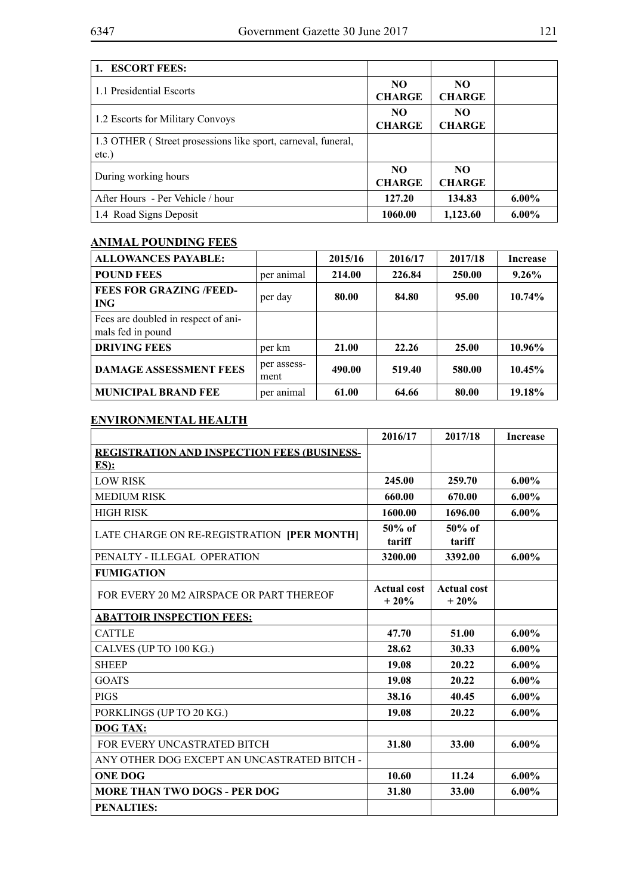| 1. ESCORT FEES:                                                          |                      |                      |          |
|--------------------------------------------------------------------------|----------------------|----------------------|----------|
| 1.1 Presidential Escorts                                                 | NO.<br><b>CHARGE</b> | NO.<br><b>CHARGE</b> |          |
| 1.2 Escorts for Military Convoys                                         | NO.<br><b>CHARGE</b> | NO.<br><b>CHARGE</b> |          |
| 1.3 OTHER (Street prosessions like sport, carneval, funeral,<br>$etc.$ ) |                      |                      |          |
| During working hours                                                     | NO.<br><b>CHARGE</b> | NO.<br><b>CHARGE</b> |          |
| After Hours - Per Vehicle / hour                                         | 127.20               | 134.83               | $6.00\%$ |
| 1.4 Road Signs Deposit                                                   | 1060.00              | 1,123.60             | $6.00\%$ |

## **ANIMAL POUNDING FEES**

| <b>ALLOWANCES PAYABLE:</b>                               |                     | 2015/16 | 2016/17 | 2017/18 | <b>Increase</b> |
|----------------------------------------------------------|---------------------|---------|---------|---------|-----------------|
| <b>POUND FEES</b>                                        | per animal          | 214.00  | 226.84  | 250.00  | $9.26\%$        |
| <b>FEES FOR GRAZING /FEED-</b><br><b>ING</b>             | per day             | 80.00   | 84.80   | 95.00   | 10.74%          |
| Fees are doubled in respect of ani-<br>mals fed in pound |                     |         |         |         |                 |
| <b>DRIVING FEES</b>                                      | per km              | 21.00   | 22.26   | 25.00   | 10.96%          |
| <b>DAMAGE ASSESSMENT FEES</b>                            | per assess-<br>ment | 490.00  | 519.40  | 580.00  | 10.45%          |
| <b>MUNICIPAL BRAND FEE</b>                               | per animal          | 61.00   | 64.66   | 80.00   | 19.18%          |

## **ENVIRONMENTAL HEALTH**

|                                                    | 2016/17                      | 2017/18                      | <b>Increase</b> |
|----------------------------------------------------|------------------------------|------------------------------|-----------------|
| <b>REGISTRATION AND INSPECTION FEES (BUSINESS-</b> |                              |                              |                 |
| $ES$ ):                                            |                              |                              |                 |
| <b>LOW RISK</b>                                    | 245.00                       | 259.70                       | $6.00\%$        |
| <b>MEDIUM RISK</b>                                 | 660.00                       | 670.00                       | $6.00\%$        |
| <b>HIGH RISK</b>                                   | 1600.00                      | 1696.00                      | $6.00\%$        |
| LATE CHARGE ON RE-REGISTRATION [PER MONTH]         | $50\%$ of<br>tariff          | $50\%$ of<br>tariff          |                 |
| PENALTY - ILLEGAL OPERATION                        | 3200.00                      | 3392.00                      | $6.00\%$        |
| <b>FUMIGATION</b>                                  |                              |                              |                 |
| FOR EVERY 20 M2 AIRSPACE OR PART THEREOF           | <b>Actual cost</b><br>$+20%$ | <b>Actual cost</b><br>$+20%$ |                 |
| <b>ABATTOIR INSPECTION FEES:</b>                   |                              |                              |                 |
| <b>CATTLE</b>                                      | 47.70                        | 51.00                        | $6.00\%$        |
| CALVES (UP TO 100 KG.)                             | 28.62                        | 30.33                        | $6.00\%$        |
| <b>SHEEP</b>                                       | 19.08                        | 20.22                        | $6.00\%$        |
| <b>GOATS</b>                                       | 19.08                        | 20.22                        | $6.00\%$        |
| <b>PIGS</b>                                        | 38.16                        | 40.45                        | $6.00\%$        |
| PORKLINGS (UP TO 20 KG.)                           | 19.08                        | 20.22                        | $6.00\%$        |
| <b>DOG TAX:</b>                                    |                              |                              |                 |
| FOR EVERY UNCASTRATED BITCH                        | 31.80                        | 33.00                        | $6.00\%$        |
| ANY OTHER DOG EXCEPT AN UNCASTRATED BITCH -        |                              |                              |                 |
| <b>ONE DOG</b>                                     | 10.60                        | 11.24                        | $6.00\%$        |
| <b>MORE THAN TWO DOGS - PER DOG</b>                | 31.80                        | 33.00                        | $6.00\%$        |
| <b>PENALTIES:</b>                                  |                              |                              |                 |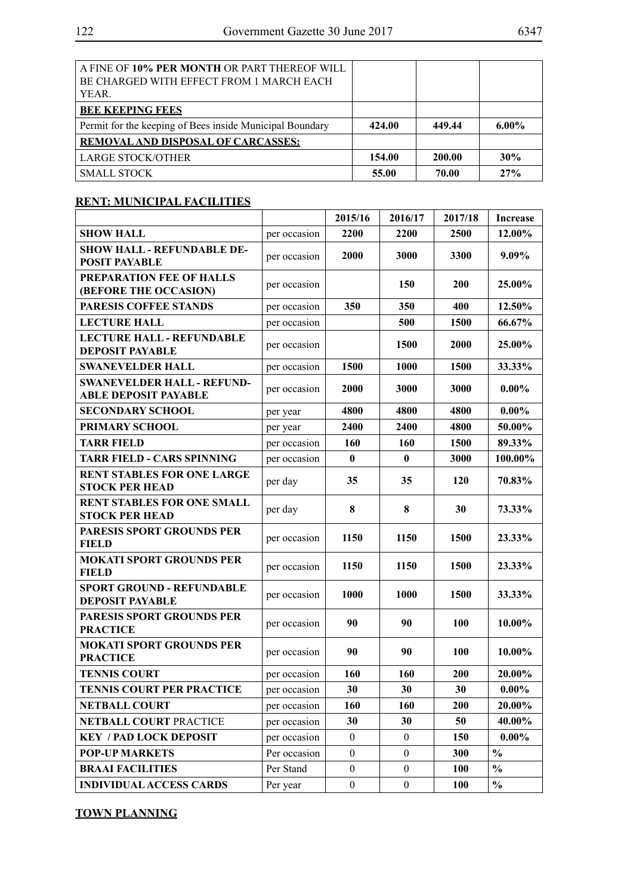| A FINE OF 10% PER MONTH OR PART THEREOF WILL<br>BE CHARGED WITH EFFECT FROM 1 MARCH EACH<br>YEAR. |        |        |          |
|---------------------------------------------------------------------------------------------------|--------|--------|----------|
| <b>BEE KEEPING FEES</b>                                                                           |        |        |          |
| Permit for the keeping of Bees inside Municipal Boundary                                          | 424.00 | 449.44 | $6.00\%$ |
| <b>REMOVAL AND DISPOSAL OF CARCASSES:</b>                                                         |        |        |          |
| <b>LARGE STOCK/OTHER</b>                                                                          | 154.00 | 200.00 | 30%      |
| <b>SMALL STOCK</b>                                                                                | 55.00  | 70.00  | 27%      |

## **RENT: MUNICIPAL FACILITIES**

|                                                                  |              | 2015/16          | 2016/17          | 2017/18     | <b>Increase</b> |
|------------------------------------------------------------------|--------------|------------------|------------------|-------------|-----------------|
| <b>SHOW HALL</b>                                                 | per occasion | 2200             | 2200             | 2500        | 12.00%          |
| <b>SHOW HALL - REFUNDABLE DE-</b><br><b>POSIT PAYABLE</b>        | per occasion | 2000             | 3000             | 3300        | 9.09%           |
| PREPARATION FEE OF HALLS<br>(BEFORE THE OCCASION)                | per occasion |                  | 150              | <b>200</b>  | 25.00%          |
| PARESIS COFFEE STANDS                                            | per occasion | 350              | 350              | 400         | 12.50%          |
| <b>LECTURE HALL</b>                                              | per occasion |                  | 500              | 1500        | 66.67%          |
| <b>LECTURE HALL - REFUNDABLE</b><br><b>DEPOSIT PAYABLE</b>       | per occasion |                  | 1500             | 2000        | 25.00%          |
| <b>SWANEVELDER HALL</b>                                          | per occasion | 1500             | 1000             | <b>1500</b> | 33.33%          |
| <b>SWANEVELDER HALL - REFUND-</b><br><b>ABLE DEPOSIT PAYABLE</b> | per occasion | 2000             | 3000             | 3000        | $0.00\%$        |
| <b>SECONDARY SCHOOL</b>                                          | per year     | 4800             | 4800             | 4800        | $0.00\%$        |
| PRIMARY SCHOOL                                                   | per year     | 2400             | 2400             | 4800        | 50.00%          |
| <b>TARR FIELD</b>                                                | per occasion | 160              | 160              | 1500        | 89.33%          |
| <b>TARR FIELD - CARS SPINNING</b>                                | per occasion | $\mathbf{0}$     | $\mathbf{0}$     | 3000        | 100.00%         |
| <b>RENT STABLES FOR ONE LARGE</b><br><b>STOCK PER HEAD</b>       | per day      | 35               | 35               | 120         | 70.83%          |
| <b>RENT STABLES FOR ONE SMALL</b><br><b>STOCK PER HEAD</b>       | per day      | 8                | 8                | 30          | 73.33%          |
| PARESIS SPORT GROUNDS PER<br><b>FIELD</b>                        | per occasion | 1150             | 1150             | 1500        | 23.33%          |
| <b>MOKATI SPORT GROUNDS PER</b><br><b>FIELD</b>                  | per occasion | 1150             | 1150             | 1500        | 23.33%          |
| <b>SPORT GROUND - REFUNDABLE</b><br><b>DEPOSIT PAYABLE</b>       | per occasion | 1000             | 1000             | 1500        | 33.33%          |
| PARESIS SPORT GROUNDS PER<br><b>PRACTICE</b>                     | per occasion | 90               | 90               | <b>100</b>  | 10.00%          |
| <b>MOKATI SPORT GROUNDS PER</b><br><b>PRACTICE</b>               | per occasion | 90               | 90               | <b>100</b>  | 10.00%          |
| <b>TENNIS COURT</b>                                              | per occasion | 160              | 160              | 200         | 20.00%          |
| TENNIS COURT PER PRACTICE                                        | per occasion | 30               | 30               | 30          | $0.00\%$        |
| <b>NETBALL COURT</b>                                             | per occasion | 160              | 160              | <b>200</b>  | 20.00%          |
| NETBALL COURT PRACTICE                                           | per occasion | 30               | 30               | 50          | 40.00%          |
| <b>KEY / PAD LOCK DEPOSIT</b>                                    | per occasion | $\boldsymbol{0}$ | $\mathbf{0}$     | 150         | $0.00\%$        |
| <b>POP-UP MARKETS</b>                                            | Per occasion | $\boldsymbol{0}$ | $\boldsymbol{0}$ | 300         | $\frac{0}{0}$   |
| <b>BRAAI FACILITIES</b>                                          | Per Stand    | $\boldsymbol{0}$ | $\boldsymbol{0}$ | <b>100</b>  | $\frac{0}{0}$   |
| <b>INDIVIDUAL ACCESS CARDS</b>                                   | Per year     | $\boldsymbol{0}$ | $\boldsymbol{0}$ | 100         | $\frac{0}{0}$   |

**TOWN PLANNING**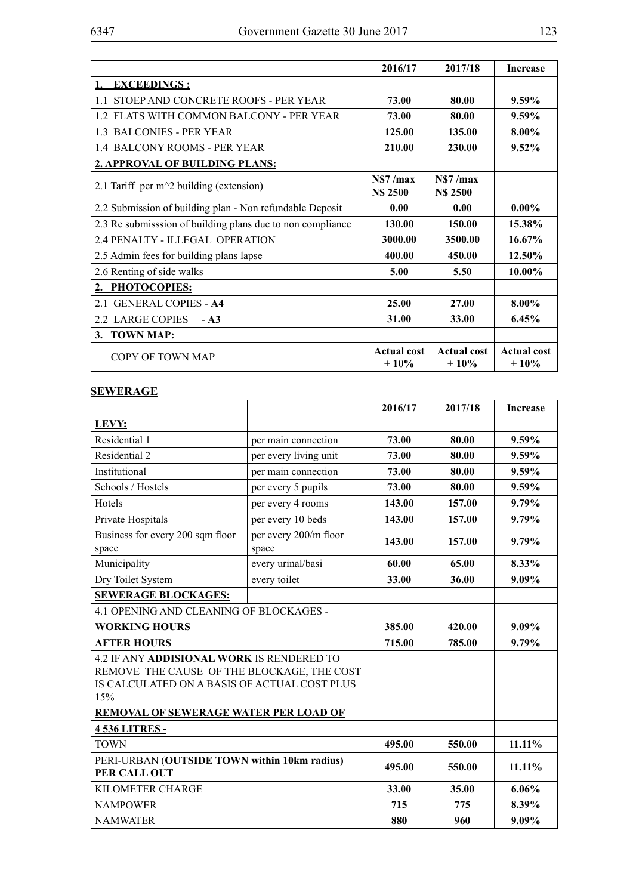|                                                            | 2016/17                       | 2017/18                      | <b>Increase</b>              |
|------------------------------------------------------------|-------------------------------|------------------------------|------------------------------|
| <b>EXCEEDINGS:</b>                                         |                               |                              |                              |
| 1.1 STOEP AND CONCRETE ROOFS - PER YEAR                    | 73.00                         | 80.00                        | $9.59\%$                     |
| 1.2 FLATS WITH COMMON BALCONY - PER YEAR                   | 73.00                         | 80.00                        | 9.59%                        |
| <b>1.3 BALCONIES - PER YEAR</b>                            | 125.00                        | 135.00                       | 8.00%                        |
| 1.4 BALCONY ROOMS - PER YEAR                               | 210.00                        | 230.00                       | 9.52%                        |
| 2. APPROVAL OF BUILDING PLANS:                             |                               |                              |                              |
| 2.1 Tariff per $m^2$ building (extension)                  | N\$7 / max<br><b>N\$ 2500</b> | NS7/max<br><b>N\$ 2500</b>   |                              |
| 2.2 Submission of building plan - Non refundable Deposit   | 0.00                          | 0.00                         | $0.00\%$                     |
| 2.3 Re submisssion of building plans due to non compliance | 130.00                        | 150.00                       | 15.38%                       |
| 2.4 PENALTY - ILLEGAL OPERATION                            | 3000.00                       | 3500.00                      | 16.67%                       |
| 2.5 Admin fees for building plans lapse                    | 400.00                        | 450.00                       | 12.50%                       |
| 2.6 Renting of side walks                                  | 5.00                          | 5.50                         | 10.00%                       |
| 2. PHOTOCOPIES:                                            |                               |                              |                              |
| 2.1 GENERAL COPIES - A4                                    | 25.00                         | 27.00                        | 8.00%                        |
| 2.2 LARGE COPIES<br>$- A3$                                 | 31.00                         | 33.00                        | 6.45%                        |
| 3. TOWN MAP:                                               |                               |                              |                              |
| COPY OF TOWN MAP                                           | <b>Actual cost</b><br>$+10%$  | <b>Actual cost</b><br>$+10%$ | <b>Actual cost</b><br>$+10%$ |

## **SEWERAGE**

|                                                                                                                                                |                                | 2016/17 | 2017/18 | <b>Increase</b> |
|------------------------------------------------------------------------------------------------------------------------------------------------|--------------------------------|---------|---------|-----------------|
| LEVY:                                                                                                                                          |                                |         |         |                 |
| Residential 1                                                                                                                                  | per main connection            | 73.00   | 80.00   | 9.59%           |
| Residential 2                                                                                                                                  | per every living unit          | 73.00   | 80.00   | 9.59%           |
| Institutional                                                                                                                                  | per main connection            | 73.00   | 80.00   | 9.59%           |
| Schools / Hostels                                                                                                                              | per every 5 pupils             | 73.00   | 80.00   | 9.59%           |
| Hotels                                                                                                                                         | per every 4 rooms              | 143.00  | 157.00  | 9.79%           |
| Private Hospitals                                                                                                                              | per every 10 beds              | 143.00  | 157.00  | 9.79%           |
| Business for every 200 sqm floor<br>space                                                                                                      | per every 200/m floor<br>space | 143.00  | 157.00  | 9.79%           |
| Municipality                                                                                                                                   | every urinal/basi              | 60.00   | 65.00   | 8.33%           |
| Dry Toilet System                                                                                                                              | every toilet                   | 33.00   | 36.00   | 9.09%           |
| <b>SEWERAGE BLOCKAGES:</b>                                                                                                                     |                                |         |         |                 |
| 4.1 OPENING AND CLEANING OF BLOCKAGES -                                                                                                        |                                |         |         |                 |
| <b>WORKING HOURS</b>                                                                                                                           |                                | 385.00  | 420.00  | 9.09%           |
| <b>AFTER HOURS</b>                                                                                                                             |                                | 715.00  | 785.00  | 9.79%           |
| 4.2 IF ANY ADDISIONAL WORK IS RENDERED TO<br>REMOVE THE CAUSE OF THE BLOCKAGE, THE COST<br>IS CALCULATED ON A BASIS OF ACTUAL COST PLUS<br>15% |                                |         |         |                 |
| REMOVAL OF SEWERAGE WATER PER LOAD OF                                                                                                          |                                |         |         |                 |
| <b>4536 LITRES-</b>                                                                                                                            |                                |         |         |                 |
| <b>TOWN</b>                                                                                                                                    |                                | 495.00  | 550.00  | 11.11%          |
| PERI-URBAN (OUTSIDE TOWN within 10km radius)<br>PER CALL OUT                                                                                   |                                | 495.00  | 550.00  | 11.11%          |
| KILOMETER CHARGE                                                                                                                               |                                | 33.00   | 35.00   | 6.06%           |
| <b>NAMPOWER</b>                                                                                                                                |                                | 715     | 775     | 8.39%           |
| <b>NAMWATER</b>                                                                                                                                |                                | 880     | 960     | 9.09%           |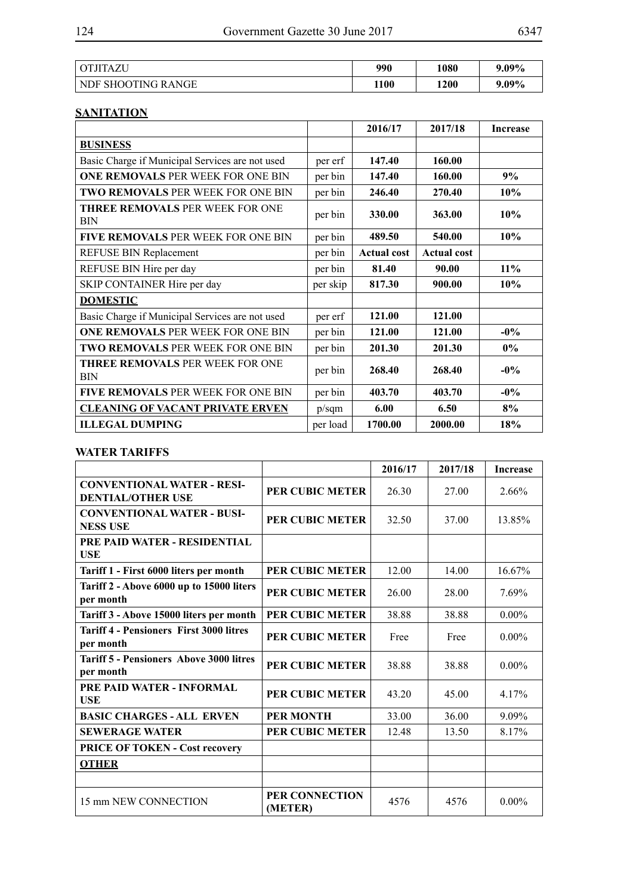| OTJITAZU                  | 990  | 1080 | $9.09\%$ |
|---------------------------|------|------|----------|
| <b>NDF SHOOTING RANGE</b> | 1100 | 1200 | 9.09%    |

## **SANITATION**

|                                                      |          | 2016/17            | 2017/18            | <b>Increase</b> |
|------------------------------------------------------|----------|--------------------|--------------------|-----------------|
| <b>BUSINESS</b>                                      |          |                    |                    |                 |
| Basic Charge if Municipal Services are not used      | per erf  | 147.40             | 160.00             |                 |
| <b>ONE REMOVALS PER WEEK FOR ONE BIN</b>             | per bin  | 147.40             | 160.00             | 9%              |
| TWO REMOVALS PER WEEK FOR ONE BIN                    | per bin  | 246.40             | 270.40             | 10%             |
| <b>THREE REMOVALS PER WEEK FOR ONE</b><br><b>BIN</b> | per bin  | 330.00             | 363.00             | 10%             |
| <b>FIVE REMOVALS PER WEEK FOR ONE BIN</b>            | per bin  | 489.50             | 540.00             | 10%             |
| REFUSE BIN Replacement                               | per bin  | <b>Actual cost</b> | <b>Actual cost</b> |                 |
| REFUSE BIN Hire per day                              | per bin  | 81.40              | 90.00              | $11\%$          |
| SKIP CONTAINER Hire per day                          | per skip | 817.30             | 900.00             | 10%             |
| <b>DOMESTIC</b>                                      |          |                    |                    |                 |
| Basic Charge if Municipal Services are not used      | per erf  | 121.00             | 121.00             |                 |
| <b>ONE REMOVALS PER WEEK FOR ONE BIN</b>             | per bin  | 121.00             | 121.00             | $-0\%$          |
| <b>TWO REMOVALS PER WEEK FOR ONE BIN</b>             | per bin  | 201.30             | 201.30             | $0\%$           |
| <b>THREE REMOVALS PER WEEK FOR ONE</b><br><b>BIN</b> | per bin  | 268.40             | 268.40             | $-0\%$          |
| <b>FIVE REMOVALS PER WEEK FOR ONE BIN</b>            | per bin  | 403.70             | 403.70             | $-0\%$          |
| <b>CLEANING OF VACANT PRIVATE ERVEN</b>              | p/sqm    | 6.00               | 6.50               | 8%              |
| <b>ILLEGAL DUMPING</b>                               | per load | 1700.00            | 2000.00            | 18%             |

#### **WATER TARIFFS**

|                                                               |                           | 2016/17 | 2017/18 | <b>Increase</b> |
|---------------------------------------------------------------|---------------------------|---------|---------|-----------------|
| <b>CONVENTIONAL WATER - RESI-</b><br><b>DENTIAL/OTHER USE</b> | <b>PER CUBIC METER</b>    | 26.30   | 27.00   | 2.66%           |
| <b>CONVENTIONAL WATER - BUSI-</b><br><b>NESS USE</b>          | <b>PER CUBIC METER</b>    | 32.50   | 37.00   | 13.85%          |
| PRE PAID WATER - RESIDENTIAL<br><b>USE</b>                    |                           |         |         |                 |
| Tariff 1 - First 6000 liters per month                        | <b>PER CUBIC METER</b>    | 12.00   | 14.00   | 16.67%          |
| Tariff 2 - Above 6000 up to 15000 liters<br>per month         | <b>PER CUBIC METER</b>    | 26.00   | 28.00   | 7.69%           |
| Tariff 3 - Above 15000 liters per month                       | PER CUBIC METER           | 38.88   | 38.88   | $0.00\%$        |
| <b>Tariff 4 - Pensioners First 3000 litres</b><br>per month   | <b>PER CUBIC METER</b>    | Free    | Free    | $0.00\%$        |
| <b>Tariff 5 - Pensioners Above 3000 litres</b><br>per month   | PER CUBIC METER           | 38.88   | 38.88   | $0.00\%$        |
| PRE PAID WATER - INFORMAL<br><b>USE</b>                       | <b>PER CUBIC METER</b>    | 43.20   | 45.00   | 4.17%           |
| <b>BASIC CHARGES - ALL ERVEN</b>                              | <b>PER MONTH</b>          | 33.00   | 36.00   | 9.09%           |
| <b>SEWERAGE WATER</b>                                         | PER CUBIC METER           | 12.48   | 13.50   | 8.17%           |
| <b>PRICE OF TOKEN - Cost recovery</b>                         |                           |         |         |                 |
| <b>OTHER</b>                                                  |                           |         |         |                 |
|                                                               |                           |         |         |                 |
| 15 mm NEW CONNECTION                                          | PER CONNECTION<br>(METER) | 4576    | 4576    | $0.00\%$        |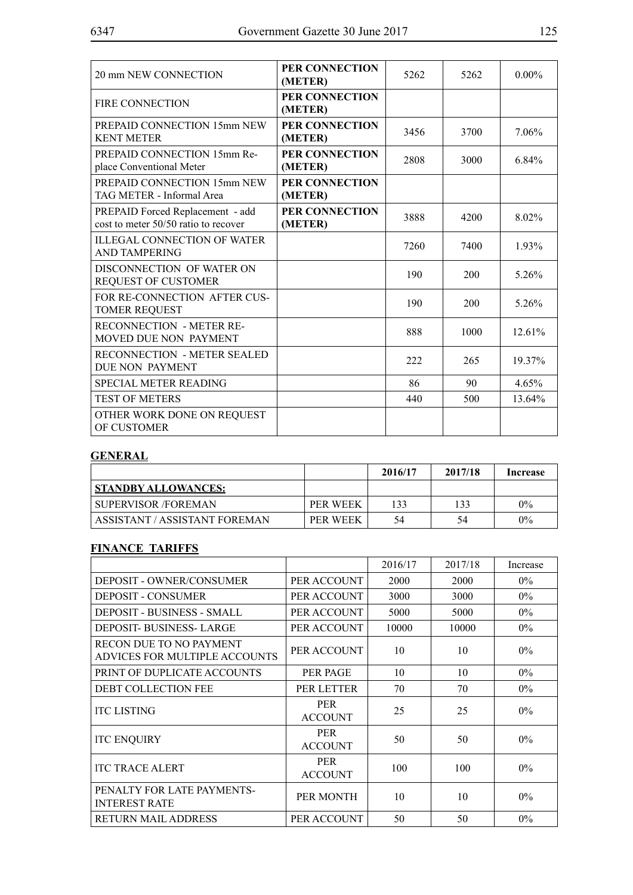| 20 mm NEW CONNECTION                                                     | PER CONNECTION<br>(METER) | 5262 | 5262 | $0.00\%$ |
|--------------------------------------------------------------------------|---------------------------|------|------|----------|
| <b>FIRE CONNECTION</b>                                                   | PER CONNECTION<br>(METER) |      |      |          |
| PREPAID CONNECTION 15mm NEW<br><b>KENT METER</b>                         | PER CONNECTION<br>(METER) | 3456 | 3700 | 7.06%    |
| PREPAID CONNECTION 15mm Re-<br>place Conventional Meter                  | PER CONNECTION<br>(METER) | 2808 | 3000 | 6.84%    |
| PREPAID CONNECTION 15mm NEW<br>TAG METER - Informal Area                 | PER CONNECTION<br>(METER) |      |      |          |
| PREPAID Forced Replacement - add<br>cost to meter 50/50 ratio to recover | PER CONNECTION<br>(METER) | 3888 | 4200 | 8.02%    |
| <b>ILLEGAL CONNECTION OF WATER</b><br><b>AND TAMPERING</b>               |                           | 7260 | 7400 | 1.93%    |
| DISCONNECTION OF WATER ON<br><b>REQUEST OF CUSTOMER</b>                  |                           | 190  | 200  | 5.26%    |
| FOR RE-CONNECTION AFTER CUS-<br><b>TOMER REQUEST</b>                     |                           | 190  | 200  | 5.26%    |
| <b>RECONNECTION - METER RE-</b><br>MOVED DUE NON PAYMENT                 |                           | 888  | 1000 | 12.61%   |
| <b>RECONNECTION - METER SEALED</b><br>DUE NON PAYMENT                    |                           | 222  | 265  | 19.37%   |
| <b>SPECIAL METER READING</b>                                             |                           | 86   | 90   | 4.65%    |
| <b>TEST OF METERS</b>                                                    |                           | 440  | 500  | 13.64%   |
| OTHER WORK DONE ON REQUEST<br>OF CUSTOMER                                |                           |      |      |          |

## **GENERAL**

|                               |                 | 2016/17 | 2017/18 | Increase |
|-------------------------------|-----------------|---------|---------|----------|
| <b>STANDBY ALLOWANCES:</b>    |                 |         |         |          |
| SUPERVISOR /FOREMAN           | <b>PER WEEK</b> | 133     | 133     | $0\%$    |
| ASSISTANT / ASSISTANT FOREMAN | PER WEEK        | 54      | 54      | 0%       |

## **FINANCE TARIFFS**

|                                                          |                              | 2016/17 | 2017/18     | Increase |
|----------------------------------------------------------|------------------------------|---------|-------------|----------|
| <b>DEPOSIT - OWNER/CONSUMER</b>                          | PER ACCOUNT                  | 2000    | <b>2000</b> | $0\%$    |
| <b>DEPOSIT - CONSUMER</b>                                | PER ACCOUNT                  | 3000    | 3000        | $0\%$    |
| DEPOSIT - BUSINESS - SMALL                               | PER ACCOUNT                  | 5000    | 5000        | $0\%$    |
| <b>DEPOSIT-BUSINESS-LARGE</b>                            | PER ACCOUNT                  | 10000   | 10000       | $0\%$    |
| RECON DUE TO NO PAYMENT<br>ADVICES FOR MULTIPLE ACCOUNTS | PER ACCOUNT                  | 10      | 10          | $0\%$    |
| PRINT OF DUPLICATE ACCOUNTS                              | PER PAGE                     | 10      | 10          | $0\%$    |
| <b>DEBT COLLECTION FEE</b>                               | PER LETTER                   | 70      | 70          | $0\%$    |
| <b>ITC LISTING</b>                                       | <b>PER</b><br><b>ACCOUNT</b> | 25      | 25          | $0\%$    |
| <b>ITC ENQUIRY</b>                                       | <b>PER</b><br><b>ACCOUNT</b> | 50      | 50          | $0\%$    |
| <b>ITC TRACE ALERT</b>                                   | <b>PER</b><br><b>ACCOUNT</b> | 100     | 100         | $0\%$    |
| PENALTY FOR LATE PAYMENTS-<br><b>INTEREST RATE</b>       | PER MONTH                    | 10      | 10          | $0\%$    |
| <b>RETURN MAIL ADDRESS</b>                               | PER ACCOUNT                  | 50      | 50          | $0\%$    |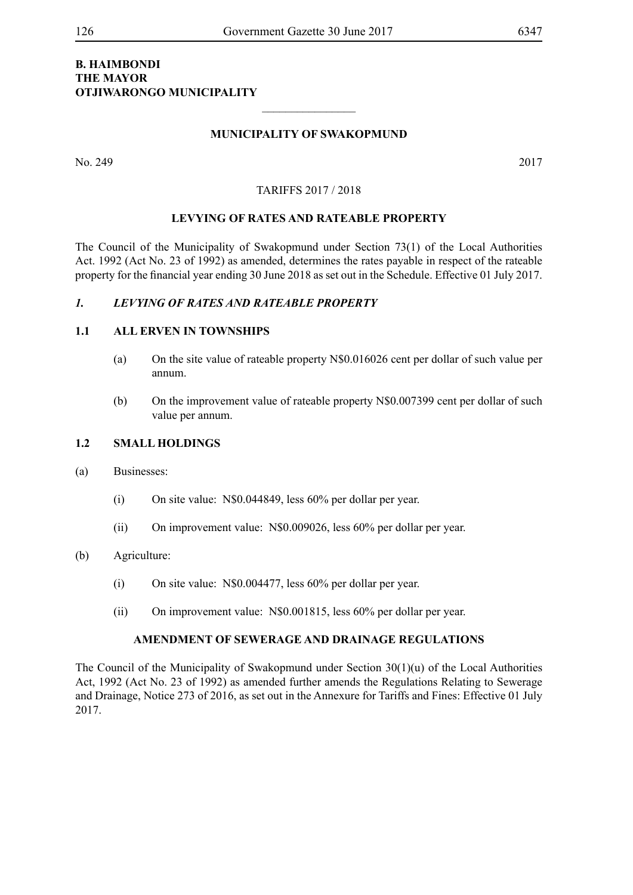### **B. Haimbondi The Mayor Otjiwarongo Municipality**

#### **MUNICIPALITY OF SWAKOPMUND**

 $\frac{1}{2}$ 

No. 249 2017

#### TARIFFS 2017 / 2018

#### **LEVYING OF RATES AND RATEABLE PROPERTY**

The Council of the Municipality of Swakopmund under Section 73(1) of the Local Authorities Act. 1992 (Act No. 23 of 1992) as amended, determines the rates payable in respect of the rateable property for the financial year ending 30 June 2018 as set out in the Schedule. Effective 01 July 2017.

#### *1. LEVYING OF RATES AND RATEABLE PROPERTY*

#### **1.1 ALL ERVEN IN TOWNSHIPS**

- (a) On the site value of rateable property N\$0.016026 cent per dollar of such value per annum.
- (b) On the improvement value of rateable property N\$0.007399 cent per dollar of such value per annum.

#### **1.2 SMALL HOLDINGS**

- (a) Businesses:
	- (i) On site value: N\$0.044849, less 60% per dollar per year.
	- (ii) On improvement value: N\$0.009026, less 60% per dollar per year.

#### (b) Agriculture:

- (i) On site value: N\$0.004477, less 60% per dollar per year.
- (ii) On improvement value: N\$0.001815, less 60% per dollar per year.

#### **AMENDMENT OF SEWERAGE AND DRAINAGE REGULATIONS**

The Council of the Municipality of Swakopmund under Section 30(1)(u) of the Local Authorities Act, 1992 (Act No. 23 of 1992) as amended further amends the Regulations Relating to Sewerage and Drainage, Notice 273 of 2016, as set out in the Annexure for Tariffs and Fines: Effective 01 July 2017.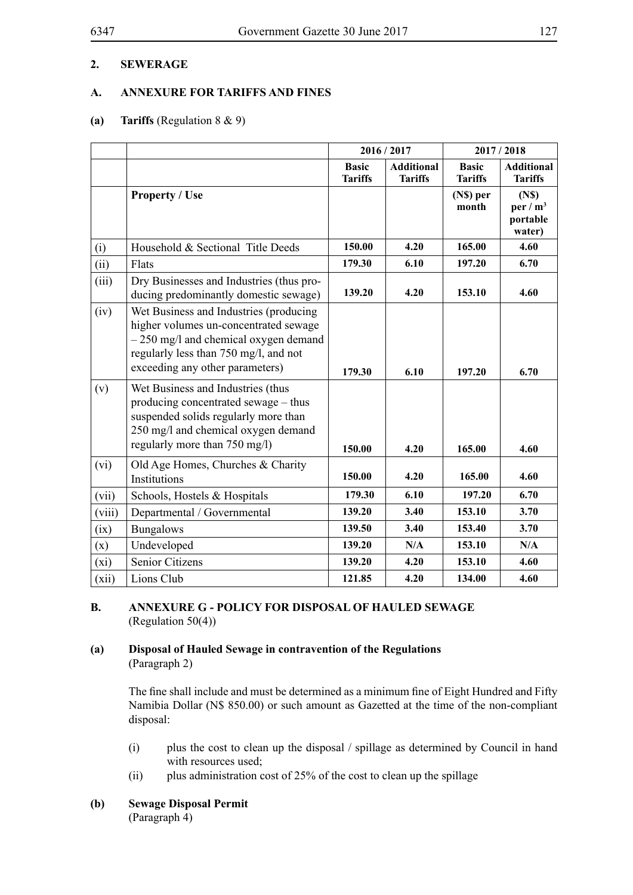### **A. ANNEXURE FOR TARIFFS AND FINES**

### **(a) Tariffs** (Regulation 8 & 9)

|        |                                                                                                                                                                                                      | 2016/2017                      |                                     | 2017/2018                      |                                                        |
|--------|------------------------------------------------------------------------------------------------------------------------------------------------------------------------------------------------------|--------------------------------|-------------------------------------|--------------------------------|--------------------------------------------------------|
|        |                                                                                                                                                                                                      | <b>Basic</b><br><b>Tariffs</b> | <b>Additional</b><br><b>Tariffs</b> | <b>Basic</b><br><b>Tariffs</b> | <b>Additional</b><br><b>Tariffs</b>                    |
|        | <b>Property / Use</b>                                                                                                                                                                                |                                |                                     | (N\$) per<br>month             | (N <sub>s</sub> )<br>per / $m^3$<br>portable<br>water) |
| (i)    | Household & Sectional Title Deeds                                                                                                                                                                    | 150.00                         | 4.20                                | 165.00                         | 4.60                                                   |
| (ii)   | Flats                                                                                                                                                                                                | 179.30                         | 6.10                                | 197.20                         | 6.70                                                   |
| (iii)  | Dry Businesses and Industries (thus pro-<br>ducing predominantly domestic sewage)                                                                                                                    | 139.20                         | 4.20                                | 153.10                         | 4.60                                                   |
| (iv)   | Wet Business and Industries (producing<br>higher volumes un-concentrated sewage<br>- 250 mg/l and chemical oxygen demand<br>regularly less than 750 mg/l, and not<br>exceeding any other parameters) | 179.30                         | 6.10                                | 197.20                         | 6.70                                                   |
| (v)    | Wet Business and Industries (thus<br>producing concentrated sewage – thus<br>suspended solids regularly more than<br>250 mg/l and chemical oxygen demand<br>regularly more than 750 mg/l)            | 150.00                         | 4.20                                | 165.00                         | 4.60                                                   |
| (vi)   | Old Age Homes, Churches & Charity<br>Institutions                                                                                                                                                    | 150.00                         | 4.20                                | 165.00                         | 4.60                                                   |
| (vii)  | Schools, Hostels & Hospitals                                                                                                                                                                         | 179.30                         | 6.10                                | 197.20                         | 6.70                                                   |
| (viii) | Departmental / Governmental                                                                                                                                                                          | 139.20                         | 3.40                                | 153.10                         | 3.70                                                   |
| (ix)   | <b>Bungalows</b>                                                                                                                                                                                     | 139.50                         | 3.40                                | 153.40                         | 3.70                                                   |
| (x)    | Undeveloped                                                                                                                                                                                          | 139.20                         | N/A                                 | 153.10                         | N/A                                                    |
| (xi)   | <b>Senior Citizens</b>                                                                                                                                                                               | 139.20                         | 4.20                                | 153.10                         | 4.60                                                   |
| (xii)  | Lions Club                                                                                                                                                                                           | 121.85                         | 4.20                                | 134.00                         | 4.60                                                   |

#### **B. ANNEXURE G - POLICY FOR DISPOSAL OF HAULED SEWAGE** (Regulation 50(4))

### **(a) Disposal of Hauled Sewage in contravention of the Regulations** (Paragraph 2)

The fine shall include and must be determined as a minimum fine of Eight Hundred and Fifty Namibia Dollar (N\$ 850.00) or such amount as Gazetted at the time of the non-compliant disposal:

- (i) plus the cost to clean up the disposal / spillage as determined by Council in hand with resources used:
- (ii) plus administration cost of 25% of the cost to clean up the spillage

### **(b) Sewage Disposal Permit**

(Paragraph 4)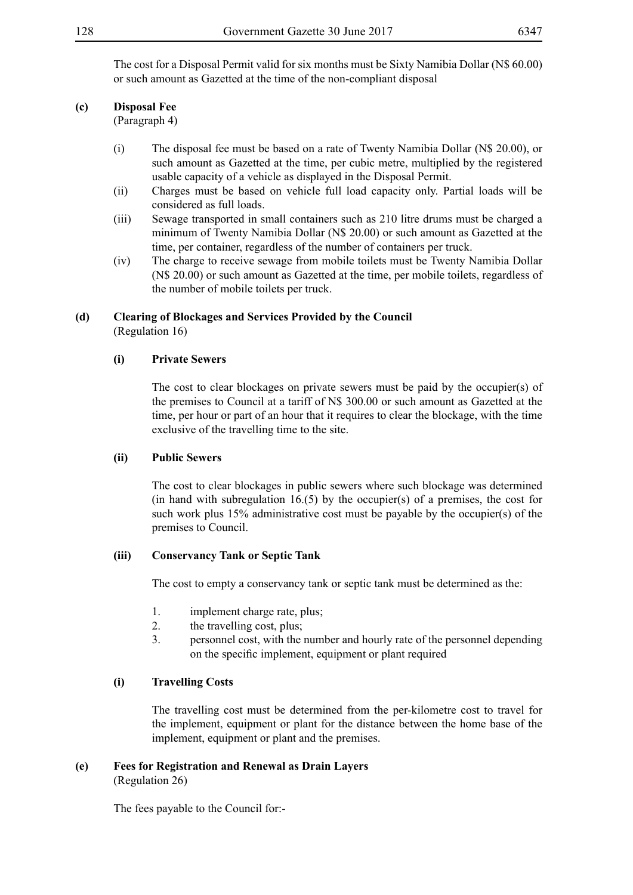The cost for a Disposal Permit valid for six months must be Sixty Namibia Dollar (N\$ 60.00) or such amount as Gazetted at the time of the non-compliant disposal

#### **(c) Disposal Fee**

(Paragraph 4)

- (i) The disposal fee must be based on a rate of Twenty Namibia Dollar (N\$ 20.00), or such amount as Gazetted at the time, per cubic metre, multiplied by the registered usable capacity of a vehicle as displayed in the Disposal Permit.
- (ii) Charges must be based on vehicle full load capacity only. Partial loads will be considered as full loads.
- (iii) Sewage transported in small containers such as 210 litre drums must be charged a minimum of Twenty Namibia Dollar (N\$ 20.00) or such amount as Gazetted at the time, per container, regardless of the number of containers per truck.
- (iv) The charge to receive sewage from mobile toilets must be Twenty Namibia Dollar (N\$ 20.00) or such amount as Gazetted at the time, per mobile toilets, regardless of the number of mobile toilets per truck.

#### **(d) Clearing of Blockages and Services Provided by the Council** (Regulation 16)

#### **(i) Private Sewers**

The cost to clear blockages on private sewers must be paid by the occupier(s) of the premises to Council at a tariff of N\$ 300.00 or such amount as Gazetted at the time, per hour or part of an hour that it requires to clear the blockage, with the time exclusive of the travelling time to the site.

#### **(ii) Public Sewers**

The cost to clear blockages in public sewers where such blockage was determined (in hand with subregulation  $16(5)$  by the occupier(s) of a premises, the cost for such work plus 15% administrative cost must be payable by the occupier(s) of the premises to Council.

#### **(iii) Conservancy Tank or Septic Tank**

The cost to empty a conservancy tank or septic tank must be determined as the:

- 1. implement charge rate, plus;
- 2. the travelling cost, plus;
- 3. personnel cost, with the number and hourly rate of the personnel depending on the specific implement, equipment or plant required

### **(i) Travelling Costs**

The travelling cost must be determined from the per-kilometre cost to travel for the implement, equipment or plant for the distance between the home base of the implement, equipment or plant and the premises.

### **(e) Fees for Registration and Renewal as Drain Layers**

(Regulation 26)

The fees payable to the Council for:-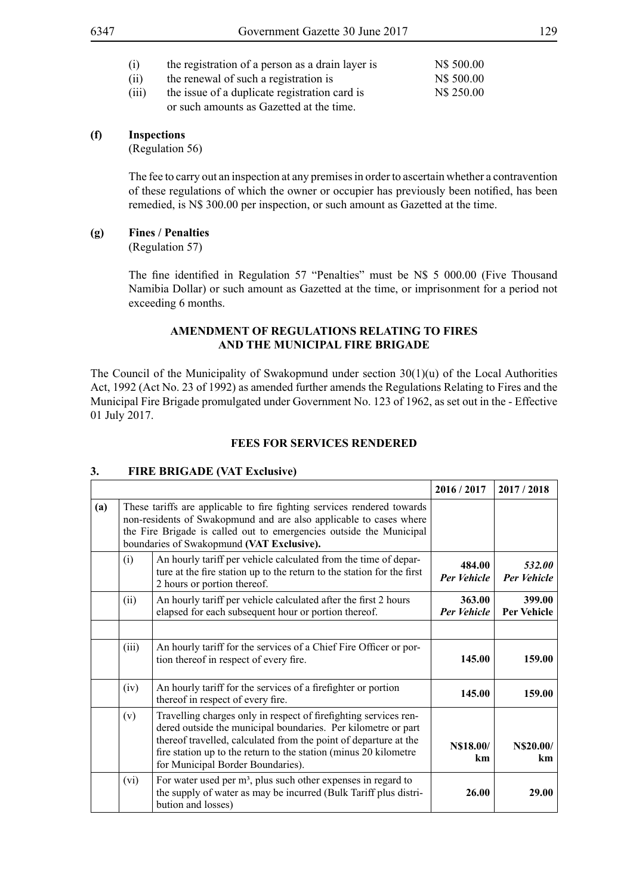| (i)   | the registration of a person as a drain layer is | N\$ 500.00 |
|-------|--------------------------------------------------|------------|
| (ii)  | the renewal of such a registration is            | N\$ 500.00 |
| (iii) | the issue of a duplicate registration card is    | N\$ 250.00 |
|       | or such amounts as Gazetted at the time.         |            |

#### **(f) Inspections**

(Regulation 56)

The fee to carry out an inspection at any premises in order to ascertain whether a contravention of these regulations of which the owner or occupier has previously been notified, has been remedied, is N\$ 300.00 per inspection, or such amount as Gazetted at the time.

#### **(g) Fines / Penalties**

(Regulation 57)

The fine identified in Regulation 57 "Penalties" must be N\$ 5 000.00 (Five Thousand Namibia Dollar) or such amount as Gazetted at the time, or imprisonment for a period not exceeding 6 months.

#### **AMENDMENT OF REGULATIONS RELATING TO FIRES AND THE MUNICIPAL FIRE BRIGADE**

The Council of the Municipality of Swakopmund under section  $30(1)(u)$  of the Local Authorities Act, 1992 (Act No. 23 of 1992) as amended further amends the Regulations Relating to Fires and the Municipal Fire Brigade promulgated under Government No. 123 of 1962, as set out in the - Effective 01 July 2017.

### **FEES FOR SERVICES RENDERED**

|     |       |                                                                                                                                                                                                                                                                                                                | 2016 / 2017                  | 2017/2018                    |
|-----|-------|----------------------------------------------------------------------------------------------------------------------------------------------------------------------------------------------------------------------------------------------------------------------------------------------------------------|------------------------------|------------------------------|
| (a) |       | These tariffs are applicable to fire fighting services rendered towards<br>non-residents of Swakopmund and are also applicable to cases where<br>the Fire Brigade is called out to emergencies outside the Municipal<br>boundaries of Swakopmund (VAT Exclusive).                                              |                              |                              |
|     | (i)   | An hourly tariff per vehicle calculated from the time of depar-<br>ture at the fire station up to the return to the station for the first<br>2 hours or portion thereof.                                                                                                                                       | 484.00<br><b>Per Vehicle</b> | 532.00<br><b>Per Vehicle</b> |
|     | (ii)  | An hourly tariff per vehicle calculated after the first 2 hours<br>elapsed for each subsequent hour or portion thereof.                                                                                                                                                                                        | 363.00<br><b>Per Vehicle</b> | 399.00<br><b>Per Vehicle</b> |
|     | (iii) | An hourly tariff for the services of a Chief Fire Officer or por-<br>tion thereof in respect of every fire.                                                                                                                                                                                                    | 145.00                       | 159.00                       |
|     | (iv)  | An hourly tariff for the services of a firefighter or portion<br>thereof in respect of every fire.                                                                                                                                                                                                             | 145.00                       | 159.00                       |
|     | (v)   | Travelling charges only in respect of firefighting services ren-<br>dered outside the municipal boundaries. Per kilometre or part<br>thereof travelled, calculated from the point of departure at the<br>fire station up to the return to the station (minus 20 kilometre<br>for Municipal Border Boundaries). | N\$18.00/<br>km              | N\$20.00/<br>km              |
|     | (vi)  | For water used per m <sup>3</sup> , plus such other expenses in regard to<br>the supply of water as may be incurred (Bulk Tariff plus distri-<br>bution and losses)                                                                                                                                            | 26.00                        | 29.00                        |

### **3. FIRE BRIGADE (VAT Exclusive)**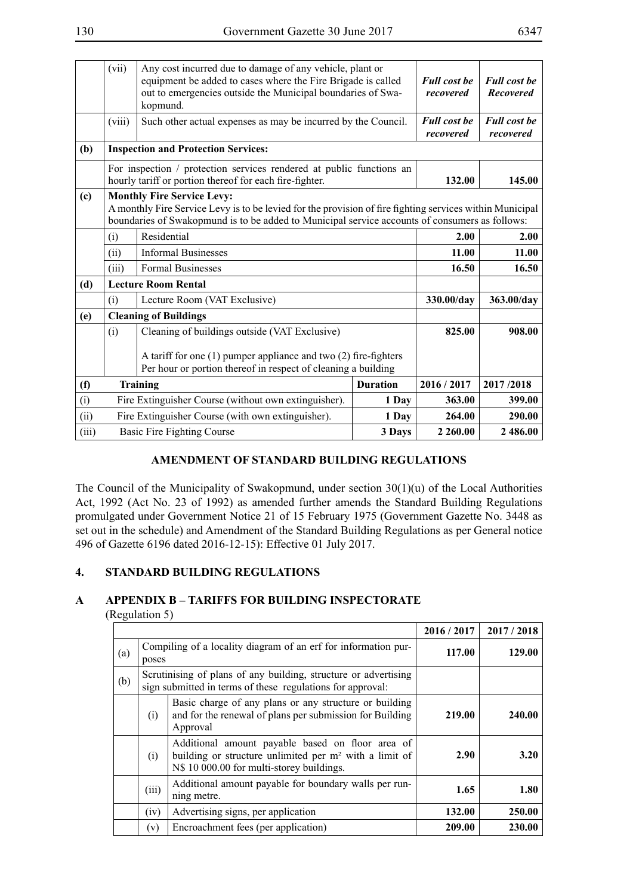|       | (vii)  | Any cost incurred due to damage of any vehicle, plant or<br>equipment be added to cases where the Fire Brigade is called<br>out to emergencies outside the Municipal boundaries of Swa-<br>kopmund.                                             |                 | <b>Full cost be</b><br>recovered | <b>Full cost be</b><br><b>Recovered</b> |
|-------|--------|-------------------------------------------------------------------------------------------------------------------------------------------------------------------------------------------------------------------------------------------------|-----------------|----------------------------------|-----------------------------------------|
|       | (viii) | Such other actual expenses as may be incurred by the Council.                                                                                                                                                                                   |                 | <b>Full cost be</b><br>recovered | <b>Full cost be</b><br>recovered        |
| (b)   |        | <b>Inspection and Protection Services:</b>                                                                                                                                                                                                      |                 |                                  |                                         |
|       |        | For inspection / protection services rendered at public functions an<br>hourly tariff or portion thereof for each fire-fighter.                                                                                                                 |                 | 132.00                           | 145.00                                  |
| (c)   |        | <b>Monthly Fire Service Levy:</b><br>A monthly Fire Service Levy is to be levied for the provision of fire fighting services within Municipal<br>boundaries of Swakopmund is to be added to Municipal service accounts of consumers as follows: |                 |                                  |                                         |
|       | (i)    | Residential                                                                                                                                                                                                                                     |                 | 2.00                             | 2.00                                    |
|       | (ii)   | <b>Informal Businesses</b>                                                                                                                                                                                                                      |                 | 11.00                            | 11.00                                   |
|       | (iii)  | <b>Formal Businesses</b>                                                                                                                                                                                                                        |                 | 16.50                            | 16.50                                   |
| (d)   |        | <b>Lecture Room Rental</b>                                                                                                                                                                                                                      |                 |                                  |                                         |
|       | (i)    | Lecture Room (VAT Exclusive)                                                                                                                                                                                                                    |                 | 330.00/day                       | 363.00/day                              |
| (e)   |        | <b>Cleaning of Buildings</b>                                                                                                                                                                                                                    |                 |                                  |                                         |
|       | (i)    | Cleaning of buildings outside (VAT Exclusive)                                                                                                                                                                                                   |                 | 825.00                           | 908.00                                  |
|       |        | A tariff for one (1) pumper appliance and two (2) fire-fighters<br>Per hour or portion thereof in respect of cleaning a building                                                                                                                |                 |                                  |                                         |
| (f)   |        | <b>Training</b>                                                                                                                                                                                                                                 | <b>Duration</b> | 2016/2017                        | 2017/2018                               |
| (i)   |        | Fire Extinguisher Course (without own extinguisher).                                                                                                                                                                                            | 1 Day           | 363.00                           | 399.00                                  |
| (ii)  |        | Fire Extinguisher Course (with own extinguisher).                                                                                                                                                                                               | 1 Day           | 264.00                           | 290.00                                  |
| (iii) |        | <b>Basic Fire Fighting Course</b>                                                                                                                                                                                                               | 3 Days          | 2 2 6 0.00                       | 2 486.00                                |

### **AMENDMENT OF STANDARD BUILDING REGULATIONS**

The Council of the Municipality of Swakopmund, under section 30(1)(u) of the Local Authorities Act, 1992 (Act No. 23 of 1992) as amended further amends the Standard Building Regulations promulgated under Government Notice 21 of 15 February 1975 (Government Gazette No. 3448 as set out in the schedule) and Amendment of the Standard Building Regulations as per General notice 496 of Gazette 6196 dated 2016-12-15): Effective 01 July 2017.

### **4. STANDARD BUILDING REGULATIONS**

### **A APPENDIX B – TARIFFS FOR BUILDING INSPECTORATE**

(Regulation 5)

|     |       |                                                                                                                                                           | 2016/2017 | 2017/2018 |
|-----|-------|-----------------------------------------------------------------------------------------------------------------------------------------------------------|-----------|-----------|
| (a) | poses | Compiling of a locality diagram of an erf for information pur-                                                                                            | 117.00    | 129.00    |
| (b) |       | Scrutinising of plans of any building, structure or advertising<br>sign submitted in terms of these regulations for approval:                             |           |           |
|     | (i)   | Basic charge of any plans or any structure or building<br>and for the renewal of plans per submission for Building<br>Approval                            | 219.00    | 240.00    |
|     | (i)   | Additional amount payable based on floor area of<br>building or structure unlimited per $m2$ with a limit of<br>N\$ 10 000.00 for multi-storey buildings. | 2.90      | 3.20      |
|     | (iii) | Additional amount payable for boundary walls per run-<br>ning metre.                                                                                      | 1.65      | 1.80      |
|     | (iv)  | Advertising signs, per application                                                                                                                        | 132.00    | 250.00    |
|     | (v)   | Encroachment fees (per application)                                                                                                                       | 209.00    | 230.00    |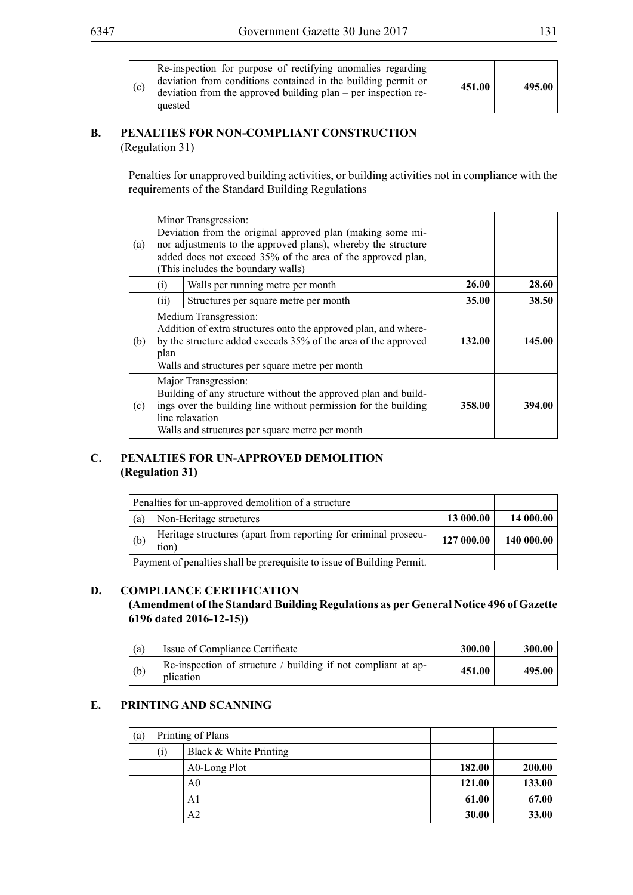| (c) | Re-inspection for purpose of rectifying anomalies regarding<br>deviation from conditions contained in the building permit or<br>deviation from the approved building plan – per inspection re-<br>quested | 451.00 | 495.00 |
|-----|-----------------------------------------------------------------------------------------------------------------------------------------------------------------------------------------------------------|--------|--------|
|-----|-----------------------------------------------------------------------------------------------------------------------------------------------------------------------------------------------------------|--------|--------|

### **B. PENALTIES FOR NON-COMPLIANT CONSTRUCTION** (Regulation 31)

Penalties for unapproved building activities, or building activities not in compliance with the requirements of the Standard Building Regulations

| (a) |      | Minor Transgression:<br>Deviation from the original approved plan (making some mi-<br>nor adjustments to the approved plans), whereby the structure<br>added does not exceed 35% of the area of the approved plan,<br>(This includes the boundary walls) |              |        |
|-----|------|----------------------------------------------------------------------------------------------------------------------------------------------------------------------------------------------------------------------------------------------------------|--------------|--------|
|     | (i)  | Walls per running metre per month                                                                                                                                                                                                                        | <b>26.00</b> | 28.60  |
|     | (11) | Structures per square metre per month                                                                                                                                                                                                                    | 35.00        | 38.50  |
| (b) | plan | Medium Transgression:<br>Addition of extra structures onto the approved plan, and where-<br>by the structure added exceeds 35% of the area of the approved<br>Walls and structures per square metre per month                                            | 132.00       | 145.00 |
| (c) |      | Major Transgression:<br>Building of any structure without the approved plan and build-<br>ings over the building line without permission for the building<br>line relaxation<br>Walls and structures per square metre per month                          | 358.00       | 394.00 |

### **C. PENALTIES FOR UN-APPROVED DEMOLITION (Regulation 31)**

|     | Penalties for un-approved demolition of a structure                      |            |            |
|-----|--------------------------------------------------------------------------|------------|------------|
| (a) | Non-Heritage structures                                                  | 13 000.00  | 14 000.00  |
| (b) | Heritage structures (apart from reporting for criminal prosecu-<br>tion) | 127 000.00 | 140 000.00 |
|     | Payment of penalties shall be prerequisite to issue of Building Permit.  |            |            |

### **D. COMPLIANCE CERTIFICATION**

### **(Amendment of the Standard Building Regulations as per General Notice 496 of Gazette 6196 dated 2016-12-15))**

| (a) | Issue of Compliance Certificate                                                          | 300.00 | 300.00 |
|-----|------------------------------------------------------------------------------------------|--------|--------|
| (b) | Re-inspection of structure / building if not compliant at ap- $\frac{1}{2}$<br>plication | 451.00 | 495.00 |

## **E. PRINTING AND SCANNING**

| (a) |                    | Printing of Plans      |        |        |
|-----|--------------------|------------------------|--------|--------|
|     | $\left( 1 \right)$ | Black & White Printing |        |        |
|     |                    | A0-Long Plot           | 182.00 | 200.00 |
|     |                    | A0                     | 121.00 | 133.00 |
|     |                    | A1                     | 61.00  | 67.00  |
|     |                    | A2                     | 30.00  | 33.00  |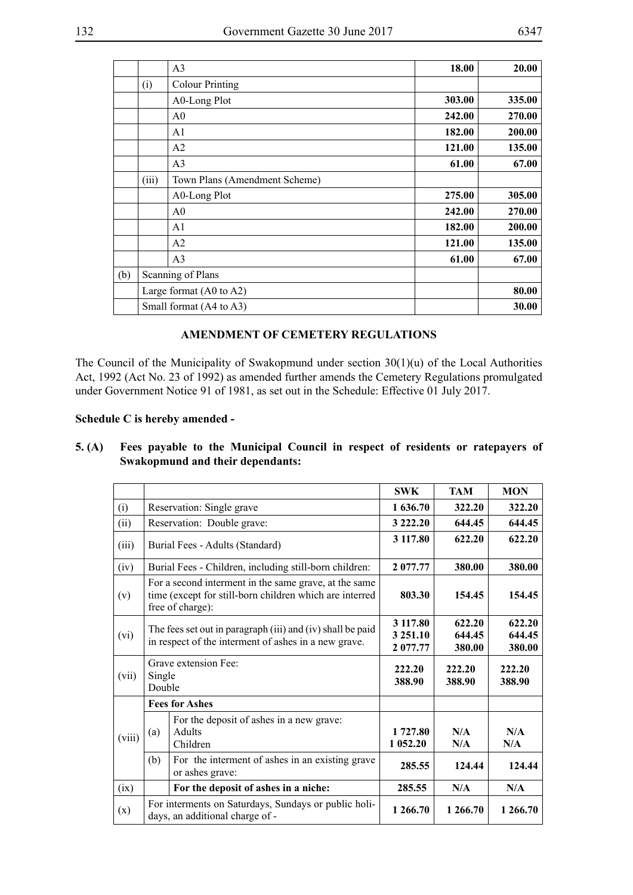| ۰,<br>×<br>۰, |  |
|---------------|--|
|---------------|--|

|     |       | A <sub>3</sub>                     | 18.00  | 20.00  |
|-----|-------|------------------------------------|--------|--------|
|     | (i)   | <b>Colour Printing</b>             |        |        |
|     |       | A0-Long Plot                       | 303.00 | 335.00 |
|     |       | A <sub>0</sub>                     | 242.00 | 270.00 |
|     |       | A <sub>1</sub>                     | 182.00 | 200.00 |
|     |       | A2                                 | 121.00 | 135.00 |
|     |       | A <sub>3</sub>                     | 61.00  | 67.00  |
|     | (iii) | Town Plans (Amendment Scheme)      |        |        |
|     |       | A0-Long Plot                       | 275.00 | 305.00 |
|     |       | A <sub>0</sub>                     | 242.00 | 270.00 |
|     |       | A <sub>1</sub>                     | 182.00 | 200.00 |
|     |       | A2                                 | 121.00 | 135.00 |
|     |       | A <sub>3</sub>                     | 61.00  | 67.00  |
| (b) |       | Scanning of Plans                  |        |        |
|     |       | Large format $(A0 \text{ to } A2)$ |        | 80.00  |
|     |       | Small format (A4 to A3)            |        | 30.00  |

### **AMENDMENT OF CEMETERY REGULATIONS**

The Council of the Municipality of Swakopmund under section 30(1)(u) of the Local Authorities Act, 1992 (Act No. 23 of 1992) as amended further amends the Cemetery Regulations promulgated under Government Notice 91 of 1981, as set out in the Schedule: Effective 01 July 2017.

#### **Schedule C is hereby amended -**

|        |                  |                                                                                                                                      | <b>SWK</b>                       | <b>TAM</b>                 | <b>MON</b>                 |
|--------|------------------|--------------------------------------------------------------------------------------------------------------------------------------|----------------------------------|----------------------------|----------------------------|
| (i)    |                  | Reservation: Single grave                                                                                                            | 1 636.70                         | 322.20                     | 322.20                     |
| (ii)   |                  | Reservation: Double grave:                                                                                                           | 3 222.20                         | 644.45                     | 644.45                     |
| (iii)  |                  | Burial Fees - Adults (Standard)                                                                                                      | 3 117.80                         | 622.20                     | 622.20                     |
| (iv)   |                  | Burial Fees - Children, including still-born children:                                                                               | 2 077.77                         | 380.00                     | 380.00                     |
| (v)    |                  | For a second interment in the same grave, at the same<br>time (except for still-born children which are interred<br>free of charge): |                                  | 154.45                     | 154.45                     |
| (vi)   |                  | The fees set out in paragraph (iii) and (iv) shall be paid<br>in respect of the interment of ashes in a new grave.                   | 3 117.80<br>3 251.10<br>2 077.77 | 622.20<br>644.45<br>380.00 | 622.20<br>644.45<br>380.00 |
| (vii)  | Single<br>Double | Grave extension Fee:                                                                                                                 | 222.20<br>388.90                 | 222.20<br>388.90           | 222.20<br>388.90           |
|        |                  | <b>Fees for Ashes</b>                                                                                                                |                                  |                            |                            |
| (viii) | (a)              | For the deposit of ashes in a new grave:<br><b>Adults</b><br>Children                                                                | 1 727.80<br>1 052.20             | N/A<br>N/A                 | N/A<br>N/A                 |
|        | (b)              | For the interment of ashes in an existing grave<br>or ashes grave:                                                                   | 285.55                           | 124.44                     | 124.44                     |
| (ix)   |                  | For the deposit of ashes in a niche:                                                                                                 | 285.55                           | N/A                        | N/A                        |
| (x)    |                  | For interments on Saturdays, Sundays or public holi-<br>days, an additional charge of -                                              | 1 266.70                         | 1 266.70                   | 1 266.70                   |

#### **5. (A) Fees payable to the Municipal Council in respect of residents or ratepayers of Swakopmund and their dependants:**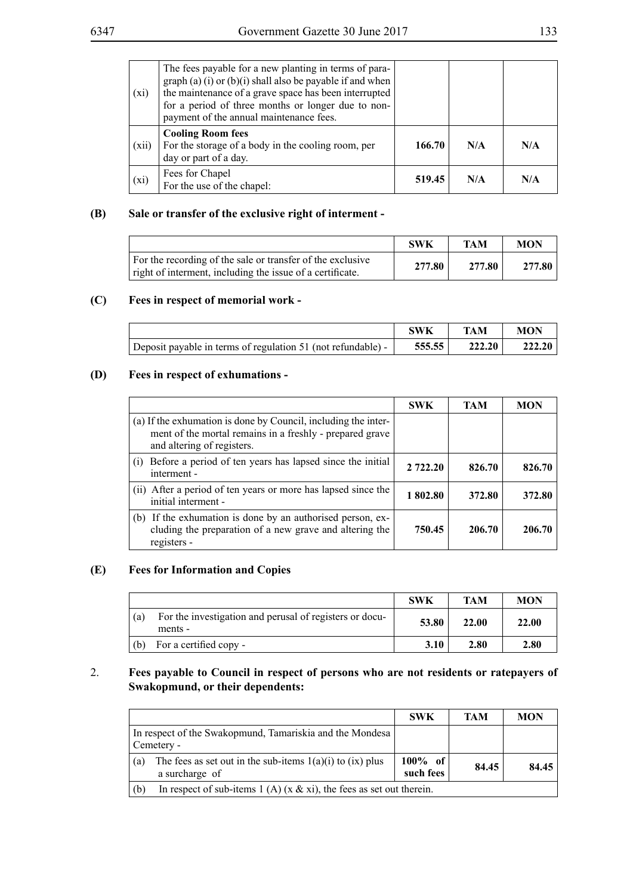| (xi)  | The fees payable for a new planting in terms of para-<br>graph (a) (i) or (b)(i) shall also be payable if and when<br>the maintenance of a grave space has been interrupted<br>for a period of three months or longer due to non-<br>payment of the annual maintenance fees. |        |     |     |
|-------|------------------------------------------------------------------------------------------------------------------------------------------------------------------------------------------------------------------------------------------------------------------------------|--------|-----|-----|
| (xii) | <b>Cooling Room fees</b><br>For the storage of a body in the cooling room, per<br>day or part of a day.                                                                                                                                                                      | 166.70 | N/A | N/A |
| (xi)  | Fees for Chapel<br>For the use of the chapel:                                                                                                                                                                                                                                | 519.45 | N/A | N/A |

### **(B) Sale or transfer of the exclusive right of interment -**

|                                                                                                                         | <b>SWK</b> | TAM    | <b>MON</b> |
|-------------------------------------------------------------------------------------------------------------------------|------------|--------|------------|
| For the recording of the sale or transfer of the exclusive<br>right of interment, including the issue of a certificate. | 277.80     | 277.80 | 277.80     |

#### **(C) Fees in respect of memorial work -**

|                                                              | <b>SWK</b> | TAM    | <b>MON</b> |
|--------------------------------------------------------------|------------|--------|------------|
| Deposit payable in terms of regulation 51 (not refundable) - | 555.55     | 222.20 | 222.20     |

### **(D) Fees in respect of exhumations -**

|                                                                                                                                                          | <b>SWK</b> | <b>TAM</b> | <b>MON</b> |
|----------------------------------------------------------------------------------------------------------------------------------------------------------|------------|------------|------------|
| (a) If the exhumation is done by Council, including the inter-<br>ment of the mortal remains in a freshly - prepared grave<br>and altering of registers. |            |            |            |
| Before a period of ten years has lapsed since the initial<br>(1)<br>interment -                                                                          | 2 722.20   | 826.70     | 826.70     |
| (ii) After a period of ten years or more has lapsed since the<br>initial interment -                                                                     | 1802.80    | 372.80     | 372.80     |
| (b) If the exhumation is done by an authorised person, ex-<br>cluding the preparation of a new grave and altering the<br>registers -                     | 750.45     | 206.70     | 206.70     |

### **(E) Fees for Information and Copies**

|     |                                                                    | SWK   | <b>TAM</b> | <b>MON</b> |
|-----|--------------------------------------------------------------------|-------|------------|------------|
| (a) | For the investigation and perusal of registers or docu-<br>ments - | 53.80 | 22.00      | 22.00      |
| (b) | For a certified copy -                                             | 3.10  | 2.80       | 2.80       |

#### 2. **Fees payable to Council in respect of persons who are not residents or ratepayers of Swakopmund, or their dependents:**

|                                                                                        | <b>SWK</b>              | <b>TAM</b> | <b>MON</b> |
|----------------------------------------------------------------------------------------|-------------------------|------------|------------|
| In respect of the Swakopmund, Tamariskia and the Mondesa<br>Cemetery -                 |                         |            |            |
| The fees as set out in the sub-items $1(a)(i)$ to $(ix)$ plus<br>(a)<br>a surcharge of | $100\%$ of<br>such fees | 84.45      | 84.45      |
| In respect of sub-items 1 (A) (x $\&$ xi), the fees as set out therein.<br>(b)         |                         |            |            |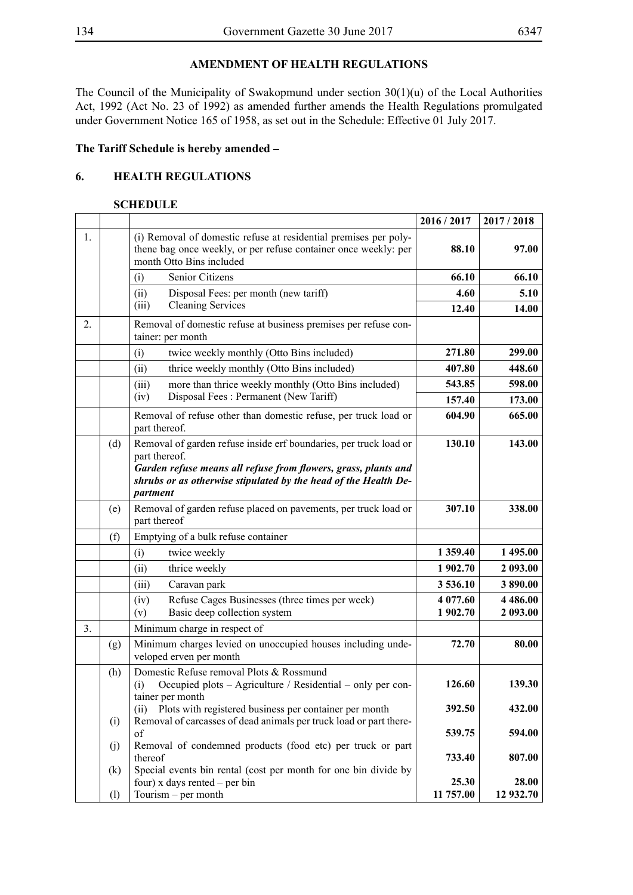### **AMENDMENT OF HEALTH REGULATIONS**

The Council of the Municipality of Swakopmund under section 30(1)(u) of the Local Authorities Act, 1992 (Act No. 23 of 1992) as amended further amends the Health Regulations promulgated under Government Notice 165 of 1958, as set out in the Schedule: Effective 01 July 2017.

#### **The Tariff Schedule is hereby amended –**

### **6. HEALTH REGULATIONS**

### **SCHEDULE**

|    |     |                                                                                                                                                                                                                                     | 2016 / 2017 | 2017/2018     |
|----|-----|-------------------------------------------------------------------------------------------------------------------------------------------------------------------------------------------------------------------------------------|-------------|---------------|
| 1. |     | (i) Removal of domestic refuse at residential premises per poly-<br>thene bag once weekly, or per refuse container once weekly: per<br>month Otto Bins included                                                                     | 88.10       | 97.00         |
|    |     | Senior Citizens<br>(i)                                                                                                                                                                                                              | 66.10       | 66.10         |
|    |     | Disposal Fees: per month (new tariff)<br>(ii)                                                                                                                                                                                       | 4.60        | 5.10          |
|    |     | <b>Cleaning Services</b><br>(iii)                                                                                                                                                                                                   | 12.40       | 14.00         |
| 2. |     | Removal of domestic refuse at business premises per refuse con-<br>tainer: per month                                                                                                                                                |             |               |
|    |     | (i)<br>twice weekly monthly (Otto Bins included)                                                                                                                                                                                    | 271.80      | 299.00        |
|    |     | thrice weekly monthly (Otto Bins included)<br>(ii)                                                                                                                                                                                  | 407.80      | 448.60        |
|    |     | more than thrice weekly monthly (Otto Bins included)<br>(iii)                                                                                                                                                                       | 543.85      | 598.00        |
|    |     | Disposal Fees: Permanent (New Tariff)<br>(iv)                                                                                                                                                                                       | 157.40      | 173.00        |
|    |     | Removal of refuse other than domestic refuse, per truck load or<br>part thereof.                                                                                                                                                    | 604.90      | 665.00        |
|    | (d) | Removal of garden refuse inside erf boundaries, per truck load or<br>part thereof.<br>Garden refuse means all refuse from flowers, grass, plants and<br>shrubs or as otherwise stipulated by the head of the Health De-<br>partment | 130.10      | 143.00        |
|    | (e) | Removal of garden refuse placed on pavements, per truck load or<br>part thereof                                                                                                                                                     | 307.10      | 338.00        |
|    | (f) | Emptying of a bulk refuse container                                                                                                                                                                                                 |             |               |
|    |     | twice weekly<br>(i)                                                                                                                                                                                                                 | 1 359.40    | 1 495.00      |
|    |     | thrice weekly<br>(ii)                                                                                                                                                                                                               | 1 902.70    | 2 093.00      |
|    |     | (iii)<br>Caravan park                                                                                                                                                                                                               | 3 536.10    | 3890.00       |
|    |     | Refuse Cages Businesses (three times per week)<br>(iv)                                                                                                                                                                              | 4 077.60    | 4 4 8 6 . 0 0 |
|    |     | Basic deep collection system<br>(v)                                                                                                                                                                                                 | 1 902.70    | 2 093.00      |
| 3. |     | Minimum charge in respect of                                                                                                                                                                                                        |             |               |
|    | (g) | Minimum charges levied on unoccupied houses including unde-<br>veloped erven per month                                                                                                                                              | 72.70       | 80.00         |
|    | (h) | Domestic Refuse removal Plots & Rossmund<br>Occupied plots – Agriculture / Residential – only per con-<br>(i)<br>tainer per month                                                                                                   | 126.60      | 139.30        |
|    |     | Plots with registered business per container per month<br>(ii)                                                                                                                                                                      | 392.50      | 432.00        |
|    | (i) | Removal of carcasses of dead animals per truck load or part there-<br>of                                                                                                                                                            | 539.75      | 594.00        |
|    | (j) | Removal of condemned products (food etc) per truck or part                                                                                                                                                                          |             |               |
|    | (k) | thereof<br>Special events bin rental (cost per month for one bin divide by                                                                                                                                                          | 733.40      | 807.00        |
|    |     | four) x days rented $-$ per bin                                                                                                                                                                                                     | 25.30       | 28.00         |
|    | (1) | Tourism - per month                                                                                                                                                                                                                 | 11 757.00   | 12 932.70     |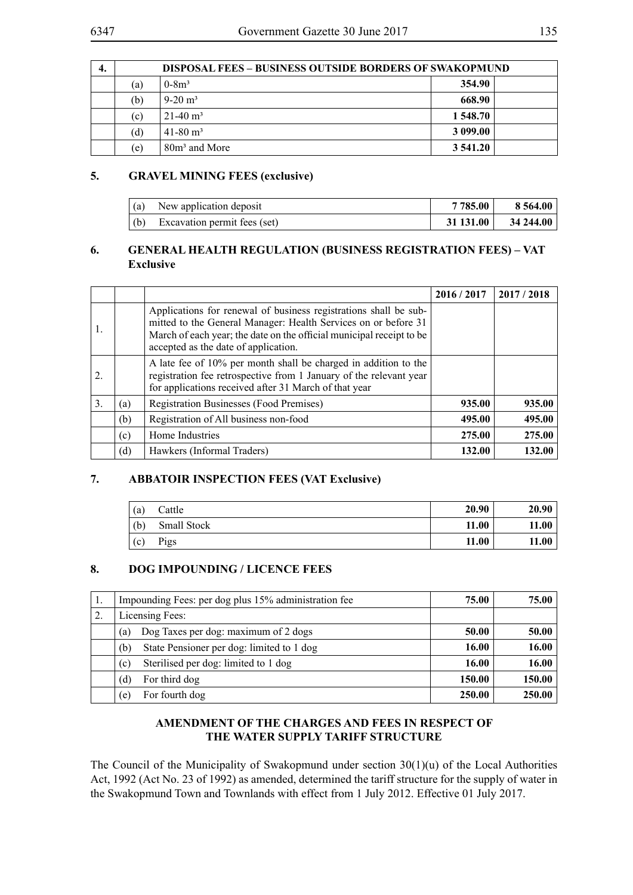| 4. | <b>DISPOSAL FEES - BUSINESS OUTSIDE BORDERS OF SWAKOPMUND</b> |                           |          |  |  |  |
|----|---------------------------------------------------------------|---------------------------|----------|--|--|--|
|    | (a)                                                           | $0 - 8m^3$                | 354.90   |  |  |  |
|    | (b)                                                           | $9-20$ m <sup>3</sup>     | 668.90   |  |  |  |
|    | (c)                                                           | $21-40$ m <sup>3</sup>    | 1 548.70 |  |  |  |
|    | (d)                                                           | $41 - 80$ m <sup>3</sup>  | 3 099.00 |  |  |  |
|    | (e)                                                           | 80m <sup>3</sup> and More | 3 541.20 |  |  |  |

### **5. GRAVEL MINING FEES (exclusive)**

| (a) | New application deposit      | 7 785.00  | 8 564.00     |
|-----|------------------------------|-----------|--------------|
| (b) | Excavation permit fees (set) | 31 131.00 | $34\,244.00$ |

### **6. GENERAL HEALTH REGULATION (BUSINESS REGISTRATION FEES) – VAT Exclusive**

|    |     |                                                                                                                                                                                                                                                    | 2016/2017 | 2017/2018 |
|----|-----|----------------------------------------------------------------------------------------------------------------------------------------------------------------------------------------------------------------------------------------------------|-----------|-----------|
|    |     | Applications for renewal of business registrations shall be sub-<br>mitted to the General Manager: Health Services on or before 31<br>March of each year; the date on the official municipal receipt to be<br>accepted as the date of application. |           |           |
| 2. |     | A late fee of 10% per month shall be charged in addition to the<br>registration fee retrospective from 1 January of the relevant year<br>for applications received after 31 March of that year                                                     |           |           |
| 3. | (a) | Registration Businesses (Food Premises)                                                                                                                                                                                                            | 935.00    | 935.00    |
|    | (b) | Registration of All business non-food                                                                                                                                                                                                              | 495.00    | 495.00    |
|    | (c) | Home Industries                                                                                                                                                                                                                                    | 275.00    | 275.00    |
|    | (d) | Hawkers (Informal Traders)                                                                                                                                                                                                                         | 132.00    | 132.00    |

### **7. ABBATOIR INSPECTION FEES (VAT Exclusive)**

| (a) | Cattle      | 20.90 | 20.90 |
|-----|-------------|-------|-------|
| (b) | Small Stock | 11.00 | 11.00 |
| (c) | Pigs        | 11.00 | 11.00 |

### **8. DOG IMPOUNDING / LICENCE FEES**

| 1. | Impounding Fees: per dog plus 15% administration fee | 75.00  | 75.00  |
|----|------------------------------------------------------|--------|--------|
| 2. | Licensing Fees:                                      |        |        |
|    | Dog Taxes per dog: maximum of 2 dogs<br>(a)          | 50.00  | 50.00  |
|    | State Pensioner per dog: limited to 1 dog<br>(b)     | 16.00  | 16.00  |
|    | Sterilised per dog: limited to 1 dog<br>(c)          | 16.00  | 16.00  |
|    | For third dog<br>(d)                                 | 150.00 | 150.00 |
|    | For fourth dog<br>(e)                                | 250.00 | 250.00 |

### **AMENDMENT OF THE CHARGES AND FEES IN RESPECT OF THE WATER SUPPLY TARIFF STRUCTURE**

The Council of the Municipality of Swakopmund under section 30(1)(u) of the Local Authorities Act, 1992 (Act No. 23 of 1992) as amended, determined the tariff structure for the supply of water in the Swakopmund Town and Townlands with effect from 1 July 2012. Effective 01 July 2017.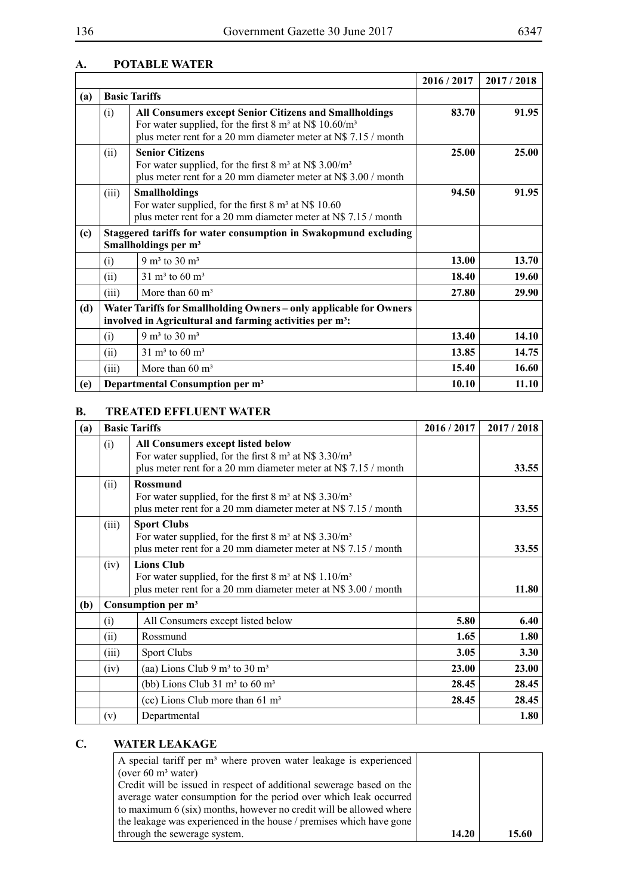### **A. POTABLE WATER**

|     |                      |                                                                                                                                                                                         | 2016/2017 | 2017/2018 |
|-----|----------------------|-----------------------------------------------------------------------------------------------------------------------------------------------------------------------------------------|-----------|-----------|
| (a) | <b>Basic Tariffs</b> |                                                                                                                                                                                         |           |           |
|     | (i)                  | All Consumers except Senior Citizens and Smallholdings<br>For water supplied, for the first 8 $m3$ at N\$ 10.60/ $m3$<br>plus meter rent for a 20 mm diameter meter at N\$ 7.15 / month | 83.70     | 91.95     |
|     | (ii)                 | <b>Senior Citizens</b><br>For water supplied, for the first $8 \text{ m}^3$ at N\$ 3.00/m <sup>3</sup><br>plus meter rent for a 20 mm diameter meter at N\$ 3.00 / month                | 25.00     | 25.00     |
|     | (iii)                | <b>Smallholdings</b><br>For water supplied, for the first $8 \text{ m}^3$ at N\$ 10.60<br>plus meter rent for a 20 mm diameter meter at N\$ 7.15 / month                                | 94.50     | 91.95     |
| (c) |                      | Staggered tariffs for water consumption in Swakopmund excluding<br>Smallholdings per m <sup>3</sup>                                                                                     |           |           |
|     | (i)                  | 9 m <sup>3</sup> to 30 m <sup>3</sup>                                                                                                                                                   | 13.00     | 13.70     |
|     | (ii)                 | 31 m <sup>3</sup> to 60 m <sup>3</sup>                                                                                                                                                  | 18.40     | 19.60     |
|     | (iii)                | More than $60 \text{ m}^3$                                                                                                                                                              | 27.80     | 29.90     |
| (d) |                      | Water Tariffs for Smallholding Owners - only applicable for Owners<br>involved in Agricultural and farming activities per m <sup>3</sup> :                                              |           |           |
|     | (i)                  | 9 m <sup>3</sup> to 30 m <sup>3</sup>                                                                                                                                                   | 13.40     | 14.10     |
|     | (ii)                 | $31 \text{ m}^3$ to 60 m <sup>3</sup>                                                                                                                                                   | 13.85     | 14.75     |
|     | (iii)                | More than $60 \text{ m}^3$                                                                                                                                                              | 15.40     | 16.60     |
| (e) |                      | Departmental Consumption per m <sup>3</sup>                                                                                                                                             | 10.10     | 11.10     |

#### **B. TREATED EFFLUENT WATER**

| (a) |       | <b>Basic Tariffs</b>                                                                                                                                                                       | 2016 / 2017 | 2017/2018 |
|-----|-------|--------------------------------------------------------------------------------------------------------------------------------------------------------------------------------------------|-------------|-----------|
|     | (i)   | <b>All Consumers except listed below</b><br>For water supplied, for the first $8 \text{ m}^3$ at N\$ 3.30/m <sup>3</sup><br>plus meter rent for a 20 mm diameter meter at N\$ 7.15 / month |             | 33.55     |
|     | (ii)  | <b>Rossmund</b><br>For water supplied, for the first 8 $\text{m}^3$ at N\$ 3.30/ $\text{m}^3$<br>plus meter rent for a 20 mm diameter meter at N\$ 7.15 / month                            |             | 33.55     |
|     | (iii) | <b>Sport Clubs</b><br>For water supplied, for the first 8 $\text{m}^3$ at N\$ 3.30/ $\text{m}^3$<br>plus meter rent for a 20 mm diameter meter at N\$ 7.15 / month                         |             | 33.55     |
|     | (iv)  | <b>Lions Club</b><br>For water supplied, for the first 8 $m3$ at N\$ 1.10/ $m3$<br>plus meter rent for a 20 mm diameter meter at N\$ 3.00 / month                                          |             | 11.80     |
| (b) |       | Consumption per m <sup>3</sup>                                                                                                                                                             |             |           |
|     | (i)   | All Consumers except listed below                                                                                                                                                          | 5.80        | 6.40      |
|     | (11)  | Rossmund                                                                                                                                                                                   | 1.65        | 1.80      |
|     | (iii) | <b>Sport Clubs</b>                                                                                                                                                                         | 3.05        | 3.30      |
|     | (iv)  | (aa) Lions Club 9 $m3$ to 30 $m3$                                                                                                                                                          | 23.00       | 23.00     |
|     |       | (bb) Lions Club $31 \text{ m}^3$ to $60 \text{ m}^3$                                                                                                                                       | 28.45       | 28.45     |
|     |       | (cc) Lions Club more than $61 \text{ m}^3$                                                                                                                                                 | 28.45       | 28.45     |
|     | (v)   | Departmental                                                                                                                                                                               |             | 1.80      |

## **C. WATER LEAKAGE**

| A special tariff per m <sup>3</sup> where proven water leakage is experienced |       |       |
|-------------------------------------------------------------------------------|-------|-------|
| (over $60 \text{ m}^3$ water)                                                 |       |       |
| Credit will be issued in respect of additional sewerage based on the          |       |       |
| average water consumption for the period over which leak occurred             |       |       |
| to maximum 6 (six) months, however no credit will be allowed where            |       |       |
| the leakage was experienced in the house / premises which have gone           |       |       |
| through the sewerage system.                                                  | 14.20 | 15.60 |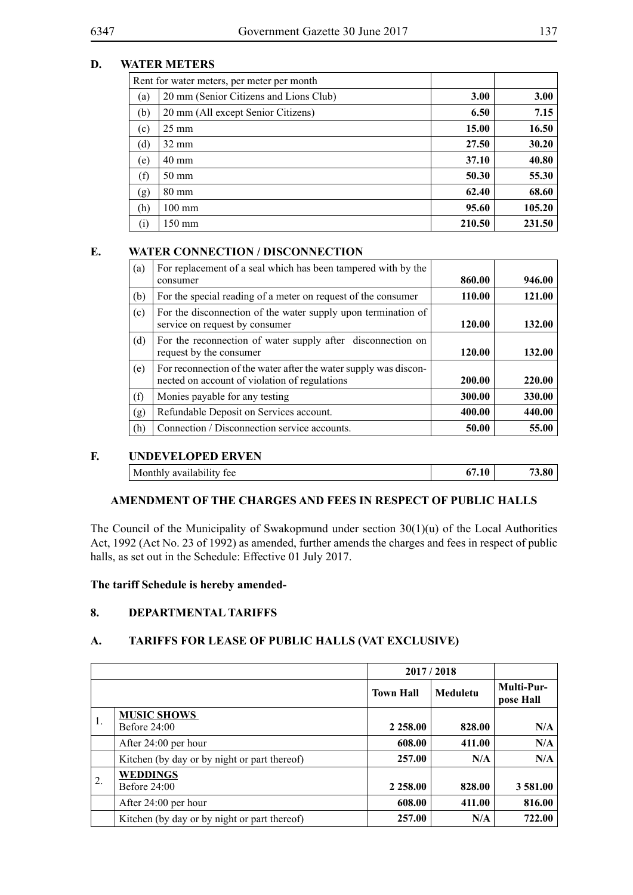### **D. WATER METERS**

| Rent for water meters, per meter per month |                                        |        |        |  |
|--------------------------------------------|----------------------------------------|--------|--------|--|
| (a)                                        | 20 mm (Senior Citizens and Lions Club) | 3.00   | 3.00   |  |
| (b)                                        | 20 mm (All except Senior Citizens)     | 6.50   | 7.15   |  |
| (c)                                        | $25 \text{ mm}$                        | 15.00  | 16.50  |  |
| (d)                                        | $32 \text{ mm}$                        | 27.50  | 30.20  |  |
| (e)                                        | $40 \text{ mm}$                        | 37.10  | 40.80  |  |
| (f)                                        | 50 mm                                  | 50.30  | 55.30  |  |
| (g)                                        | $80 \text{ mm}$                        | 62.40  | 68.60  |  |
| (h)                                        | $100 \text{ mm}$                       | 95.60  | 105.20 |  |
| (i)                                        | $150 \text{ mm}$                       | 210.50 | 231.50 |  |

#### **E. WATER CONNECTION / DISCONNECTION**

| (a) | For replacement of a seal which has been tampered with by the<br>consumer                                         | 860.00 | 946.00 |
|-----|-------------------------------------------------------------------------------------------------------------------|--------|--------|
| (b) | For the special reading of a meter on request of the consumer                                                     | 110.00 | 121.00 |
| (c) | For the disconnection of the water supply upon termination of<br>service on request by consumer                   | 120.00 | 132.00 |
| (d) | For the reconnection of water supply after disconnection on<br>request by the consumer                            | 120.00 | 132.00 |
| (e) | For reconnection of the water after the water supply was discon-<br>nected on account of violation of regulations | 200.00 | 220.00 |
| (f) | Monies payable for any testing                                                                                    | 300.00 | 330.00 |
| (g) | Refundable Deposit on Services account.                                                                           | 400.00 | 440.00 |
| (h) | Connection / Disconnection service accounts.                                                                      | 50.00  | 55.00  |

#### **F. UNDEVELOPED ERVEN**

| Monthly availability fee | 3.80 |
|--------------------------|------|
|                          |      |

#### **AMENDMENT OF THE CHARGES AND FEES IN RESPECT OF PUBLIC HALLS**

The Council of the Municipality of Swakopmund under section 30(1)(u) of the Local Authorities Act, 1992 (Act No. 23 of 1992) as amended, further amends the charges and fees in respect of public halls, as set out in the Schedule: Effective 01 July 2017.

#### **The tariff Schedule is hereby amended-**

### **8. DEPARTMENTAL TARIFFS**

#### **A. TARIFFS FOR LEASE OF PUBLIC HALLS (VAT EXCLUSIVE)**

|    |                                              |                  | 2017/2018 |                                |
|----|----------------------------------------------|------------------|-----------|--------------------------------|
|    |                                              | <b>Town Hall</b> | Meduletu  | <b>Multi-Pur-</b><br>pose Hall |
|    | <b>MUSIC SHOWS</b>                           |                  |           |                                |
| 1. | Before $24:00$                               | 2 2 5 8 .00      | 828.00    | N/A                            |
|    | After 24:00 per hour                         | 608.00           | 411.00    | N/A                            |
|    | Kitchen (by day or by night or part thereof) | 257.00           | N/A       | N/A                            |
|    | <b>WEDDINGS</b>                              |                  |           |                                |
| 2. | Before $24:00$                               | 2 2 5 8 .00      | 828.00    | 3 581.00                       |
|    | After 24:00 per hour                         | 608.00           | 411.00    | 816.00                         |
|    | Kitchen (by day or by night or part thereof) | 257.00           | N/A       | 722.00                         |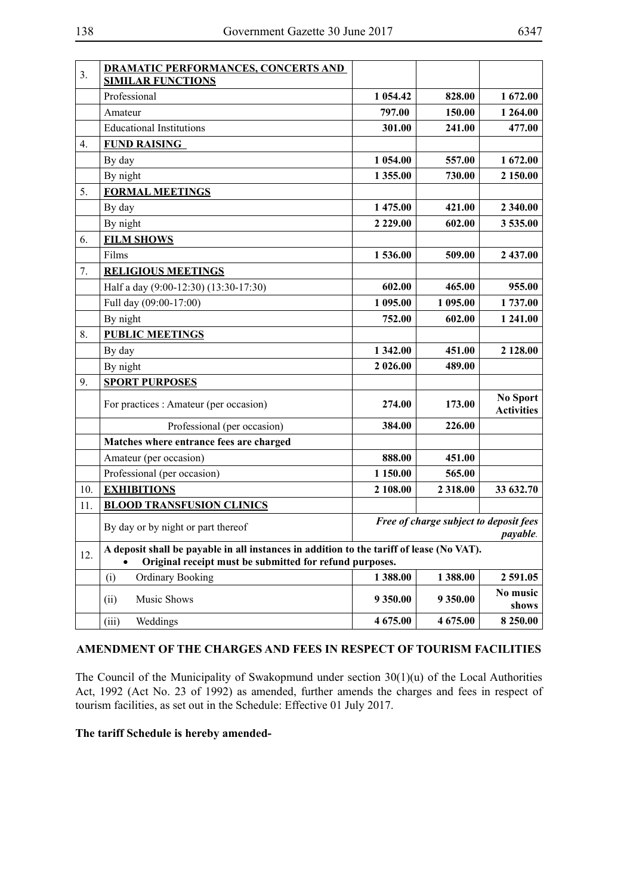| 3.               | <b>DRAMATIC PERFORMANCES, CONCERTS AND</b><br><b>SIMILAR FUNCTIONS</b>                                                                              |                                                    |           |                                      |
|------------------|-----------------------------------------------------------------------------------------------------------------------------------------------------|----------------------------------------------------|-----------|--------------------------------------|
|                  | Professional                                                                                                                                        | 1 054.42                                           | 828.00    | 1 672.00                             |
|                  | Amateur                                                                                                                                             | 797.00                                             | 150.00    | 1 264.00                             |
|                  | <b>Educational Institutions</b>                                                                                                                     | 301.00                                             | 241.00    | 477.00                               |
| $\overline{4}$ . | <b>FUND RAISING</b>                                                                                                                                 |                                                    |           |                                      |
|                  | By day                                                                                                                                              | 1 054.00                                           | 557.00    | 1 672.00                             |
|                  | By night                                                                                                                                            | 1 355.00                                           | 730.00    | 2 150.00                             |
| 5.               | <b>FORMAL MEETINGS</b>                                                                                                                              |                                                    |           |                                      |
|                  | By day                                                                                                                                              | 1 475.00                                           | 421.00    | 2 340.00                             |
|                  | By night                                                                                                                                            | 2 2 2 9 . 0 0                                      | 602.00    | 3 535.00                             |
| 6.               | <b>FILM SHOWS</b>                                                                                                                                   |                                                    |           |                                      |
|                  | Films                                                                                                                                               | 1536.00                                            | 509.00    | 2 437.00                             |
| 7.               | <b>RELIGIOUS MEETINGS</b>                                                                                                                           |                                                    |           |                                      |
|                  | Half a day (9:00-12:30) (13:30-17:30)                                                                                                               | 602.00                                             | 465.00    | 955.00                               |
|                  | Full day (09:00-17:00)                                                                                                                              | 1 095.00                                           | 1 095.00  | 1737.00                              |
|                  | By night                                                                                                                                            | 752.00                                             | 602.00    | 1 241.00                             |
| 8.               | <b>PUBLIC MEETINGS</b>                                                                                                                              |                                                    |           |                                      |
|                  | By day                                                                                                                                              | 1 342.00                                           | 451.00    | 2 128.00                             |
|                  | By night                                                                                                                                            | 2 026.00                                           | 489.00    |                                      |
| 9.               | <b>SPORT PURPOSES</b>                                                                                                                               |                                                    |           |                                      |
|                  | For practices : Amateur (per occasion)                                                                                                              | 274.00                                             | 173.00    | <b>No Sport</b><br><b>Activities</b> |
|                  | Professional (per occasion)                                                                                                                         | 384.00                                             | 226.00    |                                      |
|                  | Matches where entrance fees are charged                                                                                                             |                                                    |           |                                      |
|                  | Amateur (per occasion)                                                                                                                              | 888.00                                             | 451.00    |                                      |
|                  | Professional (per occasion)                                                                                                                         | 1 150.00                                           | 565.00    |                                      |
| 10.              | <b>EXHIBITIONS</b>                                                                                                                                  | 2 108.00                                           | 2 3 18.00 | 33 632.70                            |
| 11.              | <b>BLOOD TRANSFUSION CLINICS</b>                                                                                                                    |                                                    |           |                                      |
|                  | By day or by night or part thereof                                                                                                                  | Free of charge subject to deposit fees<br>payable. |           |                                      |
| 12.              | A deposit shall be payable in all instances in addition to the tariff of lease (No VAT).<br>Original receipt must be submitted for refund purposes. |                                                    |           |                                      |
|                  | (i)<br><b>Ordinary Booking</b>                                                                                                                      | 1388.00                                            | 1388.00   | 2 591.05                             |
|                  | Music Shows<br>(ii)                                                                                                                                 | 9 3 5 0 . 0 0                                      | 9 350.00  | No music<br>shows                    |
|                  | Weddings<br>(iii)                                                                                                                                   | 4 675.00                                           | 4 675.00  | 8 2 5 0 . 0 0                        |

### **AMENDMENT OF THE CHARGES AND FEES IN RESPECT OF TOURISM FACILITIES**

The Council of the Municipality of Swakopmund under section 30(1)(u) of the Local Authorities Act, 1992 (Act No. 23 of 1992) as amended, further amends the charges and fees in respect of tourism facilities, as set out in the Schedule: Effective 01 July 2017.

### **The tariff Schedule is hereby amended-**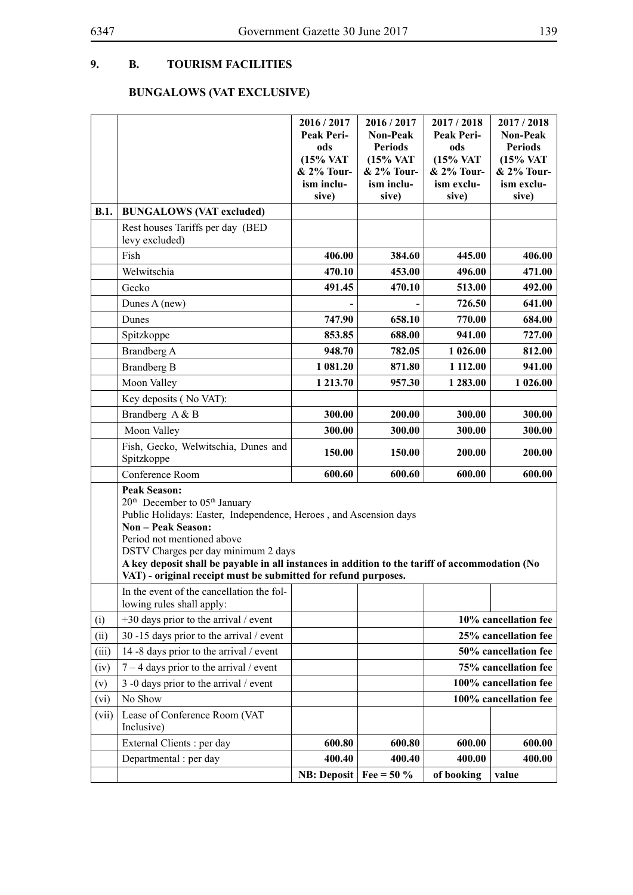## **9. B. TOURISM FACILITIES**

# **BUNGALOWS (VAT EXCLUSIVE)**

|       |                                                                                                                                                                                                                                                                                                                                                                                                                         | 2016 / 2017                | 2016 / 2017         | 2017/2018             | 2017/2018             |  |
|-------|-------------------------------------------------------------------------------------------------------------------------------------------------------------------------------------------------------------------------------------------------------------------------------------------------------------------------------------------------------------------------------------------------------------------------|----------------------------|---------------------|-----------------------|-----------------------|--|
|       |                                                                                                                                                                                                                                                                                                                                                                                                                         | Peak Peri-                 | <b>Non-Peak</b>     | Peak Peri-            | <b>Non-Peak</b>       |  |
|       |                                                                                                                                                                                                                                                                                                                                                                                                                         | ods                        | <b>Periods</b>      | ods                   | <b>Periods</b>        |  |
|       |                                                                                                                                                                                                                                                                                                                                                                                                                         | (15% VAT                   | (15% VAT            | (15% VAT              | (15% VAT              |  |
|       |                                                                                                                                                                                                                                                                                                                                                                                                                         | & 2% Tour-                 | & 2% Tour-          | & 2% Tour-            | & 2% Tour-            |  |
|       |                                                                                                                                                                                                                                                                                                                                                                                                                         | ism inclu-<br>sive)        | ism inclu-<br>sive) | ism exclu-<br>sive)   | ism exclu-<br>sive)   |  |
| B.1.  | <b>BUNGALOWS (VAT excluded)</b>                                                                                                                                                                                                                                                                                                                                                                                         |                            |                     |                       |                       |  |
|       | Rest houses Tariffs per day (BED                                                                                                                                                                                                                                                                                                                                                                                        |                            |                     |                       |                       |  |
|       | levy excluded)                                                                                                                                                                                                                                                                                                                                                                                                          |                            |                     |                       |                       |  |
|       | Fish                                                                                                                                                                                                                                                                                                                                                                                                                    | 406.00                     | 384.60              | 445.00                | 406.00                |  |
|       | Welwitschia                                                                                                                                                                                                                                                                                                                                                                                                             | 470.10                     | 453.00              | 496.00                | 471.00                |  |
|       | Gecko                                                                                                                                                                                                                                                                                                                                                                                                                   | 491.45                     | 470.10              | 513.00                | 492.00                |  |
|       | Dunes A (new)                                                                                                                                                                                                                                                                                                                                                                                                           |                            |                     | 726.50                | 641.00                |  |
|       | Dunes                                                                                                                                                                                                                                                                                                                                                                                                                   | 747.90                     | 658.10              | 770.00                | 684.00                |  |
|       | Spitzkoppe                                                                                                                                                                                                                                                                                                                                                                                                              | 853.85                     | 688.00              | 941.00                | 727.00                |  |
|       | Brandberg A                                                                                                                                                                                                                                                                                                                                                                                                             | 948.70                     | 782.05              | 1 026.00              | 812.00                |  |
|       | <b>Brandberg B</b>                                                                                                                                                                                                                                                                                                                                                                                                      | 1 081.20                   | 871.80              | 1 112.00              | 941.00                |  |
|       | Moon Valley                                                                                                                                                                                                                                                                                                                                                                                                             | 1 213.70                   | 957.30              | 1 283.00              | 1 026.00              |  |
|       | Key deposits (No VAT):                                                                                                                                                                                                                                                                                                                                                                                                  |                            |                     |                       |                       |  |
|       | Brandberg A & B                                                                                                                                                                                                                                                                                                                                                                                                         | 300.00                     | 200.00              | 300.00                | 300.00                |  |
|       | Moon Valley                                                                                                                                                                                                                                                                                                                                                                                                             | 300.00                     | 300.00              | 300.00                | 300.00                |  |
|       | Fish, Gecko, Welwitschia, Dunes and<br>Spitzkoppe                                                                                                                                                                                                                                                                                                                                                                       | 150.00                     | 150.00              | 200.00                | 200.00                |  |
|       | Conference Room                                                                                                                                                                                                                                                                                                                                                                                                         | 600.60                     | 600.60              | 600.00                | 600.00                |  |
|       | <b>Peak Season:</b><br>20 <sup>th</sup> December to 05 <sup>th</sup> January<br>Public Holidays: Easter, Independence, Heroes, and Ascension days<br><b>Non - Peak Season:</b><br>Period not mentioned above<br>DSTV Charges per day minimum 2 days<br>A key deposit shall be payable in all instances in addition to the tariff of accommodation (No<br>VAT) - original receipt must be submitted for refund purposes. |                            |                     |                       |                       |  |
|       | In the event of the cancellation the fol-                                                                                                                                                                                                                                                                                                                                                                               |                            |                     |                       |                       |  |
|       | lowing rules shall apply:                                                                                                                                                                                                                                                                                                                                                                                               |                            |                     |                       |                       |  |
| (i)   | $+30$ days prior to the arrival / event                                                                                                                                                                                                                                                                                                                                                                                 |                            |                     |                       | 10% cancellation fee  |  |
| (ii)  | 30 -15 days prior to the arrival / event                                                                                                                                                                                                                                                                                                                                                                                |                            |                     |                       | 25% cancellation fee  |  |
| (iii) | 14 -8 days prior to the arrival / event                                                                                                                                                                                                                                                                                                                                                                                 |                            |                     | 50% cancellation fee  |                       |  |
| (iv)  | $7 - 4$ days prior to the arrival / event                                                                                                                                                                                                                                                                                                                                                                               |                            |                     | 75% cancellation fee  |                       |  |
| (v)   | 3 -0 days prior to the arrival / event                                                                                                                                                                                                                                                                                                                                                                                  |                            |                     | 100% cancellation fee |                       |  |
| (vi)  | No Show                                                                                                                                                                                                                                                                                                                                                                                                                 |                            |                     |                       | 100% cancellation fee |  |
| (vii) | Lease of Conference Room (VAT<br>Inclusive)                                                                                                                                                                                                                                                                                                                                                                             |                            |                     |                       |                       |  |
|       | External Clients : per day                                                                                                                                                                                                                                                                                                                                                                                              | 600.80                     | 600.80              | 600.00                | 600.00                |  |
|       | Departmental : per day                                                                                                                                                                                                                                                                                                                                                                                                  | 400.40                     | 400.40              | 400.00                | 400.00                |  |
|       |                                                                                                                                                                                                                                                                                                                                                                                                                         | NB: Deposit   Fee = $50\%$ |                     | of booking            | value                 |  |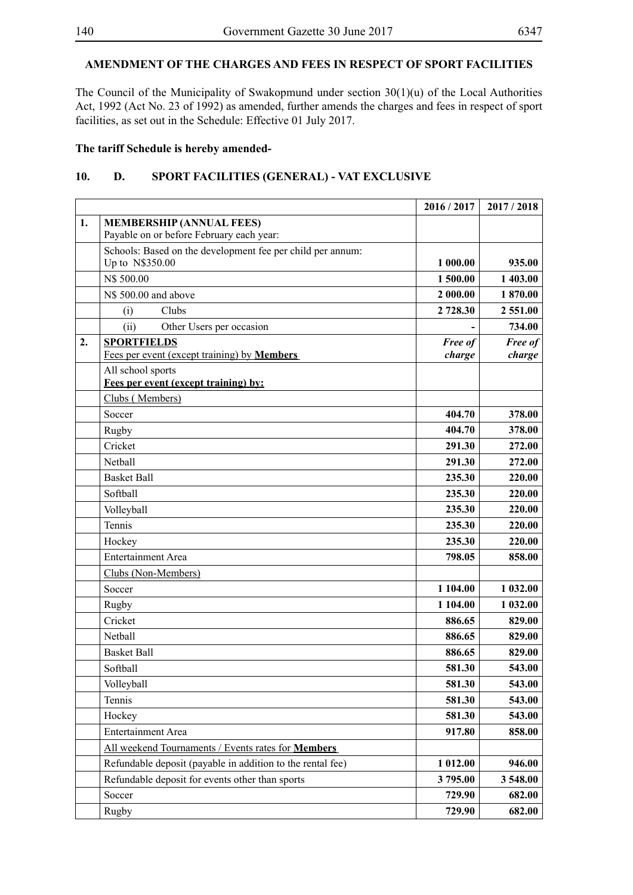## **AMENDMENT OF THE CHARGES AND FEES IN RESPECT OF SPORT FACILITIES**

The Council of the Municipality of Swakopmund under section 30(1)(u) of the Local Authorities Act, 1992 (Act No. 23 of 1992) as amended, further amends the charges and fees in respect of sport facilities, as set out in the Schedule: Effective 01 July 2017.

#### **The tariff Schedule is hereby amended-**

### **10. D. SPORT FACILITIES (GENERAL) - VAT EXCLUSIVE**

|    |                                                                               | 2016 / 2017       | 2017/2018         |
|----|-------------------------------------------------------------------------------|-------------------|-------------------|
| 1. | <b>MEMBERSHIP (ANNUAL FEES)</b><br>Payable on or before February each year:   |                   |                   |
|    | Schools: Based on the development fee per child per annum:<br>Up to N\$350.00 | 1 000.00          | 935.00            |
|    | N\$ 500.00                                                                    | 1500.00           | 1 403.00          |
|    | N\$ 500.00 and above                                                          | 2 000.00          | 1870.00           |
|    | Clubs<br>(i)                                                                  | 2 728.30          | 2 551.00          |
|    | (ii)<br>Other Users per occasion                                              |                   | 734.00            |
| 2. | <b>SPORTFIELDS</b><br>Fees per event (except training) by <b>Members</b>      | Free of<br>charge | Free of<br>charge |
|    | All school sports<br>Fees per event (except training) by:                     |                   |                   |
|    | Clubs (Members)                                                               |                   |                   |
|    | Soccer                                                                        | 404.70            | 378.00            |
|    | Rugby                                                                         | 404.70            | 378.00            |
|    | Cricket                                                                       | 291.30            | 272.00            |
|    | Nethall                                                                       | 291.30            | 272.00            |
|    | <b>Basket Ball</b>                                                            | 235.30            | 220.00            |
|    | Softball                                                                      | 235.30            | 220.00            |
|    | Volleyball                                                                    | 235.30            | 220.00            |
|    | Tennis                                                                        | 235.30            | 220.00            |
|    | Hockey                                                                        | 235.30            | 220.00            |
|    | <b>Entertainment Area</b>                                                     | 798.05            | 858.00            |
|    | Clubs (Non-Members)                                                           |                   |                   |
|    | Soccer                                                                        | 1 104.00          | 1 032.00          |
|    | Rugby                                                                         | 1 104.00          | 1 032.00          |
|    | Cricket                                                                       | 886.65            | 829.00            |
|    | Netball                                                                       | 886.65            | 829.00            |
|    | <b>Basket Ball</b>                                                            | 886.65            | 829.00            |
|    | Softball                                                                      | 581.30            | 543.00            |
|    | Volleyball                                                                    | 581.30            | 543.00            |
|    | Tennis                                                                        | 581.30            | 543.00            |
|    | Hockey                                                                        | 581.30            | 543.00            |
|    | <b>Entertainment Area</b>                                                     | 917.80            | 858.00            |
|    | All weekend Tournaments / Events rates for Members                            |                   |                   |
|    | Refundable deposit (payable in addition to the rental fee)                    | 1 012.00          | 946.00            |
|    | Refundable deposit for events other than sports                               | 3795.00           | 3 548.00          |
|    | Soccer                                                                        | 729.90            | 682.00            |
|    | <b>Rugby</b>                                                                  | 729.90            | 682.00            |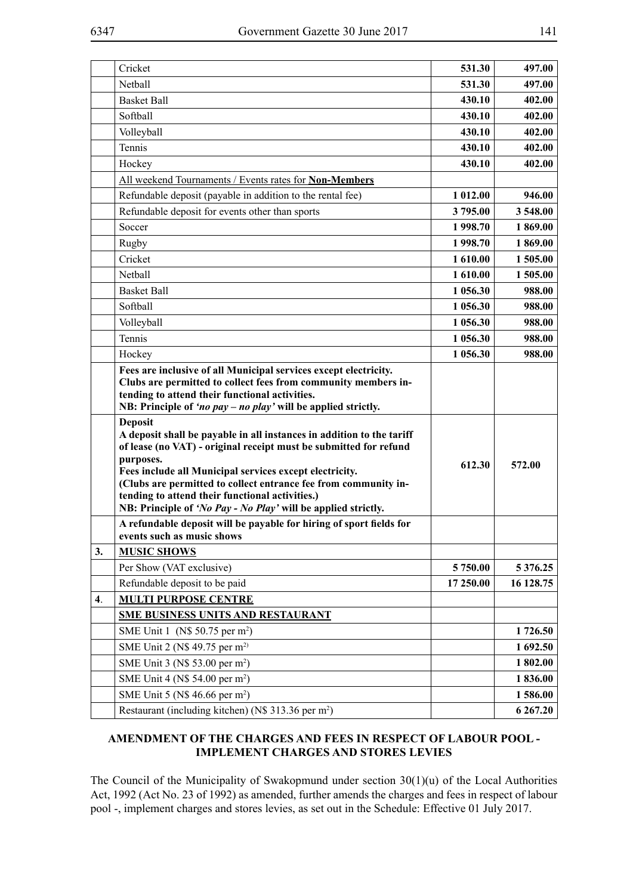|                    | Cricket                                                                                                                                                                                                                                                                                                                                                                                                                     | 531.30    | 497.00        |
|--------------------|-----------------------------------------------------------------------------------------------------------------------------------------------------------------------------------------------------------------------------------------------------------------------------------------------------------------------------------------------------------------------------------------------------------------------------|-----------|---------------|
|                    | Netball                                                                                                                                                                                                                                                                                                                                                                                                                     | 531.30    | 497.00        |
|                    | <b>Basket Ball</b>                                                                                                                                                                                                                                                                                                                                                                                                          | 430.10    | 402.00        |
|                    | Softball                                                                                                                                                                                                                                                                                                                                                                                                                    | 430.10    | 402.00        |
|                    | Volleyball                                                                                                                                                                                                                                                                                                                                                                                                                  | 430.10    | 402.00        |
|                    | Tennis                                                                                                                                                                                                                                                                                                                                                                                                                      | 430.10    | 402.00        |
|                    | Hockey                                                                                                                                                                                                                                                                                                                                                                                                                      | 430.10    | 402.00        |
|                    | All weekend Tournaments / Events rates for Non-Members                                                                                                                                                                                                                                                                                                                                                                      |           |               |
|                    | Refundable deposit (payable in addition to the rental fee)                                                                                                                                                                                                                                                                                                                                                                  | 1 012.00  | 946.00        |
|                    | Refundable deposit for events other than sports                                                                                                                                                                                                                                                                                                                                                                             | 3795.00   | 3 548.00      |
|                    | Soccer                                                                                                                                                                                                                                                                                                                                                                                                                      | 1 998.70  | 1869.00       |
|                    | Rugby                                                                                                                                                                                                                                                                                                                                                                                                                       | 1 998.70  | 1869.00       |
|                    | Cricket                                                                                                                                                                                                                                                                                                                                                                                                                     | 1 610.00  | 1 505.00      |
|                    | Netball                                                                                                                                                                                                                                                                                                                                                                                                                     | 1 610.00  | 1 505.00      |
|                    | <b>Basket Ball</b>                                                                                                                                                                                                                                                                                                                                                                                                          | 1 056.30  | 988.00        |
|                    | Softball                                                                                                                                                                                                                                                                                                                                                                                                                    | 1 056.30  | 988.00        |
|                    | Volleyball                                                                                                                                                                                                                                                                                                                                                                                                                  | 1 056.30  | 988.00        |
|                    | Tennis                                                                                                                                                                                                                                                                                                                                                                                                                      | 1 056.30  | 988.00        |
|                    | Hockey                                                                                                                                                                                                                                                                                                                                                                                                                      | 1 056.30  | 988.00        |
|                    | Fees are inclusive of all Municipal services except electricity.<br>Clubs are permitted to collect fees from community members in-<br>tending to attend their functional activities.<br>NB: Principle of 'no pay – no play' will be applied strictly.                                                                                                                                                                       |           |               |
|                    |                                                                                                                                                                                                                                                                                                                                                                                                                             |           |               |
|                    | <b>Deposit</b><br>A deposit shall be payable in all instances in addition to the tariff<br>of lease (no VAT) - original receipt must be submitted for refund<br>purposes.<br>Fees include all Municipal services except electricity.<br>(Clubs are permitted to collect entrance fee from community in-<br>tending to attend their functional activities.)<br>NB: Principle of 'No Pay - No Play' will be applied strictly. | 612.30    | 572.00        |
|                    | A refundable deposit will be payable for hiring of sport fields for<br>events such as music shows                                                                                                                                                                                                                                                                                                                           |           |               |
| 3.                 | <b>MUSIC SHOWS</b>                                                                                                                                                                                                                                                                                                                                                                                                          |           |               |
|                    | Per Show (VAT exclusive)                                                                                                                                                                                                                                                                                                                                                                                                    | 5 750.00  | 5 3 7 6 . 2 5 |
|                    | Refundable deposit to be paid                                                                                                                                                                                                                                                                                                                                                                                               | 17 250.00 | 16 128.75     |
| $\boldsymbol{4}$ . | <b>MULTI PURPOSE CENTRE</b>                                                                                                                                                                                                                                                                                                                                                                                                 |           |               |
|                    | <b>SME BUSINESS UNITS AND RESTAURANT</b>                                                                                                                                                                                                                                                                                                                                                                                    |           |               |
|                    | SME Unit 1 (N\$ 50.75 per m <sup>2</sup> )                                                                                                                                                                                                                                                                                                                                                                                  |           | 1726.50       |
|                    | SME Unit 2 (N\$ 49.75 per m <sup>2)</sup>                                                                                                                                                                                                                                                                                                                                                                                   |           | 1692.50       |
|                    | SME Unit 3 (N\$ 53.00 per m <sup>2</sup> )                                                                                                                                                                                                                                                                                                                                                                                  |           | 1802.00       |
|                    | SME Unit 4 (N\$ 54.00 per m <sup>2</sup> )                                                                                                                                                                                                                                                                                                                                                                                  |           | 1836.00       |
|                    | SME Unit 5 (N\$ 46.66 per m <sup>2</sup> )                                                                                                                                                                                                                                                                                                                                                                                  |           | 1586.00       |

### **AMENDMENT OF THE CHARGES AND FEES IN RESPECT OF LABOUR POOL - IMPLEMENT CHARGES AND STORES LEVIES**

The Council of the Municipality of Swakopmund under section 30(1)(u) of the Local Authorities Act, 1992 (Act No. 23 of 1992) as amended, further amends the charges and fees in respect of labour pool -, implement charges and stores levies, as set out in the Schedule: Effective 01 July 2017.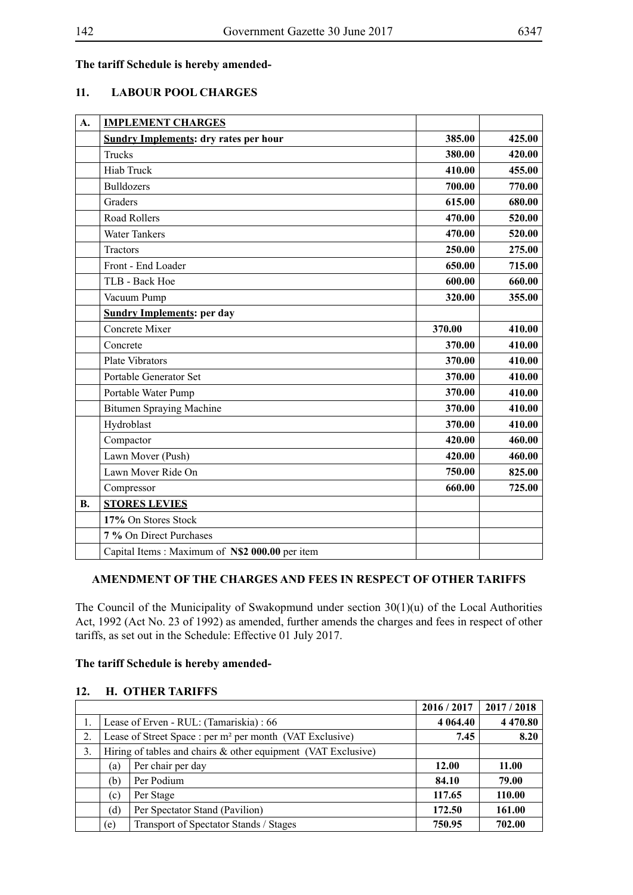### **The tariff Schedule is hereby amended-**

### **11. LABOUR POOL CHARGES**

| A.        | <b>IMPLEMENT CHARGES</b>                       |        |        |
|-----------|------------------------------------------------|--------|--------|
|           | <b>Sundry Implements: dry rates per hour</b>   | 385.00 | 425.00 |
|           | Trucks                                         | 380.00 | 420.00 |
|           | <b>Hiab Truck</b>                              | 410.00 | 455.00 |
|           | <b>Bulldozers</b>                              | 700.00 | 770.00 |
|           | Graders                                        | 615.00 | 680.00 |
|           | <b>Road Rollers</b>                            | 470.00 | 520.00 |
|           | <b>Water Tankers</b>                           | 470.00 | 520.00 |
|           | Tractors                                       | 250.00 | 275.00 |
|           | Front - End Loader                             | 650.00 | 715.00 |
|           | TLB - Back Hoe                                 | 600.00 | 660.00 |
|           | Vacuum Pump                                    | 320.00 | 355.00 |
|           | <b>Sundry Implements: per day</b>              |        |        |
|           | Concrete Mixer                                 | 370.00 | 410.00 |
|           | Concrete                                       | 370.00 | 410.00 |
|           | <b>Plate Vibrators</b>                         | 370.00 | 410.00 |
|           | Portable Generator Set                         | 370.00 | 410.00 |
|           | Portable Water Pump                            | 370.00 | 410.00 |
|           | <b>Bitumen Spraying Machine</b>                | 370.00 | 410.00 |
|           | Hydroblast                                     | 370.00 | 410.00 |
|           | Compactor                                      | 420.00 | 460.00 |
|           | Lawn Mover (Push)                              | 420.00 | 460.00 |
|           | Lawn Mover Ride On                             | 750.00 | 825.00 |
|           | Compressor                                     | 660.00 | 725.00 |
| <b>B.</b> | <b>STORES LEVIES</b>                           |        |        |
|           | 17% On Stores Stock                            |        |        |
|           | 7 % On Direct Purchases                        |        |        |
|           | Capital Items: Maximum of N\$2 000.00 per item |        |        |

#### **AMENDMENT OF THE CHARGES AND FEES IN RESPECT OF OTHER TARIFFS**

The Council of the Municipality of Swakopmund under section 30(1)(u) of the Local Authorities Act, 1992 (Act No. 23 of 1992) as amended, further amends the charges and fees in respect of other tariffs, as set out in the Schedule: Effective 01 July 2017.

#### **The tariff Schedule is hereby amended-**

### **12. H. OTHER TARIFFS**

|    |                                                                      |                                                                  | 2016 / 2017  | 2017/2018     |
|----|----------------------------------------------------------------------|------------------------------------------------------------------|--------------|---------------|
|    |                                                                      | Lease of Erven - RUL: (Tamariskia) : 66                          | 4 0 64.40    | 4 4 7 0 . 8 0 |
| 2. | Lease of Street Space : per m <sup>2</sup> per month (VAT Exclusive) |                                                                  | 7.45         | 8.20          |
| 3. |                                                                      | Hiring of tables and chairs $\&$ other equipment (VAT Exclusive) |              |               |
|    | (a)                                                                  | Per chair per day                                                | <b>12.00</b> | 11.00         |
|    | (b)                                                                  | Per Podium                                                       | 84.10        | 79.00         |
|    | (c)                                                                  | Per Stage                                                        | 117.65       | 110.00        |
|    | 'd)                                                                  | Per Spectator Stand (Pavilion)                                   | 172.50       | 161.00        |
|    | (e)                                                                  | Transport of Spectator Stands / Stages                           | 750.95       | 702.00        |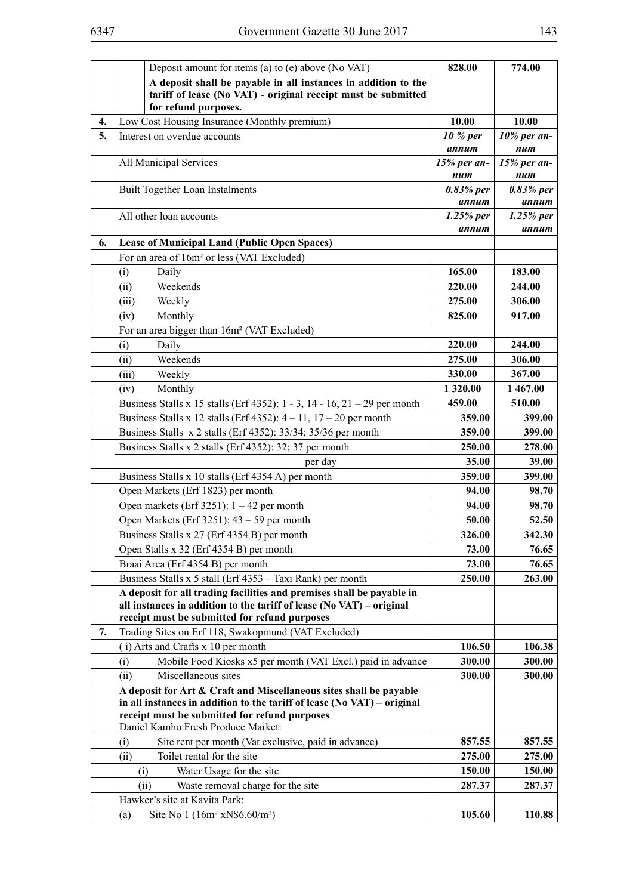|          | Deposit amount for items (a) to (e) above (No VAT)                                                                                                                                               | 828.00               | 774.00               |
|----------|--------------------------------------------------------------------------------------------------------------------------------------------------------------------------------------------------|----------------------|----------------------|
|          | A deposit shall be payable in all instances in addition to the<br>tariff of lease (No VAT) - original receipt must be submitted                                                                  |                      |                      |
|          | for refund purposes.                                                                                                                                                                             |                      |                      |
| 4.<br>5. | Low Cost Housing Insurance (Monthly premium)<br>Interest on overdue accounts                                                                                                                     | 10.00<br>10 % per    | 10.00<br>10% per an- |
|          |                                                                                                                                                                                                  | annum                | num                  |
|          | All Municipal Services                                                                                                                                                                           | 15% per an-<br>num   | 15% per an-<br>num   |
|          | <b>Built Together Loan Instalments</b>                                                                                                                                                           | 0.83% per<br>annum   | 0.83% per<br>annum   |
|          | All other loan accounts                                                                                                                                                                          | $1.25%$ per<br>annum | $1.25%$ per<br>annum |
| 6.       | <b>Lease of Municipal Land (Public Open Spaces)</b>                                                                                                                                              |                      |                      |
|          | For an area of 16m <sup>2</sup> or less (VAT Excluded)                                                                                                                                           |                      |                      |
|          | Daily<br>(i)                                                                                                                                                                                     | 165.00               | 183.00               |
|          | Weekends<br>(ii)                                                                                                                                                                                 | 220.00               | 244.00               |
|          | Weekly<br>(iii)                                                                                                                                                                                  | 275.00               | 306.00               |
|          | (iv)<br>Monthly                                                                                                                                                                                  | 825.00               | 917.00               |
|          | For an area bigger than 16m <sup>2</sup> (VAT Excluded)                                                                                                                                          |                      |                      |
|          | (i)<br>Daily                                                                                                                                                                                     | 220.00               | 244.00               |
|          | Weekends<br>(ii)                                                                                                                                                                                 | 275.00               | 306.00               |
|          | (iii)<br>Weekly                                                                                                                                                                                  | 330.00               | 367.00               |
|          | Monthly<br>(iv)                                                                                                                                                                                  | 1 3 2 0 . 0 0        | 1 467.00             |
|          | Business Stalls x 15 stalls (Erf 4352): $1 - 3$ , $14 - 16$ , $21 - 29$ per month                                                                                                                | 459.00               | 510.00               |
|          | Business Stalls x 12 stalls (Erf 4352): $4 - 11$ , $17 - 20$ per month                                                                                                                           | 359.00               | 399.00               |
|          | Business Stalls x 2 stalls (Erf 4352): 33/34; 35/36 per month                                                                                                                                    | 359.00               | 399.00               |
|          | Business Stalls x 2 stalls (Erf 4352): 32; 37 per month                                                                                                                                          | 250.00               | 278.00               |
|          | per day                                                                                                                                                                                          | 35.00                | 39.00                |
|          | Business Stalls x 10 stalls (Erf 4354 A) per month                                                                                                                                               | 359.00               | 399.00               |
|          | Open Markets (Erf 1823) per month                                                                                                                                                                | 94.00                | 98.70                |
|          | Open markets (Erf 3251): $1 - 42$ per month                                                                                                                                                      | 94.00                | 98.70                |
|          | Open Markets (Erf 3251): $43 - 59$ per month                                                                                                                                                     | 50.00                | 52.50                |
|          | Business Stalls x 27 (Erf 4354 B) per month                                                                                                                                                      | 326.00               | 342.30               |
|          | Open Stalls x 32 (Erf 4354 B) per month                                                                                                                                                          | 73.00                | 76.65                |
|          | Braai Area (Erf 4354 B) per month                                                                                                                                                                | 73.00                | 76.65                |
|          | Business Stalls x 5 stall (Erf 4353 - Taxi Rank) per month                                                                                                                                       | 250.00               | 263.00               |
|          | A deposit for all trading facilities and premises shall be payable in<br>all instances in addition to the tariff of lease $(No VAT) - original$<br>receipt must be submitted for refund purposes |                      |                      |
| 7.       | Trading Sites on Erf 118, Swakopmund (VAT Excluded)                                                                                                                                              |                      |                      |
|          | (i) Arts and Crafts x 10 per month                                                                                                                                                               | 106.50               | 106.38               |
|          | Mobile Food Kiosks x5 per month (VAT Excl.) paid in advance<br>(i)                                                                                                                               | 300.00               | 300.00               |
|          | Miscellaneous sites<br>(ii)                                                                                                                                                                      | 300.00               | 300.00               |
|          | A deposit for Art & Craft and Miscellaneous sites shall be payable<br>in all instances in addition to the tariff of lease (No VAT) – original                                                    |                      |                      |
|          | receipt must be submitted for refund purposes<br>Daniel Kamho Fresh Produce Market:                                                                                                              |                      |                      |
|          | Site rent per month (Vat exclusive, paid in advance)<br>(i)                                                                                                                                      | 857.55               | 857.55               |
|          | Toilet rental for the site<br>(ii)                                                                                                                                                               | 275.00               | 275.00               |
|          | Water Usage for the site<br>(i)                                                                                                                                                                  | 150.00               | 150.00               |
|          | Waste removal charge for the site<br>(ii)                                                                                                                                                        | 287.37               | 287.37               |
|          | Hawker's site at Kavita Park:                                                                                                                                                                    |                      |                      |
|          | Site No 1 $(16m^2 xN\$ {6.60/m^2})<br>(a)                                                                                                                                                        | 105.60               | 110.88               |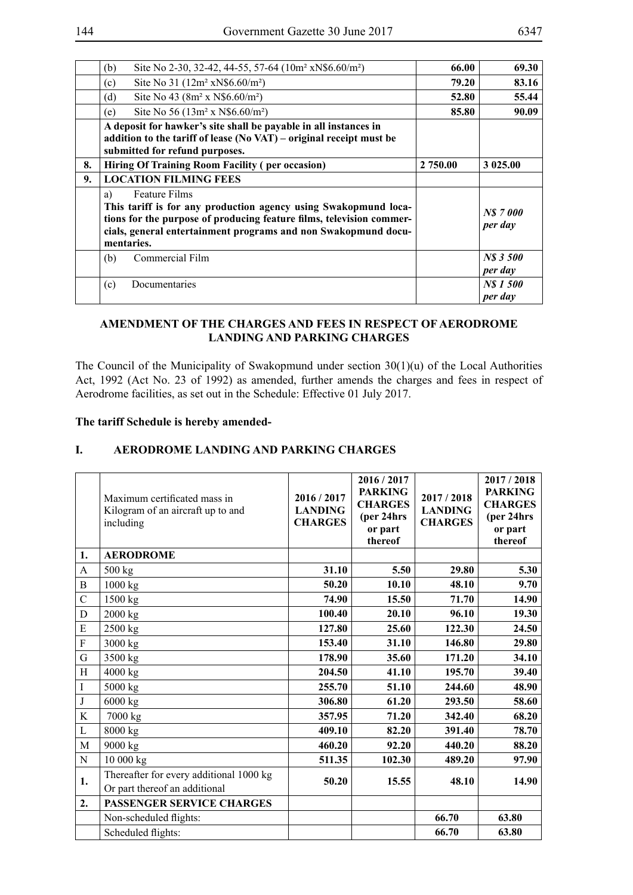|    | Site No 2-30, 32-42, 44-55, 57-64 (10m <sup>2</sup> xN\$6.60/m <sup>2</sup> )<br>(b)                                                                                                                                                                  | 66.00    | 69.30              |
|----|-------------------------------------------------------------------------------------------------------------------------------------------------------------------------------------------------------------------------------------------------------|----------|--------------------|
|    | Site No 31 (12m <sup>2</sup> xN\$6.60/m <sup>2</sup> )<br>(c)                                                                                                                                                                                         | 79.20    | 83.16              |
|    | Site No 43 (8m <sup>2</sup> x N\$6.60/m <sup>2</sup> )<br>(d)                                                                                                                                                                                         | 52.80    | 55.44              |
|    | Site No 56 (13m <sup>2</sup> x N\$6.60/m <sup>2</sup> )<br>(e)                                                                                                                                                                                        | 85.80    | 90.09              |
|    | A deposit for hawker's site shall be payable in all instances in<br>addition to the tariff of lease (No VAT) – original receipt must be<br>submitted for refund purposes.                                                                             |          |                    |
| 8. | <b>Hiring Of Training Room Facility (per occasion)</b>                                                                                                                                                                                                | 2 750.00 | 3 025.00           |
| 9. | <b>LOCATION FILMING FEES</b>                                                                                                                                                                                                                          |          |                    |
|    | <b>Feature Films</b><br>a)<br>This tariff is for any production agency using Swakopmund loca-<br>tions for the purpose of producing feature films, television commer-<br>cials, general entertainment programs and non Swakopmund docu-<br>mentaries. |          | NS 7000<br>per day |
|    | Commercial Film<br>(b)                                                                                                                                                                                                                                |          | NS 3500<br>per day |
|    | Documentaries<br>(c)                                                                                                                                                                                                                                  |          | NS 1500<br>per day |

### **AMENDMENT OF THE CHARGES AND FEES IN RESPECT OF AERODROME LANDING AND PARKING CHARGES**

The Council of the Municipality of Swakopmund under section 30(1)(u) of the Local Authorities Act, 1992 (Act No. 23 of 1992) as amended, further amends the charges and fees in respect of Aerodrome facilities, as set out in the Schedule: Effective 01 July 2017.

#### **The tariff Schedule is hereby amended-**

### **I. AERODROME LANDING AND PARKING CHARGES**

|             | Maximum certificated mass in<br>Kilogram of an aircraft up to and<br>including | 2016 / 2017<br><b>LANDING</b><br><b>CHARGES</b> | 2016 / 2017<br><b>PARKING</b><br><b>CHARGES</b><br>(per 24hrs)<br>or part<br>thereof | 2017/2018<br><b>LANDING</b><br><b>CHARGES</b> | 2017/2018<br><b>PARKING</b><br><b>CHARGES</b><br>(per 24hrs)<br>or part<br>thereof |
|-------------|--------------------------------------------------------------------------------|-------------------------------------------------|--------------------------------------------------------------------------------------|-----------------------------------------------|------------------------------------------------------------------------------------|
| 1.          | <b>AERODROME</b>                                                               |                                                 |                                                                                      |                                               |                                                                                    |
| A           | 500 kg                                                                         | 31.10                                           | 5.50                                                                                 | 29.80                                         | 5.30                                                                               |
| B           | 1000 kg                                                                        | 50.20                                           | 10.10                                                                                | 48.10                                         | 9.70                                                                               |
| $\mathbf C$ | 1500 kg                                                                        | 74.90                                           | 15.50                                                                                | 71.70                                         | 14.90                                                                              |
| $\mathbf D$ | 2000 kg                                                                        | 100.40                                          | 20.10                                                                                | 96.10                                         | 19.30                                                                              |
| E           | 2500 kg                                                                        | 127.80                                          | 25.60                                                                                | 122.30                                        | 24.50                                                                              |
| ${\bf F}$   | 3000 kg                                                                        | 153.40                                          | 31.10                                                                                | 146.80                                        | 29.80                                                                              |
| G           | 3500 kg                                                                        | 178.90                                          | 35.60                                                                                | 171.20                                        | 34.10                                                                              |
| H           | 4000 kg                                                                        | 204.50                                          | 41.10                                                                                | 195.70                                        | 39.40                                                                              |
| $\bf{I}$    | 5000 kg                                                                        | 255.70                                          | 51.10                                                                                | 244.60                                        | 48.90                                                                              |
| $\bf J$     | 6000 kg                                                                        | 306.80                                          | 61.20                                                                                | 293.50                                        | 58.60                                                                              |
| K           | 7000 kg                                                                        | 357.95                                          | 71.20                                                                                | 342.40                                        | 68.20                                                                              |
| L           | 8000 kg                                                                        | 409.10                                          | 82.20                                                                                | 391.40                                        | 78.70                                                                              |
| M           | 9000 kg                                                                        | 460.20                                          | 92.20                                                                                | 440.20                                        | 88.20                                                                              |
| $\mathbf N$ | 10 000 kg                                                                      | 511.35                                          | 102.30                                                                               | 489.20                                        | 97.90                                                                              |
| 1.          | Thereafter for every additional 1000 kg<br>Or part thereof an additional       | 50.20                                           | 15.55                                                                                | 48.10                                         | 14.90                                                                              |
| 2.          | PASSENGER SERVICE CHARGES                                                      |                                                 |                                                                                      |                                               |                                                                                    |
|             | Non-scheduled flights:                                                         |                                                 |                                                                                      | 66.70                                         | 63.80                                                                              |
|             | Scheduled flights:                                                             |                                                 |                                                                                      | 66.70                                         | 63.80                                                                              |
|             |                                                                                |                                                 |                                                                                      |                                               |                                                                                    |